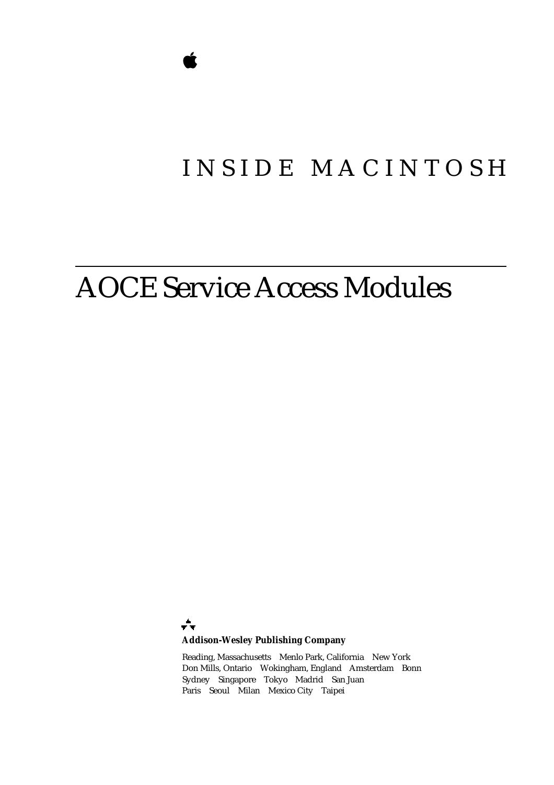# INSIDE MACINTOSH

# AOCE Service Access Modules

÷ **Addison-Wesley Publishing Company**

Reading, Massachusetts Menlo Park, California New York Don Mills, Ontario Wokingham, England Amsterdam Bonn Sydney Singapore Tokyo Madrid San Juan Paris Seoul Milan Mexico City Taipei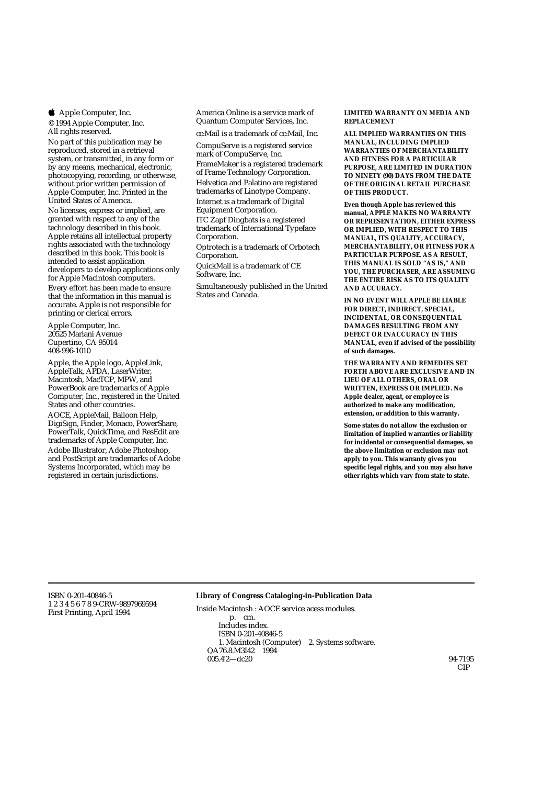**4** Apple Computer, Inc.

© 1994 Apple Computer, Inc. All rights reserved.

No part of this publication may be reproduced, stored in a retrieval system, or transmitted, in any form or by any means, mechanical, electronic, photocopying, recording, or otherwise, without prior written permission of Apple Computer, Inc. Printed in the United States of America. No licenses, express or implied, are granted with respect to any of the technology described in this book. Apple retains all intellectual property rights associated with the technology described in this book. This book is

intended to assist application developers to develop applications only for Apple Macintosh computers.

Every effort has been made to ensure that the information in this manual is accurate. Apple is not responsible for printing or clerical errors.

Apple Computer, Inc. 20525 Mariani Avenue Cupertino, CA 95014 408-996-1010

Apple, the Apple logo, AppleLink, AppleTalk, APDA, LaserWriter, Macintosh, MacTCP, MPW, and PowerBook are trademarks of Apple Computer, Inc., registered in the United States and other countries. AOCE, AppleMail, Balloon Help, DigiSign, Finder, Monaco, PowerShare, PowerTalk, QuickTime, and ResEdit are trademarks of Apple Computer, Inc. Adobe Illustrator, Adobe Photoshop, and PostScript are trademarks of Adobe Systems Incorporated, which may be registered in certain jurisdictions.

America Online is a service mark of Quantum Computer Services, Inc.

cc:Mail is a trademark of cc:Mail, Inc.

CompuServe is a registered service mark of CompuServe, Inc. FrameMaker is a registered trademark of Frame Technology Corporation. Helvetica and Palatino are registered trademarks of Linotype Company. Internet is a trademark of Digital Equipment Corporation.

ITC Zapf Dingbats is a registered trademark of International Typeface Corporation.

Optrotech is a trademark of Orbotech Corporation.

QuickMail is a trademark of CE Software, Inc.

Simultaneously published in the United States and Canada.

#### **LIMITED WARRANTY ON MEDIA AND REPLACEMENT**

**ALL IMPLIED WARRANTIES ON THIS MANUAL, INCLUDING IMPLIED WARRANTIES OF MERCHANTABILITY AND FITNESS FOR A PARTICULAR PURPOSE, ARE LIMITED IN DURATION TO NINETY (90) DAYS FROM THE DATE OF THE ORIGINAL RETAIL PURCHASE OF THIS PRODUCT.**

**Even though Apple has reviewed this manual, APPLE MAKES NO WARRANTY OR REPRESENTATION, EITHER EXPRESS OR IMPLIED, WITH RESPECT TO THIS MANUAL, ITS QUALITY, ACCURACY, MERCHANTABILITY, OR FITNESS FOR A PARTICULAR PURPOSE. AS A RESULT, THIS MANUAL IS SOLD "AS IS," AND YOU, THE PURCHASER, ARE ASSUMING THE ENTIRE RISK AS TO ITS QUALITY AND ACCURACY.**

**IN NO EVENT WILL APPLE BE LIABLE FOR DIRECT, INDIRECT, SPECIAL, INCIDENTAL, OR CONSEQUENTIAL DAMAGES RESULTING FROM ANY DEFECT OR INACCURACY IN THIS MANUAL, even if advised of the possibility of such damages.**

**THE WARRANTY AND REMEDIES SET FORTH ABOVE ARE EXCLUSIVE AND IN LIEU OF ALL OTHERS, ORAL OR WRITTEN, EXPRESS OR IMPLIED. No Apple dealer, agent, or employee is authorized to make any modification, extension, or addition to this warranty.**

**Some states do not allow the exclusion or limitation of implied warranties or liability for incidental or consequential damages, so the above limitation or exclusion may not apply to you. This warranty gives you specific legal rights, and you may also have other rights which vary from state to state.**

ISBN 0-201-40846-5 1 2 3 4 5 6 7 8 9-CRW-9897969594 First Printing, April 1994

### **Library of Congress Cataloging-in-Publication Data**

Inside Macintosh : AOCE service acess modules. p. cm. Includes index. ISBN 0-201-40846-5 1. Macintosh (Computer) 2. Systems software. QA76.8.M3I42 1994  $005.4'2 - d c 20$  94-7195

CIP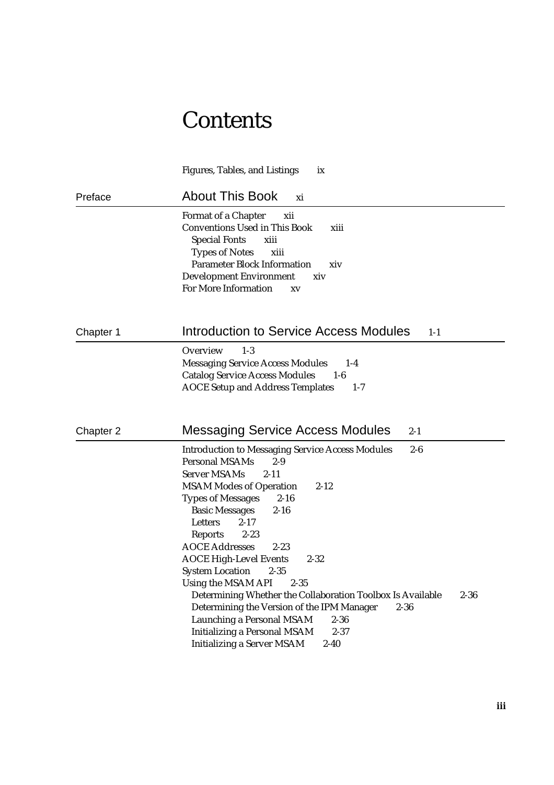# **Contents**

|           | <b>Figures, Tables, and Listings</b><br>ix                                                                                                                                                                                                                                                                                                                                                                                                                                                                                                                                                                                                                                                                                                                     |
|-----------|----------------------------------------------------------------------------------------------------------------------------------------------------------------------------------------------------------------------------------------------------------------------------------------------------------------------------------------------------------------------------------------------------------------------------------------------------------------------------------------------------------------------------------------------------------------------------------------------------------------------------------------------------------------------------------------------------------------------------------------------------------------|
| Preface   | <b>About This Book</b><br>xi                                                                                                                                                                                                                                                                                                                                                                                                                                                                                                                                                                                                                                                                                                                                   |
|           | <b>Format of a Chapter</b><br>xii<br><b>Conventions Used in This Book</b><br>xiii<br><b>Special Fonts</b><br>xiii<br><b>Types of Notes</b><br>xiii<br><b>Parameter Block Information</b><br>xiv<br><b>Development Environment</b><br>xiv<br><b>For More Information</b><br>XV                                                                                                                                                                                                                                                                                                                                                                                                                                                                                  |
| Chapter 1 | Introduction to Service Access Modules<br>$1-1$                                                                                                                                                                                                                                                                                                                                                                                                                                                                                                                                                                                                                                                                                                                |
|           | Overview<br>$1-3$<br><b>Messaging Service Access Modules</b><br>$1-4$<br><b>Catalog Service Access Modules</b><br>$1-6$<br><b>AOCE Setup and Address Templates</b><br>$1 - 7$                                                                                                                                                                                                                                                                                                                                                                                                                                                                                                                                                                                  |
| Chapter 2 | <b>Messaging Service Access Modules</b><br>$2 - 1$                                                                                                                                                                                                                                                                                                                                                                                                                                                                                                                                                                                                                                                                                                             |
|           | <b>Introduction to Messaging Service Access Modules</b><br>$2-6$<br><b>Personal MSAMs</b><br>2-9<br><b>Server MSAMs</b><br>$2 - 11$<br><b>MSAM Modes of Operation</b><br>$2 - 12$<br>$2 - 16$<br><b>Types of Messages</b><br><b>Basic Messages</b><br>$2 - 16$<br>Letters<br>$2 - 17$<br><b>Reports</b><br>$2 - 23$<br><b>AOCE Addresses</b><br>$2 - 23$<br><b>AOCE High-Level Events</b><br>$2 - 32$<br><b>System Location</b> 2-35<br>Using the MSAM API<br>$2 - 35$<br>Determining Whether the Collaboration Toolbox Is Available<br>$2 - 36$<br>Determining the Version of the IPM Manager<br>$2 - 36$<br><b>Launching a Personal MSAM</b><br>$2 - 36$<br><b>Initializing a Personal MSAM</b><br>$2 - 37$<br><b>Initializing a Server MSAM</b><br>$2 - 40$ |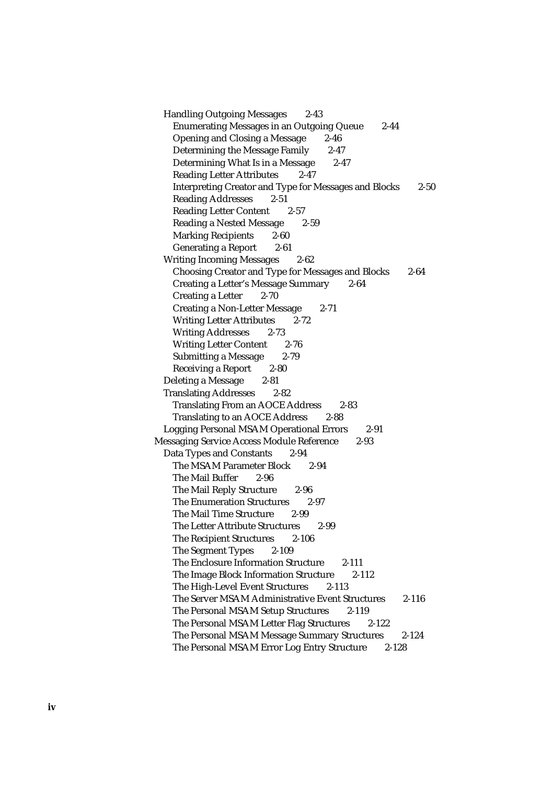Handling Outgoing Messages 2-43 Enumerating Messages in an Outgoing Queue 2-44 Opening and Closing a Message 2-46 Determining the Message Family 2-47 Determining What Is in a Message 2-47 Reading Letter Attributes 2-47 Interpreting Creator and Type for Messages and Blocks 2-50 Reading Addresses 2-51 Reading Letter Content 2-57 Reading a Nested Message 2-59 Marking Recipients 2-60 Generating a Report 2-61 Writing Incoming Messages 2-62 Choosing Creator and Type for Messages and Blocks 2-64 Creating a Letter's Message Summary 2-64 Creating a Letter 2-70 Creating a Non-Letter Message 2-71 Writing Letter Attributes 2-72 Writing Addresses 2-73 Writing Letter Content 2-76 Submitting a Message 2-79 Receiving a Report 2-80 Deleting a Message 2-81 Translating Addresses 2-82 Translating From an AOCE Address 2-83 Translating to an AOCE Address 2-88 Logging Personal MSAM Operational Errors 2-91 Messaging Service Access Module Reference 2-93 Data Types and Constants 2-94 The MSAM Parameter Block 2-94 The Mail Buffer 2-96 The Mail Reply Structure 2-96 The Enumeration Structures 2-97 The Mail Time Structure 2-99 The Letter Attribute Structures 2-99 The Recipient Structures 2-106 The Segment Types 2-109 The Enclosure Information Structure 2-111 The Image Block Information Structure 2-112 The High-Level Event Structures 2-113 The Server MSAM Administrative Event Structures 2-116 The Personal MSAM Setup Structures 2-119 The Personal MSAM Letter Flag Structures 2-122 The Personal MSAM Message Summary Structures 2-124 The Personal MSAM Error Log Entry Structure 2-128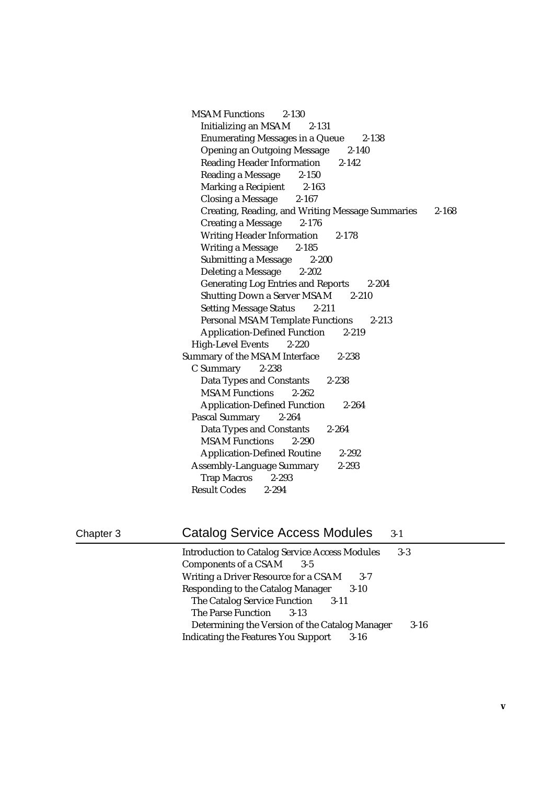MSAM Functions 2-130 Initializing an MSAM 2-131 Enumerating Messages in a Queue 2-138 Opening an Outgoing Message 2-140 Reading Header Information 2-142 Reading a Message 2-150 Marking a Recipient 2-163 Closing a Message 2-167 Creating, Reading, and Writing Message Summaries 2-168 Creating a Message 2-176 Writing Header Information 2-178 Writing a Message 2-185 Submitting a Message 2-200 Deleting a Message 2-202 Generating Log Entries and Reports 2-204 Shutting Down a Server MSAM 2-210 Setting Message Status 2-211 Personal MSAM Template Functions 2-213 Application-Defined Function 2-219 High-Level Events 2-220 Summary of the MSAM Interface 2-238 C Summary 2-238 Data Types and Constants 2-238 MSAM Functions 2-262 Application-Defined Function 2-264 Pascal Summary 2-264 Data Types and Constants 2-264 MSAM Functions 2-290 Application-Defined Routine 2-292 Assembly-Language Summary 2-293 Trap Macros 2-293 Result Codes 2-294

### Chapter 3 Catalog Service Access Modules 3-1

| <b>Introduction to Catalog Service Access Modules</b><br>$3-3$ |
|----------------------------------------------------------------|
| <b>Components of a CSAM</b><br>$3-5$                           |
| Writing a Driver Resource for a CSAM<br>$3 - 7$                |
| <b>Responding to the Catalog Manager</b><br>$3-10$             |
| <b>The Catalog Service Function</b><br>$3-11$                  |
| The Parse Function<br>$3-13$                                   |
| Determining the Version of the Catalog Manager<br>$3 - 16$     |
| <b>Indicating the Features You Support</b><br>$3 - 16$         |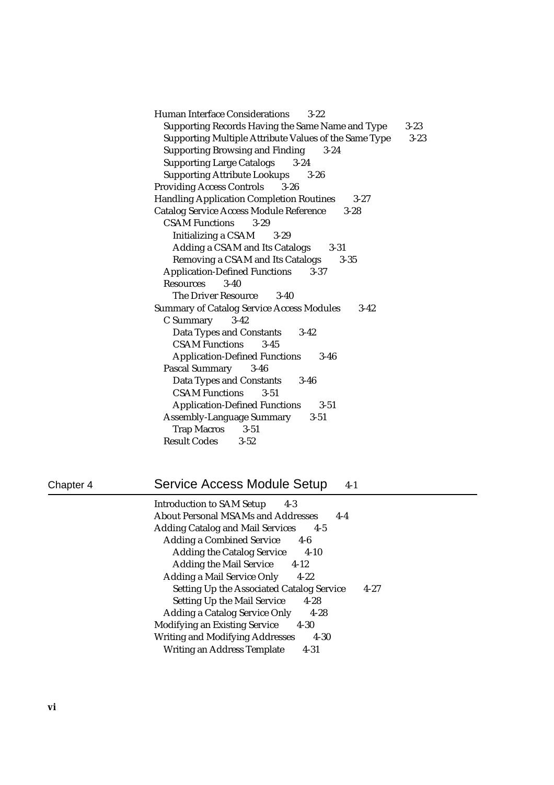| <b>Human Interface Considerations</b><br>$3 - 22$            |          |
|--------------------------------------------------------------|----------|
| Supporting Records Having the Same Name and Type             | $3 - 23$ |
| Supporting Multiple Attribute Values of the Same Type        | $3 - 23$ |
| <b>Supporting Browsing and Finding</b><br>3-24               |          |
| <b>Supporting Large Catalogs</b><br>$3 - 24$                 |          |
| <b>Supporting Attribute Lookups</b> 3-26                     |          |
| <b>Providing Access Controls</b> 3-26                        |          |
| <b>Handling Application Completion Routines</b><br>$3 - 27$  |          |
| <b>Catalog Service Access Module Reference</b><br>$3 - 28$   |          |
| <b>CSAM Functions</b><br>$3 - 29$                            |          |
| Initializing a CSAM 3-29                                     |          |
| Adding a CSAM and Its Catalogs<br>$3 - 31$                   |          |
| Removing a CSAM and Its Catalogs<br>$3 - 35$                 |          |
| <b>Application-Defined Functions 3-37</b>                    |          |
| Resources<br>$3-40$                                          |          |
| <b>The Driver Resource</b><br>$3-40$                         |          |
| <b>Summary of Catalog Service Access Modules</b><br>$3 - 42$ |          |
| C Summary 3-42                                               |          |
| <b>Data Types and Constants</b><br>$3-42$                    |          |
| <b>CSAM Functions</b><br>$3 - 45$                            |          |
| <b>Application-Defined Functions</b><br>$3 - 46$             |          |
| Pascal Summary 3-46                                          |          |
| Data Types and Constants 3-46                                |          |
| <b>CSAM Functions</b><br>$3 - 51$                            |          |
| <b>Application-Defined Functions</b><br>$3 - 51$             |          |
| <b>Assembly-Language Summary 3-51</b>                        |          |
| Trap Macros 3-51                                             |          |
| <b>Result Codes</b> 3-52                                     |          |

# Chapter 4 Service Access Module Setup 4-1

| <b>Introduction to SAM Setup</b><br>4-3                      |
|--------------------------------------------------------------|
| <b>About Personal MSAMs and Addresses</b><br>$4 - 4$         |
| <b>Adding Catalog and Mail Services</b><br>$4 - 5$           |
| <b>Adding a Combined Service</b><br>4-6                      |
| <b>Adding the Catalog Service</b><br>$4 - 10$                |
| <b>Adding the Mail Service</b><br>$4-12$                     |
| <b>Adding a Mail Service Only</b><br>$4 - 22$                |
| <b>Setting Up the Associated Catalog Service</b><br>$4 - 27$ |
| <b>Setting Up the Mail Service</b><br>$4 - 28$               |
| <b>Adding a Catalog Service Only</b><br>4-28                 |
| <b>Modifying an Existing Service</b><br>$4 - 30$             |
| <b>Writing and Modifying Addresses</b><br>4-30               |
| Writing an Address Template<br>4-31                          |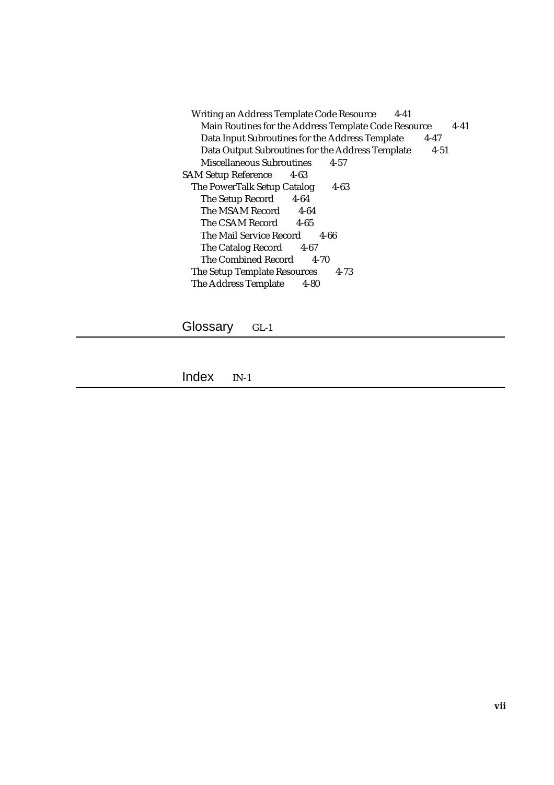Writing an Address Template Code Resource 4-41 Main Routines for the Address Template Code Resource 4-41 Data Input Subroutines for the Address Template 4-47 Data Output Subroutines for the Address Template 4-51 Miscellaneous Subroutines 4-57 SAM Setup Reference 4-63 The PowerTalk Setup Catalog 4-63 The Setup Record 4-64 The MSAM Record 4-64 The CSAM Record 4-65 The Mail Service Record 4-66 The Catalog Record 4-67 The Combined Record 4-70 The Setup Template Resources 4-73 The Address Template 4-80

Glossary GL-1

Index IN-1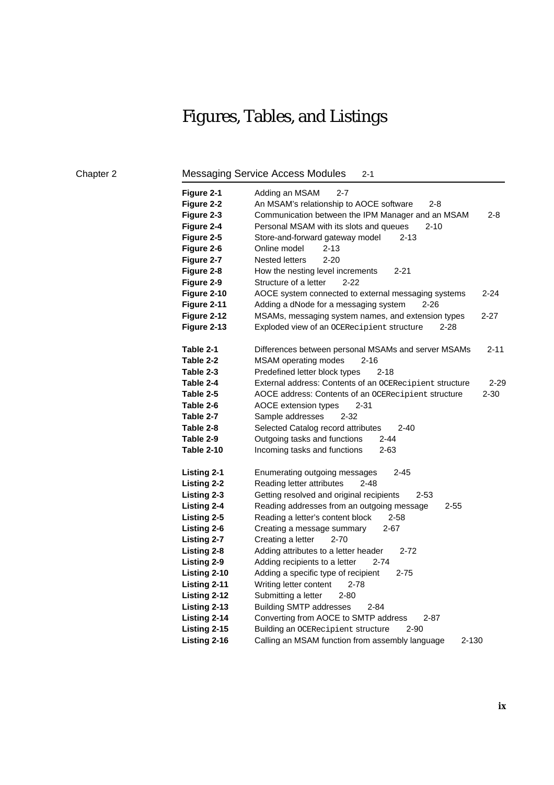# Figures, Tables, and Listings

Chapter 2 Messaging Service Access Modules 2-1

| Figure 2-1<br>Figure 2-2<br>Figure 2-3<br>Figure 2-4<br>Figure 2-5<br>Figure 2-6<br>Figure 2-7<br>Figure 2-8<br>Figure 2-9 | Adding an MSAM<br>2-7<br>An MSAM's relationship to AOCE software<br>2-8<br>Communication between the IPM Manager and an MSAM<br>2-8<br>Personal MSAM with its slots and queues<br>$2 - 10$<br>Store-and-forward gateway model<br>$2 - 13$<br>Online model<br>2-13<br><b>Nested letters</b><br>$2 - 20$<br>$2 - 21$<br>How the nesting level increments<br>Structure of a letter<br>$2 - 22$ |
|----------------------------------------------------------------------------------------------------------------------------|---------------------------------------------------------------------------------------------------------------------------------------------------------------------------------------------------------------------------------------------------------------------------------------------------------------------------------------------------------------------------------------------|
| Figure 2-10                                                                                                                | AOCE system connected to external messaging systems<br>2-24                                                                                                                                                                                                                                                                                                                                 |
| Figure 2-11                                                                                                                | Adding a dNode for a messaging system<br>2-26                                                                                                                                                                                                                                                                                                                                               |
| Figure 2-12                                                                                                                | MSAMs, messaging system names, and extension types<br>2-27                                                                                                                                                                                                                                                                                                                                  |
| Figure 2-13                                                                                                                | Exploded view of an OCERecipient structure<br>2-28                                                                                                                                                                                                                                                                                                                                          |
| Table 2-1                                                                                                                  | $2 - 11$<br>Differences between personal MSAMs and server MSAMs                                                                                                                                                                                                                                                                                                                             |
| Table 2-2                                                                                                                  | MSAM operating modes<br>$2 - 16$                                                                                                                                                                                                                                                                                                                                                            |
| Table 2-3                                                                                                                  | Predefined letter block types<br>$2 - 18$                                                                                                                                                                                                                                                                                                                                                   |
| Table 2-4                                                                                                                  | External address: Contents of an OCERecipient structure<br>$2 - 29$                                                                                                                                                                                                                                                                                                                         |
| Table 2-5                                                                                                                  | $2 - 30$<br>AOCE address: Contents of an OCERecipient structure                                                                                                                                                                                                                                                                                                                             |
| Table 2-6                                                                                                                  | AOCE extension types<br>$2 - 31$                                                                                                                                                                                                                                                                                                                                                            |
| Table 2-7                                                                                                                  | Sample addresses<br>2-32                                                                                                                                                                                                                                                                                                                                                                    |
| Table 2-8                                                                                                                  | Selected Catalog record attributes<br>$2 - 40$                                                                                                                                                                                                                                                                                                                                              |
| Table 2-9                                                                                                                  | Outgoing tasks and functions<br>2-44                                                                                                                                                                                                                                                                                                                                                        |
| Table 2-10                                                                                                                 | Incoming tasks and functions<br>2-63                                                                                                                                                                                                                                                                                                                                                        |
| <b>Listing 2-1</b>                                                                                                         | $2 - 45$<br>Enumerating outgoing messages                                                                                                                                                                                                                                                                                                                                                   |
| <b>Listing 2-2</b>                                                                                                         | Reading letter attributes<br>$2 - 48$                                                                                                                                                                                                                                                                                                                                                       |
| Listing 2-3                                                                                                                | Getting resolved and original recipients<br>$2 - 53$                                                                                                                                                                                                                                                                                                                                        |
| <b>Listing 2-4</b>                                                                                                         | Reading addresses from an outgoing message<br>$2 - 55$                                                                                                                                                                                                                                                                                                                                      |
| <b>Listing 2-5</b>                                                                                                         | Reading a letter's content block<br>2-58                                                                                                                                                                                                                                                                                                                                                    |
| Listing 2-6                                                                                                                | Creating a message summary<br>2-67                                                                                                                                                                                                                                                                                                                                                          |
| <b>Listing 2-7</b>                                                                                                         | Creating a letter<br>$2 - 70$                                                                                                                                                                                                                                                                                                                                                               |
| Listing 2-8                                                                                                                | Adding attributes to a letter header<br>$2 - 72$                                                                                                                                                                                                                                                                                                                                            |
| Listing 2-9                                                                                                                | Adding recipients to a letter<br>2-74                                                                                                                                                                                                                                                                                                                                                       |
| Listing 2-10                                                                                                               | Adding a specific type of recipient<br>2-75                                                                                                                                                                                                                                                                                                                                                 |
| Listing 2-11                                                                                                               | Writing letter content<br>$2 - 78$                                                                                                                                                                                                                                                                                                                                                          |
| Listing 2-12                                                                                                               | Submitting a letter<br>2-80                                                                                                                                                                                                                                                                                                                                                                 |
| Listing 2-13                                                                                                               | <b>Building SMTP addresses</b><br>2-84                                                                                                                                                                                                                                                                                                                                                      |
| Listing 2-14                                                                                                               | Converting from AOCE to SMTP address<br>2-87                                                                                                                                                                                                                                                                                                                                                |
| Listing 2-15                                                                                                               | Building an OCERecipient structure<br>2-90                                                                                                                                                                                                                                                                                                                                                  |
| Listing 2-16                                                                                                               | Calling an MSAM function from assembly language<br>2-130                                                                                                                                                                                                                                                                                                                                    |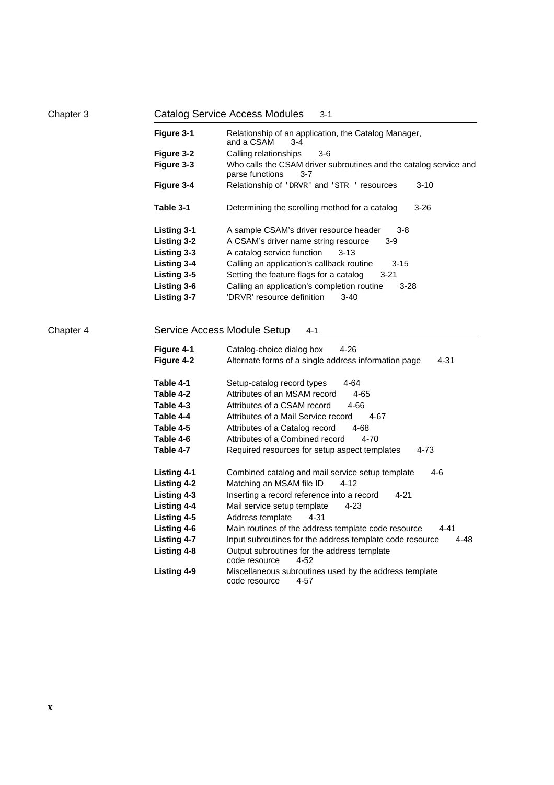| Chapter 3 | <b>Catalog Service Access Modules</b><br>$3 - 1$ |                                                                                                 |  |  |  |  |  |
|-----------|--------------------------------------------------|-------------------------------------------------------------------------------------------------|--|--|--|--|--|
|           | Figure 3-1                                       | Relationship of an application, the Catalog Manager,<br>and a CSAM<br>$3 - 4$                   |  |  |  |  |  |
|           | Figure 3-2                                       | Calling relationships<br>3-6                                                                    |  |  |  |  |  |
|           | Figure 3-3                                       | Who calls the CSAM driver subroutines and the catalog service and<br>parse functions<br>$3 - 7$ |  |  |  |  |  |
|           | Figure 3-4                                       | Relationship of 'DRVR' and 'STR ' resources<br>$3 - 10$                                         |  |  |  |  |  |
|           | Table 3-1                                        | Determining the scrolling method for a catalog<br>$3 - 26$                                      |  |  |  |  |  |
|           | <b>Listing 3-1</b>                               | A sample CSAM's driver resource header<br>$3 - 8$                                               |  |  |  |  |  |
|           | <b>Listing 3-2</b>                               | A CSAM's driver name string resource<br>$3-9$                                                   |  |  |  |  |  |
|           | Listing 3-3                                      | A catalog service function<br>$3 - 13$                                                          |  |  |  |  |  |
|           | Listing 3-4                                      | Calling an application's callback routine<br>3-15                                               |  |  |  |  |  |
|           | <b>Listing 3-5</b>                               | Setting the feature flags for a catalog<br>3-21                                                 |  |  |  |  |  |
|           | <b>Listing 3-6</b>                               | Calling an application's completion routine<br>$3 - 28$                                         |  |  |  |  |  |
|           | Listing 3-7                                      | 'DRVR' resource definition<br>$3 - 40$                                                          |  |  |  |  |  |
| Chapter 4 | Figure 4-1                                       | Service Access Module Setup<br>$4 - 1$<br>$4 - 26$<br>Catalog-choice dialog box                 |  |  |  |  |  |
|           | Figure 4-2                                       | Alternate forms of a single address information page<br>4-31                                    |  |  |  |  |  |
|           | Table 4-1                                        | $4 - 64$<br>Setup-catalog record types                                                          |  |  |  |  |  |
|           | Table 4-2                                        | Attributes of an MSAM record<br>$4 - 65$                                                        |  |  |  |  |  |
|           | Table 4-3                                        | Attributes of a CSAM record<br>4-66                                                             |  |  |  |  |  |
|           | Table 4-4                                        | Attributes of a Mail Service record<br>4-67                                                     |  |  |  |  |  |
|           | Table 4-5                                        | Attributes of a Catalog record<br>$4 - 68$                                                      |  |  |  |  |  |
|           | Table 4-6                                        | Attributes of a Combined record<br>4-70                                                         |  |  |  |  |  |
|           | Table 4-7                                        | Required resources for setup aspect templates<br>4-73                                           |  |  |  |  |  |
|           | <b>Listing 4-1</b>                               | Combined catalog and mail service setup template<br>4-6                                         |  |  |  |  |  |
|           | <b>Listing 4-2</b>                               | Matching an MSAM file ID<br>$4 - 12$                                                            |  |  |  |  |  |
|           | <b>Listing 4-3</b>                               | Inserting a record reference into a record<br>4-21                                              |  |  |  |  |  |
|           | <b>Listing 4-4</b>                               | Mail service setup template<br>$4 - 23$                                                         |  |  |  |  |  |
|           | Listing 4-5                                      | Address template<br>4-31                                                                        |  |  |  |  |  |
|           | Listing 4-6                                      | Main routines of the address template code resource<br>4-41                                     |  |  |  |  |  |
|           | <b>Listing 4-7</b>                               | Input subroutines for the address template code resource<br>4-48                                |  |  |  |  |  |
|           | Listing 4-8                                      | Output subroutines for the address template<br>code resource<br>4-52                            |  |  |  |  |  |
|           | Listing 4-9                                      | Miscellaneous subroutines used by the address template<br>code resource<br>4-57                 |  |  |  |  |  |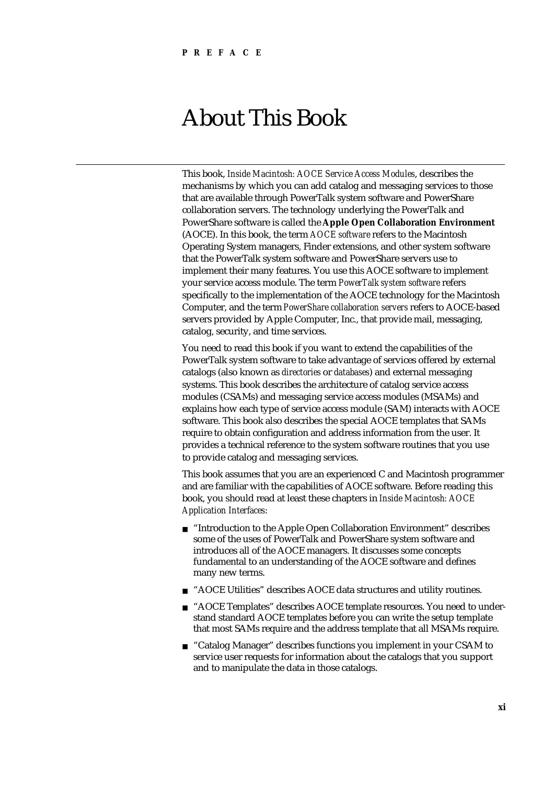# About This Book

This book, *Inside Macintosh: AOCE Service Access Modules*, describes the mechanisms by which you can add catalog and messaging services to those that are available through PowerTalk system software and PowerShare collaboration servers. The technology underlying the PowerTalk and PowerShare software is called the **Apple Open Collaboration Environment** (AOCE). In this book, the term *AOCE software* refers to the Macintosh Operating System managers, Finder extensions, and other system software that the PowerTalk system software and PowerShare servers use to implement their many features. You use this AOCE software to implement your service access module. The term *PowerTalk system software* refers specifically to the implementation of the AOCE technology for the Macintosh Computer, and the term *PowerShare collaboration servers* refers to AOCE-based servers provided by Apple Computer, Inc., that provide mail, messaging, catalog, security, and time services.

You need to read this book if you want to extend the capabilities of the PowerTalk system software to take advantage of services offered by external catalogs (also known as *directories* or *databases*) and external messaging systems. This book describes the architecture of catalog service access modules (CSAMs) and messaging service access modules (MSAMs) and explains how each type of service access module (SAM) interacts with AOCE software. This book also describes the special AOCE templates that SAMs require to obtain configuration and address information from the user. It provides a technical reference to the system software routines that you use to provide catalog and messaging services.

This book assumes that you are an experienced C and Macintosh programmer and are familiar with the capabilities of AOCE software. Before reading this book, you should read at least these chapters in *Inside Macintosh: AOCE Application Interfaces*:

- n "Introduction to the Apple Open Collaboration Environment" describes some of the uses of PowerTalk and PowerShare system software and introduces all of the AOCE managers. It discusses some concepts fundamental to an understanding of the AOCE software and defines many new terms.
- n "AOCE Utilities" describes AOCE data structures and utility routines.
- n "AOCE Templates" describes AOCE template resources. You need to understand standard AOCE templates before you can write the setup template that most SAMs require and the address template that all MSAMs require.
- n "Catalog Manager" describes functions you implement in your CSAM to service user requests for information about the catalogs that you support and to manipulate the data in those catalogs.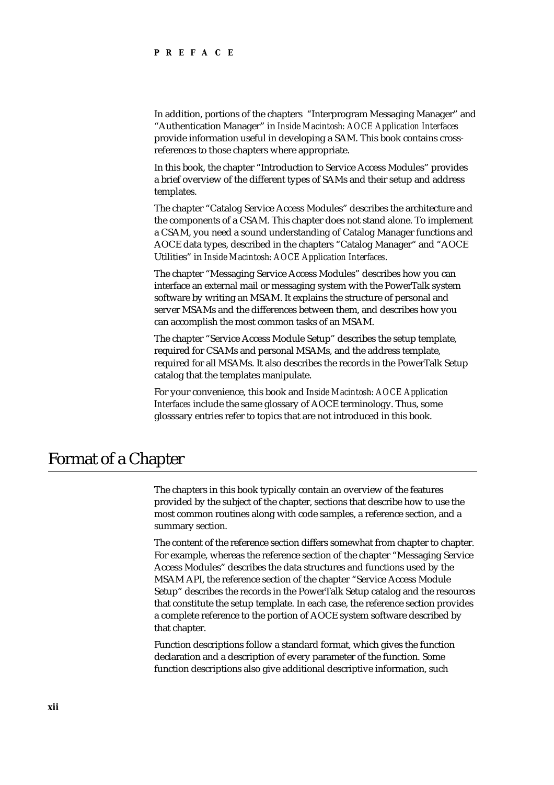In addition, portions of the chapters "Interprogram Messaging Manager" and "Authentication Manager" in *Inside Macintosh: AOCE Application Interfaces* provide information useful in developing a SAM. This book contains crossreferences to those chapters where appropriate.

In this book, the chapter "Introduction to Service Access Modules" provides a brief overview of the different types of SAMs and their setup and address templates.

The chapter "Catalog Service Access Modules" describes the architecture and the components of a CSAM. This chapter does not stand alone. To implement a CSAM, you need a sound understanding of Catalog Manager functions and AOCE data types, described in the chapters "Catalog Manager" and "AOCE Utilities" in *Inside Macintosh: AOCE Application Interfaces*.

The chapter "Messaging Service Access Modules" describes how you can interface an external mail or messaging system with the PowerTalk system software by writing an MSAM. It explains the structure of personal and server MSAMs and the differences between them, and describes how you can accomplish the most common tasks of an MSAM.

The chapter "Service Access Module Setup" describes the setup template, required for CSAMs and personal MSAMs, and the address template, required for all MSAMs. It also describes the records in the PowerTalk Setup catalog that the templates manipulate.

For your convenience, this book and *Inside Macintosh: AOCE Application Interfaces* include the same glossary of AOCE terminology. Thus, some glosssary entries refer to topics that are not introduced in this book.

# Format of a Chapter

The chapters in this book typically contain an overview of the features provided by the subject of the chapter, sections that describe how to use the most common routines along with code samples, a reference section, and a summary section.

The content of the reference section differs somewhat from chapter to chapter. For example, whereas the reference section of the chapter "Messaging Service Access Modules" describes the data structures and functions used by the MSAM API, the reference section of the chapter "Service Access Module Setup" describes the records in the PowerTalk Setup catalog and the resources that constitute the setup template. In each case, the reference section provides a complete reference to the portion of AOCE system software described by that chapter.

Function descriptions follow a standard format, which gives the function declaration and a description of every parameter of the function. Some function descriptions also give additional descriptive information, such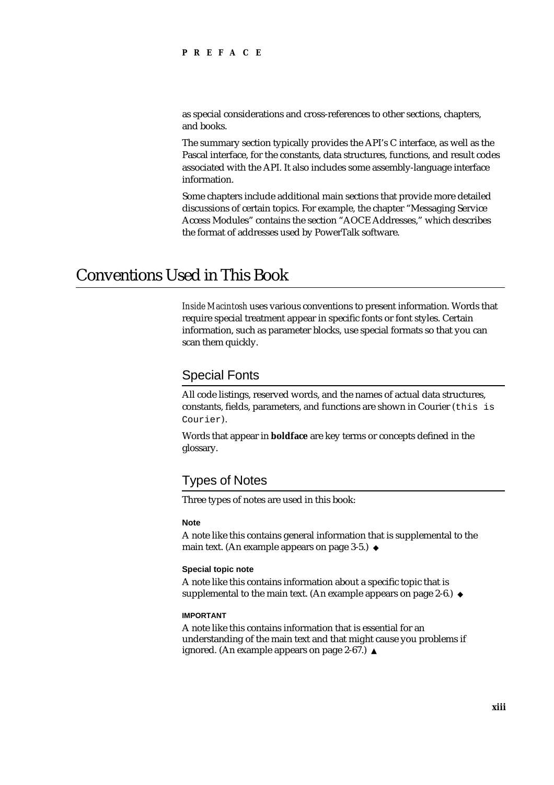as special considerations and cross-references to other sections, chapters, and books.

The summary section typically provides the API's C interface, as well as the Pascal interface, for the constants, data structures, functions, and result codes associated with the API. It also includes some assembly-language interface information.

Some chapters include additional main sections that provide more detailed discussions of certain topics. For example, the chapter "Messaging Service Access Modules" contains the section "AOCE Addresses," which describes the format of addresses used by PowerTalk software.

## Conventions Used in This Book

*Inside Macintosh* uses various conventions to present information. Words that require special treatment appear in specific fonts or font styles. Certain information, such as parameter blocks, use special formats so that you can scan them quickly.

### Special Fonts

All code listings, reserved words, and the names of actual data structures, constants, fields, parameters, and functions are shown in Courier (this is Courier).

Words that appear in **boldface** are key terms or concepts defined in the glossary.

## Types of Notes

Three types of notes are used in this book:

### **Note**

A note like this contains general information that is supplemental to the main text. (An example appears on page 3-5.) u

### **Special topic note**

A note like this contains information about a specific topic that is supplemental to the main text. (An example appears on page 2-6.) u

### **IMPORTANT**

A note like this contains information that is essential for an understanding of the main text and that might cause you problems if ignored. (An example appears on page 2-67.) s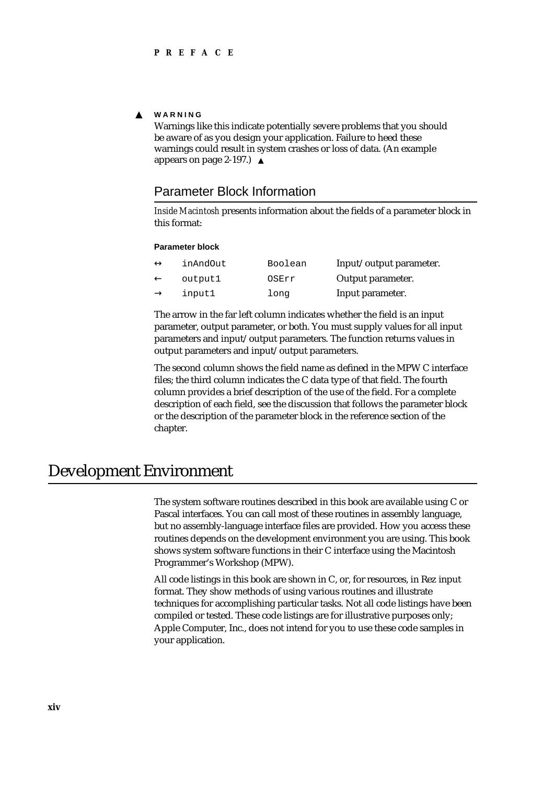#### <sub>S</sub> **WARNING**

Warnings like this indicate potentially severe problems that you should be aware of as you design your application. Failure to heed these warnings could result in system crashes or loss of data. (An example appears on page 2-197.)

### Parameter Block Information

*Inside Macintosh* presents information about the fields of a parameter block in this format:

### **Parameter block**

| inAndOut | Boolean | Input/output parameter. |
|----------|---------|-------------------------|
| output1  | OSErr   | Output parameter.       |
| input1   | long    | Input parameter.        |

The arrow in the far left column indicates whether the field is an input parameter, output parameter, or both. You must supply values for all input parameters and input/output parameters. The function returns values in output parameters and input/output parameters.

The second column shows the field name as defined in the MPW C interface files; the third column indicates the C data type of that field. The fourth column provides a brief description of the use of the field. For a complete description of each field, see the discussion that follows the parameter block or the description of the parameter block in the reference section of the chapter.

### Development Environment

The system software routines described in this book are available using C or Pascal interfaces. You can call most of these routines in assembly language, but no assembly-language interface files are provided. How you access these routines depends on the development environment you are using. This book shows system software functions in their C interface using the Macintosh Programmer's Workshop (MPW).

All code listings in this book are shown in C, or, for resources, in Rez input format. They show methods of using various routines and illustrate techniques for accomplishing particular tasks. Not all code listings have been compiled or tested. These code listings are for illustrative purposes only; Apple Computer, Inc., does not intend for you to use these code samples in your application.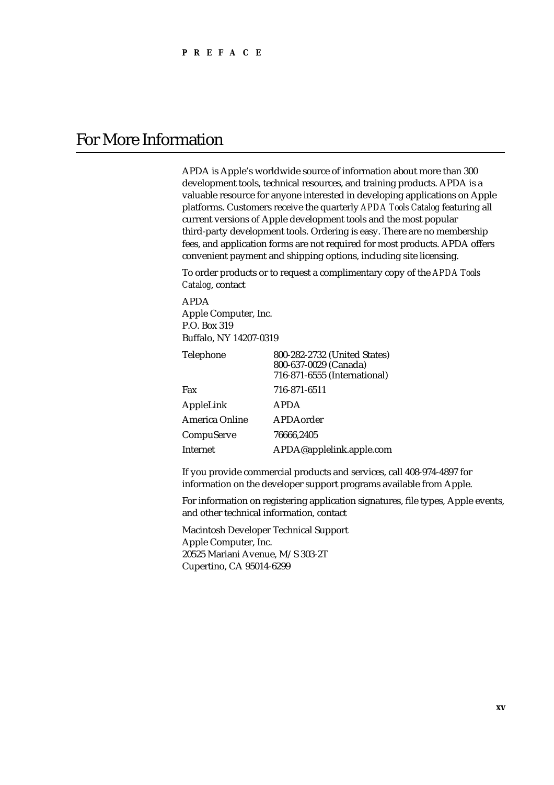# For More Information

APDA is Apple's worldwide source of information about more than 300 development tools, technical resources, and training products. APDA is a valuable resource for anyone interested in developing applications on Apple platforms. Customers receive the quarterly *APDA Tools Catalog* featuring all current versions of Apple development tools and the most popular third-party development tools. Ordering is easy. There are no membership fees, and application forms are not required for most products. APDA offers convenient payment and shipping options, including site licensing.

To order products or to request a complimentary copy of the *APDA Tools Catalog*, contact

APDA Apple Computer, Inc. P.O. Box 319 Buffalo, NY 14207-0319

| Telephone             | 800-282-2732 (United States)<br>800-637-0029 (Canada)<br>716-871-6555 (International) |
|-----------------------|---------------------------------------------------------------------------------------|
| Fax                   | 716-871-6511                                                                          |
| AppleLink             | <b>APDA</b>                                                                           |
| <b>America Online</b> | APDAorder                                                                             |
| CompuServe            | 76666.2405                                                                            |
| Internet              | APDA@applelink.apple.com                                                              |

If you provide commercial products and services, call 408-974-4897 for information on the developer support programs available from Apple.

For information on registering application signatures, file types, Apple events, and other technical information, contact

Macintosh Developer Technical Support Apple Computer, Inc. 20525 Mariani Avenue, M/S 303-2T Cupertino, CA 95014-6299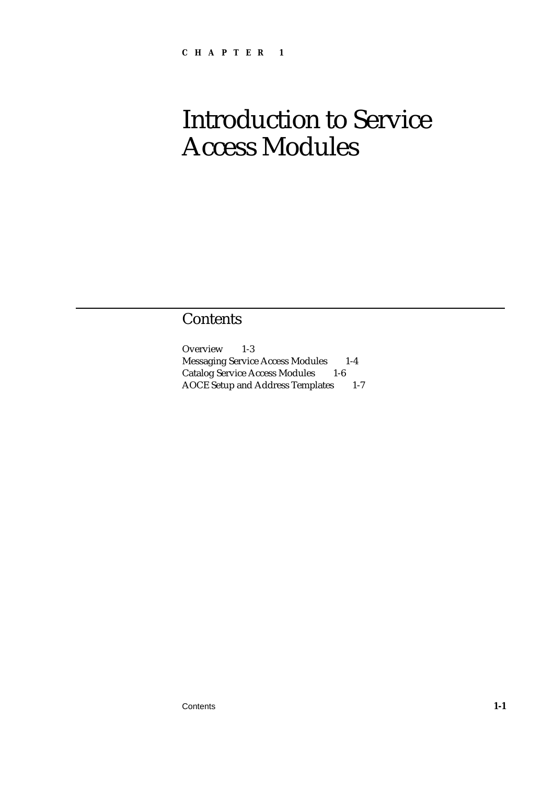# Introduction to Service Access Modules

# **Contents**

Overview 1-3 Messaging Service Access Modules 1-4 Catalog Service Access Modules 1-6 AOCE Setup and Address Templates 1-7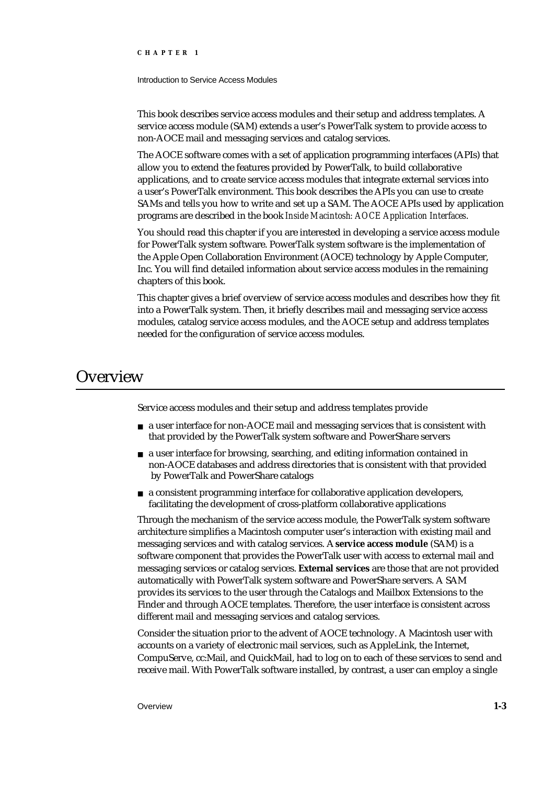Introduction to Service Access Modules

This book describes service access modules and their setup and address templates. A service access module (SAM) extends a user's PowerTalk system to provide access to non-AOCE mail and messaging services and catalog services.

The AOCE software comes with a set of application programming interfaces (APIs) that allow you to extend the features provided by PowerTalk, to build collaborative applications, and to create service access modules that integrate external services into a user's PowerTalk environment. This book describes the APIs you can use to create SAMs and tells you how to write and set up a SAM. The AOCE APIs used by application programs are described in the book *Inside Macintosh: AOCE Application Interfaces*.

You should read this chapter if you are interested in developing a service access module for PowerTalk system software. PowerTalk system software is the implementation of the Apple Open Collaboration Environment (AOCE) technology by Apple Computer, Inc. You will find detailed information about service access modules in the remaining chapters of this book.

This chapter gives a brief overview of service access modules and describes how they fit into a PowerTalk system. Then, it briefly describes mail and messaging service access modules, catalog service access modules, and the AOCE setup and address templates needed for the configuration of service access modules.

### **Overview**

Service access modules and their setup and address templates provide

- a user interface for non-AOCE mail and messaging services that is consistent with that provided by the PowerTalk system software and PowerShare servers
- a user interface for browsing, searching, and editing information contained in non-AOCE databases and address directories that is consistent with that provided by PowerTalk and PowerShare catalogs
- a consistent programming interface for collaborative application developers, facilitating the development of cross-platform collaborative applications

Through the mechanism of the service access module, the PowerTalk system software architecture simplifies a Macintosh computer user's interaction with existing mail and messaging services and with catalog services. A **service access module** (SAM) is a software component that provides the PowerTalk user with access to external mail and messaging services or catalog services. **External services** are those that are not provided automatically with PowerTalk system software and PowerShare servers. A SAM provides its services to the user through the Catalogs and Mailbox Extensions to the Finder and through AOCE templates. Therefore, the user interface is consistent across different mail and messaging services and catalog services.

Consider the situation prior to the advent of AOCE technology. A Macintosh user with accounts on a variety of electronic mail services, such as AppleLink, the Internet, CompuServe, cc:Mail, and QuickMail, had to log on to each of these services to send and receive mail. With PowerTalk software installed, by contrast, a user can employ a single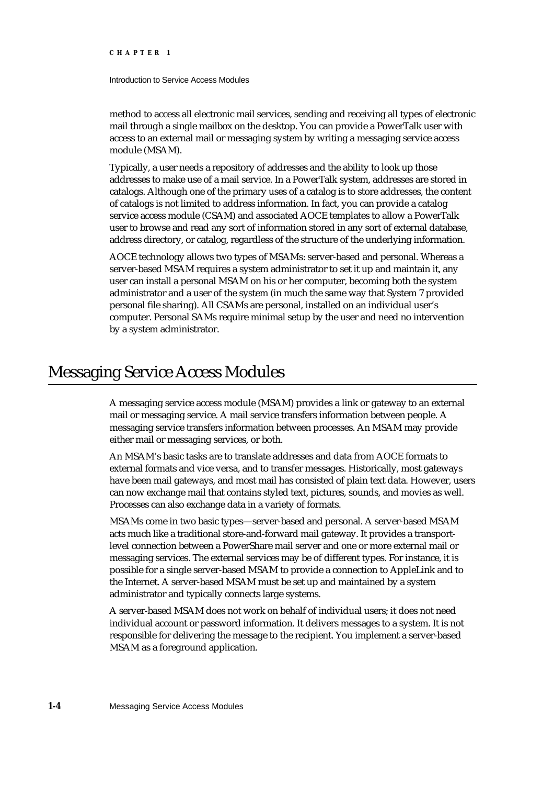### Introduction to Service Access Modules

method to access all electronic mail services, sending and receiving all types of electronic mail through a single mailbox on the desktop. You can provide a PowerTalk user with access to an external mail or messaging system by writing a messaging service access module (MSAM).

Typically, a user needs a repository of addresses and the ability to look up those addresses to make use of a mail service. In a PowerTalk system, addresses are stored in catalogs. Although one of the primary uses of a catalog is to store addresses, the content of catalogs is not limited to address information. In fact, you can provide a catalog service access module (CSAM) and associated AOCE templates to allow a PowerTalk user to browse and read any sort of information stored in any sort of external database, address directory, or catalog, regardless of the structure of the underlying information.

AOCE technology allows two types of MSAMs: server-based and personal. Whereas a server-based MSAM requires a system administrator to set it up and maintain it, any user can install a personal MSAM on his or her computer, becoming both the system administrator and a user of the system (in much the same way that System 7 provided personal file sharing). All CSAMs are personal, installed on an individual user's computer. Personal SAMs require minimal setup by the user and need no intervention by a system administrator.

## Messaging Service Access Modules

A messaging service access module (MSAM) provides a link or gateway to an external mail or messaging service. A mail service transfers information between people. A messaging service transfers information between processes. An MSAM may provide either mail or messaging services, or both.

An MSAM's basic tasks are to translate addresses and data from AOCE formats to external formats and vice versa, and to transfer messages. Historically, most gateways have been mail gateways, and most mail has consisted of plain text data. However, users can now exchange mail that contains styled text, pictures, sounds, and movies as well. Processes can also exchange data in a variety of formats.

MSAMs come in two basic types—server-based and personal. A server-based MSAM acts much like a traditional store-and-forward mail gateway. It provides a transportlevel connection between a PowerShare mail server and one or more external mail or messaging services. The external services may be of different types. For instance, it is possible for a single server-based MSAM to provide a connection to AppleLink and to the Internet. A server-based MSAM must be set up and maintained by a system administrator and typically connects large systems.

A server-based MSAM does not work on behalf of individual users; it does not need individual account or password information. It delivers messages to a system. It is not responsible for delivering the message to the recipient. You implement a server-based MSAM as a foreground application.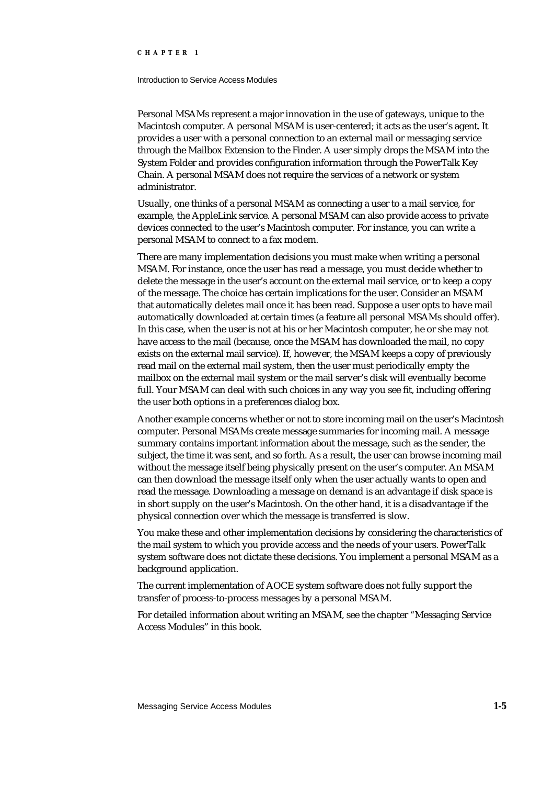### Introduction to Service Access Modules

Personal MSAMs represent a major innovation in the use of gateways, unique to the Macintosh computer. A personal MSAM is user-centered; it acts as the user's agent. It provides a user with a personal connection to an external mail or messaging service through the Mailbox Extension to the Finder. A user simply drops the MSAM into the System Folder and provides configuration information through the PowerTalk Key Chain. A personal MSAM does not require the services of a network or system administrator.

Usually, one thinks of a personal MSAM as connecting a user to a mail service, for example, the AppleLink service. A personal MSAM can also provide access to private devices connected to the user's Macintosh computer. For instance, you can write a personal MSAM to connect to a fax modem.

There are many implementation decisions you must make when writing a personal MSAM. For instance, once the user has read a message, you must decide whether to delete the message in the user's account on the external mail service, or to keep a copy of the message. The choice has certain implications for the user. Consider an MSAM that automatically deletes mail once it has been read. Suppose a user opts to have mail automatically downloaded at certain times (a feature all personal MSAMs should offer). In this case, when the user is not at his or her Macintosh computer, he or she may not have access to the mail (because, once the MSAM has downloaded the mail, no copy exists on the external mail service). If, however, the MSAM keeps a copy of previously read mail on the external mail system, then the user must periodically empty the mailbox on the external mail system or the mail server's disk will eventually become full. Your MSAM can deal with such choices in any way you see fit, including offering the user both options in a preferences dialog box.

Another example concerns whether or not to store incoming mail on the user's Macintosh computer. Personal MSAMs create message summaries for incoming mail. A message summary contains important information about the message, such as the sender, the subject, the time it was sent, and so forth. As a result, the user can browse incoming mail without the message itself being physically present on the user's computer. An MSAM can then download the message itself only when the user actually wants to open and read the message. Downloading a message on demand is an advantage if disk space is in short supply on the user's Macintosh. On the other hand, it is a disadvantage if the physical connection over which the message is transferred is slow.

You make these and other implementation decisions by considering the characteristics of the mail system to which you provide access and the needs of your users. PowerTalk system software does not dictate these decisions. You implement a personal MSAM as a background application.

The current implementation of AOCE system software does not fully support the transfer of process-to-process messages by a personal MSAM.

For detailed information about writing an MSAM, see the chapter "Messaging Service Access Modules" in this book.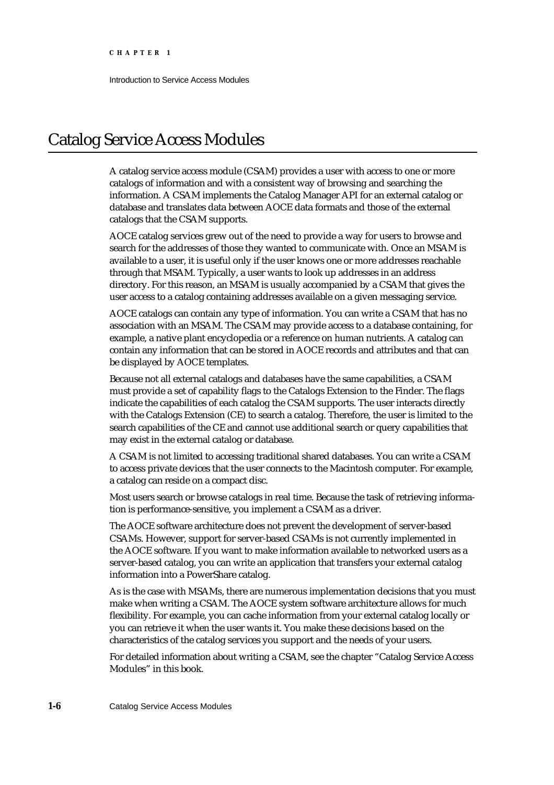Introduction to Service Access Modules

# Catalog Service Access Modules

A catalog service access module (CSAM) provides a user with access to one or more catalogs of information and with a consistent way of browsing and searching the information. A CSAM implements the Catalog Manager API for an external catalog or database and translates data between AOCE data formats and those of the external catalogs that the CSAM supports.

AOCE catalog services grew out of the need to provide a way for users to browse and search for the addresses of those they wanted to communicate with. Once an MSAM is available to a user, it is useful only if the user knows one or more addresses reachable through that MSAM. Typically, a user wants to look up addresses in an address directory. For this reason, an MSAM is usually accompanied by a CSAM that gives the user access to a catalog containing addresses available on a given messaging service.

AOCE catalogs can contain any type of information. You can write a CSAM that has no association with an MSAM. The CSAM may provide access to a database containing, for example, a native plant encyclopedia or a reference on human nutrients. A catalog can contain any information that can be stored in AOCE records and attributes and that can be displayed by AOCE templates.

Because not all external catalogs and databases have the same capabilities, a CSAM must provide a set of capability flags to the Catalogs Extension to the Finder. The flags indicate the capabilities of each catalog the CSAM supports. The user interacts directly with the Catalogs Extension (CE) to search a catalog. Therefore, the user is limited to the search capabilities of the CE and cannot use additional search or query capabilities that may exist in the external catalog or database.

A CSAM is not limited to accessing traditional shared databases. You can write a CSAM to access private devices that the user connects to the Macintosh computer. For example, a catalog can reside on a compact disc.

Most users search or browse catalogs in real time. Because the task of retrieving information is performance-sensitive, you implement a CSAM as a driver.

The AOCE software architecture does not prevent the development of server-based CSAMs. However, support for server-based CSAMs is not currently implemented in the AOCE software. If you want to make information available to networked users as a server-based catalog, you can write an application that transfers your external catalog information into a PowerShare catalog.

As is the case with MSAMs, there are numerous implementation decisions that you must make when writing a CSAM. The AOCE system software architecture allows for much flexibility. For example, you can cache information from your external catalog locally or you can retrieve it when the user wants it. You make these decisions based on the characteristics of the catalog services you support and the needs of your users.

For detailed information about writing a CSAM, see the chapter "Catalog Service Access Modules" in this book.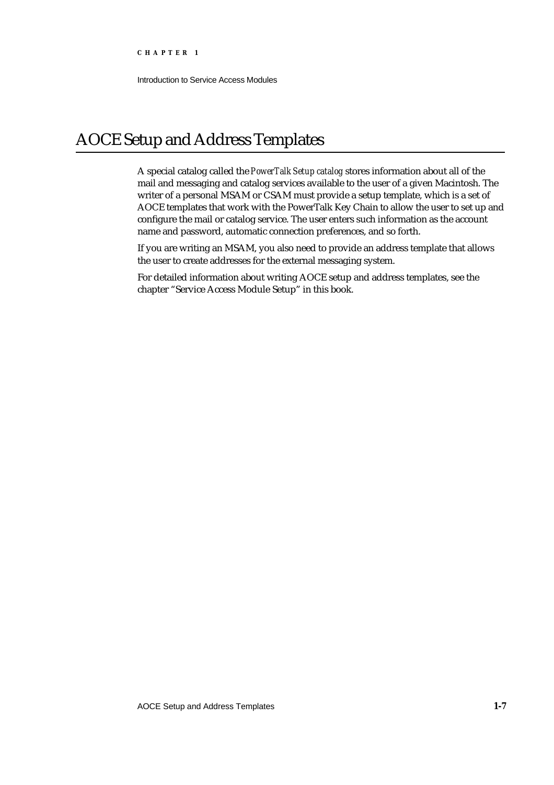Introduction to Service Access Modules

# AOCE Setup and Address Templates

A special catalog called the *PowerTalk Setup catalog* stores information about all of the mail and messaging and catalog services available to the user of a given Macintosh. The writer of a personal MSAM or CSAM must provide a setup template, which is a set of AOCE templates that work with the PowerTalk Key Chain to allow the user to set up and configure the mail or catalog service. The user enters such information as the account name and password, automatic connection preferences, and so forth.

If you are writing an MSAM, you also need to provide an address template that allows the user to create addresses for the external messaging system.

For detailed information about writing AOCE setup and address templates, see the chapter "Service Access Module Setup" in this book.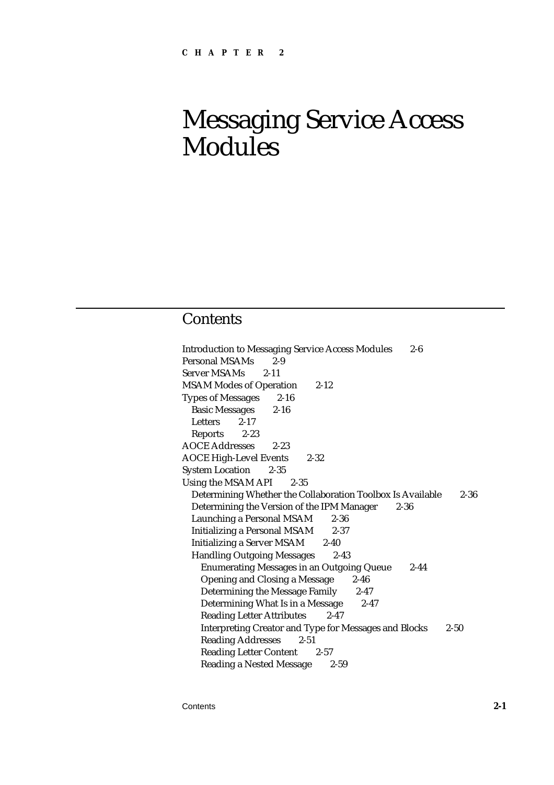# Messaging Service Access Modules

## **Contents**

Introduction to Messaging Service Access Modules 2-6 Personal MSAMs 2-9 Server MSAMs 2-11 MSAM Modes of Operation 2-12 Types of Messages 2-16 Basic Messages 2-16 Letters 2-17 Reports 2-23 AOCE Addresses 2-23 AOCE High-Level Events 2-32 System Location 2-35 Using the MSAM API 2-35 Determining Whether the Collaboration Toolbox Is Available 2-36 Determining the Version of the IPM Manager 2-36 Launching a Personal MSAM 2-36 Initializing a Personal MSAM 2-37 Initializing a Server MSAM 2-40 Handling Outgoing Messages 2-43 Enumerating Messages in an Outgoing Queue 2-44 Opening and Closing a Message 2-46 Determining the Message Family 2-47 Determining What Is in a Message 2-47 Reading Letter Attributes 2-47 Interpreting Creator and Type for Messages and Blocks 2-50 Reading Addresses 2-51 Reading Letter Content 2-57 Reading a Nested Message 2-59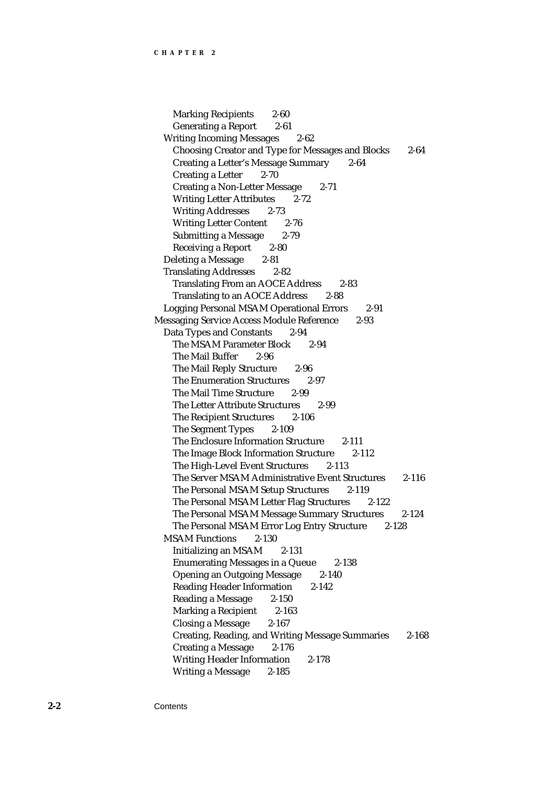Marking Recipients 2-60 Generating a Report 2-61 Writing Incoming Messages 2-62 Choosing Creator and Type for Messages and Blocks 2-64 Creating a Letter's Message Summary 2-64 Creating a Letter 2-70 Creating a Non-Letter Message 2-71 Writing Letter Attributes 2-72 Writing Addresses 2-73 Writing Letter Content 2-76 Submitting a Message 2-79 Receiving a Report 2-80 Deleting a Message 2-81 Translating Addresses 2-82 Translating From an AOCE Address 2-83 Translating to an AOCE Address 2-88 Logging Personal MSAM Operational Errors 2-91 Messaging Service Access Module Reference 2-93 Data Types and Constants 2-94 The MSAM Parameter Block 2-94 The Mail Buffer 2-96 The Mail Reply Structure 2-96 The Enumeration Structures 2-97 The Mail Time Structure 2-99 The Letter Attribute Structures 2-99 The Recipient Structures 2-106 The Segment Types 2-109 The Enclosure Information Structure 2-111 The Image Block Information Structure 2-112 The High-Level Event Structures 2-113 The Server MSAM Administrative Event Structures 2-116 The Personal MSAM Setup Structures 2-119 The Personal MSAM Letter Flag Structures 2-122 The Personal MSAM Message Summary Structures 2-124 The Personal MSAM Error Log Entry Structure 2-128 MSAM Functions 2-130 Initializing an MSAM 2-131 Enumerating Messages in a Queue 2-138 Opening an Outgoing Message 2-140 Reading Header Information 2-142 Reading a Message 2-150 Marking a Recipient 2-163 Closing a Message 2-167 Creating, Reading, and Writing Message Summaries 2-168 Creating a Message 2-176 Writing Header Information 2-178 Writing a Message 2-185

**2-2** Contents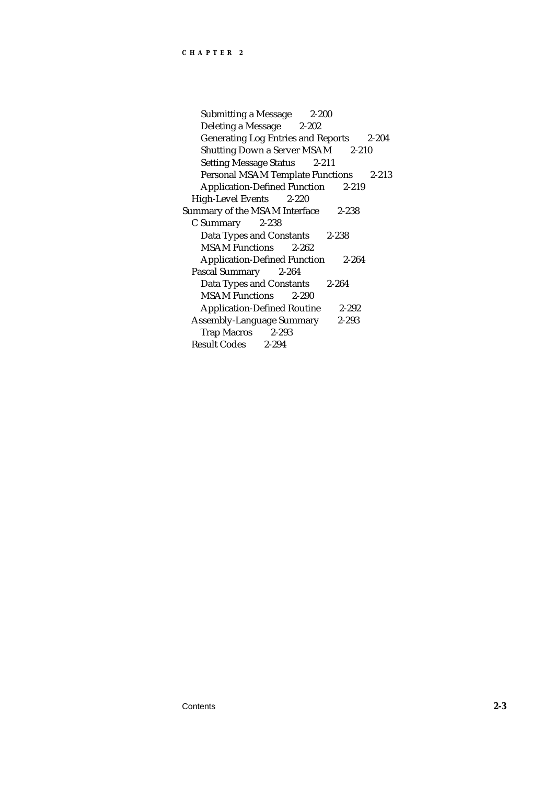Submitting a Message 2-200 Deleting a Message 2-202 Generating Log Entries and Reports 2-204 Shutting Down a Server MSAM 2-210 Setting Message Status 2-211 Personal MSAM Template Functions 2-213 Application-Defined Function 2-219 High-Level Events 2-220 Summary of the MSAM Interface 2-238 C Summary 2-238 Data Types and Constants 2-238 MSAM Functions 2-262 Application-Defined Function 2-264 Pascal Summary 2-264 Data Types and Constants 2-264 MSAM Functions 2-290 Application-Defined Routine 2-292 Assembly-Language Summary 2-293 Trap Macros 2-293<br>esult Codes 2-294 Result Codes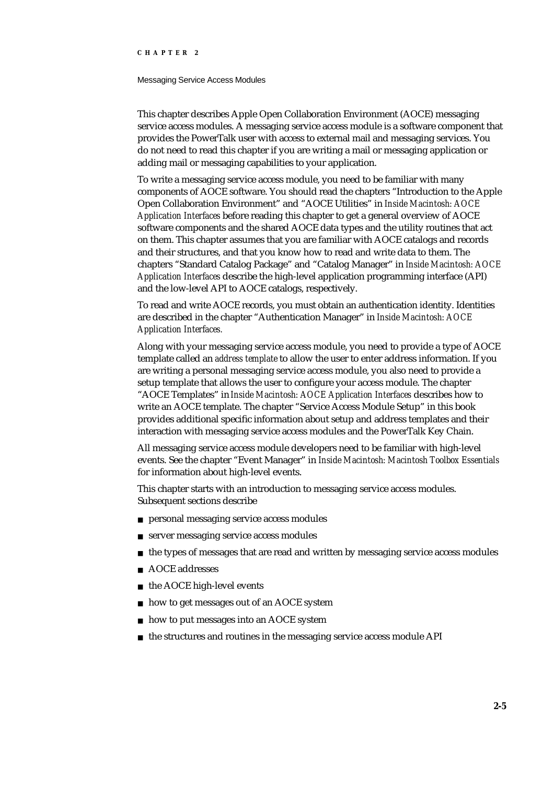### Messaging Service Access Modules

This chapter describes Apple Open Collaboration Environment (AOCE) messaging service access modules. A messaging service access module is a software component that provides the PowerTalk user with access to external mail and messaging services. You do not need to read this chapter if you are writing a mail or messaging application or adding mail or messaging capabilities to your application.

To write a messaging service access module, you need to be familiar with many components of AOCE software. You should read the chapters "Introduction to the Apple Open Collaboration Environment" and "AOCE Utilities" in *Inside Macintosh: AOCE Application Interfaces* before reading this chapter to get a general overview of AOCE software components and the shared AOCE data types and the utility routines that act on them. This chapter assumes that you are familiar with AOCE catalogs and records and their structures, and that you know how to read and write data to them. The chapters "Standard Catalog Package" and "Catalog Manager" in *Inside Macintosh: AOCE Application Interfaces* describe the high-level application programming interface (API) and the low-level API to AOCE catalogs, respectively.

To read and write AOCE records, you must obtain an authentication identity. Identities are described in the chapter "Authentication Manager" in *Inside Macintosh: AOCE Application Interfaces.* 

Along with your messaging service access module, you need to provide a type of AOCE template called an *address template* to allow the user to enter address information. If you are writing a personal messaging service access module, you also need to provide a setup template that allows the user to configure your access module. The chapter "AOCE Templates" in *Inside Macintosh: AOCE Application Interfaces* describes how to write an AOCE template. The chapter "Service Access Module Setup" in this book provides additional specific information about setup and address templates and their interaction with messaging service access modules and the PowerTalk Key Chain.

All messaging service access module developers need to be familiar with high-level events. See the chapter "Event Manager" in *Inside Macintosh: Macintosh Toolbox Essentials* for information about high-level events.

This chapter starts with an introduction to messaging service access modules. Subsequent sections describe

- personal messaging service access modules
- server messaging service access modules  $\overline{p}$
- the types of messages that are read and written by messaging service access modules  $\overline{p}$
- AOCE addresses
- the AOCE high-level events  $\overline{p}$
- how to get messages out of an AOCE system n.
- how to put messages into an AOCE system  $\overline{p}$
- the structures and routines in the messaging service access module APIn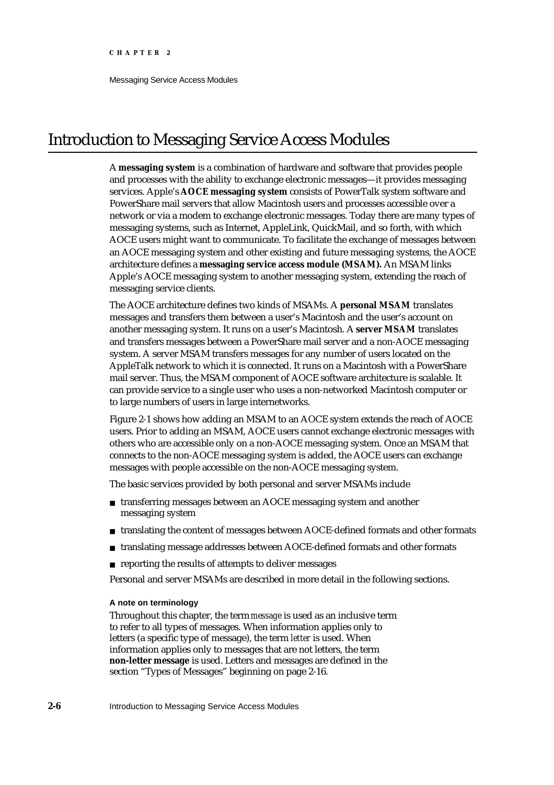Messaging Service Access Modules

# Introduction to Messaging Service Access Modules

A **messaging system** is a combination of hardware and software that provides people and processes with the ability to exchange electronic messages—it provides messaging services. Apple's **AOCE messaging system** consists of PowerTalk system software and PowerShare mail servers that allow Macintosh users and processes accessible over a network or via a modem to exchange electronic messages. Today there are many types of messaging systems, such as Internet, AppleLink, QuickMail, and so forth, with which AOCE users might want to communicate. To facilitate the exchange of messages between an AOCE messaging system and other existing and future messaging systems, the AOCE architecture defines a **messaging service access module (MSAM).** An MSAM links Apple's AOCE messaging system to another messaging system, extending the reach of messaging service clients.

The AOCE architecture defines two kinds of MSAMs. A **personal MSAM** translates messages and transfers them between a user's Macintosh and the user's account on another messaging system. It runs on a user's Macintosh. A **server MSAM** translates and transfers messages between a PowerShare mail server and a non-AOCE messaging system. A server MSAM transfers messages for any number of users located on the AppleTalk network to which it is connected. It runs on a Macintosh with a PowerShare mail server. Thus, the MSAM component of AOCE software architecture is scalable. It can provide service to a single user who uses a non-networked Macintosh computer or to large numbers of users in large internetworks.

Figure 2-1 shows how adding an MSAM to an AOCE system extends the reach of AOCE users. Prior to adding an MSAM, AOCE users cannot exchange electronic messages with others who are accessible only on a non-AOCE messaging system. Once an MSAM that connects to the non-AOCE messaging system is added, the AOCE users can exchange messages with people accessible on the non-AOCE messaging system.

The basic services provided by both personal and server MSAMs include

- n transferring messages between an AOCE messaging system and another messaging system
- n translating the content of messages between AOCE-defined formats and other formats
- translating message addresses between AOCE-defined formats and other formats n.
- n reporting the results of attempts to deliver messages

Personal and server MSAMs are described in more detail in the following sections.

### **A note on terminology**

Throughout this chapter, the term *message* is used as an inclusive term to refer to all types of messages. When information applies only to letters (a specific type of message), the term *letter* is used. When information applies only to messages that are not letters, the term **non-letter message** is used. Letters and messages are defined in the section "Types of Messages" beginning on page 2-16.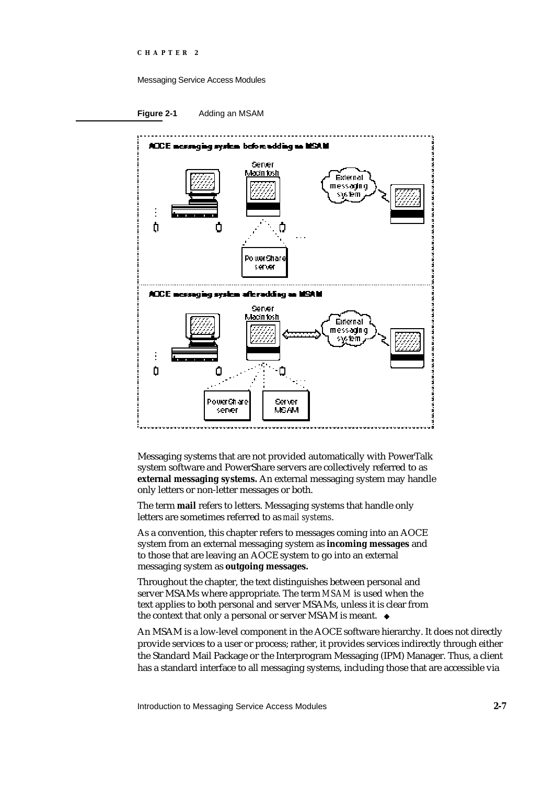### Messaging Service Access Modules

**Figure 2-1** Adding an MSAM



Messaging systems that are not provided automatically with PowerTalk system software and PowerShare servers are collectively referred to as **external messaging systems.** An external messaging system may handle only letters or non-letter messages or both.

The term **mail** refers to letters. Messaging systems that handle only letters are sometimes referred to as *mail systems*.

As a convention, this chapter refers to messages coming into an AOCE system from an external messaging system as **incoming messages** and to those that are leaving an AOCE system to go into an external messaging system as **outgoing messages.**

Throughout the chapter, the text distinguishes between personal and server MSAMs where appropriate. The term *MSAM* is used when the text applies to both personal and server MSAMs, unless it is clear from the context that only a personal or server MSAM is meant.

An MSAM is a low-level component in the AOCE software hierarchy. It does not directly provide services to a user or process; rather, it provides services indirectly through either the Standard Mail Package or the Interprogram Messaging (IPM) Manager. Thus, a client has a standard interface to all messaging systems, including those that are accessible via

Introduction to Messaging Service Access Modules **2-7**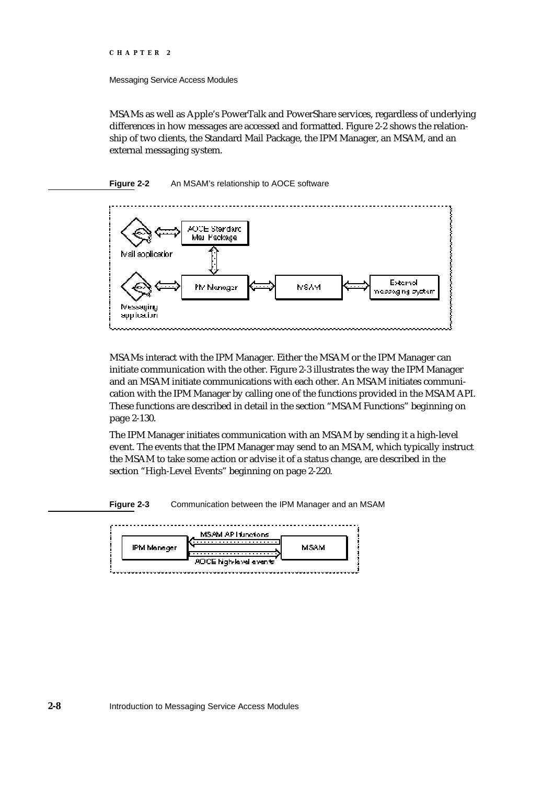Messaging Service Access Modules

MSAMs as well as Apple's PowerTalk and PowerShare services, regardless of underlying differences in how messages are accessed and formatted. Figure 2-2 shows the relationship of two clients, the Standard Mail Package, the IPM Manager, an MSAM, and an external messaging system.

### **Figure 2-2** An MSAM's relationship to AOCE software



MSAMs interact with the IPM Manager. Either the MSAM or the IPM Manager can initiate communication with the other. Figure 2-3 illustrates the way the IPM Manager and an MSAM initiate communications with each other. An MSAM initiates communication with the IPM Manager by calling one of the functions provided in the MSAM API. These functions are described in detail in the section "MSAM Functions" beginning on page 2-130.

The IPM Manager initiates communication with an MSAM by sending it a high-level event. The events that the IPM Manager may send to an MSAM, which typically instruct the MSAM to take some action or advise it of a status change, are described in the section "High-Level Events" beginning on page 2-220.

**Figure 2-3** Communication between the IPM Manager and an MSAM

|             | MSAM AP Hunctions       |      |  |
|-------------|-------------------------|------|--|
| IPM Manager |                         | MSAM |  |
|             | ADCE high-level events' |      |  |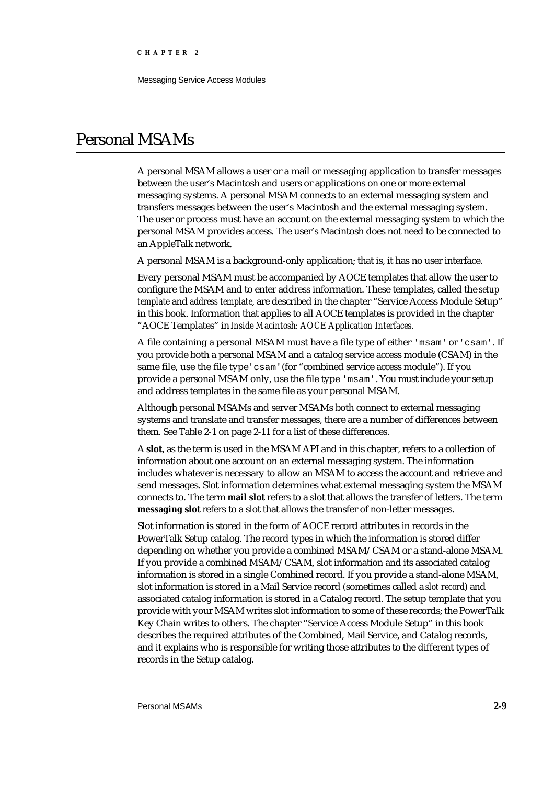Messaging Service Access Modules

## Personal MSAMs

A personal MSAM allows a user or a mail or messaging application to transfer messages between the user's Macintosh and users or applications on one or more external messaging systems. A personal MSAM connects to an external messaging system and transfers messages between the user's Macintosh and the external messaging system. The user or process must have an account on the external messaging system to which the personal MSAM provides access. The user's Macintosh does not need to be connected to an AppleTalk network.

A personal MSAM is a background-only application; that is, it has no user interface.

Every personal MSAM must be accompanied by AOCE templates that allow the user to configure the MSAM and to enter address information. These templates, called the *setup template* and *address template*, are described in the chapter "Service Access Module Setup" in this book. Information that applies to all AOCE templates is provided in the chapter "AOCE Templates" in *Inside Macintosh: AOCE Application Interfaces*.

A file containing a personal MSAM must have a file type of either 'msam' or 'csam'. If you provide both a personal MSAM and a catalog service access module (CSAM) in the same file, use the file type'csam'(for "combined service access module"). If you provide a personal MSAM only, use the file type 'msam'. You must include your setup and address templates in the same file as your personal MSAM.

Although personal MSAMs and server MSAMs both connect to external messaging systems and translate and transfer messages, there are a number of differences between them. See Table 2-1 on page 2-11 for a list of these differences.

A **slot**, as the term is used in the MSAM API and in this chapter, refers to a collection of information about one account on an external messaging system. The information includes whatever is necessary to allow an MSAM to access the account and retrieve and send messages. Slot information determines what external messaging system the MSAM connects to. The term **mail slot** refers to a slot that allows the transfer of letters. The term **messaging slot** refers to a slot that allows the transfer of non-letter messages.

Slot information is stored in the form of AOCE record attributes in records in the PowerTalk Setup catalog. The record types in which the information is stored differ depending on whether you provide a combined MSAM/CSAM or a stand-alone MSAM. If you provide a combined MSAM/CSAM, slot information and its associated catalog information is stored in a single Combined record. If you provide a stand-alone MSAM, slot information is stored in a Mail Service record (sometimes called a *slot record*) and associated catalog information is stored in a Catalog record. The setup template that you provide with your MSAM writes slot information to some of these records; the PowerTalk Key Chain writes to others. The chapter "Service Access Module Setup" in this book describes the required attributes of the Combined, Mail Service, and Catalog records, and it explains who is responsible for writing those attributes to the different types of records in the Setup catalog.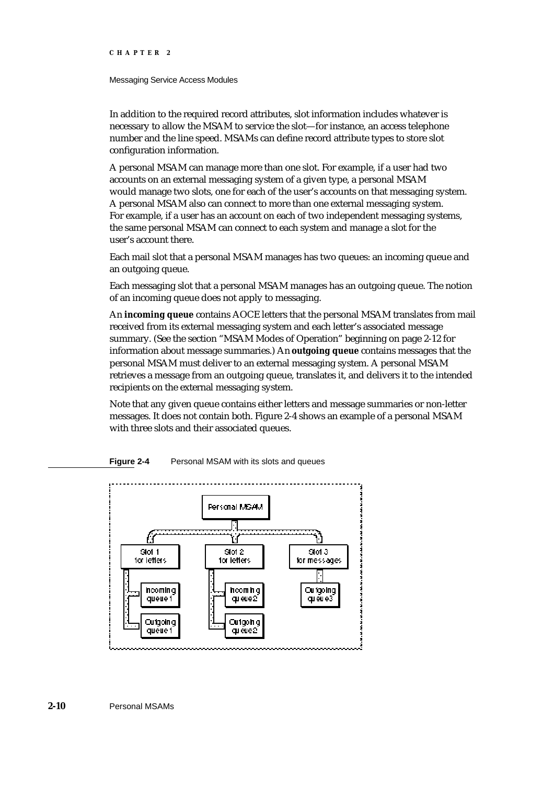### Messaging Service Access Modules

In addition to the required record attributes, slot information includes whatever is necessary to allow the MSAM to service the slot—for instance, an access telephone number and the line speed. MSAMs can define record attribute types to store slot configuration information.

A personal MSAM can manage more than one slot. For example, if a user had two accounts on an external messaging system of a given type, a personal MSAM would manage two slots, one for each of the user's accounts on that messaging system. A personal MSAM also can connect to more than one external messaging system. For example, if a user has an account on each of two independent messaging systems, the same personal MSAM can connect to each system and manage a slot for the user's account there.

Each mail slot that a personal MSAM manages has two queues: an incoming queue and an outgoing queue.

Each messaging slot that a personal MSAM manages has an outgoing queue. The notion of an incoming queue does not apply to messaging.

An **incoming queue** contains AOCE letters that the personal MSAM translates from mail received from its external messaging system and each letter's associated message summary. (See the section "MSAM Modes of Operation" beginning on page 2-12 for information about message summaries.) An **outgoing queue** contains messages that the personal MSAM must deliver to an external messaging system. A personal MSAM retrieves a message from an outgoing queue, translates it, and delivers it to the intended recipients on the external messaging system.

Note that any given queue contains either letters and message summaries or non-letter messages. It does not contain both. Figure 2-4 shows an example of a personal MSAM with three slots and their associated queues.





**2-10** Personal MSAMs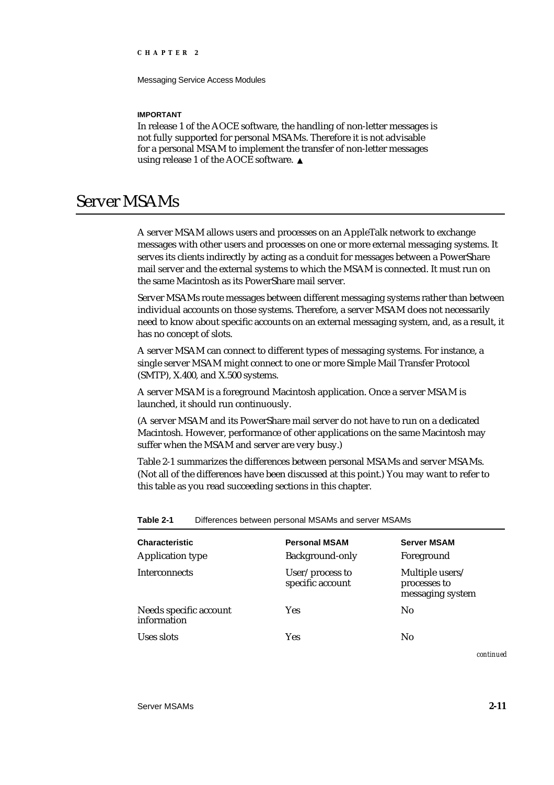Messaging Service Access Modules

### **IMPORTANT**

In release 1 of the AOCE software, the handling of non-letter messages is not fully supported for personal MSAMs. Therefore it is not advisable for a personal MSAM to implement the transfer of non-letter messages using release 1 of the AOCE software.

# Server MSAMs

A server MSAM allows users and processes on an AppleTalk network to exchange messages with other users and processes on one or more external messaging systems. It serves its clients indirectly by acting as a conduit for messages between a PowerShare mail server and the external systems to which the MSAM is connected. It must run on the same Macintosh as its PowerShare mail server.

Server MSAMs route messages between different messaging systems rather than between individual accounts on those systems. Therefore, a server MSAM does not necessarily need to know about specific accounts on an external messaging system, and, as a result, it has no concept of slots.

A server MSAM can connect to different types of messaging systems. For instance, a single server MSAM might connect to one or more Simple Mail Transfer Protocol (SMTP), X.400, and X.500 systems.

A server MSAM is a foreground Macintosh application. Once a server MSAM is launched, it should run continuously.

(A server MSAM and its PowerShare mail server do not have to run on a dedicated Macintosh. However, performance of other applications on the same Macintosh may suffer when the MSAM and server are very busy.)

Table 2-1 summarizes the differences between personal MSAMs and server MSAMs. (Not all of the differences have been discussed at this point.) You may want to refer to this table as you read succeeding sections in this chapter.

| <b>Characteristic</b><br><b>Application type</b> | <b>Personal MSAM</b><br>Background-only | <b>Server MSAM</b><br>Foreground                    |
|--------------------------------------------------|-----------------------------------------|-----------------------------------------------------|
| <b>Interconnects</b>                             | User/process to<br>specific account     | Multiple users/<br>processes to<br>messaging system |
| Needs specific account<br>information            | <b>Yes</b>                              | No                                                  |
| Uses slots                                       | Yes                                     | No                                                  |

**Table 2-1** Differences between personal MSAMs and server MSAMs

*continued*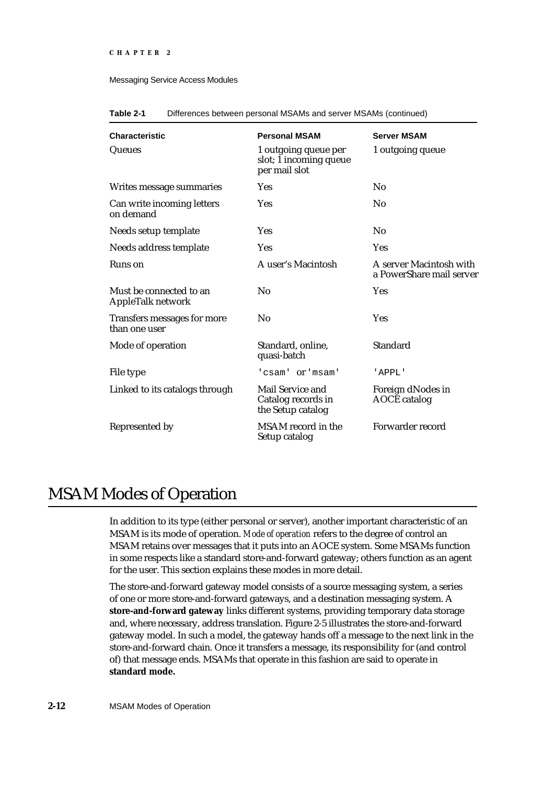### Messaging Service Access Modules

| <b>Characteristic</b>                        | <b>Personal MSAM</b>                                            | <b>Server MSAM</b>                                  |
|----------------------------------------------|-----------------------------------------------------------------|-----------------------------------------------------|
| Queues                                       | 1 outgoing queue per<br>slot; 1 incoming queue<br>per mail slot | 1 outgoing queue                                    |
| Writes message summaries                     | <b>Yes</b>                                                      | No                                                  |
| Can write incoming letters<br>on demand      | <b>Yes</b>                                                      | No                                                  |
| Needs setup template                         | <b>Yes</b>                                                      | No                                                  |
| Needs address template                       | Yes                                                             | Yes                                                 |
| Runs on                                      | A user's Macintosh                                              | A server Macintosh with<br>a PowerShare mail server |
| Must be connected to an<br>AppleTalk network | No                                                              | <b>Yes</b>                                          |
| Transfers messages for more<br>than one user | $\rm No$                                                        | Yes                                                 |
| Mode of operation                            | Standard, online,<br>quasi-batch                                | <b>Standard</b>                                     |
| File type                                    | 'csam' or 'msam'                                                | 'APPL'                                              |
| Linked to its catalogs through               | Mail Service and<br>Catalog records in<br>the Setup catalog     | Foreign dNodes in<br><b>AOCE</b> catalog            |
| Represented by                               | MSAM record in the<br>Setup catalog                             | Forwarder record                                    |

| Table 2-1 |  | Differences between personal MSAMs and server MSAMs (continued) |  |  |
|-----------|--|-----------------------------------------------------------------|--|--|
|-----------|--|-----------------------------------------------------------------|--|--|

# MSAM Modes of Operation

In addition to its type (either personal or server), another important characteristic of an MSAM is its mode of operation. *Mode of operation* refers to the degree of control an MSAM retains over messages that it puts into an AOCE system. Some MSAMs function in some respects like a standard store-and-forward gateway; others function as an agent for the user. This section explains these modes in more detail.

The store-and-forward gateway model consists of a source messaging system, a series of one or more store-and-forward gateways, and a destination messaging system. A **store-and-forward gateway** links different systems, providing temporary data storage and, where necessary, address translation. Figure 2-5 illustrates the store-and-forward gateway model. In such a model, the gateway hands off a message to the next link in the store-and-forward chain. Once it transfers a message, its responsibility for (and control of) that message ends. MSAMs that operate in this fashion are said to operate in **standard mode.**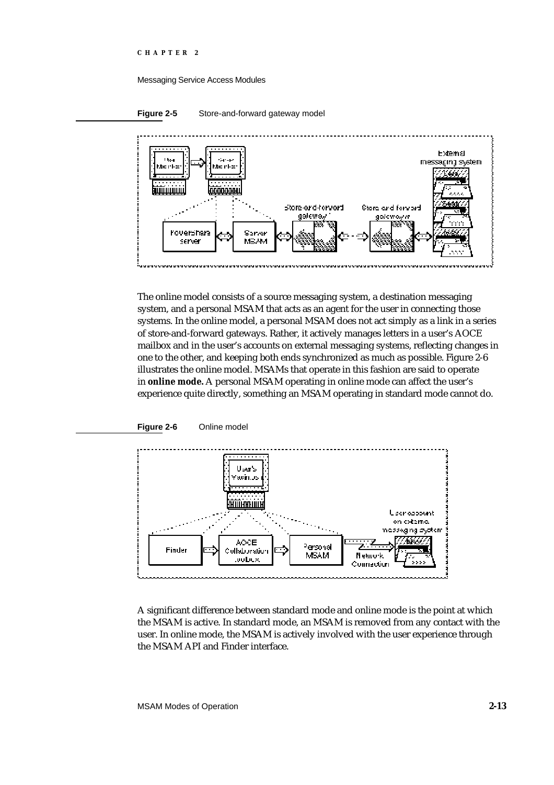#### Messaging Service Access Modules



**Figure 2-5** Store-and-forward gateway model



The online model consists of a source messaging system, a destination messaging system, and a personal MSAM that acts as an agent for the user in connecting those systems. In the online model, a personal MSAM does not act simply as a link in a series of store-and-forward gateways. Rather, it actively manages letters in a user's AOCE mailbox and in the user's accounts on external messaging systems, reflecting changes in one to the other, and keeping both ends synchronized as much as possible. Figure 2-6 illustrates the online model. MSAMs that operate in this fashion are said to operate in **online mode.** A personal MSAM operating in online mode can affect the user's experience quite directly, something an MSAM operating in standard mode cannot do.





A significant difference between standard mode and online mode is the point at which the MSAM is active. In standard mode, an MSAM is removed from any contact with the user. In online mode, the MSAM is actively involved with the user experience through the MSAM API and Finder interface.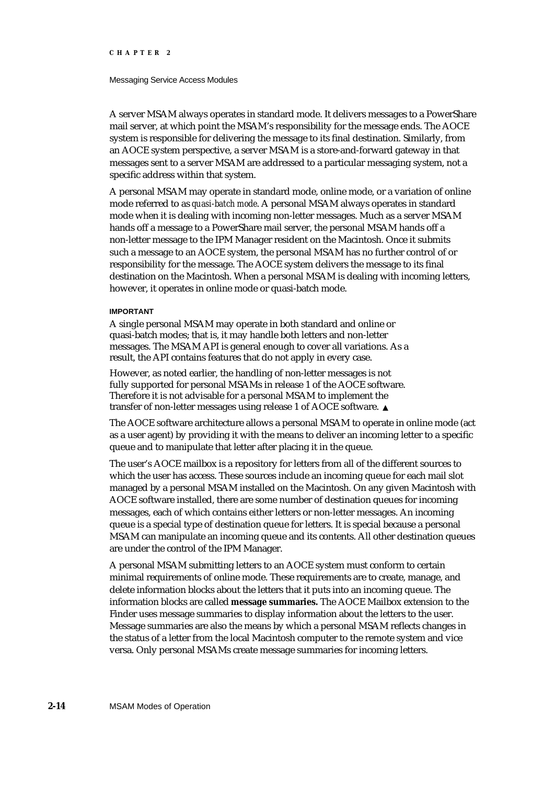#### Messaging Service Access Modules

A server MSAM always operates in standard mode. It delivers messages to a PowerShare mail server, at which point the MSAM's responsibility for the message ends. The AOCE system is responsible for delivering the message to its final destination. Similarly, from an AOCE system perspective, a server MSAM is a store-and-forward gateway in that messages sent to a server MSAM are addressed to a particular messaging system, not a specific address within that system.

A personal MSAM may operate in standard mode, online mode, or a variation of online mode referred to as *quasi-batch mode*. A personal MSAM always operates in standard mode when it is dealing with incoming non-letter messages. Much as a server MSAM hands off a message to a PowerShare mail server, the personal MSAM hands off a non-letter message to the IPM Manager resident on the Macintosh. Once it submits such a message to an AOCE system, the personal MSAM has no further control of or responsibility for the message. The AOCE system delivers the message to its final destination on the Macintosh. When a personal MSAM is dealing with incoming letters, however, it operates in online mode or quasi-batch mode.

#### **IMPORTANT**

A single personal MSAM may operate in both standard and online or quasi-batch modes; that is, it may handle both letters and non-letter messages. The MSAM API is general enough to cover all variations. As a result, the API contains features that do not apply in every case.

However, as noted earlier, the handling of non-letter messages is not fully supported for personal MSAMs in release 1 of the AOCE software. Therefore it is not advisable for a personal MSAM to implement the transfer of non-letter messages using release 1 of AOCE software.

The AOCE software architecture allows a personal MSAM to operate in online mode (act as a user agent) by providing it with the means to deliver an incoming letter to a specific queue and to manipulate that letter after placing it in the queue.

The user's AOCE mailbox is a repository for letters from all of the different sources to which the user has access. These sources include an incoming queue for each mail slot managed by a personal MSAM installed on the Macintosh. On any given Macintosh with AOCE software installed, there are some number of destination queues for incoming messages, each of which contains either letters or non-letter messages. An incoming queue is a special type of destination queue for letters. It is special because a personal MSAM can manipulate an incoming queue and its contents. All other destination queues are under the control of the IPM Manager.

A personal MSAM submitting letters to an AOCE system must conform to certain minimal requirements of online mode. These requirements are to create, manage, and delete information blocks about the letters that it puts into an incoming queue. The information blocks are called **message summaries.** The AOCE Mailbox extension to the Finder uses message summaries to display information about the letters to the user. Message summaries are also the means by which a personal MSAM reflects changes in the status of a letter from the local Macintosh computer to the remote system and vice versa. Only personal MSAMs create message summaries for incoming letters.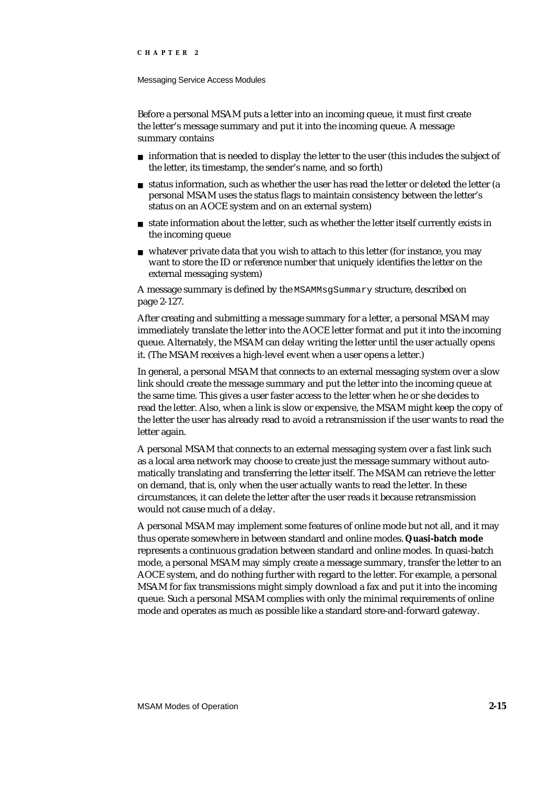#### Messaging Service Access Modules

Before a personal MSAM puts a letter into an incoming queue, it must first create the letter's message summary and put it into the incoming queue. A message summary contains

- $n$  information that is needed to display the letter to the user (this includes the subject of the letter, its timestamp, the sender's name, and so forth)
- n status information, such as whether the user has read the letter or deleted the letter (a personal MSAM uses the status flags to maintain consistency between the letter's status on an AOCE system and on an external system)
- n state information about the letter, such as whether the letter itself currently exists in the incoming queue
- whatever private data that you wish to attach to this letter (for instance, you may want to store the ID or reference number that uniquely identifies the letter on the external messaging system)

A message summary is defined by the MSAMMsgSummary structure, described on page 2-127.

After creating and submitting a message summary for a letter, a personal MSAM may immediately translate the letter into the AOCE letter format and put it into the incoming queue. Alternately, the MSAM can delay writing the letter until the user actually opens it. (The MSAM receives a high-level event when a user opens a letter.)

In general, a personal MSAM that connects to an external messaging system over a slow link should create the message summary and put the letter into the incoming queue at the same time. This gives a user faster access to the letter when he or she decides to read the letter. Also, when a link is slow or expensive, the MSAM might keep the copy of the letter the user has already read to avoid a retransmission if the user wants to read the letter again.

A personal MSAM that connects to an external messaging system over a fast link such as a local area network may choose to create just the message summary without automatically translating and transferring the letter itself. The MSAM can retrieve the letter on demand, that is, only when the user actually wants to read the letter. In these circumstances, it can delete the letter after the user reads it because retransmission would not cause much of a delay.

A personal MSAM may implement some features of online mode but not all, and it may thus operate somewhere in between standard and online modes. **Quasi-batch mode** represents a continuous gradation between standard and online modes. In quasi-batch mode, a personal MSAM may simply create a message summary, transfer the letter to an AOCE system, and do nothing further with regard to the letter. For example, a personal MSAM for fax transmissions might simply download a fax and put it into the incoming queue. Such a personal MSAM complies with only the minimal requirements of online mode and operates as much as possible like a standard store-and-forward gateway.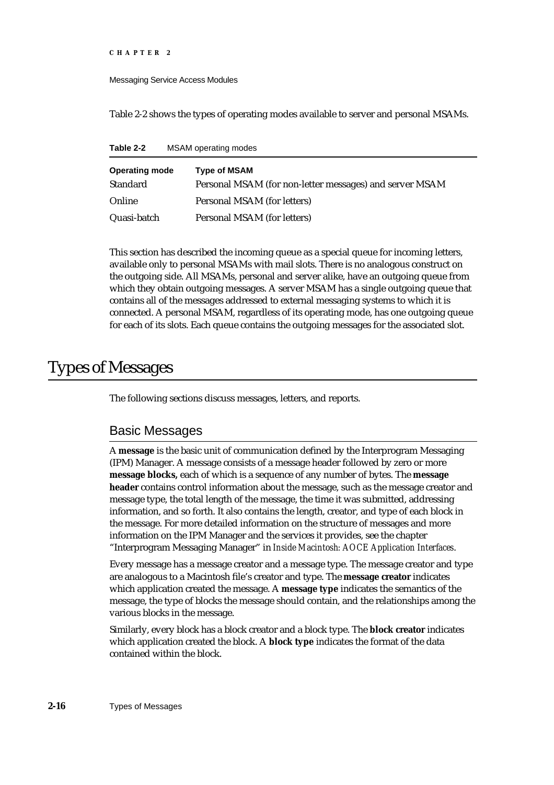Messaging Service Access Modules

Table 2-2 shows the types of operating modes available to server and personal MSAMs.

**Table 2-2** MSAM operating modes

| <b>Operating mode</b><br><b>Standard</b> | <b>Type of MSAM</b><br>Personal MSAM (for non-letter messages) and server MSAM |
|------------------------------------------|--------------------------------------------------------------------------------|
| Online                                   | Personal MSAM (for letters)                                                    |
| Quasi-batch                              | Personal MSAM (for letters)                                                    |

This section has described the incoming queue as a special queue for incoming letters, available only to personal MSAMs with mail slots. There is no analogous construct on the outgoing side. All MSAMs, personal and server alike, have an outgoing queue from which they obtain outgoing messages. A server MSAM has a single outgoing queue that contains all of the messages addressed to external messaging systems to which it is connected. A personal MSAM, regardless of its operating mode, has one outgoing queue for each of its slots. Each queue contains the outgoing messages for the associated slot.

# Types of Messages

The following sections discuss messages, letters, and reports.

## Basic Messages

A **message** is the basic unit of communication defined by the Interprogram Messaging (IPM) Manager. A message consists of a message header followed by zero or more **message blocks,** each of which is a sequence of any number of bytes. The **message header** contains control information about the message, such as the message creator and message type, the total length of the message, the time it was submitted, addressing information, and so forth. It also contains the length, creator, and type of each block in the message. For more detailed information on the structure of messages and more information on the IPM Manager and the services it provides, see the chapter "Interprogram Messaging Manager" in *Inside Macintosh: AOCE Application Interfaces*.

Every message has a message creator and a message type. The message creator and type are analogous to a Macintosh file's creator and type. The **message creator** indicates which application created the message. A **message type** indicates the semantics of the message, the type of blocks the message should contain, and the relationships among the various blocks in the message.

Similarly, every block has a block creator and a block type. The **block creator** indicates which application created the block. A **block type** indicates the format of the data contained within the block.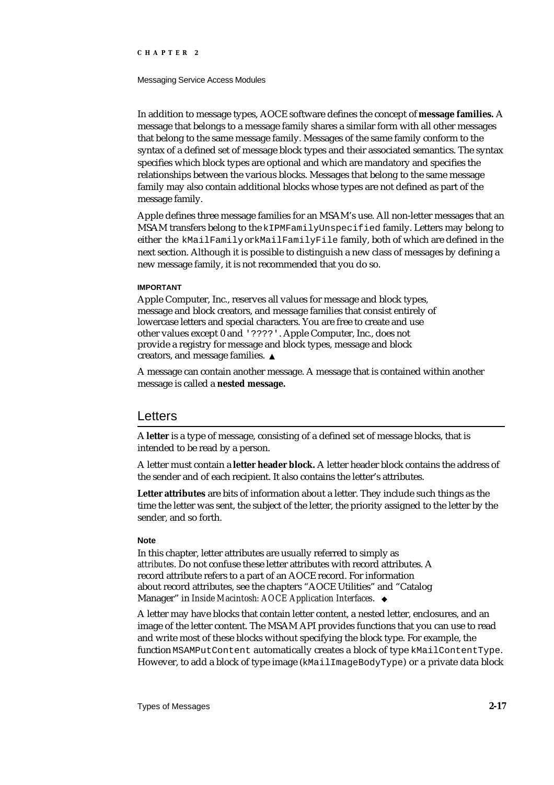#### Messaging Service Access Modules

In addition to message types, AOCE software defines the concept of **message families.** A message that belongs to a message family shares a similar form with all other messages that belong to the same message family. Messages of the same family conform to the syntax of a defined set of message block types and their associated semantics. The syntax specifies which block types are optional and which are mandatory and specifies the relationships between the various blocks. Messages that belong to the same message family may also contain additional blocks whose types are not defined as part of the message family.

Apple defines three message families for an MSAM's use. All non-letter messages that an MSAM transfers belong to the kIPMFamilyUnspecified family. Letters may belong to either the kMailFamily or kMailFamilyFile family, both of which are defined in the next section. Although it is possible to distinguish a new class of messages by defining a new message family, it is not recommended that you do so.

#### **IMPORTANT**

Apple Computer, Inc., reserves all values for message and block types, message and block creators, and message families that consist entirely of lowercase letters and special characters. You are free to create and use other values except 0 and '????'. Apple Computer, Inc., does not provide a registry for message and block types, message and block creators, and message families.

A message can contain another message. A message that is contained within another message is called a **nested message.**

### Letters

A **letter** is a type of message, consisting of a defined set of message blocks, that is intended to be read by a person.

A letter must contain a **letter header block.** A letter header block contains the address of the sender and of each recipient. It also contains the letter's attributes.

**Letter attributes** are bits of information about a letter. They include such things as the time the letter was sent, the subject of the letter, the priority assigned to the letter by the sender, and so forth.

#### **Note**

In this chapter, letter attributes are usually referred to simply as *attributes*. Do not confuse these letter attributes with record attributes. A record attribute refers to a part of an AOCE record. For information about record attributes, see the chapters "AOCE Utilities" and "Catalog Manager" in *Inside Macintosh: AOCE Application Interfaces*.

A letter may have blocks that contain letter content, a nested letter, enclosures, and an image of the letter content. The MSAM API provides functions that you can use to read and write most of these blocks without specifying the block type. For example, the function MSAMPutContent automatically creates a block of type kMailContentType. However, to add a block of type image (kMailImageBodyType) or a private data block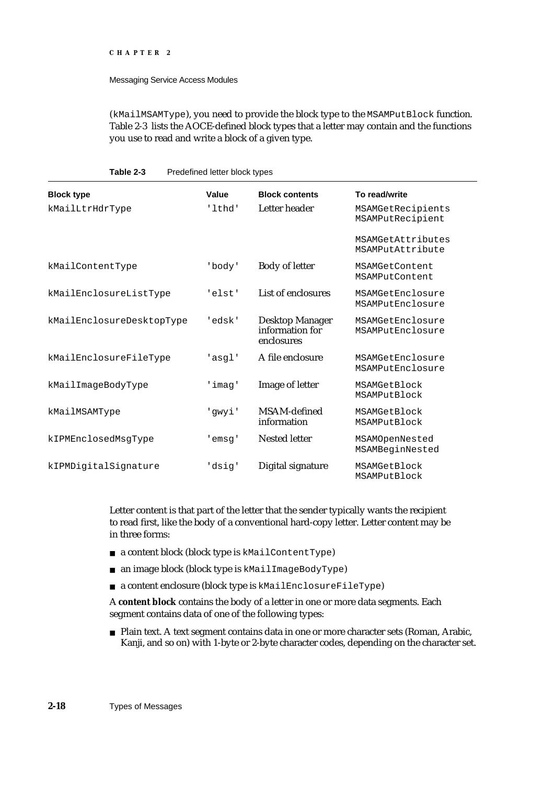#### Messaging Service Access Modules

**Table 2-3** Predefined letter block types

(kMailMSAMType), you need to provide the block type to the MSAMPutBlock function. Table 2-3 lists the AOCE-defined block types that a letter may contain and the functions you use to read and write a block of a given type.

| <b>Block type</b>         | Value  | <b>Block contents</b>                                   | To read/write                         |
|---------------------------|--------|---------------------------------------------------------|---------------------------------------|
| kMailLtrHdrType           | 'lthd' | Letter header                                           | MSAMGetRecipients<br>MSAMPutRecipient |
|                           |        |                                                         | MSAMGetAttributes<br>MSAMPutAttribute |
| kMailContentType          | 'body' | <b>Body of letter</b>                                   | MSAMGetContent<br>MSAMPutContent      |
| kMailEnclosureListType    | 'elst' | List of enclosures                                      | MSAMGetEnclosure<br>MSAMPutEnclosure  |
| kMailEnclosureDesktopType | 'edsk' | <b>Desktop Manager</b><br>information for<br>enclosures | MSAMGetEnclosure<br>MSAMPutEnclosure  |
| kMailEnclosureFileType    | 'asql' | A file enclosure                                        | MSAMGetEnclosure<br>MSAMPutEnclosure  |
| kMailImageBodyType        | 'imag' | Image of letter                                         | MSAMGetBlock<br>MSAMPutBlock          |
| kMailMSAMType             | 'gwyi' | MSAM-defined<br>information                             | MSAMGetBlock<br>MSAMPutBlock          |
| kIPMEnclosedMsgType       | 'emsq' | <b>Nested letter</b>                                    | MSAMOpenNested<br>MSAMBeginNested     |
| kIPMDigitalSignature      | 'dsig' | Digital signature                                       | MSAMGetBlock<br>MSAMPutBlock          |

Letter content is that part of the letter that the sender typically wants the recipient to read first, like the body of a conventional hard-copy letter. Letter content may be in three forms:

- a content block (block type is kMailContentType)
- an image block (block type is kMailImageBodyType)
- a content enclosure (block type is kMailEnclosureFileType)

A **content block** contains the body of a letter in one or more data segments. Each segment contains data of one of the following types:

Plain text. A text segment contains data in one or more character sets (Roman, Arabic, Kanji, and so on) with 1-byte or 2-byte character codes, depending on the character set.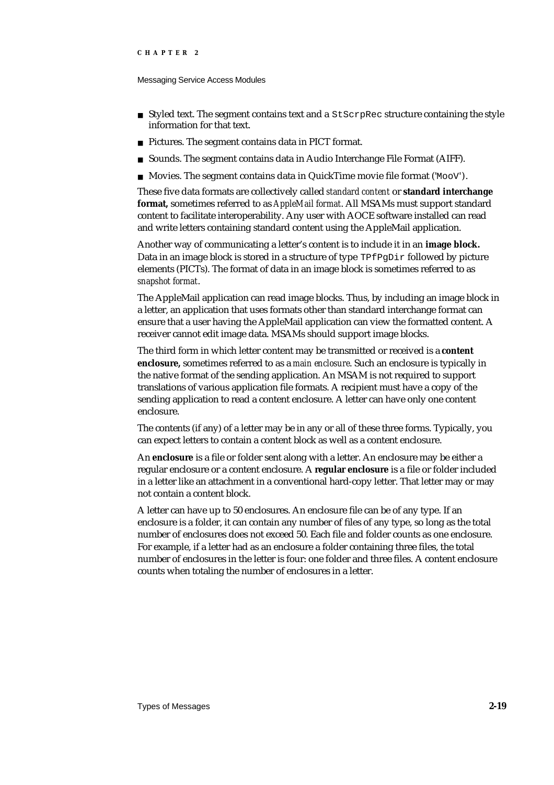Messaging Service Access Modules

- $n$  Styled text. The segment contains text and a  $StSCFPREC$  structure containing the style information for that text.
- n Pictures. The segment contains data in PICT format.
- Sounds. The segment contains data in Audio Interchange File Format (AIFF).
- n Movies. The segment contains data in QuickTime movie file format (' $M \circ \circ V$ ').

These five data formats are collectively called *standard content* or **standard interchange format,** sometimes referred to as *AppleMail format*. All MSAMs must support standard content to facilitate interoperability. Any user with AOCE software installed can read and write letters containing standard content using the AppleMail application.

Another way of communicating a letter's content is to include it in an **image block.** Data in an image block is stored in a structure of type TPfPgDir followed by picture elements (PICTs). The format of data in an image block is sometimes referred to as *snapshot format*.

The AppleMail application can read image blocks. Thus, by including an image block in a letter, an application that uses formats other than standard interchange format can ensure that a user having the AppleMail application can view the formatted content. A receiver cannot edit image data. MSAMs should support image blocks.

The third form in which letter content may be transmitted or received is a **content enclosure,** sometimes referred to as a *main enclosure*. Such an enclosure is typically in the native format of the sending application. An MSAM is not required to support translations of various application file formats. A recipient must have a copy of the sending application to read a content enclosure. A letter can have only one content enclosure.

The contents (if any) of a letter may be in any or all of these three forms. Typically, you can expect letters to contain a content block as well as a content enclosure.

An **enclosure** is a file or folder sent along with a letter. An enclosure may be either a regular enclosure or a content enclosure. A **regular enclosure** is a file or folder included in a letter like an attachment in a conventional hard-copy letter. That letter may or may not contain a content block.

A letter can have up to 50 enclosures. An enclosure file can be of any type. If an enclosure is a folder, it can contain any number of files of any type, so long as the total number of enclosures does not exceed 50. Each file and folder counts as one enclosure. For example, if a letter had as an enclosure a folder containing three files, the total number of enclosures in the letter is four: one folder and three files. A content enclosure counts when totaling the number of enclosures in a letter.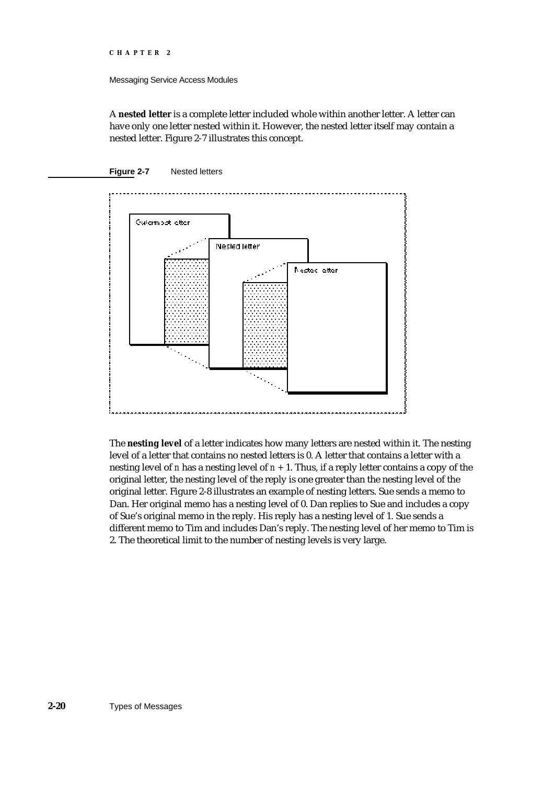#### Messaging Service Access Modules

A **nested letter** is a complete letter included whole within another letter. A letter can have only one letter nested within it. However, the nested letter itself may contain a nested letter. Figure 2-7 illustrates this concept.





The **nesting level** of a letter indicates how many letters are nested within it. The nesting level of a letter that contains no nested letters is 0. A letter that contains a letter with a nesting level of *n* has a nesting level of *n +* 1. Thus, if a reply letter contains a copy of the original letter, the nesting level of the reply is one greater than the nesting level of the original letter. Figure 2-8 illustrates an example of nesting letters. Sue sends a memo to Dan. Her original memo has a nesting level of 0. Dan replies to Sue and includes a copy of Sue's original memo in the reply. His reply has a nesting level of 1. Sue sends a different memo to Tim and includes Dan's reply. The nesting level of her memo to Tim is 2. The theoretical limit to the number of nesting levels is very large.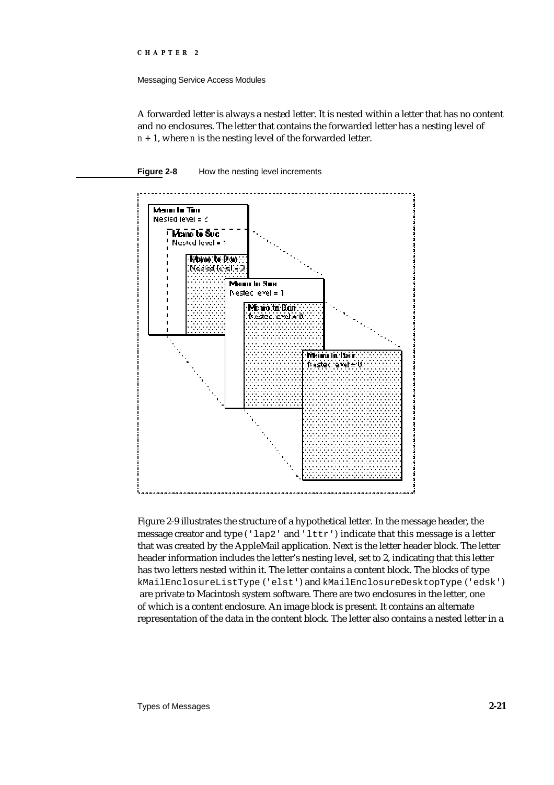Messaging Service Access Modules

A forwarded letter is always a nested letter. It is nested within a letter that has no content and no enclosures. The letter that contains the forwarded letter has a nesting level of *n +* 1, where *n* is the nesting level of the forwarded letter.





Figure 2-9 illustrates the structure of a hypothetical letter. In the message header, the message creator and type ('lap2' and 'lttr') indicate that this message is a letter that was created by the AppleMail application. Next is the letter header block. The letter header information includes the letter's nesting level, set to 2, indicating that this letter has two letters nested within it. The letter contains a content block. The blocks of type kMailEnclosureListType ('elst') and kMailEnclosureDesktopType ('edsk') are private to Macintosh system software. There are two enclosures in the letter, one of which is a content enclosure. An image block is present. It contains an alternate representation of the data in the content block. The letter also contains a nested letter in a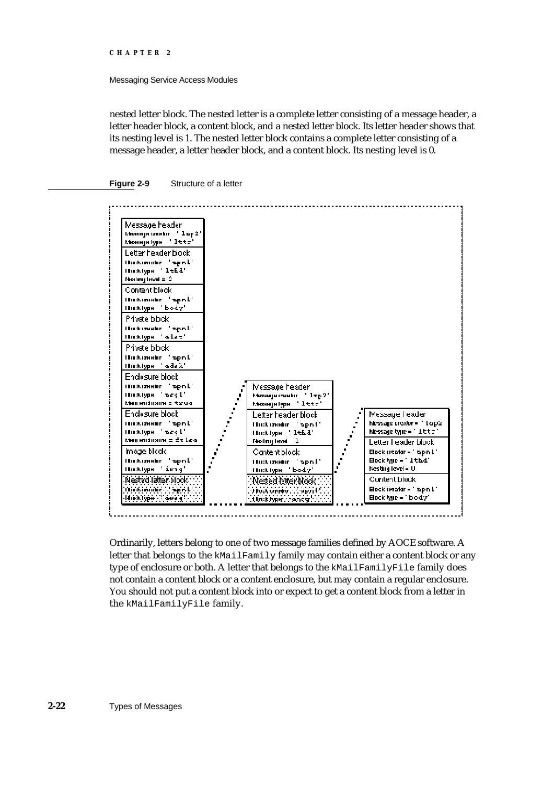#### Messaging Service Access Modules

nested letter block. The nested letter is a complete letter consisting of a message header, a letter header block, a content block, and a nested letter block. Its letter header shows that its nesting level is 1. The nested letter block contains a complete letter consisting of a message header, a letter header block, and a content block. Its nesting level is 0.





Ordinarily, letters belong to one of two message families defined by AOCE software. A letter that belongs to the kMailFamily family may contain either a content block or any type of enclosure or both. A letter that belongs to the kMailFamilyFile family does not contain a content block or a content enclosure, but may contain a regular enclosure. You should not put a content block into or expect to get a content block from a letter in the kMailFamilyFile family.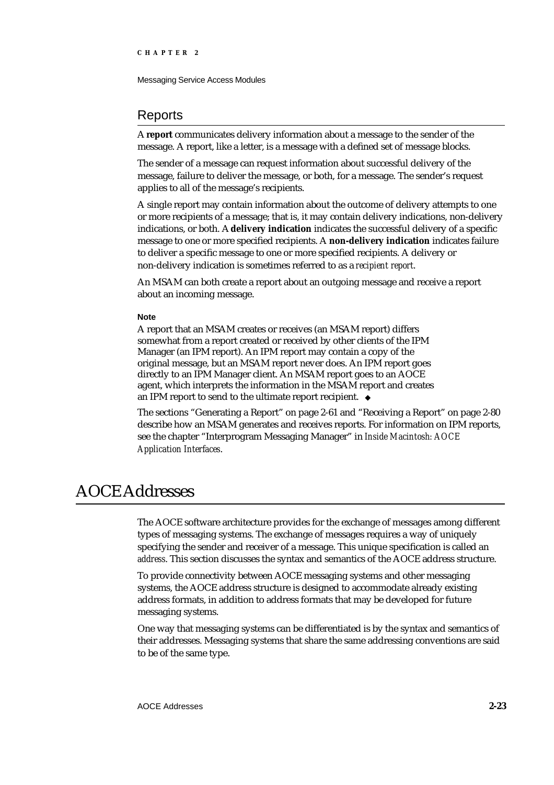Messaging Service Access Modules

## Reports

A **report** communicates delivery information about a message to the sender of the message. A report, like a letter, is a message with a defined set of message blocks.

The sender of a message can request information about successful delivery of the message, failure to deliver the message, or both, for a message. The sender's request applies to all of the message's recipients.

A single report may contain information about the outcome of delivery attempts to one or more recipients of a message; that is, it may contain delivery indications, non-delivery indications, or both. A **delivery indication** indicates the successful delivery of a specific message to one or more specified recipients. A **non-delivery indication** indicates failure to deliver a specific message to one or more specified recipients. A delivery or non-delivery indication is sometimes referred to as a *recipient report*.

An MSAM can both create a report about an outgoing message and receive a report about an incoming message.

#### **Note**

A report that an MSAM creates or receives (an MSAM report) differs somewhat from a report created or received by other clients of the IPM Manager (an IPM report). An IPM report may contain a copy of the original message, but an MSAM report never does. An IPM report goes directly to an IPM Manager client. An MSAM report goes to an AOCE agent, which interprets the information in the MSAM report and creates an IPM report to send to the ultimate report recipient. u

The sections "Generating a Report" on page 2-61 and "Receiving a Report" on page 2-80 describe how an MSAM generates and receives reports. For information on IPM reports, see the chapter "Interprogram Messaging Manager" in *Inside Macintosh: AOCE Application Interfaces*.

# AOCE Addresses

The AOCE software architecture provides for the exchange of messages among different types of messaging systems. The exchange of messages requires a way of uniquely specifying the sender and receiver of a message. This unique specification is called an *address*. This section discusses the syntax and semantics of the AOCE address structure.

To provide connectivity between AOCE messaging systems and other messaging systems, the AOCE address structure is designed to accommodate already existing address formats, in addition to address formats that may be developed for future messaging systems.

One way that messaging systems can be differentiated is by the syntax and semantics of their addresses. Messaging systems that share the same addressing conventions are said to be of the same type.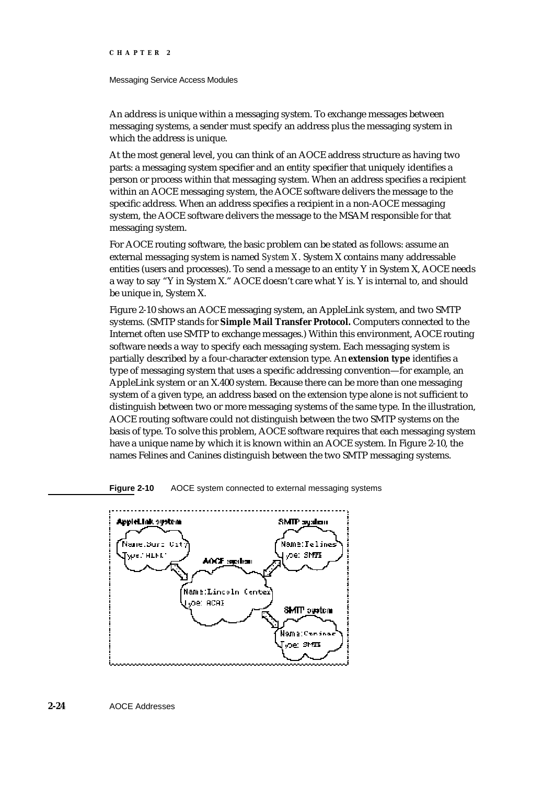#### Messaging Service Access Modules

An address is unique within a messaging system. To exchange messages between messaging systems, a sender must specify an address plus the messaging system in which the address is unique.

At the most general level, you can think of an AOCE address structure as having two parts: a messaging system specifier and an entity specifier that uniquely identifies a person or process within that messaging system. When an address specifies a recipient within an AOCE messaging system, the AOCE software delivers the message to the specific address. When an address specifies a recipient in a non-AOCE messaging system, the AOCE software delivers the message to the MSAM responsible for that messaging system.

For AOCE routing software, the basic problem can be stated as follows: assume an external messaging system is named *System X*. System X contains many addressable entities (users and processes). To send a message to an entity Y in System X, AOCE needs a way to say "Y in System X." AOCE doesn't care what Y is. Y is internal to, and should be unique in, System X.

Figure 2-10 shows an AOCE messaging system, an AppleLink system, and two SMTP systems. (SMTP stands for **Simple Mail Transfer Protocol.** Computers connected to the Internet often use SMTP to exchange messages.) Within this environment, AOCE routing software needs a way to specify each messaging system. Each messaging system is partially described by a four-character extension type. An **extension type** identifies a type of messaging system that uses a specific addressing convention—for example, an AppleLink system or an X.400 system. Because there can be more than one messaging system of a given type, an address based on the extension type alone is not sufficient to distinguish between two or more messaging systems of the same type. In the illustration, AOCE routing software could not distinguish between the two SMTP systems on the basis of type. To solve this problem, AOCE software requires that each messaging system have a unique name by which it is known within an AOCE system. In Figure 2-10, the names Felines and Canines distinguish between the two SMTP messaging systems.



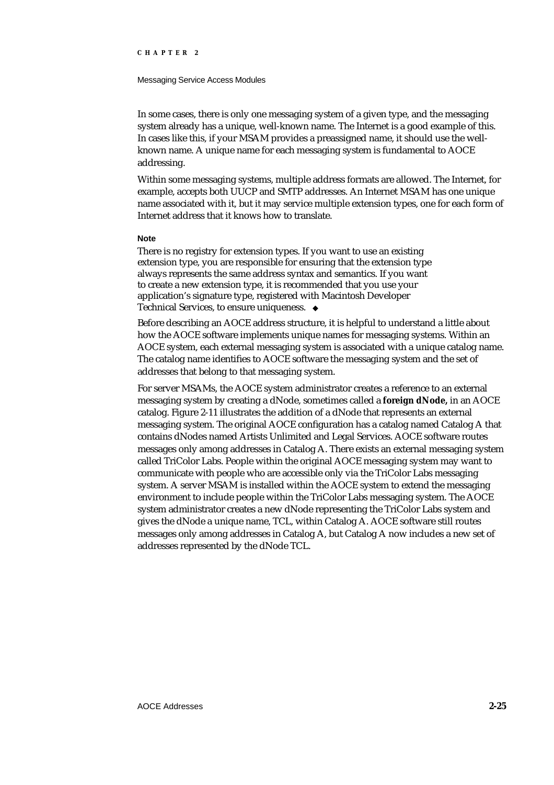#### Messaging Service Access Modules

In some cases, there is only one messaging system of a given type, and the messaging system already has a unique, well-known name. The Internet is a good example of this. In cases like this, if your MSAM provides a preassigned name, it should use the wellknown name. A unique name for each messaging system is fundamental to AOCE addressing.

Within some messaging systems, multiple address formats are allowed. The Internet, for example, accepts both UUCP and SMTP addresses. An Internet MSAM has one unique name associated with it, but it may service multiple extension types, one for each form of Internet address that it knows how to translate.

#### **Note**

There is no registry for extension types. If you want to use an existing extension type, you are responsible for ensuring that the extension type always represents the same address syntax and semantics. If you want to create a new extension type, it is recommended that you use your application's signature type, registered with Macintosh Developer Technical Services, to ensure uniqueness.

Before describing an AOCE address structure, it is helpful to understand a little about how the AOCE software implements unique names for messaging systems. Within an AOCE system, each external messaging system is associated with a unique catalog name. The catalog name identifies to AOCE software the messaging system and the set of addresses that belong to that messaging system.

For server MSAMs, the AOCE system administrator creates a reference to an external messaging system by creating a dNode, sometimes called a **foreign dNode,** in an AOCE catalog. Figure 2-11 illustrates the addition of a dNode that represents an external messaging system. The original AOCE configuration has a catalog named Catalog A that contains dNodes named Artists Unlimited and Legal Services. AOCE software routes messages only among addresses in Catalog A. There exists an external messaging system called TriColor Labs. People within the original AOCE messaging system may want to communicate with people who are accessible only via the TriColor Labs messaging system. A server MSAM is installed within the AOCE system to extend the messaging environment to include people within the TriColor Labs messaging system. The AOCE system administrator creates a new dNode representing the TriColor Labs system and gives the dNode a unique name, TCL, within Catalog A. AOCE software still routes messages only among addresses in Catalog A, but Catalog A now includes a new set of addresses represented by the dNode TCL.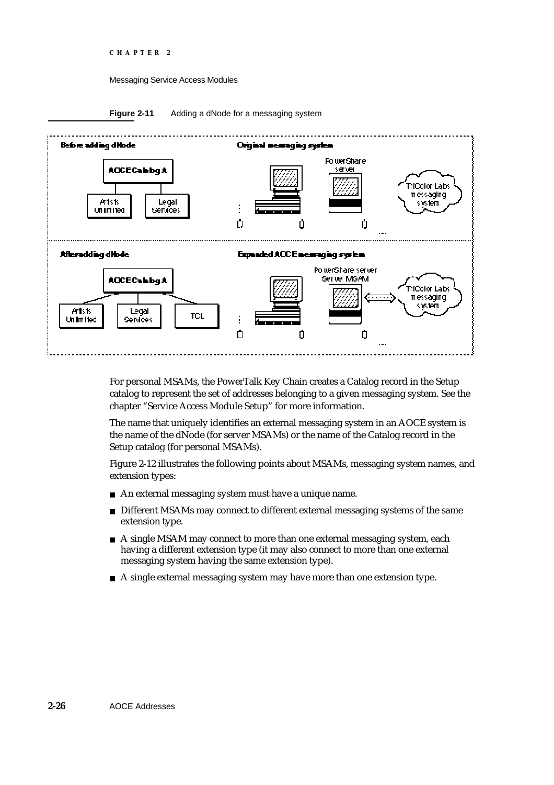#### Messaging Service Access Modules





For personal MSAMs, the PowerTalk Key Chain creates a Catalog record in the Setup catalog to represent the set of addresses belonging to a given messaging system. See the chapter "Service Access Module Setup" for more information.

The name that uniquely identifies an external messaging system in an AOCE system is the name of the dNode (for server MSAMs) or the name of the Catalog record in the Setup catalog (for personal MSAMs).

Figure 2-12 illustrates the following points about MSAMs, messaging system names, and extension types:

- An external messaging system must have a unique name.
- $n$  Different MSAMs may connect to different external messaging systems of the same extension type.
- $A$  single MSAM may connect to more than one external messaging system, each having a different extension type (it may also connect to more than one external messaging system having the same extension type).
- n A single external messaging system may have more than one extension type.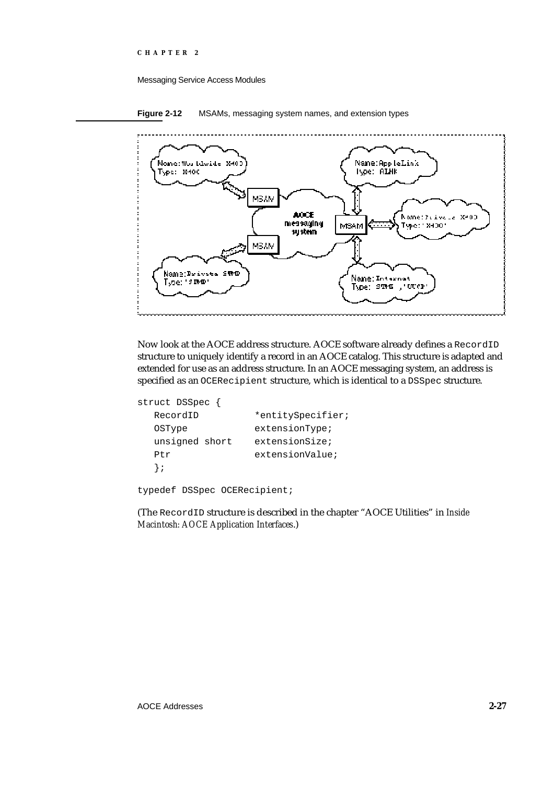#### Messaging Service Access Modules

**Figure 2-12** MSAMs, messaging system names, and extension types



Now look at the AOCE address structure. AOCE software already defines a RecordID structure to uniquely identify a record in an AOCE catalog. This structure is adapted and extended for use as an address structure. In an AOCE messaging system, an address is specified as an OCERecipient structure, which is identical to a DSSpec structure.

```
struct DSSpec {
  RecordID *entitySpecifier;
  OSType extensionType;
  unsigned short extensionSize;
  Ptr extensionValue;
  };
```
typedef DSSpec OCERecipient;

(The RecordID structure is described in the chapter "AOCE Utilities" in *Inside Macintosh: AOCE Application Interfaces*.)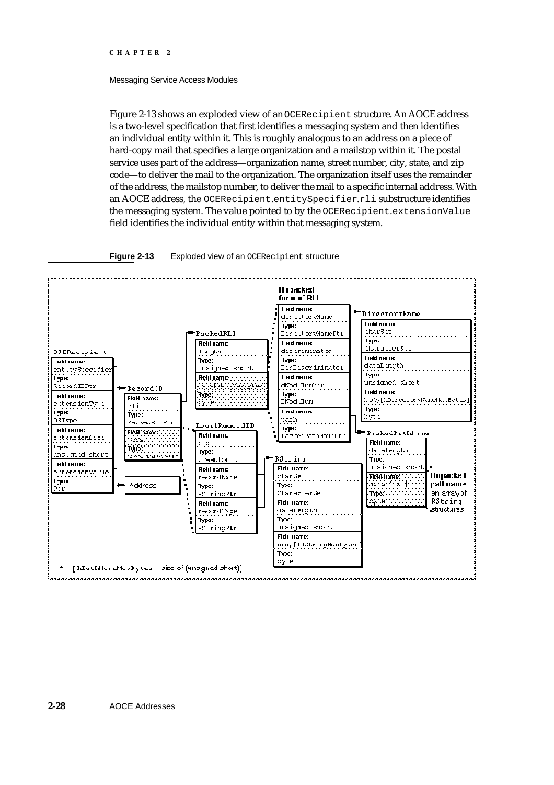#### Messaging Service Access Modules

Figure 2-13 shows an exploded view of an OCERecipient structure. An AOCE address is a two-level specification that first identifies a messaging system and then identifies an individual entity within it. This is roughly analogous to an address on a piece of hard-copy mail that specifies a large organization and a mailstop within it. The postal service uses part of the address—organization name, street number, city, state, and zip code—to deliver the mail to the organization. The organization itself uses the remainder of the address, the mailstop number, to deliver the mail to a specific internal address. With an AOCE address, the OCERecipient.entitySpecifier.rli substructure identifies the messaging system. The value pointed to by the OCERecipient.extensionValue field identifies the individual entity within that messaging system.



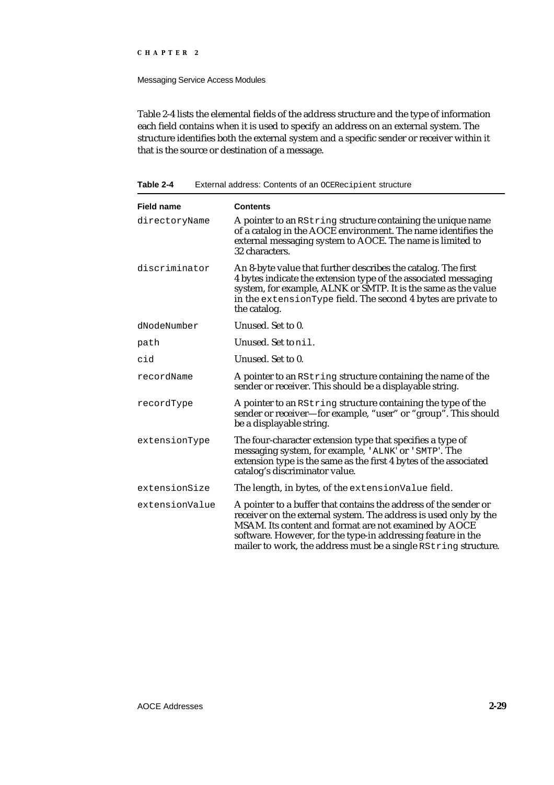#### Messaging Service Access Modules

Table 2-4 lists the elemental fields of the address structure and the type of information each field contains when it is used to specify an address on an external system. The structure identifies both the external system and a specific sender or receiver within it that is the source or destination of a message.

### **Table 2-4** External address: Contents of an OCERecipient structure

| <b>Field name</b> | <b>Contents</b>                                                                                                                                                                                                                                                                                                                  |
|-------------------|----------------------------------------------------------------------------------------------------------------------------------------------------------------------------------------------------------------------------------------------------------------------------------------------------------------------------------|
| directoryName     | A pointer to an RString structure containing the unique name<br>of a catalog in the AOCE environment. The name identifies the<br>external messaging system to AOCE. The name is limited to<br>32 characters.                                                                                                                     |
| discriminator     | An 8-byte value that further describes the catalog. The first<br>4 bytes indicate the extension type of the associated messaging<br>system, for example, ALNK or SMTP. It is the same as the value<br>in the extensionType field. The second 4 bytes are private to<br>the catalog.                                              |
| dNodeNumber       | Unused. Set to 0.                                                                                                                                                                                                                                                                                                                |
| path              | Unused. Set to nil.                                                                                                                                                                                                                                                                                                              |
| cid               | Unused. Set to 0.                                                                                                                                                                                                                                                                                                                |
| recordName        | A pointer to an RString structure containing the name of the<br>sender or receiver. This should be a displayable string.                                                                                                                                                                                                         |
| recordType        | A pointer to an RString structure containing the type of the<br>sender or receiver—for example, "user" or "group". This should<br>be a displayable string.                                                                                                                                                                       |
| extensionType     | The four-character extension type that specifies a type of<br>messaging system, for example, 'ALNK' or 'SMTP'. The<br>extension type is the same as the first 4 bytes of the associated<br>catalog's discriminator value.                                                                                                        |
| extensionSize     | The length, in bytes, of the extensionValue field.                                                                                                                                                                                                                                                                               |
| extensionValue    | A pointer to a buffer that contains the address of the sender or<br>receiver on the external system. The address is used only by the<br>MSAM. Its content and format are not examined by AOCE<br>software. However, for the type-in addressing feature in the<br>mailer to work, the address must be a single RString structure. |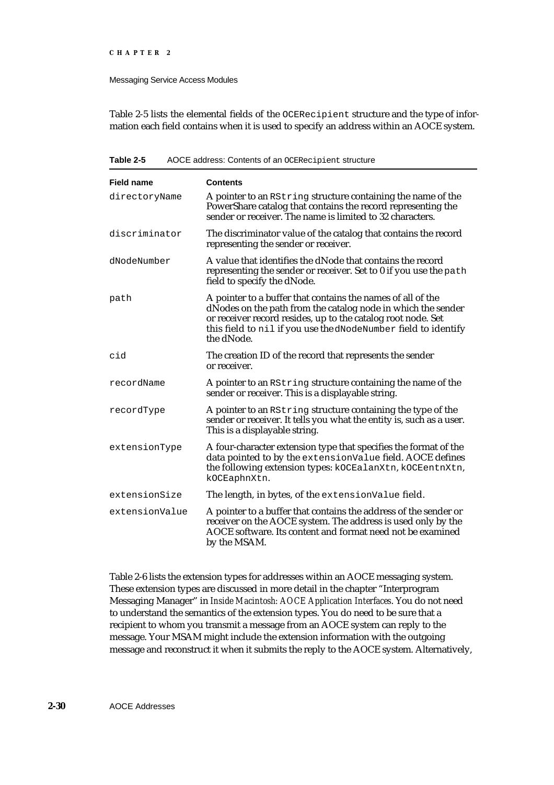#### Messaging Service Access Modules

Table 2-5 lists the elemental fields of the OCERecipient structure and the type of information each field contains when it is used to specify an address within an AOCE system.

| <b>Field name</b> | <b>Contents</b>                                                                                                                                                                                                                                                             |
|-------------------|-----------------------------------------------------------------------------------------------------------------------------------------------------------------------------------------------------------------------------------------------------------------------------|
| directoryName     | A pointer to an RString structure containing the name of the<br>PowerShare catalog that contains the record representing the<br>sender or receiver. The name is limited to 32 characters.                                                                                   |
| discriminator     | The discriminator value of the catalog that contains the record<br>representing the sender or receiver.                                                                                                                                                                     |
| dNodeNumber       | A value that identifies the dNode that contains the record<br>representing the sender or receiver. Set to 0 if you use the path<br>field to specify the dNode.                                                                                                              |
| path              | A pointer to a buffer that contains the names of all of the<br>dNodes on the path from the catalog node in which the sender<br>or receiver record resides, up to the catalog root node. Set<br>this field to nil if you use the dNodeNumber field to identify<br>the dNode. |
| cid               | The creation ID of the record that represents the sender<br>or receiver.                                                                                                                                                                                                    |
| recordName        | A pointer to an RString structure containing the name of the<br>sender or receiver. This is a displayable string.                                                                                                                                                           |
| recordType        | A pointer to an RString structure containing the type of the<br>sender or receiver. It tells you what the entity is, such as a user.<br>This is a displayable string.                                                                                                       |
| extensionType     | A four-character extension type that specifies the format of the<br>data pointed to by the extensionValue field. AOCE defines<br>the following extension types: kOCEalanXtn, kOCEentnXtn,<br>kOCEaphnXtn.                                                                   |
| extensionSize     | The length, in bytes, of the extensionValue field.                                                                                                                                                                                                                          |
| extensionValue    | A pointer to a buffer that contains the address of the sender or<br>receiver on the AOCE system. The address is used only by the<br>AOCE software. Its content and format need not be examined<br>by the MSAM.                                                              |

**Table 2-5** AOCE address: Contents of an OCERecipient structure

Table 2-6 lists the extension types for addresses within an AOCE messaging system. These extension types are discussed in more detail in the chapter "Interprogram Messaging Manager" in *Inside Macintosh: AOCE Application Interfaces*. You do not need to understand the semantics of the extension types. You do need to be sure that a recipient to whom you transmit a message from an AOCE system can reply to the message. Your MSAM might include the extension information with the outgoing message and reconstruct it when it submits the reply to the AOCE system. Alternatively,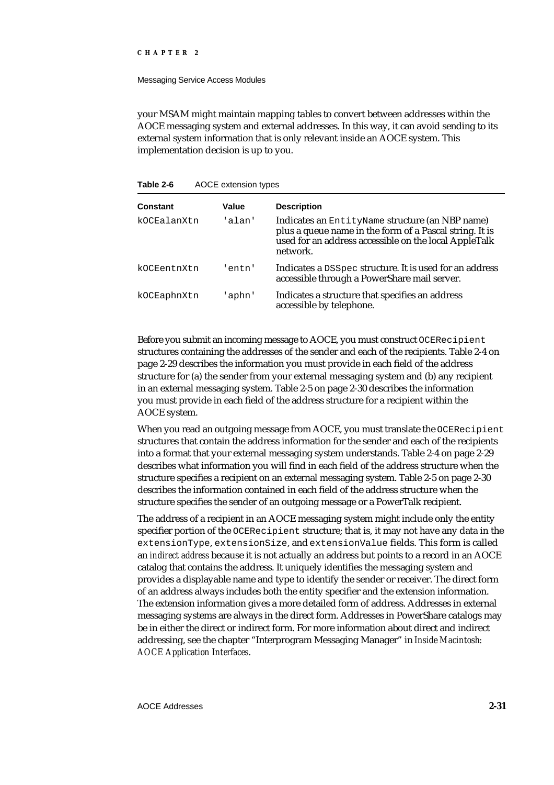#### Messaging Service Access Modules

your MSAM might maintain mapping tables to convert between addresses within the AOCE messaging system and external addresses. In this way, it can avoid sending to its external system information that is only relevant inside an AOCE system. This implementation decision is up to you.

#### **Table 2-6** AOCE extension types

| Constant    | Value  | <b>Description</b>                                                                                                                                                              |
|-------------|--------|---------------------------------------------------------------------------------------------------------------------------------------------------------------------------------|
| kOCEalanXtn | 'alan' | Indicates an EntityName structure (an NBP name)<br>plus a queue name in the form of a Pascal string. It is<br>used for an address accessible on the local AppleTalk<br>network. |
| kOCEentnXtn | entn'  | Indicates a DSSpec structure. It is used for an address<br>accessible through a PowerShare mail server.                                                                         |
| kOCEaphnXtn | 'aphn' | Indicates a structure that specifies an address<br>accessible by telephone.                                                                                                     |

Before you submit an incoming message to AOCE, you must construct OCERecipient structures containing the addresses of the sender and each of the recipients. Table 2-4 on page 2-29 describes the information you must provide in each field of the address structure for (a) the sender from your external messaging system and (b) any recipient in an external messaging system. Table 2-5 on page 2-30 describes the information you must provide in each field of the address structure for a recipient within the AOCE system.

When you read an outgoing message from AOCE, you must translate the OCERecipient structures that contain the address information for the sender and each of the recipients into a format that your external messaging system understands. Table 2-4 on page 2-29 describes what information you will find in each field of the address structure when the structure specifies a recipient on an external messaging system. Table 2-5 on page 2-30 describes the information contained in each field of the address structure when the structure specifies the sender of an outgoing message or a PowerTalk recipient.

The address of a recipient in an AOCE messaging system might include only the entity specifier portion of the OCERecipient structure; that is, it may not have any data in the extensionType, extensionSize, and extensionValue fields. This form is called an *indirect address* because it is not actually an address but points to a record in an AOCE catalog that contains the address. It uniquely identifies the messaging system and provides a displayable name and type to identify the sender or receiver. The direct form of an address always includes both the entity specifier and the extension information. The extension information gives a more detailed form of address. Addresses in external messaging systems are always in the direct form. Addresses in PowerShare catalogs may be in either the direct or indirect form. For more information about direct and indirect addressing, see the chapter "Interprogram Messaging Manager" in *Inside Macintosh: AOCE Application Interfaces*.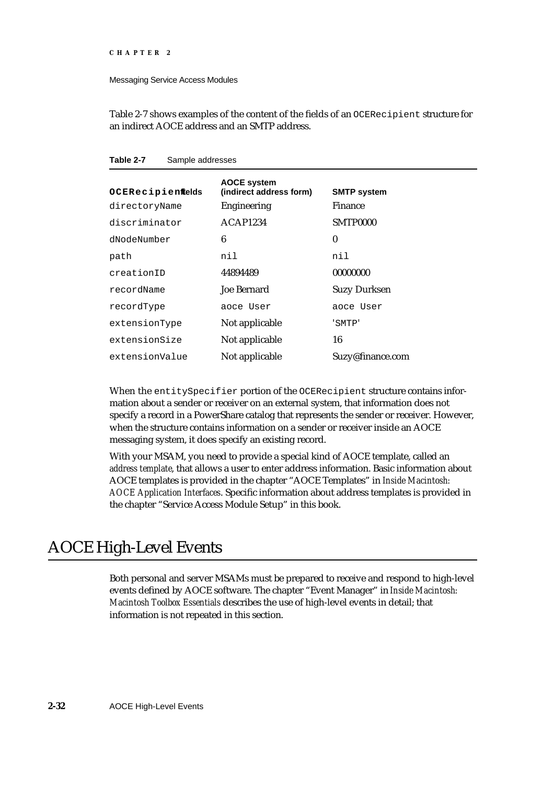Messaging Service Access Modules

Table 2-7 shows examples of the content of the fields of an OCERecipient structure for an indirect AOCE address and an SMTP address.

| OCERecipienftelds | <b>AOCE system</b><br>(indirect address form) | <b>SMTP system</b>  |
|-------------------|-----------------------------------------------|---------------------|
| directoryName     | <b>Engineering</b>                            | <b>Finance</b>      |
| discriminator     | ACAP1234                                      | SMTP0000            |
| dNodeNumber       | 6                                             | $\bf{0}$            |
| path              | nil                                           | nil                 |
| creationID        | 44894489                                      | 00000000            |
| recordName        | <b>Joe Bernard</b>                            | <b>Suzy Durksen</b> |
| recordType        | aoce User                                     | aoce User           |
| extensionType     | Not applicable                                | 'SMTP'              |
| extensionSize     | Not applicable                                | 16                  |
| extensionValue    | Not applicable                                | Suzy@finance.com    |

**Table 2-7** Sample addresses

When the entitySpecifier portion of the OCERecipient structure contains information about a sender or receiver on an external system, that information does not specify a record in a PowerShare catalog that represents the sender or receiver. However, when the structure contains information on a sender or receiver inside an AOCE messaging system, it does specify an existing record.

With your MSAM, you need to provide a special kind of AOCE template, called an *address template*, that allows a user to enter address information. Basic information about AOCE templates is provided in the chapter "AOCE Templates" in *Inside Macintosh: AOCE Application Interfaces*. Specific information about address templates is provided in the chapter "Service Access Module Setup" in this book.

# AOCE High-Level Events

Both personal and server MSAMs must be prepared to receive and respond to high-level events defined by AOCE software. The chapter "Event Manager" in *Inside Macintosh: Macintosh Toolbox Essentials* describes the use of high-level events in detail; that information is not repeated in this section.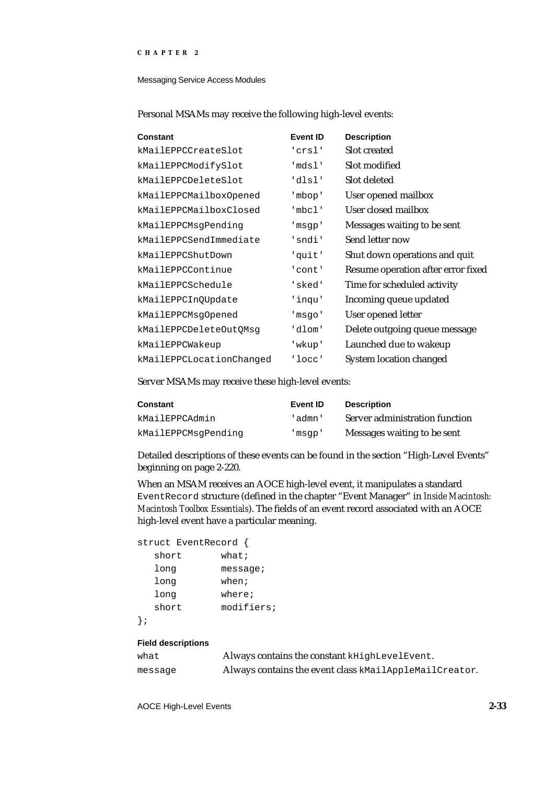Messaging Service Access Modules

| <b>Constant</b>          | <b>Event ID</b> | <b>Description</b>                 |
|--------------------------|-----------------|------------------------------------|
| kMailEPPCCreateSlot      | 'crsl'          | Slot created                       |
| kMailEPPCModifySlot      | 'mdsl'          | Slot modified                      |
| kMailEPPCDeleteSlot      | 'dlsl'          | Slot deleted                       |
| kMailEPPCMailboxOpened   | 'mbop'          | User opened mailbox                |
| kMailEPPCMailboxClosed   | 'mbcl'          | User closed mailbox                |
| kMailEPPCMsqPending      | 'msgp'          | Messages waiting to be sent        |
| kMailEPPCSendImmediate   | 'sndi'          | Send letter now                    |
| kMailEPPCShutDown        | 'quit'          | Shut down operations and quit      |
| kMailEPPCContinue        | 'cont'          | Resume operation after error fixed |
| kMailEPPCSchedule        | 'sked'          | Time for scheduled activity        |
| kMailEPPCInQUpdate       | 'inqu'          | Incoming queue updated             |
| kMailEPPCMsqOpened       | 'msgo'          | User opened letter                 |
| kMailEPPCDeleteOutQMsq   | 'dlom'          | Delete outgoing queue message      |
| kMailEPPCWakeup          | 'wkup'          | Launched due to wakeup             |
| kMailEPPCLocationChanged | 'locc'          | <b>System location changed</b>     |

Personal MSAMs may receive the following high-level events:

Server MSAMs may receive these high-level events:

| <b>Constant</b>     | Event <b>ID</b> | <b>Description</b>             |
|---------------------|-----------------|--------------------------------|
| kMailEPPCAdmin      | 'admn'          | Server administration function |
| kMailEPPCMsqPending | 'msap'          | Messages waiting to be sent    |

Detailed descriptions of these events can be found in the section "High-Level Events" beginning on page 2-220.

When an MSAM receives an AOCE high-level event, it manipulates a standard EventRecord structure (defined in the chapter "Event Manager" in *Inside Macintosh: Macintosh Toolbox Essentials*). The fields of an event record associated with an AOCE high-level event have a particular meaning.

```
struct EventRecord {
```

| short | what;      |
|-------|------------|
| long  | message;   |
| long  | when;      |
| long  | where;     |
| short | modifiers; |
|       |            |

};

#### **Field descriptions**

| what    | Always contains the constant kHighLevelEvent.          |
|---------|--------------------------------------------------------|
| messaqe | Always contains the event class kMailAppleMailCreator. |

AOCE High-Level Events **2-33**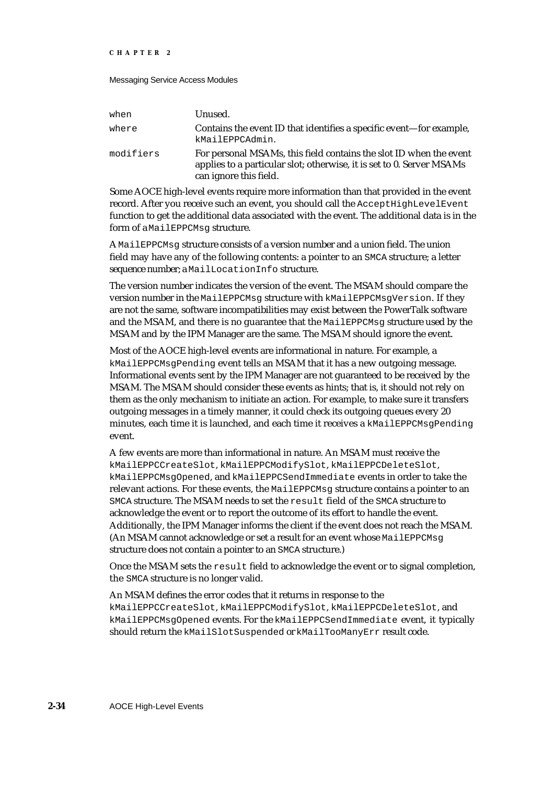#### Messaging Service Access Modules

| when      | Unused.                                                                                                                                                               |
|-----------|-----------------------------------------------------------------------------------------------------------------------------------------------------------------------|
| where     | Contains the event ID that identifies a specific event-for example,<br>kMailEPPCAdmin.                                                                                |
| modifiers | For personal MSAMs, this field contains the slot ID when the event<br>applies to a particular slot; otherwise, it is set to 0. Server MSAMs<br>can ignore this field. |

Some AOCE high-level events require more information than that provided in the event record. After you receive such an event, you should call the AcceptHighLevelEvent function to get the additional data associated with the event. The additional data is in the form of a MailEPPCMsq structure.

A MailEPPCMsg structure consists of a version number and a union field. The union field may have any of the following contents: a pointer to an SMCA structure; a letter sequence number; a MailLocationInfo structure.

The version number indicates the version of the event. The MSAM should compare the version number in the MailEPPCMsg structure with kMailEPPCMsgVersion. If they are not the same, software incompatibilities may exist between the PowerTalk software and the MSAM, and there is no guarantee that the MailEPPCMsq structure used by the MSAM and by the IPM Manager are the same. The MSAM should ignore the event.

Most of the AOCE high-level events are informational in nature. For example, a kMailEPPCMsgPending event tells an MSAM that it has a new outgoing message. Informational events sent by the IPM Manager are not guaranteed to be received by the MSAM. The MSAM should consider these events as hints; that is, it should not rely on them as the only mechanism to initiate an action. For example, to make sure it transfers outgoing messages in a timely manner, it could check its outgoing queues every 20 minutes, each time it is launched, and each time it receives a kMailEPPCMsqPending event.

A few events are more than informational in nature. An MSAM must receive the kMailEPPCCreateSlot, kMailEPPCModifySlot, kMailEPPCDeleteSlot, kMailEPPCMsgOpened, and kMailEPPCSendImmediate events in order to take the relevant actions. For these events, the MailEPPCMsg structure contains a pointer to an SMCA structure. The MSAM needs to set the result field of the SMCA structure to acknowledge the event or to report the outcome of its effort to handle the event. Additionally, the IPM Manager informs the client if the event does not reach the MSAM. (An MSAM cannot acknowledge or set a result for an event whose MailEPPCMsg structure does not contain a pointer to an SMCA structure.)

Once the MSAM sets the  $r$ esult field to acknowledge the event or to signal completion, the SMCA structure is no longer valid.

An MSAM defines the error codes that it returns in response to the

kMailEPPCCreateSlot, kMailEPPCModifySlot, kMailEPPCDeleteSlot, and kMailEPPCMsgOpened events. For the kMailEPPCSendImmediate event, it typically should return the kMailSlotSuspended or kMailTooManyErr result code.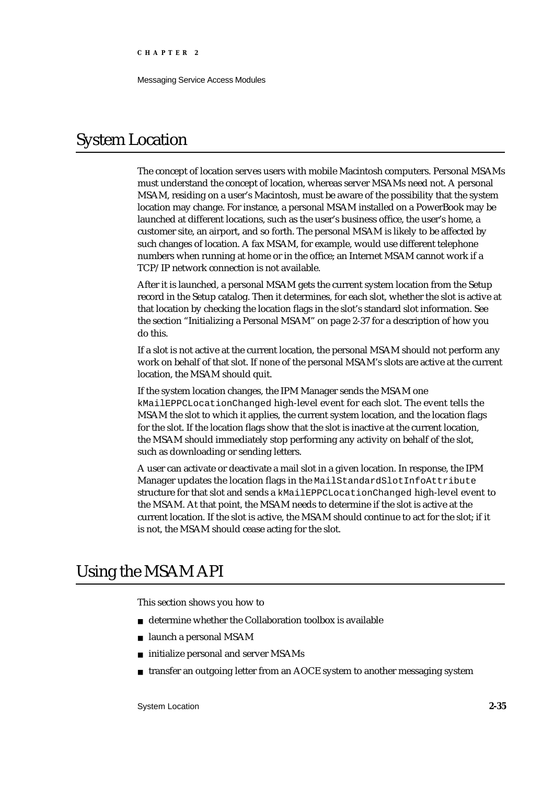Messaging Service Access Modules

# System Location

The concept of location serves users with mobile Macintosh computers. Personal MSAMs must understand the concept of location, whereas server MSAMs need not. A personal MSAM, residing on a user's Macintosh, must be aware of the possibility that the system location may change. For instance, a personal MSAM installed on a PowerBook may be launched at different locations, such as the user's business office, the user's home, a customer site, an airport, and so forth. The personal MSAM is likely to be affected by such changes of location. A fax MSAM, for example, would use different telephone numbers when running at home or in the office; an Internet MSAM cannot work if a TCP/IP network connection is not available.

After it is launched, a personal MSAM gets the current system location from the Setup record in the Setup catalog. Then it determines, for each slot, whether the slot is active at that location by checking the location flags in the slot's standard slot information. See the section "Initializing a Personal MSAM" on page 2-37 for a description of how you do this.

If a slot is not active at the current location, the personal MSAM should not perform any work on behalf of that slot. If none of the personal MSAM's slots are active at the current location, the MSAM should quit.

If the system location changes, the IPM Manager sends the MSAM one kMailEPPCLocationChanged high-level event for each slot. The event tells the MSAM the slot to which it applies, the current system location, and the location flags for the slot. If the location flags show that the slot is inactive at the current location, the MSAM should immediately stop performing any activity on behalf of the slot, such as downloading or sending letters.

A user can activate or deactivate a mail slot in a given location. In response, the IPM Manager updates the location flags in the MailStandardSlotInfoAttribute structure for that slot and sends a kMailEPPCLocationChanged high-level event to the MSAM. At that point, the MSAM needs to determine if the slot is active at the current location. If the slot is active, the MSAM should continue to act for the slot; if it is not, the MSAM should cease acting for the slot.

# Using the MSAM API

This section shows you how to

- n determine whether the Collaboration toolbox is available
- launch a personal MSAM  $\overline{a}$
- initialize personal and server MSAMs <sub>n</sub>
- transfer an outgoing letter from an AOCE system to another messaging systemn.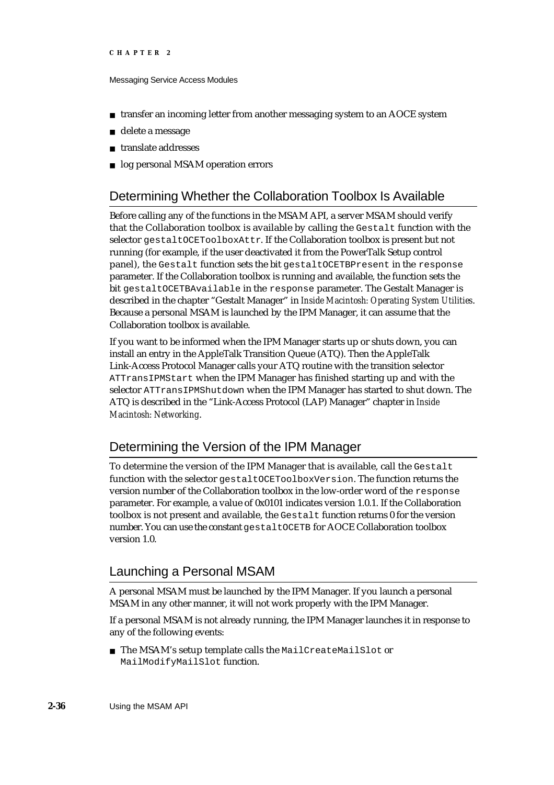#### Messaging Service Access Modules

- transfer an incoming letter from another messaging system to an AOCE system  $n$
- delete a message n.
- translate addresses
- log personal MSAM operation errors  $n$

# Determining Whether the Collaboration Toolbox Is Available

Before calling any of the functions in the MSAM API, a server MSAM should verify that the Collaboration toolbox is available by calling the Gestalt function with the selector gestaltOCEToolboxAttr. If the Collaboration toolbox is present but not running (for example, if the user deactivated it from the PowerTalk Setup control panel), the Gestalt function sets the bit gestaltOCETBPresent in the response parameter. If the Collaboration toolbox is running and available, the function sets the bit gestaltOCETBAvailable in the response parameter. The Gestalt Manager is described in the chapter "Gestalt Manager" in *Inside Macintosh: Operating System Utilities*. Because a personal MSAM is launched by the IPM Manager, it can assume that the Collaboration toolbox is available.

If you want to be informed when the IPM Manager starts up or shuts down, you can install an entry in the AppleTalk Transition Queue (ATQ). Then the AppleTalk Link-Access Protocol Manager calls your ATQ routine with the transition selector ATTransIPMStart when the IPM Manager has finished starting up and with the selector ATTransIPMShutdown when the IPM Manager has started to shut down. The ATQ is described in the "Link-Access Protocol (LAP) Manager" chapter in *Inside Macintosh: Networking*.

# Determining the Version of the IPM Manager

To determine the version of the IPM Manager that is available, call the Gestalt function with the selector gestaltOCEToolboxVersion. The function returns the version number of the Collaboration toolbox in the low-order word of the response parameter. For example, a value of 0x0101 indicates version 1.0.1. If the Collaboration toolbox is not present and available, the Gestalt function returns 0 for the version number. You can use the constant gestaltOCETB for AOCE Collaboration toolbox version 1.0.

## Launching a Personal MSAM

A personal MSAM must be launched by the IPM Manager. If you launch a personal MSAM in any other manner, it will not work properly with the IPM Manager.

If a personal MSAM is not already running, the IPM Manager launches it in response to any of the following events:

The MSAM's setup template calls the MailCreateMailSlot or MailModifyMailSlot function.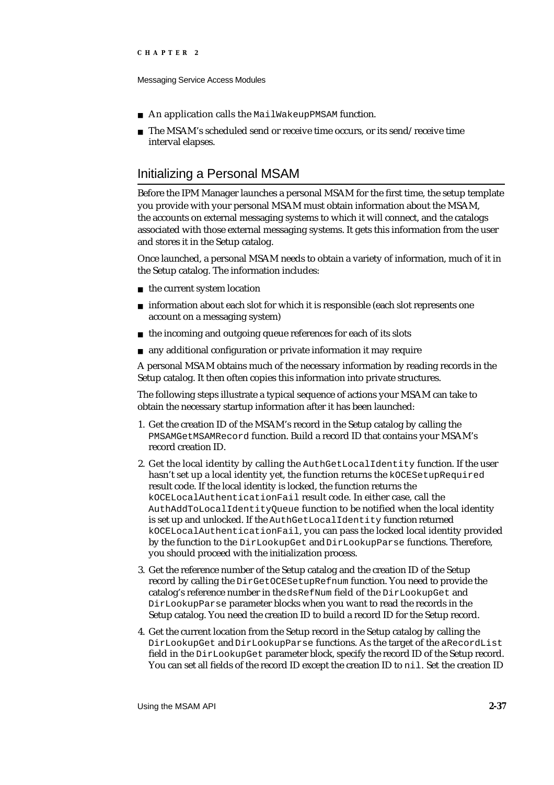Messaging Service Access Modules

- An application calls the MailWakeupPMSAM function.  $\mathsf{n}$
- n The MSAM's scheduled send or receive time occurs, or its send/receive time interval elapses.

## Initializing a Personal MSAM

Before the IPM Manager launches a personal MSAM for the first time, the setup template you provide with your personal MSAM must obtain information about the MSAM, the accounts on external messaging systems to which it will connect, and the catalogs associated with those external messaging systems. It gets this information from the user and stores it in the Setup catalog.

Once launched, a personal MSAM needs to obtain a variety of information, much of it in the Setup catalog. The information includes:

- n the current system location
- $n$  information about each slot for which it is responsible (each slot represents one account on a messaging system)
- $n$  the incoming and outgoing queue references for each of its slots
- any additional configuration or private information it may require

A personal MSAM obtains much of the necessary information by reading records in the Setup catalog. It then often copies this information into private structures.

The following steps illustrate a typical sequence of actions your MSAM can take to obtain the necessary startup information after it has been launched:

- 1. Get the creation ID of the MSAM's record in the Setup catalog by calling the PMSAMGetMSAMRecord function. Build a record ID that contains your MSAM's record creation ID.
- 2. Get the local identity by calling the AuthGetLocalIdentity function. If the user hasn't set up a local identity yet, the function returns the kOCESetupRequired result code. If the local identity is locked, the function returns the kOCELocalAuthenticationFail result code. In either case, call the AuthAddToLocalIdentityQueue function to be notified when the local identity is set up and unlocked. If the AuthGetLocalIdentity function returned kOCELocalAuthenticationFail, you can pass the locked local identity provided by the function to the DirLookupGet and DirLookupParse functions. Therefore, you should proceed with the initialization process.
- 3. Get the reference number of the Setup catalog and the creation ID of the Setup record by calling the DirGetOCESetupRefnum function. You need to provide the catalog's reference number in the dsRefNum field of the DirLookupGet and DirLookupParse parameter blocks when you want to read the records in the Setup catalog. You need the creation ID to build a record ID for the Setup record.
- 4. Get the current location from the Setup record in the Setup catalog by calling the DirLookupGet and DirLookupParse functions. As the target of the aRecordList field in the DirLookupGet parameter block, specify the record ID of the Setup record. You can set all fields of the record ID except the creation ID to nil. Set the creation ID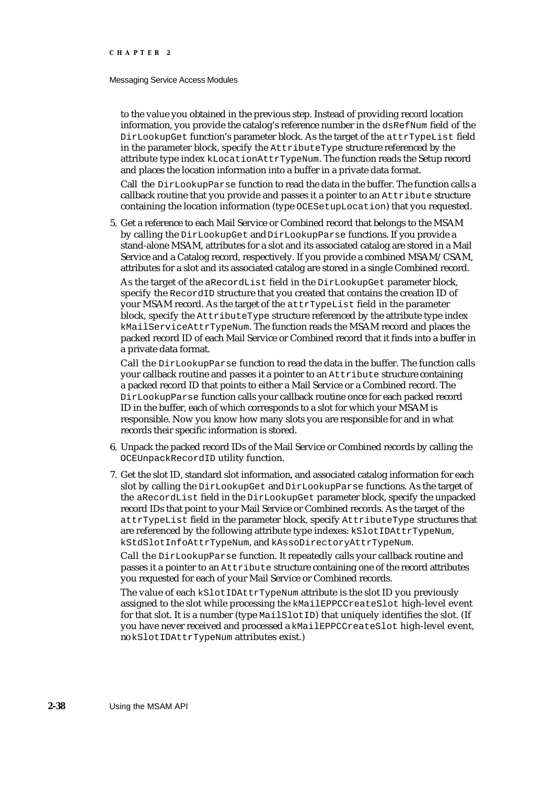#### Messaging Service Access Modules

to the value you obtained in the previous step. Instead of providing record location information, you provide the catalog's reference number in the dsRefNum field of the DirLookupGet function's parameter block. As the target of the attrTypeList field in the parameter block, specify the AttributeType structure referenced by the attribute type index kLocationAttrTypeNum. The function reads the Setup record and places the location information into a buffer in a private data format.

Call the DirLookupParse function to read the data in the buffer. The function calls a callback routine that you provide and passes it a pointer to an Attribute structure containing the location information (type OCESetupLocation) that you requested.

5. Get a reference to each Mail Service or Combined record that belongs to the MSAM by calling the DirLookupGet and DirLookupParse functions. If you provide a stand-alone MSAM, attributes for a slot and its associated catalog are stored in a Mail Service and a Catalog record, respectively. If you provide a combined MSAM/CSAM, attributes for a slot and its associated catalog are stored in a single Combined record.

As the target of the aRecordList field in the DirLookupGet parameter block, specify the RecordID structure that you created that contains the creation ID of your MSAM record. As the target of the attrTypeList field in the parameter block, specify the AttributeType structure referenced by the attribute type index kMailServiceAttrTypeNum. The function reads the MSAM record and places the packed record ID of each Mail Service or Combined record that it finds into a buffer in a private data format.

Call the DirLookupParse function to read the data in the buffer. The function calls your callback routine and passes it a pointer to an Attribute structure containing a packed record ID that points to either a Mail Service or a Combined record. The DirLookupParse function calls your callback routine once for each packed record ID in the buffer, each of which corresponds to a slot for which your MSAM is responsible. Now you know how many slots you are responsible for and in what records their specific information is stored.

- 6. Unpack the packed record IDs of the Mail Service or Combined records by calling the OCEUnpackRecordID utility function.
- 7. Get the slot ID, standard slot information, and associated catalog information for each slot by calling the DirLookupGet and DirLookupParse functions. As the target of the aRecordList field in the DirLookupGet parameter block, specify the unpacked record IDs that point to your Mail Service or Combined records. As the target of the attrTypeList field in the parameter block, specify AttributeType structures that are referenced by the following attribute type indexes: kSlotIDAttrTypeNum, kStdSlotInfoAttrTypeNum, and kAssoDirectoryAttrTypeNum.

Call the DirLookupParse function. It repeatedly calls your callback routine and passes it a pointer to an Attribute structure containing one of the record attributes you requested for each of your Mail Service or Combined records.

The value of each kSlotIDAttrTypeNum attribute is the slot ID you previously assigned to the slot while processing the kMailEPPCCreateSlot high-level event for that slot. It is a number (type MailSlotID) that uniquely identifies the slot. (If you have never received and processed a kMailEPPCCreateSlot high-level event, no kSlotIDAttrTypeNum attributes exist.)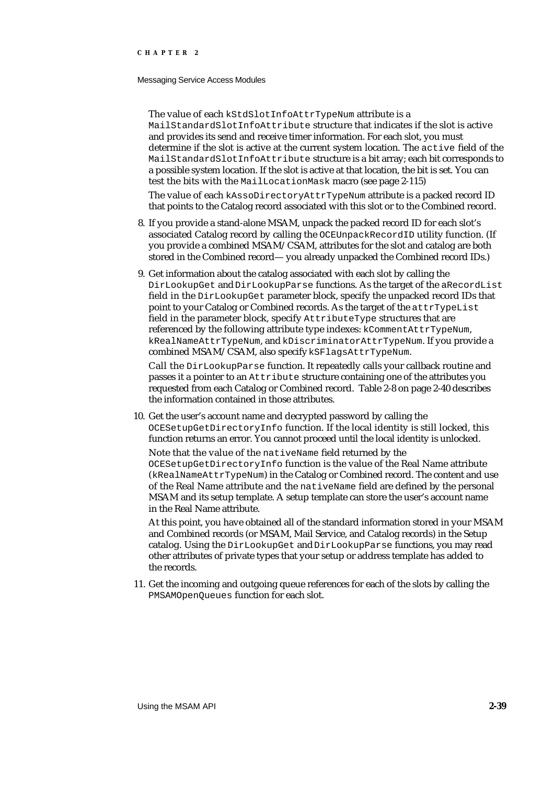#### Messaging Service Access Modules

The value of each kStdSlotInfoAttrTypeNum attribute is a MailStandardSlotInfoAttribute structure that indicates if the slot is active and provides its send and receive timer information. For each slot, you must determine if the slot is active at the current system location. The active field of the MailStandardSlotInfoAttribute structure is a bit array; each bit corresponds to a possible system location. If the slot is active at that location, the bit is set. You can test the bits with the MailLocationMask macro (see page 2-115)

The value of each kAssoDirectoryAttrTypeNum attribute is a packed record ID that points to the Catalog record associated with this slot or to the Combined record.

- 8. If you provide a stand-alone MSAM, unpack the packed record ID for each slot's associated Catalog record by calling the OCEUnpackRecordID utility function. (If you provide a combined MSAM/CSAM, attributes for the slot and catalog are both stored in the Combined record— you already unpacked the Combined record IDs.)
- 9. Get information about the catalog associated with each slot by calling the DirLookupGet and DirLookupParse functions. As the target of the aRecordList field in the DirLookupGet parameter block, specify the unpacked record IDs that point to your Catalog or Combined records. As the target of the attrTypeList field in the parameter block, specify AttributeType structures that are referenced by the following attribute type indexes: kCommentAttrTypeNum, kRealNameAttrTypeNum, and kDiscriminatorAttrTypeNum. If you provide a combined MSAM/CSAM, also specify kSFlagsAttrTypeNum.

Call the DirLookupParse function. It repeatedly calls your callback routine and passes it a pointer to an Attribute structure containing one of the attributes you requested from each Catalog or Combined record. Table 2-8 on page 2-40 describes the information contained in those attributes.

10. Get the user's account name and decrypted password by calling the OCESetupGetDirectoryInfo function. If the local identity is still locked, this function returns an error. You cannot proceed until the local identity is unlocked.

Note that the value of the nativeName field returned by the OCESetupGetDirectoryInfo function is the value of the Real Name attribute (kRealNameAttrTypeNum) in the Catalog or Combined record. The content and use of the Real Name attribute and the nativeName field are defined by the personal MSAM and its setup template. A setup template can store the user's account name in the Real Name attribute.

At this point, you have obtained all of the standard information stored in your MSAM and Combined records (or MSAM, Mail Service, and Catalog records) in the Setup catalog. Using the DirLookupGet and DirLookupParse functions, you may read other attributes of private types that your setup or address template has added to the records.

11. Get the incoming and outgoing queue references for each of the slots by calling the PMSAMOpenQueues function for each slot.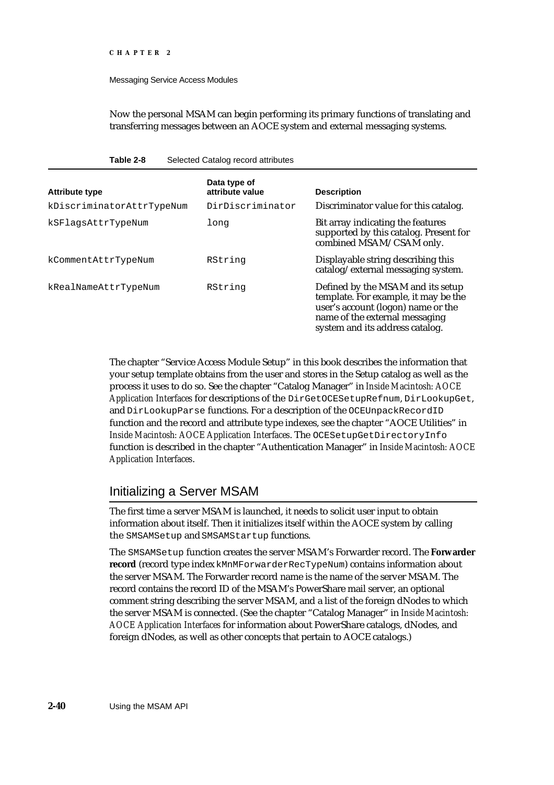#### Messaging Service Access Modules

**Table 2-8** Selected Catalog record attributes

Now the personal MSAM can begin performing its primary functions of translating and transferring messages between an AOCE system and external messaging systems.

| <b>Attribute type</b>     | Data type of<br>attribute value | <b>Description</b>                                                                                                                                                                   |
|---------------------------|---------------------------------|--------------------------------------------------------------------------------------------------------------------------------------------------------------------------------------|
| kDiscriminatorAttrTypeNum | DirDiscriminator                | Discriminator value for this catalog.                                                                                                                                                |
| kSFlagsAttrTypeNum        | long                            | Bit array indicating the features<br>supported by this catalog. Present for<br>combined MSAM/CSAM only.                                                                              |
| kCommentAttrTypeNum       | RString                         | Displayable string describing this<br>catalog/external messaging system.                                                                                                             |
| kRealNameAttrTypeNum      | RString                         | Defined by the MSAM and its setup<br>template. For example, it may be the<br>user's account (logon) name or the<br>name of the external messaging<br>system and its address catalog. |

The chapter "Service Access Module Setup" in this book describes the information that your setup template obtains from the user and stores in the Setup catalog as well as the process it uses to do so. See the chapter "Catalog Manager" in *Inside Macintosh: AOCE Application Interfaces* for descriptions of the DirGetOCESetupRefnum, DirLookupGet, and DirLookupParse functions. For a description of the OCEUnpackRecordID function and the record and attribute type indexes, see the chapter "AOCE Utilities" in *Inside Macintosh: AOCE Application Interfaces*. The OCESetupGetDirectoryInfo function is described in the chapter "Authentication Manager" in *Inside Macintosh: AOCE Application Interfaces*.

# Initializing a Server MSAM

The first time a server MSAM is launched, it needs to solicit user input to obtain information about itself. Then it initializes itself within the AOCE system by calling the SMSAMSetup and SMSAMStartup functions.

The SMSAMSetup function creates the server MSAM's Forwarder record. The **Forwarder record** (record type index kMnMForwarderRecTypeNum) contains information about the server MSAM. The Forwarder record name is the name of the server MSAM. The record contains the record ID of the MSAM's PowerShare mail server, an optional comment string describing the server MSAM, and a list of the foreign dNodes to which the server MSAM is connected. (See the chapter "Catalog Manager" in *Inside Macintosh: AOCE Application Interfaces* for information about PowerShare catalogs, dNodes, and foreign dNodes, as well as other concepts that pertain to AOCE catalogs.)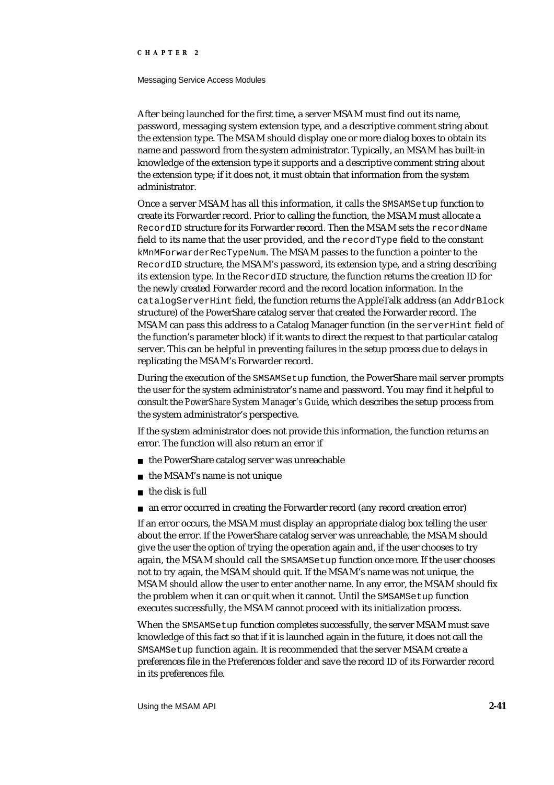#### Messaging Service Access Modules

After being launched for the first time, a server MSAM must find out its name, password, messaging system extension type, and a descriptive comment string about the extension type. The MSAM should display one or more dialog boxes to obtain its name and password from the system administrator. Typically, an MSAM has built-in knowledge of the extension type it supports and a descriptive comment string about the extension type; if it does not, it must obtain that information from the system administrator.

Once a server MSAM has all this information, it calls the SMSAMSetup function to create its Forwarder record. Prior to calling the function, the MSAM must allocate a RecordID structure for its Forwarder record. Then the MSAM sets the recordName field to its name that the user provided, and the recordType field to the constant kMnMForwarderRecTypeNum. The MSAM passes to the function a pointer to the RecordID structure, the MSAM's password, its extension type, and a string describing its extension type. In the RecordID structure, the function returns the creation ID for the newly created Forwarder record and the record location information. In the catalogServerHint field, the function returns the AppleTalk address (an AddrBlock structure) of the PowerShare catalog server that created the Forwarder record. The MSAM can pass this address to a Catalog Manager function (in the serverHint field of the function's parameter block) if it wants to direct the request to that particular catalog server. This can be helpful in preventing failures in the setup process due to delays in replicating the MSAM's Forwarder record.

During the execution of the SMSAMSetup function, the PowerShare mail server prompts the user for the system administrator's name and password. You may find it helpful to consult the *PowerShare System Manager's Guide*, which describes the setup process from the system administrator's perspective.

If the system administrator does not provide this information, the function returns an error. The function will also return an error if

- n the PowerShare catalog server was unreachable
- n the MSAM's name is not unique
- the disk is full  $\overline{p}$
- an error occurred in creating the Forwarder record (any record creation error)

If an error occurs, the MSAM must display an appropriate dialog box telling the user about the error. If the PowerShare catalog server was unreachable, the MSAM should give the user the option of trying the operation again and, if the user chooses to try again, the MSAM should call the SMSAMSetup function once more. If the user chooses not to try again, the MSAM should quit. If the MSAM's name was not unique, the MSAM should allow the user to enter another name. In any error, the MSAM should fix the problem when it can or quit when it cannot. Until the SMSAMSetup function executes successfully, the MSAM cannot proceed with its initialization process.

When the SMSAMSetup function completes successfully, the server MSAM must save knowledge of this fact so that if it is launched again in the future, it does not call the SMSAMSetup function again. It is recommended that the server MSAM create a preferences file in the Preferences folder and save the record ID of its Forwarder record in its preferences file.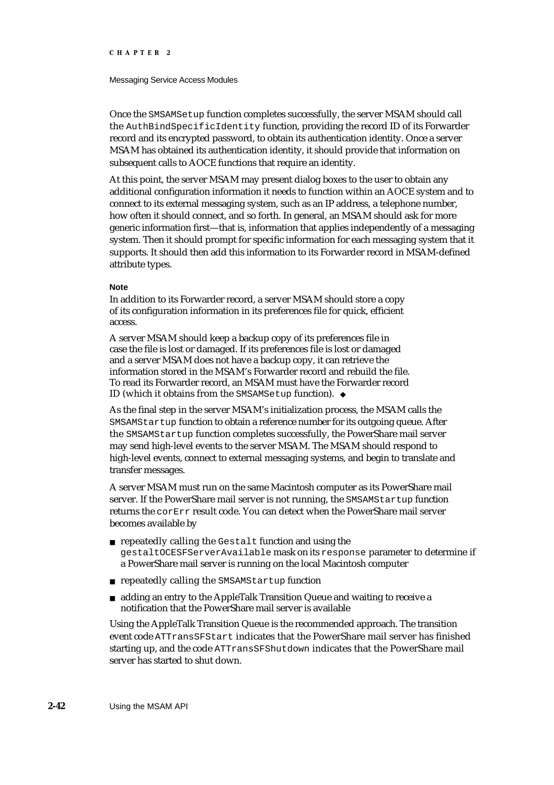#### Messaging Service Access Modules

Once the SMSAMSetup function completes successfully, the server MSAM should call the AuthBindSpecificIdentity function, providing the record ID of its Forwarder record and its encrypted password, to obtain its authentication identity. Once a server MSAM has obtained its authentication identity, it should provide that information on subsequent calls to AOCE functions that require an identity.

At this point, the server MSAM may present dialog boxes to the user to obtain any additional configuration information it needs to function within an AOCE system and to connect to its external messaging system, such as an IP address, a telephone number, how often it should connect, and so forth. In general, an MSAM should ask for more generic information first—that is, information that applies independently of a messaging system. Then it should prompt for specific information for each messaging system that it supports. It should then add this information to its Forwarder record in MSAM-defined attribute types.

#### **Note**

In addition to its Forwarder record, a server MSAM should store a copy of its configuration information in its preferences file for quick, efficient access.

A server MSAM should keep a backup copy of its preferences file in case the file is lost or damaged. If its preferences file is lost or damaged and a server MSAM does not have a backup copy, it can retrieve the information stored in the MSAM's Forwarder record and rebuild the file. To read its Forwarder record, an MSAM must have the Forwarder record ID (which it obtains from the SMSAMSetup function).

As the final step in the server MSAM's initialization process, the MSAM calls the SMSAMStartup function to obtain a reference number for its outgoing queue. After the SMSAMStartup function completes successfully, the PowerShare mail server may send high-level events to the server MSAM. The MSAM should respond to high-level events, connect to external messaging systems, and begin to translate and transfer messages.

A server MSAM must run on the same Macintosh computer as its PowerShare mail server. If the PowerShare mail server is not running, the SMSAMStartup function returns the corErr result code. You can detect when the PowerShare mail server becomes available by

- n repeatedly calling the Gestalt function and using the gestaltOCESFServerAvailable mask on its response parameter to determine if a PowerShare mail server is running on the local Macintosh computer
- repeatedly calling the SMSAMStartup function
- adding an entry to the AppleTalk Transition Queue and waiting to receive a notification that the PowerShare mail server is available

Using the AppleTalk Transition Queue is the recommended approach. The transition event code ATTransSFStart indicates that the PowerShare mail server has finished starting up, and the code ATTransSFShutdown indicates that the PowerShare mail server has started to shut down.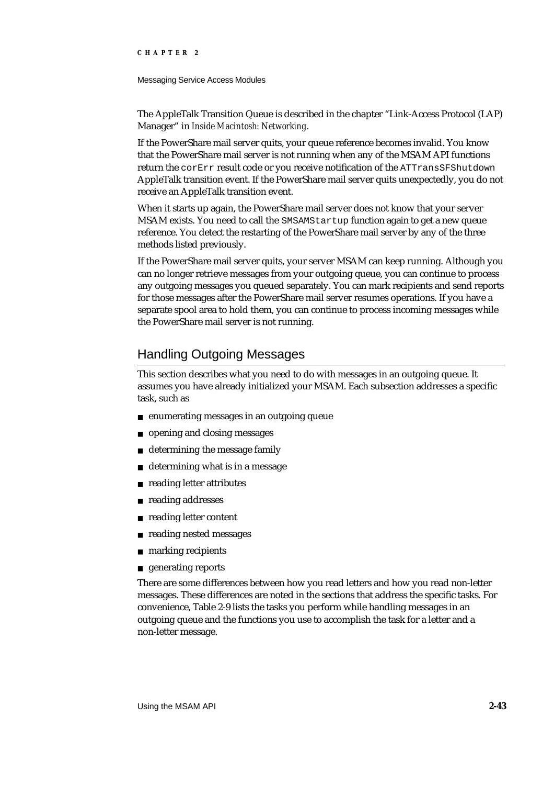#### Messaging Service Access Modules

The AppleTalk Transition Queue is described in the chapter "Link-Access Protocol (LAP) Manager" in *Inside Macintosh: Networking*.

If the PowerShare mail server quits, your queue reference becomes invalid. You know that the PowerShare mail server is not running when any of the MSAM API functions return the corErr result code or you receive notification of the ATTransSFShutdown AppleTalk transition event. If the PowerShare mail server quits unexpectedly, you do not receive an AppleTalk transition event.

When it starts up again, the PowerShare mail server does not know that your server MSAM exists. You need to call the SMSAMStartup function again to get a new queue reference. You detect the restarting of the PowerShare mail server by any of the three methods listed previously.

If the PowerShare mail server quits, your server MSAM can keep running. Although you can no longer retrieve messages from your outgoing queue, you can continue to process any outgoing messages you queued separately. You can mark recipients and send reports for those messages after the PowerShare mail server resumes operations. If you have a separate spool area to hold them, you can continue to process incoming messages while the PowerShare mail server is not running.

# Handling Outgoing Messages

This section describes what you need to do with messages in an outgoing queue. It assumes you have already initialized your MSAM. Each subsection addresses a specific task, such as

- enumerating messages in an outgoing queue
- opening and closing messages  $\overline{p}$
- determining the message family  $\overline{p}$
- determining what is in a message  $\overline{D}$
- reading letter attributes  $\overline{p}$
- reading addresses n
- reading letter content  $\overline{p}$
- reading nested messages  $\overline{p}$
- marking recipients n.
- n generating reports

There are some differences between how you read letters and how you read non-letter messages. These differences are noted in the sections that address the specific tasks. For convenience, Table 2-9 lists the tasks you perform while handling messages in an outgoing queue and the functions you use to accomplish the task for a letter and a non-letter message.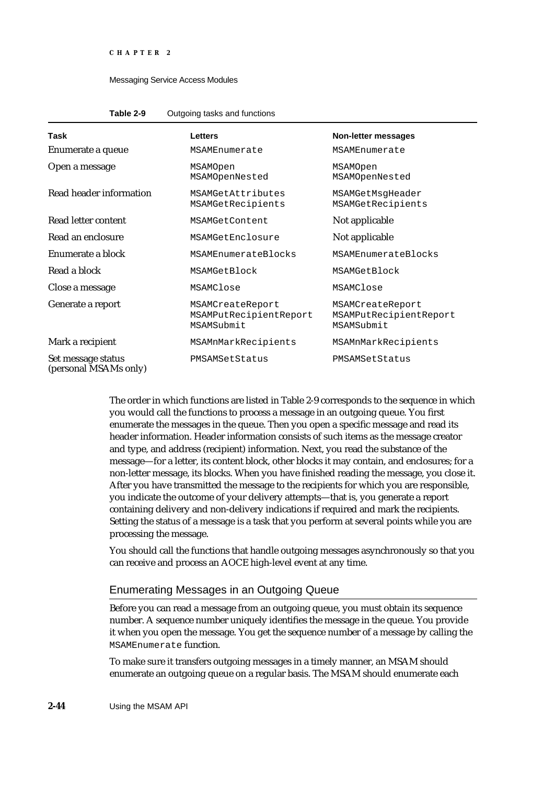#### Messaging Service Access Modules

| Table 2-9 | Outgoing tasks and functions |
|-----------|------------------------------|
|-----------|------------------------------|

| Task                                        | <b>Letters</b>                                           | <b>Non-letter messages</b>                               |
|---------------------------------------------|----------------------------------------------------------|----------------------------------------------------------|
| Enumerate a queue                           | MSAMEnumerate                                            | MSAMEnumerate                                            |
| Open a message                              | MSAMOpen<br>MSAMOpenNested                               | MSAMOpen<br>MSAMOpenNested                               |
| Read header information                     | MSAMGetAttributes<br>MSAMGetRecipients                   | MSAMGetMsqHeader<br>MSAMGetRecipients                    |
| Read letter content                         | MSAMGetContent                                           | Not applicable                                           |
| Read an enclosure                           | MSAMGetEnclosure                                         | Not applicable                                           |
| Enumerate a block                           | MSAMEnumerateBlocks                                      | MSAMEnumerateBlocks                                      |
| Read a block                                | MSAMGetBlock                                             | MSAMGetBlock                                             |
| Close a message                             | MSAMClose                                                | MSAMClose                                                |
| Generate a report                           | MSAMCreateReport<br>MSAMPutRecipientReport<br>MSAMSubmit | MSAMCreateReport<br>MSAMPutRecipientReport<br>MSAMSubmit |
| Mark a recipient                            | MSAMnMarkRecipients                                      | MSAMnMarkRecipients                                      |
| Set message status<br>(personal MSAMs only) | PMSAMSetStatus                                           | PMSAMSetStatus                                           |

The order in which functions are listed in Table 2-9 corresponds to the sequence in which you would call the functions to process a message in an outgoing queue. You first enumerate the messages in the queue. Then you open a specific message and read its header information. Header information consists of such items as the message creator and type, and address (recipient) information. Next, you read the substance of the message—for a letter, its content block, other blocks it may contain, and enclosures; for a non-letter message, its blocks. When you have finished reading the message, you close it. After you have transmitted the message to the recipients for which you are responsible, you indicate the outcome of your delivery attempts—that is, you generate a report containing delivery and non-delivery indications if required and mark the recipients. Setting the status of a message is a task that you perform at several points while you are processing the message.

You should call the functions that handle outgoing messages asynchronously so that you can receive and process an AOCE high-level event at any time.

### Enumerating Messages in an Outgoing Queue

Before you can read a message from an outgoing queue, you must obtain its sequence number. A sequence number uniquely identifies the message in the queue. You provide it when you open the message. You get the sequence number of a message by calling the MSAMEnumerate function.

To make sure it transfers outgoing messages in a timely manner, an MSAM should enumerate an outgoing queue on a regular basis. The MSAM should enumerate each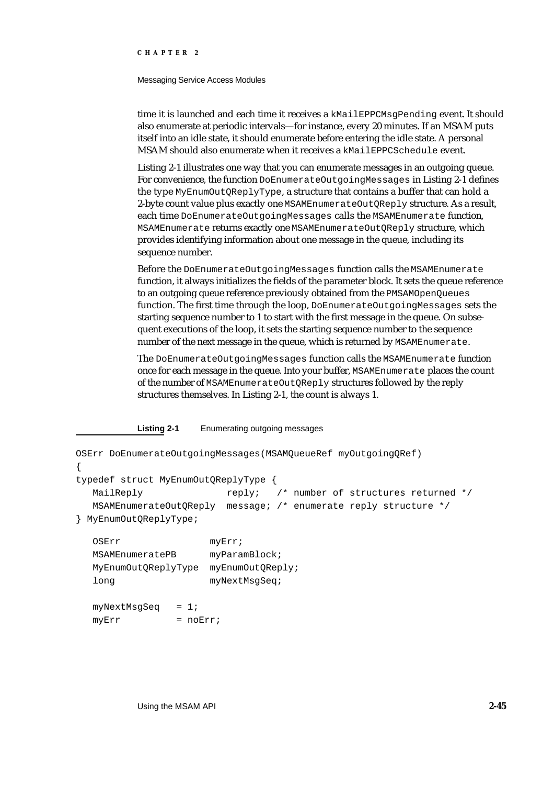#### Messaging Service Access Modules

time it is launched and each time it receives a kMailEPPCMsgPending event. It should also enumerate at periodic intervals—for instance, every 20 minutes. If an MSAM puts itself into an idle state, it should enumerate before entering the idle state. A personal MSAM should also enumerate when it receives a kMailEPPCSchedule event.

Listing 2-1 illustrates one way that you can enumerate messages in an outgoing queue. For convenience, the function DoEnumerateOutgoingMessages in Listing 2-1 defines the type MyEnumOutQReplyType, a structure that contains a buffer that can hold a 2-byte count value plus exactly one MSAMEnumerateOutQReply structure. As a result, each time DoEnumerateOutgoingMessages calls the MSAMEnumerate function, MSAMEnumerate returns exactly one MSAMEnumerateOutQReply structure, which provides identifying information about one message in the queue, including its sequence number.

Before the DoEnumerateOutgoingMessages function calls the MSAMEnumerate function, it always initializes the fields of the parameter block. It sets the queue reference to an outgoing queue reference previously obtained from the PMSAMOpenQueues function. The first time through the loop, DoEnumerateOutgoingMessages sets the starting sequence number to 1 to start with the first message in the queue. On subsequent executions of the loop, it sets the starting sequence number to the sequence number of the next message in the queue, which is returned by MSAMEnumerate.

The DoEnumerateOutgoingMessages function calls the MSAMEnumerate function once for each message in the queue. Into your buffer, MSAMEnumerate places the count of the number of MSAMEnumerateOutQReply structures followed by the reply structures themselves. In Listing 2-1, the count is always 1.

**Listing 2-1** Enumerating outgoing messages

```
OSErr DoEnumerateOutgoingMessages(MSAMQueueRef myOutgoingQRef)
{
typedef struct MyEnumOutQReplyType {
  MailReply r = r + r reply; /* number of structures returned */
  MSAMEnumerateOutQReply message; /* enumerate reply structure */
} MyEnumOutQReplyType;
  OSErr myErr;
  MSAMEnumeratePB myParamBlock;
```

```
MyEnumOutQReplyType myEnumOutQReply;
long myNextMsqSeq;
```

```
myNextMsgSeq = 1;
myErr = noErr;
```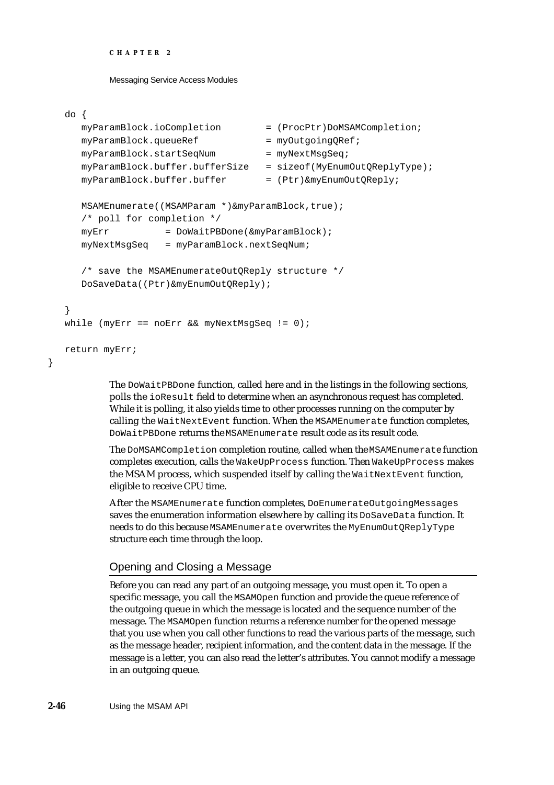```
CHAPTER 2
```
Messaging Service Access Modules

### do {

}

```
myParamBlock.ioCompletion = (ProcPtr)DoMSAMCompletion;
  mvParamBlock.queueRef = mvOutqoinqORef;
  myParamBlock.startSeqNum = myNextMsgSeq;
  myParamBlock.buffer.bufferSize = sizeof(MyEnumOutQReplyType);
  myParamBlock.buffer.buffer = (Ptr) \& myEnumOutOReply;MSAMEnumerate((MSAMParam *)&myParamBlock,true);
  /* poll for completion */
  myErr = DoWaitPBDone(&myParamBlock);
  myNextMsgSeq = myParamBlock.nextSeqNum;
  /* save the MSAMEnumerateOutQReply structure */
  DoSaveData((Ptr)&myEnumOutQReply);
}
while (myErr == noErr & myNextMsgSeq != 0);return myErr;
```
The DoWaitPBDone function, called here and in the listings in the following sections, polls the ioResult field to determine when an asynchronous request has completed. While it is polling, it also yields time to other processes running on the computer by calling the WaitNextEvent function. When the MSAMEnumerate function completes, DoWaitPBDone returns the MSAMEnumerate result code as its result code.

The DoMSAMCompletion completion routine, called when the MSAMEnumerate function completes execution, calls the WakeUpProcess function. Then WakeUpProcess makes the MSAM process, which suspended itself by calling the WaitNextEvent function, eligible to receive CPU time.

After the MSAMEnumerate function completes, DoEnumerateOutgoingMessages saves the enumeration information elsewhere by calling its DoSaveData function. It needs to do this because MSAMEnumerate overwrites the MyEnumOutQReplyType structure each time through the loop.

## Opening and Closing a Message

Before you can read any part of an outgoing message, you must open it. To open a specific message, you call the MSAMOpen function and provide the queue reference of the outgoing queue in which the message is located and the sequence number of the message. The MSAMOpen function returns a reference number for the opened message that you use when you call other functions to read the various parts of the message, such as the message header, recipient information, and the content data in the message. If the message is a letter, you can also read the letter's attributes. You cannot modify a message in an outgoing queue.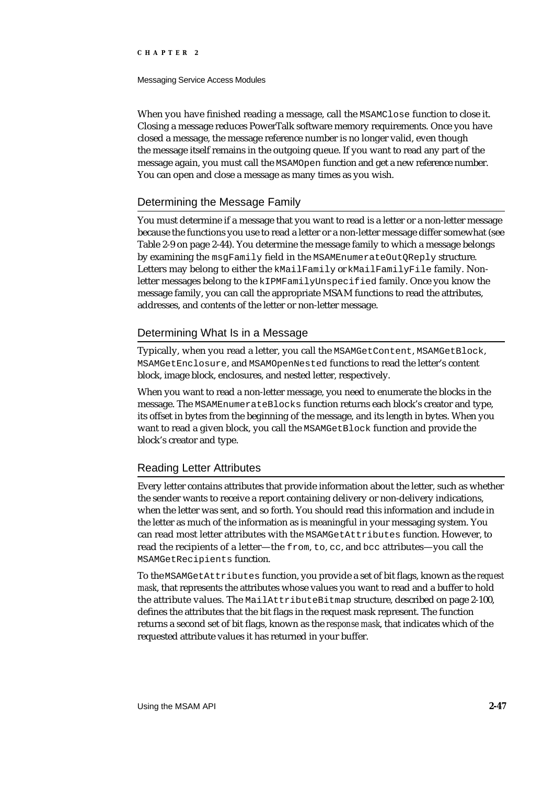#### Messaging Service Access Modules

When you have finished reading a message, call the MSAMClose function to close it. Closing a message reduces PowerTalk software memory requirements. Once you have closed a message, the message reference number is no longer valid, even though the message itself remains in the outgoing queue. If you want to read any part of the message again, you must call the MSAMOpen function and get a new reference number. You can open and close a message as many times as you wish.

### Determining the Message Family

You must determine if a message that you want to read is a letter or a non-letter message because the functions you use to read a letter or a non-letter message differ somewhat (see Table 2-9 on page 2-44). You determine the message family to which a message belongs by examining the msgFamily field in the MSAMEnumerateOutQReply structure. Letters may belong to either the kMailFamily or kMailFamilyFile family. Nonletter messages belong to the kIPMFamilyUnspecified family. Once you know the message family, you can call the appropriate MSAM functions to read the attributes, addresses, and contents of the letter or non-letter message.

### Determining What Is in a Message

Typically, when you read a letter, you call the MSAMGetContent, MSAMGetBlock, MSAMGetEnclosure, and MSAMOpenNested functions to read the letter's content block, image block, enclosures, and nested letter, respectively.

When you want to read a non-letter message, you need to enumerate the blocks in the message. The MSAMEnumerateBlocks function returns each block's creator and type, its offset in bytes from the beginning of the message, and its length in bytes. When you want to read a given block, you call the MSAMGetBlock function and provide the block's creator and type.

### Reading Letter Attributes

Every letter contains attributes that provide information about the letter, such as whether the sender wants to receive a report containing delivery or non-delivery indications, when the letter was sent, and so forth. You should read this information and include in the letter as much of the information as is meaningful in your messaging system. You can read most letter attributes with the MSAMGetAttributes function. However, to read the recipients of a letter—the from, to, cc, and bcc attributes—you call the MSAMGetRecipients function.

To the MSAMGetAttributes function, you provide a set of bit flags, known as the *request mask*, that represents the attributes whose values you want to read and a buffer to hold the attribute values. The MailAttributeBitmap structure, described on page 2-100, defines the attributes that the bit flags in the request mask represent. The function returns a second set of bit flags, known as the *response mask*, that indicates which of the requested attribute values it has returned in your buffer.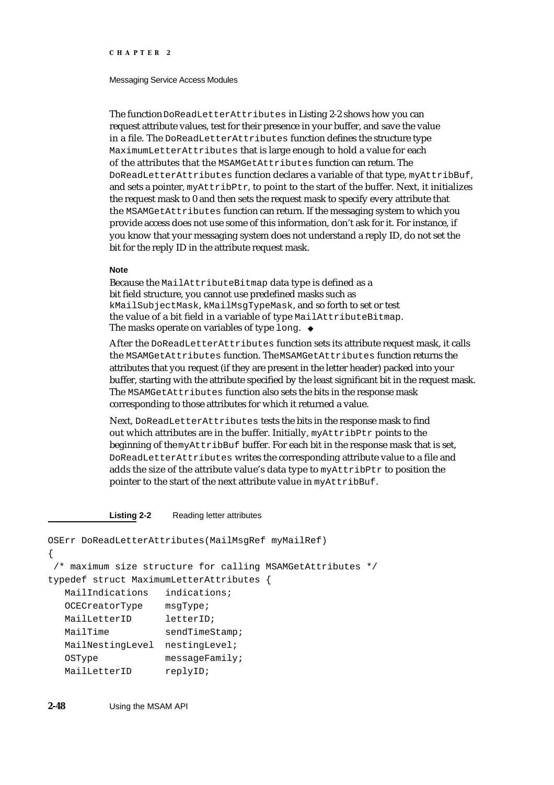#### Messaging Service Access Modules

The function DoReadLetterAttributes in Listing 2-2 shows how you can request attribute values, test for their presence in your buffer, and save the value in a file. The DoReadLetterAttributes function defines the structure type MaximumLetterAttributes that is large enough to hold a value for each of the attributes that the MSAMGetAttributes function can return. The DoReadLetterAttributes function declares a variable of that type, myAttribBuf, and sets a pointer, myAttribPtr, to point to the start of the buffer. Next, it initializes the request mask to 0 and then sets the request mask to specify every attribute that the MSAMGetAttributes function can return. If the messaging system to which you provide access does not use some of this information, don't ask for it. For instance, if you know that your messaging system does not understand a reply ID, do not set the bit for the reply ID in the attribute request mask.

#### **Note**

Because the MailAttributeBitmap data type is defined as a bit field structure, you cannot use predefined masks such as kMailSubjectMask, kMailMsgTypeMask, and so forth to set or test the value of a bit field in a variable of type MailAttributeBitmap. The masks operate on variables of type long. u

After the DoReadLetterAttributes function sets its attribute request mask, it calls the MSAMGetAttributes function. The MSAMGetAttributes function returns the attributes that you request (if they are present in the letter header) packed into your buffer, starting with the attribute specified by the least significant bit in the request mask. The MSAMGetAttributes function also sets the bits in the response mask corresponding to those attributes for which it returned a value.

Next, DoReadLetterAttributes tests the bits in the response mask to find out which attributes are in the buffer. Initially, myAttribPtr points to the beginning of the myAttribBuf buffer. For each bit in the response mask that is set, DoReadLetterAttributes writes the corresponding attribute value to a file and adds the size of the attribute value's data type to myAttribPtr to position the pointer to the start of the next attribute value in myAttribBuf.

#### **Listing 2-2** Reading letter attributes

```
OSErr DoReadLetterAttributes(MailMsgRef myMailRef)
{
 /* maximum size structure for calling MSAMGetAttributes */
typedef struct MaximumLetterAttributes { 
  MailIndications indications;
  OCECreatorType msgType;
  MailLetterID letterID;
  MailTime sendTimeStamp;
  MailNestingLevel nestingLevel;
  OSType messageFamily;
  MailLetterID replyID;
```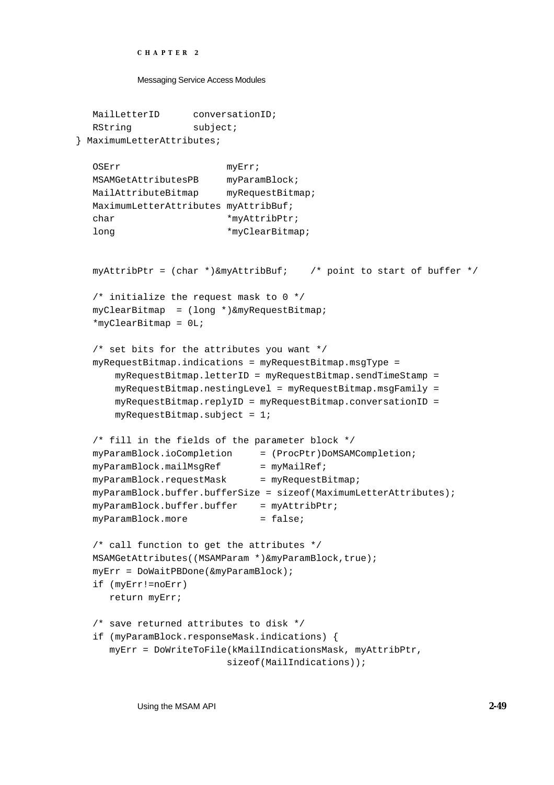```
CHAPTER 2
```

```
MailLetterID conversationID;
  RString subject;
} MaximumLetterAttributes;
  OSErr myErr;
  MSAMGetAttributesPB myParamBlock;
  MailAttributeBitmap myRequestBitmap;
  MaximumLetterAttributes myAttribBuf;
  char *myAttribPtr;
  long *myClearBitmap;
  myAttribPtr = (char *)\&myAttribBuf; /* point to start of buffer */
  /* initialize the request mask to 0 */
  myClearBitmap = (long *)&myRequestBitmap;
  *myClearBitmap = 0L;
  /* set bits for the attributes you want */
  myRequestBitmap.indications = myRequestBitmap.msgType = 
       myRequestBitmap.letterID = myRequestBitmap.sendTimeStamp =
       myRequestBitmap.nestingLevel = myRequestBitmap.msgFamily =
       myRequestBitmap.replyID = myRequestBitmap.conversationID =
      myRequestBitmap.subject = 1;/* fill in the fields of the parameter block */
  myParamBlock.ioCompletion = (ProcPtr)DoMSAMCompletion;
  myParamBlock.mailMsgRef = myMailRef;
  myParamBlock.requestMask = myRequestBitmyParamBlock.buffer.bufferSize = sizeof(MaximumLetterAttributes);
  myParamBlock.buffer.buffer = myAttribPtr;
  myParamBlock.more = false;
  /* call function to get the attributes */
  MSAMGetAttributes((MSAMParam *)&myParamBlock,true);
  myErr = DoWaitPBDone(&myParamBlock);
  if (myErr!=noErr)
     return myErr;
  /* save returned attributes to disk */
  if (myParamBlock.responseMask.indications) {
     myErr = DoWriteToFile(kMailIndicationsMask, myAttribPtr,
                         sizeof(MailIndications));
```
Using the MSAM API **2-49**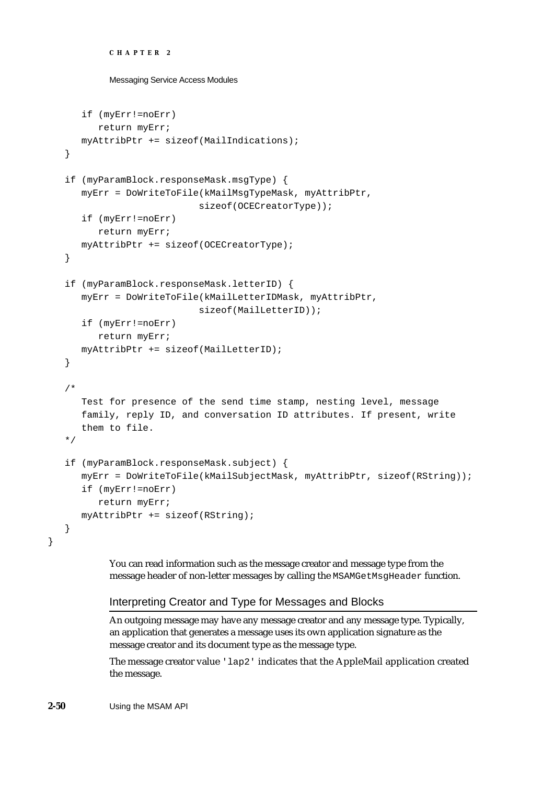```
CHAPTER 2
```

```
if (myErr!=noErr)
      return myErr;
   myAttribPtr += sizeof(MailIndications);
}
if (myParamBlock.responseMask.msgType) {
   myErr = DoWriteToFile(kMailMsgTypeMask, myAttribPtr, 
                        sizeof(OCECreatorType));
   if (myErr!=noErr)
      return myErr;
   myAttribPtr += sizeof(OCECreatorType);
}
if (myParamBlock.responseMask.letterID) {
   myErr = DoWriteToFile(kMailLetterIDMask, myAttribPtr,
                        sizeof(MailLetterID));
   if (myErr!=noErr)
      return myErr;
  myAttribPtr += sizeof(MailLetterID);
}
/* 
   Test for presence of the send time stamp, nesting level, message
   family, reply ID, and conversation ID attributes. If present, write 
   them to file.
*/
if (myParamBlock.responseMask.subject) {
   myErr = DoWriteToFile(kMailSubjectMask, myAttribPtr, sizeof(RString));
   if (myErr!=noErr)
      return myErr;
  myAttribPtr += sizeof(RString);
}
```
You can read information such as the message creator and message type from the message header of non-letter messages by calling the MSAMGetMsgHeader function.

# Interpreting Creator and Type for Messages and Blocks

An outgoing message may have any message creator and any message type. Typically, an application that generates a message uses its own application signature as the message creator and its document type as the message type.

The message creator value 'lap2' indicates that the AppleMail application created the message.

**2-50** Using the MSAM API

}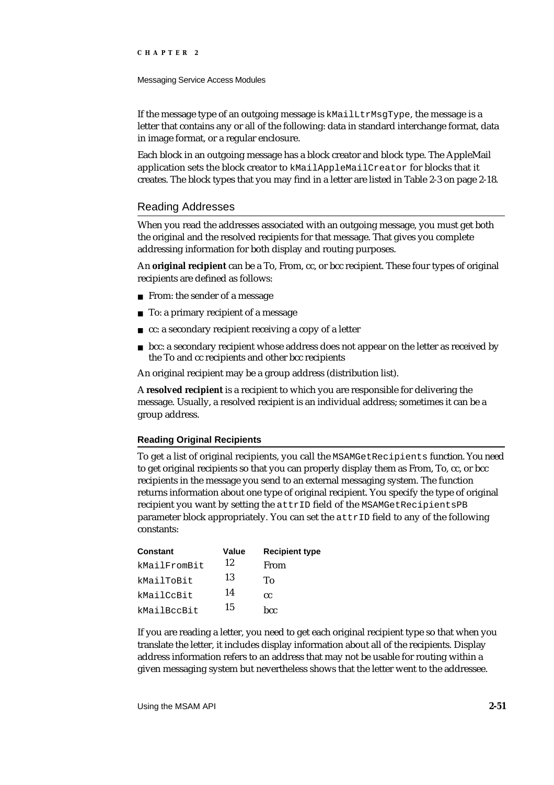Messaging Service Access Modules

If the message type of an outgoing message is kMailLtrMsgType, the message is a letter that contains any or all of the following: data in standard interchange format, data in image format, or a regular enclosure.

Each block in an outgoing message has a block creator and block type. The AppleMail application sets the block creator to kMailAppleMailCreator for blocks that it creates. The block types that you may find in a letter are listed in Table 2-3 on page 2-18.

## Reading Addresses

When you read the addresses associated with an outgoing message, you must get both the original and the resolved recipients for that message. That gives you complete addressing information for both display and routing purposes.

An **original recipient** can be a To, From, cc, or bcc recipient. These four types of original recipients are defined as follows:

- n From: the sender of a message
- To: a primary recipient of a message  $\overline{p}$
- cc: a secondary recipient receiving a copy of a letter
- bcc: a secondary recipient whose address does not appear on the letter as received by  $\overline{p}$ the To and cc recipients and other bcc recipients

An original recipient may be a group address (distribution list).

A **resolved recipient** is a recipient to which you are responsible for delivering the message. Usually, a resolved recipient is an individual address; sometimes it can be a group address.

## **Reading Original Recipients**

To get a list of original recipients, you call the MSAMGetRecipients function. You need to get original recipients so that you can properly display them as From, To, cc, or bcc recipients in the message you send to an external messaging system. The function returns information about one type of original recipient. You specify the type of original recipient you want by setting the attrID field of the MSAMGetRecipientsPB parameter block appropriately. You can set the attrID field to any of the following constants:

| <b>Constant</b> | Value | <b>Recipient type</b> |
|-----------------|-------|-----------------------|
| kMailFromBit    | 12    | From                  |
| kMailToBit      | 13    | Tο                    |
| kMailCcBit      | 14    | <b>CC</b>             |
| kMailBccBit     | 15    | hcc.                  |

If you are reading a letter, you need to get each original recipient type so that when you translate the letter, it includes display information about all of the recipients. Display address information refers to an address that may not be usable for routing within a given messaging system but nevertheless shows that the letter went to the addressee.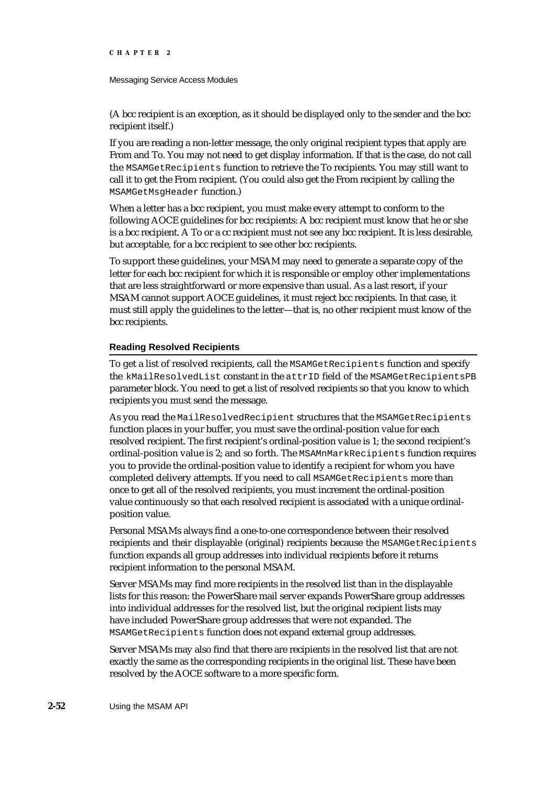#### Messaging Service Access Modules

(A bcc recipient is an exception, as it should be displayed only to the sender and the bcc recipient itself.)

If you are reading a non-letter message, the only original recipient types that apply are From and To. You may not need to get display information. If that is the case, do not call the MSAMGetRecipients function to retrieve the To recipients. You may still want to call it to get the From recipient. (You could also get the From recipient by calling the MSAMGetMsgHeader function.)

When a letter has a bcc recipient, you must make every attempt to conform to the following AOCE guidelines for bcc recipients: A bcc recipient must know that he or she is a bcc recipient. A To or a cc recipient must not see any bcc recipient. It is less desirable, but acceptable, for a bcc recipient to see other bcc recipients.

To support these guidelines, your MSAM may need to generate a separate copy of the letter for each bcc recipient for which it is responsible or employ other implementations that are less straightforward or more expensive than usual. As a last resort, if your MSAM cannot support AOCE guidelines, it must reject bcc recipients. In that case, it must still apply the guidelines to the letter—that is, no other recipient must know of the bcc recipients.

### **Reading Resolved Recipients**

To get a list of resolved recipients, call the MSAMGetRecipients function and specify the kMailResolvedList constant in the attrID field of the MSAMGetRecipientsPB parameter block. You need to get a list of resolved recipients so that you know to which recipients you must send the message.

As you read the MailResolvedRecipient structures that the MSAMGetRecipients function places in your buffer, you must save the ordinal-position value for each resolved recipient. The first recipient's ordinal-position value is 1; the second recipient's ordinal-position value is 2; and so forth. The MSAMnMarkRecipients function requires you to provide the ordinal-position value to identify a recipient for whom you have completed delivery attempts. If you need to call MSAMGetRecipients more than once to get all of the resolved recipients, you must increment the ordinal-position value continuously so that each resolved recipient is associated with a unique ordinalposition value.

Personal MSAMs always find a one-to-one correspondence between their resolved recipients and their displayable (original) recipients because the MSAMGetRecipients function expands all group addresses into individual recipients before it returns recipient information to the personal MSAM.

Server MSAMs may find more recipients in the resolved list than in the displayable lists for this reason: the PowerShare mail server expands PowerShare group addresses into individual addresses for the resolved list, but the original recipient lists may have included PowerShare group addresses that were not expanded. The MSAMGetRecipients function does not expand external group addresses.

Server MSAMs may also find that there are recipients in the resolved list that are not exactly the same as the corresponding recipients in the original list. These have been resolved by the AOCE software to a more specific form.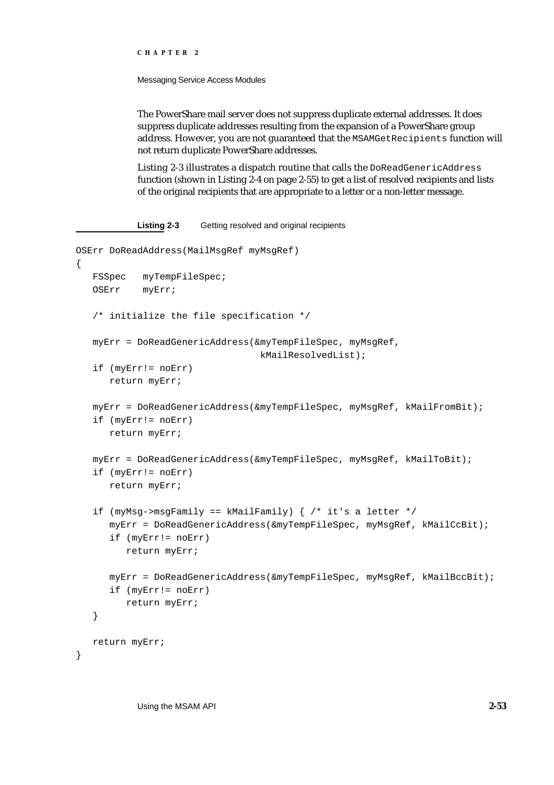Messaging Service Access Modules

The PowerShare mail server does not suppress duplicate external addresses. It does suppress duplicate addresses resulting from the expansion of a PowerShare group address. However, you are not guaranteed that the MSAMGetRecipients function will not return duplicate PowerShare addresses.

Listing 2-3 illustrates a dispatch routine that calls the DoReadGenericAddress function (shown in Listing 2-4 on page 2-55) to get a list of resolved recipients and lists of the original recipients that are appropriate to a letter or a non-letter message.

```
Listing 2-3 Getting resolved and original recipients
```

```
OSErr DoReadAddress(MailMsgRef myMsgRef) 
{
   FSSpec myTempFileSpec; 
   OSErr myErr;
   /* initialize the file specification */
   myErr = DoReadGenericAddress(&myTempFileSpec, myMsgRef,
                                 kMailResolvedList);
   if (myErr!= noErr)
     return myErr;
   myErr = DoReadGenericAddress(&myTempFileSpec, myMsgRef, kMailFromBit);
   if (myErr!= noErr)
     return myErr;
   myErr = DoReadGenericAddress(&myTempFileSpec, myMsgRef, kMailToBit);
   if (myErr!= noErr)
     return myErr;
   if (myMsg->msgFamily == kMailFamily) { /* it's a letter */myErr = DoReadGenericAddress(&myTempFileSpec, myMsgRef, kMailCcBit);
      if (myErr!= noErr)
         return myErr;
     myErr = DoReadGenericAddress(&myTempFileSpec, myMsgRef, kMailBccBit);
      if (myErr!= noErr)
         return myErr;
   }
   return myErr;
}
```
Using the MSAM API **2-53**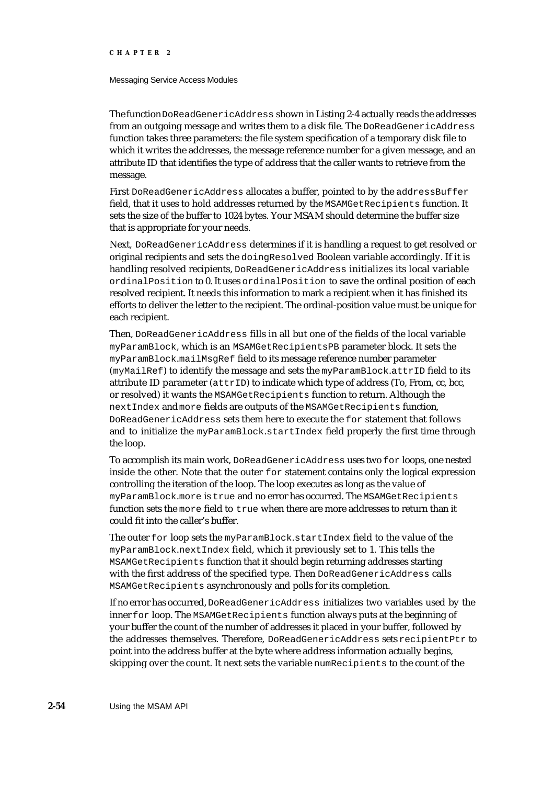#### Messaging Service Access Modules

The function DoReadGenericAddress shown in Listing 2-4 actually reads the addresses from an outgoing message and writes them to a disk file. The DoReadGenericAddress function takes three parameters: the file system specification of a temporary disk file to which it writes the addresses, the message reference number for a given message, and an attribute ID that identifies the type of address that the caller wants to retrieve from the message.

First DoReadGenericAddress allocates a buffer, pointed to by the addressBuffer field, that it uses to hold addresses returned by the MSAMGetRecipients function. It sets the size of the buffer to 1024 bytes. Your MSAM should determine the buffer size that is appropriate for your needs.

Next, DoReadGenericAddress determines if it is handling a request to get resolved or original recipients and sets the doingResolved Boolean variable accordingly. If it is handling resolved recipients, DoReadGenericAddress initializes its local variable ordinalPosition to 0. It uses ordinalPosition to save the ordinal position of each resolved recipient. It needs this information to mark a recipient when it has finished its efforts to deliver the letter to the recipient. The ordinal-position value must be unique for each recipient.

Then, DoReadGenericAddress fills in all but one of the fields of the local variable myParamBlock, which is an MSAMGetRecipientsPB parameter block. It sets the myParamBlock.mailMsgRef field to its message reference number parameter (myMailRef) to identify the message and sets the myParamBlock.attrID field to its attribute ID parameter (attrID) to indicate which type of address (To, From, cc, bcc, or resolved) it wants the MSAMGetRecipients function to return. Although the nextIndex and more fields are outputs of the MSAMGetRecipients function, DoReadGenericAddress sets them here to execute the for statement that follows and to initialize the myParamBlock.startIndex field properly the first time through the loop.

To accomplish its main work, DoReadGenericAddress uses two for loops, one nested inside the other. Note that the outer for statement contains only the logical expression controlling the iteration of the loop. The loop executes as long as the value of myParamBlock.more is true and no error has occurred. The MSAMGetRecipients function sets the more field to true when there are more addresses to return than it could fit into the caller's buffer.

The outer for loop sets the myParamBlock.startIndex field to the value of the myParamBlock.nextIndex field, which it previously set to 1. This tells the MSAMGetRecipients function that it should begin returning addresses starting with the first address of the specified type. Then DoReadGenericAddress calls MSAMGetRecipients asynchronously and polls for its completion.

If no error has occurred, DoReadGenericAddress initializes two variables used by the inner for loop. The MSAMGetRecipients function always puts at the beginning of your buffer the count of the number of addresses it placed in your buffer, followed by the addresses themselves. Therefore, DoReadGenericAddress sets recipientPtr to point into the address buffer at the byte where address information actually begins, skipping over the count. It next sets the variable numRecipients to the count of the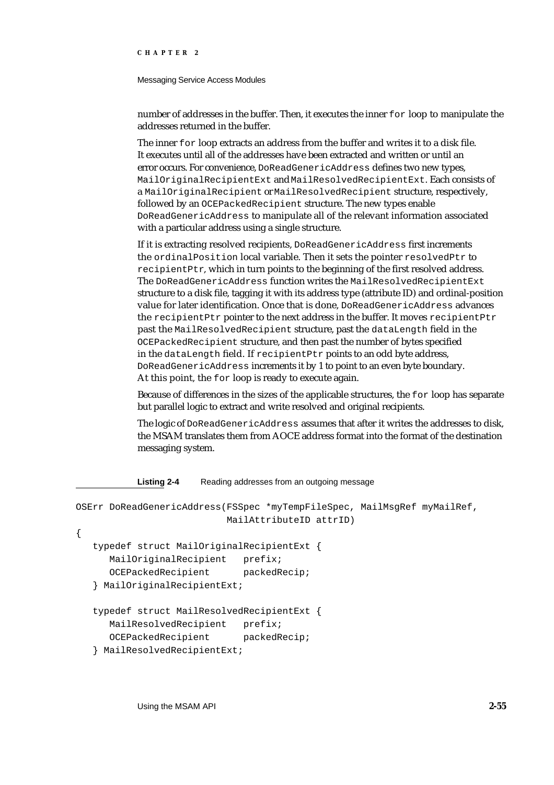#### Messaging Service Access Modules

number of addresses in the buffer. Then, it executes the inner for loop to manipulate the addresses returned in the buffer.

The inner for loop extracts an address from the buffer and writes it to a disk file. It executes until all of the addresses have been extracted and written or until an error occurs. For convenience, DoReadGenericAddress defines two new types, MailOriginalRecipientExt and MailResolvedRecipientExt. Each consists of a MailOriginalRecipient or MailResolvedRecipient structure, respectively, followed by an OCEPackedRecipient structure. The new types enable DoReadGenericAddress to manipulate all of the relevant information associated with a particular address using a single structure.

If it is extracting resolved recipients, DoReadGenericAddress first increments the ordinalPosition local variable. Then it sets the pointer resolvedPtr to recipientPtr, which in turn points to the beginning of the first resolved address. The DoReadGenericAddress function writes the MailResolvedRecipientExt structure to a disk file, tagging it with its address type (attribute ID) and ordinal-position value for later identification. Once that is done, DoReadGenericAddress advances the recipientPtr pointer to the next address in the buffer. It moves recipientPtr past the MailResolvedRecipient structure, past the dataLength field in the OCEPackedRecipient structure, and then past the number of bytes specified in the dataLength field. If recipientPtr points to an odd byte address, DoReadGenericAddress increments it by 1 to point to an even byte boundary. At this point, the for loop is ready to execute again.

Because of differences in the sizes of the applicable structures, the for loop has separate but parallel logic to extract and write resolved and original recipients.

The logic of DoReadGenericAddress assumes that after it writes the addresses to disk, the MSAM translates them from AOCE address format into the format of the destination messaging system.

Listing 2-4 Reading addresses from an outgoing message

```
OSErr DoReadGenericAddress(FSSpec *myTempFileSpec, MailMsgRef myMailRef,
                          MailAttributeID attrID)
{
  typedef struct MailOriginalRecipientExt {
     MailOriginalRecipient prefix;
     OCEPackedRecipient packedRecip;
   } MailOriginalRecipientExt;
  typedef struct MailResolvedRecipientExt {
     MailResolvedRecipient prefix;
     OCEPackedRecipient packedRecip;
   } MailResolvedRecipientExt;
```
Using the MSAM API **2-55**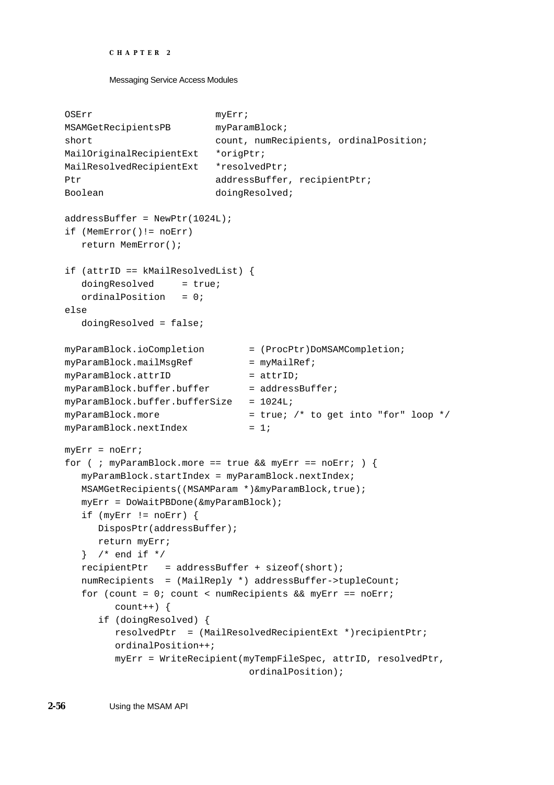```
CHAPTER 2
```

```
OSErr myErr;
MSAMGetRecipientsPB myParamBlock;
short count, numRecipients, ordinalPosition;
MailOriginalRecipientExt *origPtr;
MailResolvedRecipientExt *resolvedPtr;
Ptr addressBuffer, recipientPtr;
Boolean doingResolved;
addressBuffer = NewPtr(1024L);
if (MemError()!= noErr)
  return MemError();
if (attrID == kMailResolvedList) {
  doinqResolved = true;
  ordinalPosition = 0;
else
  doingResolved = false;
myParamBlock.ioCompletion = (ProcPtr)DoMSAMCompletion;
myParamBlock.mailMsgRef = myMailRef;
myParamBlock.attrID = attrID;
myParamBlock.buffer.buffer = addressBuffer;
myParamBlock.buffer.buffersize = 1024LimyParamBlock.more = true; /* to get into "for" loop */
myParamBlock.nextIndex = 1;
myErr = noErr;
for ( ; myParamBlock.more == true && myErr == noErr; ) {
  myParamBlock.startIndex = myParamBlock.nextIndex;
  MSAMGetRecipients((MSAMParam *)&myParamBlock,true);
  myErr = DoWaitPBDone(&myParamBlock);
  if (myErr != noErr) {
     DisposPtr(addressBuffer);
     return myErr;
  } /* end if */
  recipientPtr = addressBuffer + sizeof(short);numRecipients = (MailReply *) addressBuffer->tupleCount;
  for (count = 0; count < numRecipients && myErr == noErr;
        count++) {
     if (doingResolved) {
        resolvedPtr = (MailResolvedRecipientExt *)recipientPtr;
        ordinalPosition++;
        myErr = WriteRecipient(myTempFileSpec, attrID, resolvedPtr,
                             ordinalPosition);
```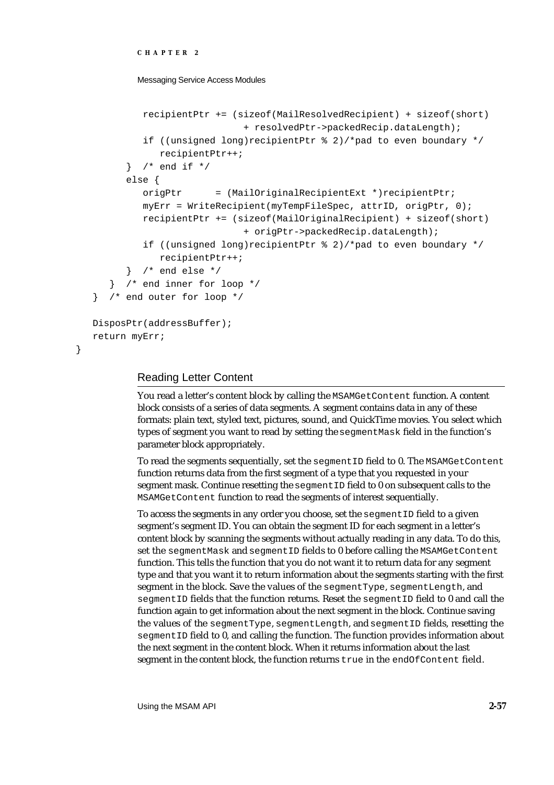```
CHAPTER 2
```

```
recipientPtr += (sizeof(MailResolvedRecipient) + sizeof(short)
                           + resolvedPtr->packedRecip.dataLength);
         if ((unsigned long)recipientPtr \frac{1}{2} 2)/*pad to even boundary */
            recipientPtr++;
      } /* end if */
      else {
         origPtr = (MailOriginalRecipientExt *)recipientPtr;
         myErr = WriteRecipient(myTempFileSpec, attrID, origPtr, 0);
         recipientPtr += (sizeof(MailOriginalRecipient) + sizeof(short) 
                           + origPtr->packedRecip.dataLength);
         if ((unsigned long)recipientPtr % 2)/*pad to even boundary */
            recipientPtr++;
      } /* end else */
   } /* end inner for loop */
} /* end outer for loop */
DisposPtr(addressBuffer);
return myErr;
```
# Reading Letter Content

}

You read a letter's content block by calling the MSAMGetContent function. A content block consists of a series of data segments. A segment contains data in any of these formats: plain text, styled text, pictures, sound, and QuickTime movies. You select which types of segment you want to read by setting the segmentMask field in the function's parameter block appropriately.

To read the segments sequentially, set the segmentID field to 0. The MSAMGetContent function returns data from the first segment of a type that you requested in your segment mask. Continue resetting the segment ID field to 0 on subsequent calls to the MSAMGetContent function to read the segments of interest sequentially.

To access the segments in any order you choose, set the segmentID field to a given segment's segment ID. You can obtain the segment ID for each segment in a letter's content block by scanning the segments without actually reading in any data. To do this, set the segmentMask and segmentID fields to 0 before calling the MSAMGetContent function. This tells the function that you do not want it to return data for any segment type and that you want it to return information about the segments starting with the first segment in the block. Save the values of the segmentType, segmentLength, and segmentID fields that the function returns. Reset the segmentID field to 0 and call the function again to get information about the next segment in the block. Continue saving the values of the segmentType, segmentLength, and segmentID fields, resetting the segmentID field to 0, and calling the function. The function provides information about the next segment in the content block. When it returns information about the last segment in the content block, the function returns true in the endOfContent field.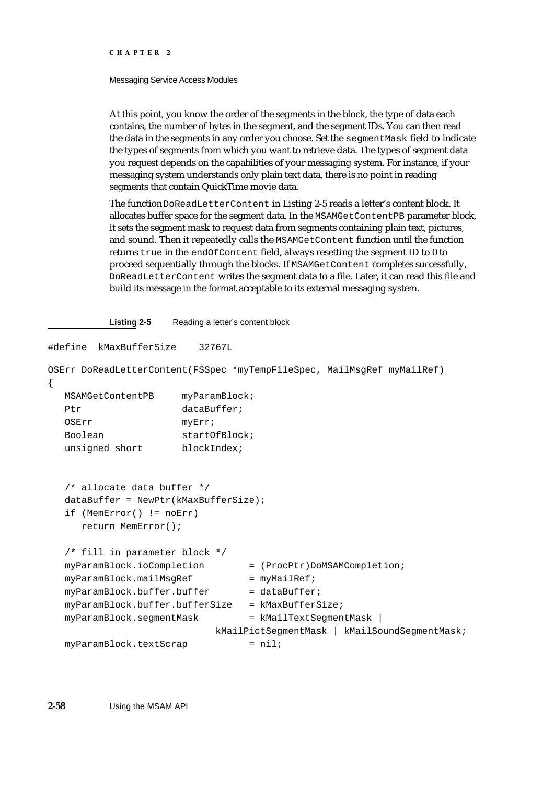#### Messaging Service Access Modules

At this point, you know the order of the segments in the block, the type of data each contains, the number of bytes in the segment, and the segment IDs. You can then read the data in the segments in any order you choose. Set the segmentMask field to indicate the types of segments from which you want to retrieve data. The types of segment data you request depends on the capabilities of your messaging system. For instance, if your messaging system understands only plain text data, there is no point in reading segments that contain QuickTime movie data.

The function DoReadLetterContent in Listing 2-5 reads a letter's content block. It allocates buffer space for the segment data. In the MSAMGetContentPB parameter block, it sets the segment mask to request data from segments containing plain text, pictures, and sound. Then it repeatedly calls the MSAMGetContent function until the function returns true in the endOfContent field, always resetting the segment ID to 0 to proceed sequentially through the blocks. If MSAMGetContent completes successfully, DoReadLetterContent writes the segment data to a file. Later, it can read this file and build its message in the format acceptable to its external messaging system.

#### **Listing 2-5** Reading a letter's content block

```
#define kMaxBufferSize 32767L
OSErr DoReadLetterContent(FSSpec *myTempFileSpec, MailMsgRef myMailRef)
{
  MSAMGetContentPB myParamBlock;
  Ptr dataBuffer;
  OSErr myErr;
  Boolean startOfBlock;
  unsigned short blockIndex;
  /* allocate data buffer */
  dataBuffer = NewPtr(kMaxBufferSize);if (MemError() != noErr)
     return MemError();
  /* fill in parameter block */
  myParamBlock.ioCompletion = (ProcPtr)DoMSAMCompletion;
  myParamBlock.mainloop.mailMsqRef = myMailRef;
  myParamBlock.buffer.buffer = dataBuffermyParamBlock.buffer.bufferSize = kMaxBufferSize;
  myParamBlock.\n    segmentMask = kMailTextSegmentMask |
                          kMailPictSegmentMask | kMailSoundSegmentMask; 
  myParamBlock.textScrap = nil;
```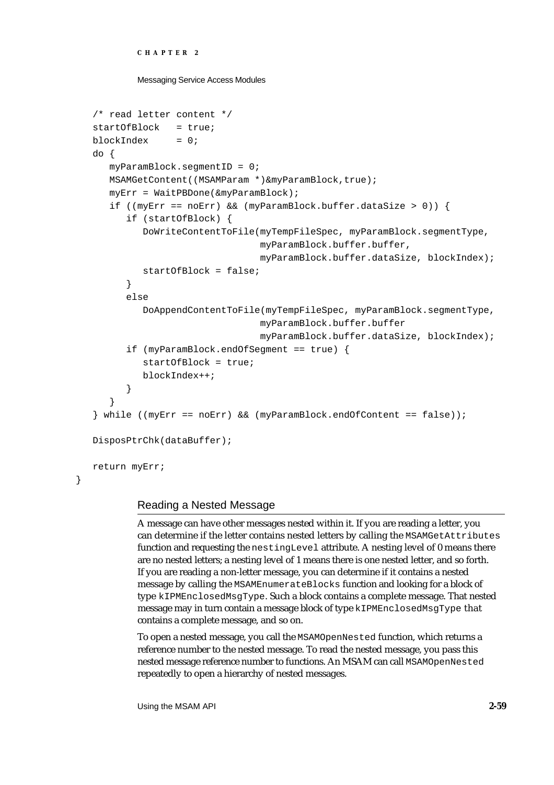```
CHAPTER 2
```

```
/* read letter content */
startOfBlock = true;
blockIndex = 0;do {
   myParamBlock.segmentID = 0;
  MSAMGetContent((MSAMParam *)&myParamBlock,true);
   myErr = WaitPBDone(&myParamBlock);
   if ((myErr == noErr) && (myParamBlock.buffer.dataSize > 0)) {
      if (startOfBlock) {
         DoWriteContentToFile(myTempFileSpec, myParamBlock.segmentType, 
                              myParamBlock.buffer.buffer,
                              myParamBlock.buffer.dataSize, blockIndex);
         startOfBlock = false;
      }
      else
         DoAppendContentToFile(myTempFileSpec, myParamBlock.segmentType, 
                              myParamBlock.buffer.buffer
                              myParamBlock.buffer.dataSize, blockIndex);
      if (myParamBlock.endOfSegment == true) {
         startOfBlock = true;
         blockIndex++;
      }
   }
} while ((myErr == noErr) && (myParamBlock.endOfContent == false));
DisposPtrChk(dataBuffer);
return myErr;
```
# Reading a Nested Message

}

A message can have other messages nested within it. If you are reading a letter, you can determine if the letter contains nested letters by calling the MSAMGetAttributes function and requesting the nestingLevel attribute. A nesting level of 0 means there are no nested letters; a nesting level of 1 means there is one nested letter, and so forth. If you are reading a non-letter message, you can determine if it contains a nested message by calling the MSAMEnumerateBlocks function and looking for a block of type kIPMEnclosedMsgType. Such a block contains a complete message. That nested message may in turn contain a message block of type kIPMEnclosedMsgType that contains a complete message, and so on.

To open a nested message, you call the MSAMOpenNested function, which returns a reference number to the nested message. To read the nested message, you pass this nested message reference number to functions. An MSAM can call MSAMOpenNested repeatedly to open a hierarchy of nested messages.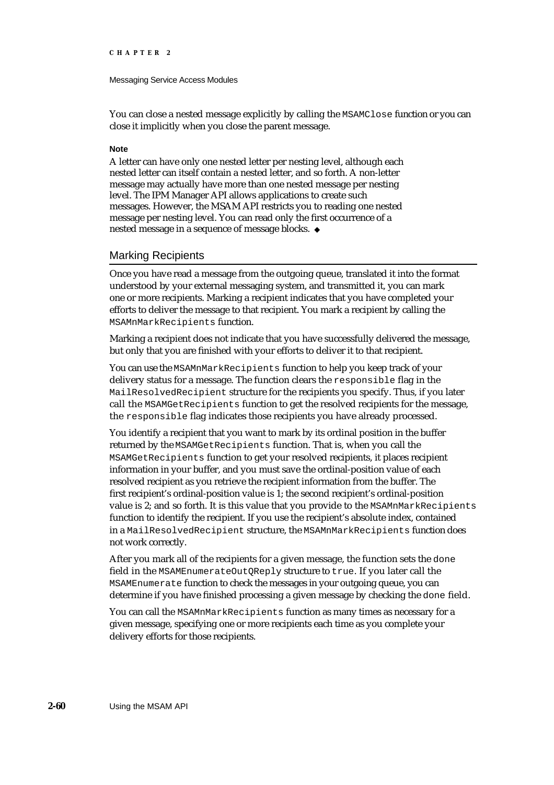#### Messaging Service Access Modules

You can close a nested message explicitly by calling the MSAMClose function or you can close it implicitly when you close the parent message.

#### **Note**

A letter can have only one nested letter per nesting level, although each nested letter can itself contain a nested letter, and so forth. A non-letter message may actually have more than one nested message per nesting level. The IPM Manager API allows applications to create such messages. However, the MSAM API restricts you to reading one nested message per nesting level. You can read only the first occurrence of a nested message in a sequence of message blocks.

## Marking Recipients

Once you have read a message from the outgoing queue, translated it into the format understood by your external messaging system, and transmitted it, you can mark one or more recipients. Marking a recipient indicates that you have completed your efforts to deliver the message to that recipient. You mark a recipient by calling the MSAMnMarkRecipients function.

Marking a recipient does not indicate that you have successfully delivered the message, but only that you are finished with your efforts to deliver it to that recipient.

You can use the MSAMnMarkRecipients function to help you keep track of your delivery status for a message. The function clears the responsible flag in the MailResolvedRecipient structure for the recipients you specify. Thus, if you later call the MSAMGetRecipients function to get the resolved recipients for the message, the responsible flag indicates those recipients you have already processed.

You identify a recipient that you want to mark by its ordinal position in the buffer returned by the MSAMGetRecipients function. That is, when you call the MSAMGetRecipients function to get your resolved recipients, it places recipient information in your buffer, and you must save the ordinal-position value of each resolved recipient as you retrieve the recipient information from the buffer. The first recipient's ordinal-position value is 1; the second recipient's ordinal-position value is 2; and so forth. It is this value that you provide to the MSAMnMarkRecipients function to identify the recipient. If you use the recipient's absolute index, contained in a MailResolvedRecipient structure, the MSAMnMarkRecipients function does not work correctly.

After you mark all of the recipients for a given message, the function sets the done field in the MSAMEnumerateOutQReply structure to true. If you later call the MSAMEnumerate function to check the messages in your outgoing queue, you can determine if you have finished processing a given message by checking the done field.

You can call the MSAMnMarkRecipients function as many times as necessary for a given message, specifying one or more recipients each time as you complete your delivery efforts for those recipients.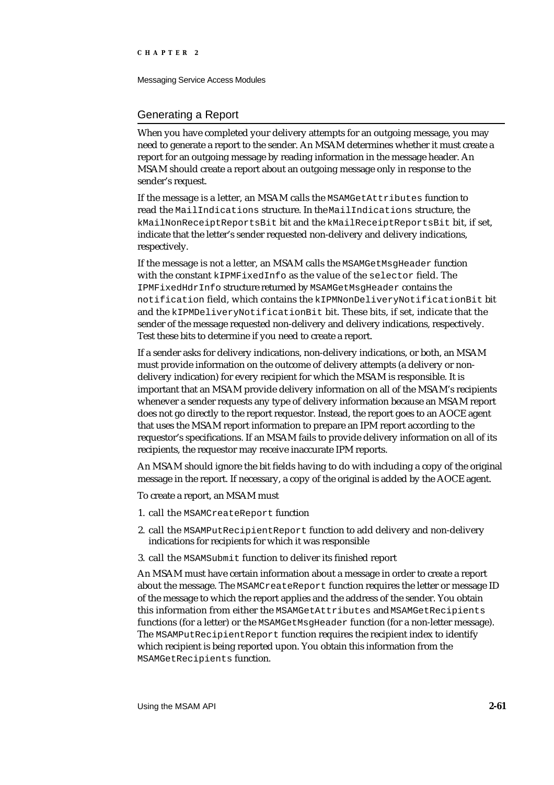Messaging Service Access Modules

## Generating a Report

When you have completed your delivery attempts for an outgoing message, you may need to generate a report to the sender. An MSAM determines whether it must create a report for an outgoing message by reading information in the message header. An MSAM should create a report about an outgoing message only in response to the sender's request.

If the message is a letter, an MSAM calls the MSAMGetAttributes function to read the MailIndications structure. In the MailIndications structure, the kMailNonReceiptReportsBit bit and the kMailReceiptReportsBit bit, if set, indicate that the letter's sender requested non-delivery and delivery indications, respectively.

If the message is not a letter, an MSAM calls the MSAMGetMsgHeader function with the constant kIPMFixedInfo as the value of the selector field. The IPMFixedHdrInfo structure returned by MSAMGetMsgHeader contains the notification field, which contains the kIPMNonDeliveryNotificationBit bit and the kIPMDeliveryNotificationBit bit. These bits, if set, indicate that the sender of the message requested non-delivery and delivery indications, respectively. Test these bits to determine if you need to create a report.

If a sender asks for delivery indications, non-delivery indications, or both, an MSAM must provide information on the outcome of delivery attempts (a delivery or nondelivery indication) for every recipient for which the MSAM is responsible. It is important that an MSAM provide delivery information on all of the MSAM's recipients whenever a sender requests any type of delivery information because an MSAM report does not go directly to the report requestor. Instead, the report goes to an AOCE agent that uses the MSAM report information to prepare an IPM report according to the requestor's specifications. If an MSAM fails to provide delivery information on all of its recipients, the requestor may receive inaccurate IPM reports.

An MSAM should ignore the bit fields having to do with including a copy of the original message in the report. If necessary, a copy of the original is added by the AOCE agent.

To create a report, an MSAM must

- 1. call the MSAMCreateReport function
- 2. call the MSAMPutRecipientReport function to add delivery and non-delivery indications for recipients for which it was responsible
- 3. call the MSAMSubmit function to deliver its finished report

An MSAM must have certain information about a message in order to create a report about the message. The MSAMCreateReport function requires the letter or message ID of the message to which the report applies and the address of the sender. You obtain this information from either the MSAMGetAttributes and MSAMGetRecipients functions (for a letter) or the MSAMGetMsqHeader function (for a non-letter message). The MSAMPutRecipientReport function requires the recipient index to identify which recipient is being reported upon. You obtain this information from the MSAMGetRecipients function.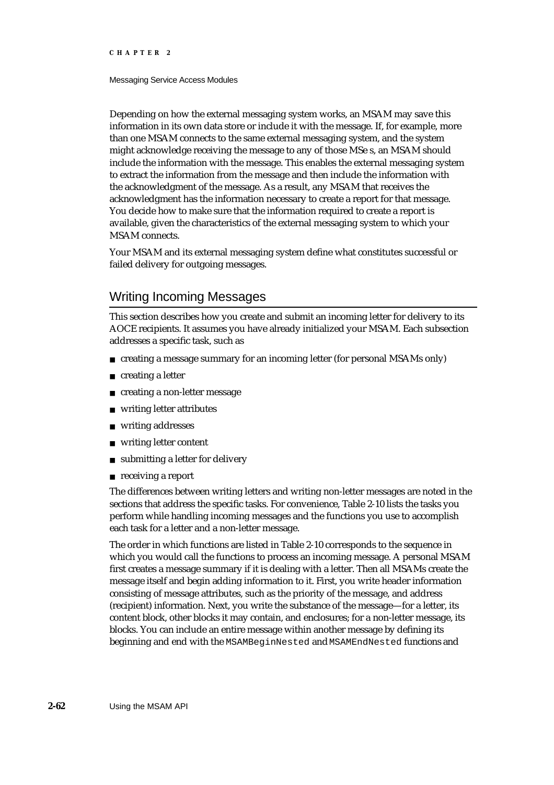#### Messaging Service Access Modules

Depending on how the external messaging system works, an MSAM may save this information in its own data store or include it with the message. If, for example, more than one MSAM connects to the same external messaging system, and the system might acknowledge receiving the message to any of those MSe s, an MSAM should include the information with the message. This enables the external messaging system to extract the information from the message and then include the information with the acknowledgment of the message. As a result, any MSAM that receives the acknowledgment has the information necessary to create a report for that message. You decide how to make sure that the information required to create a report is available, given the characteristics of the external messaging system to which your MSAM connects.

Your MSAM and its external messaging system define what constitutes successful or failed delivery for outgoing messages.

# Writing Incoming Messages

This section describes how you create and submit an incoming letter for delivery to its AOCE recipients. It assumes you have already initialized your MSAM. Each subsection addresses a specific task, such as

- creating a message summary for an incoming letter (for personal MSAMs only)
- creating a letter n.
- creating a non-letter message n.
- writing letter attributes
- writing addresses n.
- writing letter content n.
- submitting a letter for delivery n.
- receiving a report

The differences between writing letters and writing non-letter messages are noted in the sections that address the specific tasks. For convenience, Table 2-10 lists the tasks you perform while handling incoming messages and the functions you use to accomplish each task for a letter and a non-letter message.

The order in which functions are listed in Table 2-10 corresponds to the sequence in which you would call the functions to process an incoming message. A personal MSAM first creates a message summary if it is dealing with a letter. Then all MSAMs create the message itself and begin adding information to it. First, you write header information consisting of message attributes, such as the priority of the message, and address (recipient) information. Next, you write the substance of the message—for a letter, its content block, other blocks it may contain, and enclosures; for a non-letter message, its blocks. You can include an entire message within another message by defining its beginning and end with the MSAMBeginNested and MSAMEndNested functions and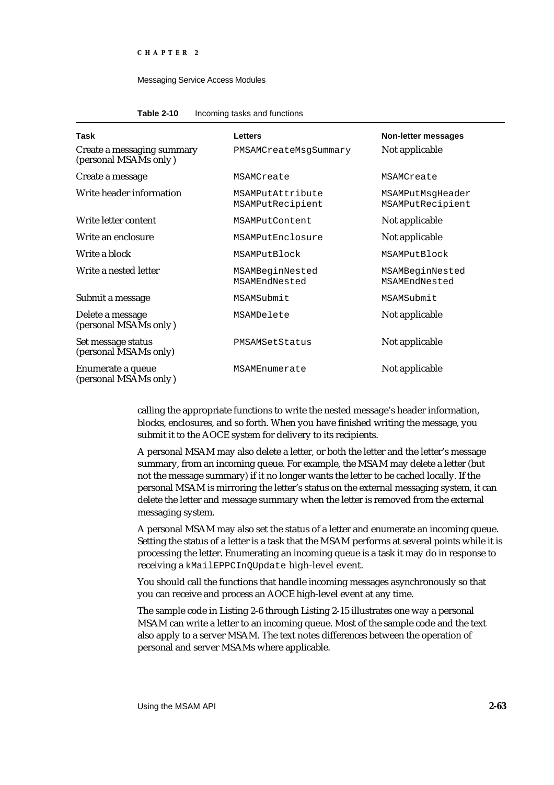#### **Table 2-10** Incoming tasks and functions

| Task                                                | <b>Letters</b>                       | Non-letter messages                  |
|-----------------------------------------------------|--------------------------------------|--------------------------------------|
| Create a messaging summary<br>(personal MSAMs only) | PMSAMCreateMsqSummary                | Not applicable                       |
| Create a message                                    | MSAMCreate                           | MSAMCreate                           |
| Write header information                            | MSAMPutAttribute<br>MSAMPutRecipient | MSAMPutMsqHeader<br>MSAMPutRecipient |
| Write letter content                                | MSAMPutContent                       | Not applicable                       |
| Write an enclosure                                  | MSAMPutEnclosure                     | Not applicable                       |
| Write a block                                       | MSAMPutBlock                         | MSAMPutBlock                         |
| Write a nested letter                               | MSAMBeginNested<br>MSAMEndNested     | MSAMBeginNested<br>MSAMEndNested     |
| Submit a message                                    | MSAMSubmit                           | MSAMSubmit                           |
| Delete a message<br>(personal MSAMs only)           | MSAMDelete                           | Not applicable                       |
| Set message status<br>(personal MSAMs only)         | PMSAMSetStatus                       | Not applicable                       |
| Enumerate a queue<br>(personal MSAMs only)          | MSAMEnumerate                        | Not applicable                       |

calling the appropriate functions to write the nested message's header information, blocks, enclosures, and so forth. When you have finished writing the message, you submit it to the AOCE system for delivery to its recipients.

A personal MSAM may also delete a letter, or both the letter and the letter's message summary, from an incoming queue. For example, the MSAM may delete a letter (but not the message summary) if it no longer wants the letter to be cached locally. If the personal MSAM is mirroring the letter's status on the external messaging system, it can delete the letter and message summary when the letter is removed from the external messaging system.

A personal MSAM may also set the status of a letter and enumerate an incoming queue. Setting the status of a letter is a task that the MSAM performs at several points while it is processing the letter. Enumerating an incoming queue is a task it may do in response to receiving a kMailEPPCInQUpdate high-level event.

You should call the functions that handle incoming messages asynchronously so that you can receive and process an AOCE high-level event at any time.

The sample code in Listing 2-6 through Listing 2-15 illustrates one way a personal MSAM can write a letter to an incoming queue. Most of the sample code and the text also apply to a server MSAM. The text notes differences between the operation of personal and server MSAMs where applicable.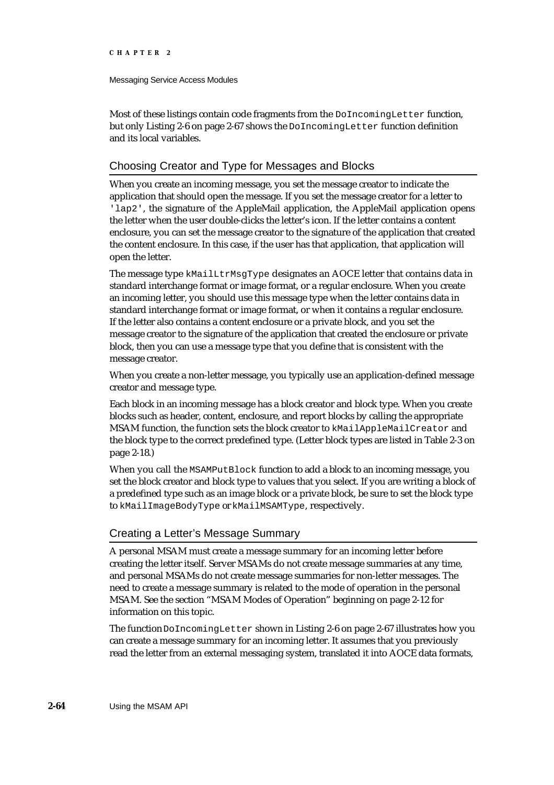#### Messaging Service Access Modules

Most of these listings contain code fragments from the DoIncomingLetter function, but only Listing 2-6 on page 2-67 shows the DoIncomingLetter function definition and its local variables.

# Choosing Creator and Type for Messages and Blocks

When you create an incoming message, you set the message creator to indicate the application that should open the message. If you set the message creator for a letter to 'lap2', the signature of the AppleMail application, the AppleMail application opens the letter when the user double-clicks the letter's icon. If the letter contains a content enclosure, you can set the message creator to the signature of the application that created the content enclosure. In this case, if the user has that application, that application will open the letter.

The message type kMailLtrMsgType designates an AOCE letter that contains data in standard interchange format or image format, or a regular enclosure. When you create an incoming letter, you should use this message type when the letter contains data in standard interchange format or image format, or when it contains a regular enclosure. If the letter also contains a content enclosure or a private block, and you set the message creator to the signature of the application that created the enclosure or private block, then you can use a message type that you define that is consistent with the message creator.

When you create a non-letter message, you typically use an application-defined message creator and message type.

Each block in an incoming message has a block creator and block type. When you create blocks such as header, content, enclosure, and report blocks by calling the appropriate MSAM function, the function sets the block creator to kMailAppleMailCreator and the block type to the correct predefined type. (Letter block types are listed in Table 2-3 on page 2-18.)

When you call the MSAMPutBlock function to add a block to an incoming message, you set the block creator and block type to values that you select. If you are writing a block of a predefined type such as an image block or a private block, be sure to set the block type to kMailImageBodyType or kMailMSAMType, respectively.

## Creating a Letter's Message Summary

A personal MSAM must create a message summary for an incoming letter before creating the letter itself. Server MSAMs do not create message summaries at any time, and personal MSAMs do not create message summaries for non-letter messages. The need to create a message summary is related to the mode of operation in the personal MSAM. See the section "MSAM Modes of Operation" beginning on page 2-12 for information on this topic.

The function DoIncomingLetter shown in Listing 2-6 on page 2-67 illustrates how you can create a message summary for an incoming letter. It assumes that you previously read the letter from an external messaging system, translated it into AOCE data formats,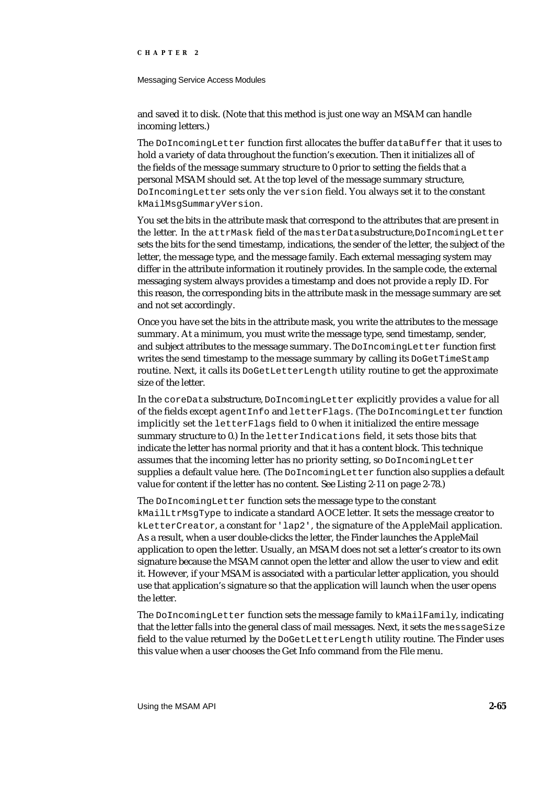#### Messaging Service Access Modules

and saved it to disk. (Note that this method is just one way an MSAM can handle incoming letters.)

The DoIncomingLetter function first allocates the buffer dataBuffer that it uses to hold a variety of data throughout the function's execution. Then it initializes all of the fields of the message summary structure to 0 prior to setting the fields that a personal MSAM should set. At the top level of the message summary structure, DoIncomingLetter sets only the version field. You always set it to the constant kMailMsgSummaryVersion.

You set the bits in the attribute mask that correspond to the attributes that are present in the letter. In the attrMask field of the masterData substructure, DoIncomingLetter sets the bits for the send timestamp, indications, the sender of the letter, the subject of the letter, the message type, and the message family. Each external messaging system may differ in the attribute information it routinely provides. In the sample code, the external messaging system always provides a timestamp and does not provide a reply ID. For this reason, the corresponding bits in the attribute mask in the message summary are set and not set accordingly.

Once you have set the bits in the attribute mask, you write the attributes to the message summary. At a minimum, you must write the message type, send timestamp, sender, and subject attributes to the message summary. The DoIncomingLetter function first writes the send timestamp to the message summary by calling its DoGetTimeStamp routine. Next, it calls its DoGetLetterLength utility routine to get the approximate size of the letter.

In the coreData substructure, DoIncomingLetter explicitly provides a value for all of the fields except agentInfo and letterFlags. (The DoIncomingLetter function implicitly set the letterFlags field to 0 when it initialized the entire message summary structure to 0.) In the letterIndications field, it sets those bits that indicate the letter has normal priority and that it has a content block. This technique assumes that the incoming letter has no priority setting, so DoIncomingLetter supplies a default value here. (The DoIncomingLetter function also supplies a default value for content if the letter has no content. See Listing 2-11 on page 2-78.)

The DoIncomingLetter function sets the message type to the constant kMailLtrMsgType to indicate a standard AOCE letter. It sets the message creator to kLetterCreator, a constant for 'lap2', the signature of the AppleMail application. As a result, when a user double-clicks the letter, the Finder launches the AppleMail application to open the letter. Usually, an MSAM does not set a letter's creator to its own signature because the MSAM cannot open the letter and allow the user to view and edit it. However, if your MSAM is associated with a particular letter application, you should use that application's signature so that the application will launch when the user opens the letter.

The DoIncomingLetter function sets the message family to kMailFamily, indicating that the letter falls into the general class of mail messages. Next, it sets the messageSize field to the value returned by the DoGetLetterLength utility routine. The Finder uses this value when a user chooses the Get Info command from the File menu.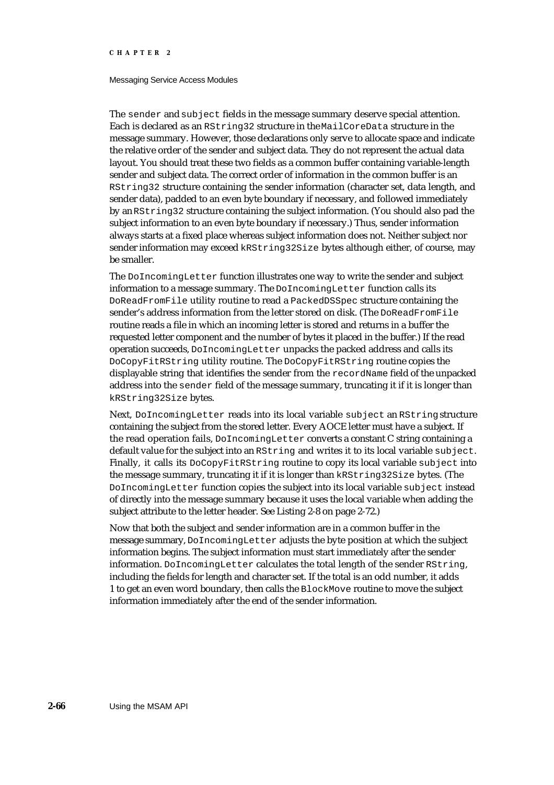#### Messaging Service Access Modules

The sender and subject fields in the message summary deserve special attention. Each is declared as an RString32 structure in the MailCoreData structure in the message summary. However, those declarations only serve to allocate space and indicate the relative order of the sender and subject data. They do not represent the actual data layout. You should treat these two fields as a common buffer containing variable-length sender and subject data. The correct order of information in the common buffer is an RString32 structure containing the sender information (character set, data length, and sender data), padded to an even byte boundary if necessary, and followed immediately by an RString32 structure containing the subject information. (You should also pad the subject information to an even byte boundary if necessary.) Thus, sender information always starts at a fixed place whereas subject information does not. Neither subject nor sender information may exceed kRString32Size bytes although either, of course, may be smaller.

The DoIncomingLetter function illustrates one way to write the sender and subject information to a message summary. The DoIncomingLetter function calls its DoReadFromFile utility routine to read a PackedDSSpec structure containing the sender's address information from the letter stored on disk. (The DoReadFromFile routine reads a file in which an incoming letter is stored and returns in a buffer the requested letter component and the number of bytes it placed in the buffer.) If the read operation succeeds, DoIncomingLetter unpacks the packed address and calls its DoCopyFitRString utility routine. The DoCopyFitRString routine copies the displayable string that identifies the sender from the recordName field of the unpacked address into the sender field of the message summary, truncating it if it is longer than kRString32Size bytes.

Next, DoIncomingLetter reads into its local variable subject an RString structure containing the subject from the stored letter. Every AOCE letter must have a subject. If the read operation fails, DoIncomingLetter converts a constant C string containing a default value for the subject into an RString and writes it to its local variable subject. Finally, it calls its DoCopyFitRString routine to copy its local variable subject into the message summary, truncating it if it is longer than kRString32Size bytes. (The DoIncomingLetter function copies the subject into its local variable subject instead of directly into the message summary because it uses the local variable when adding the subject attribute to the letter header. See Listing 2-8 on page 2-72.)

Now that both the subject and sender information are in a common buffer in the message summary, DoIncomingLetter adjusts the byte position at which the subject information begins. The subject information must start immediately after the sender information. DoIncomingLetter calculates the total length of the sender RString, including the fields for length and character set. If the total is an odd number, it adds 1 to get an even word boundary, then calls the BlockMove routine to move the subject information immediately after the end of the sender information.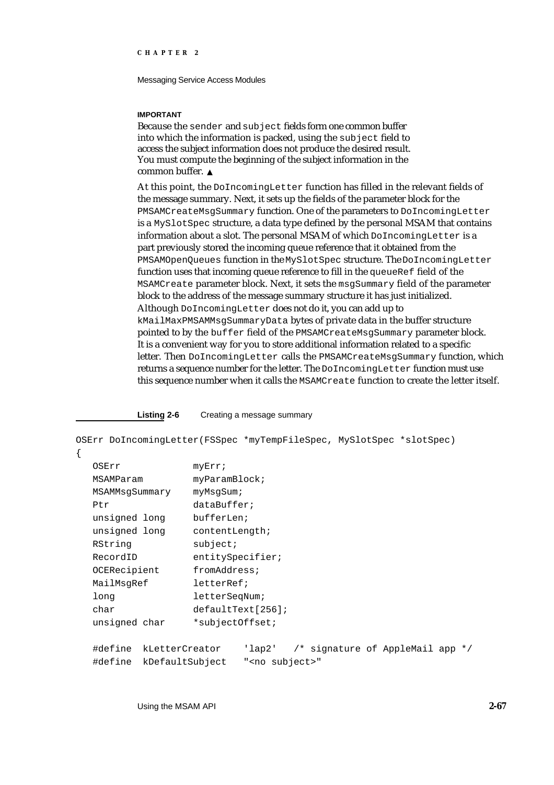Messaging Service Access Modules

#### **IMPORTANT**

Because the sender and subject fields form one common buffer into which the information is packed, using the subject field to access the subject information does not produce the desired result. You must compute the beginning of the subject information in the common buffer.

At this point, the DoIncomingLetter function has filled in the relevant fields of the message summary. Next, it sets up the fields of the parameter block for the PMSAMCreateMsgSummary function. One of the parameters to DoIncomingLetter is a MySlotSpec structure, a data type defined by the personal MSAM that contains information about a slot. The personal MSAM of which DoIncomingLetter is a part previously stored the incoming queue reference that it obtained from the PMSAMOpenQueues function in the MySlotSpec structure. The DoIncomingLetter function uses that incoming queue reference to fill in the queueRef field of the MSAMCreate parameter block. Next, it sets the msgSummary field of the parameter block to the address of the message summary structure it has just initialized. Although DoIncomingLetter does not do it, you can add up to kMailMaxPMSAMMsgSummaryData bytes of private data in the buffer structure pointed to by the buffer field of the PMSAMCreateMsgSummary parameter block. It is a convenient way for you to store additional information related to a specific letter. Then DoIncomingLetter calls the PMSAMCreateMsgSummary function, which returns a sequence number for the letter. The DoIncomingLetter function must use this sequence number when it calls the MSAMCreate function to create the letter itself.

**Listing 2-6** Creating a message summary

OSErr DoIncomingLetter(FSSpec \*myTempFileSpec, MySlotSpec \*slotSpec)

| ٠ |  |
|---|--|
|   |  |
| ٠ |  |

| OSErr          |                         | myErr;               |                         |  |                                            |  |
|----------------|-------------------------|----------------------|-------------------------|--|--------------------------------------------|--|
| MSAMParam      |                         | myParamBlock         |                         |  |                                            |  |
| MSAMMsqSummary |                         | myMsqSum;            |                         |  |                                            |  |
| Ptr            |                         | dataBuffer;          |                         |  |                                            |  |
| unsigned long  |                         | bufferLen;           |                         |  |                                            |  |
| unsigned long  |                         | contentLength;       |                         |  |                                            |  |
| RString        |                         | subject;             |                         |  |                                            |  |
| RecordID       |                         | entitySpecifier;     |                         |  |                                            |  |
| OCERecipient   |                         | fromAddress;         |                         |  |                                            |  |
| MailMsqRef     |                         | letterRef;           |                         |  |                                            |  |
| long           |                         | letterSegNum;        |                         |  |                                            |  |
| char           |                         | $defaultText[256]$ ; |                         |  |                                            |  |
| unsigned char  |                         | *subjectOffset;      |                         |  |                                            |  |
|                |                         |                      |                         |  |                                            |  |
|                | #define kLetterCreator  |                      |                         |  | $'$ lap2' /* signature of AppleMail app */ |  |
|                | #define kDefaultSubject |                      | " <no subject="">"</no> |  |                                            |  |

Using the MSAM API **2-67**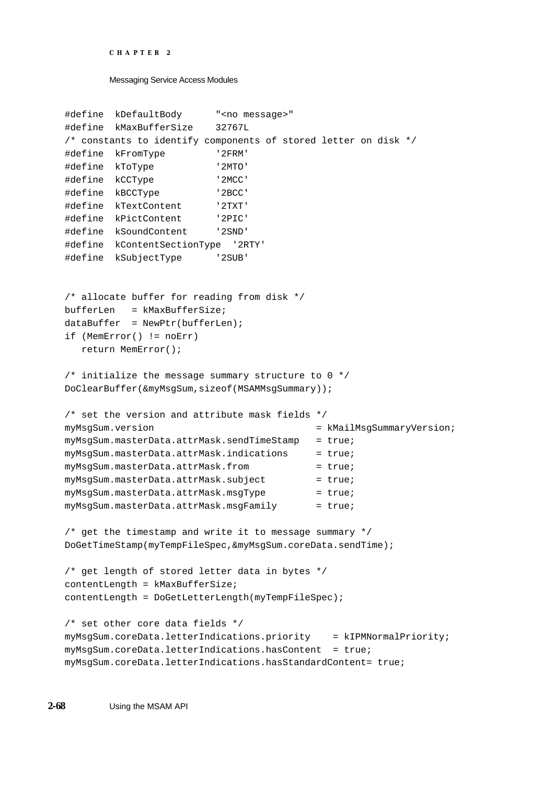```
CHAPTER 2
```

```
#define kDefaultBody "<no message>"
#define kMaxBufferSize 32767L
/* constants to identify components of stored letter on disk */
#define kFromType '2FRM'
#define kToType '2MTO'
#define kCCType '2MCC'
#define kBCCType '2BCC'
#define kTextContent '2TXT'
#define kPictContent '2PIC'
#define kSoundContent '2SND'
#define kContentSectionType '2RTY'
#define kSubjectType '2SUB'
/* allocate buffer for reading from disk */
bufferLen = kMaxBufferSize;
dataBuffer = NewPtr(bufferLen);if (MemError() != noErr)
  return MemError();
/* initialize the message summary structure to 0 */
DoClearBuffer(&myMsgSum,sizeof(MSAMMsgSummary));
/* set the version and attribute mask fields */
myMsgSum.version = kMailMsgSummaryVersion; 
myMsgSum.macsterData.attrMask.sendTimeStamp = true;myMsgSum.masterData.attrMask.indications = true;
myMsgSum.masterData.attrMask.from = true;
myMsgSum.macterData.attrMask.subject = true;myMsgSum.masterData.attrMask.msgType = true;
myMsgSum.masterData.attrMask.msgFamily = true;
/* get the timestamp and write it to message summary */
DoGetTimeStamp(myTempFileSpec,&myMsgSum.coreData.sendTime);
/* get length of stored letter data in bytes */
contentLength = kMaxBufferSize;
contentLength = DoGetLetterLength(myTempFileSpec);
/* set other core data fields */
myMsgSum.coreData.letterIndications.priority = kIPMNormalPriority;
myMsgSum.coreData.letterIndications.hasContent = true;
myMsgSum.coreData.letterIndications.hasStandardContent= true;
```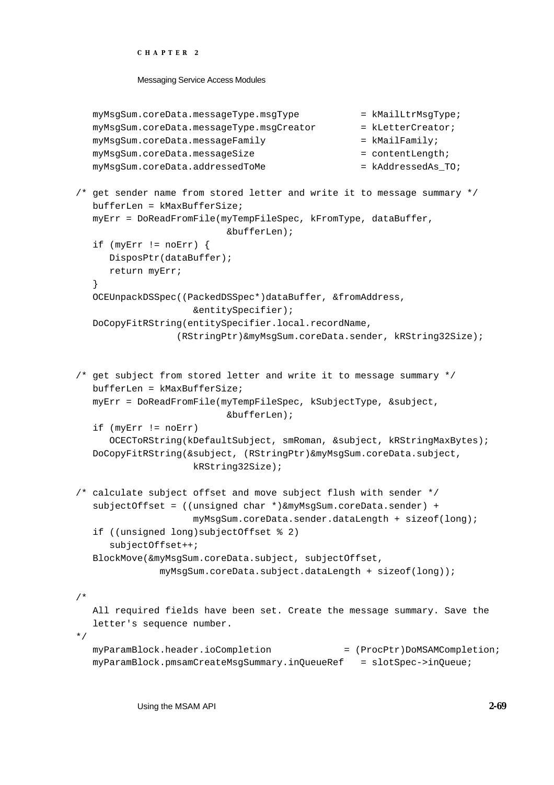Messaging Service Access Modules

```
myMsgSum.coreData.messageType.msgType = kMailLtrMsgType;
  myMsgSum.coreData.messageType.msgCreator = kLetterCreator;
  myMsgSum.coreData.messageFamily = kMailFamily;
  myMsgSum.coreData.messageSize = contentLength;
  myMsgSum.coreData.addressedToMe = kAddressedAs_TO;
/* get sender name from stored letter and write it to message summary */
  bufferLen = kMaxBufferSize;
  myErr = DoReadFromFile(myTempFileSpec, kFromType, dataBuffer, 
                         &bufferLen);
  if (myErr != noErr) {
     DisposPtr(dataBuffer);
     return myErr;
   }
  OCEUnpackDSSpec((PackedDSSpec*)dataBuffer, &fromAddress,
                    &entitySpecifier);
  DoCopyFitRString(entitySpecifier.local.recordName,
                 (RStringPtr)&myMsgSum.coreData.sender, kRString32Size);
/* get subject from stored letter and write it to message summary */
  bufferLen = kMaxBufferSize;
  myErr = DoReadFromFile(myTempFileSpec, kSubjectType, &subject, 
                          &bufferLen);
  if (myErr != noErr)
     OCECToRString(kDefaultSubject, smRoman, &subject, kRStringMaxBytes);
  DoCopyFitRString(&subject, (RStringPtr)&myMsgSum.coreData.subject, 
                    kRString32Size);
/* calculate subject offset and move subject flush with sender */
  subjectOffset = ((unsigned char *)&myMsgSum.coreData.sender) +
                    myMsgSum.coreData.sender.dataLength + sizeof(long);
  if ((unsigned long)subjectOffset % 2)
     subjectOffset++;
  BlockMove(&myMsgSum.coreData.subject, subjectOffset,
              myMsgSum.coreData.subject.dataLength + sizeof(long));
/* 
  All required fields have been set. Create the message summary. Save the
  letter's sequence number. 
*/
  myParamBlock.header.ioCompletion = (ProcPtr)DoMSAMCompletion;
  myParamBlock.pmsamCreateMsgSummary.inQueueRef = slotSpec->inQueue;
```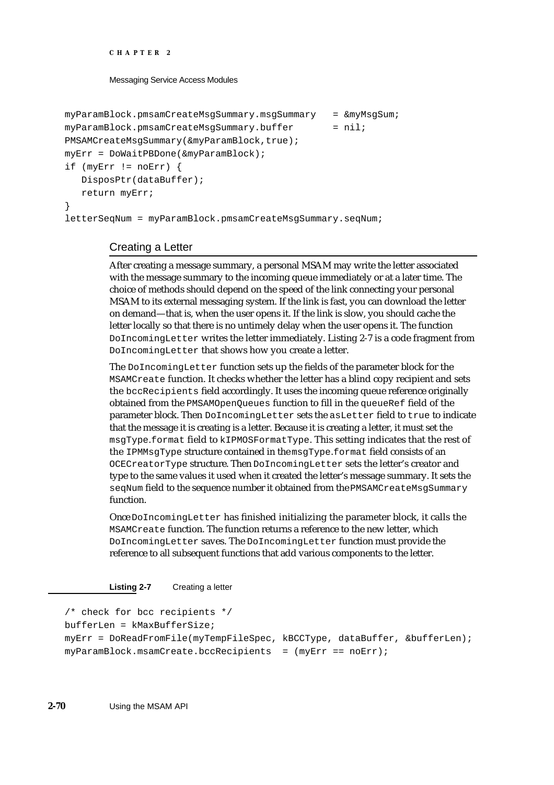Messaging Service Access Modules

```
myParamBlock.pmsamCreateMsgSummary.msgSummary = &myMsgSum;
myParamBlock.pmsamCreateMsgSummary.buffer = nil;PMSAMCreateMsgSummary(&myParamBlock,true);
myErr = DoWaitPBDone(&myParamBlock);
if (myErr != noErr) {
  DisposPtr(dataBuffer);
  return myErr;
}
letterSeqNum = myParamBlock.pmsamCreateMsgSummary.seqNum;
```
# Creating a Letter

After creating a message summary, a personal MSAM may write the letter associated with the message summary to the incoming queue immediately or at a later time. The choice of methods should depend on the speed of the link connecting your personal MSAM to its external messaging system. If the link is fast, you can download the letter on demand—that is, when the user opens it. If the link is slow, you should cache the letter locally so that there is no untimely delay when the user opens it. The function DoIncomingLetter writes the letter immediately. Listing 2-7 is a code fragment from DoIncomingLetter that shows how you create a letter.

The DoIncomingLetter function sets up the fields of the parameter block for the MSAMCreate function. It checks whether the letter has a blind copy recipient and sets the bccRecipients field accordingly. It uses the incoming queue reference originally obtained from the PMSAMOpenQueues function to fill in the queueRef field of the parameter block. Then DoIncomingLetter sets the asLetter field to true to indicate that the message it is creating is a letter. Because it is creating a letter, it must set the msgType.format field to kIPMOSFormatType. This setting indicates that the rest of the IPMMsgType structure contained in the msgType.format field consists of an OCECreatorType structure. Then DoIncomingLetter sets the letter's creator and type to the same values it used when it created the letter's message summary. It sets the seqNum field to the sequence number it obtained from the PMSAMCreateMsgSummary function.

Once DoIncomingLetter has finished initializing the parameter block, it calls the MSAMCreate function. The function returns a reference to the new letter, which DoIncomingLetter saves. The DoIncomingLetter function must provide the reference to all subsequent functions that add various components to the letter.

**Listing 2-7** Creating a letter

```
/* check for bcc recipients */
bufferLen = kMaxBufferSize;
myErr = DoReadFromFile(myTempFileSpec, kBCCType, dataBuffer, &bufferLen);
myParamBlock.msamCreate.bccRecipients = (mvErr == noErr);
```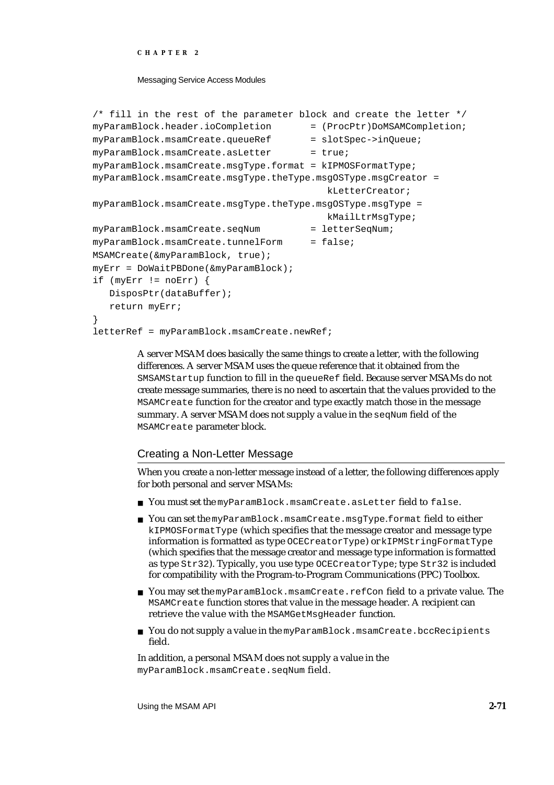### Messaging Service Access Modules

```
/* fill in the rest of the parameter block and create the letter */
myParamBlock.header.ioCompletion = (ProcPtr)DoMSAMCompletion;
myParamBlock.msamCreate.queueRef = slotSpec->inQueue;
myParamBlock.msamCreate.asLetter = true;
myParamBlock.msamCreate.msgType.format = kIPMOSFormatType;
myParamBlock.msamCreate.msgType.theType.msgOSType.msgCreator =
                                        kLetterCreator;
myParamBlock.msamCreate.msgType.theType.msgOSType.msgType =
                                        kMailLtrMsgType;
myParamBlock.msamCreate.seqNum = letterSeqNum;
myParamBlock.msamCreate.tunnelForm = false;MSAMCreate(&myParamBlock, true);
myErr = DoWaitPBDone(&myParamBlock);
if (myErr != noErr) {
  DisposPtr(dataBuffer);
  return myErr;
}
letterRef = myParamBlock.msamCreate.newRef;
```
A server MSAM does basically the same things to create a letter, with the following differences. A server MSAM uses the queue reference that it obtained from the SMSAMStartup function to fill in the queueRef field. Because server MSAMs do not create message summaries, there is no need to ascertain that the values provided to the MSAMCreate function for the creator and type exactly match those in the message summary. A server MSAM does not supply a value in the seqNum field of the MSAMCreate parameter block.

## Creating a Non-Letter Message

When you create a non-letter message instead of a letter, the following differences apply for both personal and server MSAMs:

- You must set the myParamBlock.msamCreate.asLetter field to false.
- You can set the myParamBlock.msamCreate.msgType.format field to either kIPMOSFormatType (which specifies that the message creator and message type information is formatted as type OCECreatorType) or kIPMStringFormatType (which specifies that the message creator and message type information is formatted as type Str32). Typically, you use type OCECreatorType; type Str32 is included for compatibility with the Program-to-Program Communications (PPC) Toolbox.
- You may set the myParamBlock.msamCreate.refCon field to a private value. The MSAMCreate function stores that value in the message header. A recipient can retrieve the value with the MSAMGetMsgHeader function.
- n You do not supply a value in the myParamBlock.msamCreate.bccRecipients field.

In addition, a personal MSAM does not supply a value in the myParamBlock.msamCreate.seqNum field.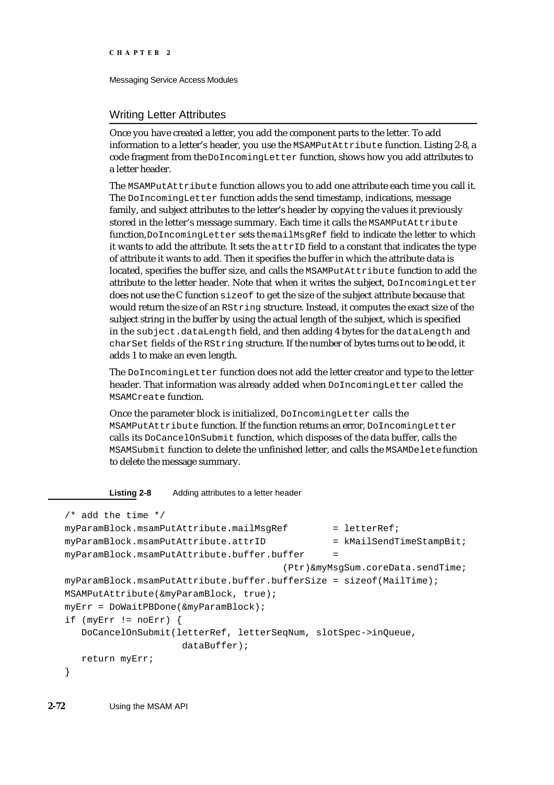## Writing Letter Attributes

Once you have created a letter, you add the component parts to the letter. To add information to a letter's header, you use the MSAMPutAttribute function. Listing 2-8, a code fragment from the DoIncomingLetter function, shows how you add attributes to a letter header.

The MSAMPutAttribute function allows you to add one attribute each time you call it. The DoIncomingLetter function adds the send timestamp, indications, message family, and subject attributes to the letter's header by copying the values it previously stored in the letter's message summary. Each time it calls the MSAMPutAttribute function, DoIncomingLetter sets the mailMsgRef field to indicate the letter to which it wants to add the attribute. It sets the attrID field to a constant that indicates the type of attribute it wants to add. Then it specifies the buffer in which the attribute data is located, specifies the buffer size, and calls the MSAMPutAttribute function to add the attribute to the letter header. Note that when it writes the subject, DoIncomingLetter does not use the C function sizeof to get the size of the subject attribute because that would return the size of an RString structure. Instead, it computes the exact size of the subject string in the buffer by using the actual length of the subject, which is specified in the subject.dataLength field, and then adding 4 bytes for the dataLength and charSet fields of the RString structure. If the number of bytes turns out to be odd, it adds 1 to make an even length.

The DoIncomingLetter function does not add the letter creator and type to the letter header. That information was already added when DoIncomingLetter called the MSAMCreate function.

Once the parameter block is initialized, DoIncomingLetter calls the MSAMPutAttribute function. If the function returns an error, DoIncomingLetter calls its DoCancelOnSubmit function, which disposes of the data buffer, calls the MSAMSubmit function to delete the unfinished letter, and calls the MSAMDelete function to delete the message summary.

**Listing 2-8** Adding attributes to a letter header

```
/* add the time */myParamBlock.msamPutAttribute.mailMsqRef = letterRef;myParamBlock.msamPutAttribute.attrID = kMailSendTimeStampBit;myParamBlock.msamPutAttribute.buffer.buffer =
                                      (Ptr)&myMsgSum.coreData.sendTime;
myParamBlock.msamPutAttribute.buffer.bufferSize = sizeof(MailTime);
MSAMPutAttribute(&myParamBlock, true);
myErr = DoWaitPBDone(&myParamBlock);
if (myErr != noErr) {
  DoCancelOnSubmit(letterRef, letterSeqNum, slotSpec->inQueue,
                    dataBuffer);
  return myErr;
}
```
**2-72** Using the MSAM API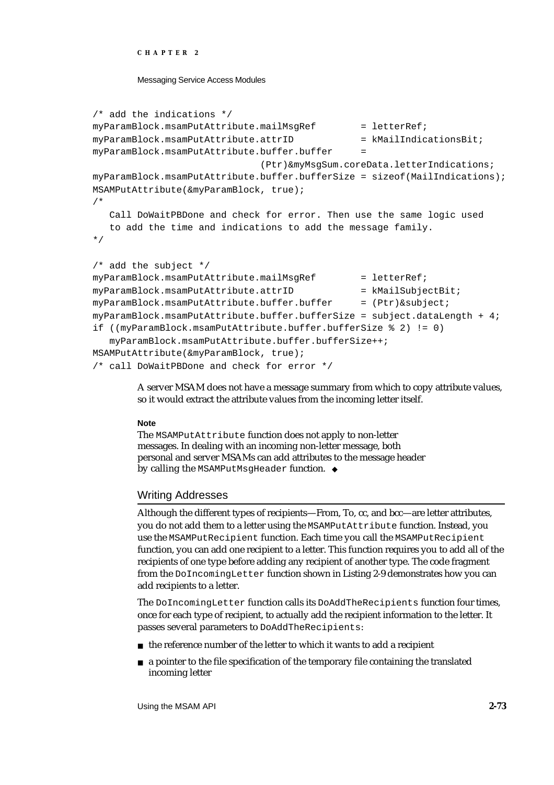```
CHAPTER 2
```

```
/* add the indications */
myParamBlock.msamPutAttribute.mailMsqRef = letterRef;
myParamBlock.msamPutAttribute.attrID = kMailIndicationSBit;myParamBlock.msamPutAttribute.buffer.buffer =
                             (Ptr)&myMsgSum.coreData.letterIndications;
myParamBlock.msamPutAttribute.buffer.bufferSize = sizeof(MailIndications);
MSAMPutAttribute(&myParamBlock, true);
/* 
  Call DoWaitPBDone and check for error. Then use the same logic used
  to add the time and indications to add the message family.
*/
/* add the subject */
mvParamBlock.msamPutAttribute.mailMsqRef = letterRef;myParamBlock.msamPutAttribute.attrID = kMailSubjectBit;myParamBlock.msamPutAttribute.buffer.buffer = (Ptr) & subject;myParamBlock.msamPutAttribute.buffer.bufferSize = subject.dataLength + 4;
if ((myParamBlock.msamPutAttribute.buffer.bufferSize % 2) != 0)
  myParamBlock.msamPutAttribute.buffer.bufferSize++;
MSAMPutAttribute(&myParamBlock, true);
/* call DoWaitPBDone and check for error */
```
A server MSAM does not have a message summary from which to copy attribute values, so it would extract the attribute values from the incoming letter itself.

## **Note**

The MSAMPutAttribute function does not apply to non-letter messages. In dealing with an incoming non-letter message, both personal and server MSAMs can add attributes to the message header by calling the MSAMPutMsgHeader function. u

# Writing Addresses

Although the different types of recipients—From, To, cc, and bcc—are letter attributes, you do not add them to a letter using the MSAMPutAttribute function. Instead, you use the MSAMPutRecipient function. Each time you call the MSAMPutRecipient function, you can add one recipient to a letter. This function requires you to add all of the recipients of one type before adding any recipient of another type. The code fragment from the DoIncomingLetter function shown in Listing 2-9 demonstrates how you can add recipients to a letter.

The DoIncomingLetter function calls its DoAddTheRecipients function four times, once for each type of recipient, to actually add the recipient information to the letter. It passes several parameters to DoAddTheRecipients:

- $n$  the reference number of the letter to which it wants to add a recipient
- $n \in \mathbb{R}$  a pointer to the file specification of the temporary file containing the translated incoming letter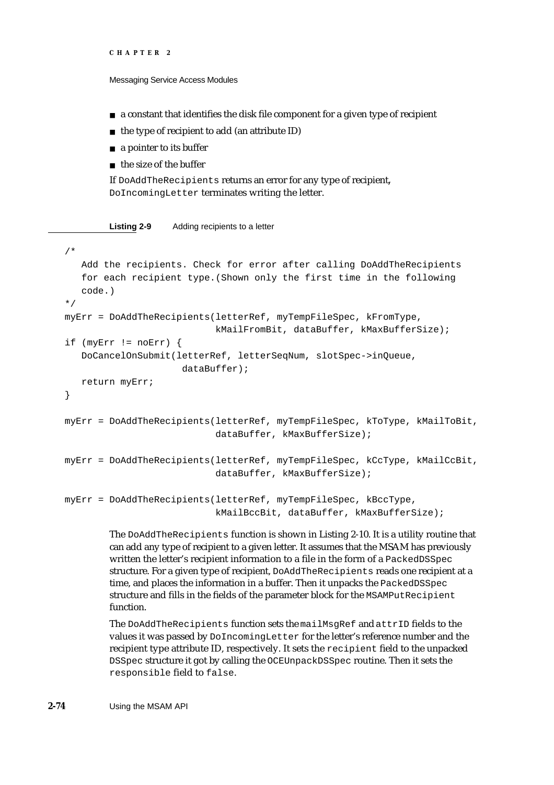```
CHAPTER 2
```
- $n \alpha$  a constant that identifies the disk file component for a given type of recipient
- $n$  the type of recipient to add (an attribute ID)
- a pointer to its buffer
- n the size of the buffer

If DoAddTheRecipients returns an error for any type of recipient, DoIncomingLetter terminates writing the letter.

**Listing 2-9** Adding recipients to a letter

```
/* 
   Add the recipients. Check for error after calling DoAddTheRecipients
   for each recipient type.(Shown only the first time in the following
   code.) 
*/
myErr = DoAddTheRecipients(letterRef, myTempFileSpec, kFromType,
                           kMailFromBit, dataBuffer, kMaxBufferSize);
if (myErr != noErr) {
   DoCancelOnSubmit(letterRef, letterSeqNum, slotSpec->inQueue,
                     dataBuffer);
   return myErr;
}
myErr = DoAddTheRecipients(letterRef, myTempFileSpec, kToType, kMailToBit,
                           dataBuffer, kMaxBufferSize);
myErr = DoAddTheRecipients(letterRef, myTempFileSpec, kCcType, kMailCcBit,
                           dataBuffer, kMaxBufferSize);
myErr = DoAddTheRecipients(letterRef, myTempFileSpec, kBccType,
                           kMailBccBit, dataBuffer, kMaxBufferSize);
```
The DoAddTheRecipients function is shown in Listing 2-10. It is a utility routine that can add any type of recipient to a given letter. It assumes that the MSAM has previously written the letter's recipient information to a file in the form of a PackedDSSpec structure. For a given type of recipient, DoAddTheRecipients reads one recipient at a time, and places the information in a buffer. Then it unpacks the PackedDSSpec structure and fills in the fields of the parameter block for the MSAMPutRecipient function.

The DoAddTheRecipients function sets the mailMsgRef and attrID fields to the values it was passed by DoIncomingLetter for the letter's reference number and the recipient type attribute ID, respectively. It sets the recipient field to the unpacked DSSpec structure it got by calling the OCEUnpackDSSpec routine. Then it sets the responsible field to false.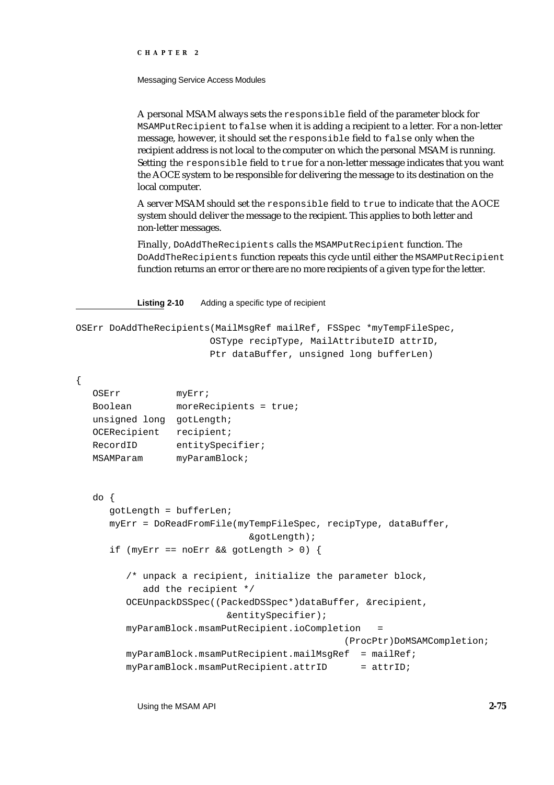Messaging Service Access Modules

A personal MSAM always sets the responsible field of the parameter block for MSAMPutRecipient to false when it is adding a recipient to a letter. For a non-letter message, however, it should set the responsible field to false only when the recipient address is not local to the computer on which the personal MSAM is running. Setting the responsible field to true for a non-letter message indicates that you want the AOCE system to be responsible for delivering the message to its destination on the local computer.

A server MSAM should set the responsible field to true to indicate that the AOCE system should deliver the message to the recipient. This applies to both letter and non-letter messages.

Finally, DoAddTheRecipients calls the MSAMPutRecipient function. The DoAddTheRecipients function repeats this cycle until either the MSAMPutRecipient function returns an error or there are no more recipients of a given type for the letter.

**Listing 2-10** Adding a specific type of recipient

```
OSErr DoAddTheRecipients(MailMsgRef mailRef, FSSpec *myTempFileSpec, 
                        OSType recipType, MailAttributeID attrID, 
                        Ptr dataBuffer, unsigned long bufferLen)
```
{

```
OSErr myErr;
Boolean moreRecipients = true;
unsigned long gotLength;
OCERecipient recipient;
RecordID entitySpecifier;
MSAMParam myParamBlock;
do {
  gotLength = bufferLen;
  myErr = DoReadFromFile(myTempFileSpec, recipType, dataBuffer,
                           &gotLength);
  if (myErr == noErr && gotLength > 0) {
     /* unpack a recipient, initialize the parameter block, 
        add the recipient */
     OCEUnpackDSSpec((PackedDSSpec*)dataBuffer, &recipient,
                       &entitySpecifier);
     myParamBlock.msamPutRecipient.ioCompletion =
                                           (ProcPtr)DoMSAMCompletion;
     myParamBlock.msamPutRecipient.mailMsqRef = mailRef;myParamBlock.msamPutRecipient.attrID = attrID;
```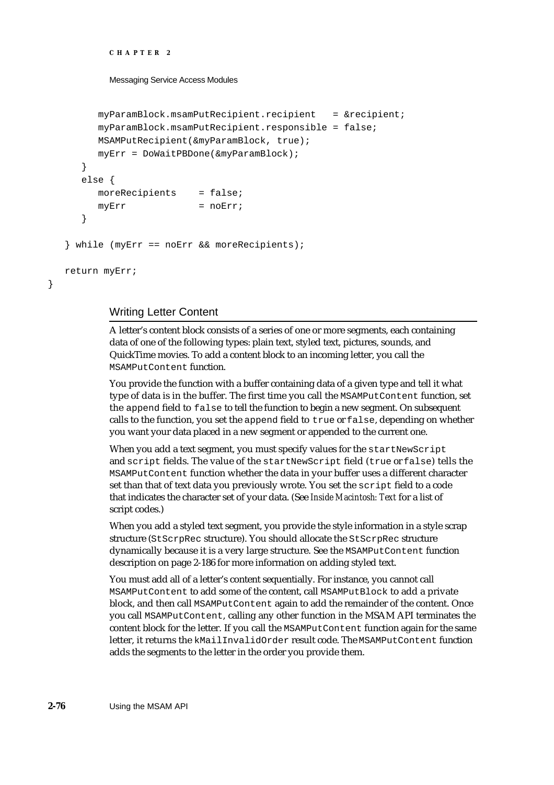```
CHAPTER 2
```

```
myParamBlock.msamPutRecipient.recipient = &recipient;
     myParamBlock.msamPutRecipient.responsible = false;
     MSAMPutRecipient(&myParamBlock, true);
     myErr = DoWaitPBDone(&myParamBlock);
  }
  else {
     moreRecipients = false;
     myErr = noErr;}
} while (myErr == noErr && moreRecipients);
return myErr;
```
## Writing Letter Content

}

A letter's content block consists of a series of one or more segments, each containing data of one of the following types: plain text, styled text, pictures, sounds, and QuickTime movies. To add a content block to an incoming letter, you call the MSAMPutContent function.

You provide the function with a buffer containing data of a given type and tell it what type of data is in the buffer. The first time you call the MSAMPutContent function, set the append field to false to tell the function to begin a new segment. On subsequent calls to the function, you set the append field to true or false, depending on whether you want your data placed in a new segment or appended to the current one.

When you add a text segment, you must specify values for the startNewScript and script fields. The value of the startNewScript field (true or false) tells the MSAMPutContent function whether the data in your buffer uses a different character set than that of text data you previously wrote. You set the script field to a code that indicates the character set of your data. (See *Inside Macintosh: Text* for a list of script codes.)

When you add a styled text segment, you provide the style information in a style scrap structure (StScrpRec structure). You should allocate the StScrpRec structure dynamically because it is a very large structure. See the MSAMPutContent function description on page 2-186 for more information on adding styled text.

You must add all of a letter's content sequentially. For instance, you cannot call MSAMPutContent to add some of the content, call MSAMPutBlock to add a private block, and then call MSAMPutContent again to add the remainder of the content. Once you call MSAMPutContent, calling any other function in the MSAM API terminates the content block for the letter. If you call the MSAMPutContent function again for the same letter, it returns the kMailInvalidOrder result code. The MSAMPutContent function adds the segments to the letter in the order you provide them.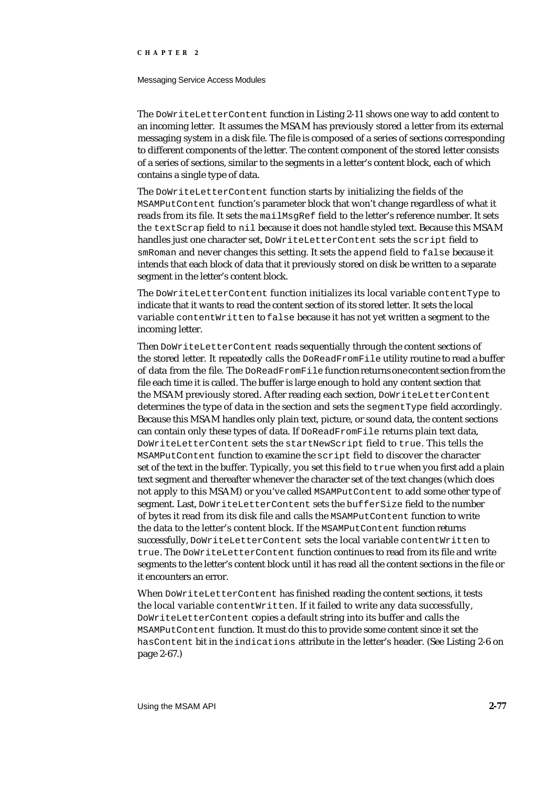#### Messaging Service Access Modules

The DoWriteLetterContent function in Listing 2-11 shows one way to add content to an incoming letter. It assumes the MSAM has previously stored a letter from its external messaging system in a disk file. The file is composed of a series of sections corresponding to different components of the letter. The content component of the stored letter consists of a series of sections, similar to the segments in a letter's content block, each of which contains a single type of data.

The DoWriteLetterContent function starts by initializing the fields of the MSAMPutContent function's parameter block that won't change regardless of what it reads from its file. It sets the mailMsgRef field to the letter's reference number. It sets the textScrap field to nil because it does not handle styled text. Because this MSAM handles just one character set, DoWriteLetterContent sets the script field to smRoman and never changes this setting. It sets the append field to false because it intends that each block of data that it previously stored on disk be written to a separate segment in the letter's content block.

The DoWriteLetterContent function initializes its local variable contentType to indicate that it wants to read the content section of its stored letter. It sets the local variable contentWritten to false because it has not yet written a segment to the incoming letter.

Then DoWriteLetterContent reads sequentially through the content sections of the stored letter. It repeatedly calls the DoReadFromFile utility routine to read a buffer of data from the file. The DoReadFromFile function returns one content section from the file each time it is called. The buffer is large enough to hold any content section that the MSAM previously stored. After reading each section, DoWriteLetterContent determines the type of data in the section and sets the segmentType field accordingly. Because this MSAM handles only plain text, picture, or sound data, the content sections can contain only these types of data. If  $D$ oReadFromFile returns plain text data, DoWriteLetterContent sets the startNewScript field to true. This tells the MSAMPutContent function to examine the script field to discover the character set of the text in the buffer. Typically, you set this field to  $true$  when you first add a plain text segment and thereafter whenever the character set of the text changes (which does not apply to this MSAM) or you've called MSAMPutContent to add some other type of segment. Last, DoWriteLetterContent sets the bufferSize field to the number of bytes it read from its disk file and calls the MSAMPutContent function to write the data to the letter's content block. If the MSAMPutContent function returns successfully, DoWriteLetterContent sets the local variable contentWritten to true. The DoWriteLetterContent function continues to read from its file and write segments to the letter's content block until it has read all the content sections in the file or it encounters an error.

When DoWriteLetterContent has finished reading the content sections, it tests the local variable contentWritten. If it failed to write any data successfully, DoWriteLetterContent copies a default string into its buffer and calls the MSAMPutContent function. It must do this to provide some content since it set the hasContent bit in the indications attribute in the letter's header. (See Listing 2-6 on page 2-67.)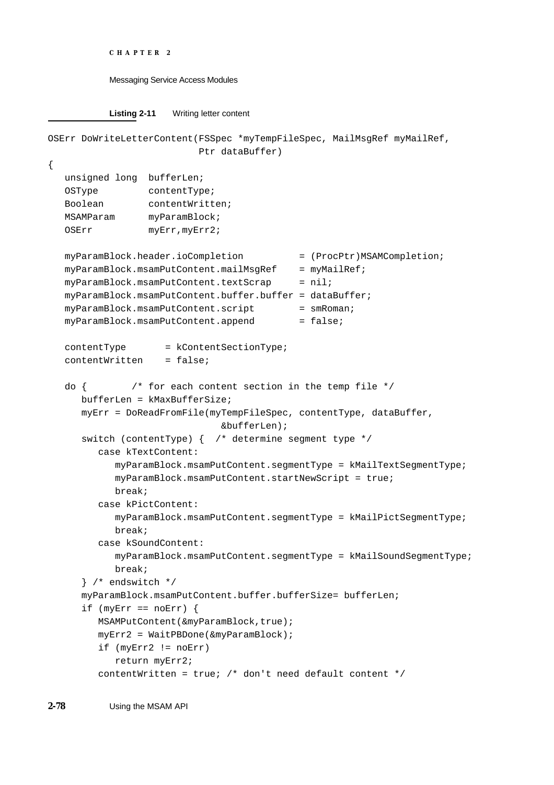```
CHAPTER 2
```

```
Listing 2-11 Writing letter content
```

```
OSErr DoWriteLetterContent(FSSpec *myTempFileSpec, MailMsgRef myMailRef, 
                          Ptr dataBuffer)
{
  unsigned long bufferLen;
  OSType contentType; 
  Boolean contentWritten;
  MSAMParam myParamBlock;
  OSErr myErr, myErr2;
  myParamBlock.header.ioCompletion = (ProcPtr)MSAMCompletion;
  myParamBlock.msamPutContent.mailMsqRef = myMailRef;myParamBlock.msamPutContent.textScrap = nil;myParamBlock.msamPutContent.buffer.buffer = dataBuffer;
  myParamBlock.msamPutContent.script = smRoman;
  myParamBlock.msamPutContent.append = false;
  contentType = kContentSectionType;
  contentWritten = false;
  do \{ /* for each content section in the temp file */
     bufferLen = kMaxBufferSize;
     myErr = DoReadFromFile(myTempFileSpec, contentType, dataBuffer,
                              &bufferLen);
     switch (contentType) { /* determine segment type */
        case kTextContent:
           myParamBlock.msamPutContent.segmentType = kMailTextSegmentType;
           myParamBlock.msamPutContent.startNewScript = true;
           break;
        case kPictContent:
           myParamBlock.msamPutContent.segmentType = kMailPictSegmentType;
           break;
        case kSoundContent:
           myParamBlock.msamPutContent.segmentType = kMailSoundSegmentType;
           break;
     } /* endswitch */
     myParamBlock.msamPutContent.buffer.bufferSize= bufferLen;
     if (myErr == noErr) {
        MSAMPutContent(&myParamBlock,true);
        myErr2 = WaitPBDone(&myParamBlock);
        if (myErr2 != noErr)
           return myErr2;
        contentWritten = true; /* don't need default content */
```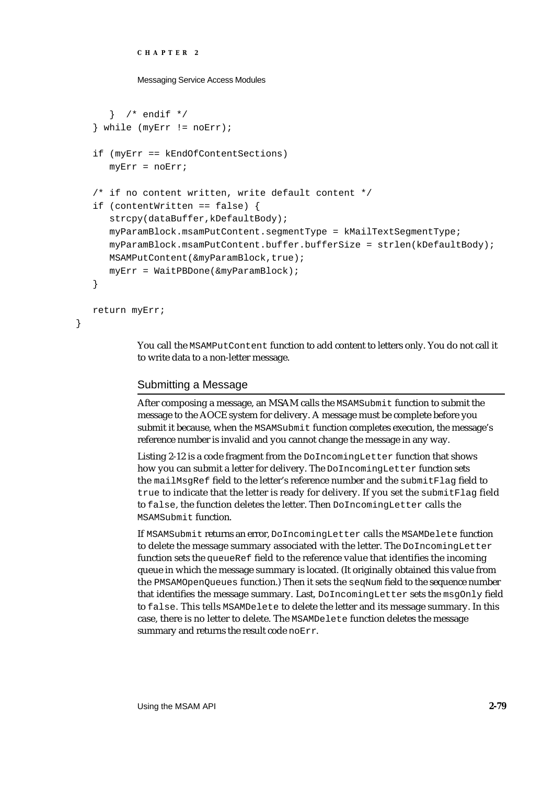```
CHAPTER 2
```

```
} /* endif */
} while (myErr != noErr);
if (myErr == kEndOfContentSections)
  myErr = noErr;
/* if no content written, write default content */
if (contentWritten == false) {
   strcpy(dataBuffer,kDefaultBody);
   myParamBlock.msamPutContent.segmentType = kMailTextSegmentType;
   myParamBlock.msamPutContent.buffer.bufferSize = strlen(kDefaultBody);
   MSAMPutContent(&myParamBlock,true);
   myErr = WaitPBDone(&myParamBlock);
}
return myErr;
```
You call the MSAMPutContent function to add content to letters only. You do not call it to write data to a non-letter message.

# Submitting a Message

}

After composing a message, an MSAM calls the MSAMSubmit function to submit the message to the AOCE system for delivery. A message must be complete before you submit it because, when the MSAMSubmit function completes execution, the message's reference number is invalid and you cannot change the message in any way.

Listing 2-12 is a code fragment from the DoIncomingLetter function that shows how you can submit a letter for delivery. The DoIncomingLetter function sets the mailMsgRef field to the letter's reference number and the submitFlag field to true to indicate that the letter is ready for delivery. If you set the submitFlag field to false, the function deletes the letter. Then DoIncomingLetter calls the MSAMSubmit function.

If MSAMSubmit returns an error, DoIncomingLetter calls the MSAMDelete function to delete the message summary associated with the letter. The DoIncomingLetter function sets the queueRef field to the reference value that identifies the incoming queue in which the message summary is located. (It originally obtained this value from the PMSAMOpenQueues function.) Then it sets the seqNum field to the sequence number that identifies the message summary. Last, DoIncomingLetter sets the msgOnly field to false. This tells MSAMDelete to delete the letter and its message summary. In this case, there is no letter to delete. The MSAMDelete function deletes the message summary and returns the result code noErr.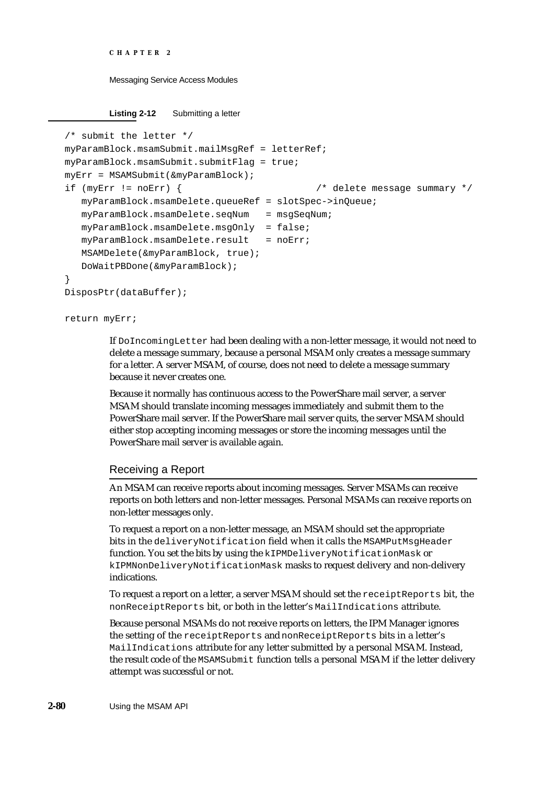```
CHAPTER 2
```
**Listing 2-12** Submitting a letter

```
/* submit the letter */
myParamBlock.msamSubmit.mailMsgRef = letterRef;
myParamBlock.msamSubmit.submitFlag = true;
myErr = MSAMSubmit(&myParamBlock);
if (myErr != noErr) { /* delete message summary */
  myParamBlock.msamDelete.queueRef = slotSpec->inQueue;
  myParamBlock.msamDelete.seqNum = msgSeqNum;
  myParamBlock.msamDelete.msgOnly = false;
  myParamBlock.msamDelete.result = noErr;
  MSAMDelete(&myParamBlock, true);
  DoWaitPBDone(&myParamBlock);
}
DisposPtr(dataBuffer);
```
return myErr;

If DoIncomingLetter had been dealing with a non-letter message, it would not need to delete a message summary, because a personal MSAM only creates a message summary for a letter. A server MSAM, of course, does not need to delete a message summary because it never creates one.

Because it normally has continuous access to the PowerShare mail server, a server MSAM should translate incoming messages immediately and submit them to the PowerShare mail server. If the PowerShare mail server quits, the server MSAM should either stop accepting incoming messages or store the incoming messages until the PowerShare mail server is available again.

# Receiving a Report

An MSAM can receive reports about incoming messages. Server MSAMs can receive reports on both letters and non-letter messages. Personal MSAMs can receive reports on non-letter messages only.

To request a report on a non-letter message, an MSAM should set the appropriate bits in the deliveryNotification field when it calls the MSAMPutMsgHeader function. You set the bits by using the kIPMDeliveryNotificationMask or kIPMNonDeliveryNotificationMask masks to request delivery and non-delivery indications.

To request a report on a letter, a server MSAM should set the receiptReports bit, the nonReceiptReports bit, or both in the letter's MailIndications attribute.

Because personal MSAMs do not receive reports on letters, the IPM Manager ignores the setting of the receiptReports and nonReceiptReports bits in a letter's MailIndications attribute for any letter submitted by a personal MSAM. Instead, the result code of the MSAMSubmit function tells a personal MSAM if the letter delivery attempt was successful or not.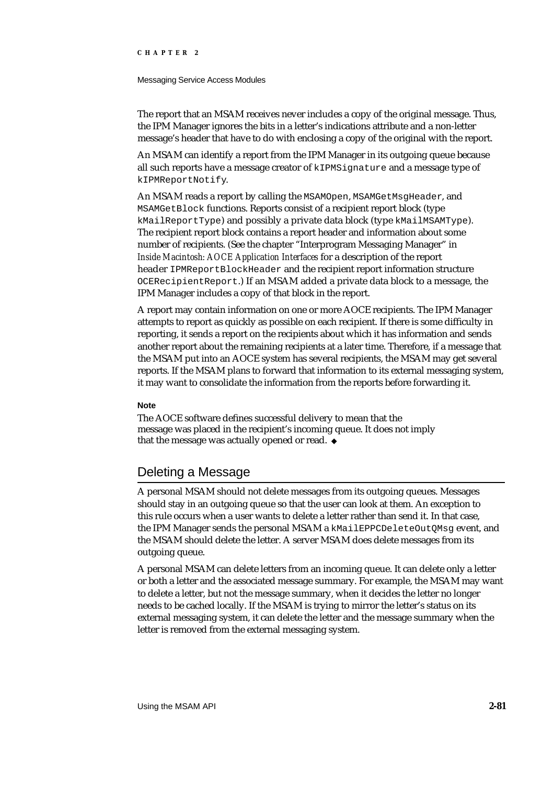#### Messaging Service Access Modules

The report that an MSAM receives never includes a copy of the original message. Thus, the IPM Manager ignores the bits in a letter's indications attribute and a non-letter message's header that have to do with enclosing a copy of the original with the report.

An MSAM can identify a report from the IPM Manager in its outgoing queue because all such reports have a message creator of kIPMSignature and a message type of kIPMReportNotify.

An MSAM reads a report by calling the MSAMOpen, MSAMGetMsgHeader, and MSAMGetBlock functions. Reports consist of a recipient report block (type kMailReportType) and possibly a private data block (type kMailMSAMType). The recipient report block contains a report header and information about some number of recipients. (See the chapter "Interprogram Messaging Manager" in *Inside Macintosh: AOCE Application Interfaces* for a description of the report header IPMReportBlockHeader and the recipient report information structure OCERecipientReport.) If an MSAM added a private data block to a message, the IPM Manager includes a copy of that block in the report.

A report may contain information on one or more AOCE recipients. The IPM Manager attempts to report as quickly as possible on each recipient. If there is some difficulty in reporting, it sends a report on the recipients about which it has information and sends another report about the remaining recipients at a later time. Therefore, if a message that the MSAM put into an AOCE system has several recipients, the MSAM may get several reports. If the MSAM plans to forward that information to its external messaging system, it may want to consolidate the information from the reports before forwarding it.

### **Note**

The AOCE software defines successful delivery to mean that the message was placed in the recipient's incoming queue. It does not imply that the message was actually opened or read.

# Deleting a Message

A personal MSAM should not delete messages from its outgoing queues. Messages should stay in an outgoing queue so that the user can look at them. An exception to this rule occurs when a user wants to delete a letter rather than send it. In that case, the IPM Manager sends the personal MSAM a kMailEPPCDeleteOutOMsq event, and the MSAM should delete the letter. A server MSAM does delete messages from its outgoing queue.

A personal MSAM can delete letters from an incoming queue. It can delete only a letter or both a letter and the associated message summary. For example, the MSAM may want to delete a letter, but not the message summary, when it decides the letter no longer needs to be cached locally. If the MSAM is trying to mirror the letter's status on its external messaging system, it can delete the letter and the message summary when the letter is removed from the external messaging system.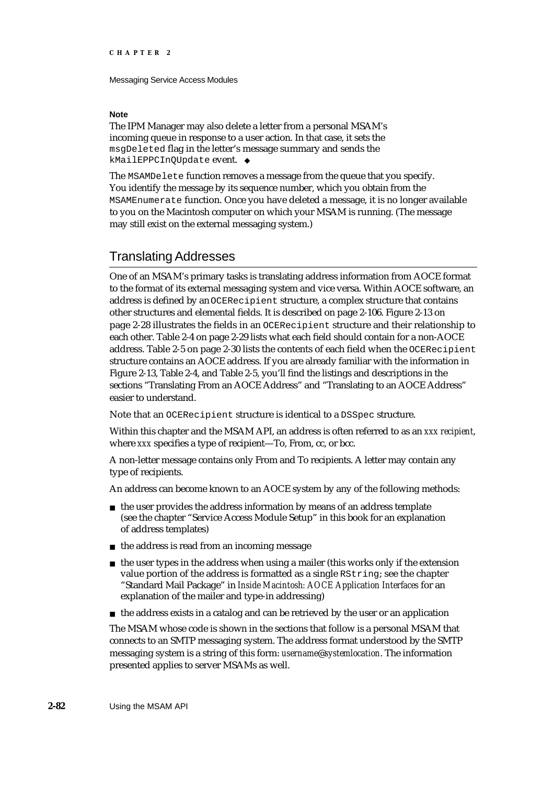#### **Note**

The IPM Manager may also delete a letter from a personal MSAM's incoming queue in response to a user action. In that case, it sets the msgDeleted flag in the letter's message summary and sends the kMailEPPCInQUpdate event.

The MSAMDelete function removes a message from the queue that you specify. You identify the message by its sequence number, which you obtain from the MSAMEnumerate function. Once you have deleted a message, it is no longer available to you on the Macintosh computer on which your MSAM is running. (The message may still exist on the external messaging system.)

# Translating Addresses

One of an MSAM's primary tasks is translating address information from AOCE format to the format of its external messaging system and vice versa. Within AOCE software, an address is defined by an OCERecipient structure, a complex structure that contains other structures and elemental fields. It is described on page 2-106. Figure 2-13 on page 2-28 illustrates the fields in an OCERecipient structure and their relationship to each other. Table 2-4 on page 2-29 lists what each field should contain for a non-AOCE address. Table 2-5 on page 2-30 lists the contents of each field when the OCERecipient structure contains an AOCE address. If you are already familiar with the information in Figure 2-13, Table 2-4, and Table 2-5, you'll find the listings and descriptions in the sections "Translating From an AOCE Address" and "Translating to an AOCE Address" easier to understand.

Note that an OCERecipient structure is identical to a DSSpec structure.

Within this chapter and the MSAM API, an address is often referred to as an *xxx recipient*, where *xxx* specifies a type of recipient—To, From, cc, or bcc.

A non-letter message contains only From and To recipients. A letter may contain any type of recipients.

An address can become known to an AOCE system by any of the following methods:

- $n$  the user provides the address information by means of an address template (see the chapter "Service Access Module Setup" in this book for an explanation of address templates)
- $n$  the address is read from an incoming message
- $n$  the user types in the address when using a mailer (this works only if the extension value portion of the address is formatted as a single RString; see the chapter "Standard Mail Package" in *Inside Macintosh: AOCE Application Interfaces* for an explanation of the mailer and type-in addressing)
- $n$  the address exists in a catalog and can be retrieved by the user or an application

The MSAM whose code is shown in the sections that follow is a personal MSAM that connects to an SMTP messaging system. The address format understood by the SMTP messaging system is a string of this form: *username*@*systemlocation*. The information presented applies to server MSAMs as well.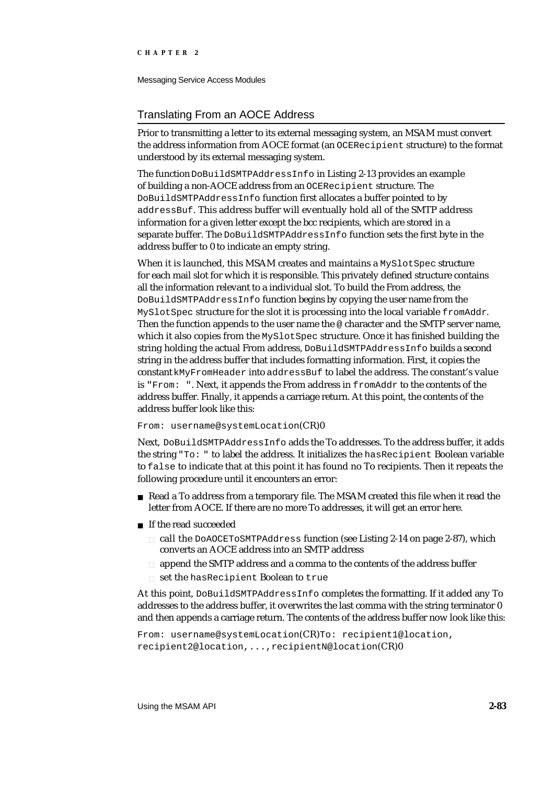Messaging Service Access Modules

# Translating From an AOCE Address

Prior to transmitting a letter to its external messaging system, an MSAM must convert the address information from AOCE format (an OCERecipient structure) to the format understood by its external messaging system.

The function DoBuildSMTPAddressInfo in Listing 2-13 provides an example of building a non-AOCE address from an OCERecipient structure. The DoBuildSMTPAddressInfo function first allocates a buffer pointed to by addressBuf. This address buffer will eventually hold all of the SMTP address information for a given letter except the bcc recipients, which are stored in a separate buffer. The DoBuildSMTPAddressInfo function sets the first byte in the address buffer to 0 to indicate an empty string.

When it is launched, this MSAM creates and maintains a MySlotSpec structure for each mail slot for which it is responsible. This privately defined structure contains all the information relevant to a individual slot. To build the From address, the DoBuildSMTPAddressInfo function begins by copying the user name from the MySlotSpec structure for the slot it is processing into the local variable fromAddr. Then the function appends to the user name the @ character and the SMTP server name, which it also copies from the MySlotSpec structure. Once it has finished building the string holding the actual From address, DoBuildSMTPAddressInfo builds a second string in the address buffer that includes formatting information. First, it copies the constant kMyFromHeader into addressBuf to label the address. The constant's value is "From: ". Next, it appends the From address in fromAddr to the contents of the address buffer. Finally, it appends a carriage return. At this point, the contents of the address buffer look like this:

### From: username@systemLocation(CR)0

Next, DoBuildSMTPAddressInfo adds the To addresses. To the address buffer, it adds the string "To: " to label the address. It initializes the hasRecipient Boolean variable to false to indicate that at this point it has found no To recipients. Then it repeats the following procedure until it encounters an error:

- Read a To address from a temporary file. The MSAM created this file when it read the letter from AOCE. If there are no more To addresses, it will get an error here.
- n If the read succeeded
	- n call the DOAOCETOSMTPAddress function (see Listing 2-14 on page 2-87), which converts an AOCE address into an SMTP address
	- n append the SMTP address and a comma to the contents of the address buffer
	- n set the hasRecipient Boolean to true

At this point, DoBuildSMTPAddressInfo completes the formatting. If it added any To addresses to the address buffer, it overwrites the last comma with the string terminator 0 and then appends a carriage return. The contents of the address buffer now look like this:

```
From: username@systemLocation(CR)To: recipient1@location,
recipient2@location,...,recipientN@location(CR)0
```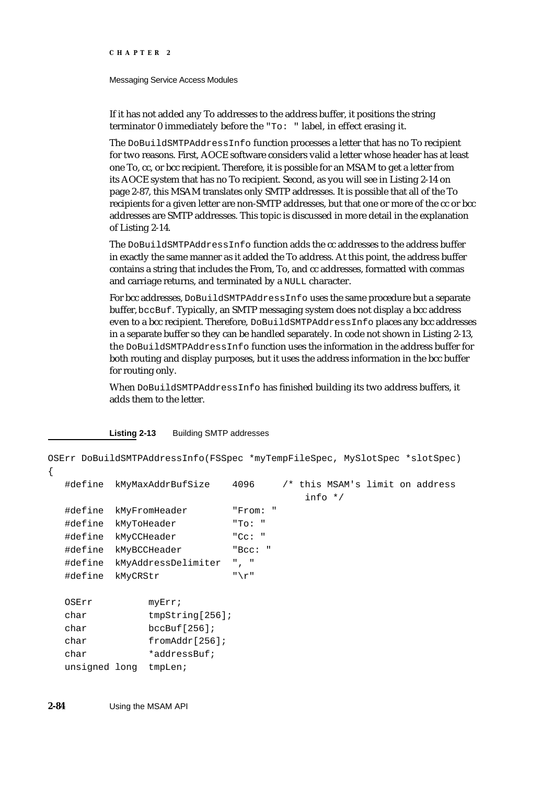Messaging Service Access Modules

If it has not added any To addresses to the address buffer, it positions the string terminator 0 immediately before the "To: " label, in effect erasing it.

The DoBuildSMTPAddressInfo function processes a letter that has no To recipient for two reasons. First, AOCE software considers valid a letter whose header has at least one To, cc, or bcc recipient. Therefore, it is possible for an MSAM to get a letter from its AOCE system that has no To recipient. Second, as you will see in Listing 2-14 on page 2-87, this MSAM translates only SMTP addresses. It is possible that all of the To recipients for a given letter are non-SMTP addresses, but that one or more of the cc or bcc addresses are SMTP addresses. This topic is discussed in more detail in the explanation of Listing 2-14.

The DoBuildSMTPAddressInfo function adds the cc addresses to the address buffer in exactly the same manner as it added the To address. At this point, the address buffer contains a string that includes the From, To, and cc addresses, formatted with commas and carriage returns, and terminated by a NULL character.

For bcc addresses, DoBuildSMTPAddressInfo uses the same procedure but a separate buffer, bccBuf. Typically, an SMTP messaging system does not display a bcc address even to a bcc recipient. Therefore, DoBuildSMTPAddressInfo places any bcc addresses in a separate buffer so they can be handled separately. In code not shown in Listing 2-13, the DoBuildSMTPAddressInfo function uses the information in the address buffer for both routing and display purposes, but it uses the address information in the bcc buffer for routing only.

When DoBuildSMTPAddressInfo has finished building its two address buffers, it adds them to the letter.

**Listing 2-13** Building SMTP addresses

```
OSErr DoBuildSMTPAddressInfo(FSSpec *myTempFileSpec, MySlotSpec *slotSpec)
{
  #define kMyMaxAddrBufSize 4096 /* this MSAM's limit on address 
                                      info */
  #define kMyFromHeader "From: "
  #define kMyToHeader "To: "
  #define kMyCCHeader "Cc: "
  #define kMyBCCHeader "Bcc: "
  #define kMyAddressDelimiter ", "
  #define kMyCRStr "\r"
  OSErr myErr;
  char tmpString[256];
  char bccBuf[256];
  char fromAddr[256];
  char *addressBuf;
  unsigned long tmpLen;
```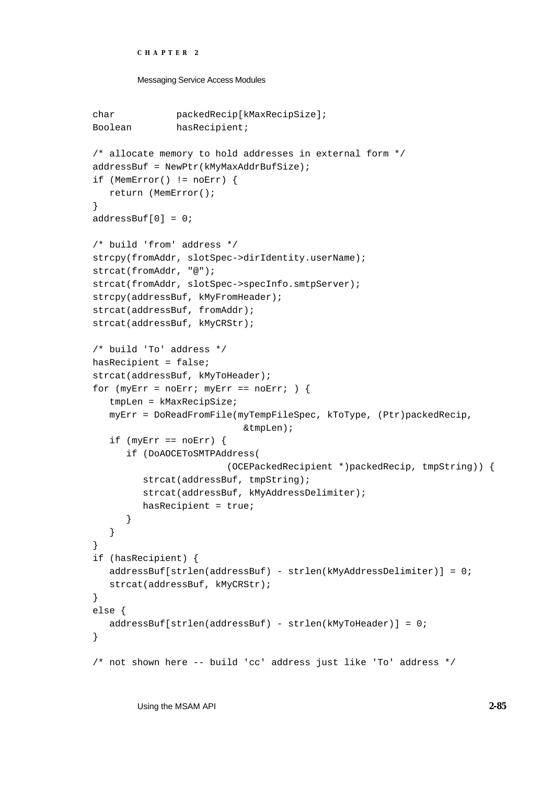```
CHAPTER 2
```

```
Messaging Service Access Modules
```

```
char packedRecip[kMaxRecipSize];
Boolean hasRecipient;
/* allocate memory to hold addresses in external form */
addressBuf = NewPtr(kMyMaxAddrBufSize);
if (MemError() != noErr) {
   return (MemError();
}
addressBuf[0] = 0;
/* build 'from' address */
strcpy(fromAddr, slotSpec->dirIdentity.userName); 
strcat(fromAddr, "@");
strcat(fromAddr, slotSpec->specInfo.smtpServer);
strcpy(addressBuf, kMyFromHeader);
strcat(addressBuf, fromAddr);
strcat(addressBuf, kMyCRStr);
/* build 'To' address */
hasRecipient = false;
strcat(addressBuf, kMyToHeader);
for (myErr = noErr; myErr == noErr; ) {
   tmpLen = kMaxRecipSize;
   myErr = DoReadFromFile(myTempFileSpec, kToType, (Ptr)packedRecip,
                           &tmpLen);
   if (myErr == noErr) {
      if (DoAOCEToSMTPAddress(
                        (OCEPackedRecipient *)packedRecip, tmpString)) {
         strcat(addressBuf, tmpString);
         strcat(addressBuf, kMyAddressDelimiter);
         hasRecipient = true;
      }
   }
}
if (hasRecipient) {
   addressBuf[strlen(addressBuf) - strlen(kMyAddressDelimiter)] = 0;
   strcat(addressBuf, kMyCRStr);
}
else {
   addressBuf[strlen(addressBuf) - strlen(kMyToHeader)] = 0;
}
/* not shown here -- build 'cc' address just like 'To' address */
```
Using the MSAM API **2-85**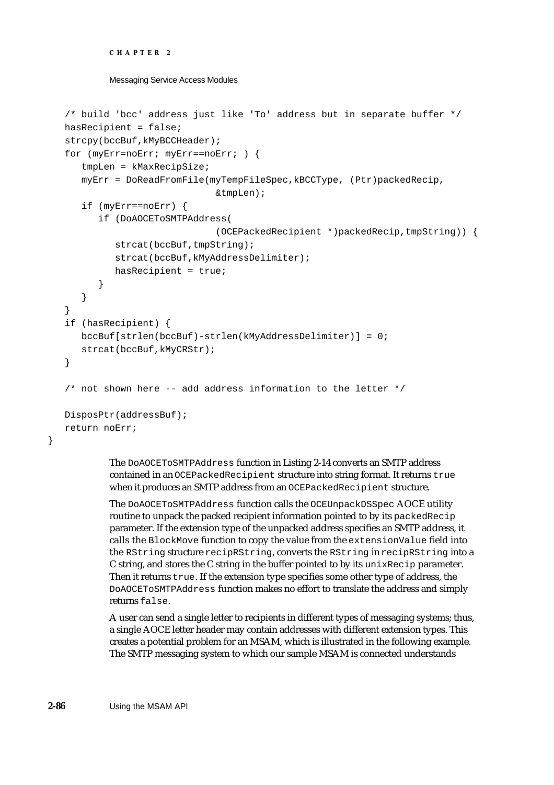```
CHAPTER 2
```

```
/* build 'bcc' address just like 'To' address but in separate buffer */
hasRecipient = false;
strcpy(bccBuf,kMyBCCHeader);
for (myErr=noErr; myErr==noErr; ) {
   tmpLen = kMaxRecipSize;
   myErr = DoReadFromFile(myTempFileSpec,kBCCType, (Ptr)packedRecip,
                           &tmpLen);
   if (myErr==noErr) {
      if (DoAOCEToSMTPAddress(
                           (OCEPackedRecipient *)packedRecip,tmpString)) {
         strcat(bccBuf,tmpString);
         strcat(bccBuf,kMyAddressDelimiter);
         hasRecipient = true;
      }
   }
}
if (hasRecipient) {
  bccBuf[strlen(bccBuf)-strlen(kMyAddressDelimiter)] = 0;
   strcat(bccBuf,kMyCRStr);
}
/* not shown here -- add address information to the letter */DisposPtr(addressBuf);
return noErr;
```
The DoAOCEToSMTPAddress function in Listing 2-14 converts an SMTP address contained in an OCEPackedRecipient structure into string format. It returns true when it produces an SMTP address from an OCEPackedRecipient structure.

The DoAOCEToSMTPAddress function calls the OCEUnpackDSSpec AOCE utility routine to unpack the packed recipient information pointed to by its packedRecip parameter. If the extension type of the unpacked address specifies an SMTP address, it calls the BlockMove function to copy the value from the extensionValue field into the RString structure recipRString, converts the RString in recipRString into a C string, and stores the C string in the buffer pointed to by its unixRecip parameter. Then it returns  $true$ . If the extension type specifies some other type of address, the DoAOCEToSMTPAddress function makes no effort to translate the address and simply returns false.

A user can send a single letter to recipients in different types of messaging systems; thus, a single AOCE letter header may contain addresses with different extension types. This creates a potential problem for an MSAM, which is illustrated in the following example. The SMTP messaging system to which our sample MSAM is connected understands

}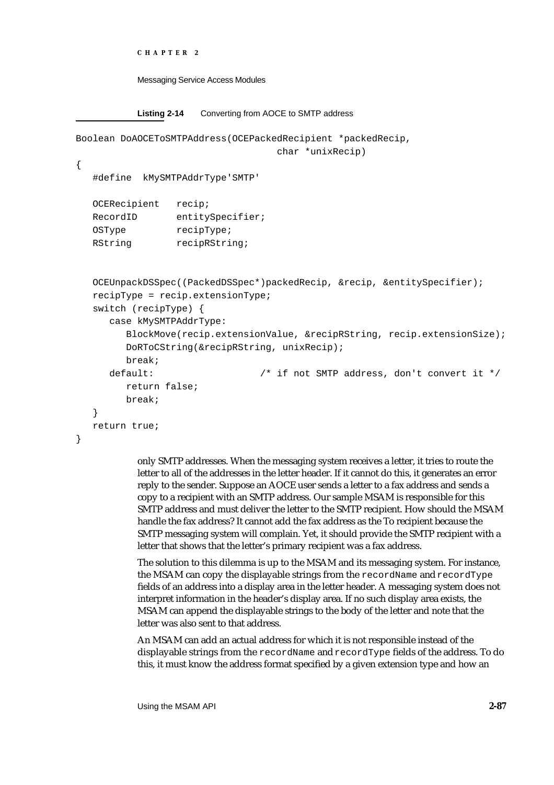```
CHAPTER 2
```

```
Listing 2-14 Converting from AOCE to SMTP address
Boolean DoAOCEToSMTPAddress(OCEPackedRecipient *packedRecip, 
                                   char *unixRecip)
{
  #define kMySMTPAddrType'SMTP' 
  OCERecipient recip;
  RecordID entitySpecifier;
  OSType recipType;
  RString recipRString;
  OCEUnpackDSSpec((PackedDSSpec*)packedRecip, &recip, &entitySpecifier);
  recipType = recip.extensionType; 
  switch (recipType) {
     case kMySMTPAddrType:
        BlockMove(recip.extensionValue, &recipRString, recip.extensionSize);
        DoRToCString(&recipRString, unixRecip); 
        break;
     default: /* if not SMTP address, don't convert it */
        return false;
        break;
   }
  return true;
}
```
only SMTP addresses. When the messaging system receives a letter, it tries to route the letter to all of the addresses in the letter header. If it cannot do this, it generates an error reply to the sender. Suppose an AOCE user sends a letter to a fax address and sends a copy to a recipient with an SMTP address. Our sample MSAM is responsible for this SMTP address and must deliver the letter to the SMTP recipient. How should the MSAM handle the fax address? It cannot add the fax address as the To recipient because the SMTP messaging system will complain. Yet, it should provide the SMTP recipient with a letter that shows that the letter's primary recipient was a fax address.

The solution to this dilemma is up to the MSAM and its messaging system. For instance, the MSAM can copy the displayable strings from the recordName and recordType fields of an address into a display area in the letter header. A messaging system does not interpret information in the header's display area. If no such display area exists, the MSAM can append the displayable strings to the body of the letter and note that the letter was also sent to that address.

An MSAM can add an actual address for which it is not responsible instead of the displayable strings from the recordName and recordType fields of the address. To do this, it must know the address format specified by a given extension type and how an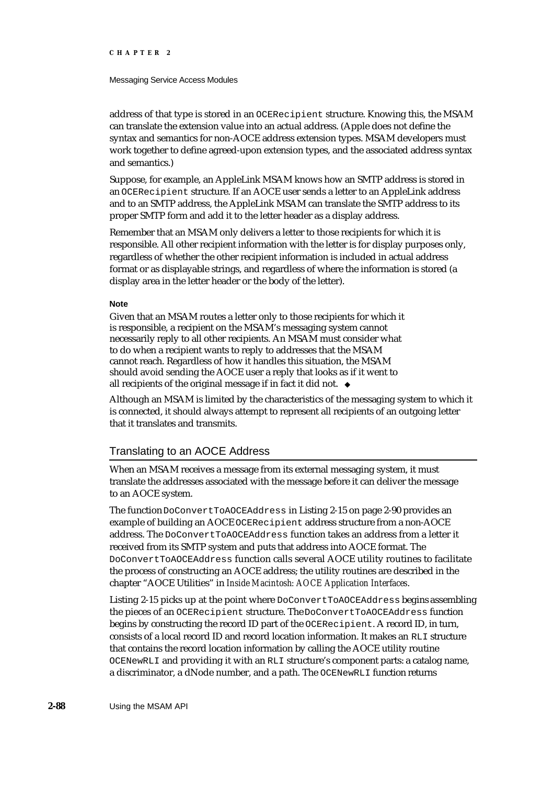#### Messaging Service Access Modules

address of that type is stored in an OCERecipient structure. Knowing this, the MSAM can translate the extension value into an actual address. (Apple does not define the syntax and semantics for non-AOCE address extension types. MSAM developers must work together to define agreed-upon extension types, and the associated address syntax and semantics.)

Suppose, for example, an AppleLink MSAM knows how an SMTP address is stored in an OCERecipient structure. If an AOCE user sends a letter to an AppleLink address and to an SMTP address, the AppleLink MSAM can translate the SMTP address to its proper SMTP form and add it to the letter header as a display address.

Remember that an MSAM only delivers a letter to those recipients for which it is responsible. All other recipient information with the letter is for display purposes only, regardless of whether the other recipient information is included in actual address format or as displayable strings, and regardless of where the information is stored (a display area in the letter header or the body of the letter).

### **Note**

Given that an MSAM routes a letter only to those recipients for which it is responsible, a recipient on the MSAM's messaging system cannot necessarily reply to all other recipients. An MSAM must consider what to do when a recipient wants to reply to addresses that the MSAM cannot reach. Regardless of how it handles this situation, the MSAM should avoid sending the AOCE user a reply that looks as if it went to all recipients of the original message if in fact it did not.

Although an MSAM is limited by the characteristics of the messaging system to which it is connected, it should always attempt to represent all recipients of an outgoing letter that it translates and transmits.

### Translating to an AOCE Address

When an MSAM receives a message from its external messaging system, it must translate the addresses associated with the message before it can deliver the message to an AOCE system.

The function DoConvertToAOCEAddress in Listing 2-15 on page 2-90 provides an example of building an AOCE OCERecipient address structure from a non-AOCE address. The DoConvertToAOCEAddress function takes an address from a letter it received from its SMTP system and puts that address into AOCE format. The DoConvertToAOCEAddress function calls several AOCE utility routines to facilitate the process of constructing an AOCE address; the utility routines are described in the chapter "AOCE Utilities" in *Inside Macintosh: AOCE Application Interfaces*.

Listing 2-15 picks up at the point where DoConvertToAOCEAddress begins assembling the pieces of an OCERecipient structure. The DoConvertToAOCEAddress function begins by constructing the record ID part of the OCERecipient. A record ID, in turn, consists of a local record ID and record location information. It makes an RLI structure that contains the record location information by calling the AOCE utility routine OCENewRLI and providing it with an RLI structure's component parts: a catalog name, a discriminator, a dNode number, and a path. The OCENewRLI function returns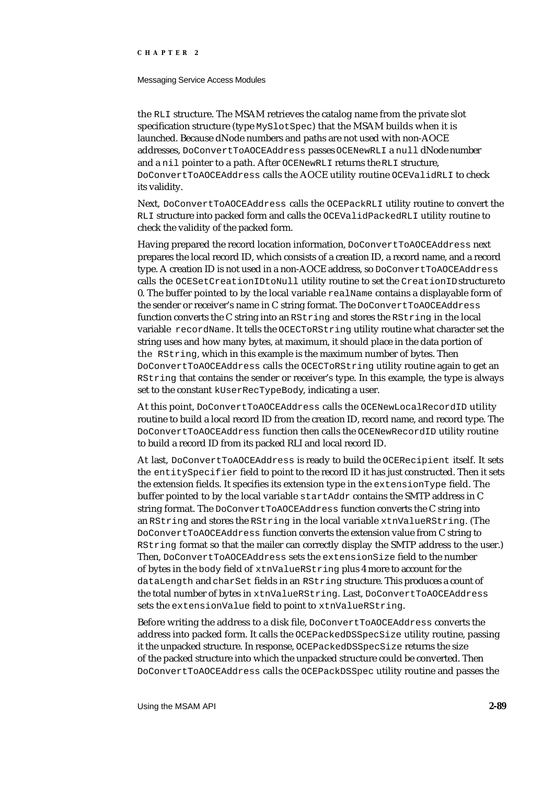#### Messaging Service Access Modules

the RLI structure. The MSAM retrieves the catalog name from the private slot specification structure (type MySlotSpec) that the MSAM builds when it is launched. Because dNode numbers and paths are not used with non-AOCE addresses, DoConvertToAOCEAddress passes OCENewRLI a null dNode number and a nil pointer to a path. After OCENewRLI returns the RLI structure, DoConvertToAOCEAddress calls the AOCE utility routine OCEValidRLI to check its validity.

Next, DoConvertToAOCEAddress calls the OCEPackRLI utility routine to convert the RLI structure into packed form and calls the OCEValidPackedRLI utility routine to check the validity of the packed form.

Having prepared the record location information, DoConvertToAOCEAddress next prepares the local record ID, which consists of a creation ID, a record name, and a record type. A creation ID is not used in a non-AOCE address, so DoConvertToAOCEAddress calls the OCESetCreationIDtoNull utility routine to set the CreationID structure to 0. The buffer pointed to by the local variable realName contains a displayable form of the sender or receiver's name in C string format. The DoConvertToAOCEAddress function converts the C string into an RString and stores the RString in the local variable recordName. It tells the OCECToRString utility routine what character set the string uses and how many bytes, at maximum, it should place in the data portion of the RString, which in this example is the maximum number of bytes. Then DoConvertToAOCEAddress calls the OCECToRString utility routine again to get an RString that contains the sender or receiver's type. In this example, the type is always set to the constant kUserRecTypeBody, indicating a user.

At this point, DoConvertToAOCEAddress calls the OCENewLocalRecordID utility routine to build a local record ID from the creation ID, record name, and record type. The DoConvertToAOCEAddress function then calls the OCENewRecordID utility routine to build a record ID from its packed RLI and local record ID.

At last, DoConvertToAOCEAddress is ready to build the OCERecipient itself. It sets the entitySpecifier field to point to the record ID it has just constructed. Then it sets the extension fields. It specifies its extension type in the extensionType field. The buffer pointed to by the local variable startAddr contains the SMTP address in C string format. The DoConvertToAOCEAddress function converts the C string into an RString and stores the RString in the local variable xtnValueRString. (The DoConvertToAOCEAddress function converts the extension value from C string to RString format so that the mailer can correctly display the SMTP address to the user.) Then, DoConvertToAOCEAddress sets the extensionSize field to the number of bytes in the body field of xtnValueRString plus 4 more to account for the dataLength and charSet fields in an RString structure. This produces a count of the total number of bytes in xtnValueRString. Last, DoConvertToAOCEAddress sets the extensionValue field to point to xtnValueRString.

Before writing the address to a disk file, DoConvertToAOCEAddress converts the address into packed form. It calls the OCEPackedDSSpecSize utility routine, passing it the unpacked structure. In response, OCEPackedDSSpecSize returns the size of the packed structure into which the unpacked structure could be converted. Then DoConvertToAOCEAddress calls the OCEPackDSSpec utility routine and passes the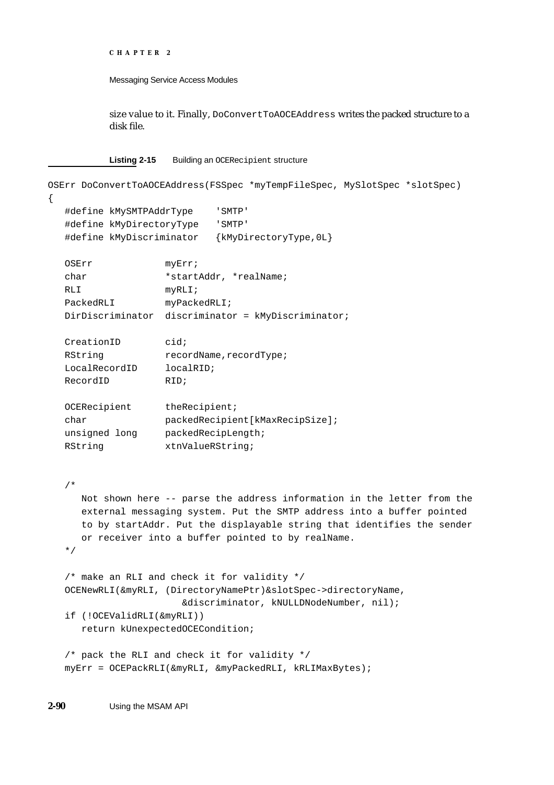```
CHAPTER 2
```
size value to it. Finally, DoConvertToAOCEAddress writes the packed structure to a disk file.

**Listing 2-15** Building an OCERecipient structure

```
OSErr DoConvertToAOCEAddress(FSSpec *myTempFileSpec, MySlotSpec *slotSpec)
{
  #define kMySMTPAddrType 'SMTP'
  #define kMyDirectoryType 'SMTP'
  #define kMyDiscriminator {kMyDirectoryType,0L}
  OSErr myErr;
  char *startAddr, *realName;
  RLI myRLI;
  PackedRLI myPackedRLI;
  DirDiscriminator discriminator = kMyDiscriminator;
  CreationID cid;
  RString recordName, recordType;
  LocalRecordID localRID;
  RecordID RID;
  OCERecipient theRecipient;
  char packedRecipient[kMaxRecipSize];
  unsigned long packedRecipLength;
  RString xtnValueRString;
  /*
     Not shown here -- parse the address information in the letter from the 
     external messaging system. Put the SMTP address into a buffer pointed
     to by startAddr. Put the displayable string that identifies the sender
     or receiver into a buffer pointed to by realName.
  */
  /* make an RLI and check it for validity */
  OCENewRLI(&myRLI, (DirectoryNamePtr)&slotSpec->directoryName,
                      &discriminator, kNULLDNodeNumber, nil);
  if (!OCEValidRLI(&myRLI))
     return kUnexpectedOCECondition;
  /* pack the RLI and check it for validity */
  myErr = OCEPackRLI(&myRLI, &myPackedRLI, kRLIMaxBytes);
```
**2-90** Using the MSAM API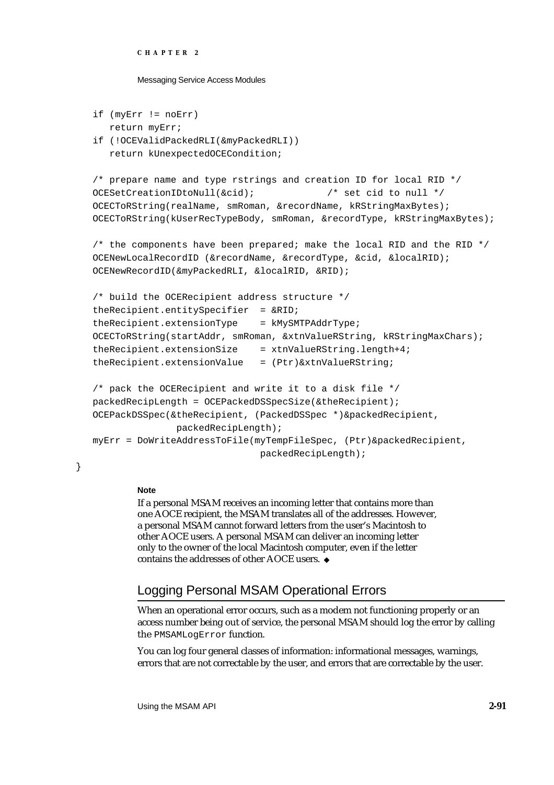#### Messaging Service Access Modules

```
if (myErr != noErr)
```

```
return myErr;
if (!OCEValidPackedRLI(&myPackedRLI))
```
return kUnexpectedOCECondition;

```
/* prepare name and type rstrings and creation ID for local RID */
OCESetCreationIDtoNull(&cid); /* set cid to null */
OCECToRString(realName, smRoman, &recordName, kRStringMaxBytes);
OCECToRString(kUserRecTypeBody, smRoman, &recordType, kRStringMaxBytes);
```
/\* the components have been prepared; make the local RID and the RID \*/ OCENewLocalRecordID (&recordName, &recordType, &cid, &localRID); OCENewRecordID(&myPackedRLI, &localRID, &RID);

```
/* build the OCERecipient address structure */
theRecipient.entitySpecifier = &RID;
theRecipient.extensionType = kMySMTPAddrType;
OCECToRString(startAddr, smRoman, &xtnValueRString, kRStringMaxChars);
theRecipient.extensionSize = xtnValueRString.length+4; 
theRecipient.extensionValue = (Ptr)&xtnValueRString;
/* pack the OCERecipient and write it to a disk file */
packedRecipLength = OCEPackedDSSpecSize(&theRecipient); 
OCEPackDSSpec(&theRecipient, (PackedDSSpec *)&packedRecipient,
```
packedRecipLength);

```
myErr = DoWriteAddressToFile(myTempFileSpec, (Ptr)&packedRecipient,
                              packedRecipLength);
```
### **Note**

}

If a personal MSAM receives an incoming letter that contains more than one AOCE recipient, the MSAM translates all of the addresses. However, a personal MSAM cannot forward letters from the user's Macintosh to other AOCE users. A personal MSAM can deliver an incoming letter only to the owner of the local Macintosh computer, even if the letter contains the addresses of other AOCE users.

# Logging Personal MSAM Operational Errors

When an operational error occurs, such as a modem not functioning properly or an access number being out of service, the personal MSAM should log the error by calling the PMSAMLogError function.

You can log four general classes of information: informational messages, warnings, errors that are not correctable by the user, and errors that are correctable by the user.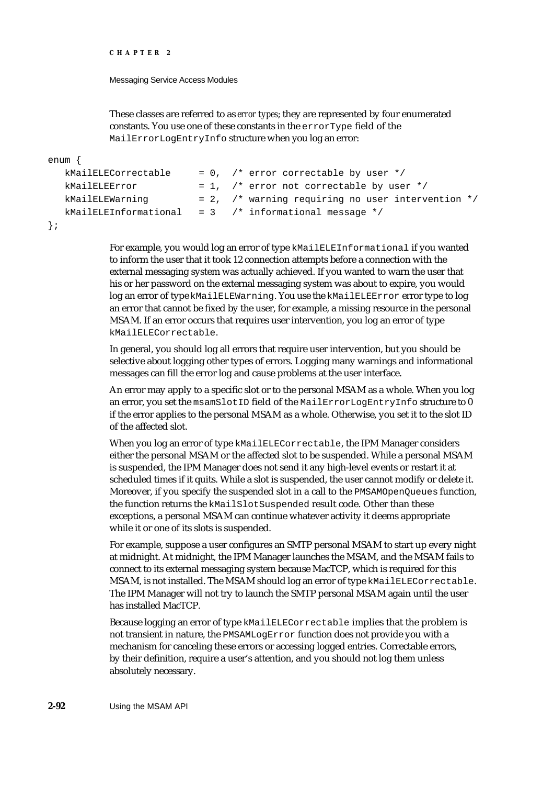Messaging Service Access Modules

These classes are referred to as *error types*; they are represented by four enumerated constants. You use one of these constants in the errorType field of the MailErrorLogEntryInfo structure when you log an error:

```
enum {
```

```
kMailELECorrectable = 0, /* error correctable by user */
kMailELEError = 1, \prime* error not correctable by user */kMailELEWarning = 2, /* warning requiring no user intervention */
kMailELEInformational = 3 / * informational message */
```

```
};
```
For example, you would log an error of type kMailELEInformational if you wanted to inform the user that it took 12 connection attempts before a connection with the external messaging system was actually achieved. If you wanted to warn the user that his or her password on the external messaging system was about to expire, you would log an error of type kMailELEWarning. You use the kMailELEError error type to log an error that cannot be fixed by the user, for example, a missing resource in the personal MSAM. If an error occurs that requires user intervention, you log an error of type kMailELECorrectable.

In general, you should log all errors that require user intervention, but you should be selective about logging other types of errors. Logging many warnings and informational messages can fill the error log and cause problems at the user interface.

An error may apply to a specific slot or to the personal MSAM as a whole. When you log an error, you set the msamSlotID field of the MailErrorLogEntryInfo structure to 0 if the error applies to the personal MSAM as a whole. Otherwise, you set it to the slot ID of the affected slot.

When you log an error of type kMailELECorrectable, the IPM Manager considers either the personal MSAM or the affected slot to be suspended. While a personal MSAM is suspended, the IPM Manager does not send it any high-level events or restart it at scheduled times if it quits. While a slot is suspended, the user cannot modify or delete it. Moreover, if you specify the suspended slot in a call to the PMSAMOpenQueues function, the function returns the kMailSlotSuspended result code. Other than these exceptions, a personal MSAM can continue whatever activity it deems appropriate while it or one of its slots is suspended.

For example, suppose a user configures an SMTP personal MSAM to start up every night at midnight. At midnight, the IPM Manager launches the MSAM, and the MSAM fails to connect to its external messaging system because MacTCP, which is required for this MSAM, is not installed. The MSAM should log an error of type kMailELECorrectable. The IPM Manager will not try to launch the SMTP personal MSAM again until the user has installed MacTCP.

Because logging an error of type kMailELECorrectable implies that the problem is not transient in nature, the PMSAMLogError function does not provide you with a mechanism for canceling these errors or accessing logged entries. Correctable errors, by their definition, require a user's attention, and you should not log them unless absolutely necessary.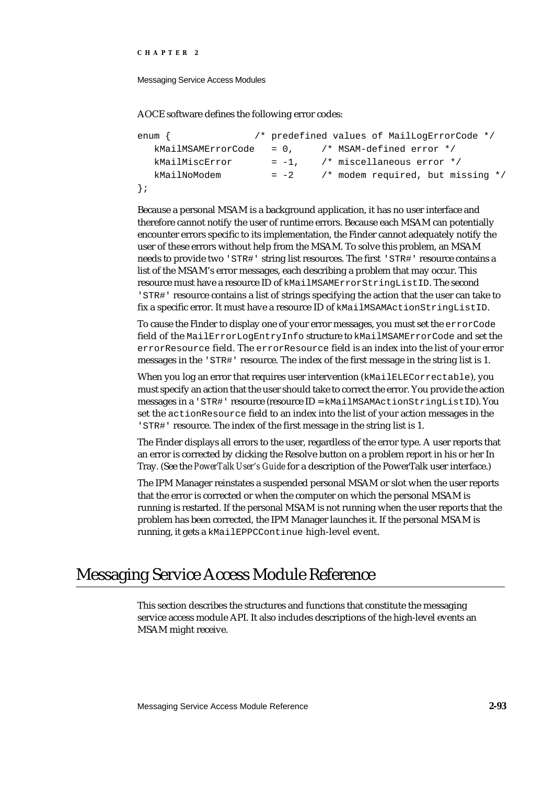Messaging Service Access Modules

AOCE software defines the following error codes:

```
enum { /* predefined values of MailLogErrorCode */
  kMailMSAMErrorCode = 0, /* MSAM-defined error */
  kMailMiscError = -1, \frac{1}{2} miscellaneous error */
  kMailNoModem = -2 /* modem required, but missing */
};
```
Because a personal MSAM is a background application, it has no user interface and therefore cannot notify the user of runtime errors. Because each MSAM can potentially encounter errors specific to its implementation, the Finder cannot adequately notify the user of these errors without help from the MSAM. To solve this problem, an MSAM needs to provide two 'STR#' string list resources. The first 'STR#' resource contains a list of the MSAM's error messages, each describing a problem that may occur. This resource must have a resource ID of kMailMSAMErrorStringListID. The second 'STR#' resource contains a list of strings specifying the action that the user can take to fix a specific error. It must have a resource ID of kMailMSAMActionStringListID.

To cause the Finder to display one of your error messages, you must set the errorCode field of the MailErrorLogEntryInfo structure to kMailMSAMErrorCode and set the errorResource field. The errorResource field is an index into the list of your error messages in the 'STR#' resource. The index of the first message in the string list is 1.

When you log an error that requires user intervention (kMailELECorrectable), you must specify an action that the user should take to correct the error. You provide the action messages in a 'STR#' resource (resource ID = kMailMSAMActionStringListID). You set the actionResource field to an index into the list of your action messages in the 'STR#' resource. The index of the first message in the string list is 1.

The Finder displays all errors to the user, regardless of the error type. A user reports that an error is corrected by clicking the Resolve button on a problem report in his or her In Tray. (See the *PowerTalk User's Guide* for a description of the PowerTalk user interface.)

The IPM Manager reinstates a suspended personal MSAM or slot when the user reports that the error is corrected or when the computer on which the personal MSAM is running is restarted. If the personal MSAM is not running when the user reports that the problem has been corrected, the IPM Manager launches it. If the personal MSAM is running, it gets a kMailEPPCContinue high-level event.

# Messaging Service Access Module Reference

This section describes the structures and functions that constitute the messaging service access module API. It also includes descriptions of the high-level events an MSAM might receive.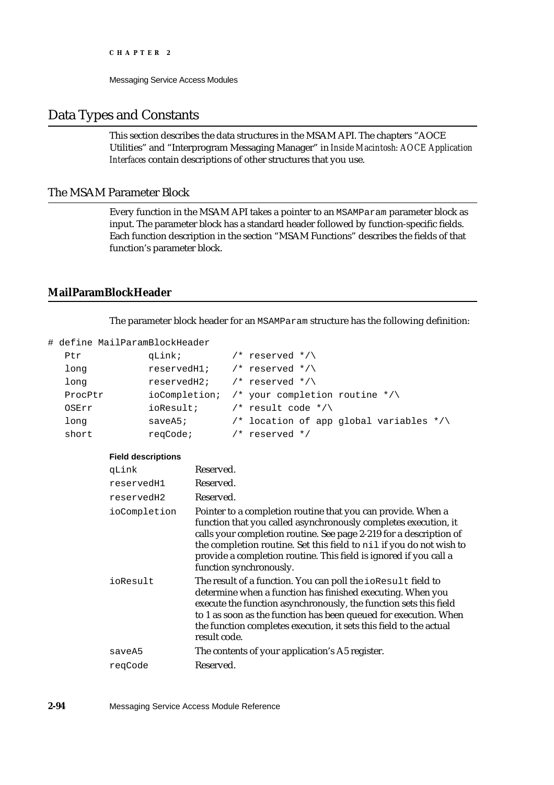## Data Types and Constants

This section describes the data structures in the MSAM API. The chapters "AOCE Utilities" and "Interprogram Messaging Manager" in *Inside Macintosh: AOCE Application Interfaces* contain descriptions of other structures that you use.

## The MSAM Parameter Block

Every function in the MSAM API takes a pointer to an MSAMParam parameter block as input. The parameter block has a standard header followed by function-specific fields. Each function description in the section "MSAM Functions" describes the fields of that function's parameter block.

## **MailParamBlockHeader**

The parameter block header for an MSAMParam structure has the following definition:

```
# define MailParamBlockHeader
```

| Ptr     | qLink;     | $\prime$ * reserved */\                                       |
|---------|------------|---------------------------------------------------------------|
| long    |            | reserved $1$ ; $\frac{1}{2}$ reserved $\frac{\ast}{\sqrt{2}}$ |
| long    |            | reserved H2; $/*$ reserved $*/\sqrt{ }$                       |
| ProcPtr |            | ioCompletion; /* your completion routine */\                  |
| OSErr   | ioResult;  | /* result code */\                                            |
| long    | $saveA5$ ; | /* location of app qlobal variables $*/\wedge$                |
| short   | regCode;   | $/*$ reserved $*/$                                            |

#### **Field descriptions**

| qLink        | Reserved.                                                                                                                                                                                                                                                                                                                                                                    |
|--------------|------------------------------------------------------------------------------------------------------------------------------------------------------------------------------------------------------------------------------------------------------------------------------------------------------------------------------------------------------------------------------|
| reservedH1   | Reserved.                                                                                                                                                                                                                                                                                                                                                                    |
| reservedH2   | Reserved.                                                                                                                                                                                                                                                                                                                                                                    |
| ioCompletion | Pointer to a completion routine that you can provide. When a<br>function that you called asynchronously completes execution, it<br>calls your completion routine. See page 2-219 for a description of<br>the completion routine. Set this field to nil if you do not wish to<br>provide a completion routine. This field is ignored if you call a<br>function synchronously. |
| ioResult     | The result of a function. You can poll the ioResult field to<br>determine when a function has finished executing. When you<br>execute the function asynchronously, the function sets this field<br>to 1 as soon as the function has been queued for execution. When<br>the function completes execution, it sets this field to the actual<br>result code.                    |
| saveA5       | The contents of your application's A5 register.                                                                                                                                                                                                                                                                                                                              |
| regCode      | Reserved.                                                                                                                                                                                                                                                                                                                                                                    |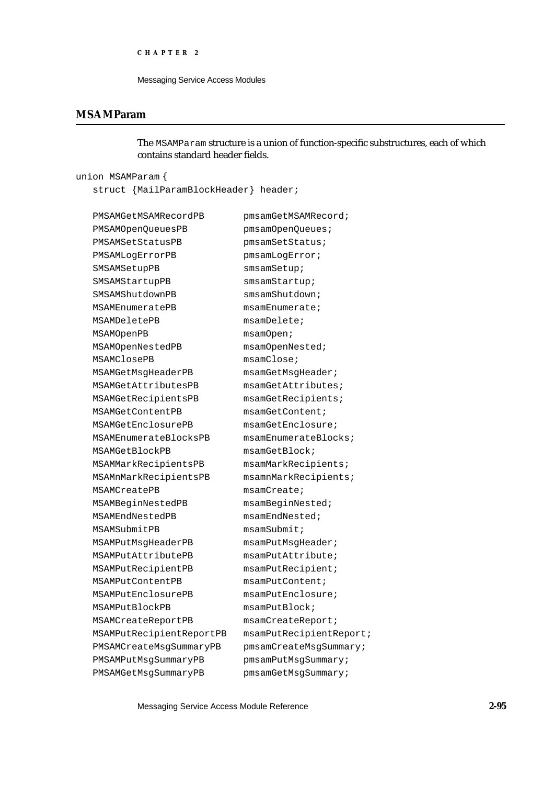```
CHAPTER 2
```
## **MSAMParam**

The MSAMParam structure is a union of function-specific substructures, each of which contains standard header fields.

union MSAMParam {

struct {MailParamBlockHeader} header;

| PMSAMGetMSAMRecordPB     | pmsamGetMSAMRecord;     |
|--------------------------|-------------------------|
| PMSAMOpenQueuesPB        | pmsamOpenQueues;        |
| PMSAMSetStatusPB         | pmsamSetStatus;         |
| PMSAMLogErrorPB          | pmsamLogError;          |
| SMSAMSetupPB             | smsamSetup;             |
| SMSAMStartupPB           | smsamStartup;           |
| SMSAMShutdownPB          | smsamShutdown;          |
| MSAMEnumeratePB          | msamEnumerate;          |
| MSAMDeletePB             | msamDelete;             |
| MSAMOpenPB               | msamOpen                |
| MSAMOpenNestedPB         | msamOpenNested;         |
| MSAMClosePB              | msamClose               |
| MSAMGetMsqHeaderPB       | msamGetMsqHeader;       |
| MSAMGetAttributesPB      | msamGetAttributes;      |
| MSAMGetRecipientsPB      | msamGetRecipients;      |
| MSAMGetContentPB         | msamGetContent;         |
| MSAMGetEnclosurePB       | msamGetEnclosure;       |
| MSAMEnumerateBlocksPB    | msamEnumerateBlocks;    |
| MSAMGetBlockPB           | msamGetBlock            |
| MSAMMarkRecipientsPB     | msamMarkRecipients;     |
| MSAMnMarkRecipientsPB    | msamnMarkRecipients;    |
| MSAMCreatePB             | msamCreate;             |
| MSAMBeginNestedPB        | msamBeginNested;        |
| MSAMEndNestedPB          | msamEndNested;          |
| MSAMSubmitPB             | msamSubmiti             |
| MSAMPutMsgHeaderPB       | msamPutMsqHeader;       |
| MSAMPutAttributePB       | msamPutAttribute        |
| MSAMPutRecipientPB       | msamPutRecipient;       |
| MSAMPutContentPB         | msamPutContent;         |
| MSAMPutEnclosurePB       | msamPutEnclosure;       |
| MSAMPutBlockPB           | msamPutBlock            |
| MSAMCreateReportPB       | msamCreateReport;       |
| MSAMPutRecipientReportPB | msamPutRecipientReport; |
| PMSAMCreateMsgSummaryPB  | pmsamCreateMsgSummary;  |
| PMSAMPutMsgSummaryPB     | pmsamPutMsgSummary;     |
| PMSAMGetMsgSummaryPB     | pmsamGetMsgSummary;     |
|                          |                         |

Messaging Service Access Module Reference **2-95**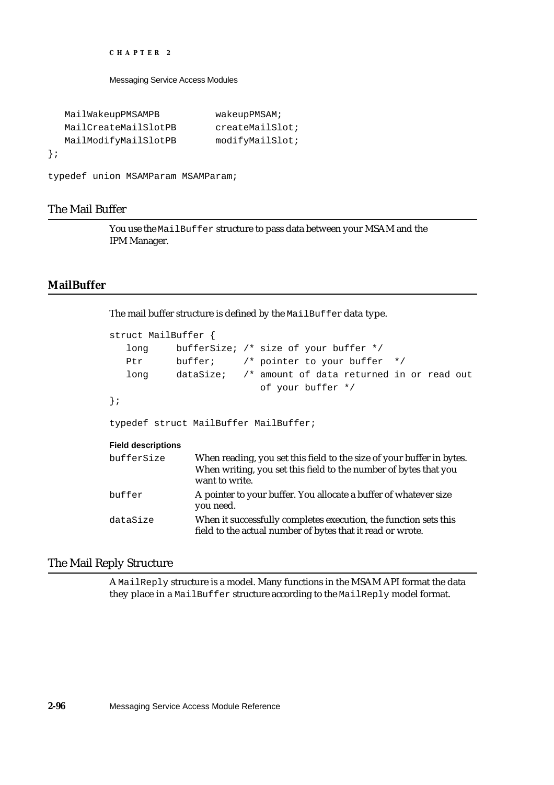Messaging Service Access Modules

```
MailWakeupPMSAMPB wakeupPMSAM;
  MailCreateMailSlotPB createMailSlot;
  MailModifyMailSlotPB modifyMailSlot;
};
```

```
typedef union MSAMParam MSAMParam;
```
### The Mail Buffer

You use the MailBuffer structure to pass data between your MSAM and the IPM Manager.

### **MailBuffer**

The mail buffer structure is defined by the MailBuffer data type.

```
struct MailBuffer {
   long bufferSize; /* size of your buffer */
   Ptr buffer; /* pointer to your buffer */
   long dataSize; /* amount of data returned in or read out
                              of your buffer */
};
typedef struct MailBuffer MailBuffer;
Field descriptions
bufferSize When reading, you set this field to the size of your buffer in bytes. 
                 When writing, you set this field to the number of bytes that you 
                 want to write.
buffer A pointer to your buffer. You allocate a buffer of whatever size
                 you need.
dataSize When it successfully completes execution, the function sets this 
                 field to the actual number of bytes that it read or wrote.
```
### The Mail Reply Structure

A MailReply structure is a model. Many functions in the MSAM API format the data they place in a MailBuffer structure according to the MailReply model format.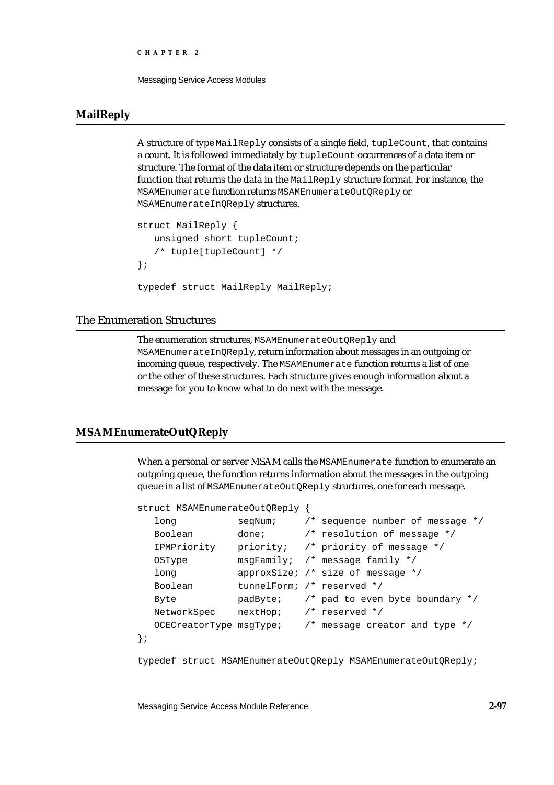Messaging Service Access Modules

## **MailReply**

A structure of type MailReply consists of a single field, tupleCount, that contains a count. It is followed immediately by tupleCount occurrences of a data item or structure. The format of the data item or structure depends on the particular function that returns the data in the MailReply structure format. For instance, the MSAMEnumerate function returns MSAMEnumerateOutQReply or MSAMEnumerateInQReply structures.

```
struct MailReply {
   unsigned short tupleCount;
   /* tuple[tupleCount] */
};
typedef struct MailReply MailReply;
```
## The Enumeration Structures

The enumeration structures, MSAMEnumerateOutOReply and MSAMEnumerateInQReply, return information about messages in an outgoing or incoming queue, respectively. The MSAMEnumerate function returns a list of one or the other of these structures. Each structure gives enough information about a message for you to know what to do next with the message.

### **MSAMEnumerateOutQReply**

When a personal or server MSAM calls the MSAMEnumerate function to enumerate an outgoing queue, the function returns information about the messages in the outgoing queue in a list of MSAMEnumerateOutQReply structures, one for each message.

```
struct MSAMEnumerateOutQReply {
```

| long                    | seqNum;                    | /* sequence number of message $*/$         |
|-------------------------|----------------------------|--------------------------------------------|
| Boolean                 |                            | done: $/*$ resolution of message $*/$      |
| IPMPriority             |                            | priority; /* priority of message */        |
| <b>OSType</b>           |                            | $msgFamily:$ /* message family */          |
| long                    |                            | approxSize; /* size of message */          |
| Boolean                 | tunnelForm; /* reserved */ |                                            |
| Byte                    |                            | $padByte:$ /* pad to even byte boundary */ |
| NetworkSpec             | nextHop; /* reserved */    |                                            |
| OCECreatorType msqType; |                            | /* message creator and type $*/$           |
|                         |                            |                                            |

typedef struct MSAMEnumerateOutQReply MSAMEnumerateOutQReply;

Messaging Service Access Module Reference **2-97**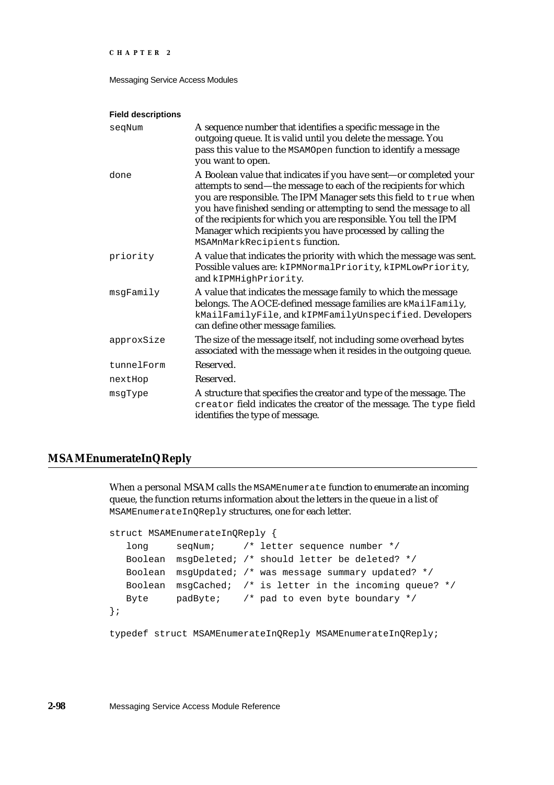Messaging Service Access Modules

#### **Field descriptions**

| segNum     | A sequence number that identifies a specific message in the                                                                                                                                                                                                                                                                                                                                                                                          |
|------------|------------------------------------------------------------------------------------------------------------------------------------------------------------------------------------------------------------------------------------------------------------------------------------------------------------------------------------------------------------------------------------------------------------------------------------------------------|
|            | outgoing queue. It is valid until you delete the message. You                                                                                                                                                                                                                                                                                                                                                                                        |
|            | pass this value to the MSAMOpen function to identify a message                                                                                                                                                                                                                                                                                                                                                                                       |
|            | you want to open.                                                                                                                                                                                                                                                                                                                                                                                                                                    |
| done       | A Boolean value that indicates if you have sent-or completed your<br>attempts to send—the message to each of the recipients for which<br>you are responsible. The IPM Manager sets this field to true when<br>you have finished sending or attempting to send the message to all<br>of the recipients for which you are responsible. You tell the IPM<br>Manager which recipients you have processed by calling the<br>MSAMnMarkRecipients function. |
| priority   | A value that indicates the priority with which the message was sent.<br>Possible values are: kIPMNormalPriority, kIPMLowPriority,<br>and kIPMHighPriority.                                                                                                                                                                                                                                                                                           |
| msgFamily  | A value that indicates the message family to which the message<br>belongs. The AOCE-defined message families are kMailFamily,<br>kMailFamilyFile, and kIPMFamilyUnspecified. Developers<br>can define other message families.                                                                                                                                                                                                                        |
| approxSize | The size of the message itself, not including some overhead bytes<br>associated with the message when it resides in the outgoing queue.                                                                                                                                                                                                                                                                                                              |
| tunnelForm | Reserved.                                                                                                                                                                                                                                                                                                                                                                                                                                            |
| nextHop    | Reserved.                                                                                                                                                                                                                                                                                                                                                                                                                                            |
| msqType    | A structure that specifies the creator and type of the message. The<br>creator field indicates the creator of the message. The type field<br>identifies the type of message.                                                                                                                                                                                                                                                                         |

## **MSAMEnumerateInQReply**

When a personal MSAM calls the MSAMEnumerate function to enumerate an incoming queue, the function returns information about the letters in the queue in a list of MSAMEnumerateInQReply structures, one for each letter.

```
struct MSAMEnumerateInQReply {
```

```
long seqNum; /* letter sequence number */
  Boolean msgDeleted; /* should letter be deleted? */
  Boolean msgUpdated; /* was message summary updated? */
  Boolean msgCached; /* is letter in the incoming queue? */
  Byte padByte; /* pad to even byte boundary */};
```
typedef struct MSAMEnumerateInQReply MSAMEnumerateInQReply;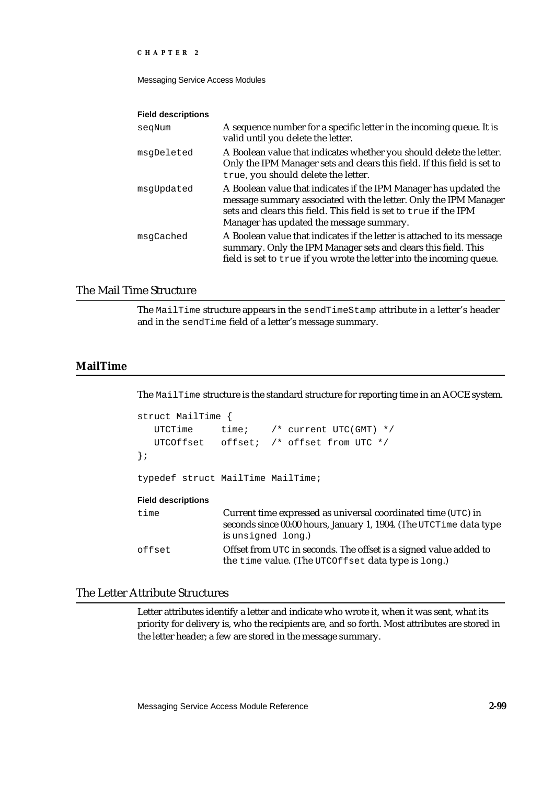Messaging Service Access Modules

#### **Field descriptions**

| segNum     | A sequence number for a specific letter in the incoming queue. It is<br>valid until you delete the letter.                                                                                                                                            |
|------------|-------------------------------------------------------------------------------------------------------------------------------------------------------------------------------------------------------------------------------------------------------|
| msqDeleted | A Boolean value that indicates whether you should delete the letter.<br>Only the IPM Manager sets and clears this field. If this field is set to<br>true, you should delete the letter.                                                               |
| msqUpdated | A Boolean value that indicates if the IPM Manager has updated the<br>message summary associated with the letter. Only the IPM Manager<br>sets and clears this field. This field is set to true if the IPM<br>Manager has updated the message summary. |
| msqCached  | A Boolean value that indicates if the letter is attached to its message<br>summary. Only the IPM Manager sets and clears this field. This<br>field is set to true if you wrote the letter into the incoming queue.                                    |

### The Mail Time Structure

The MailTime structure appears in the sendTimeStamp attribute in a letter's header and in the sendTime field of a letter's message summary.

## **MailTime**

The MailTime structure is the standard structure for reporting time in an AOCE system.

```
struct MailTime {
  UTCTime time; /* current UTC(GMT) */
  UTCOffset offset; /* offset from UTC */
};
typedef struct MailTime MailTime;
```
#### **Field descriptions**

| time   | Current time expressed as universal coordinated time (UTC) in<br>seconds since 00:00 hours, January 1, 1904. (The UTCTime data type<br>is unsigned long.) |
|--------|-----------------------------------------------------------------------------------------------------------------------------------------------------------|
| offset | Offset from UTC in seconds. The offset is a signed value added to<br>the time value. (The UTCOffset data type is long.)                                   |

## The Letter Attribute Structures

Letter attributes identify a letter and indicate who wrote it, when it was sent, what its priority for delivery is, who the recipients are, and so forth. Most attributes are stored in the letter header; a few are stored in the message summary.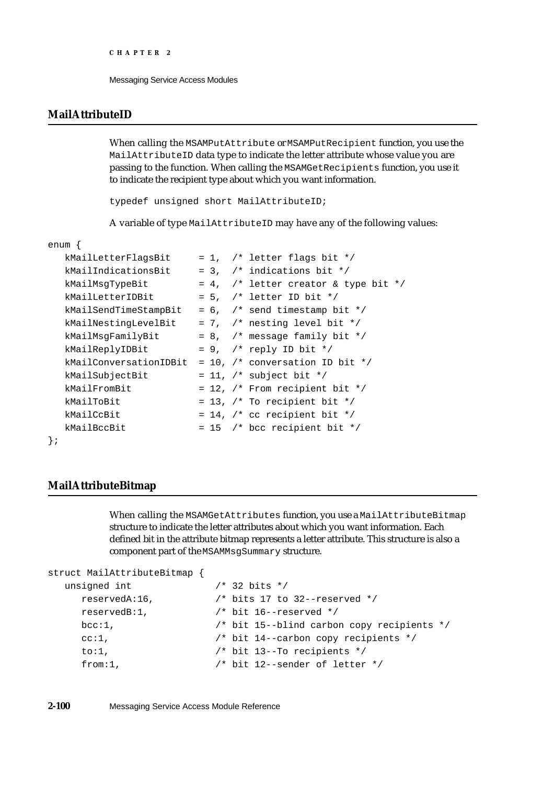## **MailAttributeID**

When calling the MSAMPutAttribute or MSAMPutRecipient function, you use the MailAttributeID data type to indicate the letter attribute whose value you are passing to the function. When calling the MSAMGetRecipients function, you use it to indicate the recipient type about which you want information.

typedef unsigned short MailAttributeID;

A variable of type MailAttributeID may have any of the following values:

#### enum {

| kMailLetterFlagsBit    |  | $= 1,$ /* letter flags bit */                |
|------------------------|--|----------------------------------------------|
| kMailIndicationsBit    |  | $= 3$ , /* indications bit */                |
| kMailMsqTypeBit        |  | = 4, $\prime$ * letter creator & type bit */ |
| kMailLetterIDBit       |  | $= 5$ , /* letter ID bit */                  |
| kMailSendTimeStampBit  |  | $= 6$ , /* send timestamp bit */             |
| kMailNestingLevelBit   |  | $= 7$ , /* nesting level bit */              |
| kMailMsgFamilyBit      |  | $= 8$ , /* message family bit */             |
| kMailReplyIDBit        |  | $= 9$ , /* reply ID bit */                   |
| kMailConversationIDBit |  | = 10, $/*$ conversation ID bit $*/$          |
| kMailSubjectBit        |  | = 11, $/*$ subject bit $*/$                  |
| kMailFromBit           |  | $= 12$ , /* From recipient bit */            |
| kMailToBit             |  | = 13, $/*$ To recipient bit $*/$             |
| kMailCcBit             |  | = 14, $/*$ cc recipient bit $*/$             |
| kMailBccBit            |  | $= 15$ /* bcc recipient bit */               |
|                        |  |                                              |
|                        |  |                                              |

## **MailAttributeBitmap**

When calling the MSAMGetAttributes function, you use a MailAttributeBitmap structure to indicate the letter attributes about which you want information. Each defined bit in the attribute bitmap represents a letter attribute. This structure is also a component part of the MSAMMsgSummary structure.

```
struct MailAttributeBitmap {
  unsigned int /* 32 bits */
    reservedA:16, /* bits 17 to 32--reserved */
    reservedB:1, /* bit 16--reserved */
    bcc:1, /* bit 15--blind carbon copy recipients */
    cc:1, /* bit 14--carbon copy recipients */
    to:1, \frac{1}{2} /* bit 13--To recipients */
    from:1, \frac{1}{4} \frac{1}{2}-sender of letter \frac{*}{4}
```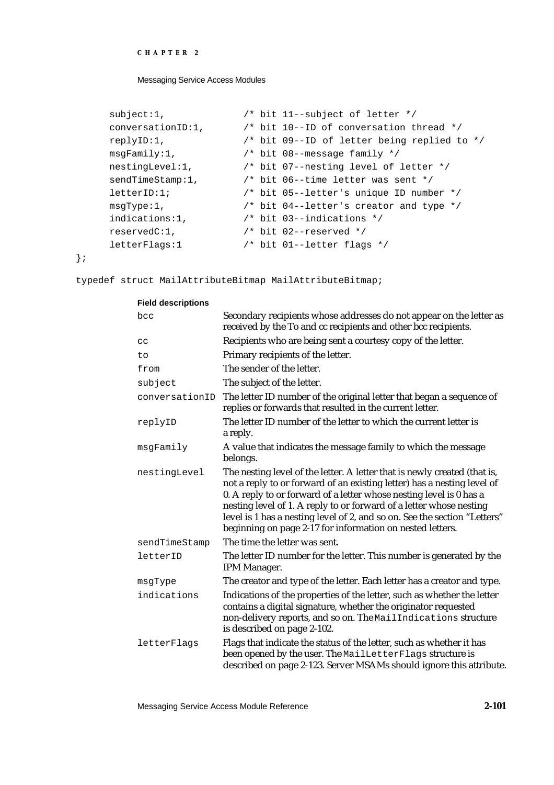Messaging Service Access Modules

```
subject:1, \frac{1}{2} /* bit 11--subject of letter */
conversationID:1, /* bit 10--ID of conversation thread */
replyID:1, /* bit 09--ID of letter being replied to */
msgFamily:1, /* bit 08--message family */
nestingLevel:1, /* bit 07--nesting level of letter */
sendTimeStamp:1, \frac{1}{1} /* bit 06--time letter was sent */
letterID:1; /* bit 05--letter's unique ID number */
msgType:1, /* bit 04--letter's creator and type */
indications:1, \frac{1}{1 + \text{bit 03--indications *}}reservedC:1, /* bit 02--reserved */
letterFlags:1 /* bit 01--letter flags */
```
};

typedef struct MailAttributeBitmap MailAttributeBitmap;

#### **Field descriptions**

| bcc            | Secondary recipients whose addresses do not appear on the letter as<br>received by the To and cc recipients and other bcc recipients.                                                                                                                                                                                                                                                                                                        |
|----------------|----------------------------------------------------------------------------------------------------------------------------------------------------------------------------------------------------------------------------------------------------------------------------------------------------------------------------------------------------------------------------------------------------------------------------------------------|
| cc             | Recipients who are being sent a courtesy copy of the letter.                                                                                                                                                                                                                                                                                                                                                                                 |
| to             | Primary recipients of the letter.                                                                                                                                                                                                                                                                                                                                                                                                            |
| from           | The sender of the letter.                                                                                                                                                                                                                                                                                                                                                                                                                    |
| subject        | The subject of the letter.                                                                                                                                                                                                                                                                                                                                                                                                                   |
| conversationID | The letter ID number of the original letter that began a sequence of<br>replies or forwards that resulted in the current letter.                                                                                                                                                                                                                                                                                                             |
| replyID        | The letter ID number of the letter to which the current letter is<br>a reply.                                                                                                                                                                                                                                                                                                                                                                |
| msgFamily      | A value that indicates the message family to which the message<br>belongs.                                                                                                                                                                                                                                                                                                                                                                   |
| nestingLevel   | The nesting level of the letter. A letter that is newly created (that is,<br>not a reply to or forward of an existing letter) has a nesting level of<br>0. A reply to or forward of a letter whose nesting level is 0 has a<br>nesting level of 1. A reply to or forward of a letter whose nesting<br>level is 1 has a nesting level of 2, and so on. See the section "Letters"<br>beginning on page 2-17 for information on nested letters. |
| sendTimeStamp  | The time the letter was sent.                                                                                                                                                                                                                                                                                                                                                                                                                |
| letterID       | The letter ID number for the letter. This number is generated by the<br>IPM Manager.                                                                                                                                                                                                                                                                                                                                                         |
| msgType        | The creator and type of the letter. Each letter has a creator and type.                                                                                                                                                                                                                                                                                                                                                                      |
| indications    | Indications of the properties of the letter, such as whether the letter<br>contains a digital signature, whether the originator requested<br>non-delivery reports, and so on. The MailIndications structure<br>is described on page 2-102.                                                                                                                                                                                                   |
| letterFlags    | Flags that indicate the status of the letter, such as whether it has<br>been opened by the user. The MailLetterFlags structure is<br>described on page 2-123. Server MSAMs should ignore this attribute.                                                                                                                                                                                                                                     |

Messaging Service Access Module Reference **2-101**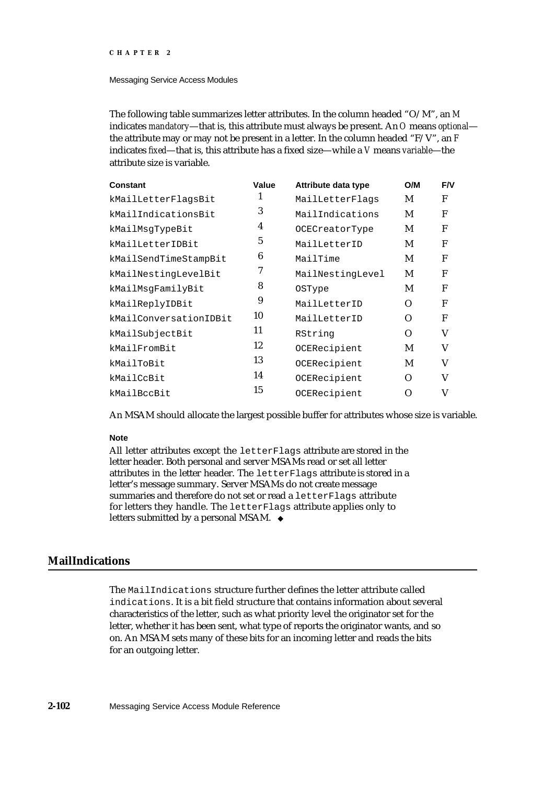#### Messaging Service Access Modules

The following table summarizes letter attributes. In the column headed "O/M", an *M* indicates *mandatory*—that is, this attribute must always be present. An *O* means *optional* the attribute may or may not be present in a letter. In the column headed "F/V", an *F* indicates *fixed*—that is, this attribute has a fixed size—while a *V* means *variable*—the attribute size is variable.

| Constant               | Value | Attribute data type | O/M      | <b>F/V</b> |
|------------------------|-------|---------------------|----------|------------|
| kMailLetterFlagsBit    | 1     | MailLetterFlags     | M        | F          |
| kMailIndicationsBit    | 3     | MailIndications     | M        | F          |
| kMailMsqTypeBit        | 4     | OCECreatorType      | M        | F          |
| kMailLetterIDBit       | 5     | MailLetterID        | M        | F          |
| kMailSendTimeStampBit  | 6     | MailTime            | M        | F          |
| kMailNestingLevelBit   | 7     | MailNestingLevel    | M        | F          |
| kMailMsgFamilyBit      | 8     | <b>OSType</b>       | M        | F          |
| kMailReplyIDBit        | 9     | MailLetterID        | $\Omega$ | F          |
| kMailConversationIDBit | 10    | MailLetterID        | O        | F          |
| kMailSubjectBit        | 11    | RString             | O        | V          |
| kMailFromBit           | 12    | OCERecipient        | M        | V          |
| kMailToBit             | 13    | OCERecipient        | M        | V          |
| kMailCcBit             | 14    | OCERecipient        | Ω        | V          |
| kMailBccBit            | 15    | OCERecipient        | Ω        | V          |

An MSAM should allocate the largest possible buffer for attributes whose size is variable.

#### **Note**

All letter attributes except the letterFlags attribute are stored in the letter header. Both personal and server MSAMs read or set all letter attributes in the letter header. The letterFlags attribute is stored in a letter's message summary. Server MSAMs do not create message summaries and therefore do not set or read a letterFlags attribute for letters they handle. The letterFlags attribute applies only to letters submitted by a personal MSAM.

## **MailIndications**

The MailIndications structure further defines the letter attribute called indications. It is a bit field structure that contains information about several characteristics of the letter, such as what priority level the originator set for the letter, whether it has been sent, what type of reports the originator wants, and so on. An MSAM sets many of these bits for an incoming letter and reads the bits for an outgoing letter.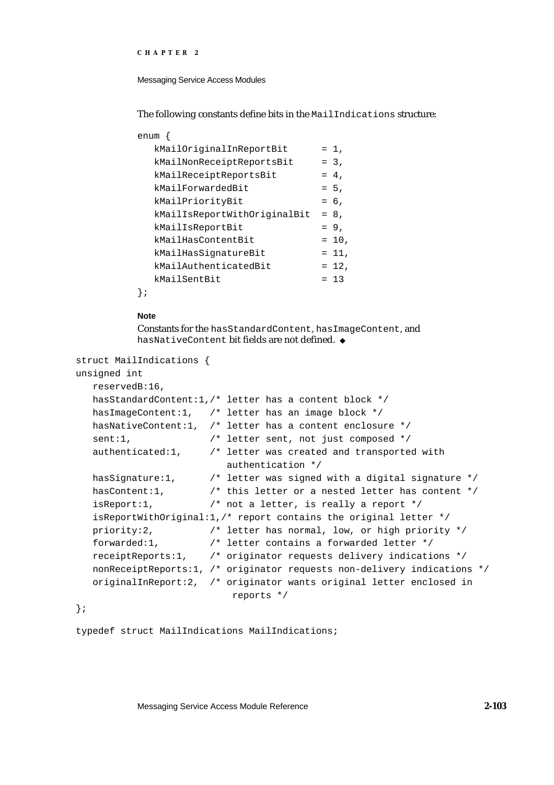Messaging Service Access Modules

The following constants define bits in the MailIndications structure:

| enum                         |          |
|------------------------------|----------|
| kMailOriginalInReportBit     | $= 1$ ,  |
| kMailNonReceiptReportsBit    | $= 3.$   |
| kMailReceiptReportsBit       | $= 4.$   |
| kMailForwardedBit            | $= 5.$   |
| kMailPriorityBit             | $= 6.$   |
| kMailIsReportWithOriginalBit | $= 8.$   |
| kMailIsReportBit             | $= 9.$   |
| kMailHasContentBit           | $= 10$ , |
| kMailHasSiqnatureBit         | $= 11$ , |
| kMailAuthenticatedBit        | $= 12$ , |
| kMailSentBit                 | $= 13$   |
|                              |          |

**Note**

Constants for the hasStandardContent, hasImageContent, and hasNativeContent bit fields are not defined.

```
struct MailIndications {
```

```
unsigned int
```

```
reservedB:16,
hasStandardContent:1,/* letter has a content block */
hasImageContent:1, /* letter has an image block */
hasNativeContent:1, /* letter has a content enclosure */
sent:1, \frac{1}{1} /* letter sent, not just composed */
authenticated:1, /* letter was created and transported with 
                       authentication */
hasSignature:1, \frac{1}{1} /* letter was signed with a digital signature */
hasContent:1, \hspace{1cm} /* this letter or a nested letter has content */
isReport:1, /* not a letter, is really a report */
isReportWithOriginal:1,/* report contains the original letter */
priority:2, /* letter has normal, low, or high priority */
forwarded:1, /* letter contains a forwarded letter */
receiptReports:1, /* originator requests delivery indications */
nonReceiptReports:1, /* originator requests non-delivery indications */
originalInReport:2, /* originator wants original letter enclosed in
                         reports */
```
};

typedef struct MailIndications MailIndications;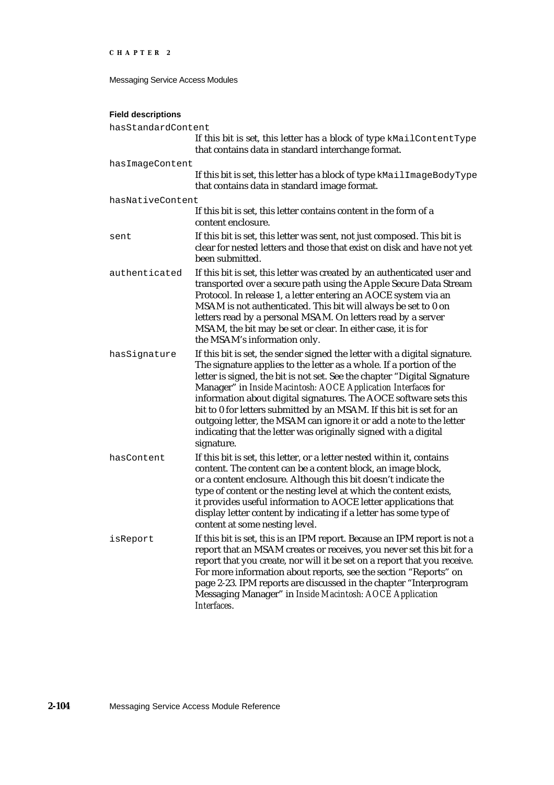```
CHAPTER 2
```
### **Field descriptions**

| hasStandardContent |                                                                                                                                                                                                                                                                                                                                                                                                                                                                                                                                                                                                     |
|--------------------|-----------------------------------------------------------------------------------------------------------------------------------------------------------------------------------------------------------------------------------------------------------------------------------------------------------------------------------------------------------------------------------------------------------------------------------------------------------------------------------------------------------------------------------------------------------------------------------------------------|
|                    | If this bit is set, this letter has a block of type kMailContentType<br>that contains data in standard interchange format.                                                                                                                                                                                                                                                                                                                                                                                                                                                                          |
| hasImageContent    |                                                                                                                                                                                                                                                                                                                                                                                                                                                                                                                                                                                                     |
|                    | If this bit is set, this letter has a block of type kMailImageBodyType<br>that contains data in standard image format.                                                                                                                                                                                                                                                                                                                                                                                                                                                                              |
| hasNativeContent   |                                                                                                                                                                                                                                                                                                                                                                                                                                                                                                                                                                                                     |
|                    | If this bit is set, this letter contains content in the form of a<br>content enclosure.                                                                                                                                                                                                                                                                                                                                                                                                                                                                                                             |
| sent               | If this bit is set, this letter was sent, not just composed. This bit is<br>clear for nested letters and those that exist on disk and have not yet<br>been submitted.                                                                                                                                                                                                                                                                                                                                                                                                                               |
| authenticated      | If this bit is set, this letter was created by an authenticated user and<br>transported over a secure path using the Apple Secure Data Stream<br>Protocol. In release 1, a letter entering an AOCE system via an<br>MSAM is not authenticated. This bit will always be set to 0 on<br>letters read by a personal MSAM. On letters read by a server<br>MSAM, the bit may be set or clear. In either case, it is for<br>the MSAM's information only.                                                                                                                                                  |
| hasSignature       | If this bit is set, the sender signed the letter with a digital signature.<br>The signature applies to the letter as a whole. If a portion of the<br>letter is signed, the bit is not set. See the chapter "Digital Signature<br>Manager" in Inside Macintosh: AOCE Application Interfaces for<br>information about digital signatures. The AOCE software sets this<br>bit to 0 for letters submitted by an MSAM. If this bit is set for an<br>outgoing letter, the MSAM can ignore it or add a note to the letter<br>indicating that the letter was originally signed with a digital<br>signature. |
| hasContent         | If this bit is set, this letter, or a letter nested within it, contains<br>content. The content can be a content block, an image block,<br>or a content enclosure. Although this bit doesn't indicate the<br>type of content or the nesting level at which the content exists,<br>it provides useful information to AOCE letter applications that<br>display letter content by indicating if a letter has some type of<br>content at some nesting level.                                                                                                                                            |
| isReport           | If this bit is set, this is an IPM report. Because an IPM report is not a<br>report that an MSAM creates or receives, you never set this bit for a<br>report that you create, nor will it be set on a report that you receive.<br>For more information about reports, see the section "Reports" on<br>page 2-23. IPM reports are discussed in the chapter "Interprogram<br>Messaging Manager" in Inside Macintosh: AOCE Application<br>Interfaces.                                                                                                                                                  |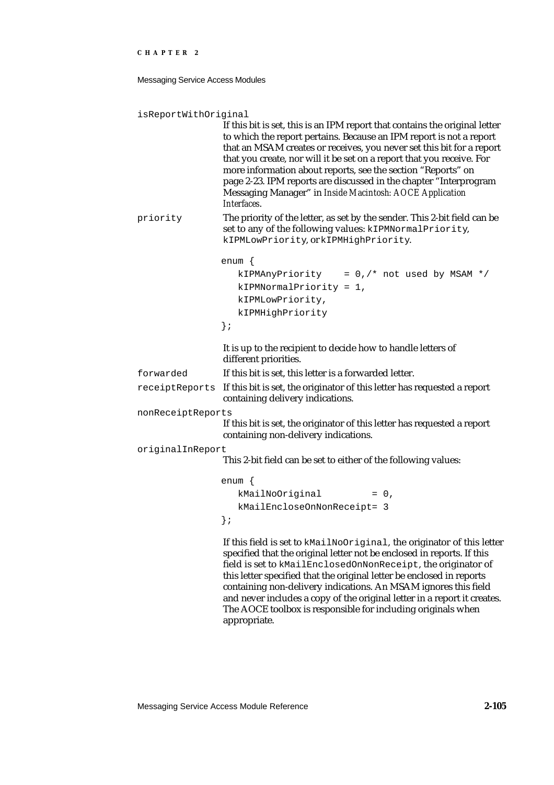Messaging Service Access Modules

```
isReportWithOriginal
                    If this bit is set, this is an IPM report that contains the original letter 
                    to which the report pertains. Because an IPM report is not a report 
                    that an MSAM creates or receives, you never set this bit for a report 
                    that you create, nor will it be set on a report that you receive. For 
                    more information about reports, see the section "Reports" on 
                    page 2-23. IPM reports are discussed in the chapter "Interprogram 
                    Messaging Manager" in Inside Macintosh: AOCE Application 
                    Interfaces.
priority The priority of the letter, as set by the sender. This 2-bit field can be 
                    set to any of the following values: kIPMNormalPriority,
                   kIPMLowPriority, or kIPMHighPriority. 
                   enum {
                       kIPMAnyPriority = 0, /* not used by MSAM */kIPMNormalPriority = 1,
                       kIPMLowPriority,
                       kIPMHighPriority
                   };
                    It is up to the recipient to decide how to handle letters of 
                    different priorities.
forwarded If this bit is set, this letter is a forwarded letter. 
receiptReports If this bit is set, the originator of this letter has requested a report 
                    containing delivery indications.
nonReceiptReports
                    If this bit is set, the originator of this letter has requested a report 
                    containing non-delivery indications.
originalInReport
                   This 2-bit field can be set to either of the following values:
                   enum {
                       kMailNoOriginal = 0,kMailEncloseOnNonReceipt= 3
                   };
                   If this field is set to kMailNoOriginal, the originator of this letter 
                    specified that the original letter not be enclosed in reports. If this 
                    field is set to kMailEnclosedOnNonReceipt, the originator of 
                    this letter specified that the original letter be enclosed in reports
```
containing non-delivery indications. An MSAM ignores this field and never includes a copy of the original letter in a report it creates. The AOCE toolbox is responsible for including originals when

Messaging Service Access Module Reference **2-105**

appropriate.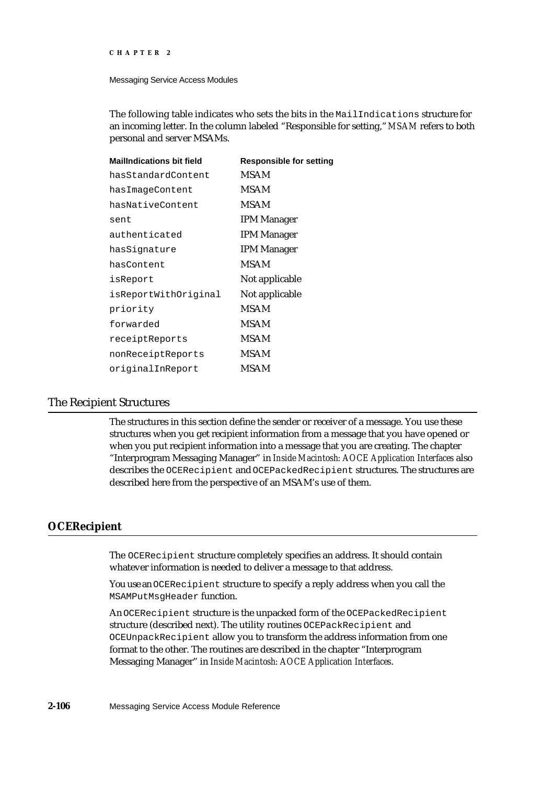#### Messaging Service Access Modules

The following table indicates who sets the bits in the MailIndications structure for an incoming letter. In the column labeled "Responsible for setting," *MSAM* refers to both personal and server MSAMs.

| <b>MailIndications bit field</b> | <b>Responsible for setting</b> |
|----------------------------------|--------------------------------|
| hasStandardContent               | <b>MSAM</b>                    |
| hasImageContent                  | MSAM                           |
| hasNativeContent                 | <b>MSAM</b>                    |
| sent                             | <b>IPM Manager</b>             |
| authenticated                    | <b>IPM Manager</b>             |
| hasSignature                     | <b>IPM Manager</b>             |
| hasContent                       | <b>MSAM</b>                    |
| isReport                         | Not applicable                 |
| isReportWithOriginal             | Not applicable                 |
| priority                         | <b>MSAM</b>                    |
| forwarded                        | MSAM                           |
| receiptReports                   | <b>MSAM</b>                    |
| nonReceiptReports                | <b>MSAM</b>                    |
| originalInReport                 | MSAM                           |

### The Recipient Structures

The structures in this section define the sender or receiver of a message. You use these structures when you get recipient information from a message that you have opened or when you put recipient information into a message that you are creating. The chapter "Interprogram Messaging Manager" in *Inside Macintosh: AOCE Application Interfaces* also describes the OCERecipient and OCEPackedRecipient structures. The structures are described here from the perspective of an MSAM's use of them.

### **OCERecipient**

The OCERecipient structure completely specifies an address. It should contain whatever information is needed to deliver a message to that address.

You use an OCERecipient structure to specify a reply address when you call the MSAMPutMsgHeader function.

An OCERecipient structure is the unpacked form of the OCEPackedRecipient structure (described next). The utility routines OCEPackRecipient and OCEUnpackRecipient allow you to transform the address information from one format to the other. The routines are described in the chapter "Interprogram Messaging Manager" in *Inside Macintosh: AOCE Application Interfaces*.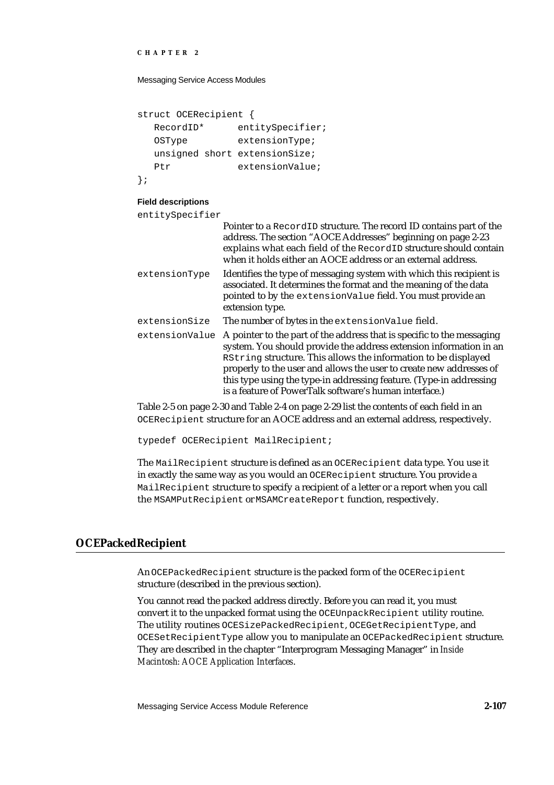Messaging Service Access Modules

```
struct OCERecipient {
  RecordID* entitySpecifier;
  OSType extensionType;
  unsigned short extensionSize;
  Ptr extensionValue;
};
```
#### **Field descriptions**

entitySpecifier

| CIILLLYSPECTTTCT |                                                                                                                                                                                                                                                                                                                                                                                                                        |
|------------------|------------------------------------------------------------------------------------------------------------------------------------------------------------------------------------------------------------------------------------------------------------------------------------------------------------------------------------------------------------------------------------------------------------------------|
|                  | Pointer to a RecordID structure. The record ID contains part of the<br>address. The section "AOCE Addresses" beginning on page 2-23<br>explains what each field of the RecordID structure should contain<br>when it holds either an AOCE address or an external address.                                                                                                                                               |
| extensionType    | Identifies the type of messaging system with which this recipient is<br>associated. It determines the format and the meaning of the data<br>pointed to by the extensionValue field. You must provide an<br>extension type.                                                                                                                                                                                             |
| extensionSize    | The number of bytes in the extensionValue field.                                                                                                                                                                                                                                                                                                                                                                       |
| extensionValue   | A pointer to the part of the address that is specific to the messaging<br>system. You should provide the address extension information in an<br>RString structure. This allows the information to be displayed<br>properly to the user and allows the user to create new addresses of<br>this type using the type-in addressing feature. (Type-in addressing<br>is a feature of PowerTalk software's human interface.) |

Table 2-5 on page 2-30 and Table 2-4 on page 2-29 list the contents of each field in an OCERecipient structure for an AOCE address and an external address, respectively.

typedef OCERecipient MailRecipient;

The MailRecipient structure is defined as an OCERecipient data type. You use it in exactly the same way as you would an OCERecipient structure. You provide a MailRecipient structure to specify a recipient of a letter or a report when you call the MSAMPutRecipient or MSAMCreateReport function, respectively.

### **OCEPackedRecipient**

An OCEPackedRecipient structure is the packed form of the OCERecipient structure (described in the previous section).

You cannot read the packed address directly. Before you can read it, you must convert it to the unpacked format using the OCEUnpackRecipient utility routine. The utility routines OCESizePackedRecipient, OCEGetRecipientType, and OCESetRecipientType allow you to manipulate an OCEPackedRecipient structure. They are described in the chapter "Interprogram Messaging Manager" in *Inside Macintosh: AOCE Application Interfaces*.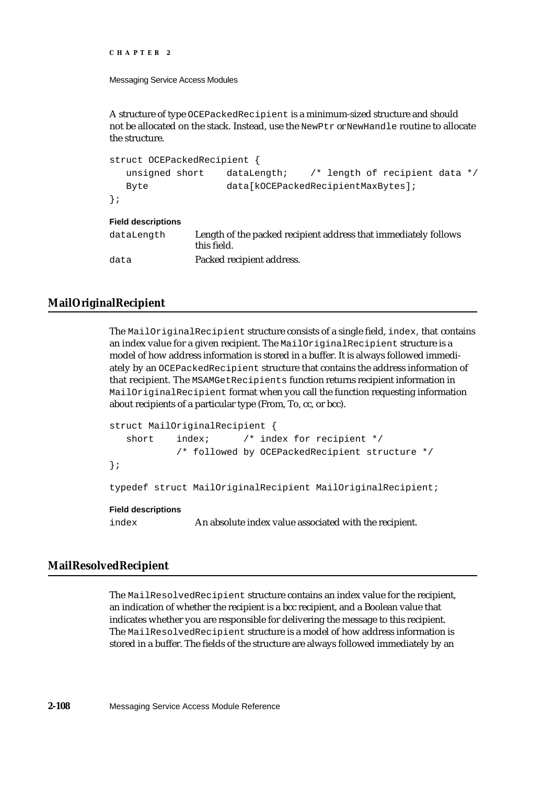```
CHAPTER 2
```
A structure of type OCEPackedRecipient is a minimum-sized structure and should not be allocated on the stack. Instead, use the NewPtr or NewHandle routine to allocate the structure.

```
struct OCEPackedRecipient {
   unsigned short dataLength; /* length of recipient data */
   Byte data[kOCEPackedRecipientMaxBytes];
};
Field descriptions
dataLength Length of the packed recipient address that immediately follows 
               this field. 
data Packed recipient address.
```
## **MailOriginalRecipient**

The MailOriginalRecipient structure consists of a single field, index, that contains an index value for a given recipient. The MailOriginalRecipient structure is a model of how address information is stored in a buffer. It is always followed immediately by an OCEPackedRecipient structure that contains the address information of that recipient. The MSAMGetRecipients function returns recipient information in MailOriginalRecipient format when you call the function requesting information about recipients of a particular type (From, To, cc, or bcc).

```
struct MailOriginalRecipient {
   short index; /* index for recipient *//* followed by OCEPackedRecipient structure */
};
typedef struct MailOriginalRecipient MailOriginalRecipient;
Field descriptions
index An absolute index value associated with the recipient.
```
### **MailResolvedRecipient**

The MailResolvedRecipient structure contains an index value for the recipient, an indication of whether the recipient is a bcc recipient, and a Boolean value that indicates whether you are responsible for delivering the message to this recipient. The MailResolvedRecipient structure is a model of how address information is stored in a buffer. The fields of the structure are always followed immediately by an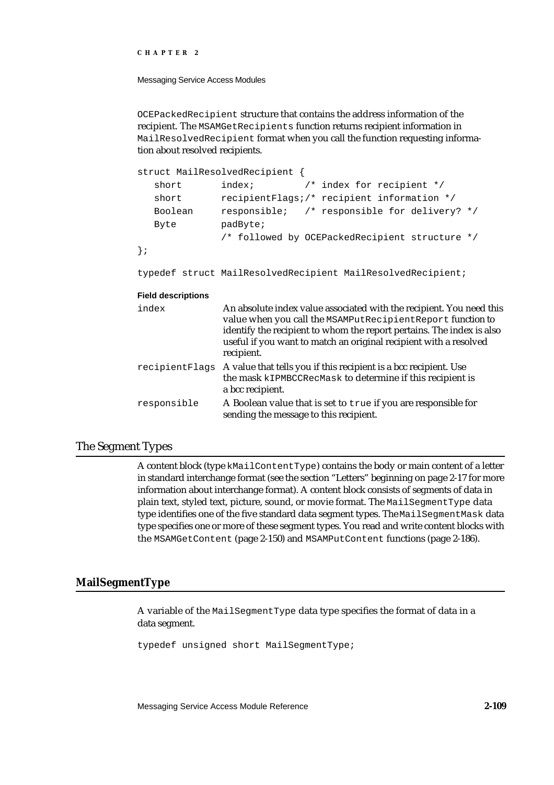Messaging Service Access Modules

OCEPackedRecipient structure that contains the address information of the recipient. The MSAMGetRecipients function returns recipient information in MailResolvedRecipient format when you call the function requesting information about resolved recipients.

```
struct MailResolvedRecipient {
  short index; \frac{1}{2} index for recipient */
  short recipientFlags;/* recipient information */
  Boolean responsible; /* responsible for delivery? */
  Byte padByte;
              /* followed by OCEPackedRecipient structure */
};
```
typedef struct MailResolvedRecipient MailResolvedRecipient;

#### **Field descriptions**

| index          | An absolute index value associated with the recipient. You need this<br>value when you call the MSAMPutRecipientReport function to<br>identify the recipient to whom the report pertains. The index is also<br>useful if you want to match an original recipient with a resolved<br>recipient. |
|----------------|------------------------------------------------------------------------------------------------------------------------------------------------------------------------------------------------------------------------------------------------------------------------------------------------|
| recipientFlags | A value that tells you if this recipient is a bcc recipient. Use<br>the mask kIPMBCCRecMask to determine if this recipient is<br>a bcc recipient.                                                                                                                                              |
| responsible    | A Boolean value that is set to true if you are responsible for<br>sending the message to this recipient.                                                                                                                                                                                       |

### The Segment Types

A content block (type kMailContentType) contains the body or main content of a letter in standard interchange format (see the section "Letters" beginning on page 2-17 for more information about interchange format). A content block consists of segments of data in plain text, styled text, picture, sound, or movie format. The MailSegmentType data type identifies one of the five standard data segment types. The MailSegmentMask data type specifies one or more of these segment types. You read and write content blocks with the MSAMGetContent (page 2-150) and MSAMPutContent functions (page 2-186).

### **MailSegmentType**

A variable of the MailSegmentType data type specifies the format of data in a data segment.

typedef unsigned short MailSegmentType;

Messaging Service Access Module Reference **2-109**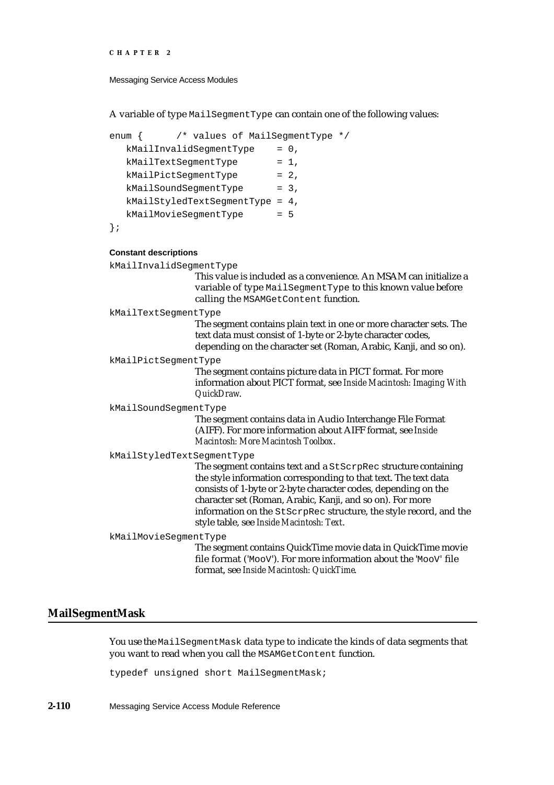```
CHAPTER 2
```
A variable of type MailSegmentType can contain one of the following values:

```
enum { /* values of MailSegmentType */
  kMailInvalidSegmentType = 0,kMailTextSegmentType = 1,
  kMailPictSeqmentType = 2,kMailSoundSeqmentType = 3,kMailStyledTextSegmentType = 4,
  kMailMovieSegmentType = 5};
```

```
Constant descriptions
```

```
kMailInvalidSegmentType
                   This value is included as a convenience. An MSAM can initialize a 
                   variable of type MailSegmentType to this known value before 
                   calling the MSAMGetContent function. 
kMailTextSegmentType
                   The segment contains plain text in one or more character sets. The 
                   text data must consist of 1-byte or 2-byte character codes, 
                   depending on the character set (Roman, Arabic, Kanji, and so on).
kMailPictSegmentType
                   The segment contains picture data in PICT format. For more 
                   information about PICT format, see Inside Macintosh: Imaging With 
                   QuickDraw.
kMailSoundSegmentType
                   The segment contains data in Audio Interchange File Format 
                    (AIFF). For more information about AIFF format, see Inside 
                   Macintosh: More Macintosh Toolbox.
kMailStyledTextSegmentType
                   The segment contains text and a StScrpRec structure containing 
                   the style information corresponding to that text. The text data 
                   consists of 1-byte or 2-byte character codes, depending on the 
                   character set (Roman, Arabic, Kanji, and so on). For more 
                   information on the StScrpRec structure, the style record, and the 
                   style table, see Inside Macintosh: Text.
kMailMovieSegmentType
                   The segment contains QuickTime movie data in QuickTime movie 
                   file format ('MooV'). For more information about the 'MooV' file 
                   format, see Inside Macintosh: QuickTime.
```
### **MailSegmentMask**

You use the MailSegmentMask data type to indicate the kinds of data segments that you want to read when you call the MSAMGetContent function.

typedef unsigned short MailSegmentMask;

**2-110** Messaging Service Access Module Reference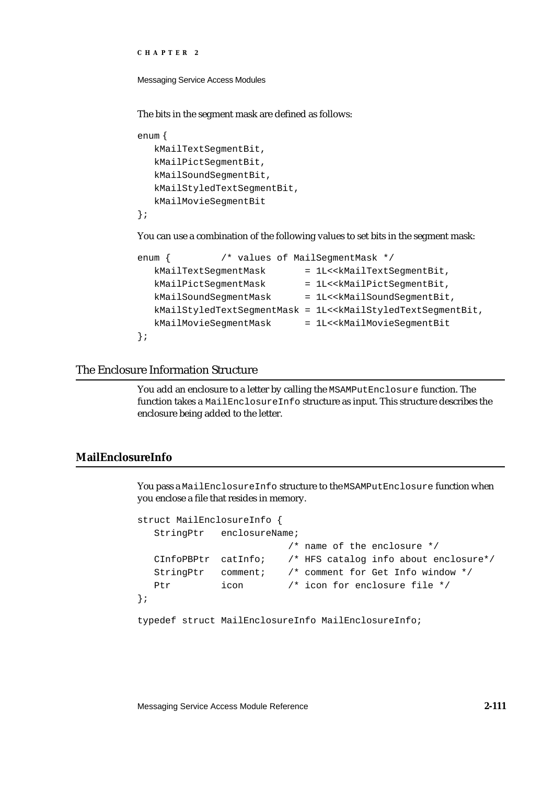```
CHAPTER 2
```
The bits in the segment mask are defined as follows:

```
enum {
   kMailTextSegmentBit,
   kMailPictSegmentBit,
   kMailSoundSegmentBit,
   kMailStyledTextSegmentBit,
   kMailMovieSegmentBit
};
```
You can use a combination of the following values to set bits in the segment mask:

```
enum { /* values of MailSeqmentMask */kMailTextSeqmentMask = 1L<<kMailTextSeqmentBit,
  kMailPictSegmentMask = 1L<<kMailPictSegmentBit,
  kMailSoundSegmentMask = 1L<<kMailSoundSegmentBit,
  kMailStyledTextSegmentMask = 1L<<kMailStyledTextSegmentBit,
  kMailMovieSegmentMask = 1L<<kMailMovieSegmentBit
};
```
## The Enclosure Information Structure

You add an enclosure to a letter by calling the MSAMPutEnclosure function. The function takes a MailEnclosureInfo structure as input. This structure describes the enclosure being added to the letter.

### **MailEnclosureInfo**

You pass a MailEnclosureInfo structure to the MSAMPutEnclosure function when you enclose a file that resides in memory.

```
struct MailEnclosureInfo {
  StringPtr enclosureName;
                         /* name of the enclosure */
  CInfoPBPtr catInfo; /* HFS catalog info about enclosure*/
  StringPtr comment; /* comment for Get Info window */
  Ptr icon /* icon for enclosure file */
};
typedef struct MailEnclosureInfo MailEnclosureInfo;
```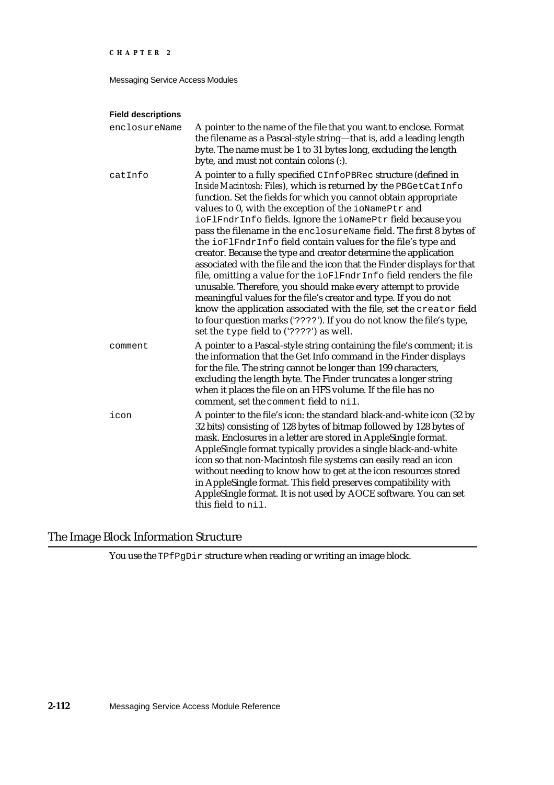Messaging Service Access Modules

### **Field descriptions**

| enclosureName | A pointer to the name of the file that you want to enclose. Format<br>the filename as a Pascal-style string-that is, add a leading length<br>byte. The name must be 1 to 31 bytes long, excluding the length<br>byte, and must not contain colons (:).                                                                                                                                                                                                                                                                                                                                                                                                                                                                                                                                                                                                                                                                                                                                                                   |
|---------------|--------------------------------------------------------------------------------------------------------------------------------------------------------------------------------------------------------------------------------------------------------------------------------------------------------------------------------------------------------------------------------------------------------------------------------------------------------------------------------------------------------------------------------------------------------------------------------------------------------------------------------------------------------------------------------------------------------------------------------------------------------------------------------------------------------------------------------------------------------------------------------------------------------------------------------------------------------------------------------------------------------------------------|
| catInfo       | A pointer to a fully specified CInfoPBRec structure (defined in<br>Inside Macintosh: Files), which is returned by the PBGetCatInfo<br>function. Set the fields for which you cannot obtain appropriate<br>values to 0, with the exception of the ioNamePtr and<br>ioFlFndrInfo fields. Ignore the ioNamePtr field because you<br>pass the filename in the enclosureName field. The first 8 bytes of<br>the ioFlFndrInfo field contain values for the file's type and<br>creator. Because the type and creator determine the application<br>associated with the file and the icon that the Finder displays for that<br>file, omitting a value for the ioFlFndrInfo field renders the file<br>unusable. Therefore, you should make every attempt to provide<br>meaningful values for the file's creator and type. If you do not<br>know the application associated with the file, set the creator field<br>to four question marks ('????'). If you do not know the file's type,<br>set the type field to ('????') as well. |
| comment       | A pointer to a Pascal-style string containing the file's comment; it is<br>the information that the Get Info command in the Finder displays<br>for the file. The string cannot be longer than 199 characters,<br>excluding the length byte. The Finder truncates a longer string<br>when it places the file on an HFS volume. If the file has no<br>comment, set the comment field to nil.                                                                                                                                                                                                                                                                                                                                                                                                                                                                                                                                                                                                                               |
| icon          | A pointer to the file's icon: the standard black-and-white icon (32 by<br>32 bits) consisting of 128 bytes of bitmap followed by 128 bytes of<br>mask. Enclosures in a letter are stored in AppleSingle format.<br>AppleSingle format typically provides a single black-and-white<br>icon so that non-Macintosh file systems can easily read an icon<br>without needing to know how to get at the icon resources stored<br>in AppleSingle format. This field preserves compatibility with<br>AppleSingle format. It is not used by AOCE software. You can set<br>this field to nil.                                                                                                                                                                                                                                                                                                                                                                                                                                      |

## The Image Block Information Structure

You use the TPfPgDir structure when reading or writing an image block.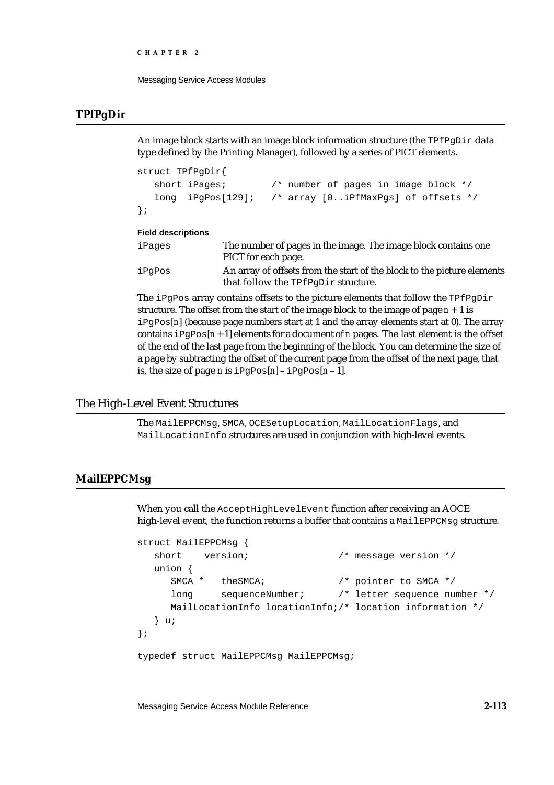```
CHAPTER 2
```
## **TPfPgDir**

An image block starts with an image block information structure (the  $T^{\text{FPqDir}}$  data type defined by the Printing Manager), followed by a series of PICT elements.

```
struct TPfPgDir{
  short iPages; /* number of pages in image block */
  long iPgPos[129]; /* array [0..iPfMaxPgs] of offsets */
};
```
### **Field descriptions**

| iPages | The number of pages in the image. The image block contains one<br>PICT for each page.                          |
|--------|----------------------------------------------------------------------------------------------------------------|
| iPqPos | An array of offsets from the start of the block to the picture elements<br>that follow the TPfPqDir structure. |

The iPgPos array contains offsets to the picture elements that follow the  $TPFpghir$ structure. The offset from the start of the image block to the image of page *n +* 1 is iPgPos[*n*] (because page numbers start at 1 and the array elements start at 0). The array contains  $iPqPos[n+1]$  elements for a document of *n* pages. The last element is the offset of the end of the last page from the beginning of the block. You can determine the size of a page by subtracting the offset of the current page from the offset of the next page, that is, the size of page *n* is  $iPgPos[n]-ipgPos[n-1]$ *.* 

## The High-Level Event Structures

The MailEPPCMsg, SMCA, OCESetupLocation, MailLocationFlags, and MailLocationInfo structures are used in conjunction with high-level events.

## **MailEPPCMsg**

When you call the AcceptHighLevelEvent function after receiving an AOCE high-level event, the function returns a buffer that contains a MailEPPCMsg structure.

```
struct MailEPPCMsg {
  short version; \frac{1}{2} /* message version */
  union {
     SMCA * theSMCA; /* pointer to SMCA */
     long sequenceNumber; /* letter sequence number */
     MailLocationInfo locationInfo;/* location information */
  } u;
};
typedef struct MailEPPCMsg MailEPPCMsg;
```
Messaging Service Access Module Reference **2-113**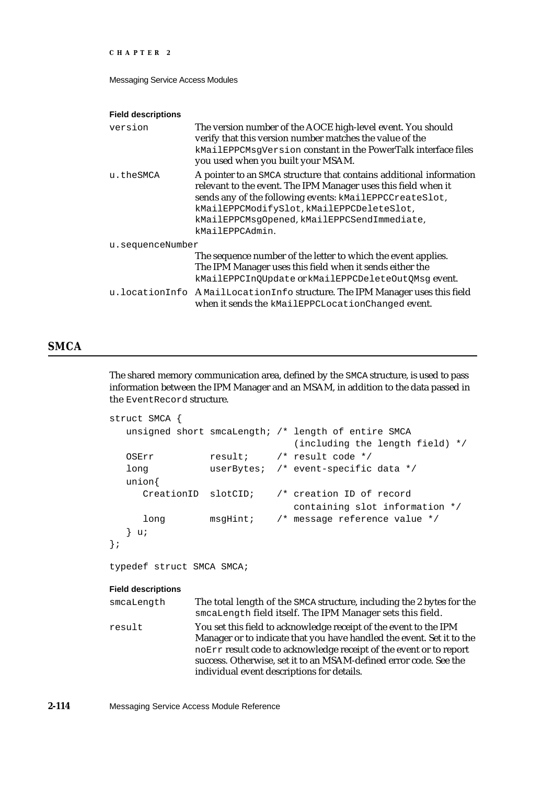```
CHAPTER 2
```
#### **Field descriptions**

| version          | The version number of the AOCE high-level event. You should<br>verify that this version number matches the value of the<br>kMailEPPCMsgVersion constant in the PowerTalk interface files<br>you used when you built your MSAM.                                                                                  |
|------------------|-----------------------------------------------------------------------------------------------------------------------------------------------------------------------------------------------------------------------------------------------------------------------------------------------------------------|
| u.theSMCA        | A pointer to an SMCA structure that contains additional information<br>relevant to the event. The IPM Manager uses this field when it<br>sends any of the following events: kMailEPPCCreateSlot,<br>kMailEPPCModifySlot, kMailEPPCDeleteSlot,<br>kMailEPPCMsgOpened, kMailEPPCSendImmediate,<br>kMailEPPCAdmin. |
| u.sequenceNumber | The sequence number of the letter to which the event applies.<br>The IPM Manager uses this field when it sends either the<br>kMailEPPCInOUpdate or kMailEPPCDeleteOutOMsq event.                                                                                                                                |
|                  | u. locationInfo AMailLocationInfo structure. The IPM Manager uses this field<br>when it sends the kMailEPPCLocationChanged event.                                                                                                                                                                               |

## **SMCA**

The shared memory communication area, defined by the SMCA structure, is used to pass information between the IPM Manager and an MSAM, in addition to the data passed in the EventRecord structure.

```
struct SMCA {
   unsigned short smcaLength; /* length of entire SMCA
                                     (including the length field) */
   OSErr result; /* result code */
   long userBytes; /* event-specific data */
   union{
      CreationID slotCID; /* creation ID of record
                                     containing slot information */
      long msgHint; /* message reference value */
   } u;
};
typedef struct SMCA SMCA;
Field descriptions
smcaLength The total length of the SMCA structure, including the 2 bytes for the 
                 smcaLength field itself. The IPM Manager sets this field.
result You set this field to acknowledge receipt of the event to the IPM 
                 Manager or to indicate that you have handled the event. Set it to the 
                 noErr result code to acknowledge receipt of the event or to report 
                 success. Otherwise, set it to an MSAM-defined error code. See the 
                 individual event descriptions for details.
```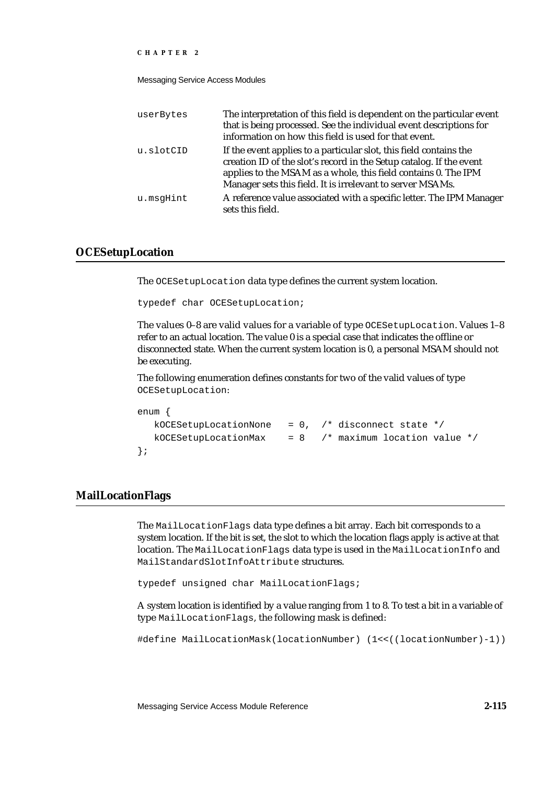Messaging Service Access Modules

| userBytes | The interpretation of this field is dependent on the particular event<br>that is being processed. See the individual event descriptions for<br>information on how this field is used for that event.                                                                      |
|-----------|---------------------------------------------------------------------------------------------------------------------------------------------------------------------------------------------------------------------------------------------------------------------------|
| u.slotCID | If the event applies to a particular slot, this field contains the<br>creation ID of the slot's record in the Setup catalog. If the event<br>applies to the MSAM as a whole, this field contains 0. The IPM<br>Manager sets this field. It is irrelevant to server MSAMs. |
| u.msqHint | A reference value associated with a specific letter. The IPM Manager<br>sets this field.                                                                                                                                                                                  |

### **OCESetupLocation**

The OCESetupLocation data type defines the current system location.

```
typedef char OCESetupLocation;
```
The values 0–8 are valid values for a variable of type OCESetupLocation. Values 1–8 refer to an actual location. The value 0 is a special case that indicates the offline or disconnected state. When the current system location is 0, a personal MSAM should not be executing.

The following enumeration defines constants for two of the valid values of type OCESetupLocation:

```
enum {
  kOCESetupLocationNone = 0, /* disconnect state */
  kOCESetupLocationMax = 8 /* maximum location value */
};
```
### **MailLocationFlags**

The MailLocationFlags data type defines a bit array. Each bit corresponds to a system location. If the bit is set, the slot to which the location flags apply is active at that location. The MailLocationFlags data type is used in the MailLocationInfo and MailStandardSlotInfoAttribute structures.

typedef unsigned char MailLocationFlags;

A system location is identified by a value ranging from 1 to 8. To test a bit in a variable of type MailLocationFlags, the following mask is defined:

#define MailLocationMask(locationNumber) (1<<((locationNumber)-1))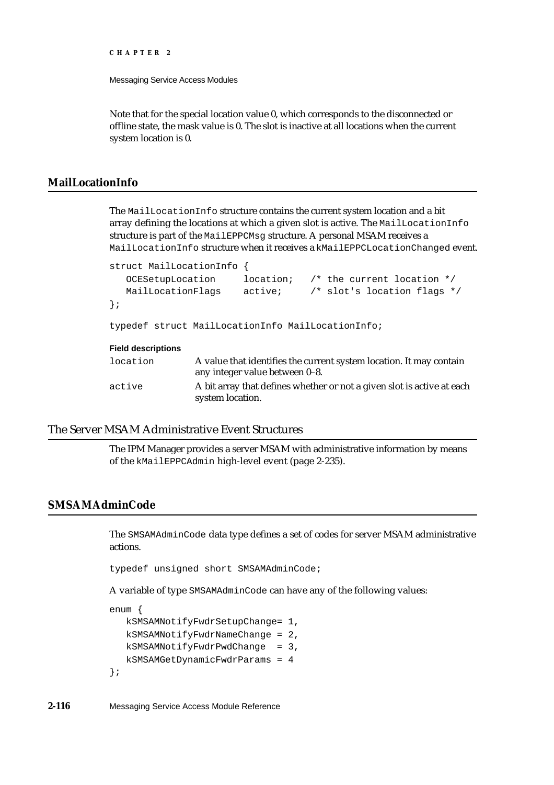Messaging Service Access Modules

Note that for the special location value 0, which corresponds to the disconnected or offline state, the mask value is 0. The slot is inactive at all locations when the current system location is 0.

## **MailLocationInfo**

The MailLocationInfo structure contains the current system location and a bit array defining the locations at which a given slot is active. The MailLocationInfo structure is part of the MailEPPCMsg structure. A personal MSAM receives a MailLocationInfo structure when it receives a kMailEPPCLocationChanged event.

```
struct MailLocationInfo {
   OCESetupLocation location; /* the current location */
   MailLocationFlags active; /* slot's location flags */
};
typedef struct MailLocationInfo MailLocationInfo;
Field descriptions
location A value that identifies the current system location. It may contain 
                any integer value between 0–8. 
active A bit array that defines whether or not a given slot is active at each 
                system location.
```
## The Server MSAM Administrative Event Structures

The IPM Manager provides a server MSAM with administrative information by means of the kMailEPPCAdmin high-level event (page 2-235).

## **SMSAMAdminCode**

The SMSAMAdminCode data type defines a set of codes for server MSAM administrative actions.

typedef unsigned short SMSAMAdminCode;

A variable of type SMSAMAdminCode can have any of the following values:

enum {

```
kSMSAMNotifyFwdrSetupChange= 1,
  kSMSAMNotifyFwdrNameChange = 2,
  kSMSAMNotifyFwdrPwdChange = 3,
  kSMSAMGetDynamicFwdrParams = 4
};
```
**2-116** Messaging Service Access Module Reference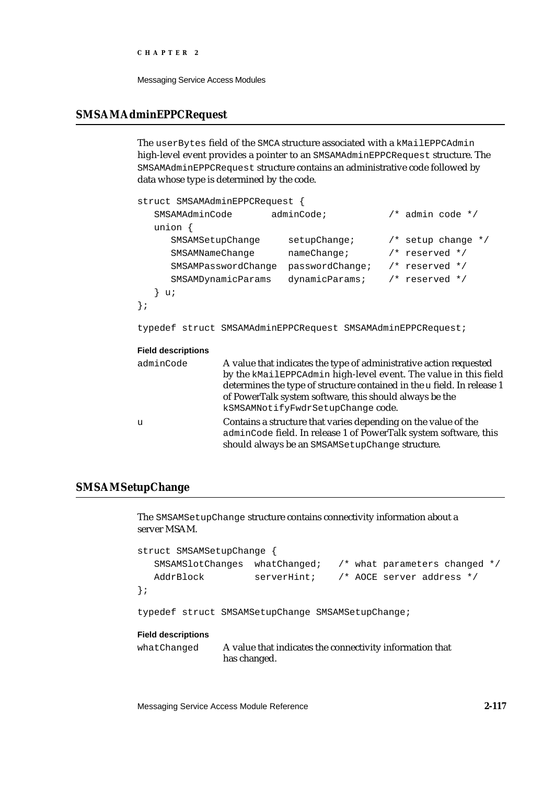Messaging Service Access Modules

## **SMSAMAdminEPPCRequest**

The userBytes field of the SMCA structure associated with a kMailEPPCAdmin high-level event provides a pointer to an SMSAMAdminEPPCRequest structure. The SMSAMAdminEPPCRequest structure contains an administrative code followed by data whose type is determined by the code.

| struct SMSAMAdminEPPCRequest { |                     |                                                                    |                    |                        |
|--------------------------------|---------------------|--------------------------------------------------------------------|--------------------|------------------------|
| SMSAMAdminCode                 |                     | adminCode                                                          |                    | $/*$ admin code $*/$   |
| union $\{$                     |                     |                                                                    |                    |                        |
| SMSAMSetupChange               |                     | $set$ upChange;                                                    |                    | $/*$ setup change $*/$ |
| SMSAMNameChange                |                     | nameChange                                                         | $/*$ reserved $*/$ |                        |
|                                | SMSAMPasswordChange | passwordChange;                                                    | $/*$ reserved $*/$ |                        |
|                                | SMSAMDynamicParams  | dynamicParams;                                                     | $/*$ reserved $*/$ |                        |
| u;                             |                     |                                                                    |                    |                        |
| $\}$ ;                         |                     |                                                                    |                    |                        |
|                                |                     | typedef struct SMSAMAdminEPPCRequest SMSAMAdminEPPCRequest;        |                    |                        |
| <b>Field descriptions</b>      |                     |                                                                    |                    |                        |
| adminCode                      |                     | A value that indicates the type of administrative action requested |                    |                        |

| kSMSAMNotifyFwdrSetupChange code.<br>Contains a structure that varies depending on the value of the<br>adminCode field. In release 1 of PowerTalk system software, this<br>should always be an SMSAMSetupChange structure. | adminCode | A value that indicates the type of administrative action requested<br>by the kMailEPPCAdmin high-level event. The value in this field<br>determines the type of structure contained in the u field. In release 1<br>of PowerTalk system software, this should always be the |
|----------------------------------------------------------------------------------------------------------------------------------------------------------------------------------------------------------------------------|-----------|-----------------------------------------------------------------------------------------------------------------------------------------------------------------------------------------------------------------------------------------------------------------------------|
|                                                                                                                                                                                                                            | u         |                                                                                                                                                                                                                                                                             |

## **SMSAMSetupChange**

The SMSAMSetupChange structure contains connectivity information about a server MSAM.

```
struct SMSAMSetupChange {
  SMSAMSlotChanges whatChanged; /* what parameters changed */
  AddrBlock serverHint; /* AOCE server address */
};
```
typedef struct SMSAMSetupChange SMSAMSetupChange;

### **Field descriptions**

whatChanged A value that indicates the connectivity information that has changed.

Messaging Service Access Module Reference **2-117**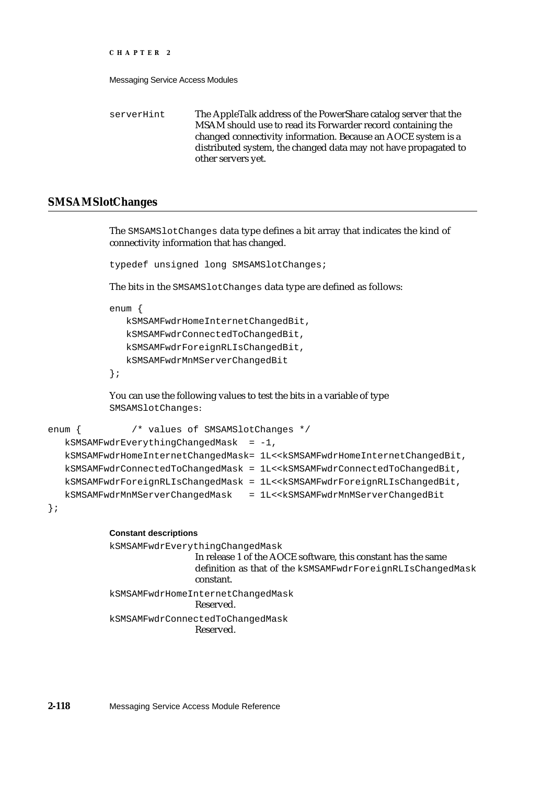Messaging Service Access Modules

serverHint The AppleTalk address of the PowerShare catalog server that the MSAM should use to read its Forwarder record containing the changed connectivity information. Because an AOCE system is a distributed system, the changed data may not have propagated to other servers yet.

### **SMSAMSlotChanges**

The SMSAMSlotChanges data type defines a bit array that indicates the kind of connectivity information that has changed.

typedef unsigned long SMSAMSlotChanges;

The bits in the SMSAMSlotChanges data type are defined as follows:

enum {

kSMSAMFwdrHomeInternetChangedBit, kSMSAMFwdrConnectedToChangedBit, kSMSAMFwdrForeignRLIsChangedBit, kSMSAMFwdrMnMServerChangedBit

};

You can use the following values to test the bits in a variable of type SMSAMSlotChanges:

```
enum { /* values of SMSAMSlotChanges */
  kSMSAMFwdrEverythingChangedMask = -1,
  kSMSAMFwdrHomeInternetChangedMask= 1L<<kSMSAMFwdrHomeInternetChangedBit,
  kSMSAMFwdrConnectedToChangedMask = 1L<<kSMSAMFwdrConnectedToChangedBit,
  kSMSAMFwdrForeignRLIsChangedMask = 1L<<kSMSAMFwdrForeignRLIsChangedBit,
  kSMSAMFwdrMnMServerChangedMask = 1L<<kSMSAMFwdrMnMServerChangedBit
```
};

### **Constant descriptions**

kSMSAMFwdrEverythingChangedMask In release 1 of the AOCE software, this constant has the same definition as that of the kSMSAMFwdrForeignRLIsChangedMask constant. kSMSAMFwdrHomeInternetChangedMask Reserved. kSMSAMFwdrConnectedToChangedMask Reserved.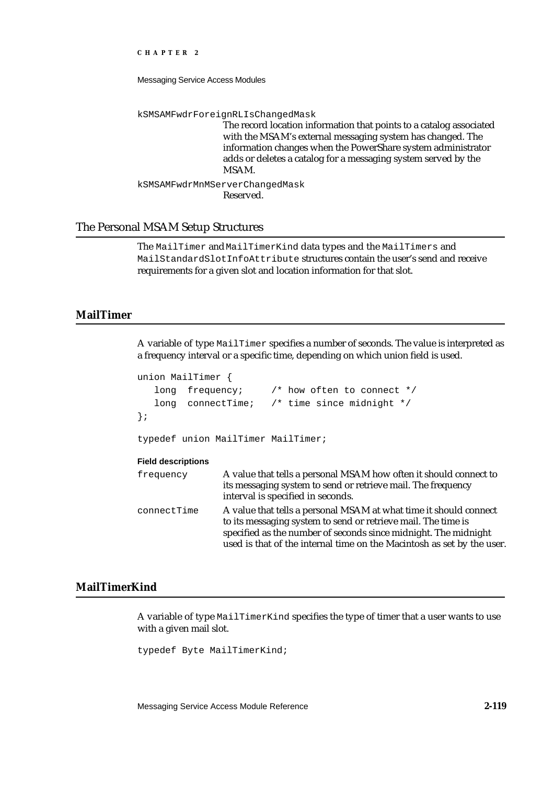Messaging Service Access Modules

kSMSAMFwdrForeignRLIsChangedMask

The record location information that points to a catalog associated with the MSAM's external messaging system has changed. The information changes when the PowerShare system administrator adds or deletes a catalog for a messaging system served by the MSAM.

kSMSAMFwdrMnMServerChangedMask Reserved.

### The Personal MSAM Setup Structures

The MailTimer and MailTimerKind data types and the MailTimers and MailStandardSlotInfoAttribute structures contain the user's send and receive requirements for a given slot and location information for that slot.

### **MailTimer**

A variable of type MailTimer specifies a number of seconds. The value is interpreted as a frequency interval or a specific time, depending on which union field is used.

```
union MailTimer {
   long frequency; /* how often to connect */
   long connectTime; /* time since midnight */
};
typedef union MailTimer MailTimer;
Field descriptions
frequency A value that tells a personal MSAM how often it should connect to 
                  its messaging system to send or retrieve mail. The frequency 
                  interval is specified in seconds.
connectTime A value that tells a personal MSAM at what time it should connect 
                  to its messaging system to send or retrieve mail. The time is 
                  specified as the number of seconds since midnight. The midnight 
                  used is that of the internal time on the Macintosh as set by the user.
```
## **MailTimerKind**

A variable of type MailTimerKind specifies the type of timer that a user wants to use with a given mail slot.

typedef Byte MailTimerKind;

Messaging Service Access Module Reference **2-119**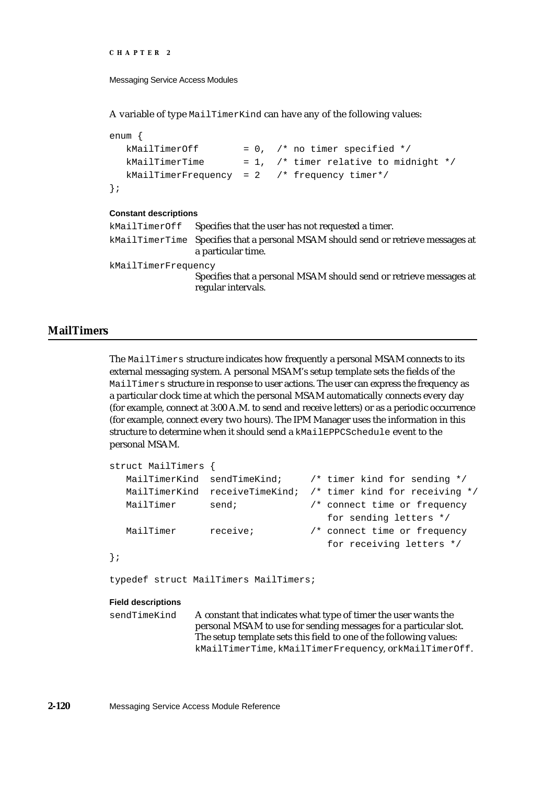```
CHAPTER 2
```
A variable of type MailTimerKind can have any of the following values:

```
enum {
  kMailTimerOff = 0, /* no timer specified */
  kMailTimerTime = 1, /* timer relative to midnight */
  kMailTimerFrequency = 2 /* frequency timer*/
};
```
#### **Constant descriptions**

```
kMailTimerOff Specifies that the user has not requested a timer.
kMailTimerTime Specifies that a personal MSAM should send or retrieve messages at 
                   a particular time. 
kMailTimerFrequency
                   Specifies that a personal MSAM should send or retrieve messages at 
                   regular intervals.
```
## **MailTimers**

The MailTimers structure indicates how frequently a personal MSAM connects to its external messaging system. A personal MSAM's setup template sets the fields of the MailTimers structure in response to user actions. The user can express the frequency as a particular clock time at which the personal MSAM automatically connects every day (for example, connect at 3:00 A.M. to send and receive letters) or as a periodic occurrence (for example, connect every two hours). The IPM Manager uses the information in this structure to determine when it should send a kMailEPPCSchedule event to the personal MSAM.

```
struct MailTimers {
   MailTimerKind sendTimeKind; /* timer kind for sending */
   MailTimerKind receiveTimeKind; /* timer kind for receiving */
   MailTimer send; \frac{1}{3} /* connect time or frequency
                                         for sending letters */
   MailTimer receive; /* connect time or frequency 
                                         for receiving letters */
};
typedef struct MailTimers MailTimers;
Field descriptions
sendTimeKind A constant that indicates what type of timer the user wants the
                personal MSAM to use for sending messages for a particular slot. 
                The setup template sets this field to one of the following values:
```
kMailTimerTime, kMailTimerFrequency, or kMailTimerOff.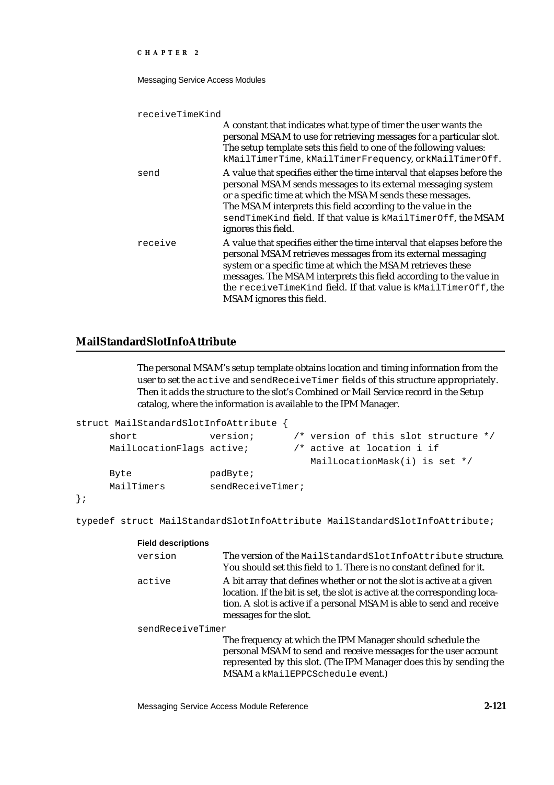### Messaging Service Access Modules

receiveTimeKind

|         | A constant that indicates what type of timer the user wants the<br>personal MSAM to use for retrieving messages for a particular slot.<br>The setup template sets this field to one of the following values:<br>kMailTimerTime, kMailTimerFrequency, or kMailTimerOff.                                                                                                     |
|---------|----------------------------------------------------------------------------------------------------------------------------------------------------------------------------------------------------------------------------------------------------------------------------------------------------------------------------------------------------------------------------|
| send    | A value that specifies either the time interval that elapses before the<br>personal MSAM sends messages to its external messaging system<br>or a specific time at which the MSAM sends these messages.<br>The MSAM interprets this field according to the value in the<br>sendTimeKind field. If that value is kMailTimerOff, the MSAM<br>ignores this field.              |
| receive | A value that specifies either the time interval that elapses before the<br>personal MSAM retrieves messages from its external messaging<br>system or a specific time at which the MSAM retrieves these<br>messages. The MSAM interprets this field according to the value in<br>the receiveTimeKind field. If that value is kMailTimerOff, the<br>MSAM ignores this field. |

# **MailStandardSlotInfoAttribute**

The personal MSAM's setup template obtains location and timing information from the user to set the active and sendReceiveTimer fields of this structure appropriately. Then it adds the structure to the slot's Combined or Mail Service record in the Setup catalog, where the information is available to the IPM Manager.

| struct MailStandardSlotInfoAttribute |                   |                                      |  |
|--------------------------------------|-------------------|--------------------------------------|--|
| short                                | version;          | /* version of this slot structure */ |  |
| MailLocationFlags active;            |                   | $/*$ active at location i if         |  |
|                                      |                   | MailLocationMask(i) is set */        |  |
| Byte                                 | padByte;          |                                      |  |
| MailTimers                           | sendReceiveTimer; |                                      |  |
|                                      |                   |                                      |  |

};

typedef struct MailStandardSlotInfoAttribute MailStandardSlotInfoAttribute;

| <b>Field descriptions</b> |                                                                                                                                                                                                                                                        |
|---------------------------|--------------------------------------------------------------------------------------------------------------------------------------------------------------------------------------------------------------------------------------------------------|
| version                   | The version of the MailStandardSlotInfoAttribute structure.<br>You should set this field to 1. There is no constant defined for it.                                                                                                                    |
| active                    | A bit array that defines whether or not the slot is active at a given<br>location. If the bit is set, the slot is active at the corresponding loca-<br>tion. A slot is active if a personal MSAM is able to send and receive<br>messages for the slot. |
| sendReceiveTimer          |                                                                                                                                                                                                                                                        |
|                           | The frequency at which the IPM Manager should schedule the<br>personal MSAM to send and receive messages for the user account<br>represented by this slot. (The IPM Manager does this by sending the<br>MSAM a kMailEPPCSchedule event.)               |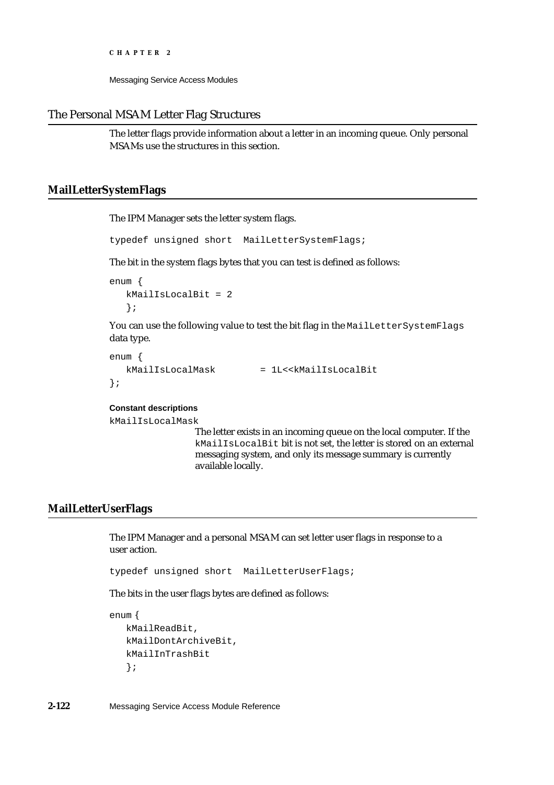Messaging Service Access Modules

## The Personal MSAM Letter Flag Structures

The letter flags provide information about a letter in an incoming queue. Only personal MSAMs use the structures in this section.

## **MailLetterSystemFlags**

The IPM Manager sets the letter system flags.

typedef unsigned short MailLetterSystemFlags;

The bit in the system flags bytes that you can test is defined as follows:

```
enum {
   kMailIsLocalBit = 2
   };
```
You can use the following value to test the bit flag in the MailLetterSystemFlags data type.

```
enum {
  kMailIsLocalMask = 1L<<kMailIsLocalBit
};
```
## **Constant descriptions**

kMailIsLocalMask

The letter exists in an incoming queue on the local computer. If the kMailIsLocalBit bit is not set, the letter is stored on an external messaging system, and only its message summary is currently available locally.

## **MailLetterUserFlags**

The IPM Manager and a personal MSAM can set letter user flags in response to a user action.

typedef unsigned short MailLetterUserFlags;

The bits in the user flags bytes are defined as follows:

```
enum {
   kMailReadBit,
   kMailDontArchiveBit,
   kMailInTrashBit
   };
```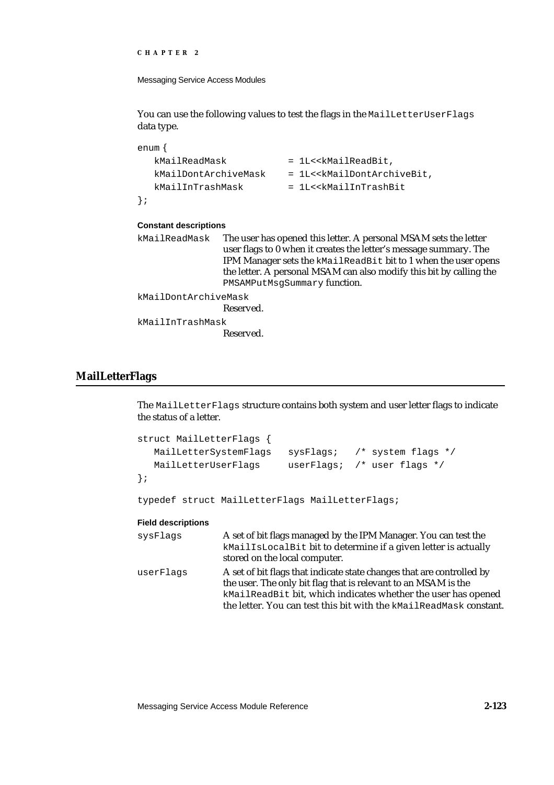```
CHAPTER 2
```
You can use the following values to test the flags in the MailLetterUserFlags data type.

```
enum {
   kMailReadMask = 1L<<kMailReadBit,
   kMailDontArchiveMask = 1L<<kMailDontArchiveBit,
   kMailInTrashMask = 1L<<kMailInTrashBit
};
Constant descriptions
kMailReadMask The user has opened this letter. A personal MSAM sets the letter 
                user flags to 0 when it creates the letter's message summary. The
```
IPM Manager sets the kMailReadBit bit to 1 when the user opens the letter. A personal MSAM can also modify this bit by calling the PMSAMPutMsgSummary function.

kMailDontArchiveMask

Reserved.

kMailInTrashMask Reserved.

## **MailLetterFlags**

The MailLetterFlags structure contains both system and user letter flags to indicate the status of a letter.

```
struct MailLetterFlags {
  MailLetterSystemFlags sysFlags; /* system flags */
  MailLetterUserFlags userFlags; /* user flags */
};
```
typedef struct MailLetterFlags MailLetterFlags;

| sysFlags  | A set of bit flags managed by the IPM Manager. You can test the<br>kMailIsLocalBit bit to determine if a given letter is actually<br>stored on the local computer.                                                                                                             |
|-----------|--------------------------------------------------------------------------------------------------------------------------------------------------------------------------------------------------------------------------------------------------------------------------------|
| userFlags | A set of bit flags that indicate state changes that are controlled by<br>the user. The only bit flag that is relevant to an MSAM is the<br>kMailReadBit bit, which indicates whether the user has opened<br>the letter. You can test this bit with the kMailReadMask constant. |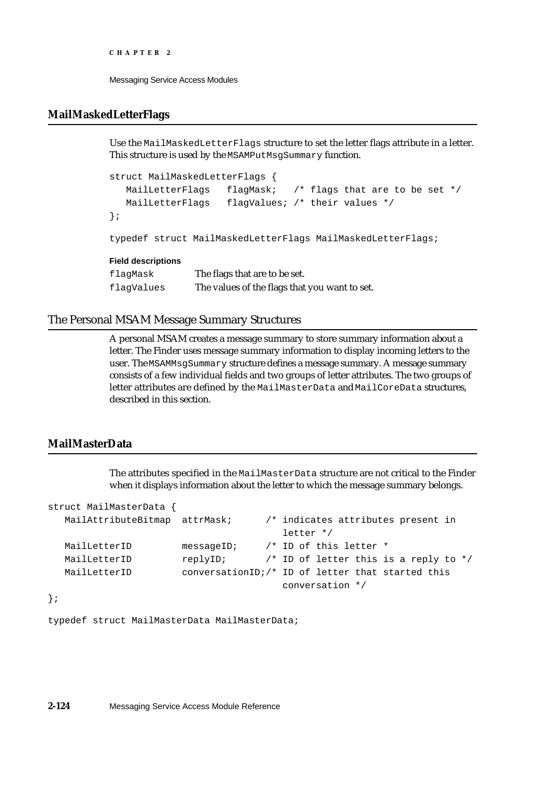```
CHAPTER 2
```
## **MailMaskedLetterFlags**

Use the MailMaskedLetterFlags structure to set the letter flags attribute in a letter. This structure is used by the MSAMPutMsgSummary function.

```
struct MailMaskedLetterFlags {
   MailLetterFlags flagMask; /* flags that are to be set */
   MailLetterFlags flagValues; /* their values */
};
typedef struct MailMaskedLetterFlags MailMaskedLetterFlags;
Field descriptions
flagMask The flags that are to be set.
flagValues The values of the flags that you want to set.
```
# The Personal MSAM Message Summary Structures

A personal MSAM creates a message summary to store summary information about a letter. The Finder uses message summary information to display incoming letters to the user. The MSAMMsgSummary structure defines a message summary. A message summary consists of a few individual fields and two groups of letter attributes. The two groups of letter attributes are defined by the MailMasterData and MailCoreData structures, described in this section.

# **MailMasterData**

The attributes specified in the MailMasterData structure are not critical to the Finder when it displays information about the letter to which the message summary belongs.

```
struct MailMasterData {
  MailAttributeBitmap attrMask; /* indicates attributes present in
                                      letter */
  MailLetterID messageID; /* ID of this letter *
  MailLetterID replyID; \frac{1}{2} /* ID of letter this is a reply to */
  MailLetterID conversationID;/* ID of letter that started this
                                      conversation */
```
};

typedef struct MailMasterData MailMasterData;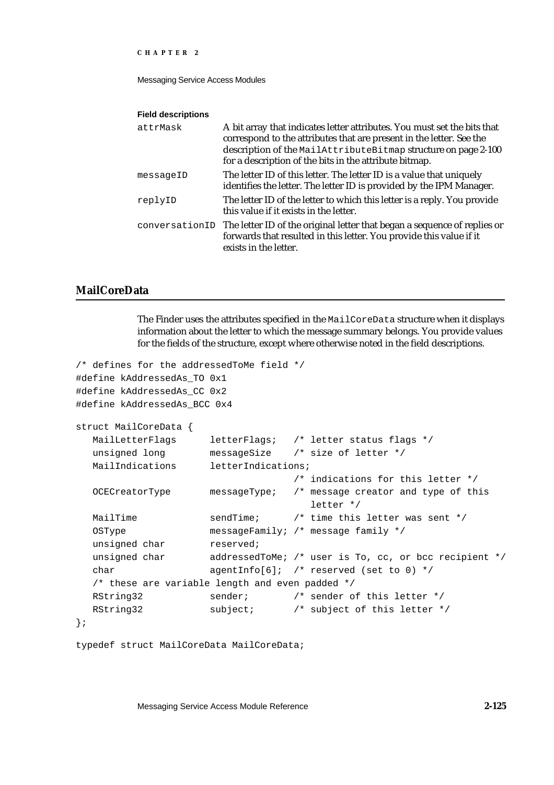Messaging Service Access Modules

#### **Field descriptions**

| attrMask  | A bit array that indicates letter attributes. You must set the bits that<br>correspond to the attributes that are present in the letter. See the<br>description of the MailAttributeBitmap structure on page 2-100<br>for a description of the bits in the attribute bitmap. |
|-----------|------------------------------------------------------------------------------------------------------------------------------------------------------------------------------------------------------------------------------------------------------------------------------|
| messageID | The letter ID of this letter. The letter ID is a value that uniquely<br>identifies the letter. The letter ID is provided by the IPM Manager.                                                                                                                                 |
| replyID   | The letter ID of the letter to which this letter is a reply. You provide<br>this value if it exists in the letter.                                                                                                                                                           |
|           | conversationID The letter ID of the original letter that began a sequence of replies or<br>forwards that resulted in this letter. You provide this value if it<br>exists in the letter.                                                                                      |

## **MailCoreData**

The Finder uses the attributes specified in the MailCoreData structure when it displays information about the letter to which the message summary belongs. You provide values for the fields of the structure, except where otherwise noted in the field descriptions.

```
/* defines for the addressedToMe field */
#define kAddressedAs_TO 0x1
#define kAddressedAs_CC 0x2
#define kAddressedAs_BCC 0x4
struct MailCoreData {
  MailLetterFlags letterFlags; /* letter status flags */
  unsigned long messageSize /* size of letter */
  MailIndications letterIndications;
                                   /* indications for this letter */
  OCECreatorType messageType; /* message creator and type of this
                                      letter */
  MailTime \qquad \qquad sendTime; \qquad \qquad /* time this letter was sent */
  OSType messageFamily; /* message family */
  unsigned char reserved;
  unsigned char addressedToMe; /* user is To, cc, or bcc recipient */
  char agentInfo[6]; /* reserved (set to 0) */
  /* these are variable length and even padded */
  RString32 sender; \frac{1}{2} /* sender of this letter */
  RString32 subject; /* subject of this letter */
};
```

```
typedef struct MailCoreData MailCoreData;
```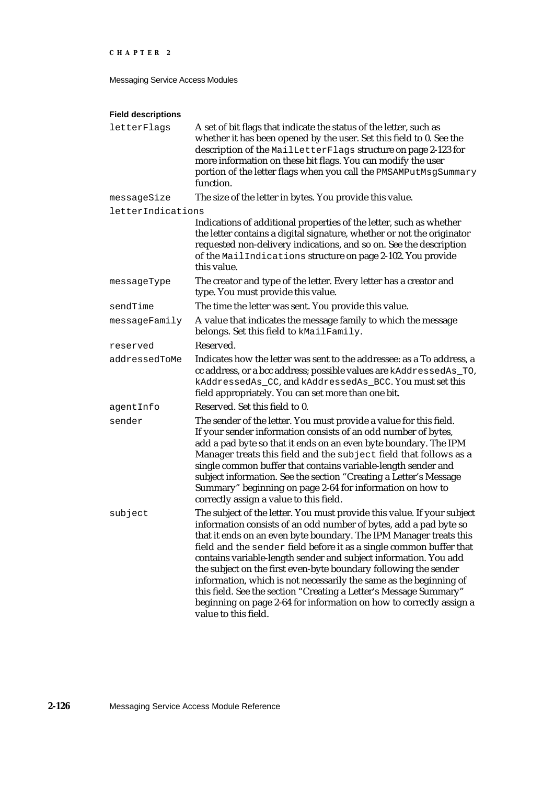Messaging Service Access Modules

| letterFlags       | A set of bit flags that indicate the status of the letter, such as<br>whether it has been opened by the user. Set this field to 0. See the<br>description of the MailLetterFlags structure on page 2-123 for<br>more information on these bit flags. You can modify the user<br>portion of the letter flags when you call the PMSAMPutMsgSummary<br>function.                                                                                                                                                                                                                                                                                                               |
|-------------------|-----------------------------------------------------------------------------------------------------------------------------------------------------------------------------------------------------------------------------------------------------------------------------------------------------------------------------------------------------------------------------------------------------------------------------------------------------------------------------------------------------------------------------------------------------------------------------------------------------------------------------------------------------------------------------|
| messageSize       | The size of the letter in bytes. You provide this value.                                                                                                                                                                                                                                                                                                                                                                                                                                                                                                                                                                                                                    |
| letterIndications |                                                                                                                                                                                                                                                                                                                                                                                                                                                                                                                                                                                                                                                                             |
|                   | Indications of additional properties of the letter, such as whether<br>the letter contains a digital signature, whether or not the originator<br>requested non-delivery indications, and so on. See the description<br>of the MailIndications structure on page 2-102. You provide<br>this value.                                                                                                                                                                                                                                                                                                                                                                           |
| messageType       | The creator and type of the letter. Every letter has a creator and<br>type. You must provide this value.                                                                                                                                                                                                                                                                                                                                                                                                                                                                                                                                                                    |
| sendTime          | The time the letter was sent. You provide this value.                                                                                                                                                                                                                                                                                                                                                                                                                                                                                                                                                                                                                       |
| messageFamily     | A value that indicates the message family to which the message<br>belongs. Set this field to kMailFamily.                                                                                                                                                                                                                                                                                                                                                                                                                                                                                                                                                                   |
| reserved          | Reserved.                                                                                                                                                                                                                                                                                                                                                                                                                                                                                                                                                                                                                                                                   |
| addressedToMe     | Indicates how the letter was sent to the addressee: as a To address, a<br>cc address, or a bcc address; possible values are kAddressedAs_TO,<br>kAddressedAs_CC, and kAddressedAs_BCC. You must set this<br>field appropriately. You can set more than one bit.                                                                                                                                                                                                                                                                                                                                                                                                             |
| agentInfo         | Reserved. Set this field to 0.                                                                                                                                                                                                                                                                                                                                                                                                                                                                                                                                                                                                                                              |
| sender            | The sender of the letter. You must provide a value for this field.<br>If your sender information consists of an odd number of bytes,<br>add a pad byte so that it ends on an even byte boundary. The IPM<br>Manager treats this field and the subject field that follows as a<br>single common buffer that contains variable-length sender and<br>subject information. See the section "Creating a Letter's Message<br>Summary" beginning on page 2-64 for information on how to<br>correctly assign a value to this field.                                                                                                                                                 |
| subject           | The subject of the letter. You must provide this value. If your subject<br>information consists of an odd number of bytes, add a pad byte so<br>that it ends on an even byte boundary. The IPM Manager treats this<br>field and the sender field before it as a single common buffer that<br>contains variable-length sender and subject information. You add<br>the subject on the first even-byte boundary following the sender<br>information, which is not necessarily the same as the beginning of<br>this field. See the section "Creating a Letter's Message Summary"<br>beginning on page 2-64 for information on how to correctly assign a<br>value to this field. |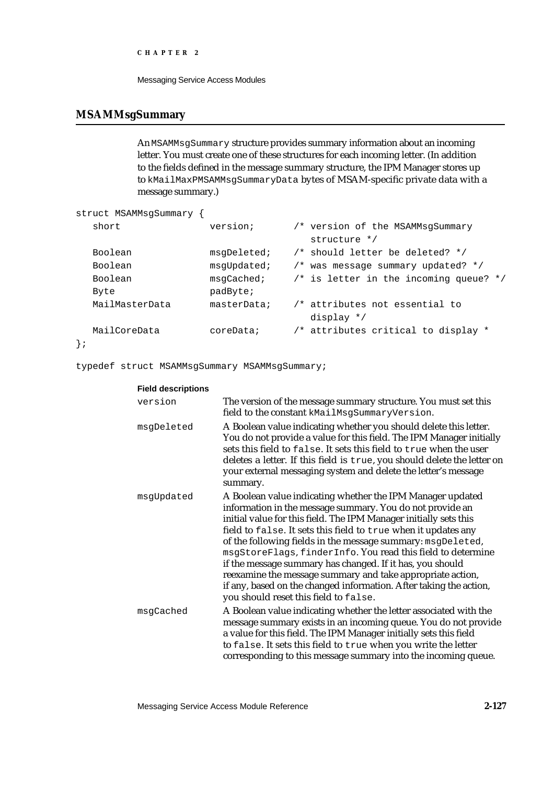```
CHAPTER 2
```
## **MSAMMsgSummary**

An MSAMMsgSummary structure provides summary information about an incoming letter. You must create one of these structures for each incoming letter. (In addition to the fields defined in the message summary structure, the IPM Manager stores up to kMailMaxPMSAMMsgSummaryData bytes of MSAM-specific private data with a message summary.)

```
struct MSAMMsgSummary {
  short version; \gamma version of the MSAMMsgSummary
                                 structure */
  Boolean msgDeleted; /* should letter be deleted? */
  Boolean msgUpdated; /* was message summary updated? */
  Boolean msgCached; /* is letter in the incoming queue? */
  Byte padByte;
  MailMasterData masterData; /* attributes not essential to 
                                 display */
  MailCoreData coreData; /* attributes critical to display *
};
```
typedef struct MSAMMsgSummary MSAMMsgSummary;

| <b>Field descriptions</b> |                                                                                                                                                                                                                                                                                                                                                                                                                                                                                                                                                                                                                                        |
|---------------------------|----------------------------------------------------------------------------------------------------------------------------------------------------------------------------------------------------------------------------------------------------------------------------------------------------------------------------------------------------------------------------------------------------------------------------------------------------------------------------------------------------------------------------------------------------------------------------------------------------------------------------------------|
| version                   | The version of the message summary structure. You must set this<br>field to the constant kMailMsgSummaryVersion.                                                                                                                                                                                                                                                                                                                                                                                                                                                                                                                       |
| msgDeleted                | A Boolean value indicating whether you should delete this letter.<br>You do not provide a value for this field. The IPM Manager initially<br>sets this field to false. It sets this field to true when the user<br>deletes a letter. If this field is true, you should delete the letter on<br>your external messaging system and delete the letter's message<br>summary.                                                                                                                                                                                                                                                              |
| msgUpdated                | A Boolean value indicating whether the IPM Manager updated<br>information in the message summary. You do not provide an<br>initial value for this field. The IPM Manager initially sets this<br>field to false. It sets this field to true when it updates any<br>of the following fields in the message summary: msgDeleted,<br>msgStoreFlags, finderInfo. You read this field to determine<br>if the message summary has changed. If it has, you should<br>reexamine the message summary and take appropriate action,<br>if any, based on the changed information. After taking the action,<br>you should reset this field to false. |
| msqCached                 | A Boolean value indicating whether the letter associated with the<br>message summary exists in an incoming queue. You do not provide<br>a value for this field. The IPM Manager initially sets this field<br>to false. It sets this field to true when you write the letter<br>corresponding to this message summary into the incoming queue.                                                                                                                                                                                                                                                                                          |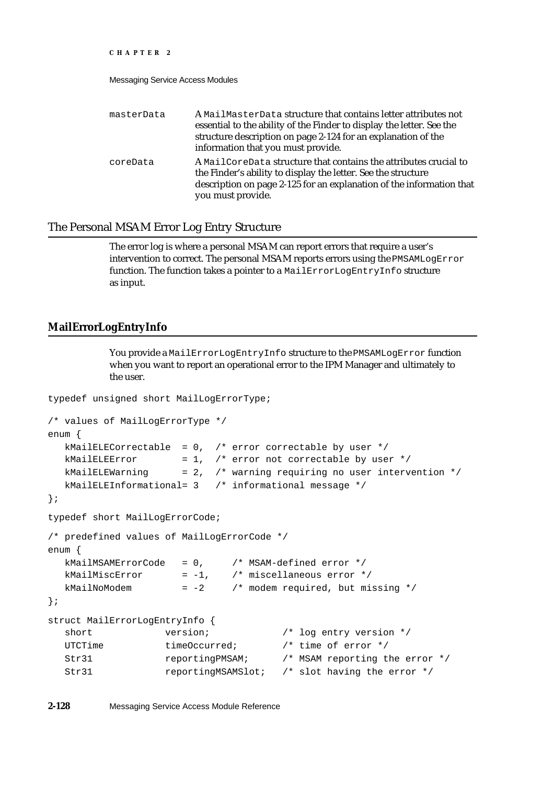### Messaging Service Access Modules

| masterData | A MailMasterData structure that contains letter attributes not<br>essential to the ability of the Finder to display the letter. See the<br>structure description on page 2-124 for an explanation of the<br>information that you must provide. |
|------------|------------------------------------------------------------------------------------------------------------------------------------------------------------------------------------------------------------------------------------------------|
| coreData   | A MailCoreData structure that contains the attributes crucial to<br>the Finder's ability to display the letter. See the structure<br>description on page 2-125 for an explanation of the information that<br>you must provide.                 |

## The Personal MSAM Error Log Entry Structure

The error log is where a personal MSAM can report errors that require a user's intervention to correct. The personal MSAM reports errors using the PMSAMLogError function. The function takes a pointer to a MailErrorLogEntryInfo structure as input.

# **MailErrorLogEntryInfo**

You provide a MailErrorLogEntryInfo structure to the PMSAMLogError function when you want to report an operational error to the IPM Manager and ultimately to the user.

```
typedef unsigned short MailLogErrorType;
```

```
/* values of MailLogErrorType */
enum {
  kMailELECorrectable = 0, /* error correctable by user */
  kMailELEError = 1, /* error not correctable by user */kMailELEWarning = 2, \frac{1}{x} warning requiring no user intervention \frac{x}{x}kMailELEInformational= 3 /* informational message */
};
typedef short MailLogErrorCode;
/* predefined values of MailLogErrorCode */
enum {
  kMailMSAMErrorCode = 0, /* MSAM-defined error */
  kMailMiscError = -1, \frac{1}{1} \frac{1}{1} \frac{1}{1} miscellaneous error */
  kMailNoModem = -2 /* modem required, but missing */
};
struct MailErrorLogEntryInfo {
  short version; \gamma /* log entry version */
  UTCTime timeOccurred; \frac{1}{2} /* time of error */
  Str31 reportingPMSAM; /* MSAM reporting the error */
  Str31 reportingMSAMSlot; /* slot having the error */
```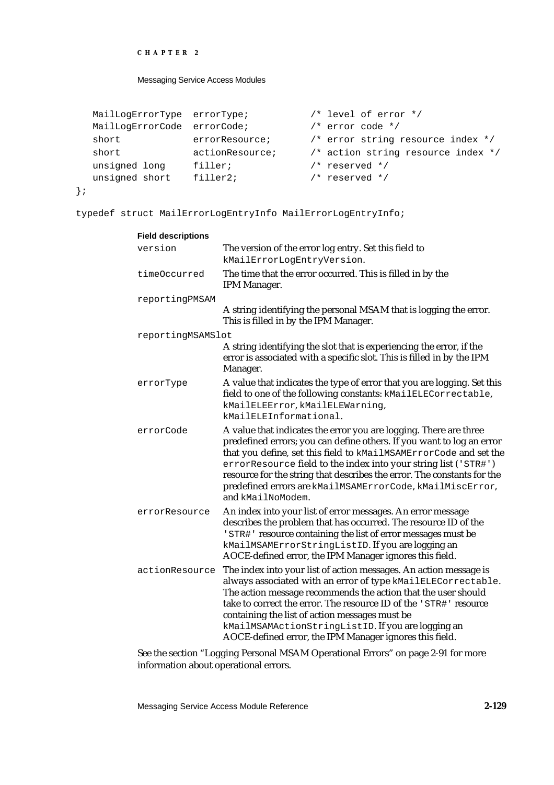### Messaging Service Access Modules

```
MailLogErrorType errorType; /* level of error */ 
MailLogErrorCode errorCode; /* error code */ 
short errorResource; \qquad /* error string resource index */
short actionResource; /* action string resource index */
unsigned long filler; \frac{1}{2} /* reserved */
unsigned short filler2; /* reserved */
```

```
};
```
typedef struct MailErrorLogEntryInfo MailErrorLogEntryInfo;

| <b>Field descriptions</b> |                                                                                                                                                                                                                                                                                                                                                                                                                                                 |
|---------------------------|-------------------------------------------------------------------------------------------------------------------------------------------------------------------------------------------------------------------------------------------------------------------------------------------------------------------------------------------------------------------------------------------------------------------------------------------------|
| version                   | The version of the error log entry. Set this field to<br>kMailErrorLogEntryVersion.                                                                                                                                                                                                                                                                                                                                                             |
| timeOccurred              | The time that the error occurred. This is filled in by the<br>IPM Manager.                                                                                                                                                                                                                                                                                                                                                                      |
| reportingPMSAM            |                                                                                                                                                                                                                                                                                                                                                                                                                                                 |
|                           | A string identifying the personal MSAM that is logging the error.<br>This is filled in by the IPM Manager.                                                                                                                                                                                                                                                                                                                                      |
| reportingMSAMSlot         |                                                                                                                                                                                                                                                                                                                                                                                                                                                 |
|                           | A string identifying the slot that is experiencing the error, if the<br>error is associated with a specific slot. This is filled in by the IPM<br>Manager.                                                                                                                                                                                                                                                                                      |
| errorType                 | A value that indicates the type of error that you are logging. Set this<br>field to one of the following constants: kMailELECorrectable,<br>kMailELEError, kMailELEWarning,<br>kMailELEInformational.                                                                                                                                                                                                                                           |
| errorCode                 | A value that indicates the error you are logging. There are three<br>predefined errors; you can define others. If you want to log an error<br>that you define, set this field to kMailMSAMErrorCode and set the<br>errorResource field to the index into your string list ('STR#')<br>resource for the string that describes the error. The constants for the<br>predefined errors are kMailMSAMErrorCode, kMailMiscError,<br>and kMailNoModem. |
| errorResource             | An index into your list of error messages. An error message<br>describes the problem that has occurred. The resource ID of the<br>'STR#' resource containing the list of error messages must be<br>kMailMSAMErrorStringListID. If you are logging an<br>AOCE-defined error, the IPM Manager ignores this field.                                                                                                                                 |
| actionResource            | The index into your list of action messages. An action message is<br>always associated with an error of type kMailELECorrectable.<br>The action message recommends the action that the user should<br>take to correct the error. The resource ID of the 'STR#' resource<br>containing the list of action messages must be<br>kMailMSAMActionStringListID. If you are logging an<br>AOCE-defined error, the IPM Manager ignores this field.      |

See the section "Logging Personal MSAM Operational Errors" on page 2-91 for more information about operational errors.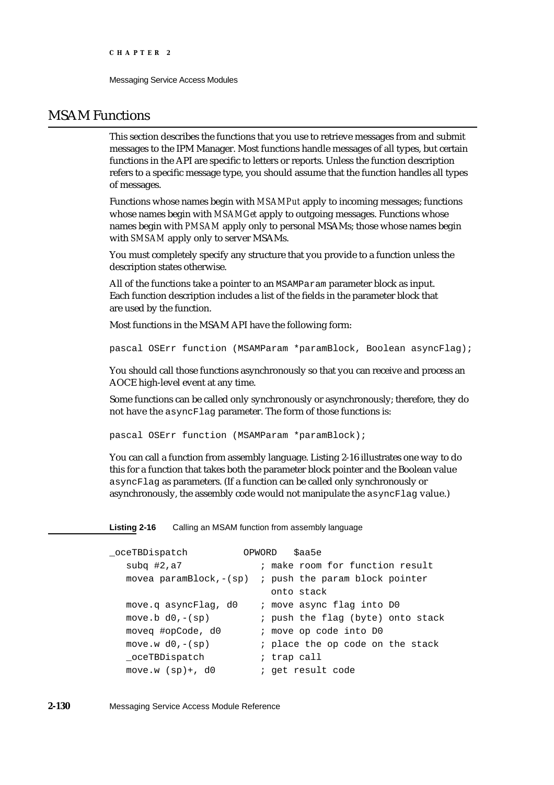# MSAM Functions

This section describes the functions that you use to retrieve messages from and submit messages to the IPM Manager. Most functions handle messages of all types, but certain functions in the API are specific to letters or reports. Unless the function description refers to a specific message type, you should assume that the function handles all types of messages.

Functions whose names begin with *MSAMPut* apply to incoming messages; functions whose names begin with *MSAMGet* apply to outgoing messages. Functions whose names begin with *PMSAM* apply only to personal MSAMs; those whose names begin with *SMSAM* apply only to server MSAMs.

You must completely specify any structure that you provide to a function unless the description states otherwise.

All of the functions take a pointer to an MSAMParam parameter block as input. Each function description includes a list of the fields in the parameter block that are used by the function.

Most functions in the MSAM API have the following form:

pascal OSErr function (MSAMParam \*paramBlock, Boolean asyncFlag);

You should call those functions asynchronously so that you can receive and process an AOCE high-level event at any time.

Some functions can be called only synchronously or asynchronously; therefore, they do not have the asyncFlag parameter. The form of those functions is:

pascal OSErr function (MSAMParam \*paramBlock);

You can call a function from assembly language. Listing 2-16 illustrates one way to do this for a function that takes both the parameter block pointer and the Boolean value asyncFlag as parameters. (If a function can be called only synchronously or asynchronously, the assembly code would not manipulate the asyncFlag value.)

**Listing 2-16** Calling an MSAM function from assembly language

| oceTBDispatch             | \$aa5e<br>OPWORD                                         |
|---------------------------|----------------------------------------------------------|
| subq $#2, a7$             | ; make room for function result                          |
|                           | movea paramBlock,- $(sp)$ ; push the param block pointer |
|                           | onto stack                                               |
| move.q asyncFlag, d0      | ; move async flag into DO                                |
| move.b $d0, -(\text{sp})$ | ; push the flag (byte) onto stack                        |
| moveg #opCode, d0         | ; move op code into D0                                   |
| move.w $d0, -(\text{sp})$ | ; place the op code on the stack                         |
| oceTBDispatch             | ; trap call                                              |
| move.w $(sp)$ +, d0       | ; get result code                                        |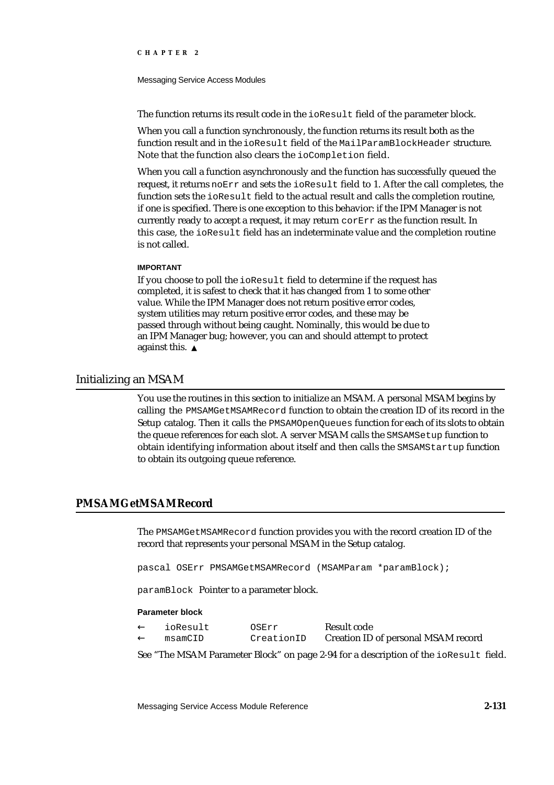#### Messaging Service Access Modules

The function returns its result code in the ioResult field of the parameter block.

When you call a function synchronously, the function returns its result both as the function result and in the ioResult field of the MailParamBlockHeader structure. Note that the function also clears the ioCompletion field.

When you call a function asynchronously and the function has successfully queued the request, it returns noErr and sets the ioResult field to 1. After the call completes, the function sets the ioResult field to the actual result and calls the completion routine, if one is specified. There is one exception to this behavior: if the IPM Manager is not currently ready to accept a request, it may return corErr as the function result. In this case, the ioResult field has an indeterminate value and the completion routine is not called.

### **IMPORTANT**

If you choose to poll the ioResult field to determine if the request has completed, it is safest to check that it has changed from 1 to some other value. While the IPM Manager does not return positive error codes, system utilities may return positive error codes, and these may be passed through without being caught. Nominally, this would be due to an IPM Manager bug; however, you can and should attempt to protect against this.

## Initializing an MSAM

You use the routines in this section to initialize an MSAM. A personal MSAM begins by calling the PMSAMGetMSAMRecord function to obtain the creation ID of its record in the Setup catalog. Then it calls the PMSAMOpenQueues function for each of its slots to obtain the queue references for each slot. A server MSAM calls the SMSAMSetup function to obtain identifying information about itself and then calls the SMSAMStartup function to obtain its outgoing queue reference.

## **PMSAMGetMSAMRecord**

The PMSAMGetMSAMRecord function provides you with the record creation ID of the record that represents your personal MSAM in the Setup catalog.

pascal OSErr PMSAMGetMSAMRecord (MSAMParam \*paramBlock);

paramBlock Pointer to a parameter block.

#### **Parameter block**

| ioResult | OSErr      | Result code                         |
|----------|------------|-------------------------------------|
| msamCID  | CreationID | Creation ID of personal MSAM record |

See "The MSAM Parameter Block" on page 2-94 for a description of the ioResult field.

Messaging Service Access Module Reference **2-131**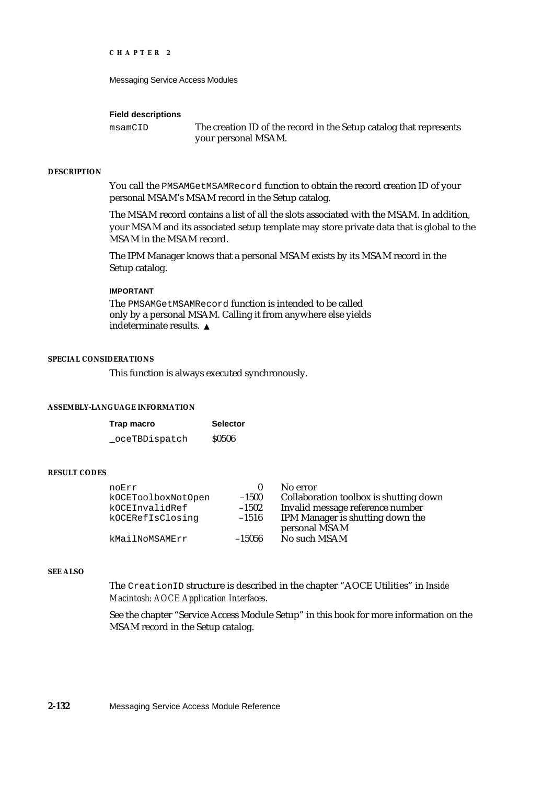Messaging Service Access Modules

#### **Field descriptions**

msamCID The creation ID of the record in the Setup catalog that represents your personal MSAM.

### **DESCRIPTION**

You call the PMSAMGetMSAMRecord function to obtain the record creation ID of your personal MSAM's MSAM record in the Setup catalog.

The MSAM record contains a list of all the slots associated with the MSAM. In addition, your MSAM and its associated setup template may store private data that is global to the MSAM in the MSAM record.

The IPM Manager knows that a personal MSAM exists by its MSAM record in the Setup catalog.

### **IMPORTANT**

The PMSAMGetMSAMRecord function is intended to be called only by a personal MSAM. Calling it from anywhere else yields indeterminate results.

### **SPECIAL CONSIDERATIONS**

This function is always executed synchronously.

## **ASSEMBLY-LANGUAGE INFORMATION**

| Trap macro     | <b>Selector</b> |
|----------------|-----------------|
| _oceTBDispatch | <b>S0506</b>    |

### **RESULT CODES**

| noErr              | 0        | No error                               |
|--------------------|----------|----------------------------------------|
| kOCEToolboxNotOpen | $-1500$  | Collaboration toolbox is shutting down |
| kOCEInvalidRef     | $-1502$  | Invalid message reference number       |
| kOCERefIsClosing   | $-1516$  | IPM Manager is shutting down the       |
|                    |          | personal MSAM                          |
| kMailNoMSAMErr     | $-15056$ | No such MSAM                           |

#### **SEE ALSO**

The CreationID structure is described in the chapter "AOCE Utilities" in *Inside Macintosh: AOCE Application Interfaces*.

See the chapter "Service Access Module Setup" in this book for more information on the MSAM record in the Setup catalog.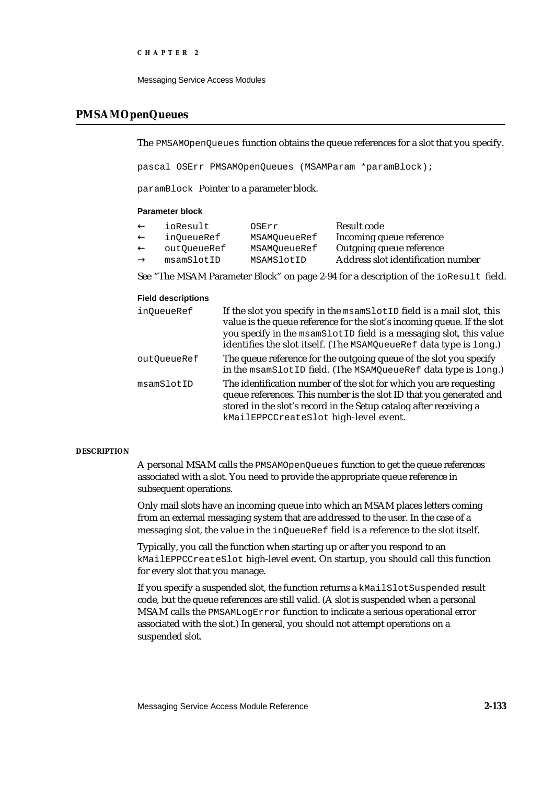Messaging Service Access Modules

## **PMSAMOpenQueues**

The PMSAMOpenQueues function obtains the queue references for a slot that you specify.

pascal OSErr PMSAMOpenQueues (MSAMParam \*paramBlock);

paramBlock Pointer to a parameter block.

### **Parameter block**

| ioResult    | OSErr        | Result code                        |
|-------------|--------------|------------------------------------|
| inOueueRef  | MSAMOueueRef | Incoming queue reference           |
| outOueueRef | MSAMOueueRef | Outgoing queue reference           |
| msamSlotID  | MSAMSlotID   | Address slot identification number |

See "The MSAM Parameter Block" on page 2-94 for a description of the ioResult field.

## **Field descriptions**

| inQueueRef  | If the slot you specify in the msamSlotID field is a mail slot, this<br>value is the queue reference for the slot's incoming queue. If the slot<br>you specify in the msamSlotID field is a messaging slot, this value<br>identifies the slot itself. (The MSAMQueueRef data type is long.) |
|-------------|---------------------------------------------------------------------------------------------------------------------------------------------------------------------------------------------------------------------------------------------------------------------------------------------|
| outOueueRef | The queue reference for the outgoing queue of the slot you specify<br>in the msamSlotID field. (The MSAMQueueRef data type is long.)                                                                                                                                                        |
| msamSlotID  | The identification number of the slot for which you are requesting<br>queue references. This number is the slot ID that you generated and<br>stored in the slot's record in the Setup catalog after receiving a<br>kMailEPPCCreateSlot high-level event.                                    |

### **DESCRIPTION**

A personal MSAM calls the PMSAMOpenQueues function to get the queue references associated with a slot. You need to provide the appropriate queue reference in subsequent operations.

Only mail slots have an incoming queue into which an MSAM places letters coming from an external messaging system that are addressed to the user. In the case of a messaging slot, the value in the inQueueRef field is a reference to the slot itself.

Typically, you call the function when starting up or after you respond to an kMailEPPCCreateSlot high-level event. On startup, you should call this function for every slot that you manage.

If you specify a suspended slot, the function returns a kMailSlotSuspended result code, but the queue references are still valid. (A slot is suspended when a personal MSAM calls the PMSAMLogError function to indicate a serious operational error associated with the slot.) In general, you should not attempt operations on a suspended slot.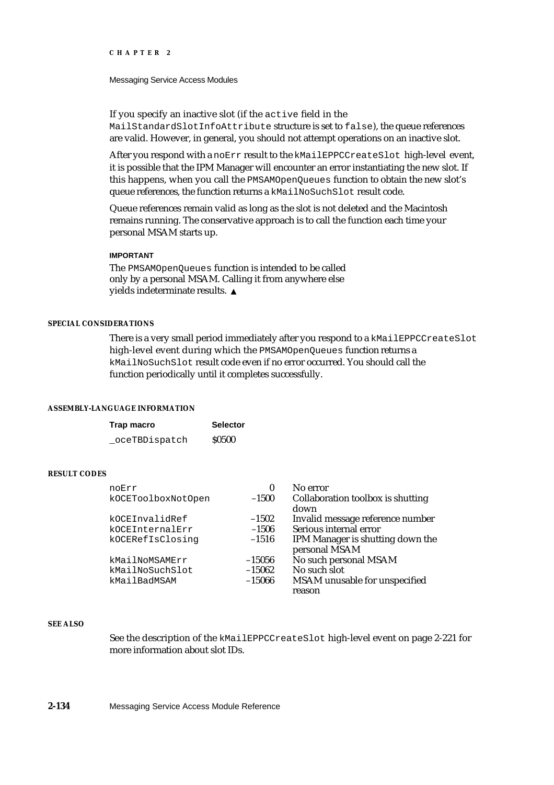#### Messaging Service Access Modules

If you specify an inactive slot (if the active field in the

MailStandardSlotInfoAttribute structure is set to false), the queue references are valid. However, in general, you should not attempt operations on an inactive slot.

After you respond with a noErr result to the kMailEPPCCreateSlot high-level event, it is possible that the IPM Manager will encounter an error instantiating the new slot. If this happens, when you call the PMSAMOpenQueues function to obtain the new slot's queue references, the function returns a kMailNoSuchSlot result code.

Queue references remain valid as long as the slot is not deleted and the Macintosh remains running. The conservative approach is to call the function each time your personal MSAM starts up.

## **IMPORTANT**

The PMSAMOpenQueues function is intended to be called only by a personal MSAM. Calling it from anywhere else yields indeterminate results.

## **SPECIAL CONSIDERATIONS**

There is a very small period immediately after you respond to a kMailEPPCCreateSlot high-level event during which the PMSAMOpenQueues function returns a kMailNoSuchSlot result code even if no error occurred. You should call the function periodically until it completes successfully.

#### **ASSEMBLY-LANGUAGE INFORMATION**

| Trap macro     | <b>Selector</b> |
|----------------|-----------------|
| _oceTBDispatch | <b>S0500</b>    |

## **RESULT CODES**

| noErr              | 0        | No error                                          |
|--------------------|----------|---------------------------------------------------|
| kOCEToolboxNotOpen | $-1500$  | Collaboration toolbox is shutting<br>down         |
| kOCEInvalidRef     | $-1502$  | Invalid message reference number                  |
| kOCEInternalErr    | $-1506$  | Serious internal error                            |
| kOCERefIsClosinq   | $-1516$  | IPM Manager is shutting down the<br>personal MSAM |
| kMailNoMSAMErr     | $-15056$ | No such personal MSAM                             |
| kMailNoSuchSlot    | $-15062$ | No such slot                                      |
| kMailBadMSAM       | $-15066$ | MSAM unusable for unspecified                     |
|                    |          | reason                                            |

#### **SEE ALSO**

See the description of the kMailEPPCCreateSlot high-level event on page 2-221 for more information about slot IDs.

**2-134** Messaging Service Access Module Reference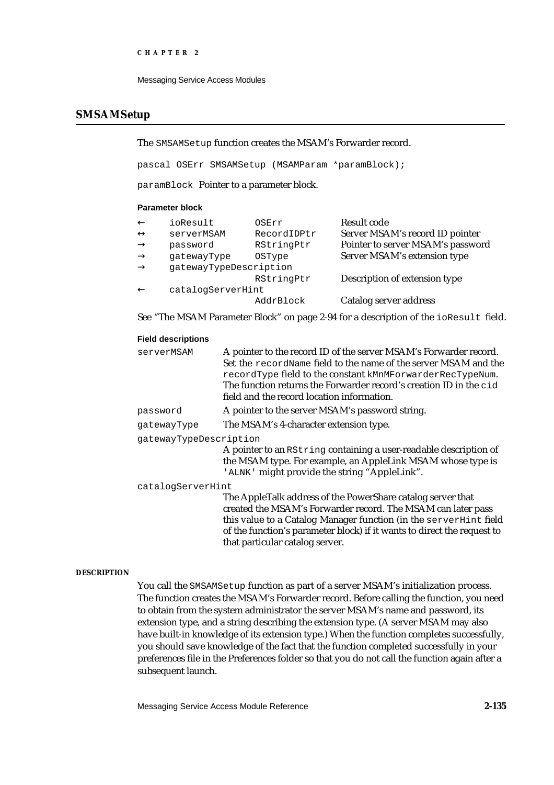```
CHAPTER 2
```
## **SMSAMSetup**

The SMSAMSetup function creates the MSAM's Forwarder record.

pascal OSErr SMSAMSetup (MSAMParam \*paramBlock);

paramBlock Pointer to a parameter block.

### **Parameter block**

| ioResult               | OSErr         | Result code                       |
|------------------------|---------------|-----------------------------------|
| serverMSAM             | RecordIDPtr   | Server MSAM's record ID pointer   |
| password               | RStringPtr    | Pointer to server MSAM's password |
| qatewayType            | <b>OSType</b> | Server MSAM's extension type      |
| gatewayTypeDescription |               |                                   |
|                        | RStringPtr    | Description of extension type     |
| catalogServerHint      |               |                                   |
|                        | AddrBlock     | Catalog server address            |
|                        |               |                                   |

See "The MSAM Parameter Block" on page 2-94 for a description of the ioResult field.

## **Field descriptions**

| serverMSAM             | A pointer to the record ID of the server MSAM's Forwarder record.<br>Set the recordName field to the name of the server MSAM and the<br>recordType field to the constant kMnMForwarderRecTypeNum.<br>The function returns the Forwarder record's creation ID in the cid<br>field and the record location information. |
|------------------------|-----------------------------------------------------------------------------------------------------------------------------------------------------------------------------------------------------------------------------------------------------------------------------------------------------------------------|
| password               | A pointer to the server MSAM's password string.                                                                                                                                                                                                                                                                       |
| qatewayType            | The MSAM's 4-character extension type.                                                                                                                                                                                                                                                                                |
| qatewayTypeDescription | A pointer to an RString containing a user-readable description of<br>the MSAM type. For example, an AppleLink MSAM whose type is<br>'ALNK' might provide the string "AppleLink".                                                                                                                                      |
| catalogServerHint      |                                                                                                                                                                                                                                                                                                                       |
|                        | The AppleTalk address of the PowerShare catalog server that<br>created the MSAM's Forwarder record. The MSAM can later pass<br>this value to a Catalog Manager function (in the server Hint field<br>of the function's parameter block) if it wants to direct the request to                                          |

### **DESCRIPTION**

You call the SMSAMSetup function as part of a server MSAM's initialization process. The function creates the MSAM's Forwarder record. Before calling the function, you need to obtain from the system administrator the server MSAM's name and password, its extension type, and a string describing the extension type. (A server MSAM may also have built-in knowledge of its extension type.) When the function completes successfully, you should save knowledge of the fact that the function completed successfully in your preferences file in the Preferences folder so that you do not call the function again after a subsequent launch.

that particular catalog server.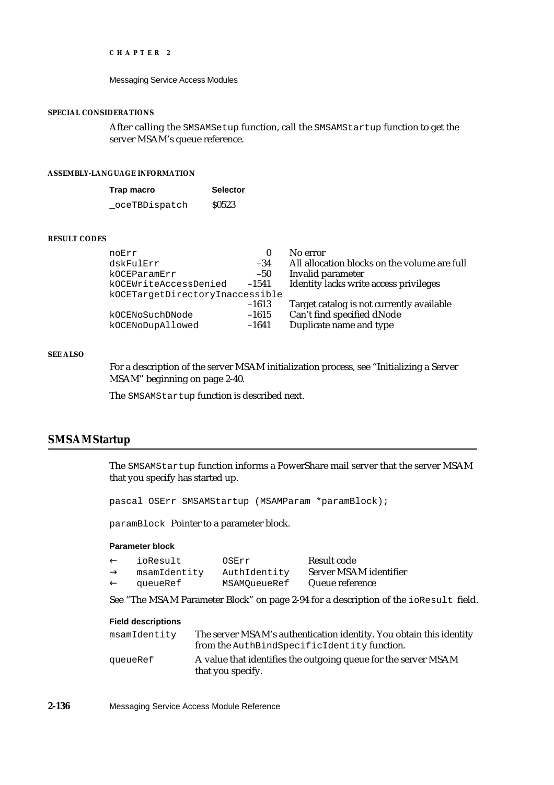#### Messaging Service Access Modules

## **SPECIAL CONSIDERATIONS**

After calling the SMSAMSetup function, call the SMSAMStartup function to get the server MSAM's queue reference.

## **ASSEMBLY-LANGUAGE INFORMATION**

| Trap macro     | <b>Selector</b> |
|----------------|-----------------|
| _oceTBDispatch | \$0523          |

#### **RESULT CODES**

| noErr                           | 0       | No error                                     |
|---------------------------------|---------|----------------------------------------------|
| dskFulErr                       | $-34$   | All allocation blocks on the volume are full |
| kOCEParamErr                    | $-50$   | Invalid parameter                            |
| kOCEWriteAccessDenied           | $-1541$ | Identity lacks write access privileges       |
| kOCETargetDirectoryInaccessible |         |                                              |
|                                 | $-1613$ | Target catalog is not currently available    |
| kOCENoSuchDNode                 | $-1615$ | Can't find specified dNode                   |
| kOCENoDupAllowed                | $-1641$ | Duplicate name and type                      |
|                                 |         |                                              |

## **SEE ALSO**

For a description of the server MSAM initialization process, see "Initializing a Server MSAM" beginning on page 2-40.

The SMSAMStartup function is described next.

## **SMSAMStartup**

The SMSAMStartup function informs a PowerShare mail server that the server MSAM that you specify has started up.

pascal OSErr SMSAMStartup (MSAMParam \*paramBlock);

paramBlock Pointer to a parameter block.

### **Parameter block**

| ioResult     | OSErr        | Result code            |
|--------------|--------------|------------------------|
| msamIdentity | AuthIdentity | Server MSAM identifier |
| queueRef     | MSAMOueueRef | Queue reference        |

See "The MSAM Parameter Block" on page 2-94 for a description of the ioResult field.

| msamIdentity | The server MSAM's authentication identity. You obtain this identity                 |
|--------------|-------------------------------------------------------------------------------------|
|              | from the AuthBindSpecificIdentity function.                                         |
| aueueRef     | A value that identifies the outgoing queue for the server MSAM<br>that you specify. |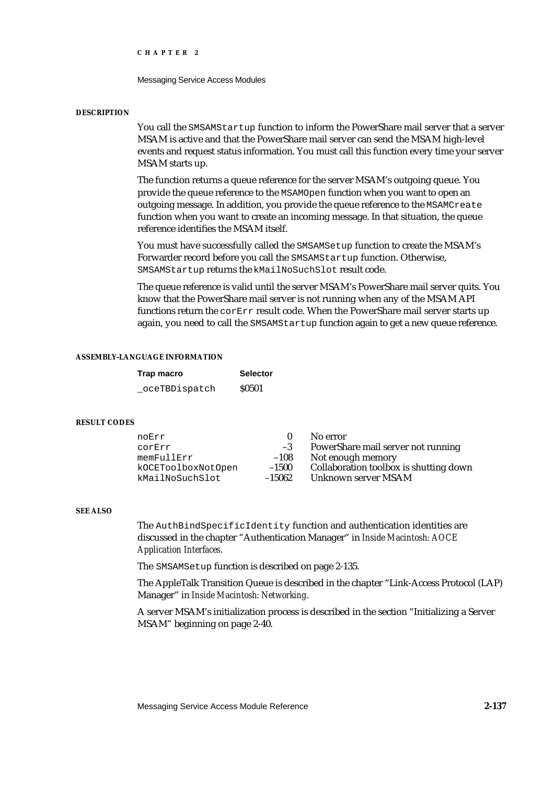Messaging Service Access Modules

#### **DESCRIPTION**

You call the SMSAMStartup function to inform the PowerShare mail server that a server MSAM is active and that the PowerShare mail server can send the MSAM high-level events and request status information. You must call this function every time your server MSAM starts up.

The function returns a queue reference for the server MSAM's outgoing queue. You provide the queue reference to the MSAMOpen function when you want to open an outgoing message. In addition, you provide the queue reference to the MSAMCreate function when you want to create an incoming message. In that situation, the queue reference identifies the MSAM itself.

You must have successfully called the SMSAMSetup function to create the MSAM's Forwarder record before you call the SMSAMStartup function. Otherwise, SMSAMStartup returns the kMailNoSuchSlot result code.

The queue reference is valid until the server MSAM's PowerShare mail server quits. You know that the PowerShare mail server is not running when any of the MSAM API functions return the corErr result code. When the PowerShare mail server starts up again, you need to call the SMSAMStartup function again to get a new queue reference.

### **ASSEMBLY-LANGUAGE INFORMATION**

| Trap macro     | <b>Selector</b> |
|----------------|-----------------|
| _oceTBDispatch | <b>S0501</b>    |

### **RESULT CODES**

| noErr              |          | No error                               |
|--------------------|----------|----------------------------------------|
| corErr             | $-3$     | PowerShare mail server not running     |
| memFullErr         | $-108$   | Not enough memory                      |
| kOCEToolboxNotOpen | $-1500$  | Collaboration toolbox is shutting down |
| kMailNoSuchSlot    | $-15062$ | Unknown server MSAM                    |

### **SEE ALSO**

The AuthBindSpecificIdentity function and authentication identities are discussed in the chapter "Authentication Manager" in *Inside Macintosh: AOCE Application Interfaces*.

The SMSAMSetup function is described on page 2-135.

The AppleTalk Transition Queue is described in the chapter "Link-Access Protocol (LAP) Manager" in *Inside Macintosh: Networking*.

A server MSAM's initialization process is described in the section "Initializing a Server MSAM" beginning on page 2-40.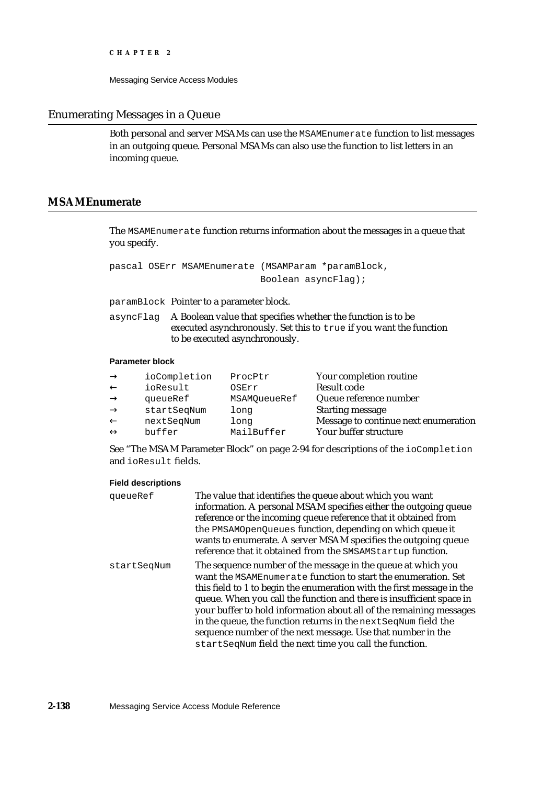Messaging Service Access Modules

## Enumerating Messages in a Queue

Both personal and server MSAMs can use the MSAMEnumerate function to list messages in an outgoing queue. Personal MSAMs can also use the function to list letters in an incoming queue.

## **MSAMEnumerate**

The MSAMEnumerate function returns information about the messages in a queue that you specify.

pascal OSErr MSAMEnumerate (MSAMParam \*paramBlock, Boolean asyncFlag);

paramBlock Pointer to a parameter block.

asyncFlag A Boolean value that specifies whether the function is to be executed asynchronously. Set this to true if you want the function to be executed asynchronously.

## **Parameter block**

| ioCompletion | ProcPtr      | Your completion routine              |
|--------------|--------------|--------------------------------------|
| ioResult     | OSErr        | Result code                          |
| queueRef     | MSAMOueueRef | Queue reference number               |
| startSeqNum  | long         | <b>Starting message</b>              |
| nextSeqNum   | long         | Message to continue next enumeration |
| buffer       | MailBuffer   | Your buffer structure                |

See "The MSAM Parameter Block" on page 2-94 for descriptions of the ioCompletion and ioResult fields.

| queueRef    | The value that identifies the queue about which you want<br>information. A personal MSAM specifies either the outgoing queue<br>reference or the incoming queue reference that it obtained from<br>the PMSAMOpenQueues function, depending on which queue it<br>wants to enumerate. A server MSAM specifies the outgoing queue<br>reference that it obtained from the SMSAMStartup function.                                                                                                                                                       |
|-------------|----------------------------------------------------------------------------------------------------------------------------------------------------------------------------------------------------------------------------------------------------------------------------------------------------------------------------------------------------------------------------------------------------------------------------------------------------------------------------------------------------------------------------------------------------|
| startSeqNum | The sequence number of the message in the queue at which you<br>want the MSAMEnumerate function to start the enumeration. Set<br>this field to 1 to begin the enumeration with the first message in the<br>queue. When you call the function and there is insufficient space in<br>your buffer to hold information about all of the remaining messages<br>in the queue, the function returns in the next SeqNum field the<br>sequence number of the next message. Use that number in the<br>startSeqNum field the next time you call the function. |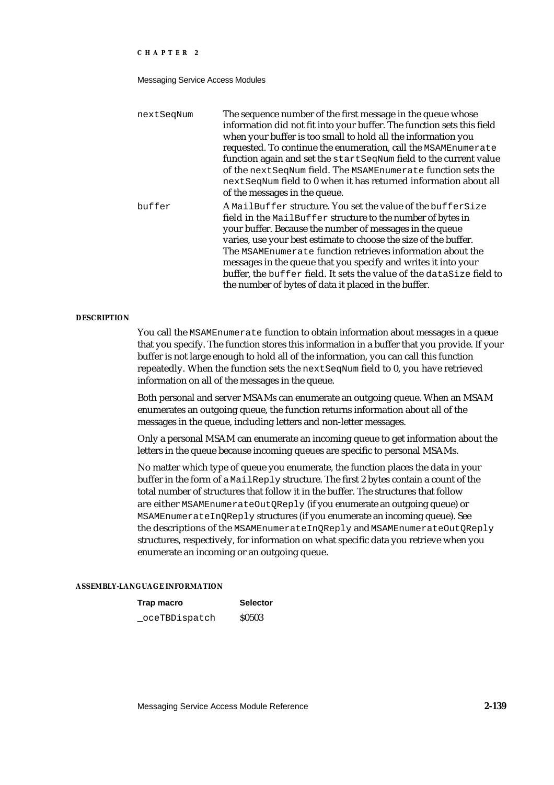Messaging Service Access Modules

| nextSeqNum | The sequence number of the first message in the queue whose<br>information did not fit into your buffer. The function sets this field<br>when your buffer is too small to hold all the information you<br>requested. To continue the enumeration, call the MSAMEnumerate<br>function again and set the startSeqNum field to the current value<br>of the next SeqNum field. The MSAMEnumerate function sets the<br>next SeqNum field to 0 when it has returned information about all<br>of the messages in the queue.       |
|------------|----------------------------------------------------------------------------------------------------------------------------------------------------------------------------------------------------------------------------------------------------------------------------------------------------------------------------------------------------------------------------------------------------------------------------------------------------------------------------------------------------------------------------|
| buffer     | A MailBuffer structure. You set the value of the bufferSize<br>field in the MailBuffer structure to the number of bytes in<br>your buffer. Because the number of messages in the queue<br>varies, use your best estimate to choose the size of the buffer.<br>The MSAMEnumerate function retrieves information about the<br>messages in the queue that you specify and writes it into your<br>buffer, the buffer field. It sets the value of the dataSize field to<br>the number of bytes of data it placed in the buffer. |

### **DESCRIPTION**

You call the MSAMEnumerate function to obtain information about messages in a queue that you specify. The function stores this information in a buffer that you provide. If your buffer is not large enough to hold all of the information, you can call this function repeatedly. When the function sets the nextSeqNum field to 0, you have retrieved information on all of the messages in the queue.

Both personal and server MSAMs can enumerate an outgoing queue. When an MSAM enumerates an outgoing queue, the function returns information about all of the messages in the queue, including letters and non-letter messages.

Only a personal MSAM can enumerate an incoming queue to get information about the letters in the queue because incoming queues are specific to personal MSAMs.

No matter which type of queue you enumerate, the function places the data in your buffer in the form of a MailReply structure. The first 2 bytes contain a count of the total number of structures that follow it in the buffer. The structures that follow are either MSAMEnumerateOutQReply (if you enumerate an outgoing queue) or MSAMEnumerateInQReply structures (if you enumerate an incoming queue). See the descriptions of the MSAMEnumerateInQReply and MSAMEnumerateOutQReply structures, respectively, for information on what specific data you retrieve when you enumerate an incoming or an outgoing queue.

## **ASSEMBLY-LANGUAGE INFORMATION**

### **Trap macro Selector**

oceTBDispatch \$0503

Messaging Service Access Module Reference **2-139**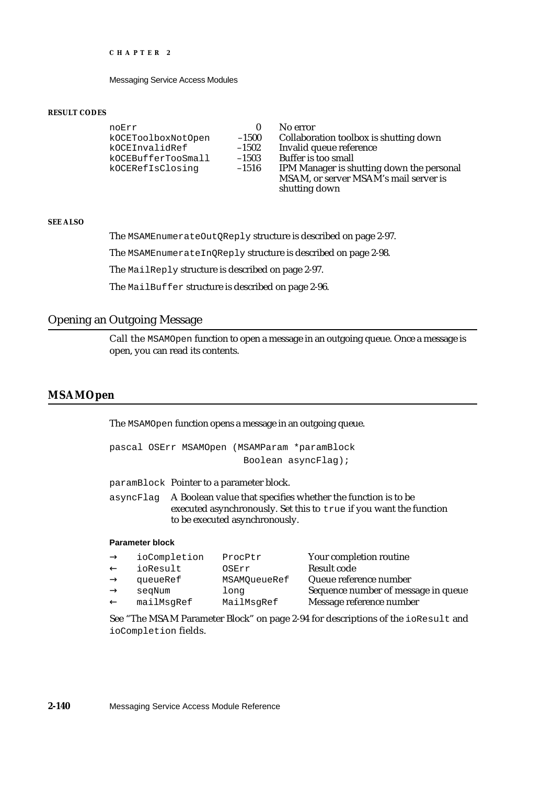Messaging Service Access Modules

#### **RESULT CODES**

| noErr              |         | No error                                  |
|--------------------|---------|-------------------------------------------|
| kOCEToolboxNotOpen | $-1500$ | Collaboration toolbox is shutting down    |
| kOCEInvalidRef     | $-1502$ | Invalid queue reference                   |
| kOCEBufferTooSmall | $-1503$ | <b>Buffer is too small</b>                |
| kOCERefIsClosinq   | $-1516$ | IPM Manager is shutting down the personal |
|                    |         | MSAM, or server MSAM's mail server is     |
|                    |         | shutting down                             |

## **SEE ALSO**

The MSAMEnumerateOutQReply structure is described on page 2-97.

The MSAMEnumerateInQReply structure is described on page 2-98.

The MailReply structure is described on page 2-97.

The MailBuffer structure is described on page 2-96.

## Opening an Outgoing Message

Call the MSAMOpen function to open a message in an outgoing queue. Once a message is open, you can read its contents.

## **MSAMOpen**

The MSAMOpen function opens a message in an outgoing queue.

```
pascal OSErr MSAMOpen (MSAMParam *paramBlock
                        Boolean asyncFlag);
```
paramBlock Pointer to a parameter block.

asyncFlag A Boolean value that specifies whether the function is to be executed asynchronously. Set this to true if you want the function to be executed asynchronously.

### **Parameter block**

| ioCompletion | ProcPtr      | Your completion routine             |
|--------------|--------------|-------------------------------------|
| ioResult     | OSErr        | Result code                         |
| queueRef     | MSAMOueueRef | Queue reference number              |
| segNum       | long         | Sequence number of message in queue |
| mailMsqRef   | MailMsqRef   | Message reference number            |
|              |              |                                     |

See "The MSAM Parameter Block" on page 2-94 for descriptions of the ioResult and ioCompletion fields.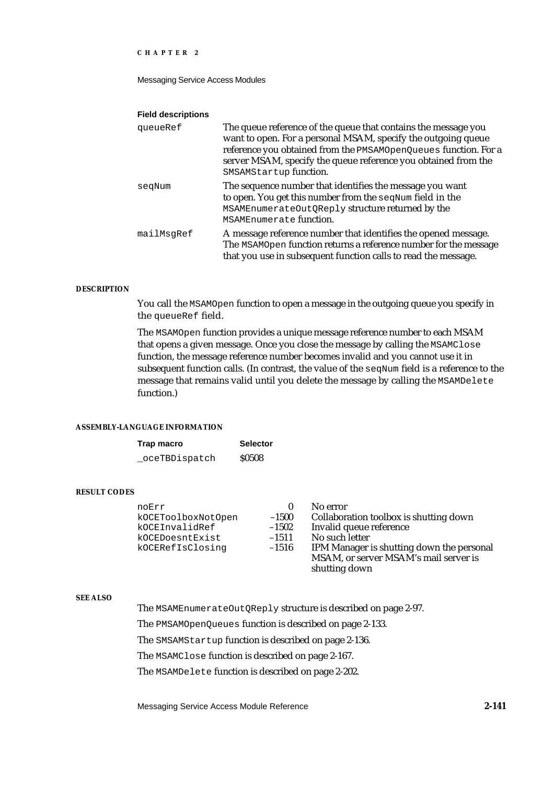Messaging Service Access Modules

#### **Field descriptions**

| queueRef   | The queue reference of the queue that contains the message you<br>want to open. For a personal MSAM, specify the outgoing queue<br>reference you obtained from the PMSAMOpenQueues function. For a<br>server MSAM, specify the queue reference you obtained from the<br>SMSAMStartup function. |
|------------|------------------------------------------------------------------------------------------------------------------------------------------------------------------------------------------------------------------------------------------------------------------------------------------------|
| segNum     | The sequence number that identifies the message you want<br>to open. You get this number from the seqNum field in the<br>MSAMEnumerateOutQReply structure returned by the<br>MSAMEnumerate function.                                                                                           |
| mailMsqRef | A message reference number that identifies the opened message.<br>The MSAMOpen function returns a reference number for the message<br>that you use in subsequent function calls to read the message.                                                                                           |

### **DESCRIPTION**

You call the MSAMOpen function to open a message in the outgoing queue you specify in the queueRef field.

The MSAMOpen function provides a unique message reference number to each MSAM that opens a given message. Once you close the message by calling the MSAMClose function, the message reference number becomes invalid and you cannot use it in subsequent function calls. (In contrast, the value of the seqNum field is a reference to the message that remains valid until you delete the message by calling the MSAMDelete function.)

## **ASSEMBLY-LANGUAGE INFORMATION**

| Trap macro     | <b>Selector</b> |
|----------------|-----------------|
| _oceTBDispatch | <b>S0508</b>    |

#### **RESULT CODES**

| noErr              | $\mathbf{0}$ | No error                                  |
|--------------------|--------------|-------------------------------------------|
| kOCEToolboxNotOpen | $-1500$      | Collaboration toolbox is shutting down    |
| kOCEInvalidRef     | $-1502$      | Invalid queue reference                   |
| kOCEDoesntExist    | $-1511$      | No such letter                            |
| kOCERefIsClosing   | $-1516$      | IPM Manager is shutting down the personal |
|                    |              | MSAM, or server MSAM's mail server is     |
|                    |              | shutting down                             |

## **SEE ALSO**

The MSAMEnumerateOutQReply structure is described on page 2-97.

The PMSAMOpenQueues function is described on page 2-133.

The SMSAMStartup function is described on page 2-136.

The MSAMClose function is described on page 2-167.

The MSAMDelete function is described on page 2-202.

Messaging Service Access Module Reference **2-141**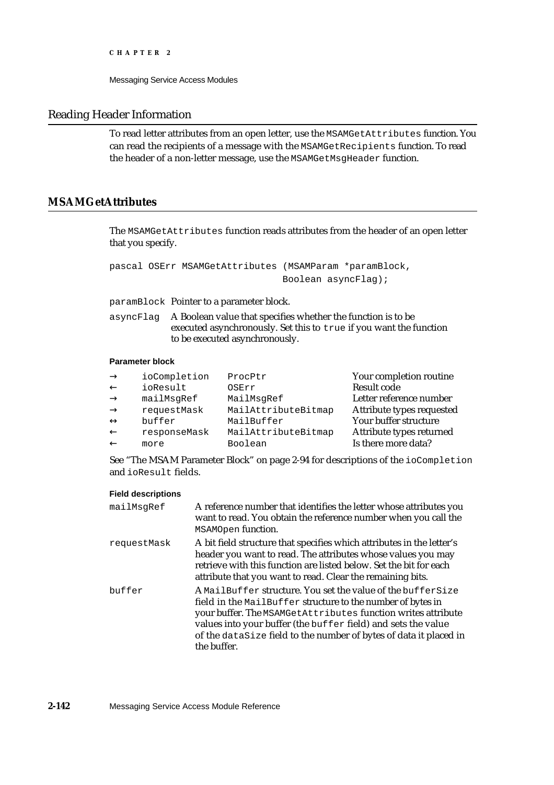## Reading Header Information

To read letter attributes from an open letter, use the MSAMGetAttributes function. You can read the recipients of a message with the MSAMGetRecipients function. To read the header of a non-letter message, use the MSAMGetMsgHeader function.

# **MSAMGetAttributes**

The MSAMGetAttributes function reads attributes from the header of an open letter that you specify.

pascal OSErr MSAMGetAttributes (MSAMParam \*paramBlock, Boolean asyncFlag);

paramBlock Pointer to a parameter block.

asyncFlag A Boolean value that specifies whether the function is to be executed asynchronously. Set this to true if you want the function to be executed asynchronously.

## **Parameter block**

| ioCompletion | ProcPtr             | Your completion routine   |
|--------------|---------------------|---------------------------|
| ioResult     | OSErr               | Result code               |
| mailMsgRef   | MailMsgRef          | Letter reference number   |
| requestMask  | MailAttributeBitmap | Attribute types requested |
| buffer       | MailBuffer          | Your buffer structure     |
| responseMask | MailAttributeBitmap | Attribute types returned  |
| more         | Boolean             | Is there more data?       |

See "The MSAM Parameter Block" on page 2-94 for descriptions of the ioCompletion and ioResult fields.

| mailMsqRef  | A reference number that identifies the letter whose attributes you<br>want to read. You obtain the reference number when you call the<br>MSAMOpen function.                                                                                                                                                                                     |
|-------------|-------------------------------------------------------------------------------------------------------------------------------------------------------------------------------------------------------------------------------------------------------------------------------------------------------------------------------------------------|
| requestMask | A bit field structure that specifies which attributes in the letter's<br>header you want to read. The attributes whose values you may<br>retrieve with this function are listed below. Set the bit for each<br>attribute that you want to read. Clear the remaining bits.                                                                       |
| buffer      | A MailBuffer structure. You set the value of the bufferSize<br>field in the MailBuffer structure to the number of bytes in<br>your buffer. The MSAMGetAttributes function writes attribute<br>values into your buffer (the buffer field) and sets the value<br>of the dataSize field to the number of bytes of data it placed in<br>the buffer. |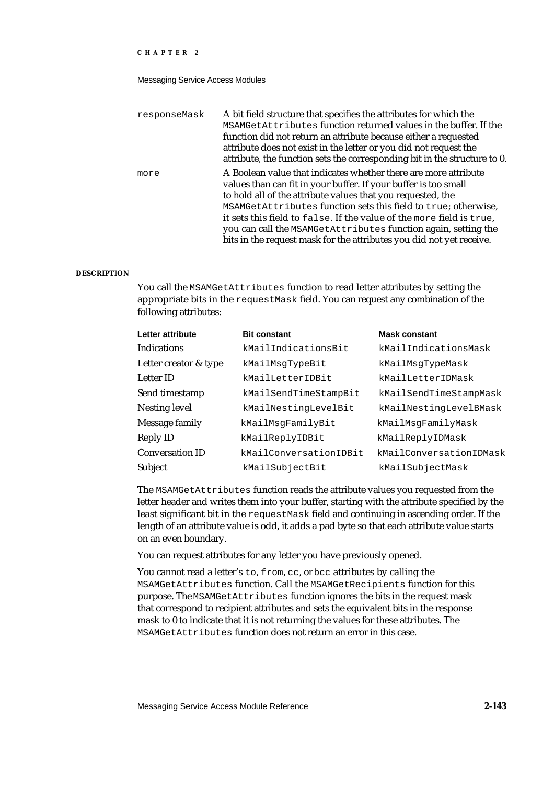#### Messaging Service Access Modules

| responseMask | A bit field structure that specifies the attributes for which the<br>MSAMGetAttributes function returned values in the buffer. If the<br>function did not return an attribute because either a requested<br>attribute does not exist in the letter or you did not request the<br>attribute, the function sets the corresponding bit in the structure to 0.                                                                                                                            |
|--------------|---------------------------------------------------------------------------------------------------------------------------------------------------------------------------------------------------------------------------------------------------------------------------------------------------------------------------------------------------------------------------------------------------------------------------------------------------------------------------------------|
| more         | A Boolean value that indicates whether there are more attribute<br>values than can fit in your buffer. If your buffer is too small<br>to hold all of the attribute values that you requested, the<br>MSAMGetAttributes function sets this field to true; otherwise,<br>it sets this field to false. If the value of the more field is true,<br>you can call the MSAMGetAttributes function again, setting the<br>bits in the request mask for the attributes you did not yet receive. |

#### **DESCRIPTION**

You call the MSAMGetAttributes function to read letter attributes by setting the appropriate bits in the requestMask field. You can request any combination of the following attributes:

| Letter attribute       | <b>Bit constant</b>    | <b>Mask constant</b>    |
|------------------------|------------------------|-------------------------|
| Indications            | kMailIndicationsBit    | kMailIndicationsMask    |
| Letter creator & type  | kMailMsqTypeBit        | kMailMsgTypeMask        |
| Letter ID              | kMailLetterIDBit       | kMailLetterIDMask       |
| Send timestamp         | kMailSendTimeStampBit  | kMailSendTimeStampMask  |
| Nesting level          | kMailNestingLevelBit   | kMailNestingLevelBMask  |
| Message family         | kMailMsgFamilyBit      | kMailMsqFamilyMask      |
| Reply ID               | kMailReplyIDBit        | kMailReplyIDMask        |
| <b>Conversation ID</b> | kMailConversationIDBit | kMailConversationIDMask |
| Subject                | kMailSubjectBit        | kMailSubjectMask        |

The MSAMGetAttributes function reads the attribute values you requested from the letter header and writes them into your buffer, starting with the attribute specified by the least significant bit in the requestMask field and continuing in ascending order. If the length of an attribute value is odd, it adds a pad byte so that each attribute value starts on an even boundary.

You can request attributes for any letter you have previously opened.

You cannot read a letter's to, from, cc, or bcc attributes by calling the MSAMGetAttributes function. Call the MSAMGetRecipients function for this purpose. The MSAMGetAttributes function ignores the bits in the request mask that correspond to recipient attributes and sets the equivalent bits in the response mask to 0 to indicate that it is not returning the values for these attributes. The MSAMGetAttributes function does not return an error in this case.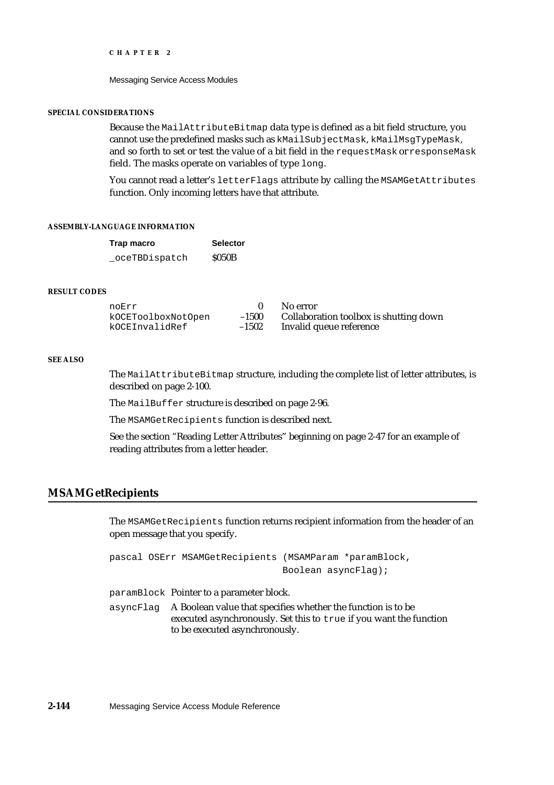Messaging Service Access Modules

#### **SPECIAL CONSIDERATIONS**

Because the MailAttributeBitmap data type is defined as a bit field structure, you cannot use the predefined masks such as kMailSubjectMask, kMailMsgTypeMask, and so forth to set or test the value of a bit field in the requestMask or responseMask field. The masks operate on variables of type long.

You cannot read a letter's letterFlags attribute by calling the MSAMGetAttributes function. Only incoming letters have that attribute.

#### **ASSEMBLY-LANGUAGE INFORMATION**

| Trap macro    | <b>Selector</b> |
|---------------|-----------------|
| oceTBDispatch | <b>S050B</b>    |

### **RESULT CODES**

| noErr              |         | No error                               |
|--------------------|---------|----------------------------------------|
| kOCEToolboxNotOpen | $-1500$ | Collaboration toolbox is shutting down |
| kOCEInvalidRef     | $-1502$ | Invalid queue reference                |

#### **SEE ALSO**

The MailAttributeBitmap structure, including the complete list of letter attributes, is described on page 2-100.

The MailBuffer structure is described on page 2-96.

The MSAMGetRecipients function is described next.

See the section "Reading Letter Attributes" beginning on page 2-47 for an example of reading attributes from a letter header.

## **MSAMGetRecipients**

The MSAMGetRecipients function returns recipient information from the header of an open message that you specify.

pascal OSErr MSAMGetRecipients (MSAMParam \*paramBlock, Boolean asyncFlag);

paramBlock Pointer to a parameter block.

asyncFlag A Boolean value that specifies whether the function is to be executed asynchronously. Set this to true if you want the function to be executed asynchronously.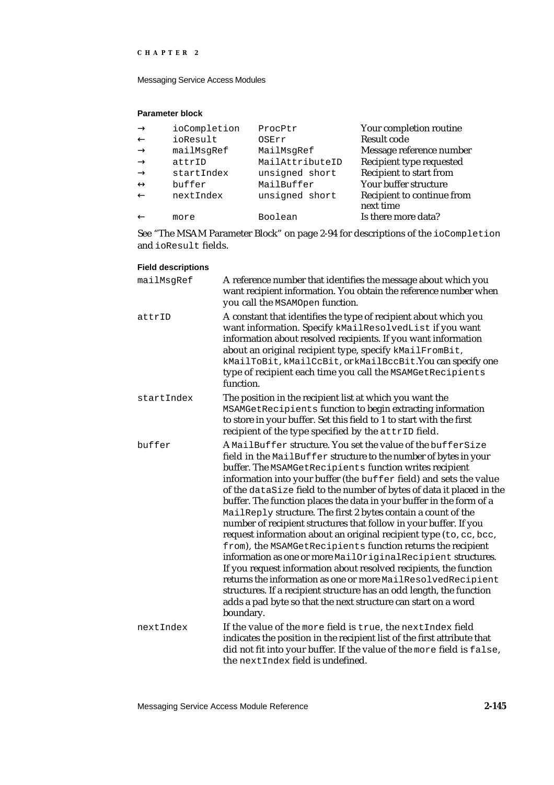Messaging Service Access Modules

## **Parameter block**

| ioCompletion | ProcPtr         | Your completion routine        |
|--------------|-----------------|--------------------------------|
| ioResult     | OSErr           | <b>Result code</b>             |
| mailMsqRef   | MailMsgRef      | Message reference number       |
| attrID       | MailAttributeID | Recipient type requested       |
| startIndex   | unsigned short  | <b>Recipient to start from</b> |
| buffer       | MailBuffer      | Your buffer structure          |
| nextIndex    | unsigned short  | Recipient to continue from     |
|              |                 | next time                      |
| more         | Boolean         | Is there more data?            |

See "The MSAM Parameter Block" on page 2-94 for descriptions of the ioCompletion and ioResult fields.

| mailMsgRef | A reference number that identifies the message about which you<br>want recipient information. You obtain the reference number when<br>you call the MSAMOpen function.                                                                                                                                                                                                                                                                                                                                                                                                                                                                                                                                                                                                                                                                                                                                                                                                                                                                                     |
|------------|-----------------------------------------------------------------------------------------------------------------------------------------------------------------------------------------------------------------------------------------------------------------------------------------------------------------------------------------------------------------------------------------------------------------------------------------------------------------------------------------------------------------------------------------------------------------------------------------------------------------------------------------------------------------------------------------------------------------------------------------------------------------------------------------------------------------------------------------------------------------------------------------------------------------------------------------------------------------------------------------------------------------------------------------------------------|
| attrID     | A constant that identifies the type of recipient about which you<br>want information. Specify kMailResolvedList if you want<br>information about resolved recipients. If you want information<br>about an original recipient type, specify kMailFromBit,<br>kMailToBit, kMailCcBit, or kMailBccBit. You can specify one<br>type of recipient each time you call the MSAMGetRecipients<br>function.                                                                                                                                                                                                                                                                                                                                                                                                                                                                                                                                                                                                                                                        |
| startIndex | The position in the recipient list at which you want the<br>MSAMGetRecipients function to begin extracting information<br>to store in your buffer. Set this field to 1 to start with the first<br>recipient of the type specified by the attrip field.                                                                                                                                                                                                                                                                                                                                                                                                                                                                                                                                                                                                                                                                                                                                                                                                    |
| buffer     | A MailBuffer structure. You set the value of the bufferSize<br>field in the MailBuffer structure to the number of bytes in your<br>buffer. The MSAMGetRecipients function writes recipient<br>information into your buffer (the buffer field) and sets the value<br>of the dataSize field to the number of bytes of data it placed in the<br>buffer. The function places the data in your buffer in the form of a<br>MailReply structure. The first 2 bytes contain a count of the<br>number of recipient structures that follow in your buffer. If you<br>request information about an original recipient type (to, cc, bcc,<br>from), the MSAMGetRecipients function returns the recipient<br>information as one or more MailOriginalRecipient structures.<br>If you request information about resolved recipients, the function<br>returns the information as one or more MailResolvedRecipient<br>structures. If a recipient structure has an odd length, the function<br>adds a pad byte so that the next structure can start on a word<br>boundary. |
| nextIndex  | If the value of the more field is true, the next Index field<br>indicates the position in the recipient list of the first attribute that<br>did not fit into your buffer. If the value of the more field is false,<br>the next Index field is undefined.                                                                                                                                                                                                                                                                                                                                                                                                                                                                                                                                                                                                                                                                                                                                                                                                  |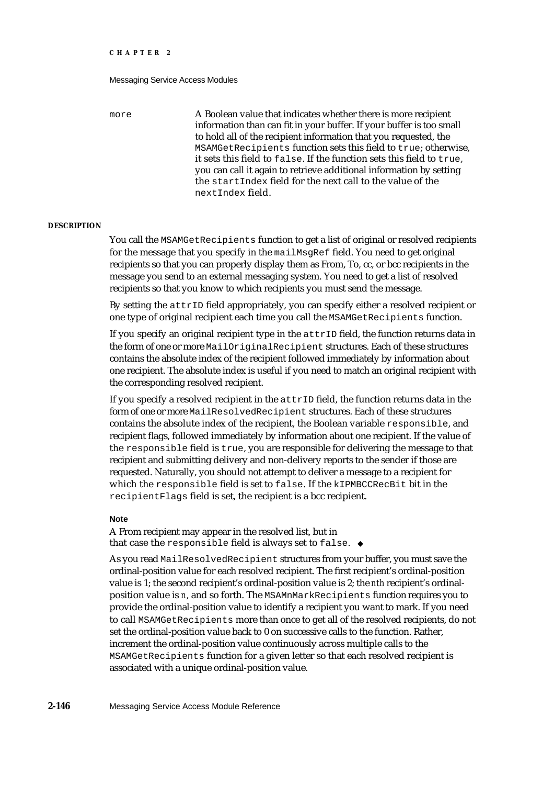more **A Boolean value that indicates whether there is more recipient** information than can fit in your buffer. If your buffer is too small to hold all of the recipient information that you requested, the MSAMGetRecipients function sets this field to true; otherwise, it sets this field to false. If the function sets this field to true, you can call it again to retrieve additional information by setting the startIndex field for the next call to the value of the nextIndex field.

#### **DESCRIPTION**

You call the MSAMGetRecipients function to get a list of original or resolved recipients for the message that you specify in the mailMsgRef field. You need to get original recipients so that you can properly display them as From, To, cc, or bcc recipients in the message you send to an external messaging system. You need to get a list of resolved recipients so that you know to which recipients you must send the message.

By setting the attrID field appropriately, you can specify either a resolved recipient or one type of original recipient each time you call the MSAMGetRecipients function.

If you specify an original recipient type in the attrID field, the function returns data in the form of one or more MailOriginalRecipient structures. Each of these structures contains the absolute index of the recipient followed immediately by information about one recipient. The absolute index is useful if you need to match an original recipient with the corresponding resolved recipient.

If you specify a resolved recipient in the  $\text{attrID}$  field, the function returns data in the form of one or more MailResolvedRecipient structures. Each of these structures contains the absolute index of the recipient, the Boolean variable responsible, and recipient flags, followed immediately by information about one recipient. If the value of the responsible field is true, you are responsible for delivering the message to that recipient and submitting delivery and non-delivery reports to the sender if those are requested. Naturally, you should not attempt to deliver a message to a recipient for which the responsible field is set to false. If the kIPMBCCRecBit bit in the recipientFlags field is set, the recipient is a bcc recipient.

#### **Note**

A From recipient may appear in the resolved list, but in that case the responsible field is always set to false.

As you read MailResolvedRecipient structures from your buffer, you must save the ordinal-position value for each resolved recipient. The first recipient's ordinal-position value is 1; the second recipient's ordinal-position value is 2; the *nth* recipient's ordinalposition value is *n*, and so forth. The MSAMnMarkRecipients function requires you to provide the ordinal-position value to identify a recipient you want to mark. If you need to call MSAMGetRecipients more than once to get all of the resolved recipients, do not set the ordinal-position value back to 0 on successive calls to the function. Rather, increment the ordinal-position value continuously across multiple calls to the MSAMGetRecipients function for a given letter so that each resolved recipient is associated with a unique ordinal-position value.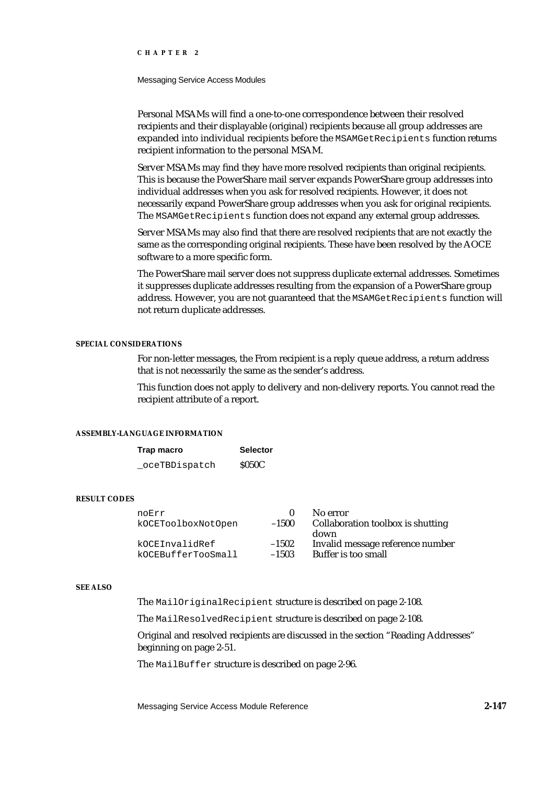Messaging Service Access Modules

Personal MSAMs will find a one-to-one correspondence between their resolved recipients and their displayable (original) recipients because all group addresses are expanded into individual recipients before the MSAMGetRecipients function returns recipient information to the personal MSAM.

Server MSAMs may find they have more resolved recipients than original recipients. This is because the PowerShare mail server expands PowerShare group addresses into individual addresses when you ask for resolved recipients. However, it does not necessarily expand PowerShare group addresses when you ask for original recipients. The MSAMGetRecipients function does not expand any external group addresses.

Server MSAMs may also find that there are resolved recipients that are not exactly the same as the corresponding original recipients. These have been resolved by the AOCE software to a more specific form.

The PowerShare mail server does not suppress duplicate external addresses. Sometimes it suppresses duplicate addresses resulting from the expansion of a PowerShare group address. However, you are not guaranteed that the MSAMGetRecipients function will not return duplicate addresses.

### **SPECIAL CONSIDERATIONS**

For non-letter messages, the From recipient is a reply queue address, a return address that is not necessarily the same as the sender's address.

This function does not apply to delivery and non-delivery reports. You cannot read the recipient attribute of a report.

## **ASSEMBLY-LANGUAGE INFORMATION**

| Trap macro    | <b>Selector</b> |
|---------------|-----------------|
| oceTBDispatch | <b>S050C</b>    |

#### **RESULT CODES**

| noErr<br>kOCEToolboxNotOpen | $-1500$ | No error<br>Collaboration toolbox is shutting<br>down |
|-----------------------------|---------|-------------------------------------------------------|
| kOCEInvalidRef              | $-1502$ | Invalid message reference number                      |
| kOCEBufferTooSmall          | $-1503$ | Buffer is too small                                   |

#### **SEE ALSO**

The MailOriginalRecipient structure is described on page 2-108.

The MailResolvedRecipient structure is described on page 2-108.

Original and resolved recipients are discussed in the section "Reading Addresses" beginning on page 2-51.

The MailBuffer structure is described on page 2-96.

Messaging Service Access Module Reference **2-147**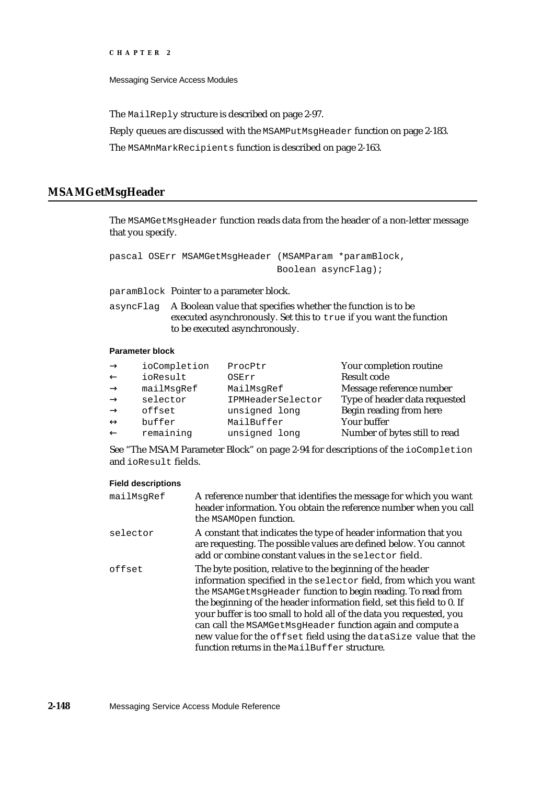Messaging Service Access Modules

The MailReply structure is described on page 2-97.

Reply queues are discussed with the MSAMPutMsgHeader function on page 2-183.

The MSAMnMarkRecipients function is described on page 2-163.

## **MSAMGetMsgHeader**

The MSAMGetMsgHeader function reads data from the header of a non-letter message that you specify.

```
pascal OSErr MSAMGetMsgHeader (MSAMParam *paramBlock,
                              Boolean asyncFlag);
```
paramBlock Pointer to a parameter block.

asyncFlag A Boolean value that specifies whether the function is to be executed asynchronously. Set this to true if you want the function to be executed asynchronously.

## **Parameter block**

| ioCompletion | ProcPtr           | Your completion routine       |
|--------------|-------------------|-------------------------------|
| ioResult     | OSErr             | <b>Result code</b>            |
| mailMsqRef   | MailMsgRef        | Message reference number      |
| selector     | IPMHeaderSelector | Type of header data requested |
| offset       | unsigned long     | Begin reading from here       |
| buffer       | MailBuffer        | Your buffer                   |
| remaining    | unsigned long     | Number of bytes still to read |
|              |                   |                               |

See "The MSAM Parameter Block" on page 2-94 for descriptions of the ioCompletion and ioResult fields.

| mailMsqRef | A reference number that identifies the message for which you want<br>header information. You obtain the reference number when you call<br>the MSAMOpen function.                                                                                                                                                                                                                                                                                                                                                                   |
|------------|------------------------------------------------------------------------------------------------------------------------------------------------------------------------------------------------------------------------------------------------------------------------------------------------------------------------------------------------------------------------------------------------------------------------------------------------------------------------------------------------------------------------------------|
| selector   | A constant that indicates the type of header information that you<br>are requesting. The possible values are defined below. You cannot<br>add or combine constant values in the selector field.                                                                                                                                                                                                                                                                                                                                    |
| offset     | The byte position, relative to the beginning of the header<br>information specified in the selector field, from which you want<br>the MSAMGetMsgHeader function to begin reading. To read from<br>the beginning of the header information field, set this field to 0. If<br>your buffer is too small to hold all of the data you requested, you<br>can call the MSAMGetMsgHeader function again and compute a<br>new value for the offset field using the dataSize value that the<br>function returns in the MailBuffer structure. |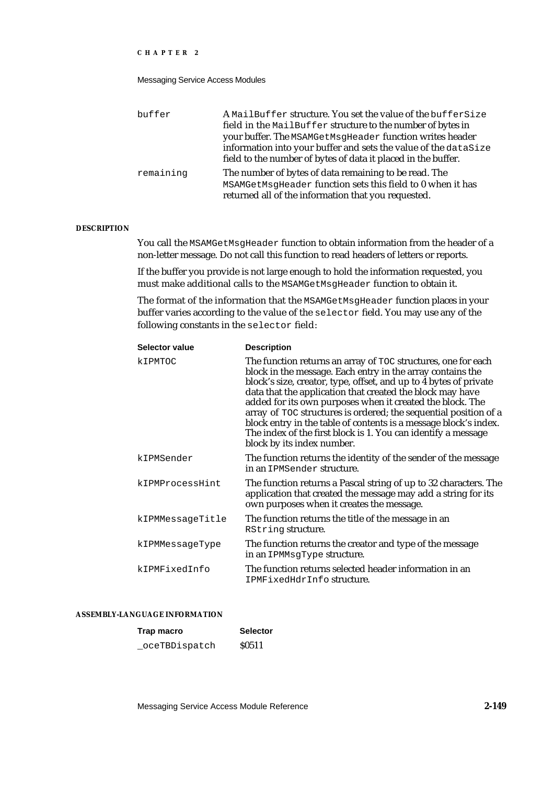### Messaging Service Access Modules

| buffer    | A MailBuffer structure. You set the value of the bufferSize     |
|-----------|-----------------------------------------------------------------|
|           | field in the MailBuffer structure to the number of bytes in     |
|           | your buffer. The MSAMGetMsgHeader function writes header        |
|           | information into your buffer and sets the value of the dataSize |
|           | field to the number of bytes of data it placed in the buffer.   |
| remaining | The number of bytes of data remaining to be read. The           |
|           | MSAMGetMsgHeader function sets this field to 0 when it has      |
|           | returned all of the information that you requested.             |

### **DESCRIPTION**

You call the MSAMGetMsgHeader function to obtain information from the header of a non-letter message. Do not call this function to read headers of letters or reports.

If the buffer you provide is not large enough to hold the information requested, you must make additional calls to the MSAMGetMsgHeader function to obtain it.

The format of the information that the MSAMGetMsgHeader function places in your buffer varies according to the value of the selector field. You may use any of the following constants in the selector field:

| Selector value   | <b>Description</b>                                                                                                                                                                                                                                                                                                                                                                                                                                                                                                                                                |  |
|------------------|-------------------------------------------------------------------------------------------------------------------------------------------------------------------------------------------------------------------------------------------------------------------------------------------------------------------------------------------------------------------------------------------------------------------------------------------------------------------------------------------------------------------------------------------------------------------|--|
| kIPMTOC          | The function returns an array of TOC structures, one for each<br>block in the message. Each entry in the array contains the<br>block's size, creator, type, offset, and up to 4 bytes of private<br>data that the application that created the block may have<br>added for its own purposes when it created the block. The<br>array of TOC structures is ordered; the sequential position of a<br>block entry in the table of contents is a message block's index.<br>The index of the first block is 1. You can identify a message<br>block by its index number. |  |
| kIPMSender       | The function returns the identity of the sender of the message<br>in an IPMSender structure.                                                                                                                                                                                                                                                                                                                                                                                                                                                                      |  |
| kIPMProcessHint  | The function returns a Pascal string of up to 32 characters. The<br>application that created the message may add a string for its<br>own purposes when it creates the message.                                                                                                                                                                                                                                                                                                                                                                                    |  |
| kIPMMessaqeTitle | The function returns the title of the message in an<br>RString structure.                                                                                                                                                                                                                                                                                                                                                                                                                                                                                         |  |
| kIPMMessageType  | The function returns the creator and type of the message<br>in an IPMMsqType structure.                                                                                                                                                                                                                                                                                                                                                                                                                                                                           |  |
| kIPMFixedInfo    | The function returns selected header information in an<br>IPMFixedHdrInfostructure.                                                                                                                                                                                                                                                                                                                                                                                                                                                                               |  |

### **ASSEMBLY-LANGUAGE INFORMATION**

| Trap macro    | <b>Selector</b> |
|---------------|-----------------|
| oceTBDispatch | <b>S0511</b>    |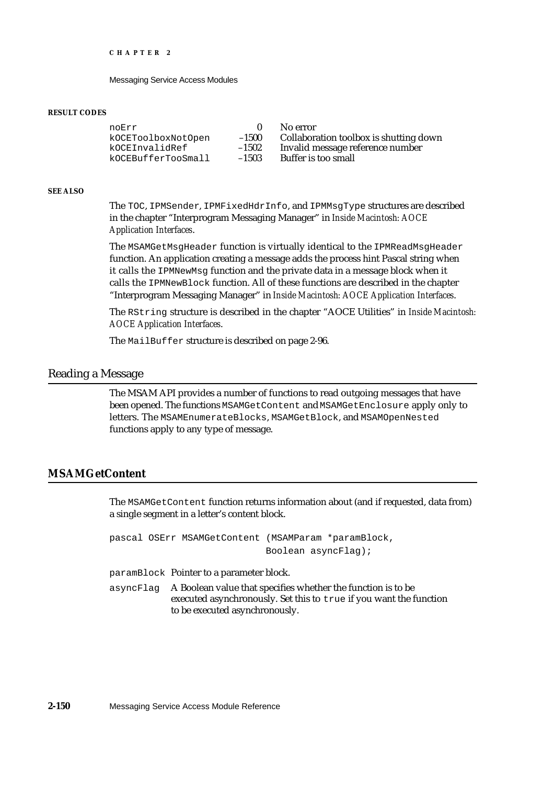Messaging Service Access Modules

#### **RESULT CODES**

noErr 0 No error<br>koCEToolboxNotOpen -1500 Collabora kOCEBufferTooSmall

kOCEToolboxNotOpen –1500 Collaboration toolbox is shutting down<br>kOCEInvalidRef –1502 Invalid message reference number  $-1502$  Invalid message reference number<br>-1503 Buffer is too small

#### **SEE ALSO**

The TOC, IPMSender, IPMFixedHdrInfo, and IPMMsgType structures are described in the chapter "Interprogram Messaging Manager" in *Inside Macintosh: AOCE Application Interfaces*.

The MSAMGetMsgHeader function is virtually identical to the IPMReadMsgHeader function. An application creating a message adds the process hint Pascal string when it calls the IPMNewMsg function and the private data in a message block when it calls the IPMNewBlock function. All of these functions are described in the chapter "Interprogram Messaging Manager" in *Inside Macintosh: AOCE Application Interfaces*.

The RString structure is described in the chapter "AOCE Utilities" in *Inside Macintosh: AOCE Application Interfaces*.

The MailBuffer structure is described on page 2-96.

## Reading a Message

The MSAM API provides a number of functions to read outgoing messages that have been opened. The functions MSAMGetContent and MSAMGetEnclosure apply only to letters. The MSAMEnumerateBlocks, MSAMGetBlock, and MSAMOpenNested functions apply to any type of message.

## **MSAMGetContent**

The MSAMGetContent function returns information about (and if requested, data from) a single segment in a letter's content block.

pascal OSErr MSAMGetContent (MSAMParam \*paramBlock, Boolean asyncFlag);

paramBlock Pointer to a parameter block.

asyncFlag A Boolean value that specifies whether the function is to be executed asynchronously. Set this to true if you want the function to be executed asynchronously.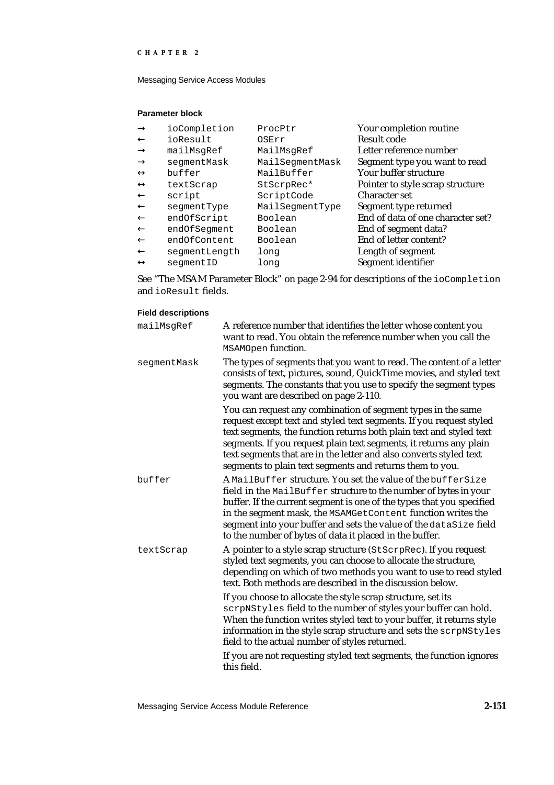Messaging Service Access Modules

## **Parameter block**

| ioCompletion  | ProcPtr         | Your completion routine           |
|---------------|-----------------|-----------------------------------|
| ioResult      | OSErr           | Result code                       |
| mailMsqRef    | MailMsqRef      | Letter reference number           |
| seqmentMask   | MailSegmentMask | Segment type you want to read     |
| buffer        | MailBuffer      | Your buffer structure             |
| textScrap     | StScrpRec*      | Pointer to style scrap structure  |
| script        | ScriptCode      | Character set                     |
| seqmentType   | MailSegmentType | Segment type returned             |
| endOfScript   | Boolean         | End of data of one character set? |
| endOfSeqment  | Boolean         | End of segment data?              |
| endOfContent  | Boolean         | End of letter content?            |
| seqmentLength | long            | Length of segment                 |
| seqmentID     | long            | Segment identifier                |

See "The MSAM Parameter Block" on page 2-94 for descriptions of the ioCompletion and ioResult fields.

| mailMsgRef  | A reference number that identifies the letter whose content you<br>want to read. You obtain the reference number when you call the<br>MSAMOpen function.                                                                                                                                                                                                                                                           |
|-------------|--------------------------------------------------------------------------------------------------------------------------------------------------------------------------------------------------------------------------------------------------------------------------------------------------------------------------------------------------------------------------------------------------------------------|
| segmentMask | The types of segments that you want to read. The content of a letter<br>consists of text, pictures, sound, QuickTime movies, and styled text<br>segments. The constants that you use to specify the segment types<br>you want are described on page 2-110.                                                                                                                                                         |
|             | You can request any combination of segment types in the same<br>request except text and styled text segments. If you request styled<br>text segments, the function returns both plain text and styled text<br>segments. If you request plain text segments, it returns any plain<br>text segments that are in the letter and also converts styled text<br>segments to plain text segments and returns them to you. |
| buffer      | A MailBuffer structure. You set the value of the bufferSize<br>field in the MailBuffer structure to the number of bytes in your<br>buffer. If the current segment is one of the types that you specified<br>in the segment mask, the MSAMGetContent function writes the<br>segment into your buffer and sets the value of the dataSize field<br>to the number of bytes of data it placed in the buffer.            |
| textScrap   | A pointer to a style scrap structure (StScrpRec). If you request<br>styled text segments, you can choose to allocate the structure,<br>depending on which of two methods you want to use to read styled<br>text. Both methods are described in the discussion below.                                                                                                                                               |
|             | If you choose to allocate the style scrap structure, set its<br>scrpNStyles field to the number of styles your buffer can hold.<br>When the function writes styled text to your buffer, it returns style<br>information in the style scrap structure and sets the scrpNStyles<br>field to the actual number of styles returned.                                                                                    |
|             | If you are not requesting styled text segments, the function ignores<br>this field.                                                                                                                                                                                                                                                                                                                                |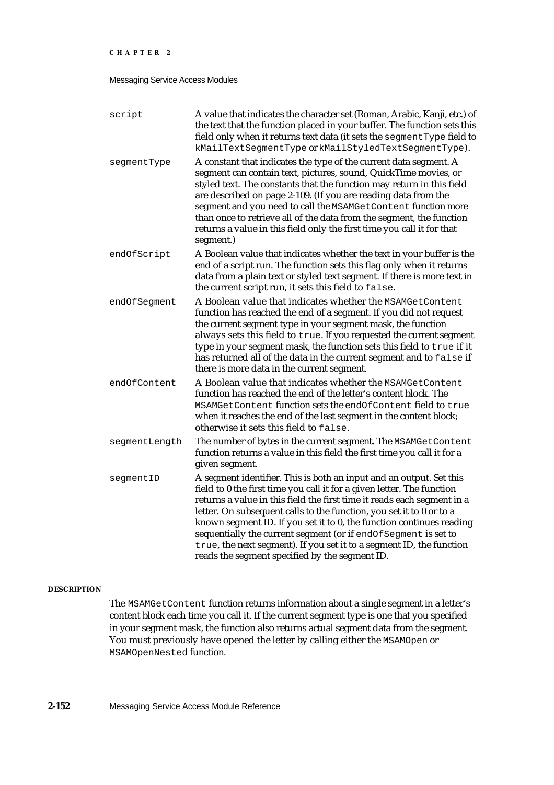### Messaging Service Access Modules

| script        | A value that indicates the character set (Roman, Arabic, Kanji, etc.) of<br>the text that the function placed in your buffer. The function sets this<br>field only when it returns text data (it sets the segment Type field to<br>kMailTextSegmentType or kMailStyledTextSegmentType).                                                                                                                                                                                                                                                                              |
|---------------|----------------------------------------------------------------------------------------------------------------------------------------------------------------------------------------------------------------------------------------------------------------------------------------------------------------------------------------------------------------------------------------------------------------------------------------------------------------------------------------------------------------------------------------------------------------------|
| segmentType   | A constant that indicates the type of the current data segment. A<br>segment can contain text, pictures, sound, QuickTime movies, or<br>styled text. The constants that the function may return in this field<br>are described on page 2-109. (If you are reading data from the<br>segment and you need to call the MSAMGetContent function more<br>than once to retrieve all of the data from the segment, the function<br>returns a value in this field only the first time you call it for that<br>segment.)                                                      |
| endOfScript   | A Boolean value that indicates whether the text in your buffer is the<br>end of a script run. The function sets this flag only when it returns<br>data from a plain text or styled text segment. If there is more text in<br>the current script run, it sets this field to false.                                                                                                                                                                                                                                                                                    |
| endOfSeqment  | A Boolean value that indicates whether the MSAMGetContent<br>function has reached the end of a segment. If you did not request<br>the current segment type in your segment mask, the function<br>always sets this field to true. If you requested the current segment<br>type in your segment mask, the function sets this field to true if it<br>has returned all of the data in the current segment and to false if<br>there is more data in the current segment.                                                                                                  |
| endOfContent  | A Boolean value that indicates whether the MSAMGetContent<br>function has reached the end of the letter's content block. The<br>MSAMGetContent function sets the endOfContent field to true<br>when it reaches the end of the last segment in the content block;<br>otherwise it sets this field to false.                                                                                                                                                                                                                                                           |
| segmentLength | The number of bytes in the current segment. The MSAMGetContent<br>function returns a value in this field the first time you call it for a<br>given segment.                                                                                                                                                                                                                                                                                                                                                                                                          |
| segmentID     | A segment identifier. This is both an input and an output. Set this<br>field to 0 the first time you call it for a given letter. The function<br>returns a value in this field the first time it reads each segment in a<br>letter. On subsequent calls to the function, you set it to 0 or to a<br>known segment ID. If you set it to 0, the function continues reading<br>sequentially the current segment (or if endOfSegment is set to<br>true, the next segment). If you set it to a segment ID, the function<br>reads the segment specified by the segment ID. |

## **DESCRIPTION**

The MSAMGetContent function returns information about a single segment in a letter's content block each time you call it. If the current segment type is one that you specified in your segment mask, the function also returns actual segment data from the segment. You must previously have opened the letter by calling either the MSAMOpen or MSAMOpenNested function.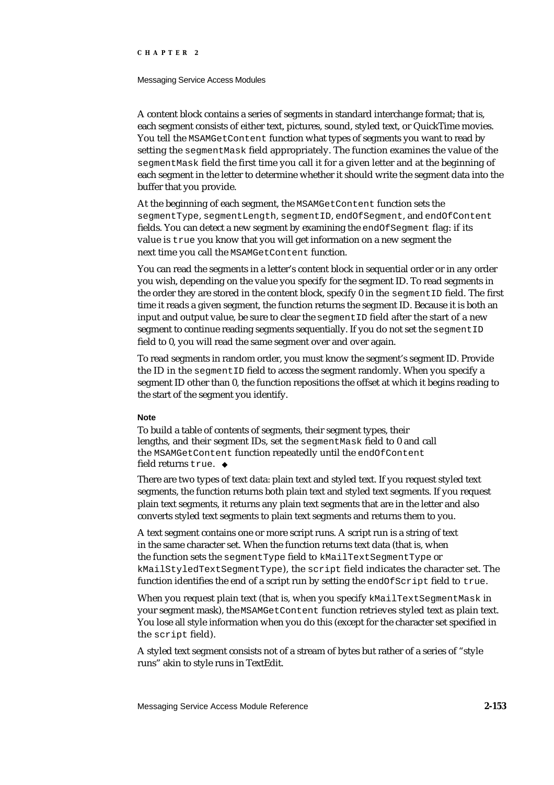#### Messaging Service Access Modules

A content block contains a series of segments in standard interchange format; that is, each segment consists of either text, pictures, sound, styled text, or QuickTime movies. You tell the MSAMGetContent function what types of segments you want to read by setting the segment Mask field appropriately. The function examines the value of the segmentMask field the first time you call it for a given letter and at the beginning of each segment in the letter to determine whether it should write the segment data into the buffer that you provide.

At the beginning of each segment, the MSAMGetContent function sets the segmentType, segmentLength, segmentID, endOfSegment, and endOfContent fields. You can detect a new segment by examining the endOfSegment flag: if its value is true you know that you will get information on a new segment the next time you call the MSAMGetContent function.

You can read the segments in a letter's content block in sequential order or in any order you wish, depending on the value you specify for the segment ID. To read segments in the order they are stored in the content block, specify  $0$  in the segment ID field. The first time it reads a given segment, the function returns the segment ID. Because it is both an input and output value, be sure to clear the segmentID field after the start of a new segment to continue reading segments sequentially. If you do not set the  $\epsilon$  segment ID field to 0, you will read the same segment over and over again.

To read segments in random order, you must know the segment's segment ID. Provide the ID in the segmentID field to access the segment randomly. When you specify a segment ID other than 0, the function repositions the offset at which it begins reading to the start of the segment you identify.

#### **Note**

To build a table of contents of segments, their segment types, their lengths, and their segment IDs, set the segmentMask field to 0 and call the MSAMGetContent function repeatedly until the endOfContent field returns true. u

There are two types of text data: plain text and styled text. If you request styled text segments, the function returns both plain text and styled text segments. If you request plain text segments, it returns any plain text segments that are in the letter and also converts styled text segments to plain text segments and returns them to you.

A text segment contains one or more script runs. A script run is a string of text in the same character set. When the function returns text data (that is, when the function sets the segmentType field to kMailTextSegmentType or kMailStyledTextSegmentType), the script field indicates the character set. The function identifies the end of a script run by setting the endOfScript field to true.

When you request plain text (that is, when you specify kMailTextSegmentMask in your segment mask), the MSAMGetContent function retrieves styled text as plain text. You lose all style information when you do this (except for the character set specified in the script field).

A styled text segment consists not of a stream of bytes but rather of a series of "style runs" akin to style runs in TextEdit.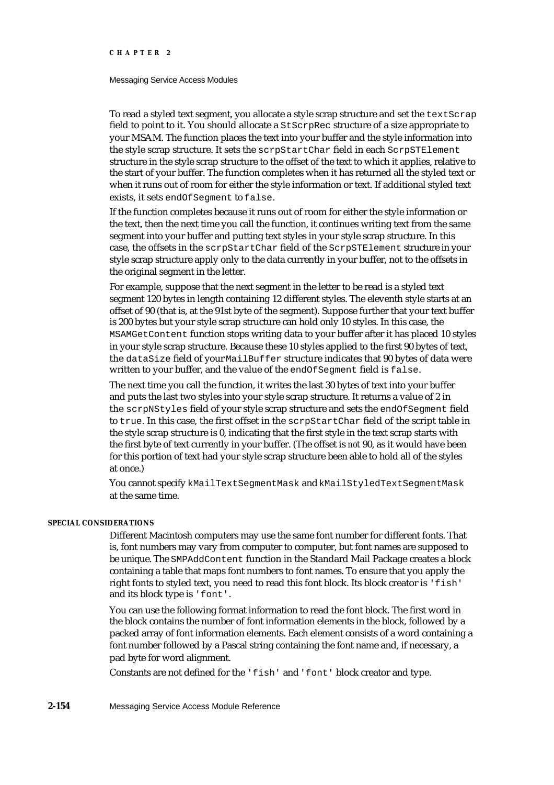#### Messaging Service Access Modules

To read a styled text segment, you allocate a style scrap structure and set the textScrap field to point to it. You should allocate a StScrpRec structure of a size appropriate to your MSAM. The function places the text into your buffer and the style information into the style scrap structure. It sets the scrpStartChar field in each ScrpSTElement structure in the style scrap structure to the offset of the text to which it applies, relative to the start of your buffer. The function completes when it has returned all the styled text or when it runs out of room for either the style information or text. If additional styled text exists, it sets endOfSegment to false.

If the function completes because it runs out of room for either the style information or the text, then the next time you call the function, it continues writing text from the same segment into your buffer and putting text styles in your style scrap structure. In this case, the offsets in the scrpStartChar field of the ScrpSTElement structure in your style scrap structure apply only to the data currently in your buffer, not to the offsets in the original segment in the letter.

For example, suppose that the next segment in the letter to be read is a styled text segment 120 bytes in length containing 12 different styles. The eleventh style starts at an offset of 90 (that is, at the 91st byte of the segment). Suppose further that your text buffer is 200 bytes but your style scrap structure can hold only 10 styles. In this case, the MSAMGetContent function stops writing data to your buffer after it has placed 10 styles in your style scrap structure. Because these 10 styles applied to the first 90 bytes of text, the dataSize field of your MailBuffer structure indicates that 90 bytes of data were written to your buffer, and the value of the endOfSeqment field is false.

The next time you call the function, it writes the last 30 bytes of text into your buffer and puts the last two styles into your style scrap structure. It returns a value of 2 in the scrpNStyles field of your style scrap structure and sets the endOfSegment field to true. In this case, the first offset in the scrpStartChar field of the script table in the style scrap structure is 0, indicating that the first style in the text scrap starts with the first byte of text currently in your buffer. (The offset is *not* 90, as it would have been for this portion of text had your style scrap structure been able to hold all of the styles at once.)

You cannot specify kMailTextSegmentMask and kMailStyledTextSegmentMask at the same time.

## **SPECIAL CONSIDERATIONS**

Different Macintosh computers may use the same font number for different fonts. That is, font numbers may vary from computer to computer, but font names are supposed to be unique. The SMPAddContent function in the Standard Mail Package creates a block containing a table that maps font numbers to font names. To ensure that you apply the right fonts to styled text, you need to read this font block. Its block creator is 'fish' and its block type is 'font'.

You can use the following format information to read the font block. The first word in the block contains the number of font information elements in the block, followed by a packed array of font information elements. Each element consists of a word containing a font number followed by a Pascal string containing the font name and, if necessary, a pad byte for word alignment.

Constants are not defined for the 'fish' and 'font' block creator and type.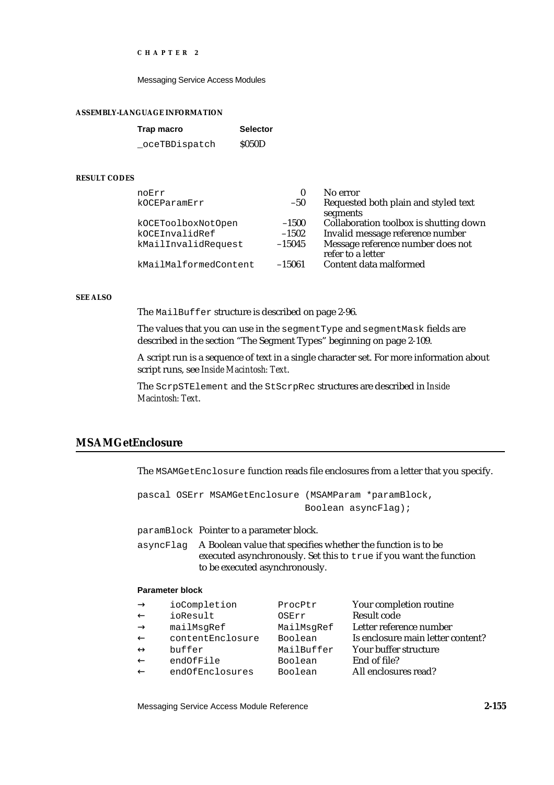Messaging Service Access Modules

#### **ASSEMBLY-LANGUAGE INFORMATION**

| Trap macro     | <b>Selector</b> |
|----------------|-----------------|
| _oceTBDispatch | \$050D          |

#### **RESULT CODES**

| noErr                 | $_{0}$   | No error                               |
|-----------------------|----------|----------------------------------------|
| kOCEParamErr          | $-50$    | Requested both plain and styled text   |
|                       |          | segments                               |
| kOCEToolboxNotOpen    | $-1500$  | Collaboration toolbox is shutting down |
| kOCEInvalidRef        | $-1502$  | Invalid message reference number       |
| kMailInvalidRequest   | $-15045$ | Message reference number does not      |
|                       |          | refer to a letter                      |
| kMailMalformedContent | $-15061$ | Content data malformed                 |
|                       |          |                                        |

#### **SEE ALSO**

The MailBuffer structure is described on page 2-96.

The values that you can use in the segmentType and segmentMask fields are described in the section "The Segment Types" beginning on page 2-109.

A script run is a sequence of text in a single character set. For more information about script runs, see *Inside Macintosh: Text*.

The ScrpSTElement and the StScrpRec structures are described in *Inside Macintosh: Text*.

## **MSAMGetEnclosure**

The MSAMGetEnclosure function reads file enclosures from a letter that you specify.

```
pascal OSErr MSAMGetEnclosure (MSAMParam *paramBlock,
                              Boolean asyncFlag);
```
paramBlock Pointer to a parameter block.

asyncFlag A Boolean value that specifies whether the function is to be executed asynchronously. Set this to true if you want the function to be executed asynchronously.

## **Parameter block**

| ioCompletion     | ProcPtr    | Your completion routine           |
|------------------|------------|-----------------------------------|
| ioResult         | OSErr      | Result code                       |
| mailMsqRef       | MailMsqRef | Letter reference number           |
| contentEnclosure | Boolean    | Is enclosure main letter content? |
| buffer           | MailBuffer | Your buffer structure             |
| endOfFile        | Boolean    | End of file?                      |
| endOfEnclosures  | Boolean    | All enclosures read?              |

Messaging Service Access Module Reference **2-155**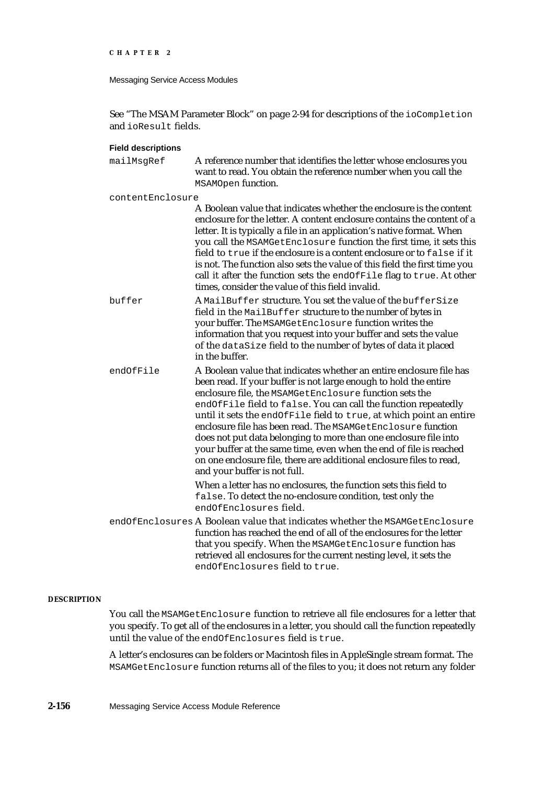```
CHAPTER 2
```
See "The MSAM Parameter Block" on page 2-94 for descriptions of the ioCompletion and ioResult fields.

## **Field descriptions**

| mailMsgRef       | A reference number that identifies the letter whose enclosures you<br>want to read. You obtain the reference number when you call the<br>MSAMOpen function.                                                                                                                                                                                                                                                                                                                                                                                                                                                                                                 |
|------------------|-------------------------------------------------------------------------------------------------------------------------------------------------------------------------------------------------------------------------------------------------------------------------------------------------------------------------------------------------------------------------------------------------------------------------------------------------------------------------------------------------------------------------------------------------------------------------------------------------------------------------------------------------------------|
| contentEnclosure |                                                                                                                                                                                                                                                                                                                                                                                                                                                                                                                                                                                                                                                             |
|                  | A Boolean value that indicates whether the enclosure is the content<br>enclosure for the letter. A content enclosure contains the content of a<br>letter. It is typically a file in an application's native format. When<br>you call the MSAMGetEnclosure function the first time, it sets this<br>field to true if the enclosure is a content enclosure or to false if it<br>is not. The function also sets the value of this field the first time you<br>call it after the function sets the endOfFile flag to true. At other<br>times, consider the value of this field invalid.                                                                         |
| buffer           | A MailBuffer structure. You set the value of the bufferSize<br>field in the MailBuffer structure to the number of bytes in<br>your buffer. The MSAMGetEnclosure function writes the<br>information that you request into your buffer and sets the value<br>of the dataSize field to the number of bytes of data it placed<br>in the buffer.                                                                                                                                                                                                                                                                                                                 |
| endOfFile        | A Boolean value that indicates whether an entire enclosure file has<br>been read. If your buffer is not large enough to hold the entire<br>enclosure file, the MSAMGetEnclosure function sets the<br>endOfFile field to false. You can call the function repeatedly<br>until it sets the endOfFile field to true, at which point an entire<br>enclosure file has been read. The MSAMGetEnclosure function<br>does not put data belonging to more than one enclosure file into<br>your buffer at the same time, even when the end of file is reached<br>on one enclosure file, there are additional enclosure files to read,<br>and your buffer is not full. |
|                  | When a letter has no enclosures, the function sets this field to<br>false. To detect the no-enclosure condition, test only the<br>endOfEnclosures field.                                                                                                                                                                                                                                                                                                                                                                                                                                                                                                    |
|                  | endOfEnclosures A Boolean value that indicates whether the MSAMGetEnclosure<br>function has reached the end of all of the enclosures for the letter<br>that you specify. When the MSAMGetEnclosure function has<br>retrieved all enclosures for the current nesting level, it sets the<br>endOfEnclosures field to true.                                                                                                                                                                                                                                                                                                                                    |

### **DESCRIPTION**

You call the MSAMGetEnclosure function to retrieve all file enclosures for a letter that you specify. To get all of the enclosures in a letter, you should call the function repeatedly until the value of the endOfEnclosures field is true.

A letter's enclosures can be folders or Macintosh files in AppleSingle stream format. The MSAMGetEnclosure function returns all of the files to you; it does not return any folder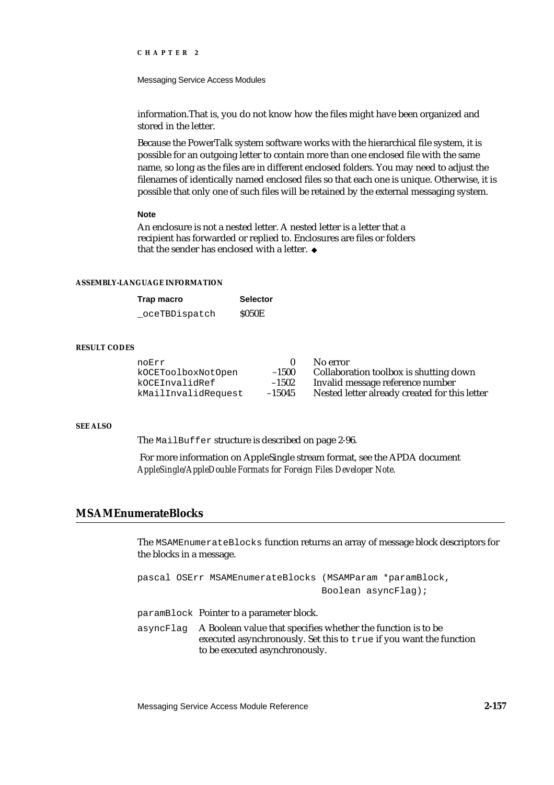Messaging Service Access Modules

information.That is, you do not know how the files might have been organized and stored in the letter.

Because the PowerTalk system software works with the hierarchical file system, it is possible for an outgoing letter to contain more than one enclosed file with the same name, so long as the files are in different enclosed folders. You may need to adjust the filenames of identically named enclosed files so that each one is unique. Otherwise, it is possible that only one of such files will be retained by the external messaging system.

### **Note**

An enclosure is not a nested letter. A nested letter is a letter that a recipient has forwarded or replied to. Enclosures are files or folders that the sender has enclosed with a letter.

#### **ASSEMBLY-LANGUAGE INFORMATION**

| Trap macro     | <b>Selector</b> |
|----------------|-----------------|
| _oceTBDispatch | <b>S050E</b>    |

## **RESULT CODES**

| noErr               |          | No error                                      |
|---------------------|----------|-----------------------------------------------|
| kOCEToolboxNotOpen  | $-1500$  | Collaboration toolbox is shutting down        |
| kOCEInvalidRef      | $-1502$  | Invalid message reference number              |
| kMailInvalidRequest | $-15045$ | Nested letter already created for this letter |

#### **SEE ALSO**

The MailBuffer structure is described on page 2-96.

 For more information on AppleSingle stream format, see the APDA document *AppleSingle/AppleDouble Formats for Foreign Files Developer Note.*

# **MSAMEnumerateBlocks**

The MSAMEnumerateBlocks function returns an array of message block descriptors for the blocks in a message.

pascal OSErr MSAMEnumerateBlocks (MSAMParam \*paramBlock, Boolean asyncFlag);

paramBlock Pointer to a parameter block.

asyncFlag A Boolean value that specifies whether the function is to be executed asynchronously. Set this to true if you want the function to be executed asynchronously.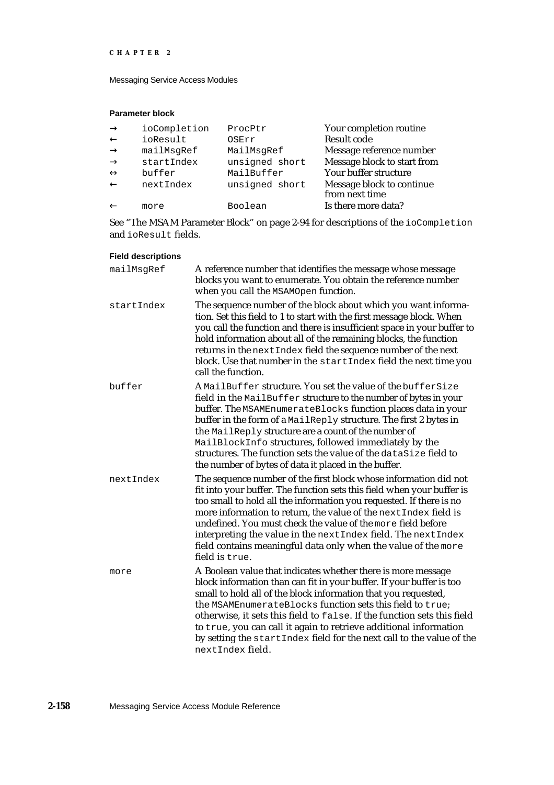Messaging Service Access Modules

# **Parameter block**

| ioCompletion | ProcPtr        | Your completion routine     |
|--------------|----------------|-----------------------------|
| ioResult     | OSErr          | Result code                 |
| mailMsqRef   | MailMsgRef     | Message reference number    |
| startIndex   | unsigned short | Message block to start from |
| buffer       | MailBuffer     | Your buffer structure       |
| nextIndex    | unsigned short | Message block to continue   |
|              |                | from next time              |
| more         | Boolean        | Is there more data?         |

See "The MSAM Parameter Block" on page 2-94 for descriptions of the ioCompletion and ioResult fields.

# **Field descriptions**

| mailMsgRef | A reference number that identifies the message whose message<br>blocks you want to enumerate. You obtain the reference number<br>when you call the MSAMOpen function.                                                                                                                                                                                                                                                                                                                                             |
|------------|-------------------------------------------------------------------------------------------------------------------------------------------------------------------------------------------------------------------------------------------------------------------------------------------------------------------------------------------------------------------------------------------------------------------------------------------------------------------------------------------------------------------|
| startIndex | The sequence number of the block about which you want informa-<br>tion. Set this field to 1 to start with the first message block. When<br>you call the function and there is insufficient space in your buffer to<br>hold information about all of the remaining blocks, the function<br>returns in the next Index field the sequence number of the next<br>block. Use that number in the startIndex field the next time you<br>call the function.                                                               |
| buffer     | A MailBuffer structure. You set the value of the bufferSize<br>field in the MailBuffer structure to the number of bytes in your<br>buffer. The MSAMEnumerateBlocks function places data in your<br>buffer in the form of a MailReply structure. The first 2 bytes in<br>the MailReply structure are a count of the number of<br>MailBlockInfo structures, followed immediately by the<br>structures. The function sets the value of the dataSize field to<br>the number of bytes of data it placed in the buffer. |
| nextIndex  | The sequence number of the first block whose information did not<br>fit into your buffer. The function sets this field when your buffer is<br>too small to hold all the information you requested. If there is no<br>more information to return, the value of the next Index field is<br>undefined. You must check the value of the more field before<br>interpreting the value in the next Index field. The next Index<br>field contains meaningful data only when the value of the more<br>field is true.       |
| more       | A Boolean value that indicates whether there is more message<br>block information than can fit in your buffer. If your buffer is too<br>small to hold all of the block information that you requested,<br>the MSAMEnumerateBlocks function sets this field to true;<br>otherwise, it sets this field to false. If the function sets this field<br>to true, you can call it again to retrieve additional information<br>by setting the startIndex field for the next call to the value of the<br>nextIndex field.  |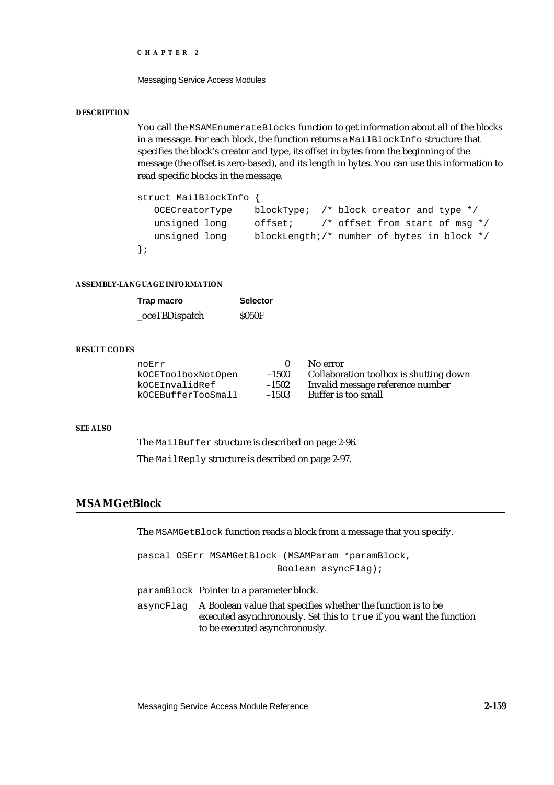Messaging Service Access Modules

### **DESCRIPTION**

You call the MSAMEnumerateBlocks function to get information about all of the blocks in a message. For each block, the function returns a MailBlockInfo structure that specifies the block's creator and type, its offset in bytes from the beginning of the message (the offset is zero-based), and its length in bytes. You can use this information to read specific blocks in the message.

```
struct MailBlockInfo {
  OCECreatorType blockType; /* block creator and type */
  unsigned long offset; /* offset from start of msg */
  unsigned long blockLength;/* number of bytes in block */
};
```
## **ASSEMBLY-LANGUAGE INFORMATION**

| Trap macro     | <b>Selector</b> |
|----------------|-----------------|
| _oceTBDispatch | <b>S050F</b>    |

### **RESULT CODES**

| noErr              |         | No error                               |
|--------------------|---------|----------------------------------------|
| kOCEToolboxNotOpen | $-1500$ | Collaboration toolbox is shutting down |
| kOCEInvalidRef     | $-1502$ | Invalid message reference number       |
| kOCEBufferTooSmall | $-1503$ | Buffer is too small                    |

## **SEE ALSO**

The MailBuffer structure is described on page 2-96.

The MailReply structure is described on page 2-97.

# **MSAMGetBlock**

The MSAMGetBlock function reads a block from a message that you specify.

pascal OSErr MSAMGetBlock (MSAMParam \*paramBlock, Boolean asyncFlag);

- paramBlock Pointer to a parameter block.
- asyncFlag A Boolean value that specifies whether the function is to be executed asynchronously. Set this to true if you want the function to be executed asynchronously.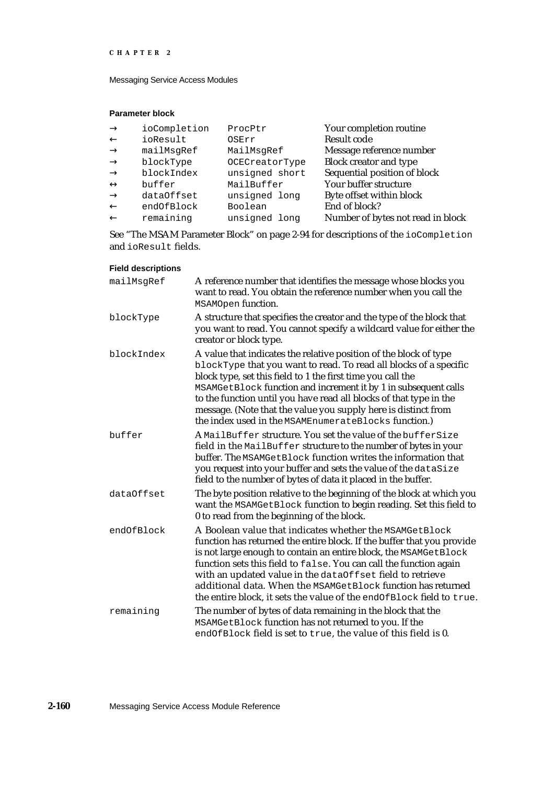Messaging Service Access Modules

# **Parameter block**

| ioCompletion | ProcPtr        | Your completion routine           |
|--------------|----------------|-----------------------------------|
| ioResult     | OSErr          | <b>Result code</b>                |
| mailMsgRef   | MailMsgRef     | Message reference number          |
| blockType    | OCECreatorType | <b>Block creator and type</b>     |
| blockIndex   | unsigned short | Sequential position of block      |
| buffer       | MailBuffer     | Your buffer structure             |
| dataOffset   | unsigned long  | Byte offset within block          |
| endOfBlock   | Boolean        | End of block?                     |
| remaining    | unsigned long  | Number of bytes not read in block |

See "The MSAM Parameter Block" on page 2-94 for descriptions of the ioCompletion and ioResult fields.

# **Field descriptions**

| mailMsgRef | A reference number that identifies the message whose blocks you<br>want to read. You obtain the reference number when you call the<br>MSAMOpen function.                                                                                                                                                                                                                                                                                                                         |
|------------|----------------------------------------------------------------------------------------------------------------------------------------------------------------------------------------------------------------------------------------------------------------------------------------------------------------------------------------------------------------------------------------------------------------------------------------------------------------------------------|
| blockType  | A structure that specifies the creator and the type of the block that<br>you want to read. You cannot specify a wildcard value for either the<br>creator or block type.                                                                                                                                                                                                                                                                                                          |
| blockIndex | A value that indicates the relative position of the block of type<br>blockType that you want to read. To read all blocks of a specific<br>block type, set this field to 1 the first time you call the<br>MSAMGetBlock function and increment it by 1 in subsequent calls<br>to the function until you have read all blocks of that type in the<br>message. (Note that the value you supply here is distinct from<br>the index used in the MSAMEnumerateBlocks function.)         |
| buffer     | A MailBuffer structure. You set the value of the bufferSize<br>field in the MailBuffer structure to the number of bytes in your<br>buffer. The MSAMGetBlock function writes the information that<br>you request into your buffer and sets the value of the dataSize<br>field to the number of bytes of data it placed in the buffer.                                                                                                                                             |
| dataOffset | The byte position relative to the beginning of the block at which you<br>want the MSAMGetBlock function to begin reading. Set this field to<br>0 to read from the beginning of the block.                                                                                                                                                                                                                                                                                        |
| endOfBlock | A Boolean value that indicates whether the MSAMGetBlock<br>function has returned the entire block. If the buffer that you provide<br>is not large enough to contain an entire block, the MSAMGetBlock<br>function sets this field to false. You can call the function again<br>with an updated value in the dataOffset field to retrieve<br>additional data. When the MSAMGetBlock function has returned<br>the entire block, it sets the value of the endOfBlock field to true. |
| remaining  | The number of bytes of data remaining in the block that the<br>MSAMGetBlock function has not returned to you. If the<br>endOfBlock field is set to true, the value of this field is 0.                                                                                                                                                                                                                                                                                           |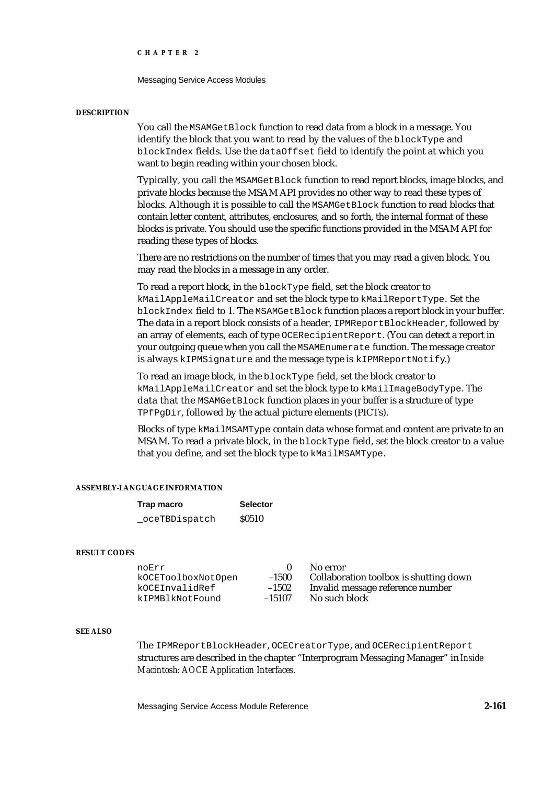Messaging Service Access Modules

#### **DESCRIPTION**

You call the MSAMGetBlock function to read data from a block in a message. You identify the block that you want to read by the values of the blockType and blockIndex fields. Use the dataOffset field to identify the point at which you want to begin reading within your chosen block.

Typically, you call the MSAMGetBlock function to read report blocks, image blocks, and private blocks because the MSAM API provides no other way to read these types of blocks. Although it is possible to call the MSAMGetBlock function to read blocks that contain letter content, attributes, enclosures, and so forth, the internal format of these blocks is private. You should use the specific functions provided in the MSAM API for reading these types of blocks.

There are no restrictions on the number of times that you may read a given block. You may read the blocks in a message in any order.

To read a report block, in the blockType field, set the block creator to kMailAppleMailCreator and set the block type to kMailReportType. Set the blockIndex field to 1. The MSAMGetBlock function places a report block in your buffer. The data in a report block consists of a header, IPMReportBlockHeader, followed by an array of elements, each of type OCERecipientReport. (You can detect a report in your outgoing queue when you call the MSAMEnumerate function. The message creator is always kIPMSignature and the message type is kIPMReportNotify.)

To read an image block, in the blockType field, set the block creator to kMailAppleMailCreator and set the block type to kMailImageBodyType. The data that the MSAMGetBlock function places in your buffer is a structure of type TPfPgDir, followed by the actual picture elements (PICTs).

Blocks of type kMailMSAMType contain data whose format and content are private to an MSAM. To read a private block, in the blockType field, set the block creator to a value that you define, and set the block type to kMailMSAMType.

## **ASSEMBLY-LANGUAGE INFORMATION**

| Trap macro    | <b>Selector</b> |
|---------------|-----------------|
| oceTBDispatch | <b>S0510</b>    |

#### **RESULT CODES**

| noErr              |          | No error                               |
|--------------------|----------|----------------------------------------|
| kOCEToolboxNotOpen | $-1500$  | Collaboration toolbox is shutting down |
| kOCEInvalidRef     | $-1502$  | Invalid message reference number       |
| kIPMBlkNotFound    | $-15107$ | No such block                          |

#### **SEE ALSO**

The IPMReportBlockHeader, OCECreatorType, and OCERecipientReport structures are described in the chapter "Interprogram Messaging Manager" in *Inside Macintosh: AOCE Application Interfaces*.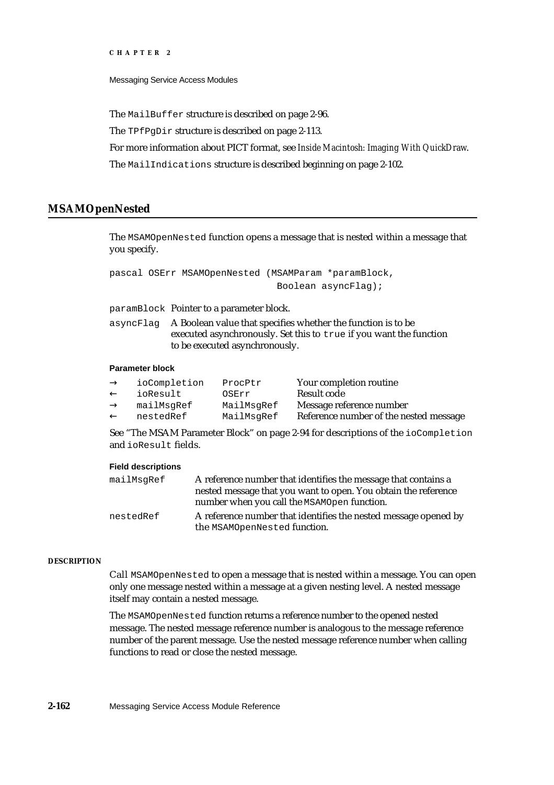Messaging Service Access Modules

The MailBuffer structure is described on page 2-96.

The TPfPgDir structure is described on page 2-113.

For more information about PICT format, see *Inside Macintosh: Imaging With QuickDraw*.

The MailIndications structure is described beginning on page 2-102.

# **MSAMOpenNested**

The MSAMOpenNested function opens a message that is nested within a message that you specify.

pascal OSErr MSAMOpenNested (MSAMParam \*paramBlock, Boolean asyncFlag);

paramBlock Pointer to a parameter block.

asyncFlag A Boolean value that specifies whether the function is to be executed asynchronously. Set this to true if you want the function to be executed asynchronously.

#### **Parameter block**

| ioCompletion | ProcPtr    | Your completion routine                |
|--------------|------------|----------------------------------------|
| ioResult     | OSErr      | Result code                            |
| mailMsqRef   | MailMsgRef | Message reference number               |
| nestedRef    | MailMsgRef | Reference number of the nested message |

See "The MSAM Parameter Block" on page 2-94 for descriptions of the ioCompletion and ioResult fields.

## **Field descriptions**

| mailMsqRef | A reference number that identifies the message that contains a  |
|------------|-----------------------------------------------------------------|
|            | nested message that you want to open. You obtain the reference  |
|            | number when you call the MSAMOpen function.                     |
| nestedRef  | A reference number that identifies the nested message opened by |
|            | the MSAMOpenNested function.                                    |

## **DESCRIPTION**

Call MSAMOpenNested to open a message that is nested within a message. You can open only one message nested within a message at a given nesting level. A nested message itself may contain a nested message.

The MSAMOpenNested function returns a reference number to the opened nested message. The nested message reference number is analogous to the message reference number of the parent message. Use the nested message reference number when calling functions to read or close the nested message.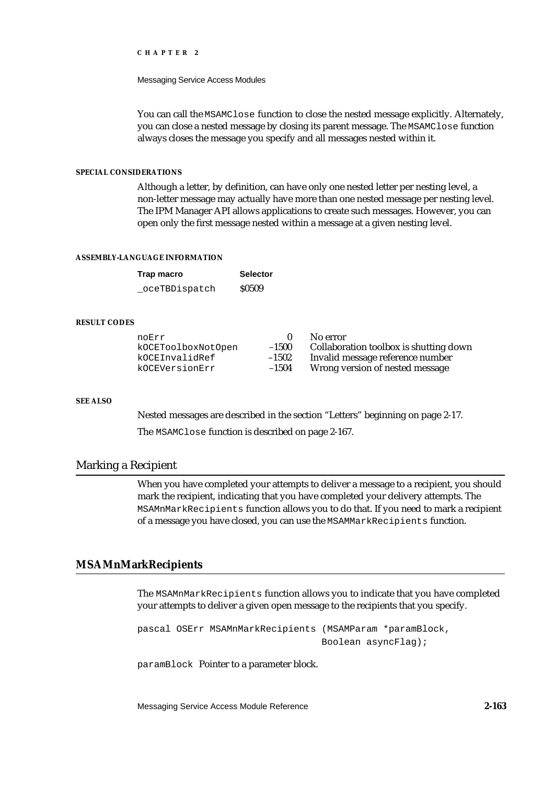Messaging Service Access Modules

You can call the MSAMCLose function to close the nested message explicitly. Alternately, you can close a nested message by closing its parent message. The MSAMClose function always closes the message you specify and all messages nested within it.

## **SPECIAL CONSIDERATIONS**

Although a letter, by definition, can have only one nested letter per nesting level, a non-letter message may actually have more than one nested message per nesting level. The IPM Manager API allows applications to create such messages. However, you can open only the first message nested within a message at a given nesting level.

## **ASSEMBLY-LANGUAGE INFORMATION**

| Trap macro     | <b>Selector</b> |
|----------------|-----------------|
| _oceTBDispatch | \$0509          |

# **RESULT CODES**

| noErr              |         | No error                               |
|--------------------|---------|----------------------------------------|
| kOCEToolboxNotOpen | $-1500$ | Collaboration toolbox is shutting down |
| kOCEInvalidRef     | $-1502$ | Invalid message reference number       |
| kOCEVersionErr     | $-1504$ | Wrong version of nested message        |

## **SEE ALSO**

Nested messages are described in the section "Letters" beginning on page 2-17.

The MSAMClose function is described on page 2-167.

# Marking a Recipient

When you have completed your attempts to deliver a message to a recipient, you should mark the recipient, indicating that you have completed your delivery attempts. The MSAMnMarkRecipients function allows you to do that. If you need to mark a recipient of a message you have closed, you can use the MSAMMarkRecipients function.

# **MSAMnMarkRecipients**

The MSAMnMarkRecipients function allows you to indicate that you have completed your attempts to deliver a given open message to the recipients that you specify.

```
pascal OSErr MSAMnMarkRecipients (MSAMParam *paramBlock,
                                 Boolean asyncFlag);
```
paramBlock Pointer to a parameter block.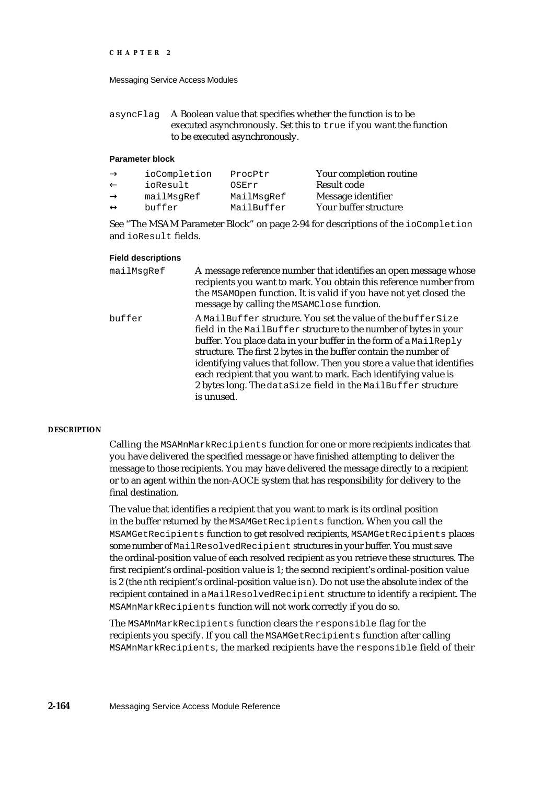asyncFlag A Boolean value that specifies whether the function is to be executed asynchronously. Set this to true if you want the function to be executed asynchronously.

## **Parameter block**

| ioCompletion | ProcPtr    | Your completion routine |
|--------------|------------|-------------------------|
| ioResult     | OSErr      | Result code             |
| mailMsqRef   | MailMsqRef | Message identifier      |
| buffer       | MailBuffer | Your buffer structure   |

See "The MSAM Parameter Block" on page 2-94 for descriptions of the ioCompletion and ioResult fields.

#### **Field descriptions**

| mailMsqRef | A message reference number that identifies an open message whose<br>recipients you want to mark. You obtain this reference number from<br>the MSAMOpen function. It is valid if you have not yet closed the<br>message by calling the MSAMClose function.                                                                                                                                                                                                                                          |
|------------|----------------------------------------------------------------------------------------------------------------------------------------------------------------------------------------------------------------------------------------------------------------------------------------------------------------------------------------------------------------------------------------------------------------------------------------------------------------------------------------------------|
| buffer     | A MailBuffer structure. You set the value of the bufferSize<br>field in the MailBuffer structure to the number of bytes in your<br>buffer. You place data in your buffer in the form of a MailReply<br>structure. The first 2 bytes in the buffer contain the number of<br>identifying values that follow. Then you store a value that identifies<br>each recipient that you want to mark. Each identifying value is<br>2 bytes long. The dataSize field in the MailBuffer structure<br>is unused. |

#### **DESCRIPTION**

Calling the MSAMnMarkRecipients function for one or more recipients indicates that you have delivered the specified message or have finished attempting to deliver the message to those recipients. You may have delivered the message directly to a recipient or to an agent within the non-AOCE system that has responsibility for delivery to the final destination.

The value that identifies a recipient that you want to mark is its ordinal position in the buffer returned by the MSAMGetRecipients function. When you call the MSAMGetRecipients function to get resolved recipients, MSAMGetRecipients places some number of MailResolvedRecipient structures in your buffer. You must save the ordinal-position value of each resolved recipient as you retrieve these structures. The first recipient's ordinal-position value is 1; the second recipient's ordinal-position value is 2 (the *nth* recipient's ordinal-position value is *n*). Do not use the absolute index of the recipient contained in a MailResolvedRecipient structure to identify a recipient. The MSAMnMarkRecipients function will not work correctly if you do so.

The MSAMnMarkRecipients function clears the responsible flag for the recipients you specify. If you call the MSAMGetRecipients function after calling MSAMnMarkRecipients, the marked recipients have the responsible field of their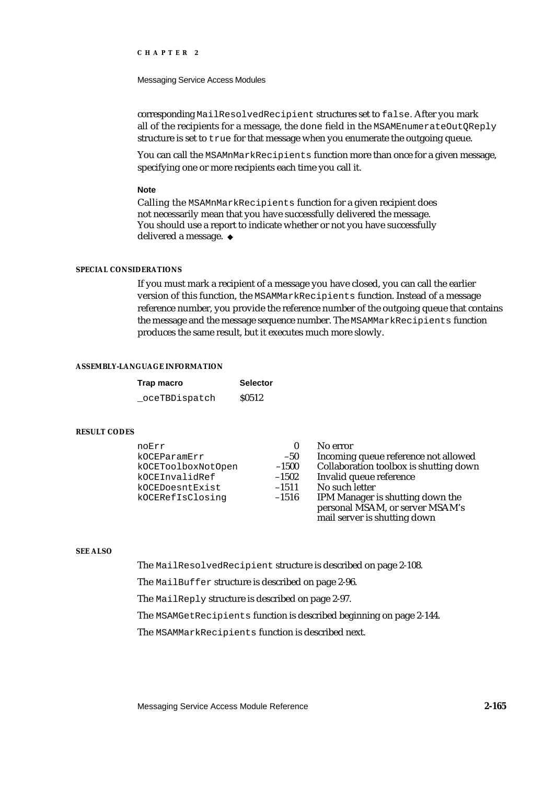Messaging Service Access Modules

corresponding MailResolvedRecipient structures set to false. After you mark all of the recipients for a message, the done field in the MSAMEnumerateOutQReply structure is set to true for that message when you enumerate the outgoing queue.

You can call the MSAMnMarkRecipients function more than once for a given message, specifying one or more recipients each time you call it.

### **Note**

Calling the MSAMnMarkRecipients function for a given recipient does not necessarily mean that you have successfully delivered the message. You should use a report to indicate whether or not you have successfully delivered a message. u

## **SPECIAL CONSIDERATIONS**

If you must mark a recipient of a message you have closed, you can call the earlier version of this function, the MSAMMarkRecipients function. Instead of a message reference number, you provide the reference number of the outgoing queue that contains the message and the message sequence number. The MSAMMarkRecipients function produces the same result, but it executes much more slowly.

#### **ASSEMBLY-LANGUAGE INFORMATION**

| Trap macro    | <b>Selector</b> |
|---------------|-----------------|
| oceTBDispatch | \$0512          |

#### **RESULT CODES**

| noErr              |         | No error                               |
|--------------------|---------|----------------------------------------|
| kOCEParamErr       | $-50$   | Incoming queue reference not allowed   |
| kOCEToolboxNotOpen | $-1500$ | Collaboration toolbox is shutting down |
| kOCEInvalidRef     | $-1502$ | Invalid queue reference                |
| kOCEDoesntExist    | $-1511$ | No such letter                         |
| kOCERefIsClosing   | $-1516$ | IPM Manager is shutting down the       |
|                    |         | personal MSAM, or server MSAM's        |
|                    |         | mail server is shutting down           |

# **SEE ALSO**

The MailResolvedRecipient structure is described on page 2-108.

The MailBuffer structure is described on page 2-96.

The MailReply structure is described on page 2-97.

The MSAMGetRecipients function is described beginning on page 2-144.

The MSAMMarkRecipients function is described next.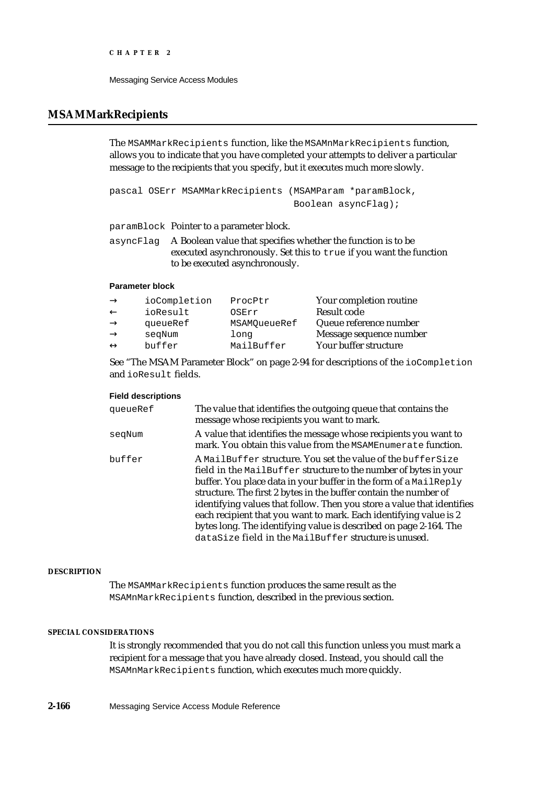# **MSAMMarkRecipients**

The MSAMMarkRecipients function, like the MSAMnMarkRecipients function, allows you to indicate that you have completed your attempts to deliver a particular message to the recipients that you specify, but it executes much more slowly.

pascal OSErr MSAMMarkRecipients (MSAMParam \*paramBlock, Boolean asyncFlag);

paramBlock Pointer to a parameter block.

asyncFlag A Boolean value that specifies whether the function is to be executed asynchronously. Set this to true if you want the function to be executed asynchronously.

## **Parameter block**

| ioCompletion | ProcPtr      | Your completion routine |
|--------------|--------------|-------------------------|
| ioResult     | OSErr        | Result code             |
| queueRef     | MSAMOueueRef | Queue reference number  |
| segNum       | long         | Message sequence number |
| buffer       | MailBuffer   | Your buffer structure   |
|              |              |                         |

See "The MSAM Parameter Block" on page 2-94 for descriptions of the ioCompletion and ioResult fields.

## **Field descriptions**

| queueRef | The value that identifies the outgoing queue that contains the<br>message whose recipients you want to mark.                                                                                                                                                                                                                                                                                                                                                                                                                                         |
|----------|------------------------------------------------------------------------------------------------------------------------------------------------------------------------------------------------------------------------------------------------------------------------------------------------------------------------------------------------------------------------------------------------------------------------------------------------------------------------------------------------------------------------------------------------------|
| segNum   | A value that identifies the message whose recipients you want to<br>mark. You obtain this value from the MSAMEnumerate function.                                                                                                                                                                                                                                                                                                                                                                                                                     |
| buffer   | A MailBuffer structure. You set the value of the bufferSize<br>field in the MailBuffer structure to the number of bytes in your<br>buffer. You place data in your buffer in the form of a MailReply<br>structure. The first 2 bytes in the buffer contain the number of<br>identifying values that follow. Then you store a value that identifies<br>each recipient that you want to mark. Each identifying value is 2<br>bytes long. The identifying value is described on page 2-164. The<br>dataSize field in the MailBuffer structure is unused. |

#### **DESCRIPTION**

The MSAMMarkRecipients function produces the same result as the MSAMnMarkRecipients function, described in the previous section.

## **SPECIAL CONSIDERATIONS**

It is strongly recommended that you do not call this function unless you must mark a recipient for a message that you have already closed. Instead, you should call the MSAMnMarkRecipients function, which executes much more quickly.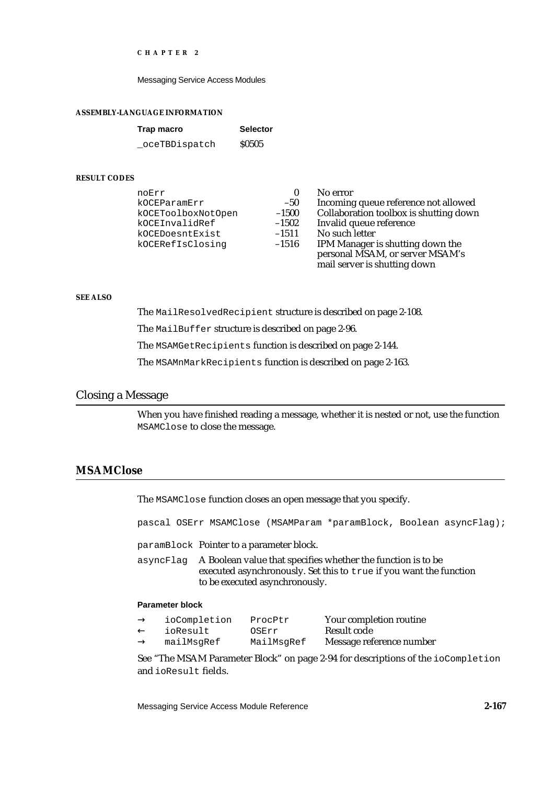Messaging Service Access Modules

#### **ASSEMBLY-LANGUAGE INFORMATION**

| Trap macro    | <b>Selector</b> |
|---------------|-----------------|
| oceTBDispatch | <b>S0505</b>    |

### **RESULT CODES**

| noErr              |         | No error                               |
|--------------------|---------|----------------------------------------|
| kOCEParamErr       | $-50$   | Incoming queue reference not allowed   |
| kOCEToolboxNotOpen | $-1500$ | Collaboration toolbox is shutting down |
| kOCEInvalidRef     | $-1502$ | Invalid queue reference                |
| kOCEDoesntExist    | $-1511$ | No such letter                         |
| kOCERefIsClosinq   | $-1516$ | IPM Manager is shutting down the       |
|                    |         | personal MSAM, or server MSAM's        |
|                    |         | mail server is shutting down           |

#### **SEE ALSO**

The MailResolvedRecipient structure is described on page 2-108.

The MailBuffer structure is described on page 2-96.

The MSAMGetRecipients function is described on page 2-144.

The MSAMnMarkRecipients function is described on page 2-163.

# Closing a Message

When you have finished reading a message, whether it is nested or not, use the function MSAMClose to close the message.

# **MSAMClose**

The MSAMClose function closes an open message that you specify.

pascal OSErr MSAMClose (MSAMParam \*paramBlock, Boolean asyncFlag);

paramBlock Pointer to a parameter block.

asyncFlag A Boolean value that specifies whether the function is to be executed asynchronously. Set this to true if you want the function to be executed asynchronously.

## **Parameter block**

| ioCompletion | ProcPtr    | Your completion routine  |
|--------------|------------|--------------------------|
| ioResult     | OSErr      | Result code              |
| mailMsqRef   | MailMsgRef | Message reference number |

See "The MSAM Parameter Block" on page 2-94 for descriptions of the ioCompletion and ioResult fields.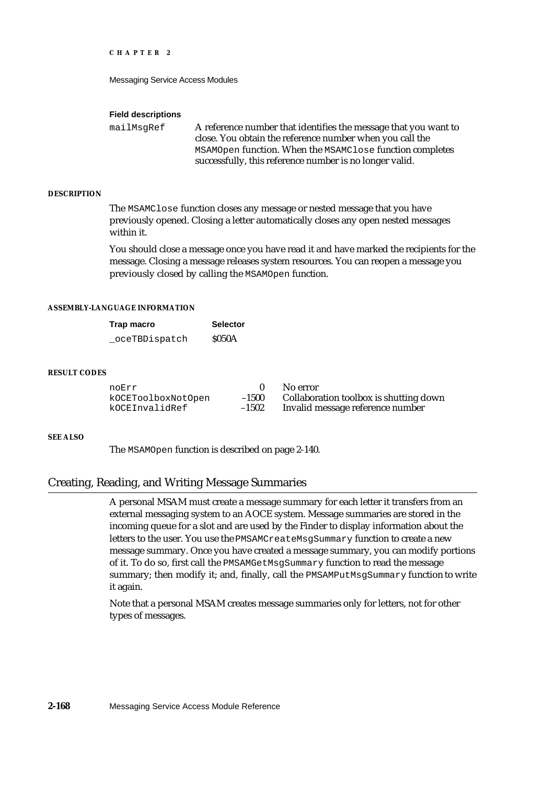Messaging Service Access Modules

#### **Field descriptions**

mailMsgRef A reference number that identifies the message that you want to close. You obtain the reference number when you call the MSAMOpen function. When the MSAMClose function completes successfully, this reference number is no longer valid.

### **DESCRIPTION**

The MSAMClose function closes any message or nested message that you have previously opened. Closing a letter automatically closes any open nested messages within it.

You should close a message once you have read it and have marked the recipients for the message. Closing a message releases system resources. You can reopen a message you previously closed by calling the MSAMOpen function.

# **ASSEMBLY-LANGUAGE INFORMATION**

| Trap macro     | <b>Selector</b> |
|----------------|-----------------|
| _oceTBDispatch | <b>S050A</b>    |

## **RESULT CODES**

| noErr              |         | No error                               |
|--------------------|---------|----------------------------------------|
| kOCEToolboxNotOpen | $-1500$ | Collaboration toolbox is shutting down |
| kOCEInvalidRef     | $-1502$ | Invalid message reference number       |

#### **SEE ALSO**

The MSAMOpen function is described on page 2-140.

# Creating, Reading, and Writing Message Summaries

A personal MSAM must create a message summary for each letter it transfers from an external messaging system to an AOCE system. Message summaries are stored in the incoming queue for a slot and are used by the Finder to display information about the letters to the user. You use the PMSAMCreateMsgSummary function to create a new message summary. Once you have created a message summary, you can modify portions of it. To do so, first call the PMSAMGetMsgSummary function to read the message summary; then modify it; and, finally, call the PMSAMPutMsgSummary function to write it again.

Note that a personal MSAM creates message summaries only for letters, not for other types of messages.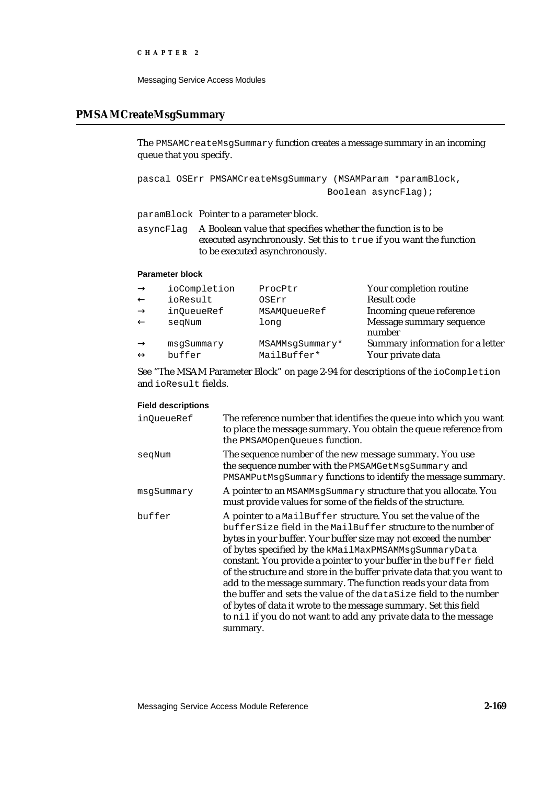Messaging Service Access Modules

# **PMSAMCreateMsgSummary**

The PMSAMCreateMsgSummary function creates a message summary in an incoming queue that you specify.

```
pascal OSErr PMSAMCreateMsgSummary (MSAMParam *paramBlock,
                                   Boolean asyncFlag);
```
paramBlock Pointer to a parameter block.

asyncFlag A Boolean value that specifies whether the function is to be executed asynchronously. Set this to true if you want the function to be executed asynchronously.

# **Parameter block**

| ioCompletion | ProcPtr         | Your completion routine            |
|--------------|-----------------|------------------------------------|
| ioResult     | OSErr           | <b>Result code</b>                 |
| in0ueueRef   | MSAMOueueRef    | Incoming queue reference           |
| segNum       | long            | Message summary sequence<br>number |
| msqSummary   | MSAMMsqSummary* | Summary information for a letter   |
| buffer       | MailBuffer*     | Your private data                  |

See "The MSAM Parameter Block" on page 2-94 for descriptions of the ioCompletion and ioResult fields.

## **Field descriptions**

| in0ueueRef | The reference number that identifies the queue into which you want<br>to place the message summary. You obtain the queue reference from<br>the PMSAMOpenQueues function.                                                                                                                                                                                                                                                                                                                                                                                                                                                                                                                              |
|------------|-------------------------------------------------------------------------------------------------------------------------------------------------------------------------------------------------------------------------------------------------------------------------------------------------------------------------------------------------------------------------------------------------------------------------------------------------------------------------------------------------------------------------------------------------------------------------------------------------------------------------------------------------------------------------------------------------------|
| seqNum     | The sequence number of the new message summary. You use<br>the sequence number with the PMSAMGetMsgSummary and<br>PMSAMPutMsgSummary functions to identify the message summary.                                                                                                                                                                                                                                                                                                                                                                                                                                                                                                                       |
| msqSummary | A pointer to an MSAMMsgSummary structure that you allocate. You<br>must provide values for some of the fields of the structure.                                                                                                                                                                                                                                                                                                                                                                                                                                                                                                                                                                       |
| buffer     | A pointer to a MailBuffer structure. You set the value of the<br>bufferSize field in the MailBuffer structure to the number of<br>bytes in your buffer. Your buffer size may not exceed the number<br>of bytes specified by the kMailMaxPMSAMMsgSummaryData<br>constant. You provide a pointer to your buffer in the buffer field<br>of the structure and store in the buffer private data that you want to<br>add to the message summary. The function reads your data from<br>the buffer and sets the value of the dataSize field to the number<br>of bytes of data it wrote to the message summary. Set this field<br>to nil if you do not want to add any private data to the message<br>summary. |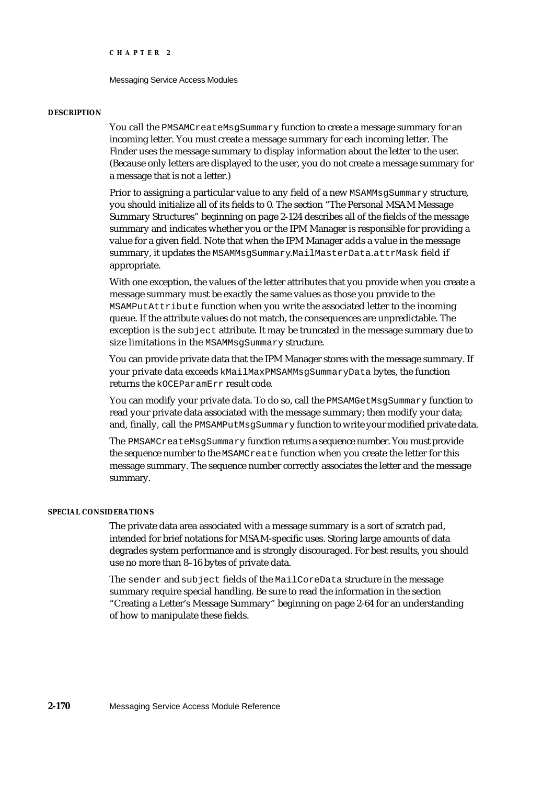#### Messaging Service Access Modules

#### **DESCRIPTION**

You call the PMSAMCreateMsgSummary function to create a message summary for an incoming letter. You must create a message summary for each incoming letter. The Finder uses the message summary to display information about the letter to the user. (Because only letters are displayed to the user, you do not create a message summary for a message that is not a letter.)

Prior to assigning a particular value to any field of a new MSAMMsqSummary structure, you should initialize all of its fields to 0. The section "The Personal MSAM Message Summary Structures" beginning on page 2-124 describes all of the fields of the message summary and indicates whether you or the IPM Manager is responsible for providing a value for a given field. Note that when the IPM Manager adds a value in the message summary, it updates the MSAMMsgSummary.MailMasterData.attrMask field if appropriate.

With one exception, the values of the letter attributes that you provide when you create a message summary must be exactly the same values as those you provide to the MSAMPutAttribute function when you write the associated letter to the incoming queue. If the attribute values do not match, the consequences are unpredictable. The exception is the subject attribute. It may be truncated in the message summary due to size limitations in the MSAMMsqSummary structure.

You can provide private data that the IPM Manager stores with the message summary. If your private data exceeds kMailMaxPMSAMMsgSummaryData bytes, the function returns the kOCEParamErr result code.

You can modify your private data. To do so, call the PMSAMGetMsgSummary function to read your private data associated with the message summary; then modify your data; and, finally, call the PMSAMPutMsqSummary function to write your modified private data.

The PMSAMCreateMsgSummary function returns a sequence number. You must provide the sequence number to the MSAMCreate function when you create the letter for this message summary. The sequence number correctly associates the letter and the message summary.

# **SPECIAL CONSIDERATIONS**

The private data area associated with a message summary is a sort of scratch pad, intended for brief notations for MSAM-specific uses. Storing large amounts of data degrades system performance and is strongly discouraged. For best results, you should use no more than 8–16 bytes of private data.

The sender and subject fields of the MailCoreData structure in the message summary require special handling. Be sure to read the information in the section "Creating a Letter's Message Summary" beginning on page 2-64 for an understanding of how to manipulate these fields.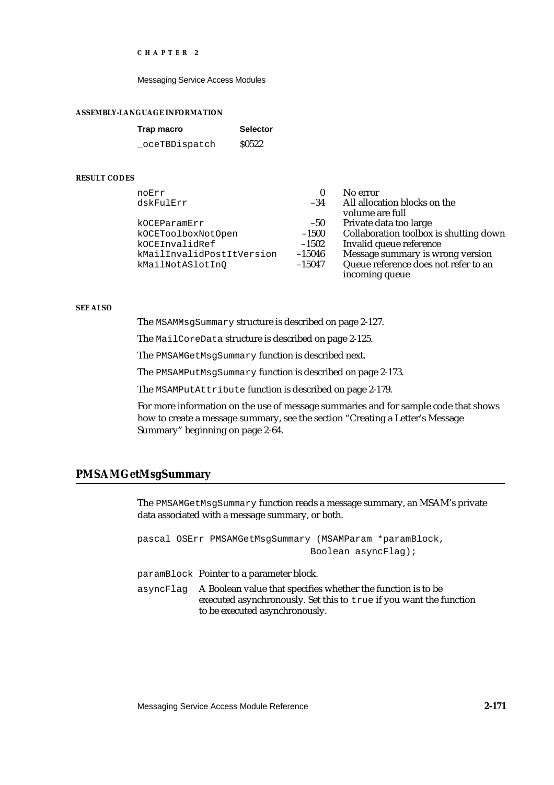Messaging Service Access Modules

#### **ASSEMBLY-LANGUAGE INFORMATION**

| Trap macro    | <b>Selector</b>   |
|---------------|-------------------|
| oceTBDispatch | S <sub>0522</sub> |

#### **RESULT CODES**

| noErr                     |          | No error                               |
|---------------------------|----------|----------------------------------------|
| dskFulErr                 | $-34$    | All allocation blocks on the           |
|                           |          | volume are full                        |
| kOCEParamErr              | $-50$    | Private data too large                 |
| kOCEToolboxNotOpen        | $-1500$  | Collaboration toolbox is shutting down |
| kOCEInvalidRef            | $-1502$  | Invalid queue reference                |
| kMailInvalidPostItVersion | $-15046$ | Message summary is wrong version       |
| kMailNotASlotInO          | $-15047$ | Queue reference does not refer to an   |
|                           |          | incoming queue                         |

#### **SEE ALSO**

The MSAMMsgSummary structure is described on page 2-127.

The MailCoreData structure is described on page 2-125.

The PMSAMGetMsgSummary function is described next.

The PMSAMPutMsgSummary function is described on page 2-173.

The MSAMPutAttribute function is described on page 2-179.

For more information on the use of message summaries and for sample code that shows how to create a message summary, see the section "Creating a Letter's Message Summary" beginning on page 2-64.

# **PMSAMGetMsgSummary**

The PMSAMGetMsgSummary function reads a message summary, an MSAM's private data associated with a message summary, or both.

pascal OSErr PMSAMGetMsgSummary (MSAMParam \*paramBlock, Boolean asyncFlag);

paramBlock Pointer to a parameter block.

asyncFlag A Boolean value that specifies whether the function is to be executed asynchronously. Set this to true if you want the function to be executed asynchronously.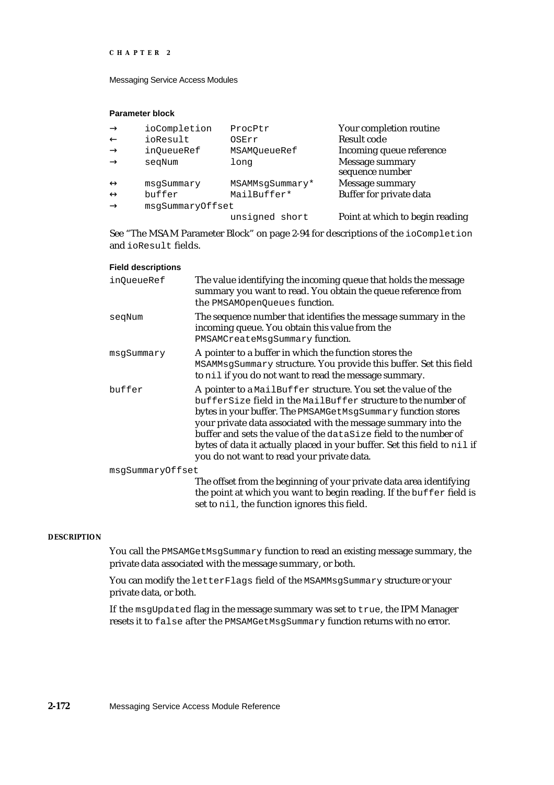Messaging Service Access Modules

# **Parameter block**

| ioCompletion     | ProcPtr         | Your completion routine            |
|------------------|-----------------|------------------------------------|
| ioResult         | OSErr           | <b>Result code</b>                 |
| in0ueueRef       | MSAMOueueRef    | Incoming queue reference           |
| seqNum           | long            | Message summary<br>sequence number |
| msqSummary       | MSAMMsqSummary* | Message summary                    |
| buffer           | MailBuffer*     | Buffer for private data            |
| msqSummaryOffset |                 |                                    |
|                  | unsigned short  | Point at which to begin reading    |

See "The MSAM Parameter Block" on page 2-94 for descriptions of the ioCompletion and ioResult fields.

| <b>Field descriptions</b> |                                                                                                                                                                                                                                                                                                                                                                                                                                                                 |
|---------------------------|-----------------------------------------------------------------------------------------------------------------------------------------------------------------------------------------------------------------------------------------------------------------------------------------------------------------------------------------------------------------------------------------------------------------------------------------------------------------|
| inQueueRef                | The value identifying the incoming queue that holds the message<br>summary you want to read. You obtain the queue reference from<br>the PMSAMOpenQueues function.                                                                                                                                                                                                                                                                                               |
| seqNum                    | The sequence number that identifies the message summary in the<br>incoming queue. You obtain this value from the<br>PMSAMCreateMsgSummary function.                                                                                                                                                                                                                                                                                                             |
| msgSummary                | A pointer to a buffer in which the function stores the<br>MSAMMsgSummary structure. You provide this buffer. Set this field<br>to nil if you do not want to read the message summary.                                                                                                                                                                                                                                                                           |
| buffer                    | A pointer to a MailBuffer structure. You set the value of the<br>bufferSize field in the MailBuffer structure to the number of<br>bytes in your buffer. The PMSAMGetMsgSummary function stores<br>your private data associated with the message summary into the<br>buffer and sets the value of the dataSize field to the number of<br>bytes of data it actually placed in your buffer. Set this field to nil if<br>you do not want to read your private data. |
| msqSummaryOffset          | The offset from the beginning of your private data area identifying<br>the point at which you want to begin reading. If the buffer field is<br>set to nil, the function ignores this field.                                                                                                                                                                                                                                                                     |

## **DESCRIPTION**

You call the PMSAMGetMsgSummary function to read an existing message summary, the private data associated with the message summary, or both.

You can modify the letterFlags field of the MSAMMsgSummary structure or your private data, or both.

If the msgUpdated flag in the message summary was set to true, the IPM Manager resets it to false after the PMSAMGetMsgSummary function returns with no error.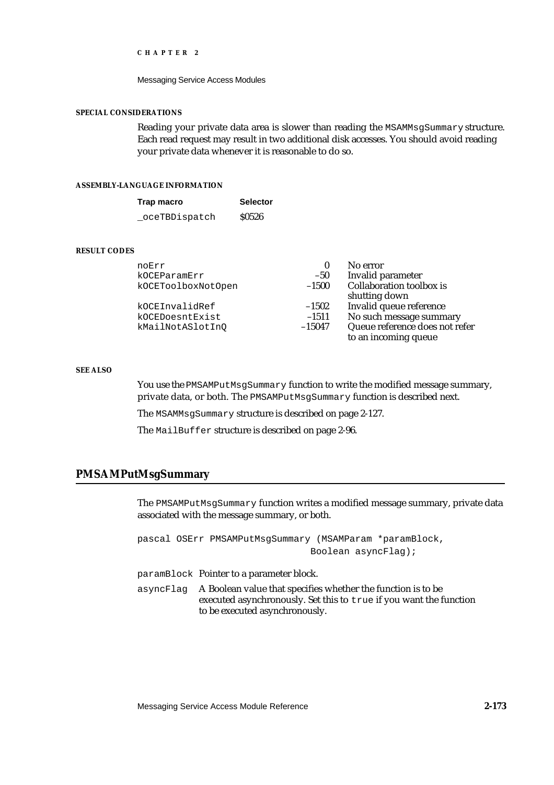#### Messaging Service Access Modules

## **SPECIAL CONSIDERATIONS**

Reading your private data area is slower than reading the MSAMMsgSummary structure. Each read request may result in two additional disk accesses. You should avoid reading your private data whenever it is reasonable to do so.

## **ASSEMBLY-LANGUAGE INFORMATION**

| Trap macro    | <b>Selector</b> |
|---------------|-----------------|
| oceTBDispatch | \$0526          |

# **RESULT CODES**

| noErr              | 0        | No error                       |
|--------------------|----------|--------------------------------|
| kOCEParamErr       | $-50$    | Invalid parameter              |
| kOCEToolboxNotOpen | $-1500$  | Collaboration toolbox is       |
|                    |          | shutting down                  |
| kOCEInvalidRef     | $-1502$  | Invalid queue reference        |
| kOCEDoesntExist    | $-1511$  | No such message summary        |
| kMailNotASlotInQ   | $-15047$ | Queue reference does not refer |
|                    |          | to an incoming queue           |

## **SEE ALSO**

You use the PMSAMPutMsgSummary function to write the modified message summary, private data, or both. The PMSAMPutMsgSummary function is described next.

The MSAMMsgSummary structure is described on page 2-127.

The MailBuffer structure is described on page 2-96.

# **PMSAMPutMsgSummary**

The PMSAMPutMsgSummary function writes a modified message summary, private data associated with the message summary, or both.

| pascal OSErr PMSAMPutMsqSummary (MSAMParam *paramBlock,<br>Boolean $asyncFlag);$                                                                                               |
|--------------------------------------------------------------------------------------------------------------------------------------------------------------------------------|
| paramBlock Pointer to a parameter block.                                                                                                                                       |
| asyncFlag A Boolean value that specifies whether the function is to be<br>executed asynchronously. Set this to true if you want the function<br>to be executed asynchronously. |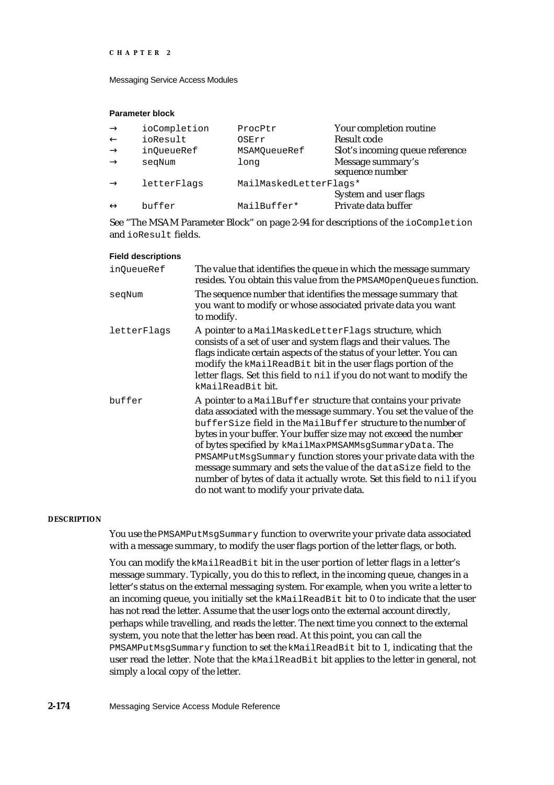Messaging Service Access Modules

## **Parameter block**

| ProcPtr                | Your completion routine         |
|------------------------|---------------------------------|
| OSErr                  | Result code                     |
| MSAMOueueRef           | Slot's incoming queue reference |
| long                   | Message summary's               |
|                        | sequence number                 |
| MailMaskedLetterFlags* |                                 |
|                        | System and user flags           |
| MailBuffer*            | Private data buffer             |
|                        |                                 |

See "The MSAM Parameter Block" on page 2-94 for descriptions of the ioCompletion and ioResult fields.

| <b>Field descriptions</b> |
|---------------------------|
|---------------------------|

| in0ueueRef  | The value that identifies the queue in which the message summary<br>resides. You obtain this value from the PMSAMOpenQueues function.                                                                                                                                                                                                                                                                                                                                                                                                                                                          |
|-------------|------------------------------------------------------------------------------------------------------------------------------------------------------------------------------------------------------------------------------------------------------------------------------------------------------------------------------------------------------------------------------------------------------------------------------------------------------------------------------------------------------------------------------------------------------------------------------------------------|
| seqNum      | The sequence number that identifies the message summary that<br>you want to modify or whose associated private data you want<br>to modify.                                                                                                                                                                                                                                                                                                                                                                                                                                                     |
| letterFlags | A pointer to a MailMaskedLetterFlags structure, which<br>consists of a set of user and system flags and their values. The<br>flags indicate certain aspects of the status of your letter. You can<br>modify the kMailReadBit bit in the user flags portion of the<br>letter flags. Set this field to nil if you do not want to modify the<br>kMailReadBit bit.                                                                                                                                                                                                                                 |
| buffer      | A pointer to a MailBuffer structure that contains your private<br>data associated with the message summary. You set the value of the<br>bufferSize field in the MailBuffer structure to the number of<br>bytes in your buffer. Your buffer size may not exceed the number<br>of bytes specified by kMailMaxPMSAMMsgSummaryData. The<br>PMSAMPutMsgSummary function stores your private data with the<br>message summary and sets the value of the dataSize field to the<br>number of bytes of data it actually wrote. Set this field to nil if you<br>do not want to modify your private data. |

### **DESCRIPTION**

You use the PMSAMPutMsgSummary function to overwrite your private data associated with a message summary, to modify the user flags portion of the letter flags, or both.

You can modify the kMailReadBit bit in the user portion of letter flags in a letter's message summary. Typically, you do this to reflect, in the incoming queue, changes in a letter's status on the external messaging system. For example, when you write a letter to an incoming queue, you initially set the kMailReadBit bit to 0 to indicate that the user has not read the letter. Assume that the user logs onto the external account directly, perhaps while travelling, and reads the letter. The next time you connect to the external system, you note that the letter has been read. At this point, you can call the PMSAMPutMsgSummary function to set the kMailReadBit bit to 1, indicating that the user read the letter. Note that the kMailReadBit bit applies to the letter in general, not simply a local copy of the letter.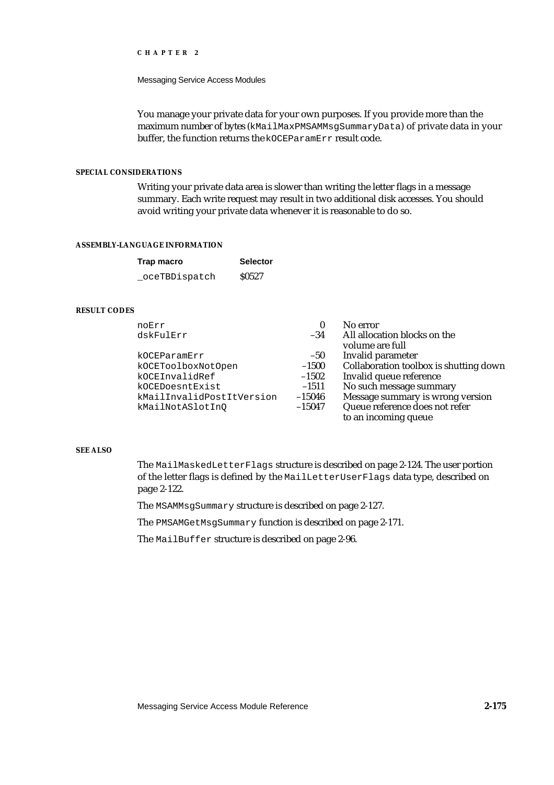Messaging Service Access Modules

You manage your private data for your own purposes. If you provide more than the maximum number of bytes (kMailMaxPMSAMMsgSummaryData) of private data in your buffer, the function returns the kOCEParamErr result code.

# **SPECIAL CONSIDERATIONS**

Writing your private data area is slower than writing the letter flags in a message summary. Each write request may result in two additional disk accesses. You should avoid writing your private data whenever it is reasonable to do so.

## **ASSEMBLY-LANGUAGE INFORMATION**

| Trap macro     | <b>Selector</b> |
|----------------|-----------------|
| _oceTBDispatch | <b>S0527</b>    |

## **RESULT CODES**

| noErr                     | $\bf{0}$ | No error                               |
|---------------------------|----------|----------------------------------------|
| dskFulErr                 | $-34$    | All allocation blocks on the           |
|                           |          | volume are full                        |
| kOCEParamErr              | $-50$    | Invalid parameter                      |
| kOCEToolboxNotOpen        | $-1500$  | Collaboration toolbox is shutting down |
| kOCEInvalidRef            | $-1502$  | Invalid queue reference                |
| kOCEDoesntExist           | $-1511$  | No such message summary                |
| kMailInvalidPostItVersion | $-15046$ | Message summary is wrong version       |
| kMailNotASlotInO          | $-15047$ | Queue reference does not refer         |
|                           |          | to an incoming queue                   |

## **SEE ALSO**

The MailMaskedLetterFlags structure is described on page 2-124. The user portion of the letter flags is defined by the MailLetterUserFlags data type, described on page 2-122.

The MSAMMsgSummary structure is described on page 2-127.

The PMSAMGetMsgSummary function is described on page 2-171.

The MailBuffer structure is described on page 2-96.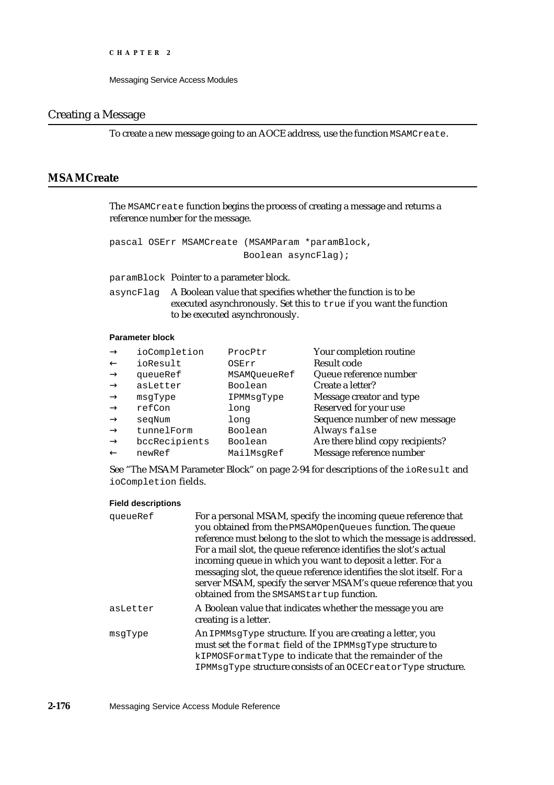# Creating a Message

To create a new message going to an AOCE address, use the function MSAMCreate.

# **MSAMCreate**

The MSAMCreate function begins the process of creating a message and returns a reference number for the message.

```
pascal OSErr MSAMCreate (MSAMParam *paramBlock,
                        Boolean asyncFlag);
```
paramBlock Pointer to a parameter block.

asyncFlag A Boolean value that specifies whether the function is to be executed asynchronously. Set this to true if you want the function to be executed asynchronously.

# **Parameter block**

| ProcPtr      | Your completion routine          |
|--------------|----------------------------------|
| OSErr        | <b>Result code</b>               |
| MSAMOueueRef | Queue reference number           |
| Boolean      | Create a letter?                 |
| IPMMsgType   | Message creator and type         |
| long         | Reserved for your use            |
| long         | Sequence number of new message   |
| Boolean      | Always false                     |
| Boolean      | Are there blind copy recipients? |
| MailMsgRef   | Message reference number         |
|              |                                  |

See "The MSAM Parameter Block" on page 2-94 for descriptions of the ioResult and ioCompletion fields.

### **Field descriptions**

| queueRef | For a personal MSAM, specify the incoming queue reference that<br>you obtained from the PMSAMOpenQueues function. The queue<br>reference must belong to the slot to which the message is addressed.<br>For a mail slot, the queue reference identifies the slot's actual<br>incoming queue in which you want to deposit a letter. For a<br>messaging slot, the queue reference identifies the slot itself. For a<br>server MSAM, specify the server MSAM's queue reference that you<br>obtained from the SMSAMStartup function. |
|----------|---------------------------------------------------------------------------------------------------------------------------------------------------------------------------------------------------------------------------------------------------------------------------------------------------------------------------------------------------------------------------------------------------------------------------------------------------------------------------------------------------------------------------------|
| asLetter | A Boolean value that indicates whether the message you are<br>creating is a letter.                                                                                                                                                                                                                                                                                                                                                                                                                                             |
| msqType  | An IPMMsgType structure. If you are creating a letter, you<br>must set the format field of the IPMMsgType structure to<br>kIPMOSFormatType to indicate that the remainder of the<br>IPMMsgType structure consists of an OCECreatorType structure.                                                                                                                                                                                                                                                                               |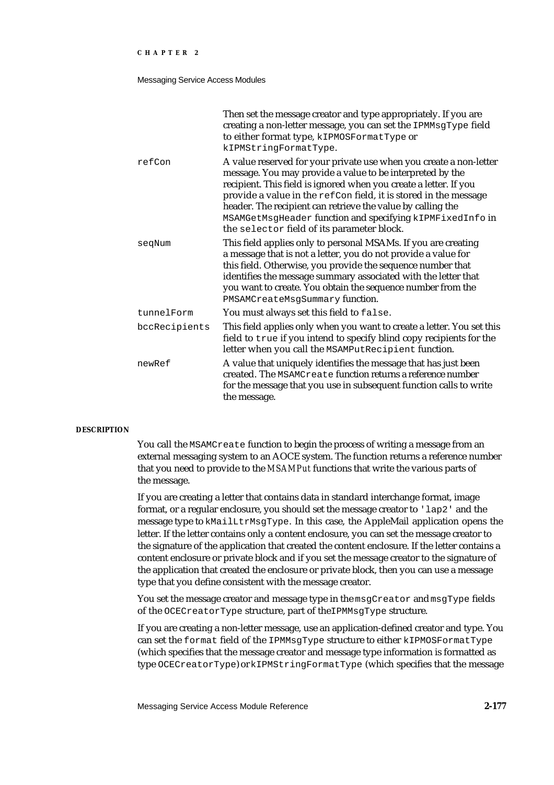#### Messaging Service Access Modules

|               | Then set the message creator and type appropriately. If you are<br>creating a non-letter message, you can set the IPMMsgType field<br>to either format type, kIPMOSFormatType or<br>kIPMStringFormatType.                                                                                                                                                                                                                                          |
|---------------|----------------------------------------------------------------------------------------------------------------------------------------------------------------------------------------------------------------------------------------------------------------------------------------------------------------------------------------------------------------------------------------------------------------------------------------------------|
| refCon        | A value reserved for your private use when you create a non-letter<br>message. You may provide a value to be interpreted by the<br>recipient. This field is ignored when you create a letter. If you<br>provide a value in the refCon field, it is stored in the message<br>header. The recipient can retrieve the value by calling the<br>MSAMGetMsgHeader function and specifying kIPMFixedInfo in<br>the selector field of its parameter block. |
| seqNum        | This field applies only to personal MSAMs. If you are creating<br>a message that is not a letter, you do not provide a value for<br>this field. Otherwise, you provide the sequence number that<br>identifies the message summary associated with the letter that<br>you want to create. You obtain the sequence number from the<br>PMSAMCreateMsgSummary function.                                                                                |
| tunnelForm    | You must always set this field to false.                                                                                                                                                                                                                                                                                                                                                                                                           |
| bccRecipients | This field applies only when you want to create a letter. You set this<br>field to true if you intend to specify blind copy recipients for the<br>letter when you call the MSAMPutRecipient function.                                                                                                                                                                                                                                              |
| newRef        | A value that uniquely identifies the message that has just been<br>created. The MSAMCreate function returns a reference number<br>for the message that you use in subsequent function calls to write<br>the message.                                                                                                                                                                                                                               |

#### **DESCRIPTION**

You call the MSAMCreate function to begin the process of writing a message from an external messaging system to an AOCE system. The function returns a reference number that you need to provide to the *MSAMPut* functions that write the various parts of the message.

If you are creating a letter that contains data in standard interchange format, image format, or a regular enclosure, you should set the message creator to 'lap2' and the message type to kMailLtrMsgType. In this case, the AppleMail application opens the letter. If the letter contains only a content enclosure, you can set the message creator to the signature of the application that created the content enclosure. If the letter contains a content enclosure or private block and if you set the message creator to the signature of the application that created the enclosure or private block, then you can use a message type that you define consistent with the message creator.

You set the message creator and message type in the msgCreator and msgType fields of the OCECreatorType structure, part of theIPMMsgType structure.

If you are creating a non-letter message, use an application-defined creator and type. You can set the format field of the IPMMsgType structure to either kIPMOSFormatType (which specifies that the message creator and message type information is formatted as type OCECreatorType) or kIPMStringFormatType (which specifies that the message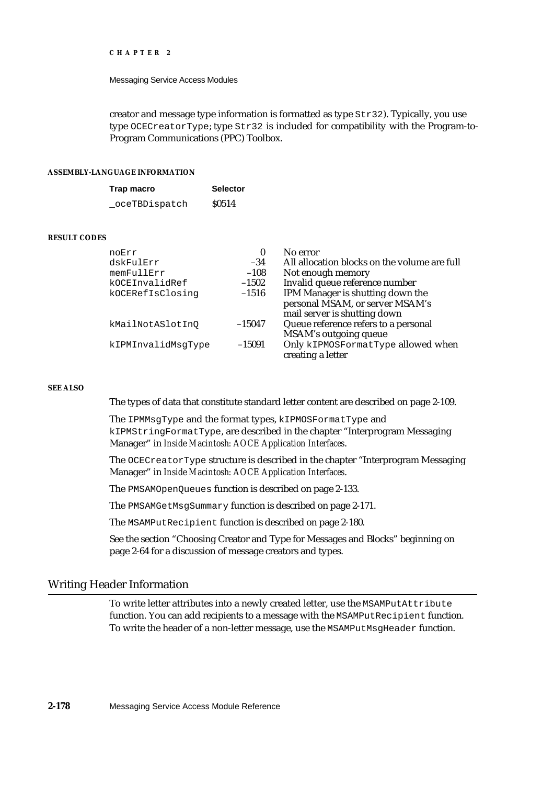#### Messaging Service Access Modules

creator and message type information is formatted as type Str32). Typically, you use type OCECreatorType; type Str32 is included for compatibility with the Program-to-Program Communications (PPC) Toolbox.

## **ASSEMBLY-LANGUAGE INFORMATION**

| Trap macro    | <b>Selector</b> |
|---------------|-----------------|
| oceTBDispatch | <b>S0514</b>    |

#### **RESULT CODES**

| noErr              | $\bf{0}$ | No error                                     |
|--------------------|----------|----------------------------------------------|
| dskFulErr          | $-34$    | All allocation blocks on the volume are full |
| memFullErr         | $-108$   | Not enough memory                            |
| kOCEInvalidRef     | $-1502$  | Invalid queue reference number               |
| kOCERefIsClosinq   | $-1516$  | IPM Manager is shutting down the             |
|                    |          | personal MSAM, or server MSAM's              |
|                    |          | mail server is shutting down                 |
| kMailNotASlotInO   | $-15047$ | Queue reference refers to a personal         |
|                    |          | MSAM's outgoing queue                        |
| kIPMInvalidMsgType | $-15091$ | Only kIPMOSFormatType allowed when           |
|                    |          | creating a letter                            |

## **SEE ALSO**

The types of data that constitute standard letter content are described on page 2-109.

The IPMMsgType and the format types, kIPMOSFormatType and kIPMStringFormatType, are described in the chapter "Interprogram Messaging Manager" in *Inside Macintosh: AOCE Application Interfaces*.

The OCECreatorType structure is described in the chapter "Interprogram Messaging Manager" in *Inside Macintosh: AOCE Application Interfaces*.

The PMSAMOpenQueues function is described on page 2-133.

The PMSAMGetMsgSummary function is described on page 2-171.

The MSAMPutRecipient function is described on page 2-180.

See the section "Choosing Creator and Type for Messages and Blocks" beginning on page 2-64 for a discussion of message creators and types.

# Writing Header Information

To write letter attributes into a newly created letter, use the MSAMPutAttribute function. You can add recipients to a message with the MSAMPutRecipient function. To write the header of a non-letter message, use the MSAMPutMsgHeader function.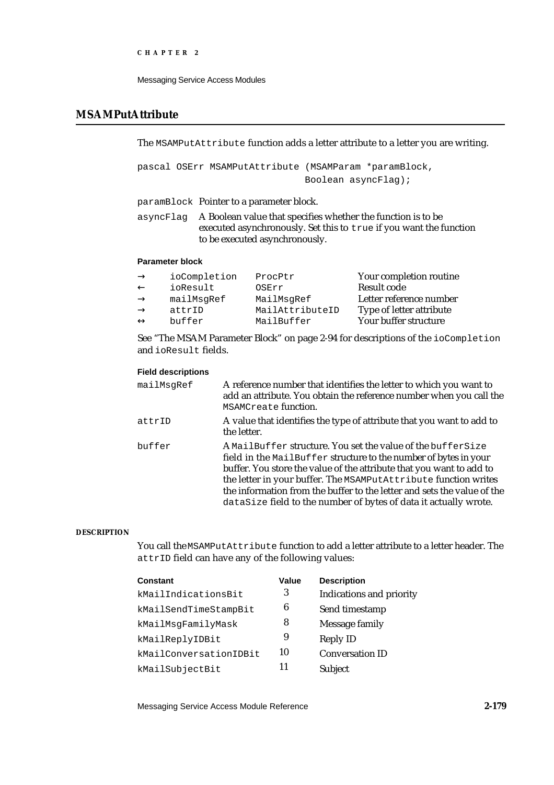```
CHAPTER 2
```
# **MSAMPutAttribute**

The MSAMPutAttribute function adds a letter attribute to a letter you are writing.

pascal OSErr MSAMPutAttribute (MSAMParam \*paramBlock, Boolean asyncFlag);

paramBlock Pointer to a parameter block.

asyncFlag A Boolean value that specifies whether the function is to be executed asynchronously. Set this to true if you want the function to be executed asynchronously.

# **Parameter block**

| ioCompletion | ProcPtr         | Your completion routine  |
|--------------|-----------------|--------------------------|
| ioResult     | OSErr           | Result code              |
| mailMsqRef   | MailMsqRef      | Letter reference number  |
| attrID       | MailAttributeID | Type of letter attribute |
| buffer       | MailBuffer      | Your buffer structure    |

See "The MSAM Parameter Block" on page 2-94 for descriptions of the ioCompletion and ioResult fields.

# **Field descriptions**

| mailMsqRef | A reference number that identifies the letter to which you want to<br>add an attribute. You obtain the reference number when you call the<br>MSAMCreate function.                                                                                                                                                                                                                                                         |
|------------|---------------------------------------------------------------------------------------------------------------------------------------------------------------------------------------------------------------------------------------------------------------------------------------------------------------------------------------------------------------------------------------------------------------------------|
| attrID     | A value that identifies the type of attribute that you want to add to<br>the letter.                                                                                                                                                                                                                                                                                                                                      |
| buffer     | A MailBuffer structure. You set the value of the bufferSize<br>field in the MailBuffer structure to the number of bytes in your<br>buffer. You store the value of the attribute that you want to add to<br>the letter in your buffer. The MSAMPutAttribute function writes<br>the information from the buffer to the letter and sets the value of the<br>dataSize field to the number of bytes of data it actually wrote. |

# **DESCRIPTION**

You call the MSAMPutAttribute function to add a letter attribute to a letter header. The attrID field can have any of the following values:

| <b>Constant</b>        | Value | <b>Description</b>              |
|------------------------|-------|---------------------------------|
| kMailIndicationsBit    | 3     | <b>Indications and priority</b> |
| kMailSendTimeStampBit  | 6     | Send timestamp                  |
| kMailMsgFamilyMask     | 8     | Message family                  |
| kMailReplyIDBit        | 9     | <b>Reply ID</b>                 |
| kMailConversationIDBit | 10    | <b>Conversation ID</b>          |
| kMailSubjectBit        | 11    | <b>Subject</b>                  |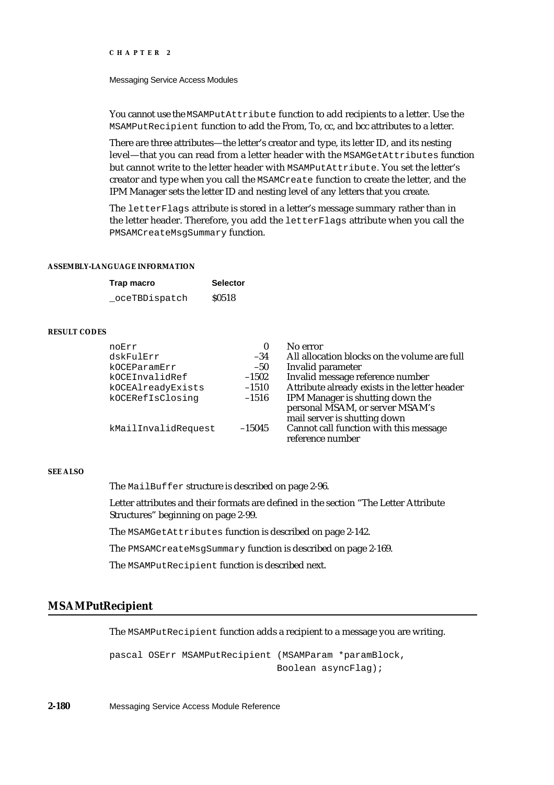#### Messaging Service Access Modules

You cannot use the MSAMPutAttribute function to add recipients to a letter. Use the MSAMPutRecipient function to add the From, To, cc, and bcc attributes to a letter.

There are three attributes—the letter's creator and type, its letter ID, and its nesting level—that you can read from a letter header with the MSAMGetAttributes function but cannot write to the letter header with MSAMPutAttribute. You set the letter's creator and type when you call the MSAMCreate function to create the letter, and the IPM Manager sets the letter ID and nesting level of any letters that you create.

The letterFlags attribute is stored in a letter's message summary rather than in the letter header. Therefore, you add the letterFlags attribute when you call the PMSAMCreateMsgSummary function.

## **ASSEMBLY-LANGUAGE INFORMATION**

| Trap macro     | <b>Selector</b> |
|----------------|-----------------|
| _oceTBDispatch | <b>S0518</b>    |

# **RESULT CODES**

| noErr               |          | No error                                                                                            |
|---------------------|----------|-----------------------------------------------------------------------------------------------------|
| dskFulErr           | $-34$    | All allocation blocks on the volume are full                                                        |
| kOCEParamErr        | $-50$    | Invalid parameter                                                                                   |
| kOCEInvalidRef      | $-1502$  | Invalid message reference number                                                                    |
| kOCEAlreadyExists   | $-1510$  | Attribute already exists in the letter header                                                       |
| kOCERefIsClosinq    | $-1516$  | IPM Manager is shutting down the<br>personal MSAM, or server MSAM's<br>mail server is shutting down |
| kMailInvalidRequest | $-15045$ | Cannot call function with this message<br>reference number                                          |

## **SEE ALSO**

The MailBuffer structure is described on page 2-96.

Letter attributes and their formats are defined in the section "The Letter Attribute Structures" beginning on page 2-99.

The MSAMGetAttributes function is described on page 2-142.

The PMSAMCreateMsgSummary function is described on page 2-169.

The MSAMPutRecipient function is described next.

# **MSAMPutRecipient**

The MSAMPutRecipient function adds a recipient to a message you are writing.

pascal OSErr MSAMPutRecipient (MSAMParam \*paramBlock, Boolean asyncFlag);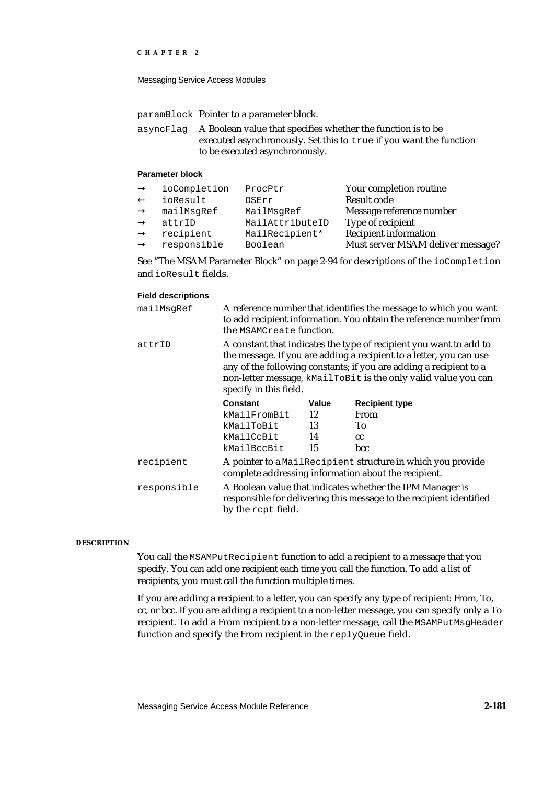```
CHAPTER 2
```
paramBlock Pointer to a parameter block.

asyncFlag A Boolean value that specifies whether the function is to be executed asynchronously. Set this to true if you want the function to be executed asynchronously.

# **Parameter block**

| ioCompletion | ProcPtr         | Your completion routine           |
|--------------|-----------------|-----------------------------------|
| ioResult     | OSErr           | Result code                       |
| mailMsgRef   | MailMsgRef      | Message reference number          |
| attrID       | MailAttributeID | Type of recipient                 |
| recipient    | MailRecipient*  | <b>Recipient information</b>      |
| responsible  | Boolean         | Must server MSAM deliver message? |

See "The MSAM Parameter Block" on page 2-94 for descriptions of the ioCompletion and ioResult fields.

## **Field descriptions**

| mailMsgRef  | A reference number that identifies the message to which you want<br>to add recipient information. You obtain the reference number from<br>the MSAMCreate function.                                                                                                                                          |       |                                                                                                                                  |
|-------------|-------------------------------------------------------------------------------------------------------------------------------------------------------------------------------------------------------------------------------------------------------------------------------------------------------------|-------|----------------------------------------------------------------------------------------------------------------------------------|
| attrID      | A constant that indicates the type of recipient you want to add to<br>the message. If you are adding a recipient to a letter, you can use<br>any of the following constants; if you are adding a recipient to a<br>non-letter message, kMailToBit is the only valid value you can<br>specify in this field. |       |                                                                                                                                  |
|             | Constant                                                                                                                                                                                                                                                                                                    | Value | <b>Recipient type</b>                                                                                                            |
|             | kMailFromBit                                                                                                                                                                                                                                                                                                | 12    | From                                                                                                                             |
|             | kMailToBit                                                                                                                                                                                                                                                                                                  | 13    | To                                                                                                                               |
|             | 14<br>kMailCcBit                                                                                                                                                                                                                                                                                            |       | cc                                                                                                                               |
|             | kMailBccBit                                                                                                                                                                                                                                                                                                 | 15    | bcc                                                                                                                              |
| recipient   |                                                                                                                                                                                                                                                                                                             |       | A pointer to a MailRecipient structure in which you provide<br>complete addressing information about the recipient.              |
| responsible | by the rept field.                                                                                                                                                                                                                                                                                          |       | A Boolean value that indicates whether the IPM Manager is<br>responsible for delivering this message to the recipient identified |

## **DESCRIPTION**

You call the MSAMPutRecipient function to add a recipient to a message that you specify. You can add one recipient each time you call the function. To add a list of recipients, you must call the function multiple times.

If you are adding a recipient to a letter, you can specify any type of recipient: From, To, cc, or bcc. If you are adding a recipient to a non-letter message, you can specify only a To recipient. To add a From recipient to a non-letter message, call the MSAMPutMsgHeader function and specify the From recipient in the replyQueue field.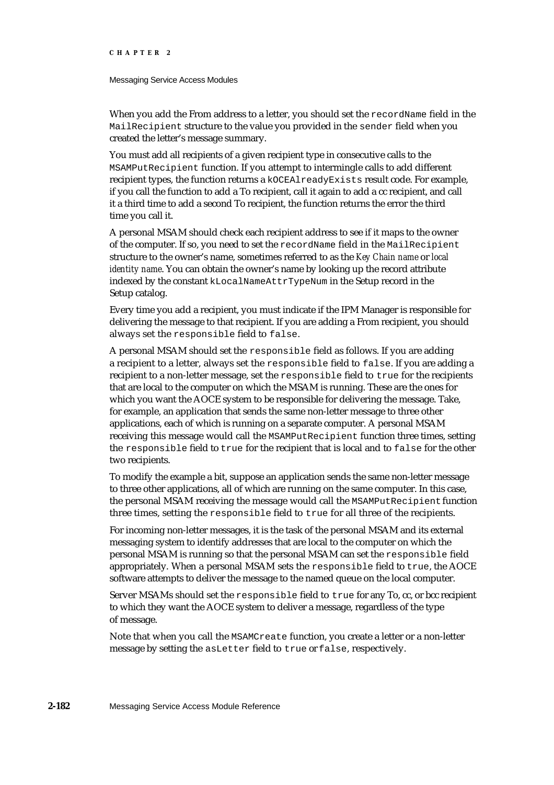#### Messaging Service Access Modules

When you add the From address to a letter, you should set the recordName field in the MailRecipient structure to the value you provided in the sender field when you created the letter's message summary.

You must add all recipients of a given recipient type in consecutive calls to the MSAMPutRecipient function. If you attempt to intermingle calls to add different recipient types, the function returns a kOCEAlreadyExists result code. For example, if you call the function to add a To recipient, call it again to add a cc recipient, and call it a third time to add a second To recipient, the function returns the error the third time you call it.

A personal MSAM should check each recipient address to see if it maps to the owner of the computer. If so, you need to set the recordName field in the MailRecipient structure to the owner's name, sometimes referred to as the *Key Chain name* or *local identity name*. You can obtain the owner's name by looking up the record attribute indexed by the constant kLocalNameAttrTypeNum in the Setup record in the Setup catalog.

Every time you add a recipient, you must indicate if the IPM Manager is responsible for delivering the message to that recipient. If you are adding a From recipient, you should always set the responsible field to false.

A personal MSAM should set the responsible field as follows. If you are adding a recipient to a letter, always set the responsible field to false. If you are adding a recipient to a non-letter message, set the responsible field to true for the recipients that are local to the computer on which the MSAM is running. These are the ones for which you want the AOCE system to be responsible for delivering the message. Take, for example, an application that sends the same non-letter message to three other applications, each of which is running on a separate computer. A personal MSAM receiving this message would call the MSAMPutRecipient function three times, setting the responsible field to true for the recipient that is local and to false for the other two recipients.

To modify the example a bit, suppose an application sends the same non-letter message to three other applications, all of which are running on the same computer. In this case, the personal MSAM receiving the message would call the MSAMPutRecipient function three times, setting the responsible field to true for all three of the recipients.

For incoming non-letter messages, it is the task of the personal MSAM and its external messaging system to identify addresses that are local to the computer on which the personal MSAM is running so that the personal MSAM can set the responsible field appropriately. When a personal MSAM sets the responsible field to true, the AOCE software attempts to deliver the message to the named queue on the local computer.

Server MSAMs should set the responsible field to true for any To, cc, or bcc recipient to which they want the AOCE system to deliver a message, regardless of the type of message.

Note that when you call the MSAMCreate function, you create a letter or a non-letter message by setting the asLetter field to true or false, respectively.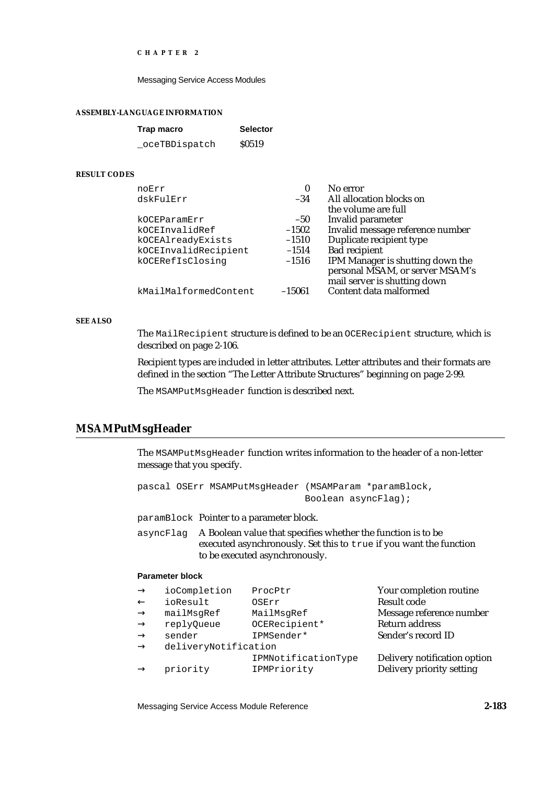Messaging Service Access Modules

#### **ASSEMBLY-LANGUAGE INFORMATION**

| Trap macro     | <b>Selector</b> |
|----------------|-----------------|
| _oceTBDispatch | <b>S0519</b>    |

## **RESULT CODES**

| noErr                 | 0        | No error                         |
|-----------------------|----------|----------------------------------|
| dskFulErr             | $-34$    | All allocation blocks on         |
|                       |          | the volume are full              |
| kOCEParamErr          | $-50$    | Invalid parameter                |
| kOCEInvalidRef        | $-1502$  | Invalid message reference number |
| kOCEAlreadyExists     | $-1510$  | Duplicate recipient type         |
| kOCEInvalidRecipient  | $-1514$  | <b>Bad recipient</b>             |
| kOCERefIsClosing      | $-1516$  | IPM Manager is shutting down the |
|                       |          | personal MSAM, or server MSAM's  |
|                       |          | mail server is shutting down     |
| kMailMalformedContent | $-15061$ | Content data malformed           |

# **SEE ALSO**

The MailRecipient structure is defined to be an OCERecipient structure, which is described on page 2-106.

Recipient types are included in letter attributes. Letter attributes and their formats are defined in the section "The Letter Attribute Structures" beginning on page 2-99.

The MSAMPutMsgHeader function is described next.

# **MSAMPutMsgHeader**

The MSAMPutMsgHeader function writes information to the header of a non-letter message that you specify.

```
pascal OSErr MSAMPutMsgHeader (MSAMParam *paramBlock,
                              Boolean asyncFlag);
```
paramBlock Pointer to a parameter block.

asyncFlag A Boolean value that specifies whether the function is to be executed asynchronously. Set this to true if you want the function to be executed asynchronously.

## **Parameter block**

| ioCompletion         | ProcPtr             | Your completion routine      |
|----------------------|---------------------|------------------------------|
| ioResult             | OSErr               | <b>Result code</b>           |
| mailMsqRef           | MailMsqRef          | Message reference number     |
| replyQueue           | OCERecipient*       | <b>Return address</b>        |
| sender               | IPMSender*          | Sender's record ID           |
| deliveryNotification |                     |                              |
|                      | IPMNotificationType | Delivery notification option |
| priority             | IPMPriority         | Delivery priority setting    |
|                      |                     |                              |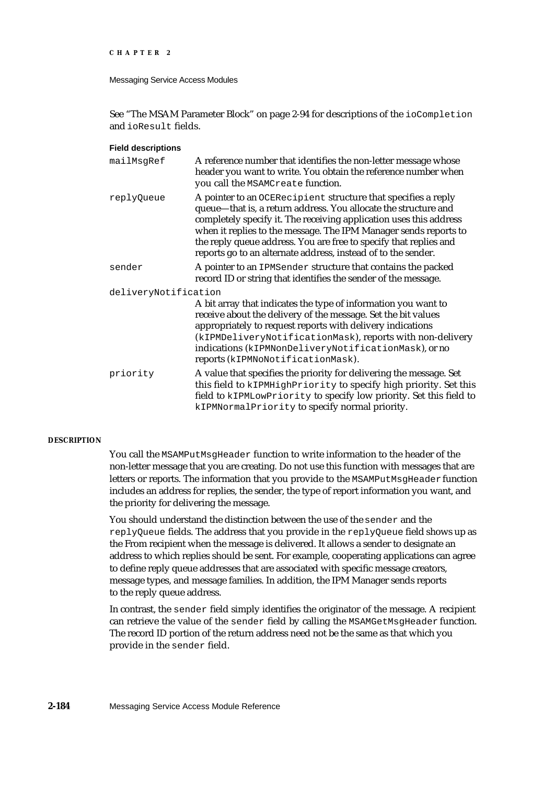```
CHAPTER 2
```
See "The MSAM Parameter Block" on page 2-94 for descriptions of the ioCompletion and ioResult fields.

| <b>Field descriptions</b> |                                                                                                                                                                                                                                                                                                                                                                                                                  |
|---------------------------|------------------------------------------------------------------------------------------------------------------------------------------------------------------------------------------------------------------------------------------------------------------------------------------------------------------------------------------------------------------------------------------------------------------|
| mailMsgRef                | A reference number that identifies the non-letter message whose<br>header you want to write. You obtain the reference number when<br>you call the MSAMCreate function.                                                                                                                                                                                                                                           |
| replyQueue                | A pointer to an OCERecipient structure that specifies a reply<br>queue-that is, a return address. You allocate the structure and<br>completely specify it. The receiving application uses this address<br>when it replies to the message. The IPM Manager sends reports to<br>the reply queue address. You are free to specify that replies and<br>reports go to an alternate address, instead of to the sender. |
| sender                    | A pointer to an IPMSender structure that contains the packed<br>record ID or string that identifies the sender of the message.                                                                                                                                                                                                                                                                                   |
| deliveryNotification      | A bit array that indicates the type of information you want to<br>receive about the delivery of the message. Set the bit values<br>appropriately to request reports with delivery indications<br>(kIPMDeliveryNotificationMask), reports with non-delivery<br>indications (kIPMNonDeliveryNotificationMask), or no<br>reports (kIPMNoNotificationMask).                                                          |
| priority                  | A value that specifies the priority for delivering the message. Set<br>this field to kIPMHighPriority to specify high priority. Set this<br>field to kIPMLowPriority to specify low priority. Set this field to<br>kIPMNormalPriority to specify normal priority.                                                                                                                                                |

# **DESCRIPTION**

You call the MSAMPutMsgHeader function to write information to the header of the non-letter message that you are creating. Do not use this function with messages that are letters or reports. The information that you provide to the MSAMPutMsgHeader function includes an address for replies, the sender, the type of report information you want, and the priority for delivering the message.

You should understand the distinction between the use of the sender and the replyQueue fields. The address that you provide in the replyQueue field shows up as the From recipient when the message is delivered. It allows a sender to designate an address to which replies should be sent. For example, cooperating applications can agree to define reply queue addresses that are associated with specific message creators, message types, and message families. In addition, the IPM Manager sends reports to the reply queue address.

In contrast, the sender field simply identifies the originator of the message. A recipient can retrieve the value of the sender field by calling the MSAMGetMsgHeader function. The record ID portion of the return address need not be the same as that which you provide in the sender field.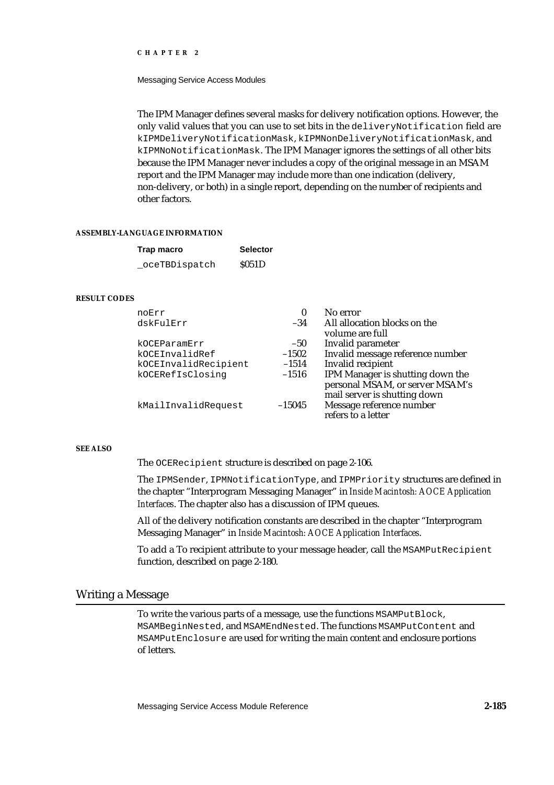Messaging Service Access Modules

The IPM Manager defines several masks for delivery notification options. However, the only valid values that you can use to set bits in the deliveryNotification field are kIPMDeliveryNotificationMask, kIPMNonDeliveryNotificationMask, and kIPMNoNotificationMask. The IPM Manager ignores the settings of all other bits because the IPM Manager never includes a copy of the original message in an MSAM report and the IPM Manager may include more than one indication (delivery, non-delivery, or both) in a single report, depending on the number of recipients and other factors.

#### **ASSEMBLY-LANGUAGE INFORMATION**

| Trap macro     | <b>Selector</b> |
|----------------|-----------------|
| _oceTBDispatch | \$051D          |

#### **RESULT CODES**

| noErr                | 0        | No error                                        |
|----------------------|----------|-------------------------------------------------|
| dskFulErr            | $-34$    | All allocation blocks on the<br>volume are full |
| kOCEParamErr         | $-50$    | Invalid parameter                               |
| kOCEInvalidRef       | $-1502$  | Invalid message reference number                |
| kOCEInvalidRecipient | $-1514$  | Invalid recipient                               |
| kOCERefIsClosinq     | $-1516$  | IPM Manager is shutting down the                |
|                      |          | personal MSAM, or server MSAM's                 |
|                      |          | mail server is shutting down                    |
| kMailInvalidRequest  | $-15045$ | Message reference number                        |
|                      |          | refers to a letter                              |

# **SEE ALSO**

The OCERecipient structure is described on page 2-106.

The IPMSender, IPMNotificationType, and IPMPriority structures are defined in the chapter "Interprogram Messaging Manager" in *Inside Macintosh: AOCE Application Interfaces*. The chapter also has a discussion of IPM queues.

All of the delivery notification constants are described in the chapter "Interprogram Messaging Manager" in *Inside Macintosh: AOCE Application Interfaces*.

To add a To recipient attribute to your message header, call the MSAMPutRecipient function, described on page 2-180.

# Writing a Message

To write the various parts of a message, use the functions MSAMPutBlock, MSAMBeginNested, and MSAMEndNested. The functions MSAMPutContent and MSAMPutEnclosure are used for writing the main content and enclosure portions of letters.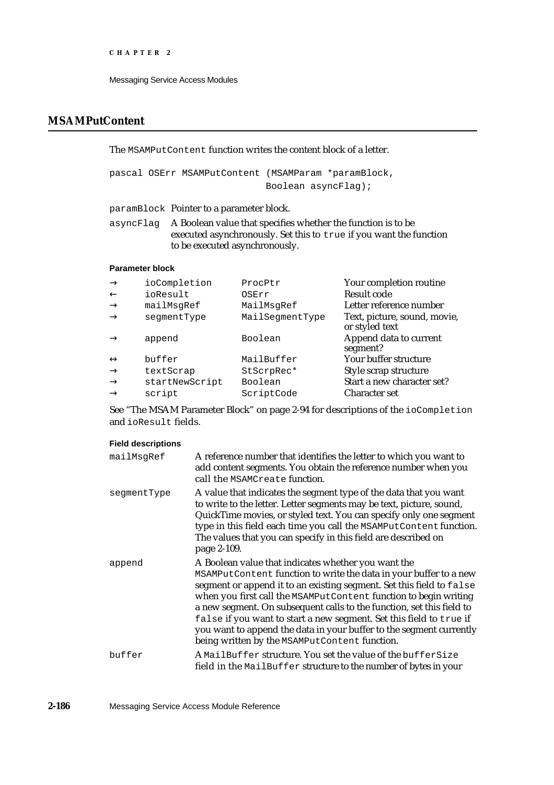# **MSAMPutContent**

The MSAMPutContent function writes the content block of a letter.

pascal OSErr MSAMPutContent (MSAMParam \*paramBlock, Boolean asyncFlag);

paramBlock Pointer to a parameter block.

asyncFlag A Boolean value that specifies whether the function is to be executed asynchronously. Set this to true if you want the function to be executed asynchronously.

## **Parameter block**

| ioCompletion   | ProcPtr         | Your completion routine                        |
|----------------|-----------------|------------------------------------------------|
| ioResult       | OSErr           | Result code                                    |
| mailMsgRef     | MailMsgRef      | Letter reference number                        |
| seqmentType    | MailSeqmentType | Text, picture, sound, movie,<br>or styled text |
| append         | Boolean         | Append data to current<br>segment?             |
| buffer         | MailBuffer      | Your buffer structure                          |
| textScrap      | StScrpRec*      | Style scrap structure                          |
| startNewScript | Boolean         | Start a new character set?                     |
| script         | ScriptCode      | <b>Character set</b>                           |

See "The MSAM Parameter Block" on page 2-94 for descriptions of the ioCompletion and ioResult fields.

# **Field descriptions**

| mailMsgRef  | A reference number that identifies the letter to which you want to<br>add content segments. You obtain the reference number when you<br>call the MSAMCreate function.                                                                                                                                                                                                                                                                                                                                                                        |
|-------------|----------------------------------------------------------------------------------------------------------------------------------------------------------------------------------------------------------------------------------------------------------------------------------------------------------------------------------------------------------------------------------------------------------------------------------------------------------------------------------------------------------------------------------------------|
| seqmentType | A value that indicates the segment type of the data that you want<br>to write to the letter. Letter segments may be text, picture, sound,<br>QuickTime movies, or styled text. You can specify only one segment<br>type in this field each time you call the MSAMPutContent function.<br>The values that you can specify in this field are described on<br>page 2-109.                                                                                                                                                                       |
| append      | A Boolean value that indicates whether you want the<br>MSAMPutContent function to write the data in your buffer to a new<br>segment or append it to an existing segment. Set this field to false<br>when you first call the MSAMPutContent function to begin writing<br>a new segment. On subsequent calls to the function, set this field to<br>false if you want to start a new segment. Set this field to true if<br>you want to append the data in your buffer to the segment currently<br>being written by the MSAMPutContent function. |
| buffer      | A MailBuffer structure. You set the value of the bufferSize<br>field in the MailBuffer structure to the number of bytes in your                                                                                                                                                                                                                                                                                                                                                                                                              |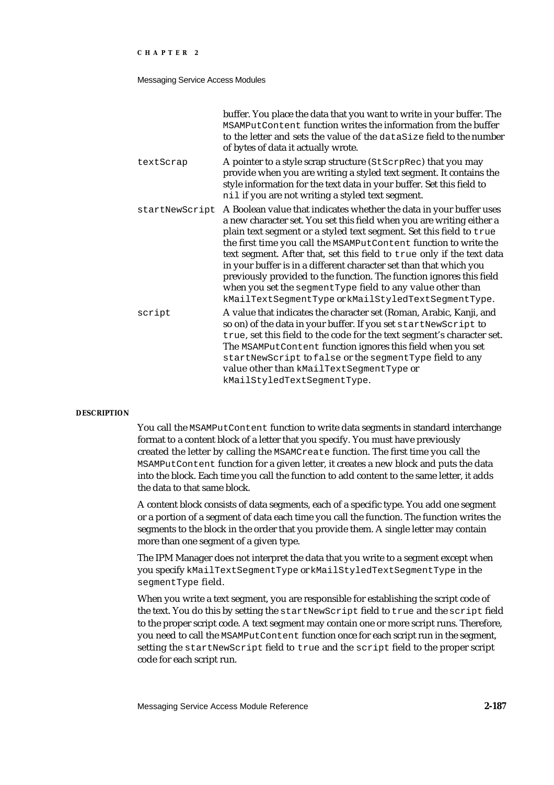#### Messaging Service Access Modules

|                | buffer. You place the data that you want to write in your buffer. The<br>MSAMPutContent function writes the information from the buffer<br>to the letter and sets the value of the dataSize field to the number<br>of bytes of data it actually wrote.                                                                                                                                                                                                                                                                                                                                                                                |
|----------------|---------------------------------------------------------------------------------------------------------------------------------------------------------------------------------------------------------------------------------------------------------------------------------------------------------------------------------------------------------------------------------------------------------------------------------------------------------------------------------------------------------------------------------------------------------------------------------------------------------------------------------------|
| textScrap      | A pointer to a style scrap structure (StScrpRec) that you may<br>provide when you are writing a styled text segment. It contains the<br>style information for the text data in your buffer. Set this field to<br>nil if you are not writing a styled text segment.                                                                                                                                                                                                                                                                                                                                                                    |
| startNewScript | A Boolean value that indicates whether the data in your buffer uses<br>a new character set. You set this field when you are writing either a<br>plain text segment or a styled text segment. Set this field to true<br>the first time you call the MSAMPutContent function to write the<br>text segment. After that, set this field to true only if the text data<br>in your buffer is in a different character set than that which you<br>previously provided to the function. The function ignores this field<br>when you set the segment Type field to any value other than<br>kMailTextSegmentType or kMailStyledTextSegmentType. |
| script         | A value that indicates the character set (Roman, Arabic, Kanji, and<br>so on) of the data in your buffer. If you set startNewScript to<br>true, set this field to the code for the text segment's character set.<br>The MSAMPutContent function ignores this field when you set<br>startNewScript to false or the segmentType field to any<br>value other than kMailTextSegmentType or<br>kMailStyledTextSegmentType.                                                                                                                                                                                                                 |

#### **DESCRIPTION**

You call the MSAMPutContent function to write data segments in standard interchange format to a content block of a letter that you specify. You must have previously created the letter by calling the MSAMCreate function. The first time you call the MSAMPutContent function for a given letter, it creates a new block and puts the data into the block. Each time you call the function to add content to the same letter, it adds the data to that same block.

A content block consists of data segments, each of a specific type. You add one segment or a portion of a segment of data each time you call the function. The function writes the segments to the block in the order that you provide them. A single letter may contain more than one segment of a given type.

The IPM Manager does not interpret the data that you write to a segment except when you specify kMailTextSegmentType or kMailStyledTextSegmentType in the segmentType field.

When you write a text segment, you are responsible for establishing the script code of the text. You do this by setting the startNewScript field to true and the script field to the proper script code. A text segment may contain one or more script runs. Therefore, you need to call the MSAMPutContent function once for each script run in the segment, setting the startNewScript field to true and the script field to the proper script code for each script run.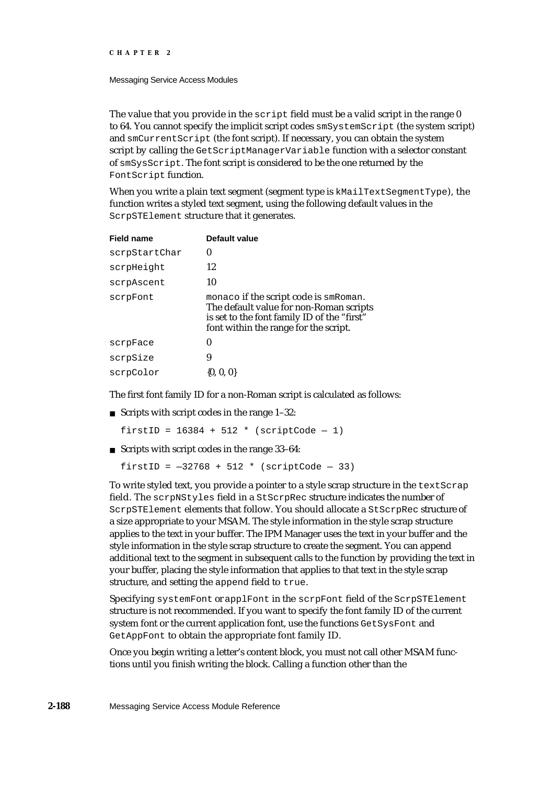Messaging Service Access Modules

The value that you provide in the script field must be a valid script in the range  $0$ to 64. You cannot specify the implicit script codes smSystemScript (the system script) and smCurrentScript (the font script). If necessary, you can obtain the system script by calling the GetScriptManagerVariable function with a selector constant of smSysScript. The font script is considered to be the one returned by the FontScript function.

When you write a plain text segment (segment type is kMailTextSegmentType), the function writes a styled text segment, using the following default values in the ScrpSTElement structure that it generates.

| <b>Field name</b> | Default value                                                                                                                                                            |
|-------------------|--------------------------------------------------------------------------------------------------------------------------------------------------------------------------|
| scrpStartChar     | 0                                                                                                                                                                        |
| scrpHeight        | 12                                                                                                                                                                       |
| scrpAscent        | 10                                                                                                                                                                       |
| scrpFont          | monaco if the script code is smRoman.<br>The default value for non-Roman scripts<br>is set to the font family ID of the "first"<br>font within the range for the script. |
| scrpFace          | 0                                                                                                                                                                        |
| scrpSize          | 9                                                                                                                                                                        |
| scrpColor         | $\{0, 0, 0\}$                                                                                                                                                            |

The first font family ID for a non-Roman script is calculated as follows:

Scripts with script codes in the range 1–32:

firstID =  $16384 + 512 *$  (scriptCode - 1)

Scripts with script codes in the range 33–64:

firstID =  $-32768 + 512 *$  (scriptCode - 33)

To write styled text, you provide a pointer to a style scrap structure in the textScrap field. The scrpNStyles field in a StScrpRec structure indicates the number of ScrpSTElement elements that follow. You should allocate a StScrpRec structure of a size appropriate to your MSAM. The style information in the style scrap structure applies to the text in your buffer. The IPM Manager uses the text in your buffer and the style information in the style scrap structure to create the segment. You can append additional text to the segment in subsequent calls to the function by providing the text in your buffer, placing the style information that applies to that text in the style scrap structure, and setting the append field to true.

Specifying systemFont or applFont in the scrpFont field of the ScrpSTElement structure is not recommended. If you want to specify the font family ID of the current system font or the current application font, use the functions GetSysFont and GetAppFont to obtain the appropriate font family ID.

Once you begin writing a letter's content block, you must not call other MSAM functions until you finish writing the block. Calling a function other than the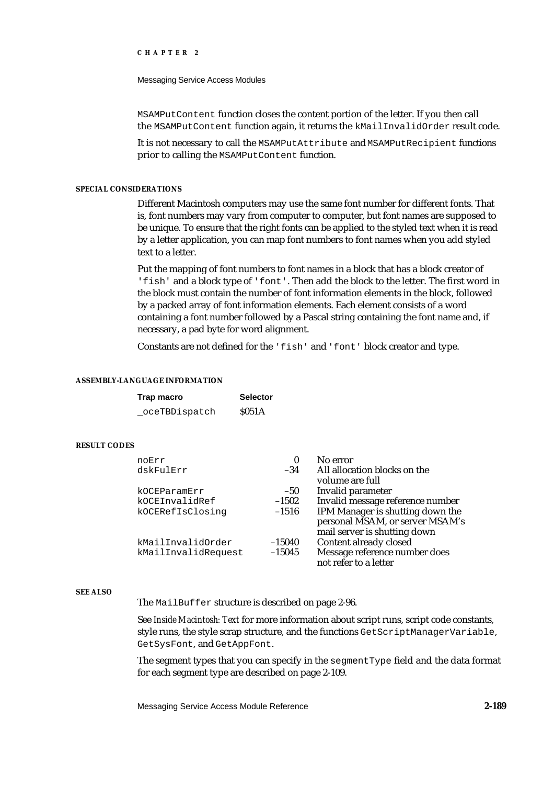Messaging Service Access Modules

MSAMPutContent function closes the content portion of the letter. If you then call the MSAMPutContent function again, it returns the kMailInvalidOrder result code.

It is not necessary to call the MSAMPutAttribute and MSAMPutRecipient functions prior to calling the MSAMPutContent function.

## **SPECIAL CONSIDERATIONS**

Different Macintosh computers may use the same font number for different fonts. That is, font numbers may vary from computer to computer, but font names are supposed to be unique. To ensure that the right fonts can be applied to the styled text when it is read by a letter application, you can map font numbers to font names when you add styled text to a letter.

Put the mapping of font numbers to font names in a block that has a block creator of 'fish' and a block type of 'font'. Then add the block to the letter. The first word in the block must contain the number of font information elements in the block, followed by a packed array of font information elements. Each element consists of a word containing a font number followed by a Pascal string containing the font name and, if necessary, a pad byte for word alignment.

Constants are not defined for the 'fish' and 'font' block creator and type.

#### **ASSEMBLY-LANGUAGE INFORMATION**

| Trap macro    | <b>Selector</b> |
|---------------|-----------------|
| oceTBDispatch | \$051A          |

## **RESULT CODES**

| noErr               | 0        | No error                         |
|---------------------|----------|----------------------------------|
| dskFulErr           | $-34$    | All allocation blocks on the     |
|                     |          | volume are full                  |
| kOCEParamErr        | $-50$    | Invalid parameter                |
| kOCEInvalidRef      | $-1502$  | Invalid message reference number |
| kOCERefIsClosing    | $-1516$  | IPM Manager is shutting down the |
|                     |          | personal MSAM, or server MSAM's  |
|                     |          | mail server is shutting down     |
| kMailInvalidOrder   | $-15040$ | Content already closed           |
| kMailInvalidRequest | $-15045$ | Message reference number does    |
|                     |          | not refer to a letter            |

#### **SEE ALSO**

The MailBuffer structure is described on page 2-96.

See *Inside Macintosh: Text* for more information about script runs, script code constants, style runs, the style scrap structure, and the functions GetScriptManagerVariable, GetSysFont, and GetAppFont.

The segment types that you can specify in the segmentType field and the data format for each segment type are described on page 2-109.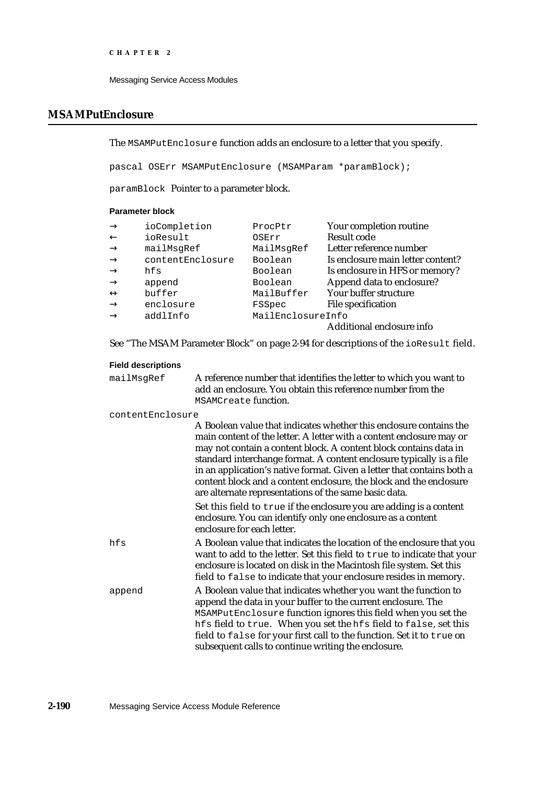```
CHAPTER 2
```
# **MSAMPutEnclosure**

The MSAMPutEnclosure function adds an enclosure to a letter that you specify.

pascal OSErr MSAMPutEnclosure (MSAMParam \*paramBlock);

paramBlock Pointer to a parameter block.

# **Parameter block**

| ioCompletion     | ProcPtr           | Your completion routine           |
|------------------|-------------------|-----------------------------------|
| ioResult         | OSErr             | Result code                       |
| mailMsqRef       | MailMsgRef        | Letter reference number           |
| contentEnclosure | Boolean           | Is enclosure main letter content? |
| hfs              | Boolean           | Is enclosure in HFS or memory?    |
| append           | Boolean           | Append data to enclosure?         |
| buffer           | MailBuffer        | Your buffer structure             |
| enclosure        | FSSpec            | File specification                |
| addlInfo         | MailEnclosureInfo |                                   |
|                  |                   | Additional enclosure info         |

See "The MSAM Parameter Block" on page 2-94 for descriptions of the ioResult field.

# **Field descriptions**

| mailMsqRef | A reference number that identifies the letter to which you want to |
|------------|--------------------------------------------------------------------|
|            | add an enclosure. You obtain this reference number from the        |
|            | MSAMCreate function.                                               |

contentEnclosure

|        | A Boolean value that indicates whether this enclosure contains the<br>main content of the letter. A letter with a content enclosure may or<br>may not contain a content block. A content block contains data in<br>standard interchange format. A content enclosure typically is a file<br>in an application's native format. Given a letter that contains both a<br>content block and a content enclosure, the block and the enclosure<br>are alternate representations of the same basic data. |
|--------|--------------------------------------------------------------------------------------------------------------------------------------------------------------------------------------------------------------------------------------------------------------------------------------------------------------------------------------------------------------------------------------------------------------------------------------------------------------------------------------------------|
|        | Set this field to true if the enclosure you are adding is a content<br>enclosure. You can identify only one enclosure as a content<br>enclosure for each letter.                                                                                                                                                                                                                                                                                                                                 |
| hfs    | A Boolean value that indicates the location of the enclosure that you<br>want to add to the letter. Set this field to true to indicate that your<br>enclosure is located on disk in the Macintosh file system. Set this<br>field to false to indicate that your enclosure resides in memory.                                                                                                                                                                                                     |
| append | A Boolean value that indicates whether you want the function to<br>append the data in your buffer to the current enclosure. The<br>MSAMPutEnclosure function ignores this field when you set the<br>hfs field to true. When you set the hfs field to false, set this<br>field to false for your first call to the function. Set it to true on<br>subsequent calls to continue writing the enclosure.                                                                                             |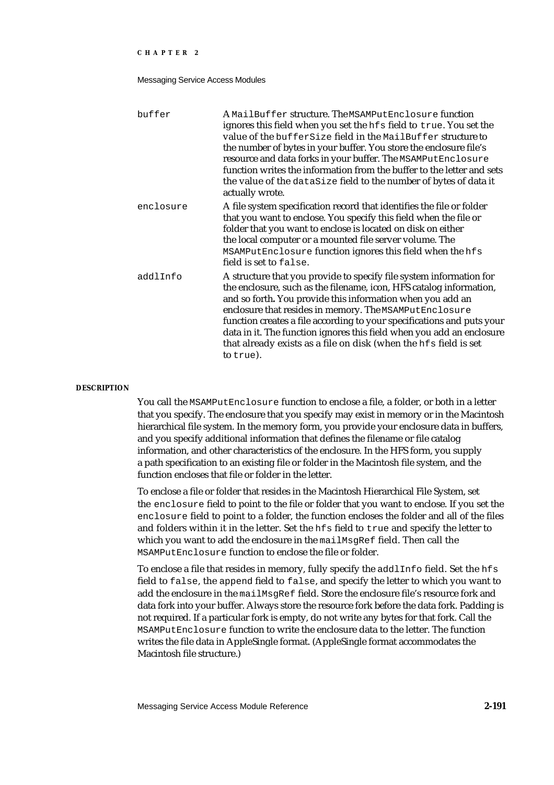Messaging Service Access Modules

| buffer    | $\bm{\mathrm{A}}$ MailBuffer structure. The <code>MSAMPutEnclosure</code> function<br>ignores this field when you set the hfs field to true. You set the<br>value of the bufferSize field in the MailBuffer structure to<br>the number of bytes in your buffer. You store the enclosure file's<br>resource and data forks in your buffer. The MSAMPutEnclosure<br>function writes the information from the buffer to the letter and sets<br>the value of the dataSize field to the number of bytes of data it<br>actually wrote. |
|-----------|----------------------------------------------------------------------------------------------------------------------------------------------------------------------------------------------------------------------------------------------------------------------------------------------------------------------------------------------------------------------------------------------------------------------------------------------------------------------------------------------------------------------------------|
| enclosure | A file system specification record that identifies the file or folder<br>that you want to enclose. You specify this field when the file or<br>folder that you want to enclose is located on disk on either<br>the local computer or a mounted file server volume. The<br>MSAMPutEnclosure function ignores this field when the hfs<br>field is set to false.                                                                                                                                                                     |
| addlInfo  | A structure that you provide to specify file system information for<br>the enclosure, such as the filename, icon, HFS catalog information,<br>and so forth. You provide this information when you add an<br>enclosure that resides in memory. The MSAMPutEnclosure<br>function creates a file according to your specifications and puts your<br>data in it. The function ignores this field when you add an enclosure<br>that already exists as a file on disk (when the hfs field is set<br>to true).                           |

#### **DESCRIPTION**

You call the MSAMPutEnclosure function to enclose a file, a folder, or both in a letter that you specify. The enclosure that you specify may exist in memory or in the Macintosh hierarchical file system. In the memory form, you provide your enclosure data in buffers, and you specify additional information that defines the filename or file catalog information, and other characteristics of the enclosure. In the HFS form, you supply a path specification to an existing file or folder in the Macintosh file system, and the function encloses that file or folder in the letter.

To enclose a file or folder that resides in the Macintosh Hierarchical File System, set the enclosure field to point to the file or folder that you want to enclose. If you set the enclosure field to point to a folder, the function encloses the folder and all of the files and folders within it in the letter. Set the hfs field to true and specify the letter to which you want to add the enclosure in the mailMsqRef field. Then call the MSAMPutEnclosure function to enclose the file or folder.

To enclose a file that resides in memory, fully specify the addlInfo field. Set the hfs field to false, the append field to false, and specify the letter to which you want to add the enclosure in the mailMsgRef field. Store the enclosure file's resource fork and data fork into your buffer. Always store the resource fork before the data fork. Padding is not required. If a particular fork is empty, do not write any bytes for that fork. Call the MSAMPutEnclosure function to write the enclosure data to the letter. The function writes the file data in AppleSingle format. (AppleSingle format accommodates the Macintosh file structure.)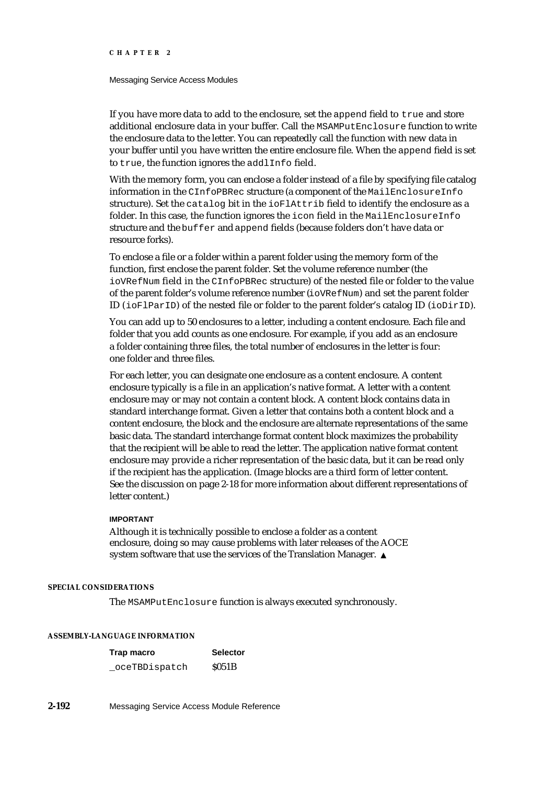#### Messaging Service Access Modules

If you have more data to add to the enclosure, set the append field to true and store additional enclosure data in your buffer. Call the MSAMPutEnclosure function to write the enclosure data to the letter. You can repeatedly call the function with new data in your buffer until you have written the entire enclosure file. When the append field is set to true, the function ignores the addlInfo field.

With the memory form, you can enclose a folder instead of a file by specifying file catalog information in the CInfoPBRec structure (a component of the MailEnclosureInfo structure). Set the catalog bit in the ioFlAttrib field to identify the enclosure as a folder. In this case, the function ignores the icon field in the MailEnclosureInfo structure and the buffer and append fields (because folders don't have data or resource forks).

To enclose a file or a folder within a parent folder using the memory form of the function, first enclose the parent folder. Set the volume reference number (the ioVRefNum field in the CInfoPBRec structure) of the nested file or folder to the value of the parent folder's volume reference number (ioVRefNum) and set the parent folder ID (ioFlParID) of the nested file or folder to the parent folder's catalog ID (ioDirID).

You can add up to 50 enclosures to a letter, including a content enclosure. Each file and folder that you add counts as one enclosure. For example, if you add as an enclosure a folder containing three files, the total number of enclosures in the letter is four: one folder and three files.

For each letter, you can designate one enclosure as a content enclosure. A content enclosure typically is a file in an application's native format. A letter with a content enclosure may or may not contain a content block. A content block contains data in standard interchange format. Given a letter that contains both a content block and a content enclosure, the block and the enclosure are alternate representations of the same basic data. The standard interchange format content block maximizes the probability that the recipient will be able to read the letter. The application native format content enclosure may provide a richer representation of the basic data, but it can be read only if the recipient has the application. (Image blocks are a third form of letter content. See the discussion on page 2-18 for more information about different representations of letter content.)

# **IMPORTANT**

Although it is technically possible to enclose a folder as a content enclosure, doing so may cause problems with later releases of the AOCE system software that use the services of the Translation Manager.

## **SPECIAL CONSIDERATIONS**

The MSAMPutEnclosure function is always executed synchronously.

#### **ASSEMBLY-LANGUAGE INFORMATION**

| Trap macro    | <b>Selector</b>   |
|---------------|-------------------|
| oceTBDispatch | S <sub>051B</sub> |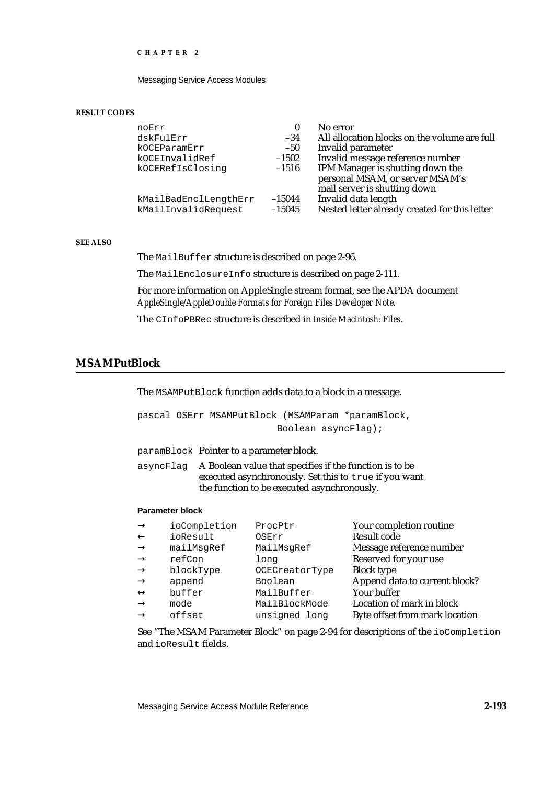Messaging Service Access Modules

#### **RESULT CODES**

| noErr                                        | 0                    | No error                                                             |
|----------------------------------------------|----------------------|----------------------------------------------------------------------|
| dskFulErr                                    | $-34$                | All allocation blocks on the volume are full                         |
| kOCEParamErr                                 | $-50$                | Invalid parameter                                                    |
| kOCEInvalidRef                               | $-1502$              | Invalid message reference number                                     |
| kOCERefIsClosinq                             | $-1516$              | IPM Manager is shutting down the<br>personal MSAM, or server MSAM's  |
|                                              |                      | mail server is shutting down                                         |
| kMailBadEnclLengthErr<br>kMailInvalidRequest | $-15044$<br>$-15045$ | Invalid data length<br>Nested letter already created for this letter |

# **SEE ALSO**

The MailBuffer structure is described on page 2-96.

The MailEnclosureInfo structure is described on page 2-111.

For more information on AppleSingle stream format, see the APDA document *AppleSingle/AppleDouble Formats for Foreign Files Developer Note.*

The CInfoPBRec structure is described in *Inside Macintosh: Files*.

# **MSAMPutBlock**

The MSAMPutBlock function adds data to a block in a message.

pascal OSErr MSAMPutBlock (MSAMParam \*paramBlock, Boolean asyncFlag);

paramBlock Pointer to a parameter block.

asyncFlag A Boolean value that specifies if the function is to be executed asynchronously. Set this to true if you want the function to be executed asynchronously.

# **Parameter block**

| ioCompletion | ProcPtr        | Your completion routine        |
|--------------|----------------|--------------------------------|
| ioResult     | OSErr          | <b>Result code</b>             |
| mailMsqRef   | MailMsgRef     | Message reference number       |
| refCon       | long           | Reserved for your use          |
| blockType    | OCECreatorType | <b>Block type</b>              |
| append       | Boolean        | Append data to current block?  |
| buffer       | MailBuffer     | Your buffer                    |
| mode         | MailBlockMode  | Location of mark in block      |
| offset       | unsigned long  | Byte offset from mark location |

See "The MSAM Parameter Block" on page 2-94 for descriptions of the ioCompletion and ioResult fields.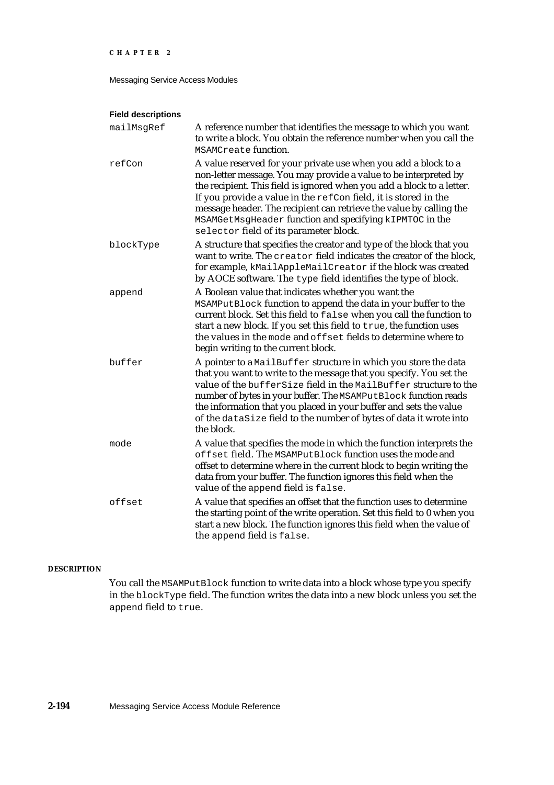Messaging Service Access Modules

# **Field descriptions**

| mailMsgRef | A reference number that identifies the message to which you want<br>to write a block. You obtain the reference number when you call the<br>MSAMCreate function.                                                                                                                                                                                                                                                                                              |
|------------|--------------------------------------------------------------------------------------------------------------------------------------------------------------------------------------------------------------------------------------------------------------------------------------------------------------------------------------------------------------------------------------------------------------------------------------------------------------|
| refCon     | A value reserved for your private use when you add a block to a<br>non-letter message. You may provide a value to be interpreted by<br>the recipient. This field is ignored when you add a block to a letter.<br>If you provide a value in the refCon field, it is stored in the<br>message header. The recipient can retrieve the value by calling the<br>MSAMGetMsgHeader function and specifying kIPMTOC in the<br>selector field of its parameter block. |
| blockType  | A structure that specifies the creator and type of the block that you<br>want to write. The creator field indicates the creator of the block,<br>for example, kMailAppleMailCreator if the block was created<br>by AOCE software. The type field identifies the type of block.                                                                                                                                                                               |
| append     | A Boolean value that indicates whether you want the<br>MSAMPutBlock function to append the data in your buffer to the<br>current block. Set this field to false when you call the function to<br>start a new block. If you set this field to true, the function uses<br>the values in the mode and offset fields to determine where to<br>begin writing to the current block.                                                                                |
| buffer     | A pointer to a MailBuffer structure in which you store the data<br>that you want to write to the message that you specify. You set the<br>value of the bufferSize field in the MailBuffer structure to the<br>number of bytes in your buffer. The MSAMPutBlock function reads<br>the information that you placed in your buffer and sets the value<br>of the dataSize field to the number of bytes of data it wrote into<br>the block.                       |
| mode       | A value that specifies the mode in which the function interprets the<br>offset field. The MSAMPutBlock function uses the mode and<br>offset to determine where in the current block to begin writing the<br>data from your buffer. The function ignores this field when the<br>value of the append field is false.                                                                                                                                           |
| offset     | A value that specifies an offset that the function uses to determine<br>the starting point of the write operation. Set this field to 0 when you<br>start a new block. The function ignores this field when the value of<br>the append field is false.                                                                                                                                                                                                        |

# **DESCRIPTION**

You call the MSAMPutBlock function to write data into a block whose type you specify in the blockType field. The function writes the data into a new block unless you set the append field to true.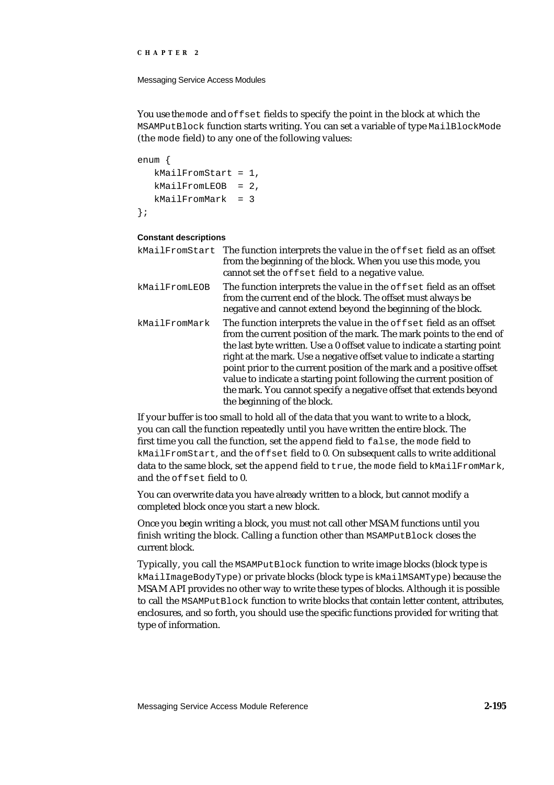Messaging Service Access Modules

You use the mode and offset fields to specify the point in the block at which the MSAMPutBlock function starts writing. You can set a variable of type MailBlockMode (the mode field) to any one of the following values:

```
enum {
  kMailFromStart = 1,
  kMailFromLEOB = 2,
   kMailFromMark = 3
};
```
#### **Constant descriptions**

|               | kMailFromStart The function interprets the value in the offset field as an offset<br>from the beginning of the block. When you use this mode, you<br>cannot set the offset field to a negative value.                                                                                                                                                                                                                                                                                                                                                 |
|---------------|-------------------------------------------------------------------------------------------------------------------------------------------------------------------------------------------------------------------------------------------------------------------------------------------------------------------------------------------------------------------------------------------------------------------------------------------------------------------------------------------------------------------------------------------------------|
| kMailFromLEOB | The function interprets the value in the offset field as an offset<br>from the current end of the block. The offset must always be<br>negative and cannot extend beyond the beginning of the block.                                                                                                                                                                                                                                                                                                                                                   |
| kMailFromMark | The function interprets the value in the offset field as an offset<br>from the current position of the mark. The mark points to the end of<br>the last byte written. Use a 0 offset value to indicate a starting point<br>right at the mark. Use a negative offset value to indicate a starting<br>point prior to the current position of the mark and a positive offset<br>value to indicate a starting point following the current position of<br>the mark. You cannot specify a negative offset that extends beyond<br>the beginning of the block. |

If your buffer is too small to hold all of the data that you want to write to a block, you can call the function repeatedly until you have written the entire block. The first time you call the function, set the append field to false, the mode field to kMailFromStart, and the offset field to 0. On subsequent calls to write additional data to the same block, set the append field to true, the mode field to kMailFromMark, and the offset field to 0.

You can overwrite data you have already written to a block, but cannot modify a completed block once you start a new block.

Once you begin writing a block, you must not call other MSAM functions until you finish writing the block. Calling a function other than MSAMPutBlock closes the current block.

Typically, you call the MSAMPutBlock function to write image blocks (block type is kMailImageBodyType) or private blocks (block type is kMailMSAMType) because the MSAM API provides no other way to write these types of blocks. Although it is possible to call the MSAMPutBlock function to write blocks that contain letter content, attributes, enclosures, and so forth, you should use the specific functions provided for writing that type of information.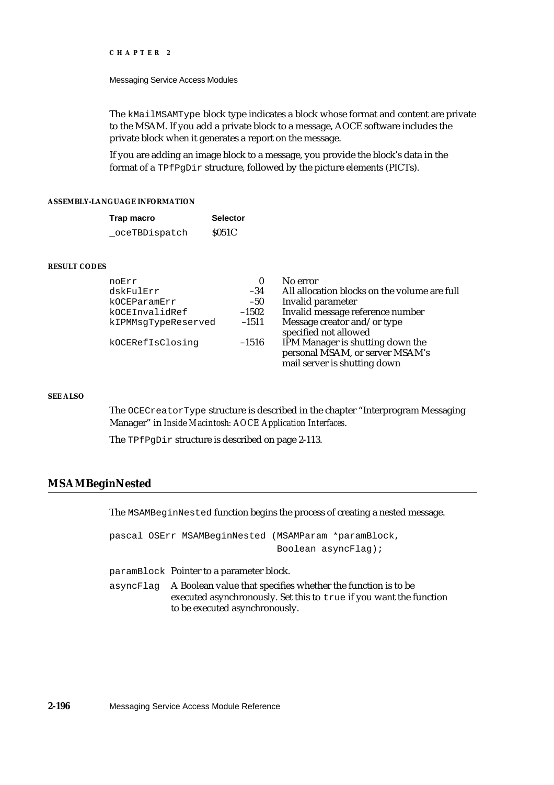#### Messaging Service Access Modules

The kMailMSAMType block type indicates a block whose format and content are private to the MSAM. If you add a private block to a message, AOCE software includes the private block when it generates a report on the message.

If you are adding an image block to a message, you provide the block's data in the format of a TPfPgDir structure, followed by the picture elements (PICTs).

### **ASSEMBLY-LANGUAGE INFORMATION**

| Trap macro     | <b>Selector</b> |
|----------------|-----------------|
| _oceTBDispatch | \$051C          |

#### **RESULT CODES**

| noErr               | 0       | No error                                                                                            |
|---------------------|---------|-----------------------------------------------------------------------------------------------------|
| dskFulErr           | $-34$   | All allocation blocks on the volume are full                                                        |
| kOCEParamErr        | $-50$   | Invalid parameter                                                                                   |
| kOCEInvalidRef      | $-1502$ | Invalid message reference number                                                                    |
| kIPMMsqTypeReserved | $-1511$ | Message creator and/or type<br>specified not allowed                                                |
| kOCERefIsClosinq    | $-1516$ | IPM Manager is shutting down the<br>personal MSAM, or server MSAM's<br>mail server is shutting down |

### **SEE ALSO**

The OCECreatorType structure is described in the chapter "Interprogram Messaging Manager" in *Inside Macintosh: AOCE Application Interfaces*.

The TPfPgDir structure is described on page 2-113.

# **MSAMBeginNested**

The MSAMBeginNested function begins the process of creating a nested message.

pascal OSErr MSAMBeginNested (MSAMParam \*paramBlock, Boolean asyncFlag);

paramBlock Pointer to a parameter block.

asyncFlag A Boolean value that specifies whether the function is to be executed asynchronously. Set this to true if you want the function to be executed asynchronously.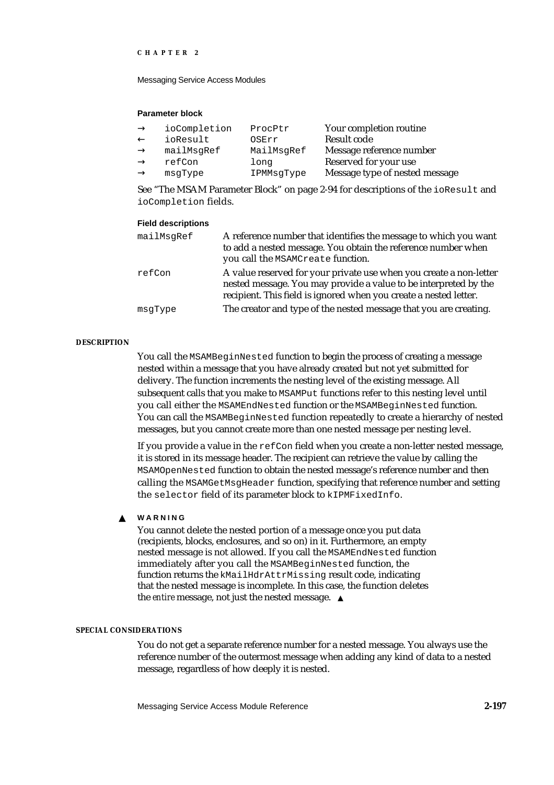Messaging Service Access Modules

#### **Parameter block**

| ioCompletion | ProcPtr    | Your completion routine        |
|--------------|------------|--------------------------------|
| ioResult     | OSErr      | Result code                    |
| mailMsqRef   | MailMsqRef | Message reference number       |
| refCon       | long       | Reserved for your use          |
| msqType      | IPMMsqType | Message type of nested message |

See "The MSAM Parameter Block" on page 2-94 for descriptions of the ioResult and ioCompletion fields.

# **Field descriptions**

| mailMsqRef | A reference number that identifies the message to which you want<br>to add a nested message. You obtain the reference number when<br>you call the MSAMCreate function.                                      |
|------------|-------------------------------------------------------------------------------------------------------------------------------------------------------------------------------------------------------------|
| refCon     | A value reserved for your private use when you create a non-letter<br>nested message. You may provide a value to be interpreted by the<br>recipient. This field is ignored when you create a nested letter. |
| msqType    | The creator and type of the nested message that you are creating.                                                                                                                                           |
|            |                                                                                                                                                                                                             |

# **DESCRIPTION**

You call the MSAMBeginNested function to begin the process of creating a message nested within a message that you have already created but not yet submitted for delivery. The function increments the nesting level of the existing message. All subsequent calls that you make to MSAMPut functions refer to this nesting level until you call either the MSAMEndNested function or the MSAMBeginNested function. You can call the MSAMBeginNested function repeatedly to create a hierarchy of nested messages, but you cannot create more than one nested message per nesting level.

If you provide a value in the refCon field when you create a non-letter nested message, it is stored in its message header. The recipient can retrieve the value by calling the MSAMOpenNested function to obtain the nested message's reference number and then calling the MSAMGetMsgHeader function, specifying that reference number and setting the selector field of its parameter block to kIPMFixedInfo.

#### **WARNING**  $\mathbf{s}$

You cannot delete the nested portion of a message once you put data (recipients, blocks, enclosures, and so on) in it. Furthermore, an empty nested message is not allowed. If you call the MSAMEndNested function immediately after you call the MSAMBeginNested function, the function returns the kMailHdrAttrMissing result code, indicating that the nested message is incomplete. In this case, the function deletes the *entire* message, not just the nested message.

#### **SPECIAL CONSIDERATIONS**

You do not get a separate reference number for a nested message. You always use the reference number of the outermost message when adding any kind of data to a nested message, regardless of how deeply it is nested.

Messaging Service Access Module Reference **2-197**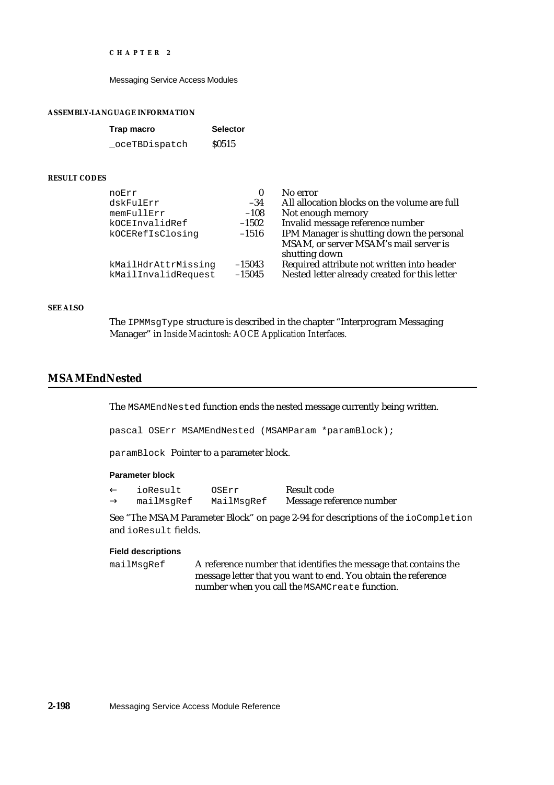Messaging Service Access Modules

#### **ASSEMBLY-LANGUAGE INFORMATION**

| Trap macro     | <b>Selector</b> |
|----------------|-----------------|
| _oceTBDispatch | <b>S0515</b>    |

#### **RESULT CODES**

| noErr               | 0        | No error                                      |
|---------------------|----------|-----------------------------------------------|
| dskFulErr           | $-34$    | All allocation blocks on the volume are full  |
| memFullErr          | $-108$   | Not enough memory                             |
| kOCEInvalidRef      | $-1502$  | Invalid message reference number              |
| kOCERefIsClosinq    | $-1516$  | IPM Manager is shutting down the personal     |
|                     |          | MSAM, or server MSAM's mail server is         |
|                     |          | shutting down                                 |
| kMailHdrAttrMissing | $-15043$ | Required attribute not written into header    |
| kMailInvalidRequest | $-15045$ | Nested letter already created for this letter |

#### **SEE ALSO**

The IPMMsgType structure is described in the chapter "Interprogram Messaging Manager" in *Inside Macintosh: AOCE Application Interfaces.*

# **MSAMEndNested**

The MSAMEndNested function ends the nested message currently being written.

pascal OSErr MSAMEndNested (MSAMParam \*paramBlock);

paramBlock Pointer to a parameter block.

#### **Parameter block**

ioResult OSErr Result code

mailMsgRef MailMsgRef Message reference number

See "The MSAM Parameter Block" on page 2-94 for descriptions of the ioCompletion and ioResult fields.

#### **Field descriptions**

mailMsgRef A reference number that identifies the message that contains the message letter that you want to end. You obtain the reference number when you call the MSAMCreate function.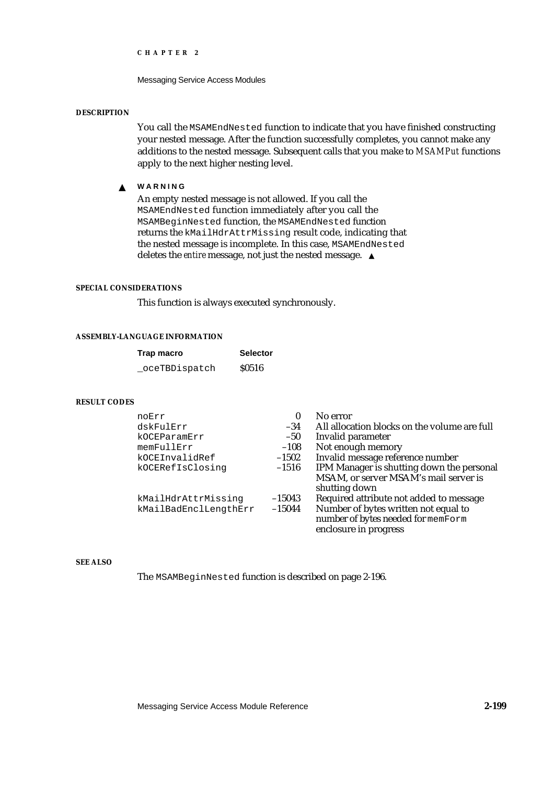Messaging Service Access Modules

#### **DESCRIPTION**

You call the MSAMEndNested function to indicate that you have finished constructing your nested message. After the function successfully completes, you cannot make any additions to the nested message. Subsequent calls that you make to *MSAMPut* functions apply to the next higher nesting level.

#### **WARNING** s

An empty nested message is not allowed. If you call the MSAMEndNested function immediately after you call the MSAMBeginNested function, the MSAMEndNested function returns the kMailHdrAttrMissing result code, indicating that the nested message is incomplete. In this case, MSAMEndNested deletes the *entire* message, not just the nested message. s

#### **SPECIAL CONSIDERATIONS**

This function is always executed synchronously.

# **ASSEMBLY-LANGUAGE INFORMATION**

| Trap macro    | <b>Selector</b> |
|---------------|-----------------|
| oceTBDispatch | <b>S0516</b>    |

#### **RESULT CODES**

| noErr                 | 0        | No error                                     |
|-----------------------|----------|----------------------------------------------|
| dskFulErr             | $-34$    | All allocation blocks on the volume are full |
| kOCEParamErr          | $-50$    | Invalid parameter                            |
| memFullErr            | $-108$   | Not enough memory                            |
| kOCEInvalidRef        | $-1502$  | Invalid message reference number             |
| kOCERefIsClosing      | $-1516$  | IPM Manager is shutting down the personal    |
|                       |          | MSAM, or server MSAM's mail server is        |
|                       |          | shutting down                                |
| kMailHdrAttrMissing   | $-15043$ | Required attribute not added to message      |
| kMailBadEnclLengthErr | $-15044$ | Number of bytes written not equal to         |
|                       |          | number of bytes needed for memForm           |
|                       |          | enclosure in progress                        |

#### **SEE ALSO**

The MSAMBeginNested function is described on page 2-196.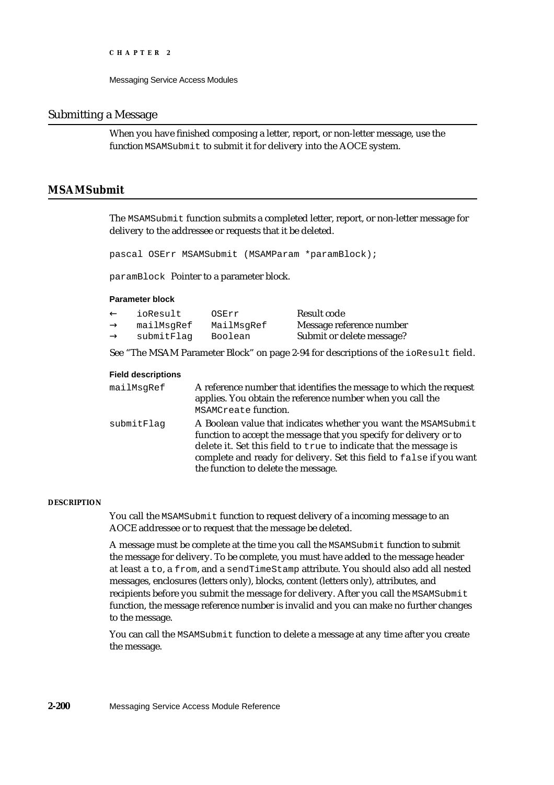# Submitting a Message

When you have finished composing a letter, report, or non-letter message, use the function MSAMSubmit to submit it for delivery into the AOCE system.

# **MSAMSubmit**

The MSAMSubmit function submits a completed letter, report, or non-letter message for delivery to the addressee or requests that it be deleted.

pascal OSErr MSAMSubmit (MSAMParam \*paramBlock);

paramBlock Pointer to a parameter block.

### **Parameter block**

| ioResult   | OSErr      | Result code               |
|------------|------------|---------------------------|
| mailMsgRef | MailMsgRef | Message reference number  |
| submitFlag | Boolean    | Submit or delete message? |

See "The MSAM Parameter Block" on page 2-94 for descriptions of the ioResult field.

#### **Field descriptions**

| mailMsgRef | A reference number that identifies the message to which the request<br>applies. You obtain the reference number when you call the<br>MSAMCreate function.                                                                                                                                                                |
|------------|--------------------------------------------------------------------------------------------------------------------------------------------------------------------------------------------------------------------------------------------------------------------------------------------------------------------------|
| submitFlaq | A Boolean value that indicates whether you want the MSAMSubmit<br>function to accept the message that you specify for delivery or to<br>delete it. Set this field to true to indicate that the message is<br>complete and ready for delivery. Set this field to false if you want<br>the function to delete the message. |

#### **DESCRIPTION**

You call the MSAMSubmit function to request delivery of a incoming message to an AOCE addressee or to request that the message be deleted.

A message must be complete at the time you call the MSAMSubmit function to submit the message for delivery. To be complete, you must have added to the message header at least a to, a from, and a sendTimeStamp attribute. You should also add all nested messages, enclosures (letters only), blocks, content (letters only), attributes, and recipients before you submit the message for delivery. After you call the MSAMSubmit function, the message reference number is invalid and you can make no further changes to the message.

You can call the MSAMSubmit function to delete a message at any time after you create the message.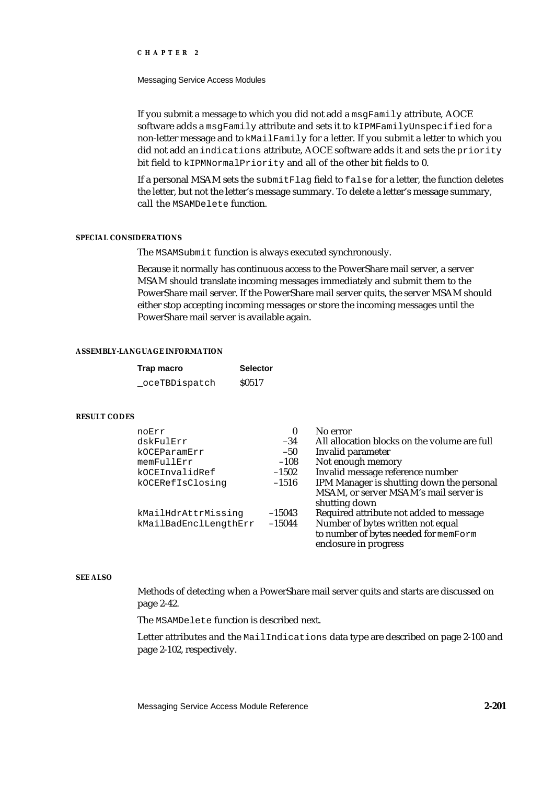#### Messaging Service Access Modules

If you submit a message to which you did not add a msgFamily attribute, AOCE software adds a msgFamily attribute and sets it to kIPMFamilyUnspecified for a non-letter message and to kMailFamily for a letter. If you submit a letter to which you did not add an indications attribute, AOCE software adds it and sets the priority bit field to kIPMNormalPriority and all of the other bit fields to 0.

If a personal MSAM sets the submitFlag field to false for a letter, the function deletes the letter, but not the letter's message summary. To delete a letter's message summary, call the MSAMDelete function.

#### **SPECIAL CONSIDERATIONS**

The MSAMSubmit function is always executed synchronously.

Because it normally has continuous access to the PowerShare mail server, a server MSAM should translate incoming messages immediately and submit them to the PowerShare mail server. If the PowerShare mail server quits, the server MSAM should either stop accepting incoming messages or store the incoming messages until the PowerShare mail server is available again.

# **ASSEMBLY-LANGUAGE INFORMATION**

| Trap macro     | <b>Selector</b> |
|----------------|-----------------|
| _oceTBDispatch | <b>S0517</b>    |

### **RESULT CODES**

| noErr                 | $\boldsymbol{0}$ | No error                                     |
|-----------------------|------------------|----------------------------------------------|
| dskFulErr             | $-34$            | All allocation blocks on the volume are full |
| kOCEParamErr          | $-50$            | Invalid parameter                            |
| memFullErr            | $-108$           | Not enough memory                            |
| kOCEInvalidRef        | $-1502$          | Invalid message reference number             |
| kOCERefIsClosing      | $-1516$          | IPM Manager is shutting down the personal    |
|                       |                  | MSAM, or server MSAM's mail server is        |
|                       |                  | shutting down                                |
| kMailHdrAttrMissing   | $-15043$         | Required attribute not added to message      |
| kMailBadEnclLengthErr | $-15044$         | Number of bytes written not equal            |
|                       |                  | to number of bytes needed for memForm        |
|                       |                  | enclosure in progress                        |

# **SEE ALSO**

Methods of detecting when a PowerShare mail server quits and starts are discussed on page 2-42.

The MSAMDelete function is described next.

Letter attributes and the MailIndications data type are described on page 2-100 and page 2-102, respectively.

Messaging Service Access Module Reference **2-201**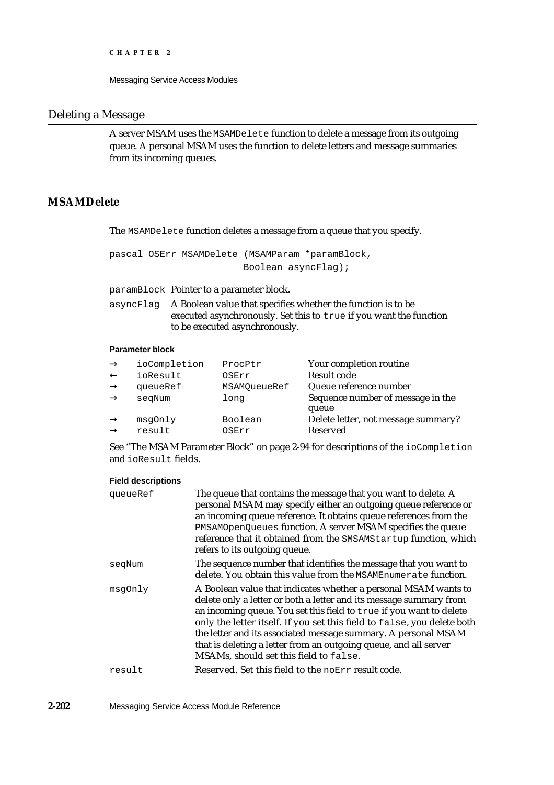# Deleting a Message

A server MSAM uses the MSAMDelete function to delete a message from its outgoing queue. A personal MSAM uses the function to delete letters and message summaries from its incoming queues.

# **MSAMDelete**

The MSAMDelete function deletes a message from a queue that you specify.

```
pascal OSErr MSAMDelete (MSAMParam *paramBlock,
                        Boolean asyncFlag);
```
paramBlock Pointer to a parameter block.

asyncFlag A Boolean value that specifies whether the function is to be executed asynchronously. Set this to true if you want the function to be executed asynchronously.

# **Parameter block**

| ioCompletion | ProcPtr      | Your completion routine             |
|--------------|--------------|-------------------------------------|
| ioResult     | OSErr        | Result code                         |
| queueRef     | MSAMOueueRef | Queue reference number              |
| segNum       | long         | Sequence number of message in the   |
|              |              | queue                               |
| msqOnly      | Boolean      | Delete letter, not message summary? |
| result       | OSErr        | Reserved                            |
|              |              |                                     |

See "The MSAM Parameter Block" on page 2-94 for descriptions of the ioCompletion and ioResult fields.

#### **Field descriptions**

| queueRef | The queue that contains the message that you want to delete. A<br>personal MSAM may specify either an outgoing queue reference or<br>an incoming queue reference. It obtains queue references from the<br>PMSAMOpenQueues function. A server MSAM specifies the queue<br>reference that it obtained from the SMSAMStartup function, which<br>refers to its outgoing queue.                                                                                              |
|----------|-------------------------------------------------------------------------------------------------------------------------------------------------------------------------------------------------------------------------------------------------------------------------------------------------------------------------------------------------------------------------------------------------------------------------------------------------------------------------|
| seqNum   | The sequence number that identifies the message that you want to<br>delete. You obtain this value from the MSAMEnumerate function.                                                                                                                                                                                                                                                                                                                                      |
| msqOnly  | A Boolean value that indicates whether a personal MSAM wants to<br>delete only a letter or both a letter and its message summary from<br>an incoming queue. You set this field to true if you want to delete<br>only the letter itself. If you set this field to false, you delete both<br>the letter and its associated message summary. A personal MSAM<br>that is deleting a letter from an outgoing queue, and all server<br>MSAMs, should set this field to false. |
| result   | Reserved. Set this field to the noErr result code.                                                                                                                                                                                                                                                                                                                                                                                                                      |
|          |                                                                                                                                                                                                                                                                                                                                                                                                                                                                         |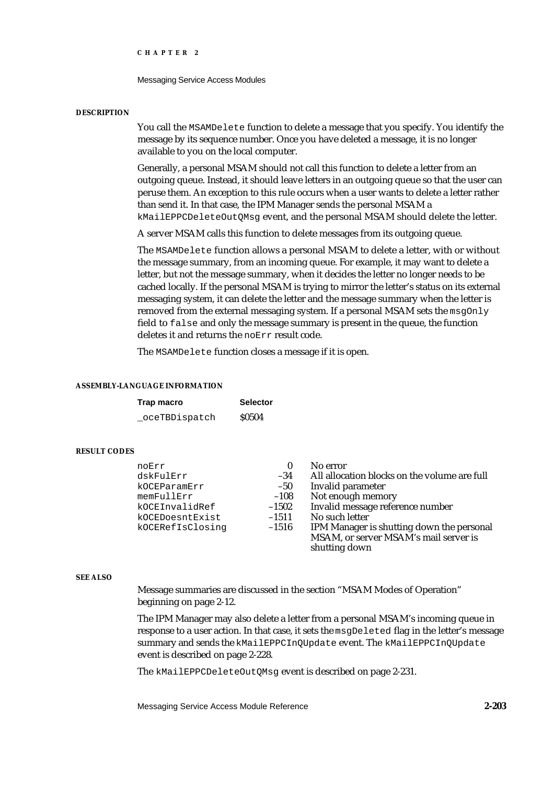Messaging Service Access Modules

#### **DESCRIPTION**

You call the MSAMDelete function to delete a message that you specify. You identify the message by its sequence number. Once you have deleted a message, it is no longer available to you on the local computer.

Generally, a personal MSAM should not call this function to delete a letter from an outgoing queue. Instead, it should leave letters in an outgoing queue so that the user can peruse them. An exception to this rule occurs when a user wants to delete a letter rather than send it. In that case, the IPM Manager sends the personal MSAM a kMailEPPCDeleteOutQMsg event, and the personal MSAM should delete the letter.

A server MSAM calls this function to delete messages from its outgoing queue.

The MSAMDelete function allows a personal MSAM to delete a letter, with or without the message summary, from an incoming queue. For example, it may want to delete a letter, but not the message summary, when it decides the letter no longer needs to be cached locally. If the personal MSAM is trying to mirror the letter's status on its external messaging system, it can delete the letter and the message summary when the letter is removed from the external messaging system. If a personal MSAM sets the  $msqOnly$ field to false and only the message summary is present in the queue, the function deletes it and returns the noErr result code.

The MSAMDelete function closes a message if it is open.

#### **ASSEMBLY-LANGUAGE INFORMATION**

| Trap macro    | <b>Selector</b> |
|---------------|-----------------|
| oceTBDispatch | <b>S0504</b>    |

#### **RESULT CODES**

| noErr            | $\bf{0}$ | No error                                     |
|------------------|----------|----------------------------------------------|
| dskFulErr        | $-34$    | All allocation blocks on the volume are full |
| kOCEParamErr     | $-50$    | Invalid parameter                            |
| memFullErr       | $-108$   | Not enough memory                            |
| kOCEInvalidRef   | $-1502$  | Invalid message reference number             |
| kOCEDoesntExist  | $-1511$  | No such letter                               |
| kOCERefIsClosinq | $-1516$  | IPM Manager is shutting down the personal    |
|                  |          | MSAM, or server MSAM's mail server is        |
|                  |          | shutting down                                |

### **SEE ALSO**

Message summaries are discussed in the section "MSAM Modes of Operation" beginning on page 2-12.

The IPM Manager may also delete a letter from a personal MSAM's incoming queue in response to a user action. In that case, it sets the msqDeleted flag in the letter's message summary and sends the kMailEPPCInQUpdate event. The kMailEPPCInQUpdate event is described on page 2-228.

The kMailEPPCDeleteOutQMsg event is described on page 2-231.

Messaging Service Access Module Reference **2-203**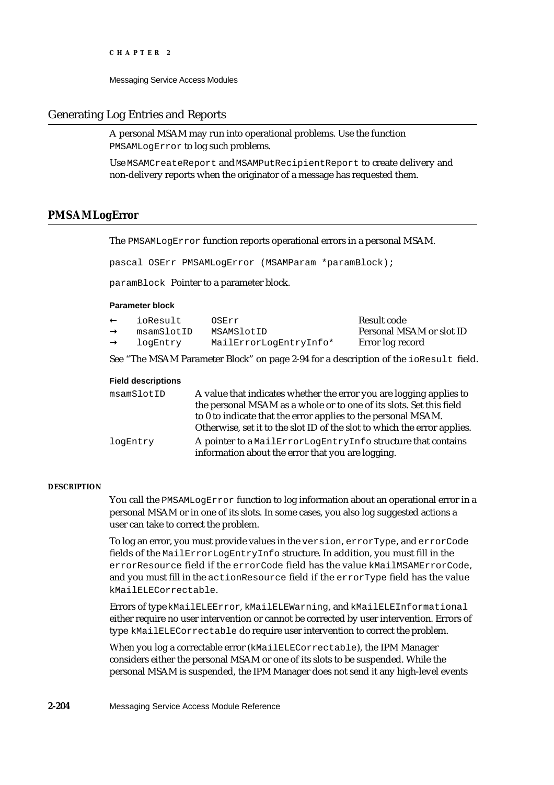Messaging Service Access Modules

# Generating Log Entries and Reports

A personal MSAM may run into operational problems. Use the function PMSAMLogError to log such problems.

Use MSAMCreateReport and MSAMPutRecipientReport to create delivery and non-delivery reports when the originator of a message has requested them.

# **PMSAMLogError**

The PMSAMLogError function reports operational errors in a personal MSAM.

pascal OSErr PMSAMLogError (MSAMParam \*paramBlock);

paramBlock Pointer to a parameter block.

#### **Parameter block**

| ioResult   | OSErr                  | Result code              |
|------------|------------------------|--------------------------|
| msamSlotID | MSAMSlotID             | Personal MSAM or slot ID |
| logEntry   | MailErrorLogEntryInfo* | Error log record         |

See "The MSAM Parameter Block" on page 2-94 for a description of the ioResult field.

#### **Field descriptions**

| msamSlotID | A value that indicates whether the error you are logging applies to<br>the personal MSAM as a whole or to one of its slots. Set this field<br>to 0 to indicate that the error applies to the personal MSAM. |
|------------|-------------------------------------------------------------------------------------------------------------------------------------------------------------------------------------------------------------|
|            | Otherwise, set it to the slot ID of the slot to which the error applies.                                                                                                                                    |
| logEntry   | A pointer to a MailErrorLogEntryInfo structure that contains<br>information about the error that you are logging.                                                                                           |

#### **DESCRIPTION**

You call the PMSAMLogError function to log information about an operational error in a personal MSAM or in one of its slots. In some cases, you also log suggested actions a user can take to correct the problem.

To log an error, you must provide values in the version, errorType, and errorCode fields of the MailErrorLogEntryInfo structure. In addition, you must fill in the errorResource field if the errorCode field has the value kMailMSAMErrorCode, and you must fill in the actionResource field if the errorType field has the value kMailELECorrectable.

Errors of type kMailELEError, kMailELEWarning, and kMailELEInformational either require no user intervention or cannot be corrected by user intervention. Errors of type kMailELECorrectable do require user intervention to correct the problem.

When you log a correctable error (kMailELECorrectable), the IPM Manager considers either the personal MSAM or one of its slots to be suspended. While the personal MSAM is suspended, the IPM Manager does not send it any high-level events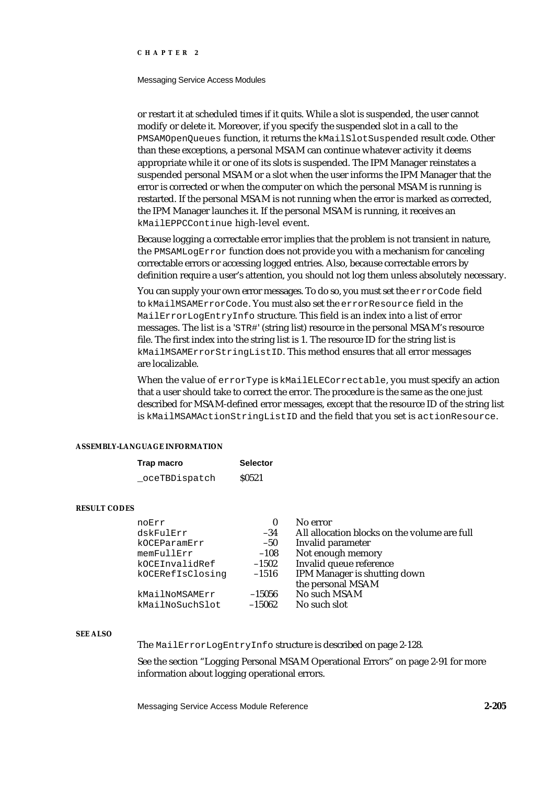#### Messaging Service Access Modules

or restart it at scheduled times if it quits. While a slot is suspended, the user cannot modify or delete it. Moreover, if you specify the suspended slot in a call to the PMSAMOpenQueues function, it returns the kMailSlotSuspended result code. Other than these exceptions, a personal MSAM can continue whatever activity it deems appropriate while it or one of its slots is suspended. The IPM Manager reinstates a suspended personal MSAM or a slot when the user informs the IPM Manager that the error is corrected or when the computer on which the personal MSAM is running is restarted. If the personal MSAM is not running when the error is marked as corrected, the IPM Manager launches it. If the personal MSAM is running, it receives an kMailEPPCContinue high-level event.

Because logging a correctable error implies that the problem is not transient in nature, the PMSAMLogError function does not provide you with a mechanism for canceling correctable errors or accessing logged entries. Also, because correctable errors by definition require a user's attention, you should not log them unless absolutely necessary.

You can supply your own error messages. To do so, you must set the errorCode field to kMailMSAMErrorCode. You must also set the errorResource field in the MailErrorLogEntryInfo structure. This field is an index into a list of error messages. The list is a 'STR#' (string list) resource in the personal MSAM's resource file. The first index into the string list is 1. The resource ID for the string list is kMailMSAMErrorStringListID. This method ensures that all error messages are localizable.

When the value of errorType is kMailELECorrectable, you must specify an action that a user should take to correct the error. The procedure is the same as the one just described for MSAM-defined error messages, except that the resource ID of the string list is kMailMSAMActionStringListID and the field that you set is actionResource.

#### **ASSEMBLY-LANGUAGE INFORMATION**

| Trap macro     | <b>Selector</b> |
|----------------|-----------------|
| _oceTBDispatch | <b>S0521</b>    |

### **RESULT CODES**

| noErr<br>dskFulErr<br>kOCEParamErr | 0<br>$-34$<br>$-50$ | No error<br>All allocation blocks on the volume are full<br>Invalid parameter |
|------------------------------------|---------------------|-------------------------------------------------------------------------------|
| memFullErr                         | $-108$              | Not enough memory                                                             |
| kOCEInvalidRef                     | $-1502$             | Invalid queue reference                                                       |
| kOCERefIsClosinq                   | $-1516$             | IPM Manager is shutting down                                                  |
|                                    |                     | the personal MSAM                                                             |
| kMailNoMSAMErr                     | $-15056$            | No such MSAM                                                                  |
| kMailNoSuchSlot                    | $-15062$            | No such slot                                                                  |

#### **SEE ALSO**

The MailErrorLogEntryInfo structure is described on page 2-128.

See the section "Logging Personal MSAM Operational Errors" on page 2-91 for more information about logging operational errors.

Messaging Service Access Module Reference **2-205**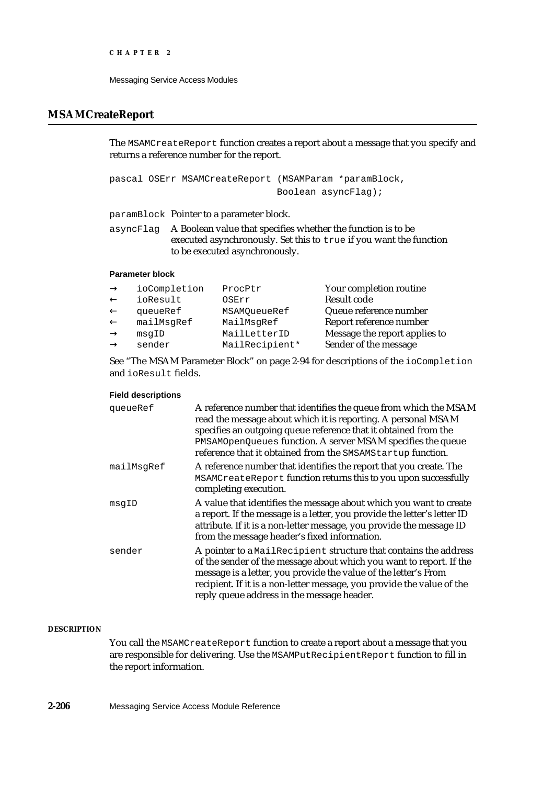# **MSAMCreateReport**

The MSAMCreateReport function creates a report about a message that you specify and returns a reference number for the report.

pascal OSErr MSAMCreateReport (MSAMParam \*paramBlock, Boolean asyncFlag);

paramBlock Pointer to a parameter block.

asyncFlag A Boolean value that specifies whether the function is to be executed asynchronously. Set this to true if you want the function to be executed asynchronously.

# **Parameter block**

| ioCompletion | ProcPtr        | Your completion routine       |
|--------------|----------------|-------------------------------|
| ioResult     | OSErr          | <b>Result code</b>            |
| queueRef     | MSAMOueueRef   | Queue reference number        |
| mailMsqRef   | MailMsgRef     | Report reference number       |
| msqID        | MailLetterID   | Message the report applies to |
| sender       | MailRecipient* | Sender of the message         |

See "The MSAM Parameter Block" on page 2-94 for descriptions of the ioCompletion and ioResult fields.

# **Field descriptions**

| queueRef   | A reference number that identifies the queue from which the MSAM<br>read the message about which it is reporting. A personal MSAM<br>specifies an outgoing queue reference that it obtained from the<br>PMSAMOpenQueues function. A server MSAM specifies the queue<br>reference that it obtained from the SMSAMStartup function.  |
|------------|------------------------------------------------------------------------------------------------------------------------------------------------------------------------------------------------------------------------------------------------------------------------------------------------------------------------------------|
| mailMsgRef | A reference number that identifies the report that you create. The<br>MSAMCreateReport function returns this to you upon successfully<br>completing execution.                                                                                                                                                                     |
| msqID      | A value that identifies the message about which you want to create<br>a report. If the message is a letter, you provide the letter's letter ID<br>attribute. If it is a non-letter message, you provide the message ID<br>from the message header's fixed information.                                                             |
| sender     | A pointer to a MailRecipient structure that contains the address<br>of the sender of the message about which you want to report. If the<br>message is a letter, you provide the value of the letter's From<br>recipient. If it is a non-letter message, you provide the value of the<br>reply queue address in the message header. |

# **DESCRIPTION**

You call the MSAMCreateReport function to create a report about a message that you are responsible for delivering. Use the MSAMPutRecipientReport function to fill in the report information.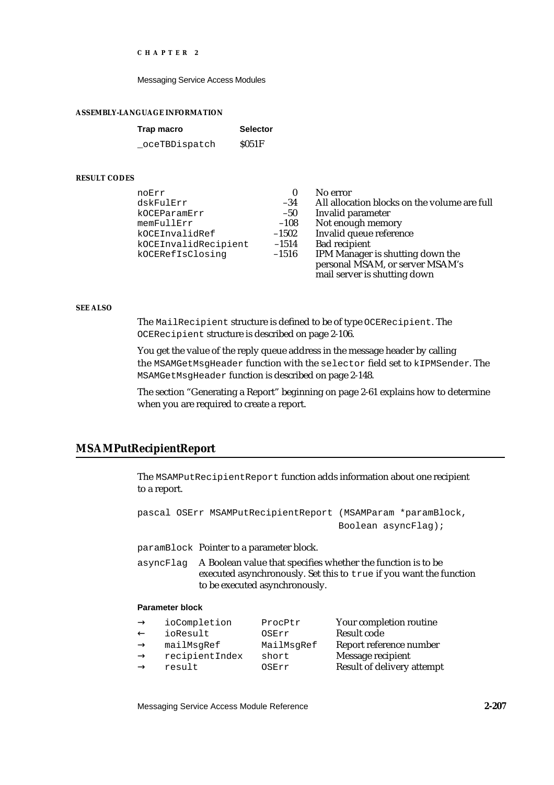Messaging Service Access Modules

#### **ASSEMBLY-LANGUAGE INFORMATION**

| Trap macro    | <b>Selector</b> |
|---------------|-----------------|
| oceTBDispatch | <b>S051F</b>    |

#### **RESULT CODES**

| 0       | No error                                     |
|---------|----------------------------------------------|
| $-34$   | All allocation blocks on the volume are full |
| $-50$   | Invalid parameter                            |
| $-108$  | Not enough memory                            |
| $-1502$ | Invalid queue reference                      |
| $-1514$ | <b>Bad recipient</b>                         |
| $-1516$ | IPM Manager is shutting down the             |
|         | personal MSAM, or server MSAM's              |
|         | mail server is shutting down                 |
|         |                                              |

#### **SEE ALSO**

The MailRecipient structure is defined to be of type OCERecipient. The OCERecipient structure is described on page 2-106.

You get the value of the reply queue address in the message header by calling the MSAMGetMsgHeader function with the selector field set to kIPMSender. The MSAMGetMsgHeader function is described on page 2-148.

The section "Generating a Report" beginning on page 2-61 explains how to determine when you are required to create a report.

# **MSAMPutRecipientReport**

The MSAMPutRecipientReport function adds information about one recipient to a report.

|  | pascal OSErr MSAMPutRecipientReport (MSAMParam *paramBlock, |  |                     |
|--|-------------------------------------------------------------|--|---------------------|
|  |                                                             |  | Boolean asyncFlag); |

paramBlock Pointer to a parameter block.

asyncFlag A Boolean value that specifies whether the function is to be executed asynchronously. Set this to true if you want the function to be executed asynchronously.

# **Parameter block**

| ioCompletion   | ProcPtr    | Your completion routine    |
|----------------|------------|----------------------------|
| ioResult       | OSErr      | Result code                |
| mailMsqRef     | MailMsqRef | Report reference number    |
| recipientIndex | short      | Message recipient          |
| result         | OSErr      | Result of delivery attempt |
|                |            |                            |

Messaging Service Access Module Reference **2-207**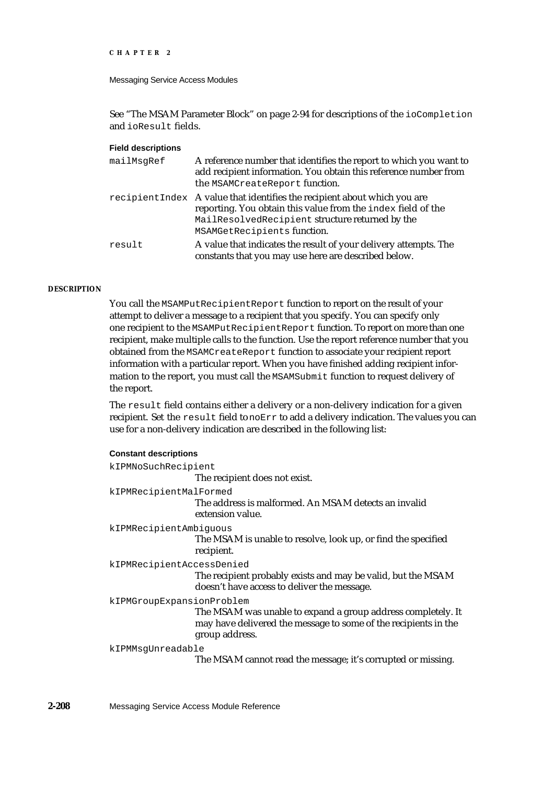```
CHAPTER 2
```
See "The MSAM Parameter Block" on page 2-94 for descriptions of the ioCompletion and ioResult fields.

# **Field descriptions**

| mailMsqRef | A reference number that identifies the report to which you want to<br>add recipient information. You obtain this reference number from<br>the MSAMCreateReport function.                                                    |
|------------|-----------------------------------------------------------------------------------------------------------------------------------------------------------------------------------------------------------------------------|
|            | recipient Index A value that identifies the recipient about which you are<br>reporting. You obtain this value from the index field of the<br>MailResolvedRecipient structure returned by the<br>MSAMGetRecipients function. |
| result     | A value that indicates the result of your delivery attempts. The<br>constants that you may use here are described below.                                                                                                    |

#### **DESCRIPTION**

You call the MSAMPutRecipientReport function to report on the result of your attempt to deliver a message to a recipient that you specify. You can specify only one recipient to the MSAMPutRecipientReport function. To report on more than one recipient, make multiple calls to the function. Use the report reference number that you obtained from the MSAMCreateReport function to associate your recipient report information with a particular report. When you have finished adding recipient information to the report, you must call the MSAMSubmit function to request delivery of the report.

The result field contains either a delivery or a non-delivery indication for a given recipient. Set the result field to noErr to add a delivery indication. The values you can use for a non-delivery indication are described in the following list:

#### **Constant descriptions**

| kIPMNoSuchRecipient       | The recipient does not exist.                                                                                                                     |
|---------------------------|---------------------------------------------------------------------------------------------------------------------------------------------------|
| kIPMRecipientMalFormed    | The address is malformed. An MSAM detects an invalid<br>extension value.                                                                          |
| kIPMRecipientAmbiguous    | The MSAM is unable to resolve, look up, or find the specified<br>recipient.                                                                       |
| kIPMRecipientAccessDenied | The recipient probably exists and may be valid, but the MSAM<br>doesn't have access to deliver the message.                                       |
| kIPMGroupExpansionProblem | The MSAM was unable to expand a group address completely. It<br>may have delivered the message to some of the recipients in the<br>group address. |
| kIPMMsqUnreadable         | The MSAM cannot read the message; it's corrupted or missing.                                                                                      |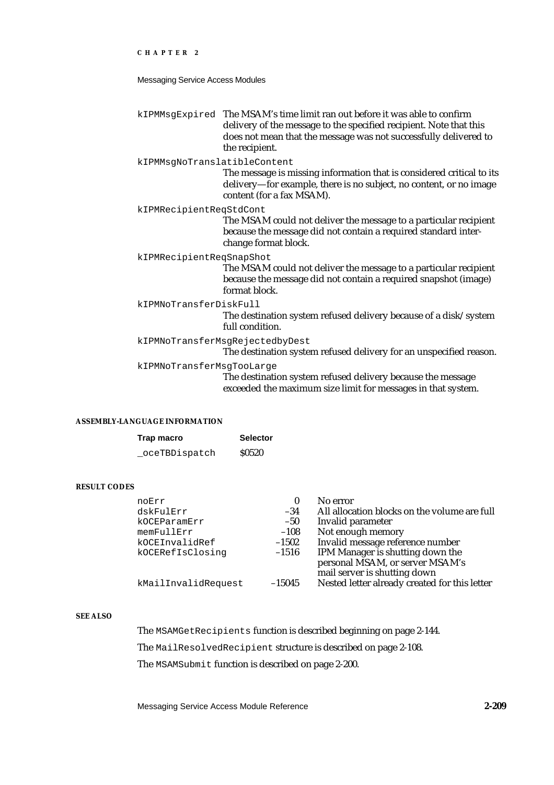Messaging Service Access Modules

kIPMMsgExpired The MSAM's time limit ran out before it was able to confirm delivery of the message to the specified recipient. Note that this does not mean that the message was not successfully delivered to the recipient.

kIPMMsgNoTranslatibleContent

The message is missing information that is considered critical to its delivery—for example, there is no subject, no content, or no image content (for a fax MSAM).

kIPMRecipientReqStdCont

The MSAM could not deliver the message to a particular recipient because the message did not contain a required standard interchange format block.

kIPMRecipientReqSnapShot

The MSAM could not deliver the message to a particular recipient because the message did not contain a required snapshot (image) format block.

kIPMNoTransferDiskFull

The destination system refused delivery because of a disk/system full condition.

kIPMNoTransferMsgRejectedbyDest

The destination system refused delivery for an unspecified reason.

kIPMNoTransferMsgTooLarge

The destination system refused delivery because the message exceeded the maximum size limit for messages in that system.

#### **ASSEMBLY-LANGUAGE INFORMATION**

| Trap macro     | <b>Selector</b> |
|----------------|-----------------|
| _oceTBDispatch | <b>S0520</b>    |

# **RESULT CODES**

| noErr               | 0        | No error                                      |
|---------------------|----------|-----------------------------------------------|
| dskFulErr           | $-34$    | All allocation blocks on the volume are full  |
| kOCEParamErr        | $-50$    | Invalid parameter                             |
| memFullErr          | $-108$   | Not enough memory                             |
| kOCEInvalidRef      | $-1502$  | Invalid message reference number              |
| kOCERefIsClosing    | $-1516$  | IPM Manager is shutting down the              |
|                     |          | personal MSAM, or server MSAM's               |
|                     |          | mail server is shutting down                  |
| kMailInvalidRequest | $-15045$ | Nested letter already created for this letter |

#### **SEE ALSO**

The MSAMGetRecipients function is described beginning on page 2-144.

The MailResolvedRecipient structure is described on page 2-108.

The MSAMSubmit function is described on page 2-200.

Messaging Service Access Module Reference **2-209**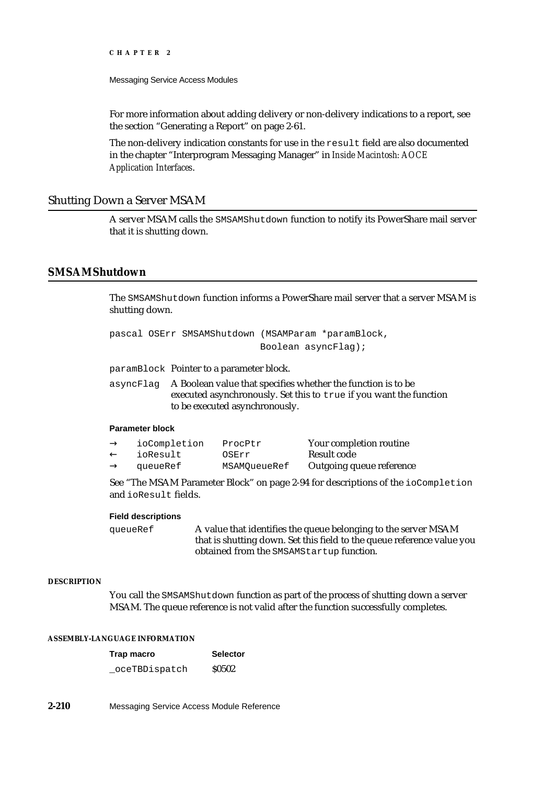For more information about adding delivery or non-delivery indications to a report, see the section "Generating a Report" on page 2-61.

The non-delivery indication constants for use in the result field are also documented in the chapter "Interprogram Messaging Manager" in *Inside Macintosh: AOCE Application Interfaces*.

# Shutting Down a Server MSAM

A server MSAM calls the SMSAMShutdown function to notify its PowerShare mail server that it is shutting down.

# **SMSAMShutdown**

The SMSAMShutdown function informs a PowerShare mail server that a server MSAM is shutting down.

pascal OSErr SMSAMShutdown (MSAMParam \*paramBlock, Boolean asyncFlag);

paramBlock Pointer to a parameter block.

asyncFlag A Boolean value that specifies whether the function is to be executed asynchronously. Set this to true if you want the function to be executed asynchronously.

#### **Parameter block**

| ioCompletion | ProcPtr      | Your completion routine  |
|--------------|--------------|--------------------------|
| ioResult     | OSErr        | Result code              |
| queueRef     | MSAMOueueRef | Outgoing queue reference |

See "The MSAM Parameter Block" on page 2-94 for descriptions of the ioCompletion and ioResult fields.

#### **Field descriptions**

queueRef A value that identifies the queue belonging to the server MSAM that is shutting down. Set this field to the queue reference value you obtained from the SMSAMStartup function.

### **DESCRIPTION**

You call the SMSAMShutdown function as part of the process of shutting down a server MSAM. The queue reference is not valid after the function successfully completes.

### **ASSEMBLY-LANGUAGE INFORMATION**

| Trap macro     | <b>Selector</b> |  |
|----------------|-----------------|--|
| _oceTBDispatch | <b>S0502</b>    |  |

**2-210** Messaging Service Access Module Reference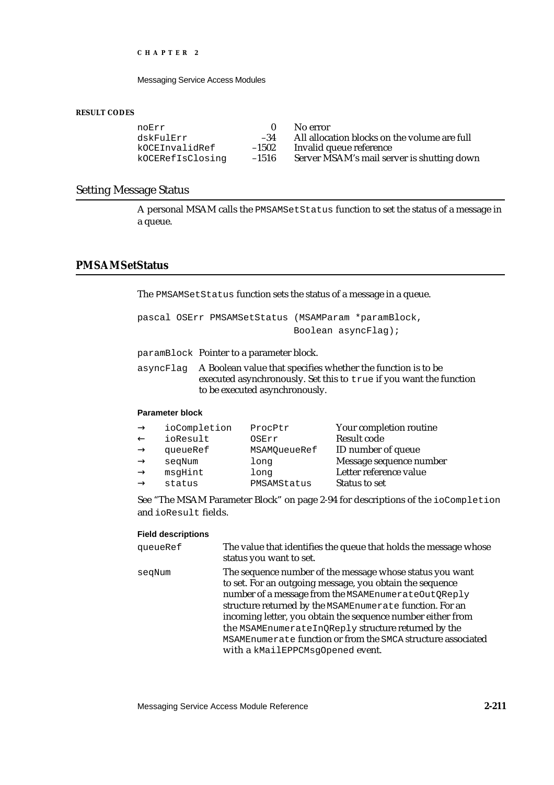Messaging Service Access Modules

#### **RESULT CODES**

|         | No error                                     |
|---------|----------------------------------------------|
| $-34$   | All allocation blocks on the volume are full |
| $-1502$ | Invalid queue reference                      |
| $-1516$ | Server MSAM's mail server is shutting down   |
|         |                                              |

# Setting Message Status

A personal MSAM calls the PMSAMSetStatus function to set the status of a message in a queue.

# **PMSAMSetStatus**

The PMSAMSetStatus function sets the status of a message in a queue.

pascal OSErr PMSAMSetStatus (MSAMParam \*paramBlock, Boolean asyncFlag);

paramBlock Pointer to a parameter block.

asyncFlag A Boolean value that specifies whether the function is to be executed asynchronously. Set this to true if you want the function to be executed asynchronously.

# **Parameter block**

| ioCompletion | ProcPtr      | Your completion routine   |
|--------------|--------------|---------------------------|
| ioResult     | OSErr        | Result code               |
| queueRef     | MSAMOueueRef | <b>ID</b> number of queue |
| segNum       | long         | Message sequence number   |
| msqHint      | long         | Letter reference value    |
| status       | PMSAMStatus  | <b>Status to set</b>      |

See "The MSAM Parameter Block" on page 2-94 for descriptions of the ioCompletion and ioResult fields.

#### **Field descriptions**

| queueRef | The value that identifies the queue that holds the message whose<br>status you want to set.                                                                                                                                                                                                                                                                                                                                                                       |
|----------|-------------------------------------------------------------------------------------------------------------------------------------------------------------------------------------------------------------------------------------------------------------------------------------------------------------------------------------------------------------------------------------------------------------------------------------------------------------------|
| seqNum   | The sequence number of the message whose status you want<br>to set. For an outgoing message, you obtain the sequence<br>number of a message from the MSAMEnumerateOutQReply<br>structure returned by the MSAMEnumerate function. For an<br>incoming letter, you obtain the sequence number either from<br>the MSAMEnumerateInQReply structure returned by the<br>MSAMEnumerate function or from the SMCA structure associated<br>with a kMailEPPCMsqOpened event. |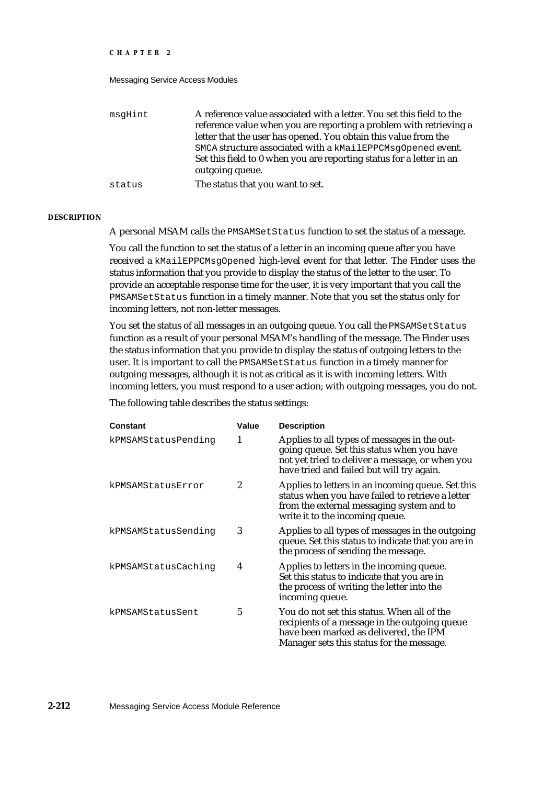#### Messaging Service Access Modules

| msqHint | A reference value associated with a letter. You set this field to the |
|---------|-----------------------------------------------------------------------|
|         | reference value when you are reporting a problem with retrieving a    |
|         | letter that the user has opened. You obtain this value from the       |
|         | SMCA structure associated with a kMailEPPCMsgOpened event.            |
|         | Set this field to 0 when you are reporting status for a letter in an  |
|         | outgoing queue.                                                       |
| status  | The status that you want to set.                                      |

#### **DESCRIPTION**

A personal MSAM calls the PMSAMSetStatus function to set the status of a message.

You call the function to set the status of a letter in an incoming queue after you have received a kMailEPPCMsgOpened high-level event for that letter. The Finder uses the status information that you provide to display the status of the letter to the user. To provide an acceptable response time for the user, it is very important that you call the PMSAMSetStatus function in a timely manner. Note that you set the status only for incoming letters, not non-letter messages.

You set the status of all messages in an outgoing queue. You call the PMSAMSetStatus function as a result of your personal MSAM's handling of the message. The Finder uses the status information that you provide to display the status of outgoing letters to the user. It is important to call the PMSAMSetStatus function in a timely manner for outgoing messages, although it is not as critical as it is with incoming letters. With incoming letters, you must respond to a user action; with outgoing messages, you do not.

The following table describes the status settings:

| Constant            | Value | <b>Description</b>                                                                                                                                                                         |
|---------------------|-------|--------------------------------------------------------------------------------------------------------------------------------------------------------------------------------------------|
| kPMSAMStatusPending | 1     | Applies to all types of messages in the out-<br>going queue. Set this status when you have<br>not yet tried to deliver a message, or when you<br>have tried and failed but will try again. |
| kPMSAMStatusError   | 2     | Applies to letters in an incoming queue. Set this<br>status when you have failed to retrieve a letter<br>from the external messaging system and to<br>write it to the incoming queue.      |
| kPMSAMStatusSending | 3     | Applies to all types of messages in the outgoing<br>queue. Set this status to indicate that you are in<br>the process of sending the message.                                              |
| kPMSAMStatusCaching | 4     | Applies to letters in the incoming queue.<br>Set this status to indicate that you are in<br>the process of writing the letter into the<br>incoming queue.                                  |
| kPMSAMStatusSent    | 5     | You do not set this status. When all of the<br>recipients of a message in the outgoing queue<br>have been marked as delivered, the IPM<br>Manager sets this status for the message.        |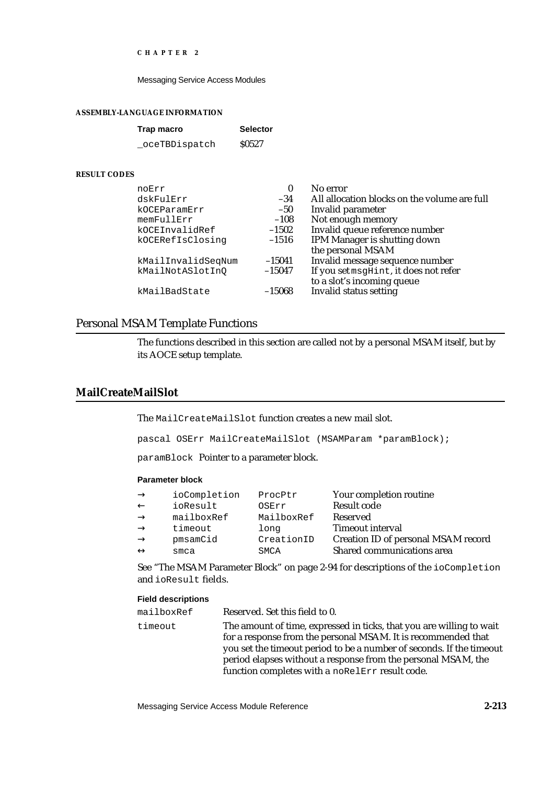Messaging Service Access Modules

#### **ASSEMBLY-LANGUAGE INFORMATION**

| Trap macro    | <b>Selector</b> |
|---------------|-----------------|
| oceTBDispatch | <b>S0527</b>    |

# **RESULT CODES**

| noErr              | 0        | No error                                     |
|--------------------|----------|----------------------------------------------|
| dskFulErr          | $-34$    | All allocation blocks on the volume are full |
| kOCEParamErr       | $-50$    | Invalid parameter                            |
| memFullErr         | $-108$   | Not enough memory                            |
| kOCEInvalidRef     | $-1502$  | Invalid queue reference number               |
| kOCERefIsClosinq   | $-1516$  | IPM Manager is shutting down                 |
|                    |          | the personal MSAM                            |
| kMailInvalidSeqNum | $-15041$ | Invalid message sequence number              |
| kMailNotASlotInQ   | $-15047$ | If you set msgHint, it does not refer        |
|                    |          | to a slot's incoming queue                   |
| kMailBadState      | $-15068$ | <b>Invalid status setting</b>                |
|                    |          |                                              |

# Personal MSAM Template Functions

The functions described in this section are called not by a personal MSAM itself, but by its AOCE setup template.

# **MailCreateMailSlot**

The MailCreateMailSlot function creates a new mail slot.

pascal OSErr MailCreateMailSlot (MSAMParam \*paramBlock);

paramBlock Pointer to a parameter block.

# **Parameter block**

| ioCompletion | ProcPtr    | Your completion routine             |
|--------------|------------|-------------------------------------|
| ioResult     | OSErr      | Result code                         |
| mailboxRef   | MailboxRef | Reserved                            |
| timeout      | long       | Timeout interval                    |
| pmsamCid     | CreationID | Creation ID of personal MSAM record |
| smca         | SMCA       | Shared communications area          |
|              |            |                                     |

See "The MSAM Parameter Block" on page 2-94 for descriptions of the ioCompletion and ioResult fields.

#### **Field descriptions**

| mailboxRef | Reserved. Set this field to 0.                                                                                                                                                                                                                                                 |
|------------|--------------------------------------------------------------------------------------------------------------------------------------------------------------------------------------------------------------------------------------------------------------------------------|
| timeout    | The amount of time, expressed in ticks, that you are willing to wait<br>for a response from the personal MSAM. It is recommended that<br>you set the timeout period to be a number of seconds. If the timeout<br>period elapses without a response from the personal MSAM, the |
|            | function completes with a noRelErr result code.                                                                                                                                                                                                                                |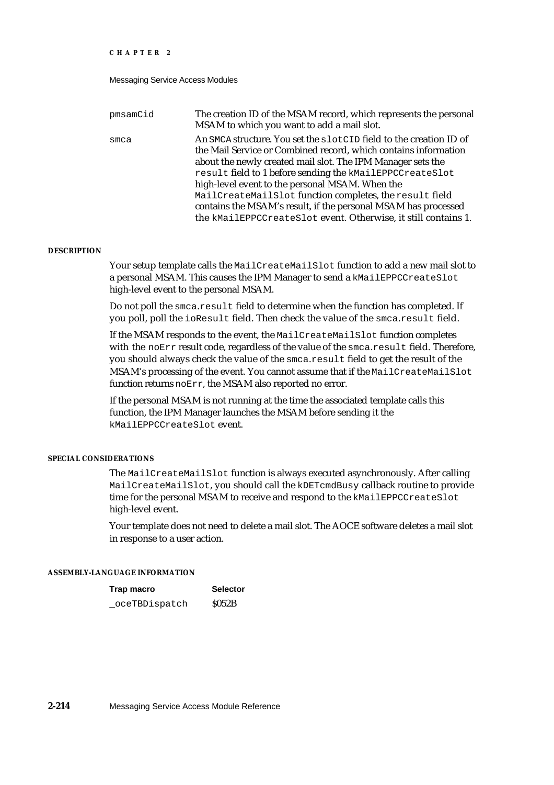| pmsamCid | The creation ID of the MSAM record, which represents the personal<br>MSAM to which you want to add a mail slot.                                                                                      |
|----------|------------------------------------------------------------------------------------------------------------------------------------------------------------------------------------------------------|
| smca     | An SMCA structure. You set the slotCID field to the creation ID of<br>the Mail Service or Combined record, which contains information<br>about the newly created mail slot. The IPM Manager sets the |
|          | result field to 1 before sending the kMailEPPCCreateSlot<br>high-level event to the personal MSAM. When the                                                                                          |
|          | MailCreateMailSlot function completes, the result field<br>contains the MSAM's result, if the personal MSAM has processed<br>the kMailEPPCCreateSlot event. Otherwise, it still contains 1.          |

### **DESCRIPTION**

Your setup template calls the MailCreateMailSlot function to add a new mail slot to a personal MSAM. This causes the IPM Manager to send a kMailEPPCCreateSlot high-level event to the personal MSAM.

Do not poll the smca.result field to determine when the function has completed. If you poll, poll the ioResult field. Then check the value of the smca.result field.

If the MSAM responds to the event, the MailCreateMailSlot function completes with the noErr result code, regardless of the value of the smca.result field. Therefore, you should always check the value of the smca.result field to get the result of the MSAM's processing of the event. You cannot assume that if the MailCreateMailSlot function returns noErr, the MSAM also reported no error.

If the personal MSAM is not running at the time the associated template calls this function, the IPM Manager launches the MSAM before sending it the kMailEPPCCreateSlot event.

#### **SPECIAL CONSIDERATIONS**

The MailCreateMailSlot function is always executed asynchronously. After calling MailCreateMailSlot, you should call the kDETcmdBusy callback routine to provide time for the personal MSAM to receive and respond to the kMailEPPCCreateSlot high-level event.

Your template does not need to delete a mail slot. The AOCE software deletes a mail slot in response to a user action.

#### **ASSEMBLY-LANGUAGE INFORMATION**

| Trap macro    | <b>Selector</b> |
|---------------|-----------------|
| oceTBDispatch | S052B           |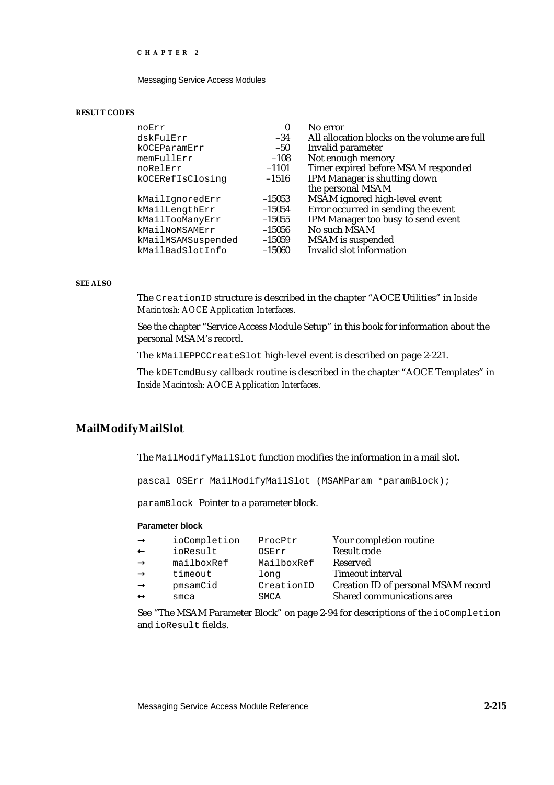Messaging Service Access Modules

#### **RESULT CODES**

| noErr              | $\bf{0}$ | No error                                     |
|--------------------|----------|----------------------------------------------|
| dskFulErr          | $-34$    | All allocation blocks on the volume are full |
| kOCEParamErr       | $-50$    | Invalid parameter                            |
| memFullErr         | $-108$   | Not enough memory                            |
| noRelErr           | $-1101$  | Timer expired before MSAM responded          |
| kOCERefIsClosing   | $-1516$  | IPM Manager is shutting down                 |
|                    |          | the personal MSAM                            |
| kMailIqnoredErr    | $-15053$ | MSAM ignored high-level event                |
| kMailLengthErr     | $-15054$ | Error occurred in sending the event          |
| kMailTooManyErr    | $-15055$ | IPM Manager too busy to send event           |
| kMailNoMSAMErr     | $-15056$ | No such MSAM                                 |
| kMailMSAMSuspended | $-15059$ | <b>MSAM</b> is suspended                     |
| kMailBadSlotInfo   | $-15060$ | Invalid slot information                     |
|                    |          |                                              |

### **SEE ALSO**

The CreationID structure is described in the chapter "AOCE Utilities" in *Inside Macintosh: AOCE Application Interfaces*.

See the chapter "Service Access Module Setup" in this book for information about the personal MSAM's record.

The kMailEPPCCreateSlot high-level event is described on page 2-221.

The kDETcmdBusy callback routine is described in the chapter "AOCE Templates" in *Inside Macintosh: AOCE Application Interfaces*.

# **MailModifyMailSlot**

The MailModifyMailSlot function modifies the information in a mail slot.

pascal OSErr MailModifyMailSlot (MSAMParam \*paramBlock);

paramBlock Pointer to a parameter block.

#### **Parameter block**

| ProcPtr    | Your completion routine             |
|------------|-------------------------------------|
| OSErr      | Result code                         |
| MailboxRef | Reserved                            |
| long       | Timeout interval                    |
| CreationID | Creation ID of personal MSAM record |
| SMCA       | Shared communications area          |
|            |                                     |

See "The MSAM Parameter Block" on page 2-94 for descriptions of the ioCompletion and ioResult fields.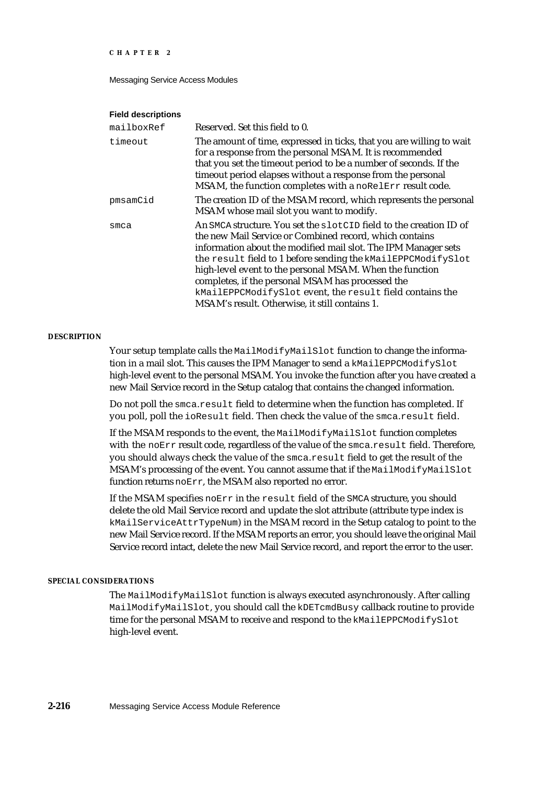Messaging Service Access Modules

#### **Field descriptions**

| Reserved. Set this field to 0.                                                                                                                                                                                                                                                                                                                                                                                                                                                                 |
|------------------------------------------------------------------------------------------------------------------------------------------------------------------------------------------------------------------------------------------------------------------------------------------------------------------------------------------------------------------------------------------------------------------------------------------------------------------------------------------------|
| The amount of time, expressed in ticks, that you are willing to wait<br>for a response from the personal MSAM. It is recommended<br>that you set the timeout period to be a number of seconds. If the<br>timeout period elapses without a response from the personal<br>MSAM, the function completes with a noRelErr result code.                                                                                                                                                              |
| The creation ID of the MSAM record, which represents the personal<br>MSAM whose mail slot you want to modify.                                                                                                                                                                                                                                                                                                                                                                                  |
| An SMCA structure. You set the slotCID field to the creation ID of<br>the new Mail Service or Combined record, which contains<br>information about the modified mail slot. The IPM Manager sets<br>the result field to 1 before sending the kMailEPPCModifySlot<br>high-level event to the personal MSAM. When the function<br>completes, if the personal MSAM has processed the<br>kMailEPPCModifySlot event, the result field contains the<br>MSAM's result. Otherwise, it still contains 1. |
|                                                                                                                                                                                                                                                                                                                                                                                                                                                                                                |

#### **DESCRIPTION**

Your setup template calls the MailModifyMailSlot function to change the information in a mail slot. This causes the IPM Manager to send a kMailEPPCModifySlot high-level event to the personal MSAM. You invoke the function after you have created a new Mail Service record in the Setup catalog that contains the changed information.

Do not poll the smca.result field to determine when the function has completed. If you poll, poll the ioResult field. Then check the value of the smca.result field.

If the MSAM responds to the event, the MailModifyMailSlot function completes with the noErr result code, regardless of the value of the smca.result field. Therefore, you should always check the value of the smca.result field to get the result of the MSAM's processing of the event. You cannot assume that if the MailModifyMailSlot function returns noErr, the MSAM also reported no error.

If the MSAM specifies noErr in the result field of the SMCA structure, you should delete the old Mail Service record and update the slot attribute (attribute type index is kMailServiceAttrTypeNum) in the MSAM record in the Setup catalog to point to the new Mail Service record. If the MSAM reports an error, you should leave the original Mail Service record intact, delete the new Mail Service record, and report the error to the user.

#### **SPECIAL CONSIDERATIONS**

The MailModifyMailSlot function is always executed asynchronously. After calling MailModifyMailSlot, you should call the kDETcmdBusy callback routine to provide time for the personal MSAM to receive and respond to the kMailEPPCModifySlot high-level event.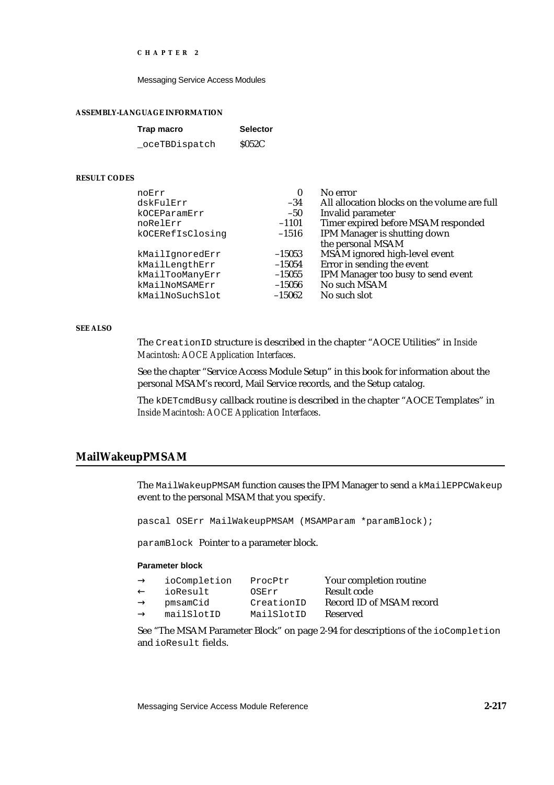Messaging Service Access Modules

#### **ASSEMBLY-LANGUAGE INFORMATION**

| Trap macro     | <b>Selector</b> |
|----------------|-----------------|
| _oceTBDispatch | <b>S052C</b>    |

#### **RESULT CODES**

| noErr            | $\bf{0}$ | No error                                     |
|------------------|----------|----------------------------------------------|
| dskFulErr        | $-34$    | All allocation blocks on the volume are full |
| kOCEParamErr     | $-50$    | Invalid parameter                            |
| noRelErr         | $-1101$  | Timer expired before MSAM responded          |
| kOCERefIsClosinq | $-1516$  | <b>IPM Manager is shutting down</b>          |
|                  |          | the personal MSAM                            |
| kMailIgnoredErr  | $-15053$ | MSAM ignored high-level event                |
| kMailLengthErr   | $-15054$ | Error in sending the event                   |
| kMailTooManyErr  | $-15055$ | IPM Manager too busy to send event           |
| kMailNoMSAMErr   | $-15056$ | No such MSAM                                 |
| kMailNoSuchSlot  | $-15062$ | No such slot                                 |
|                  |          |                                              |

### **SEE ALSO**

The CreationID structure is described in the chapter "AOCE Utilities" in *Inside Macintosh: AOCE Application Interfaces*.

See the chapter "Service Access Module Setup" in this book for information about the personal MSAM's record, Mail Service records, and the Setup catalog.

The kDETcmdBusy callback routine is described in the chapter "AOCE Templates" in *Inside Macintosh: AOCE Application Interfaces*.

# **MailWakeupPMSAM**

The MailWakeupPMSAM function causes the IPM Manager to send a kMailEPPCWakeup event to the personal MSAM that you specify.

pascal OSErr MailWakeupPMSAM (MSAMParam \*paramBlock);

paramBlock Pointer to a parameter block.

# **Parameter block**

| ioCompletion | ProcPtr    | Your completion routine  |
|--------------|------------|--------------------------|
| ioResult     | OSErr      | Result code              |
| pmsamCid     | CreationID | Record ID of MSAM record |
| mailSlotID   | MailSlotID | Reserved                 |

See "The MSAM Parameter Block" on page 2-94 for descriptions of the ioCompletion and ioResult fields.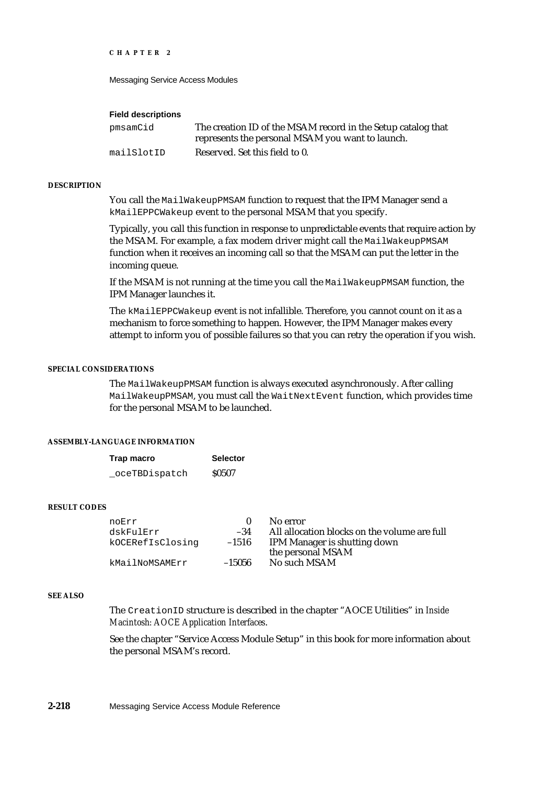Messaging Service Access Modules

#### **Field descriptions**

| pmsamCid   | The creation ID of the MSAM record in the Setup catalog that |
|------------|--------------------------------------------------------------|
|            | represents the personal MSAM you want to launch.             |
| mailSlotID | Reserved. Set this field to 0.                               |

#### **DESCRIPTION**

You call the MailWakeupPMSAM function to request that the IPM Manager send a kMailEPPCWakeup event to the personal MSAM that you specify.

Typically, you call this function in response to unpredictable events that require action by the MSAM. For example, a fax modem driver might call the MailWakeupPMSAM function when it receives an incoming call so that the MSAM can put the letter in the incoming queue.

If the MSAM is not running at the time you call the MailWakeupPMSAM function, the IPM Manager launches it.

The kMailEPPCWakeup event is not infallible. Therefore, you cannot count on it as a mechanism to force something to happen. However, the IPM Manager makes every attempt to inform you of possible failures so that you can retry the operation if you wish.

#### **SPECIAL CONSIDERATIONS**

The MailWakeupPMSAM function is always executed asynchronously. After calling MailWakeupPMSAM, you must call the WaitNextEvent function, which provides time for the personal MSAM to be launched.

#### **ASSEMBLY-LANGUAGE INFORMATION**

| Trap macro     | <b>Selector</b> |
|----------------|-----------------|
| _oceTBDispatch | <b>S0507</b>    |

### **RESULT CODES**

| noErr<br>dskFulErr<br>kOCERefIsClosing | $-34$<br>$-1516$ | No error<br>All allocation blocks on the volume are full<br>IPM Manager is shutting down<br>the personal MSAM |
|----------------------------------------|------------------|---------------------------------------------------------------------------------------------------------------|
| kMailNoMSAMErr                         | -15056           | No such MSAM                                                                                                  |

### **SEE ALSO**

The CreationID structure is described in the chapter "AOCE Utilities" in *Inside Macintosh: AOCE Application Interfaces*.

See the chapter "Service Access Module Setup" in this book for more information about the personal MSAM's record.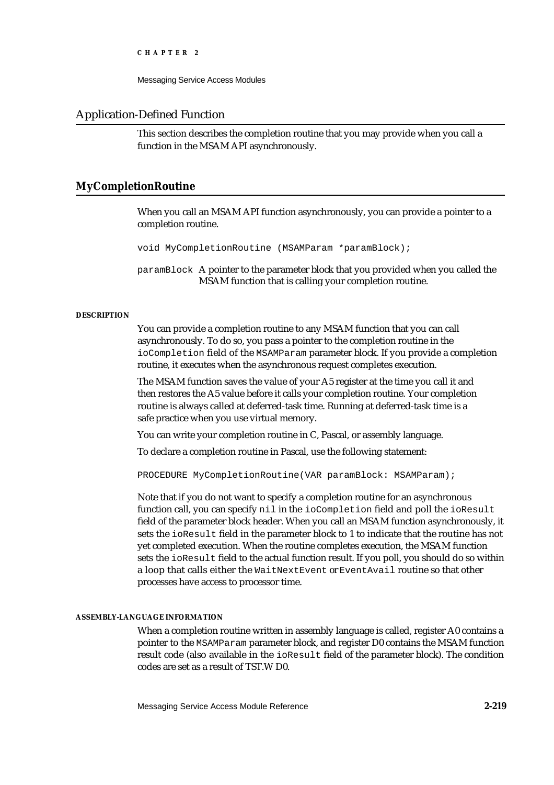Messaging Service Access Modules

# Application-Defined Function

This section describes the completion routine that you may provide when you call a function in the MSAM API asynchronously.

# **MyCompletionRoutine**

When you call an MSAM API function asynchronously, you can provide a pointer to a completion routine.

void MyCompletionRoutine (MSAMParam \*paramBlock);

paramBlock A pointer to the parameter block that you provided when you called the MSAM function that is calling your completion routine.

# **DESCRIPTION**

You can provide a completion routine to any MSAM function that you can call asynchronously. To do so, you pass a pointer to the completion routine in the ioCompletion field of the MSAMParam parameter block. If you provide a completion routine, it executes when the asynchronous request completes execution.

The MSAM function saves the value of your A5 register at the time you call it and then restores the A5 value before it calls your completion routine. Your completion routine is always called at deferred-task time. Running at deferred-task time is a safe practice when you use virtual memory.

You can write your completion routine in C, Pascal, or assembly language.

To declare a completion routine in Pascal, use the following statement:

PROCEDURE MyCompletionRoutine(VAR paramBlock: MSAMParam);

Note that if you do not want to specify a completion routine for an asynchronous function call, you can specify nil in the ioCompletion field and poll the ioResult field of the parameter block header. When you call an MSAM function asynchronously, it sets the ioResult field in the parameter block to 1 to indicate that the routine has not yet completed execution. When the routine completes execution, the MSAM function sets the ioResult field to the actual function result. If you poll, you should do so within a loop that calls either the WaitNextEvent or EventAvail routine so that other processes have access to processor time.

### **ASSEMBLY-LANGUAGE INFORMATION**

When a completion routine written in assembly language is called, register A0 contains a pointer to the MSAMParam parameter block, and register D0 contains the MSAM function result code (also available in the ioResult field of the parameter block). The condition codes are set as a result of TST.W D0.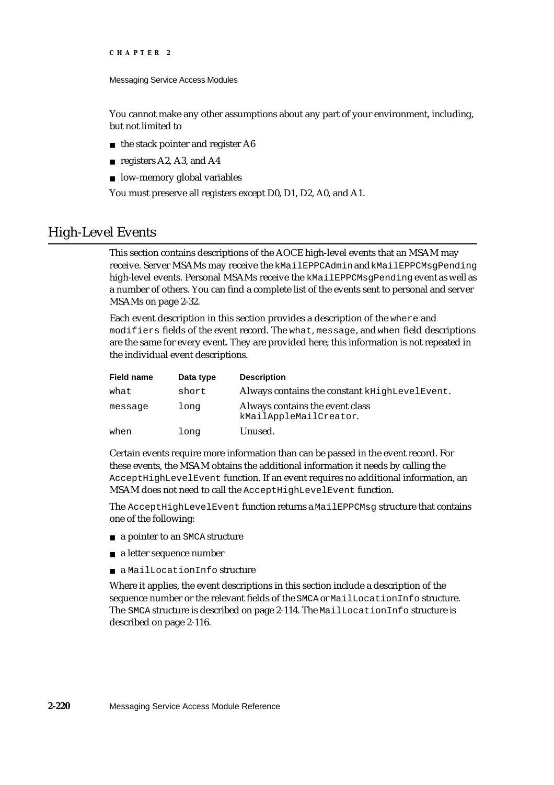```
CHAPTER 2
```
You cannot make any other assumptions about any part of your environment, including, but not limited to

- $n$  the stack pointer and register A6
- n registers A2, A3, and A4
- n low-memory global variables

You must preserve all registers except D0, D1, D2, A0, and A1.

# High-Level Events

This section contains descriptions of the AOCE high-level events that an MSAM may receive. Server MSAMs may receive the kMailEPPCAdmin and kMailEPPCMsgPending high-level events. Personal MSAMs receive the kMailEPPCMsqPending event as well as a number of others. You can find a complete list of the events sent to personal and server MSAMs on page 2-32.

Each event description in this section provides a description of the where and modifiers fields of the event record. The what, message, and when field descriptions are the same for every event. They are provided here; this information is not repeated in the individual event descriptions.

| Field name | Data type | <b>Description</b>                                        |
|------------|-----------|-----------------------------------------------------------|
| what       | short     | Always contains the constant kHighLevelEvent.             |
| message    | long      | Always contains the event class<br>kMailAppleMailCreator. |
| when       | long      | Unused.                                                   |

Certain events require more information than can be passed in the event record. For these events, the MSAM obtains the additional information it needs by calling the AcceptHighLevelEvent function. If an event requires no additional information, an MSAM does not need to call the AcceptHighLevelEvent function.

The AcceptHighLevelEvent function returns a MailEPPCMsg structure that contains one of the following:

- a pointer to an SMCA structure
- a letter sequence number
- a MailLocationInfo structure

Where it applies, the event descriptions in this section include a description of the sequence number or the relevant fields of the SMCA or MailLocationInfo structure. The SMCA structure is described on page 2-114. The MailLocationInfo structure is described on page 2-116.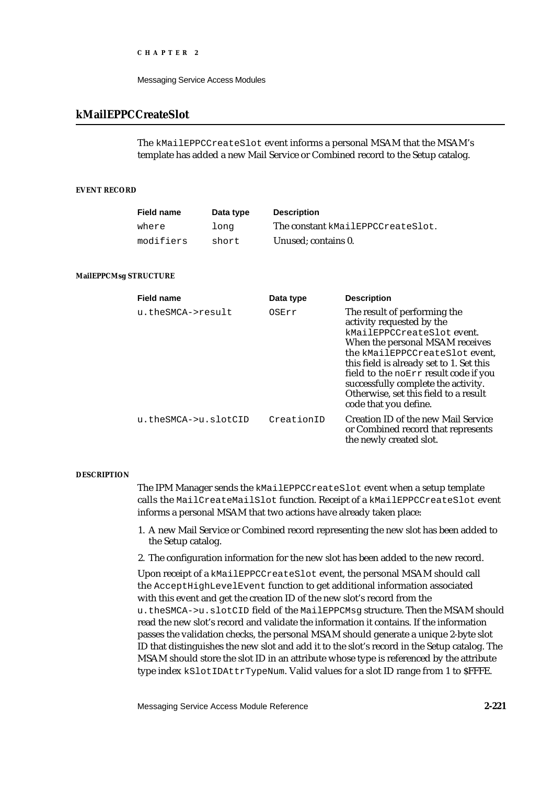```
CHAPTER 2
```
# **kMailEPPCCreateSlot**

The kMailEPPCCreateSlot event informs a personal MSAM that the MSAM's template has added a new Mail Service or Combined record to the Setup catalog.

# **EVENT RECORD**

| <b>Field name</b> | Data type | <b>Description</b>                |
|-------------------|-----------|-----------------------------------|
| where             | long      | The constant kMailEPPCCreateSlot. |
| modifiers         | short     | Unused; contains 0.               |

### **MailEPPCMsg STRUCTURE**

| <b>Field name</b>    | Data type  | <b>Description</b>                                                                                                                                                                                                                                                                                                                                         |
|----------------------|------------|------------------------------------------------------------------------------------------------------------------------------------------------------------------------------------------------------------------------------------------------------------------------------------------------------------------------------------------------------------|
| u.theSMCA->result    | OSErr      | The result of performing the<br>activity requested by the<br>kMailEPPCCreateSlot event.<br>When the personal MSAM receives<br>the kMailEPPCCreateSlot event,<br>this field is already set to 1. Set this<br>field to the noErr result code if you<br>successfully complete the activity.<br>Otherwise, set this field to a result<br>code that you define. |
| u.theSMCA->u.slotCID | CreationID | <b>Creation ID of the new Mail Service</b><br>or Combined record that represents<br>the newly created slot.                                                                                                                                                                                                                                                |

### **DESCRIPTION**

The IPM Manager sends the kMailEPPCCreateSlot event when a setup template calls the MailCreateMailSlot function. Receipt of a kMailEPPCCreateSlot event informs a personal MSAM that two actions have already taken place:

- 1. A new Mail Service or Combined record representing the new slot has been added to the Setup catalog.
- 2. The configuration information for the new slot has been added to the new record.

Upon receipt of a kMailEPPCCreateSlot event, the personal MSAM should call the AcceptHighLevelEvent function to get additional information associated with this event and get the creation ID of the new slot's record from the u.theSMCA->u.slotCID field of the MailEPPCMsg structure. Then the MSAM should read the new slot's record and validate the information it contains. If the information passes the validation checks, the personal MSAM should generate a unique 2-byte slot ID that distinguishes the new slot and add it to the slot's record in the Setup catalog. The MSAM should store the slot ID in an attribute whose type is referenced by the attribute type index kSlotIDAttrTypeNum. Valid values for a slot ID range from 1 to \$FFFE.

Messaging Service Access Module Reference **2-221**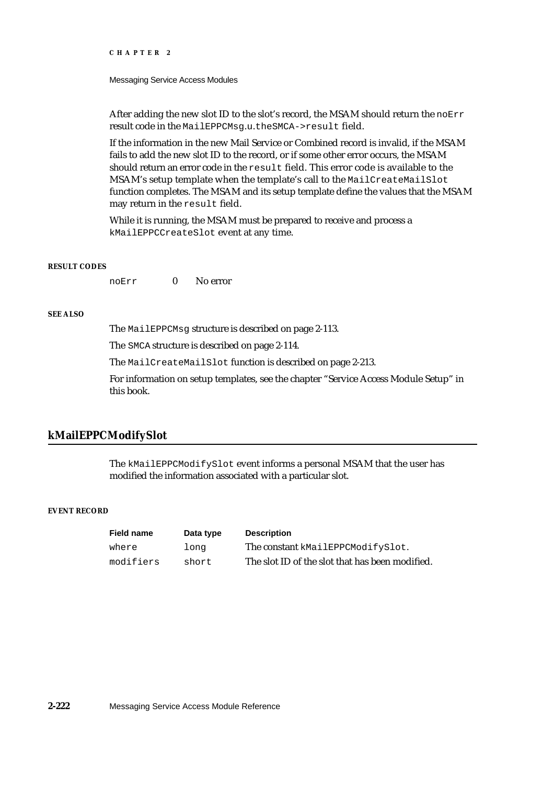#### Messaging Service Access Modules

After adding the new slot ID to the slot's record, the MSAM should return the  $n$ OETT result code in the MailEPPCMsg.u.theSMCA->result field.

If the information in the new Mail Service or Combined record is invalid, if the MSAM fails to add the new slot ID to the record, or if some other error occurs, the MSAM should return an error code in the result field. This error code is available to the MSAM's setup template when the template's call to the MailCreateMailSlot function completes. The MSAM and its setup template define the values that the MSAM may return in the result field.

While it is running, the MSAM must be prepared to receive and process a kMailEPPCCreateSlot event at any time.

#### **RESULT CODES**

noErr 0 No error

#### **SEE ALSO**

The MailEPPCMsg structure is described on page 2-113.

The SMCA structure is described on page 2-114.

The MailCreateMailSlot function is described on page 2-213.

For information on setup templates, see the chapter "Service Access Module Setup" in this book.

# **kMailEPPCModifySlot**

The kMailEPPCModifySlot event informs a personal MSAM that the user has modified the information associated with a particular slot.

# **EVENT RECORD**

| <b>Field name</b> | Data type | <b>Description</b>                              |
|-------------------|-----------|-------------------------------------------------|
| where             | long      | The constant kMailEPPCModifySlot.               |
| modifiers         | short     | The slot ID of the slot that has been modified. |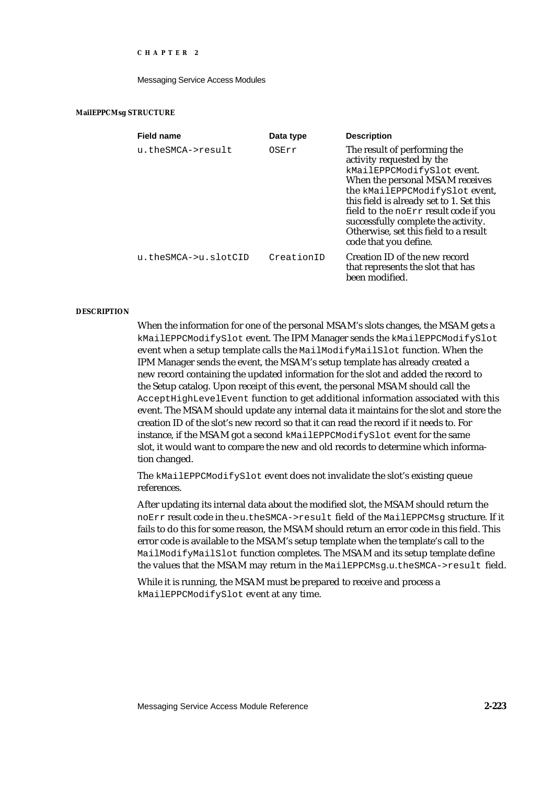#### Messaging Service Access Modules

#### **MailEPPCMsg STRUCTURE**

| <b>Field name</b>    | Data type  | <b>Description</b>                                                                                                                                                                                                                                                                                                                                         |
|----------------------|------------|------------------------------------------------------------------------------------------------------------------------------------------------------------------------------------------------------------------------------------------------------------------------------------------------------------------------------------------------------------|
| u.theSMCA->result    | OSErr      | The result of performing the<br>activity requested by the<br>kMailEPPCModifySlot event.<br>When the personal MSAM receives<br>the kMailEPPCModifySlot event,<br>this field is already set to 1. Set this<br>field to the noErr result code if you<br>successfully complete the activity.<br>Otherwise, set this field to a result<br>code that you define. |
| u.theSMCA->u.slotCID | CreationID | Creation ID of the new record<br>that represents the slot that has<br>been modified                                                                                                                                                                                                                                                                        |

#### **DESCRIPTION**

When the information for one of the personal MSAM's slots changes, the MSAM gets a kMailEPPCModifySlot event. The IPM Manager sends the kMailEPPCModifySlot event when a setup template calls the MailModifyMailSlot function. When the IPM Manager sends the event, the MSAM's setup template has already created a new record containing the updated information for the slot and added the record to the Setup catalog. Upon receipt of this event, the personal MSAM should call the AcceptHighLevelEvent function to get additional information associated with this event. The MSAM should update any internal data it maintains for the slot and store the creation ID of the slot's new record so that it can read the record if it needs to. For instance, if the MSAM got a second kMailEPPCModifySlot event for the same slot, it would want to compare the new and old records to determine which information changed.

The kMailEPPCModifySlot event does not invalidate the slot's existing queue references.

After updating its internal data about the modified slot, the MSAM should return the noErr result code in the u.theSMCA->result field of the MailEPPCMsg structure. If it fails to do this for some reason, the MSAM should return an error code in this field. This error code is available to the MSAM's setup template when the template's call to the MailModifyMailSlot function completes. The MSAM and its setup template define the values that the MSAM may return in the MailEPPCMsg.u.theSMCA->result field.

While it is running, the MSAM must be prepared to receive and process a kMailEPPCModifySlot event at any time.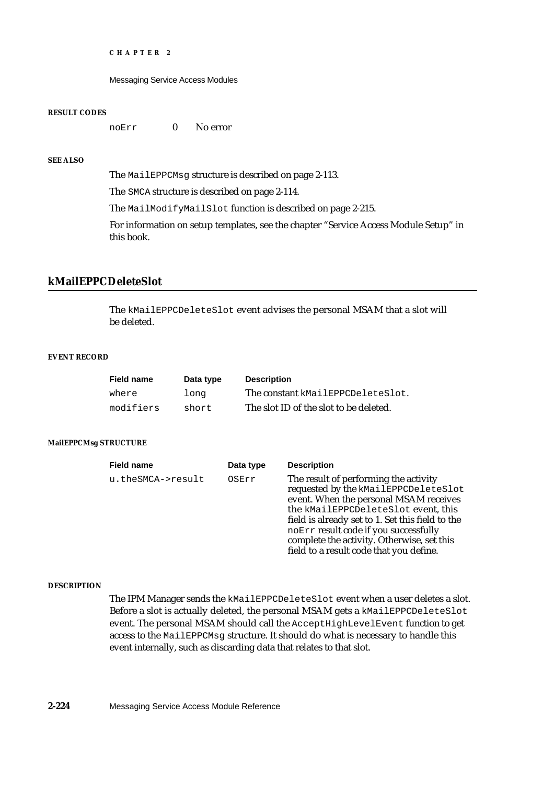Messaging Service Access Modules

#### **RESULT CODES**

noErr 0 No error

# **SEE ALSO**

The MailEPPCMsg structure is described on page 2-113.

The SMCA structure is described on page 2-114.

The MailModifyMailSlot function is described on page 2-215.

For information on setup templates, see the chapter "Service Access Module Setup" in this book.

# **kMailEPPCDeleteSlot**

The kMailEPPCDeleteSlot event advises the personal MSAM that a slot will be deleted.

#### **EVENT RECORD**

| <b>Field name</b> | Data type | <b>Description</b>                     |
|-------------------|-----------|----------------------------------------|
| where             | long      | The constant kMailEPPCDeleteSlot.      |
| modifiers         | short     | The slot ID of the slot to be deleted. |

# **MailEPPCMsg STRUCTURE**

| <b>Field name</b> | Data type | <b>Description</b>                                                                                                                                                                                                                                                                                                                                   |
|-------------------|-----------|------------------------------------------------------------------------------------------------------------------------------------------------------------------------------------------------------------------------------------------------------------------------------------------------------------------------------------------------------|
| u.theSMCA->result | OSErr     | The result of performing the activity<br>requested by the kMailEPPCDeleteSlot<br>event. When the personal MSAM receives<br>the kMailEPPCDeleteSlot event, this<br>field is already set to 1. Set this field to the<br>noErr result code if you successfully<br>complete the activity. Otherwise, set this<br>field to a result code that you define. |

#### **DESCRIPTION**

The IPM Manager sends the kMailEPPCDeleteSlot event when a user deletes a slot. Before a slot is actually deleted, the personal MSAM gets a kMailEPPCDeleteSlot event. The personal MSAM should call the AcceptHighLevelEvent function to get access to the MailEPPCMsg structure. It should do what is necessary to handle this event internally, such as discarding data that relates to that slot.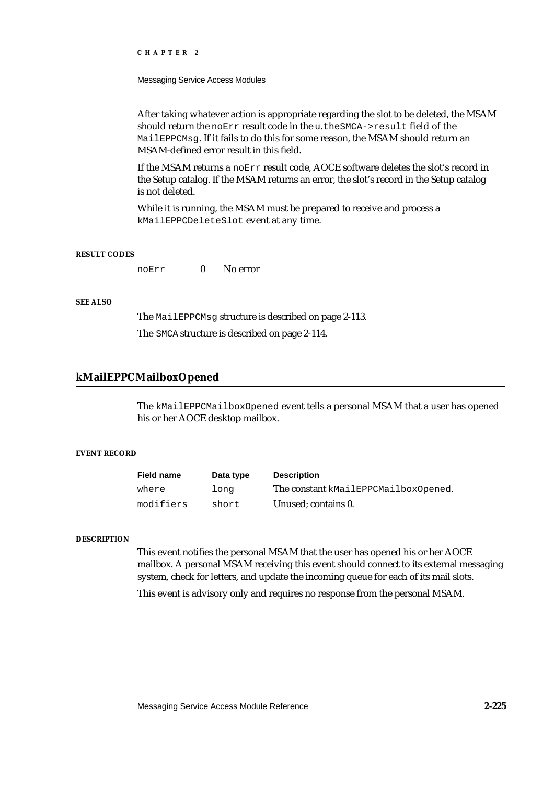Messaging Service Access Modules

After taking whatever action is appropriate regarding the slot to be deleted, the MSAM should return the noErr result code in the u.theSMCA->result field of the MailEPPCMsg. If it fails to do this for some reason, the MSAM should return an MSAM-defined error result in this field.

If the MSAM returns a noErr result code, AOCE software deletes the slot's record in the Setup catalog. If the MSAM returns an error, the slot's record in the Setup catalog is not deleted.

While it is running, the MSAM must be prepared to receive and process a kMailEPPCDeleteSlot event at any time.

#### **RESULT CODES**

noErr 0 No error

# **SEE ALSO**

The MailEPPCMsg structure is described on page 2-113. The SMCA structure is described on page 2-114.

# **kMailEPPCMailboxOpened**

The kMailEPPCMailboxOpened event tells a personal MSAM that a user has opened his or her AOCE desktop mailbox.

# **EVENT RECORD**

| <b>Field name</b> | Data type | <b>Description</b>                   |
|-------------------|-----------|--------------------------------------|
| where             | long      | The constant kMailEPPCMailboxOpened. |
| modifiers         | short     | Unused: contains 0.                  |

#### **DESCRIPTION**

This event notifies the personal MSAM that the user has opened his or her AOCE mailbox. A personal MSAM receiving this event should connect to its external messaging system, check for letters, and update the incoming queue for each of its mail slots.

This event is advisory only and requires no response from the personal MSAM.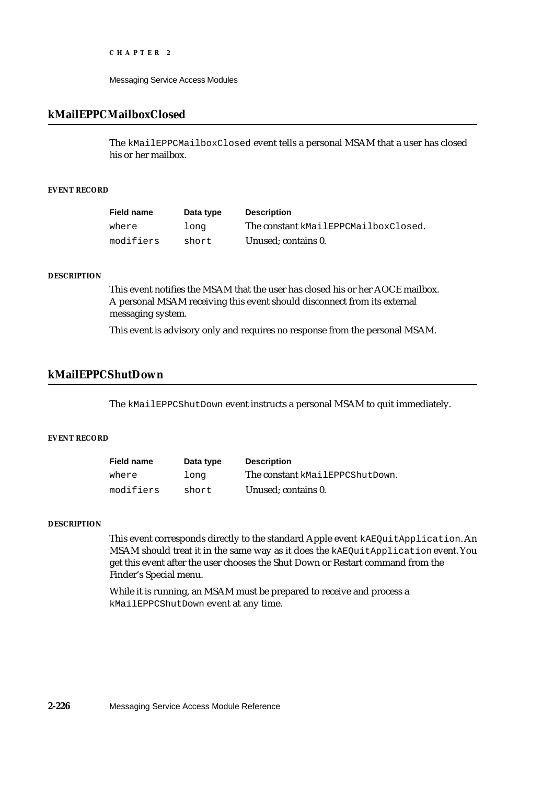Messaging Service Access Modules

# **kMailEPPCMailboxClosed**

The kMailEPPCMailboxClosed event tells a personal MSAM that a user has closed his or her mailbox.

# **EVENT RECORD**

| <b>Field name</b> | Data type | <b>Description</b>                   |
|-------------------|-----------|--------------------------------------|
| where             | long      | The constant kMailEPPCMailboxClosed. |
| modifiers         | short     | Unused: contains 0.                  |

#### **DESCRIPTION**

This event notifies the MSAM that the user has closed his or her AOCE mailbox. A personal MSAM receiving this event should disconnect from its external messaging system.

This event is advisory only and requires no response from the personal MSAM.

# **kMailEPPCShutDown**

The kMailEPPCShutDown event instructs a personal MSAM to quit immediately.

# **EVENT RECORD**

| <b>Field name</b> | Data type | <b>Description</b>              |
|-------------------|-----------|---------------------------------|
| where             | long      | The constant kMailEPPCShutDown. |
| modifiers         | short     | Unused: contains 0.             |

### **DESCRIPTION**

This event corresponds directly to the standard Apple event kAEQuitApplication. An MSAM should treat it in the same way as it does the kAEQuitApplication event. You get this event after the user chooses the Shut Down or Restart command from the Finder's Special menu.

While it is running, an MSAM must be prepared to receive and process a kMailEPPCShutDown event at any time.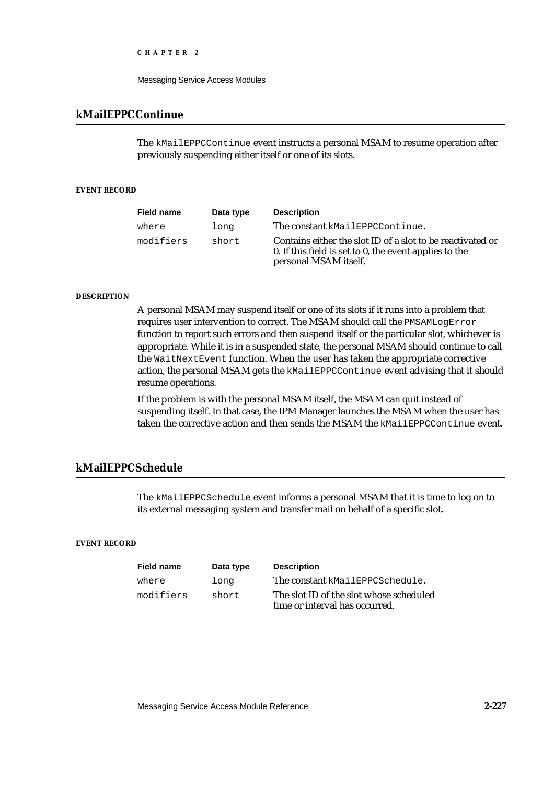```
CHAPTER 2
```
# **kMailEPPCContinue**

The kMailEPPCContinue event instructs a personal MSAM to resume operation after previously suspending either itself or one of its slots.

# **EVENT RECORD**

| <b>Field name</b> | Data type | <b>Description</b>                                                                                                                            |
|-------------------|-----------|-----------------------------------------------------------------------------------------------------------------------------------------------|
| where             | long      | The constant kMailEPPCContinue.                                                                                                               |
| modifiers         | short     | Contains either the slot ID of a slot to be reactivated or<br>0. If this field is set to 0, the event applies to the<br>personal MSAM itself. |

### **DESCRIPTION**

A personal MSAM may suspend itself or one of its slots if it runs into a problem that requires user intervention to correct. The MSAM should call the PMSAMLogError function to report such errors and then suspend itself or the particular slot, whichever is appropriate. While it is in a suspended state, the personal MSAM should continue to call the WaitNextEvent function. When the user has taken the appropriate corrective action, the personal MSAM gets the kMailEPPCContinue event advising that it should resume operations.

If the problem is with the personal MSAM itself, the MSAM can quit instead of suspending itself. In that case, the IPM Manager launches the MSAM when the user has taken the corrective action and then sends the MSAM the kMailEPPCContinue event.

# **kMailEPPCSchedule**

The kMailEPPCSchedule event informs a personal MSAM that it is time to log on to its external messaging system and transfer mail on behalf of a specific slot.

#### **EVENT RECORD**

| <b>Field name</b> | Data type | <b>Description</b>                                                        |
|-------------------|-----------|---------------------------------------------------------------------------|
| where             | long      | The constant kMailEPPCSchedule.                                           |
| modifiers         | short     | The slot ID of the slot whose scheduled<br>time or interval has occurred. |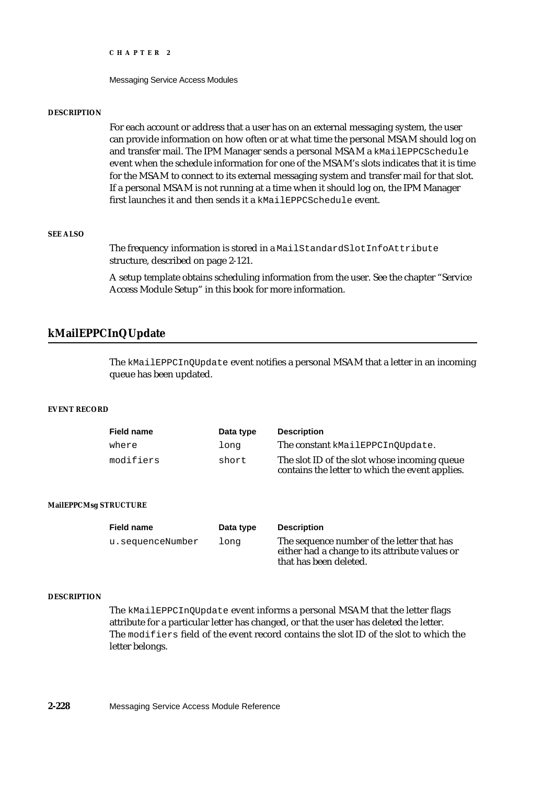Messaging Service Access Modules

#### **DESCRIPTION**

For each account or address that a user has on an external messaging system, the user can provide information on how often or at what time the personal MSAM should log on and transfer mail. The IPM Manager sends a personal MSAM a kMailEPPCSchedule event when the schedule information for one of the MSAM's slots indicates that it is time for the MSAM to connect to its external messaging system and transfer mail for that slot. If a personal MSAM is not running at a time when it should log on, the IPM Manager first launches it and then sends it a kMailEPPCSchedule event.

# **SEE ALSO**

The frequency information is stored in a MailStandardSlotInfoAttribute structure, described on page 2-121.

A setup template obtains scheduling information from the user. See the chapter "Service Access Module Setup" in this book for more information.

# **kMailEPPCInQUpdate**

The kMailEPPCInQUpdate event notifies a personal MSAM that a letter in an incoming queue has been updated.

### **EVENT RECORD**

| <b>Field name</b> | Data type | <b>Description</b>                                                                              |
|-------------------|-----------|-------------------------------------------------------------------------------------------------|
| where             | long      | The constant kMailEPPCInOUpdate.                                                                |
| modifiers         | short     | The slot ID of the slot whose incoming queue<br>contains the letter to which the event applies. |

# **MailEPPCMsg STRUCTURE**

| <b>Field name</b> | Data type | <b>Description</b>                                                                                                     |
|-------------------|-----------|------------------------------------------------------------------------------------------------------------------------|
| u.sequenceNumber  | long      | The sequence number of the letter that has<br>either had a change to its attribute values or<br>that has been deleted. |

#### **DESCRIPTION**

The kMailEPPCInQUpdate event informs a personal MSAM that the letter flags attribute for a particular letter has changed, or that the user has deleted the letter. The modifiers field of the event record contains the slot ID of the slot to which the letter belongs.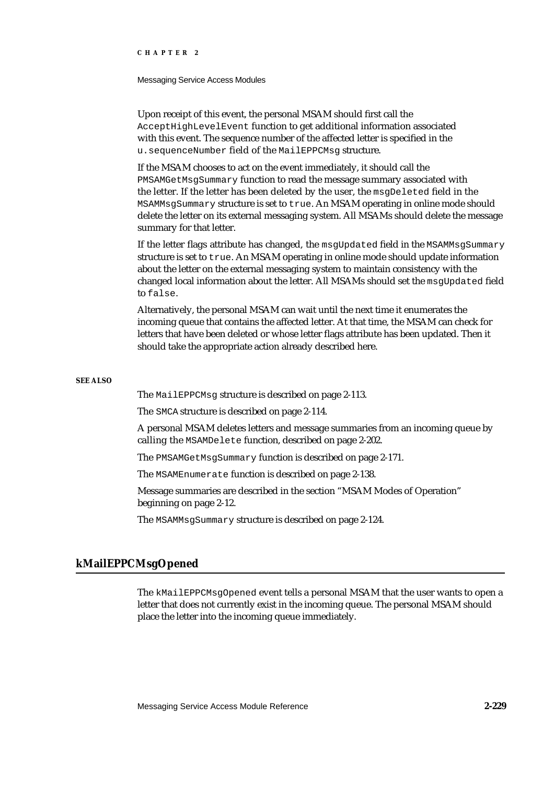#### Messaging Service Access Modules

Upon receipt of this event, the personal MSAM should first call the AcceptHighLevelEvent function to get additional information associated with this event. The sequence number of the affected letter is specified in the u.sequenceNumber field of the MailEPPCMsg structure.

If the MSAM chooses to act on the event immediately, it should call the PMSAMGetMsgSummary function to read the message summary associated with the letter. If the letter has been deleted by the user, the msgDeleted field in the MSAMMsgSummary structure is set to true. An MSAM operating in online mode should delete the letter on its external messaging system. All MSAMs should delete the message summary for that letter.

If the letter flags attribute has changed, the msgUpdated field in the MSAMMsgSummary structure is set to true. An MSAM operating in online mode should update information about the letter on the external messaging system to maintain consistency with the changed local information about the letter. All MSAMs should set the msgUpdated field to false.

Alternatively, the personal MSAM can wait until the next time it enumerates the incoming queue that contains the affected letter. At that time, the MSAM can check for letters that have been deleted or whose letter flags attribute has been updated. Then it should take the appropriate action already described here.

### **SEE ALSO**

The MailEPPCMsg structure is described on page 2-113.

The SMCA structure is described on page 2-114.

A personal MSAM deletes letters and message summaries from an incoming queue by calling the MSAMDelete function, described on page 2-202.

The PMSAMGetMsgSummary function is described on page 2-171.

The MSAMEnumerate function is described on page 2-138.

Message summaries are described in the section "MSAM Modes of Operation" beginning on page 2-12.

The MSAMMsgSummary structure is described on page 2-124.

# **kMailEPPCMsgOpened**

The kMailEPPCMsgOpened event tells a personal MSAM that the user wants to open a letter that does not currently exist in the incoming queue. The personal MSAM should place the letter into the incoming queue immediately.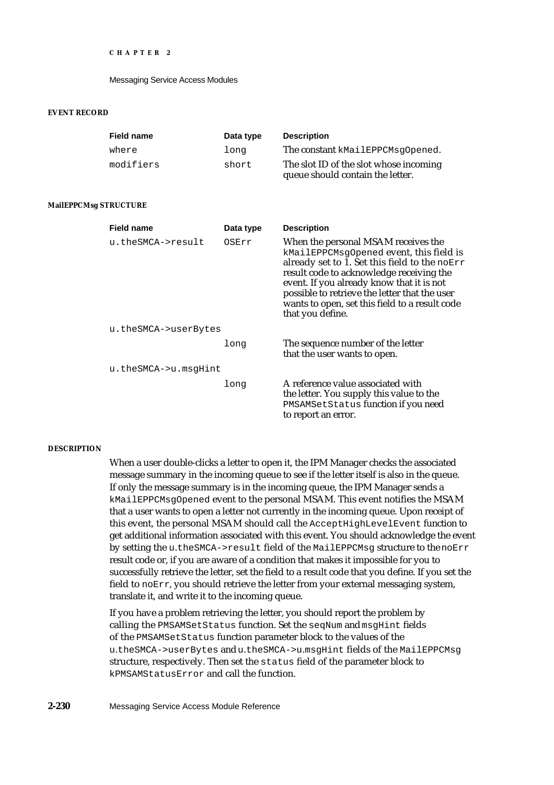### **EVENT RECORD**

| <b>Field name</b>     | Data type | <b>Description</b>                                                                                                                                                                                                                                                                                                                              |
|-----------------------|-----------|-------------------------------------------------------------------------------------------------------------------------------------------------------------------------------------------------------------------------------------------------------------------------------------------------------------------------------------------------|
| where                 | long      | The constant kMailEPPCMsqOpened.                                                                                                                                                                                                                                                                                                                |
| modifiers             | short     | The slot ID of the slot whose incoming<br>queue should contain the letter.                                                                                                                                                                                                                                                                      |
| MailEPPCMsg STRUCTURE |           |                                                                                                                                                                                                                                                                                                                                                 |
| <b>Field name</b>     | Data type | <b>Description</b>                                                                                                                                                                                                                                                                                                                              |
| u.theSMCA->result     | OSErr     | When the personal MSAM receives the<br>kMailEPPCMsgOpened event, this field is<br>already set to 1. Set this field to the noErr<br>result code to acknowledge receiving the<br>event. If you already know that it is not<br>possible to retrieve the letter that the user<br>wants to open, set this field to a result code<br>that you define. |
| u.theSMCA->userBytes  |           |                                                                                                                                                                                                                                                                                                                                                 |
|                       | long      | The sequence number of the letter<br>that the user wants to open.                                                                                                                                                                                                                                                                               |
| u.theSMCA->u.msqHint  |           |                                                                                                                                                                                                                                                                                                                                                 |
|                       | long      | A reference value associated with<br>the letter. You supply this value to the<br>PMSAMSetStatus function if you need<br>to report an error.                                                                                                                                                                                                     |

### **DESCRIPTION**

When a user double-clicks a letter to open it, the IPM Manager checks the associated message summary in the incoming queue to see if the letter itself is also in the queue. If only the message summary is in the incoming queue, the IPM Manager sends a kMailEPPCMsgOpened event to the personal MSAM. This event notifies the MSAM that a user wants to open a letter not currently in the incoming queue. Upon receipt of this event, the personal MSAM should call the AcceptHighLevelEvent function to get additional information associated with this event. You should acknowledge the event by setting the u.theSMCA->result field of the MailEPPCMsg structure to the noErr result code or, if you are aware of a condition that makes it impossible for you to successfully retrieve the letter, set the field to a result code that you define. If you set the field to noErr, you should retrieve the letter from your external messaging system, translate it, and write it to the incoming queue.

If you have a problem retrieving the letter, you should report the problem by calling the PMSAMSetStatus function. Set the seqNum and msgHint fields of the PMSAMSetStatus function parameter block to the values of the u.theSMCA->userBytes and u.theSMCA->u.msgHint fields of the MailEPPCMsg structure, respectively. Then set the status field of the parameter block to kPMSAMStatusError and call the function.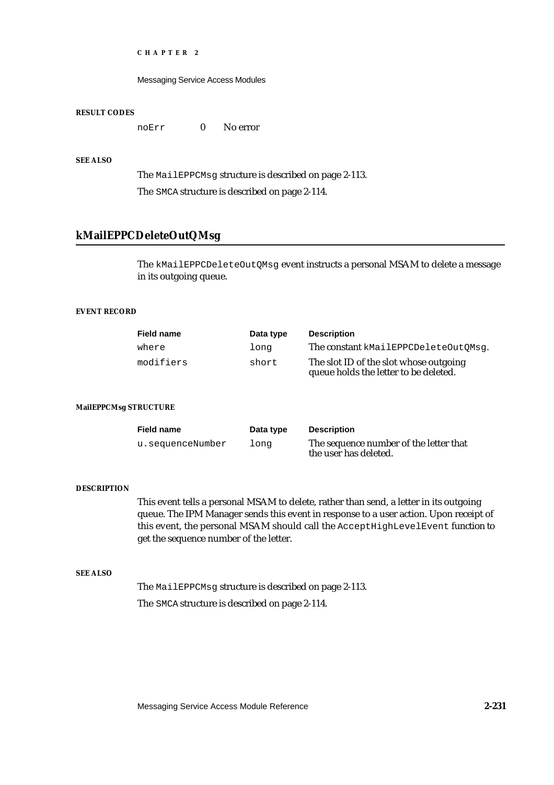Messaging Service Access Modules

### **RESULT CODES**

noErr 0 No error

# **SEE ALSO**

The MailEPPCMsg structure is described on page 2-113. The SMCA structure is described on page 2-114.

# **kMailEPPCDeleteOutQMsg**

The kMailEPPCDeleteOutQMsg event instructs a personal MSAM to delete a message in its outgoing queue.

# **EVENT RECORD**

| <b>Field name</b> | Data type | <b>Description</b>                                                              |
|-------------------|-----------|---------------------------------------------------------------------------------|
| where             | long      | The constant kMailEPPCDeleteOutOMsq.                                            |
| modifiers         | short     | The slot ID of the slot whose outgoing<br>queue holds the letter to be deleted. |

### **MailEPPCMsg STRUCTURE**

| <b>Field name</b> | Data type | <b>Description</b>                                              |
|-------------------|-----------|-----------------------------------------------------------------|
| u.sequenceNumber  | long      | The sequence number of the letter that<br>the user has deleted. |

### **DESCRIPTION**

This event tells a personal MSAM to delete, rather than send, a letter in its outgoing queue. The IPM Manager sends this event in response to a user action. Upon receipt of this event, the personal MSAM should call the AcceptHighLevelEvent function to get the sequence number of the letter.

### **SEE ALSO**

The MailEPPCMsg structure is described on page 2-113. The SMCA structure is described on page 2-114.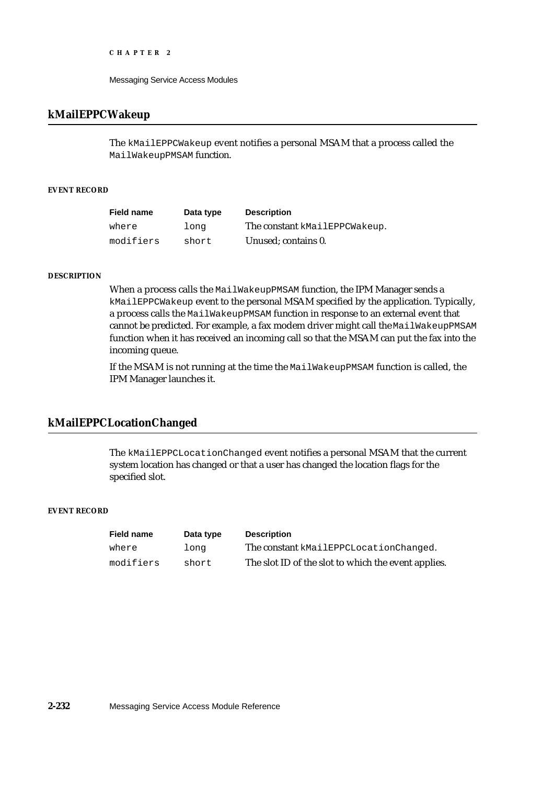Messaging Service Access Modules

# **kMailEPPCWakeup**

The kMailEPPCWakeup event notifies a personal MSAM that a process called the MailWakeupPMSAM function.

# **EVENT RECORD**

| <b>Field name</b> | Data type | <b>Description</b>            |
|-------------------|-----------|-------------------------------|
| where             | long      | The constant kMailEPPCWakeup. |
| modifiers         | short     | Unused; contains 0.           |

## **DESCRIPTION**

When a process calls the MailWakeupPMSAM function, the IPM Manager sends a kMailEPPCWakeup event to the personal MSAM specified by the application. Typically, a process calls the MailWakeupPMSAM function in response to an external event that cannot be predicted. For example, a fax modem driver might call the MailWakeupPMSAM function when it has received an incoming call so that the MSAM can put the fax into the incoming queue.

If the MSAM is not running at the time the MailWakeupPMSAM function is called, the IPM Manager launches it.

# **kMailEPPCLocationChanged**

The kMailEPPCLocationChanged event notifies a personal MSAM that the current system location has changed or that a user has changed the location flags for the specified slot.

# **EVENT RECORD**

| <b>Field name</b> | Data type | <b>Description</b>                                  |
|-------------------|-----------|-----------------------------------------------------|
| where             | long      | The constant kMailEPPCLocationChanged.              |
| modifiers         | short     | The slot ID of the slot to which the event applies. |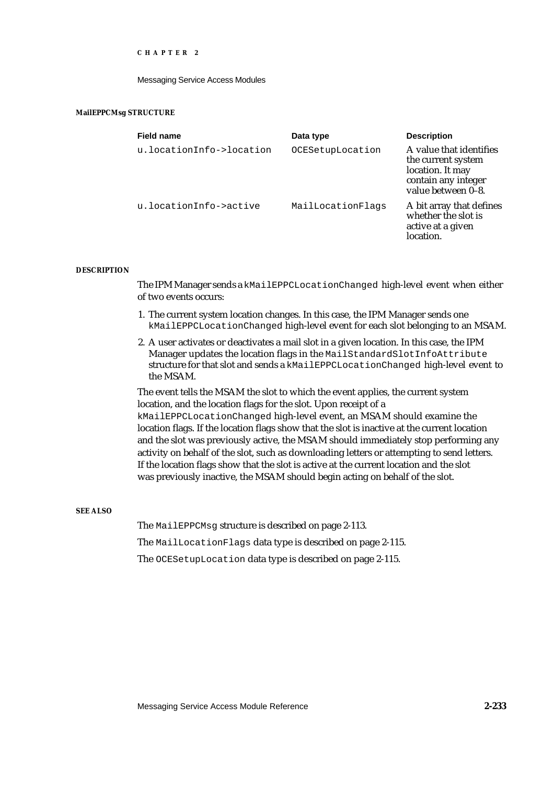Messaging Service Access Modules

### **MailEPPCMsg STRUCTURE**

| <b>Field name</b>        | Data type         | <b>Description</b>                                                                                             |
|--------------------------|-------------------|----------------------------------------------------------------------------------------------------------------|
| u.locationInfo->location | OCESetupLocation  | A value that identifies<br>the current system<br>location. It may<br>contain any integer<br>value between 0-8. |
| u.locationInfo->active   | MailLocationFlags | A bit array that defines<br>whether the slot is<br>active at a given<br>location.                              |

### **DESCRIPTION**

The IPM Manager sends a kMailEPPCLocationChanged high-level event when either of two events occurs:

- 1. The current system location changes. In this case, the IPM Manager sends one kMailEPPCLocationChanged high-level event for each slot belonging to an MSAM.
- 2. A user activates or deactivates a mail slot in a given location. In this case, the IPM Manager updates the location flags in the MailStandardSlotInfoAttribute structure for that slot and sends a kMailEPPCLocationChanged high-level event to the MSAM.

The event tells the MSAM the slot to which the event applies, the current system location, and the location flags for the slot. Upon receipt of a kMailEPPCLocationChanged high-level event, an MSAM should examine the location flags. If the location flags show that the slot is inactive at the current location and the slot was previously active, the MSAM should immediately stop performing any activity on behalf of the slot, such as downloading letters or attempting to send letters. If the location flags show that the slot is active at the current location and the slot was previously inactive, the MSAM should begin acting on behalf of the slot.

### **SEE ALSO**

The MailEPPCMsg structure is described on page 2-113. The MailLocationFlags data type is described on page 2-115. The OCESetupLocation data type is described on page 2-115.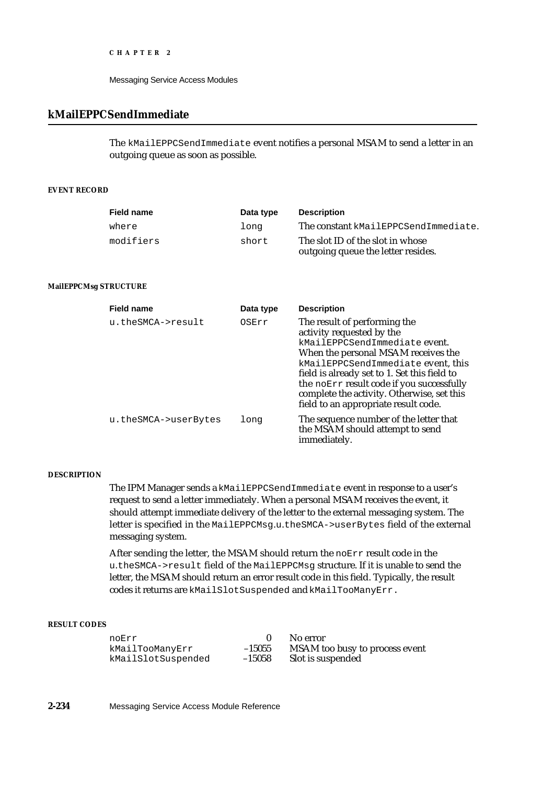Messaging Service Access Modules

# **kMailEPPCSendImmediate**

The kMailEPPCSendImmediate event notifies a personal MSAM to send a letter in an outgoing queue as soon as possible.

# **EVENT RECORD**

| <b>Field name</b> | Data type | <b>Description</b>                                                     |
|-------------------|-----------|------------------------------------------------------------------------|
| where             | long      | The constant kMailEPPCSendImmediate.                                   |
| modifiers         | short     | The slot ID of the slot in whose<br>outgoing queue the letter resides. |

### **MailEPPCMsg STRUCTURE**

| <b>Field name</b>    | Data type | <b>Description</b>                                                                                                                                                                                                                                                                                                                                         |  |
|----------------------|-----------|------------------------------------------------------------------------------------------------------------------------------------------------------------------------------------------------------------------------------------------------------------------------------------------------------------------------------------------------------------|--|
| u.theSMCA->result    | OSErr     | The result of performing the<br>activity requested by the<br>kMailEPPCSendImmediate event.<br>When the personal MSAM receives the<br>kMailEPPCSendImmediate event, this<br>field is already set to 1. Set this field to<br>the noErr result code if you successfully<br>complete the activity. Otherwise, set this<br>field to an appropriate result code. |  |
| u.theSMCA->userBytes | long      | The sequence number of the letter that<br>the MSAM should attempt to send<br>immediately.                                                                                                                                                                                                                                                                  |  |

# **DESCRIPTION**

The IPM Manager sends a kMailEPPCSendImmediate event in response to a user's request to send a letter immediately. When a personal MSAM receives the event, it should attempt immediate delivery of the letter to the external messaging system. The letter is specified in the MailEPPCMsg.u.theSMCA->userBytes field of the external messaging system.

After sending the letter, the MSAM should return the noErr result code in the u.theSMCA->result field of the MailEPPCMsg structure. If it is unable to send the letter, the MSAM should return an error result code in this field. Typically, the result codes it returns are kMailSlotSuspended and kMailTooManyErr.

### **RESULT CODES**

noErr 15055 No error<br>
kMailTooManyErr 15055 NSAM to kMailSlotSuspended –15058 Slot is suspended

-15055 MSAM too busy to process event<br>-15058 Slot is suspended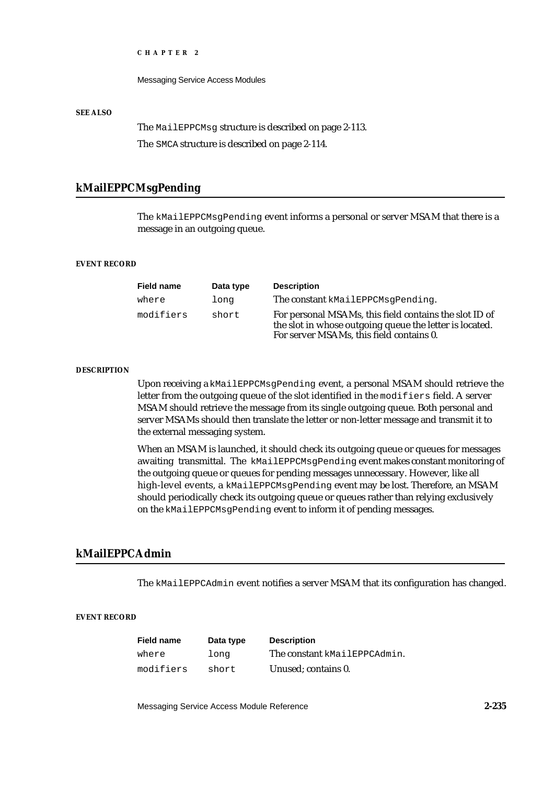Messaging Service Access Modules

### **SEE ALSO**

The MailEPPCMsg structure is described on page 2-113.

The SMCA structure is described on page 2-114.

# **kMailEPPCMsgPending**

The kMailEPPCMsgPending event informs a personal or server MSAM that there is a message in an outgoing queue.

# **EVENT RECORD**

| <b>Field name</b> | Data type | <b>Description</b>                                                                                                                                            |
|-------------------|-----------|---------------------------------------------------------------------------------------------------------------------------------------------------------------|
| where             | long      | The constant kMailEPPCMsqPending.                                                                                                                             |
| modifiers         | short     | For personal MSAMs, this field contains the slot ID of<br>the slot in whose outgoing queue the letter is located.<br>For server MSAMs, this field contains 0. |

### **DESCRIPTION**

Upon receiving a kMailEPPCMsgPending event, a personal MSAM should retrieve the letter from the outgoing queue of the slot identified in the modifiers field. A server MSAM should retrieve the message from its single outgoing queue. Both personal and server MSAMs should then translate the letter or non-letter message and transmit it to the external messaging system.

When an MSAM is launched, it should check its outgoing queue or queues for messages awaiting transmittal. The kMailEPPCMsgPending event makes constant monitoring of the outgoing queue or queues for pending messages unnecessary. However, like all high-level events, a kMailEPPCMsgPending event may be lost. Therefore, an MSAM should periodically check its outgoing queue or queues rather than relying exclusively on the kMailEPPCMsgPending event to inform it of pending messages.

# **kMailEPPCAdmin**

The kMailEPPCAdmin event notifies a server MSAM that its configuration has changed.

### **EVENT RECORD**

| <b>Field name</b> | Data type | <b>Description</b>           |
|-------------------|-----------|------------------------------|
| where             | long      | The constant kMailEPPCAdmin. |
| modifiers         | short     | Unused: contains 0.          |

Messaging Service Access Module Reference **2-235**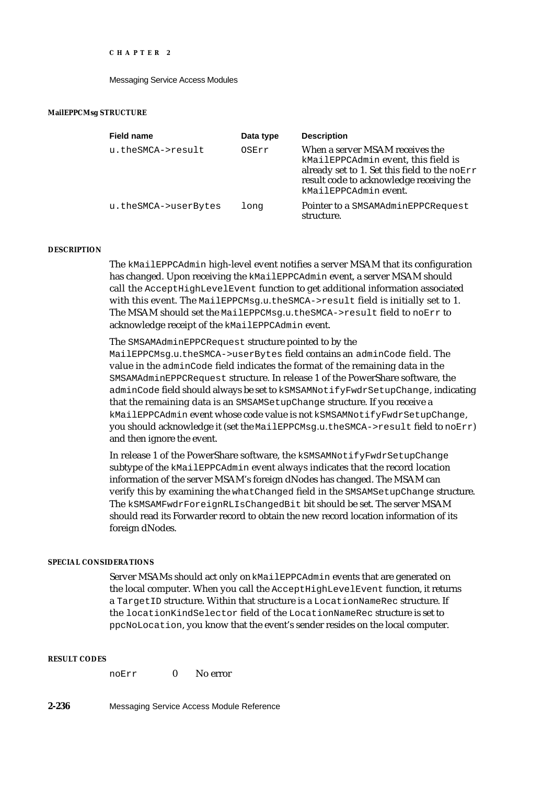Messaging Service Access Modules

### **MailEPPCMsg STRUCTURE**

| <b>Field name</b>    | Data type | <b>Description</b>                                                                                                                                                                          |
|----------------------|-----------|---------------------------------------------------------------------------------------------------------------------------------------------------------------------------------------------|
| u.theSMCA->result    | OSErr     | When a server MSAM receives the<br>kMailEPPCAdmin event, this field is<br>already set to 1. Set this field to the noErr<br>result code to acknowledge receiving the<br>kMailEPPCAdminevent. |
| u.theSMCA->userBytes | long      | Pointer to a SMSAMAdminEPPCRequest<br>structure.                                                                                                                                            |

# **DESCRIPTION**

The kMailEPPCAdmin high-level event notifies a server MSAM that its configuration has changed. Upon receiving the kMailEPPCAdmin event, a server MSAM should call the AcceptHighLevelEvent function to get additional information associated with this event. The MailEPPCMsg.u.theSMCA->result field is initially set to 1. The MSAM should set the MailEPPCMsg.u.theSMCA->result field to noErr to acknowledge receipt of the kMailEPPCAdmin event.

The SMSAMAdminEPPCRequest structure pointed to by the MailEPPCMsg.u.theSMCA->userBytes field contains an adminCode field. The value in the adminCode field indicates the format of the remaining data in the SMSAMAdminEPPCRequest structure. In release 1 of the PowerShare software, the adminCode field should always be set to kSMSAMNotifyFwdrSetupChange, indicating that the remaining data is an SMSAMSetupChange structure. If you receive a kMailEPPCAdmin event whose code value is not kSMSAMNotifyFwdrSetupChange, you should acknowledge it (set the MailEPPCMsg.u.theSMCA->result field to noErr) and then ignore the event.

In release 1 of the PowerShare software, the kSMSAMNotifyFwdrSetupChange subtype of the kMailEPPCAdmin event always indicates that the record location information of the server MSAM's foreign dNodes has changed. The MSAM can verify this by examining the whatChanged field in the SMSAMSetupChange structure. The kSMSAMFwdrForeignRLIsChangedBit bit should be set. The server MSAM should read its Forwarder record to obtain the new record location information of its foreign dNodes.

### **SPECIAL CONSIDERATIONS**

Server MSAMs should act only on kMailEPPCAdmin events that are generated on the local computer. When you call the AcceptHighLevelEvent function, it returns a TargetID structure. Within that structure is a LocationNameRec structure. If the locationKindSelector field of the LocationNameRec structure is set to ppcNoLocation, you know that the event's sender resides on the local computer.

# **RESULT CODES**

| noErr |  | No error |
|-------|--|----------|
|-------|--|----------|

**2-236** Messaging Service Access Module Reference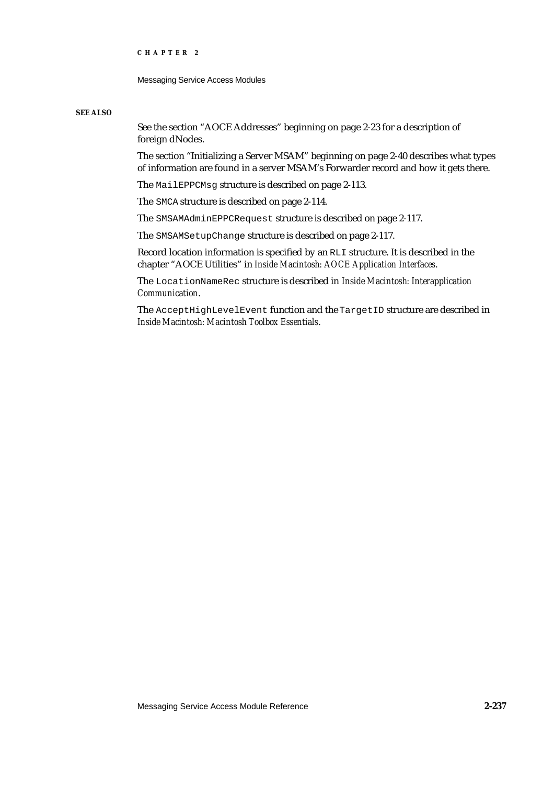Messaging Service Access Modules

#### **SEE ALSO**

See the section "AOCE Addresses" beginning on page 2-23 for a description of foreign dNodes.

The section "Initializing a Server MSAM" beginning on page 2-40 describes what types of information are found in a server MSAM's Forwarder record and how it gets there.

The MailEPPCMsg structure is described on page 2-113.

The SMCA structure is described on page 2-114.

The SMSAMAdminEPPCRequest structure is described on page 2-117.

The SMSAMSetupChange structure is described on page 2-117.

Record location information is specified by an RLI structure. It is described in the chapter "AOCE Utilities" in *Inside Macintosh: AOCE Application Interfaces*.

The LocationNameRec structure is described in *Inside Macintosh: Interapplication Communication*.

The AcceptHighLevelEvent function and the TargetID structure are described in *Inside Macintosh: Macintosh Toolbox Essentials*.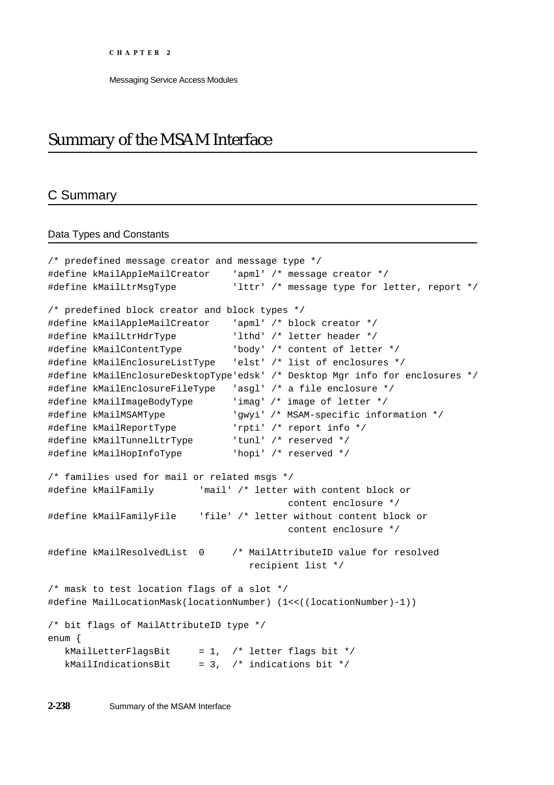# Summary of the MSAM Interface

# C Summary

# Data Types and Constants

```
/* predefined message creator and message type */
#define kMailAppleMailCreator 'apml' /* message creator */
#define kMailLtrMsgType 'lttr' /* message type for letter, report */
/* predefined block creator and block types */
#define kMailAppleMailCreator 'apml' /* block creator */
#define kMailLtrHdrType 'lthd' /* letter header */
#define kMailContentType 'body' /* content of letter */
#define kMailEnclosureListType 'elst' /* list of enclosures */
#define kMailEnclosureDesktopType'edsk' /* Desktop Mgr info for enclosures */
#define kMailEnclosureFileType 'asgl' /* a file enclosure */
#define kMailImageBodyType 'imag' /* image of letter */
#define kMailMSAMType 'gwyi' /* MSAM-specific information */
#define kMailReportType 'rpti' /* report info */
#define kMailTunnelLtrType 'tunl' /* reserved */
#define kMailHopInfoType 'hopi' /* reserved */
/* families used for mail or related msgs */
#define kMailFamily 'mail' /* letter with content block or
                                         content enclosure */
#define kMailFamilyFile 'file' /* letter without content block or
                                         content enclosure */
#define kMailResolvedList 0 /* MailAttributeID value for resolved
                                 recipient list */
/* mask to test location flags of a slot */
#define MailLocationMask(locationNumber) (1<<((locationNumber)-1))
/* bit flags of MailAttributeID type */
enum {
  kMailLetterFlagsBit = 1, /* letter flags bit */kMailIndicationsBit = 3, /* indications bit */
```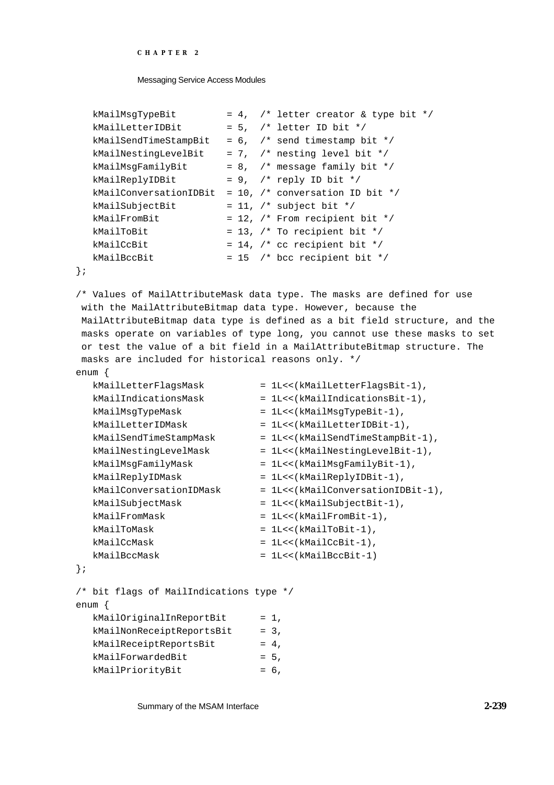```
CHAPTER 2
```

```
kMailMsgTypeBit = 4, /* letter creator & type bit */
kMailLetterIDBit = 5, /* letter ID bit */kMailSendTimeStampBit = 6. /* send timestamp bit */
kMailNestingLevelBit = 7, /* nesting level bit */kMailMsgFamilyBit = 8, /* message family bit */kMailReplyIDBit = 9, /* reply ID bit */kMailConversationIDBit = 10, /* conversation ID bit */kMailSubjectBit = 11, /* subject bit */
kMailFromBit = 12, \frac{1}{2} From recipient bit */
kMailToBit = 13, \frac{\pi}{10} To recipient bit */
kMailCcBit = 14, \frac{1}{2} cc recipient bit */
kMailBccBit = 15 /* bcc recipient bit */
```

```
};
```
/\* Values of MailAttributeMask data type. The masks are defined for use with the MailAttributeBitmap data type. However, because the MailAttributeBitmap data type is defined as a bit field structure, and the masks operate on variables of type long, you cannot use these masks to set or test the value of a bit field in a MailAttributeBitmap structure. The masks are included for historical reasons only. \*/ enum {

```
kMailLetterFlagsMask = 1L<<(kMailLetterFlagsBit-1),
  kMailIndicationsMask = 1L<<(kMailIndicationsBit-1),
  kMailMsgTypeMask = 1L<<(kMailMsgTypeBit-1),
  kMailLetterIDMask = 1L<<(kMailLetterIDBit-1),
  kMailSendTimeStampMask = 1L<<(kMailSendTimeStampBit-1),
  kMailNestingLevelMask = 1L<<(kMailNestingLevelBit-1),
  kMailMsgFamilyMask = 1L<<(kMailMsgFamilyBit-1),
  kMailReplyIDMask = 1L<<(kMailReplyIDBit-1),<br>kMailConversationIDMask = 1L<<(kMailConversationID
                           = 1L<<(kMailConversationIDBit-1),
  kMailSubjectMask = 1L<<(kMailSubjectBit-1),
  kMailFromMask = 1L<<(kMailFromBit-1),
  kMailToMask = 1L<<(kMailToBit-1),
  kMailCcMask = 1L<<(kMailCcBit-1),
  kMailBccMask = 1L<<(kMailBccBit-1)
};
/* bit flags of MailIndications type */ 
enum {
  kMailOriginalInReportBit = 1,
  kMailNonReceiptReportsBit = 3,
```
Summary of the MSAM Interface **2-239**

 $k$ MailReceiptReportsBit = 4,  $k$ MailForwardedBit = 5,  $k$ MailPriorityBit = 6,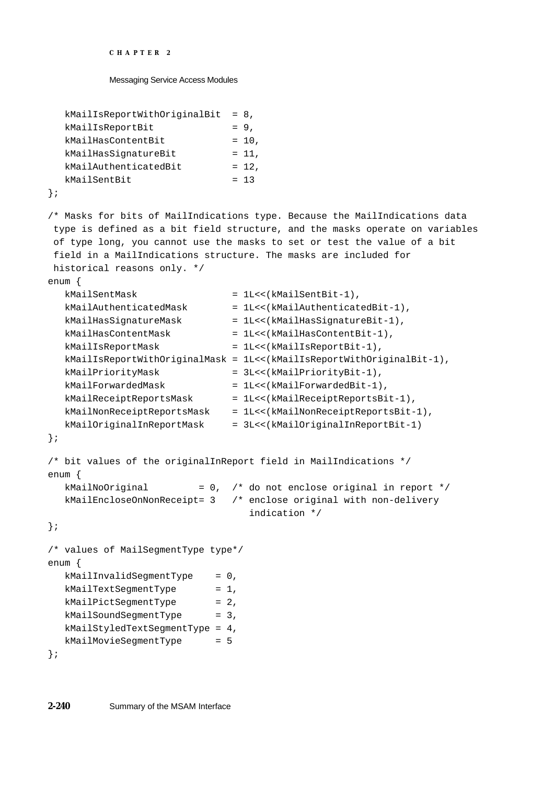```
CHAPTER 2
```

```
kMailIsReportWithOriginalBit = 8,
  kMailIsReportBit = 9,
  kMailHasContentBit = 10,
  kMailHasSiqnatureBit = 11,
  kMailAuthenticatedBit = 12,
  kMailSentBit = 13
};
/* Masks for bits of MailIndications type. Because the MailIndications data
 type is defined as a bit field structure, and the masks operate on variables
 of type long, you cannot use the masks to set or test the value of a bit
 field in a MailIndications structure. The masks are included for
 historical reasons only. */
enum {
  kMailSentMask = 1L<<(kMailSentBit-1),
  kMailAuthenticatedMask = 1L<<(kMailAuthenticatedBit-1),
  kMailHasSignatureMask = 1L<<(kMailHasSignatureBit-1),
  kMailHasContentMask = 1L<<(kMailHasContentBit-1),
  kMailIsReportMask = 1L<<(kMailIsReportBit-1),
  kMailIsReportWithOriginalMask = 1L<<(kMailIsReportWithOriginalBit-1),
  kMailPriorityMask = 3L<<(kMailPriorityBit-1),
  kMailForwardedMask = 1L<<(kMailForwardedBit-1),
  kMailReceiptReportsMask = 1L<<(kMailReceiptReportsBit-1),
  kMailNonReceiptReportsMask = 1L<<(kMailNonReceiptReportsBit-1),
  kMailOriginalInReportMask = 3L<<(kMailOriginalInReportBit-1)
};
/* bit values of the originalInReport field in MailIndications */
enum {
  kMailNoOriginal = 0, /* do not enclose original in report */kMailEncloseOnNonReceipt= 3 /* enclose original with non-delivery
                                indication */
};
/* values of MailSegmentType type*/
enum {
  kMailInvalidSegmentType = 0,
  kMailTextSegmentType = 1,
  kMailPictSegmentType = 2,
  kMailSoundSegmentType = 3,
  kMailStyledTextSegmentType = 4,
  kMailMovieSegmentType = 5
};
```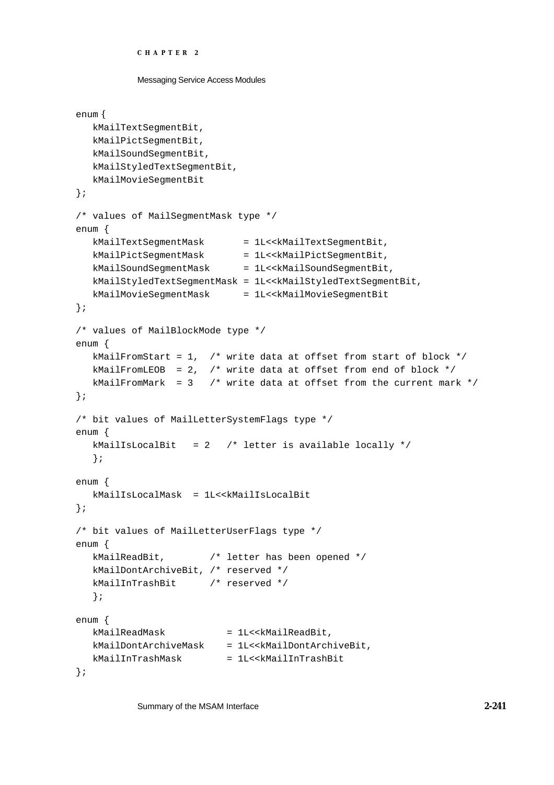```
CHAPTER 2
```

```
Messaging Service Access Modules
```

```
enum {
  kMailTextSegmentBit,
  kMailPictSegmentBit,
  kMailSoundSegmentBit,
  kMailStyledTextSegmentBit,
  kMailMovieSegmentBit
};
/* values of MailSegmentMask type */
enum {
  kMailTextSegmentMask = 1L<<kMailTextSegmentBit,
  kMailPictSegmentMask = 1L<<kMailPictSegmentBit,
  kMailSoundSegmentMask = 1L<<kMailSoundSegmentBit,
  kMailStyledTextSegmentMask = 1L<<kMailStyledTextSegmentBit,
  kMailMovieSegmentMask = 1L<<kMailMovieSegmentBit
};
/* values of MailBlockMode type */
enum {
  kMailFromStart = 1, /* write data at offset from start of block */
  kMailFromLEOB = 2, /* write data at offset from end of block */kMailFromMark = 3 /* write data at offset from the current mark */};
/* bit values of MailLetterSystemFlags type */
enum {
  kMailIsLocalBit = 2 /* letter is available locally */
  };
enum {
  kMailIsLocalMask = 1L<<kMailIsLocalBit
};
/* bit values of MailLetterUserFlags type */
enum {
  kMailReadBit, /* letter has been opened */
  kMailDontArchiveBit, /* reserved */
  kMailInTrashBit /* reserved */
  };
enum {
  kMailReadMask = 1L<<kMailReadBit,
  kMailDontArchiveMask = 1L<<kMailDontArchiveBit,
  kMailInTrashMask = 1L<<kMailInTrashBit
};
```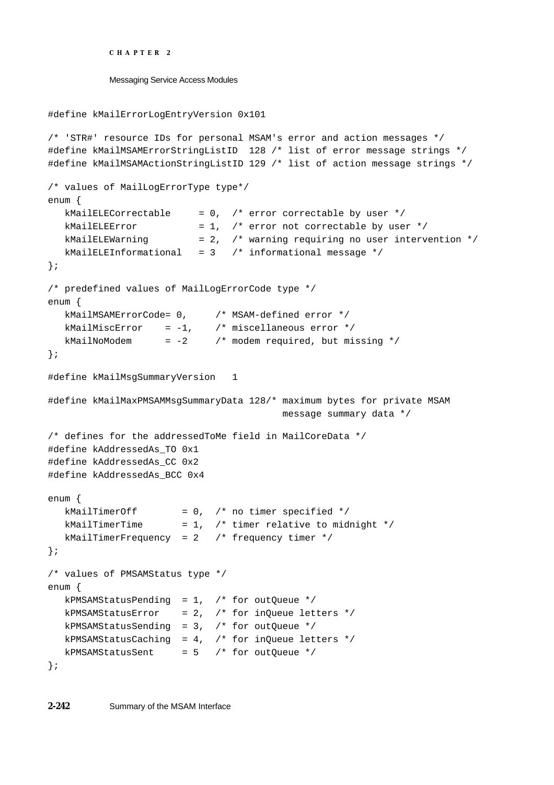```
#define kMailErrorLogEntryVersion 0x101
/* 'STR#' resource IDs for personal MSAM's error and action messages */
#define kMailMSAMErrorStringListID 128 /* list of error message strings */
#define kMailMSAMActionStringListID 129 /* list of action message strings */
/* values of MailLogErrorType type*/
enum {
  kMailELECorrectable = 0, /* error correctable by user */
  kMailELEError = 1, /* error not correctable by user */
  kMailELEWarning = 2, /* warning requiring no user intervention */kMailELEInformational = 3 /* informational message */};
/* predefined values of MailLogErrorCode type */
enum {
  kMailMSAMErrorCode= 0, /* MSAM-defined error */
  kMailMiscError = -1, /* miscellaneous error */
  kMailNoModem = -2 /* modem required, but missing */
};
#define kMailMsgSummaryVersion 1
#define kMailMaxPMSAMMsgSummaryData 128/* maximum bytes for private MSAM
                                       message summary data */
/* defines for the addressedToMe field in MailCoreData */
#define kAddressedAs_TO 0x1
#define kAddressedAs_CC 0x2
#define kAddressedAs BCC 0x4
enum {
  kMailTimerOff = 0, /* no timer specified */
  kMailTimerTime = 1, /* timer relative to midnight */kMailTimerFrequency = 2 /* frequency timer */};
/* values of PMSAMStatus type */
enum {
  kPMSAMStatusPending = 1, /* for outQueue */
  kPMSAMStatusError = 2, /* for inQueue letters */kPMSAMStatusSending = 3, /* for outQueue */
  kPMSAMStatusCaching = 4, /* for inQueue letters */
  kPMSAMStatusSent = 5 /* for outQueue */
};
```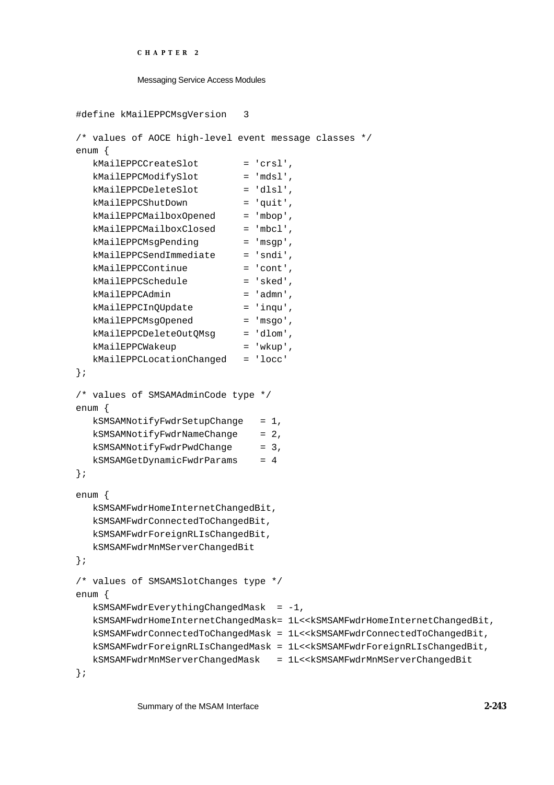```
CHAPTER 2
```

```
#define kMailEPPCMsgVersion 3
/* values of AOCE high-level event message classes */
enum {
  kMailEPPCCreateSlot = 'crsl',
  kMailEPPCModifySlot = 'mdsl',
  kMailEPPCDeleteSlot = 'dlsl',
  kMailEPPCShutDown = 'quit',
  kMailEPPCMailboxOpened = 'mbop',
  kMailEPPCMailboxClosed = 'mbcl',
  kMailEPPCMsqPending = 'msqp',
  kMailEPPCSendImmediate = 'sndi',
  kMailEPPCContinue = 'cont',
  kMailEPPCSchedule = 'sked',
  kMailEPPCAdmin = 'admn',
  kMailEPPCInQUpdate = 'inqu',
  kMailEPPCMsgOpened = 'msgo',
  kMailEPPCDeleteOutQMsg = 'dlom',
  kMailEPPCWakeup = 'wkup',
  kMailEPPCLocationChanged = 'locc'
};
/* values of SMSAMAdminCode type */
enum {
  kSMSAMNotifyFwdrSetupChange = 1,
  kSMSAMNotifyFwdrNameChange = 2,
  kSMSAMNotifyFwdrPwdChange = 3,
  kSMSAMGetDynamicFwdrParams = 4
};
enum {
  kSMSAMFwdrHomeInternetChangedBit,
  kSMSAMFwdrConnectedToChangedBit,
  kSMSAMFwdrForeignRLIsChangedBit,
  kSMSAMFwdrMnMServerChangedBit
};
/* values of SMSAMSlotChanges type */
enum {
  kSMSAMFwdrEverythingChangedMask = -1,
  kSMSAMFwdrHomeInternetChangedMask= 1L<<kSMSAMFwdrHomeInternetChangedBit,
  kSMSAMFwdrConnectedToChangedMask = 1L<<kSMSAMFwdrConnectedToChangedBit,
  kSMSAMFwdrForeignRLIsChangedMask = 1L<<kSMSAMFwdrForeignRLIsChangedBit,
  kSMSAMFwdrMnMServerChangedMask = 1L<<kSMSAMFwdrMnMServerChangedBit
};
```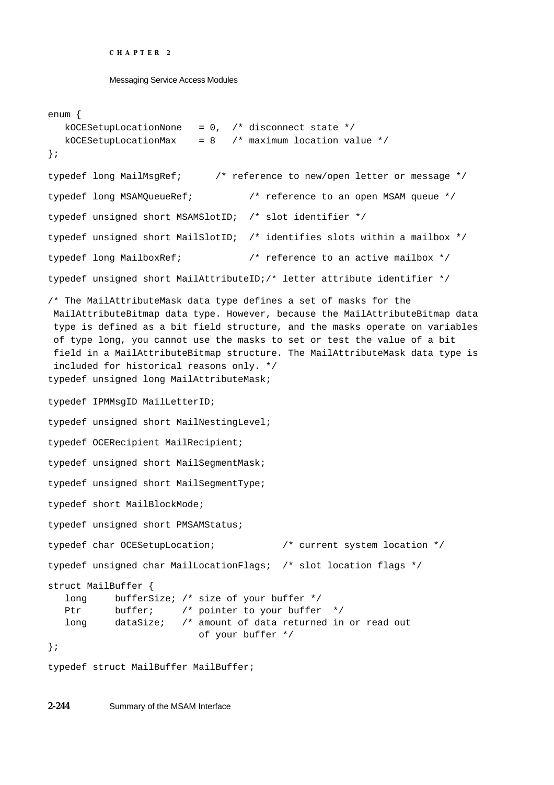Messaging Service Access Modules

```
enum {
  kOCESetupLocationNone = 0, /* disconnect state */
  kOCESetupLocationMax = 8 /* maximum location value */
};
typedef long MailMsgRef; /* reference to new/open letter or message */
typedef long MSAMQueueRef; /* reference to an open MSAM queue */
typedef unsigned short MSAMSlotID; /* slot identifier */
typedef unsigned short MailSlotID; /* identifies slots within a mailbox */
typedef long MailboxRef; /* reference to an active mailbox */
typedef unsigned short MailAttributeID;/* letter attribute identifier */
/* The MailAttributeMask data type defines a set of masks for the
 MailAttributeBitmap data type. However, because the MailAttributeBitmap data
 type is defined as a bit field structure, and the masks operate on variables
 of type long, you cannot use the masks to set or test the value of a bit
 field in a MailAttributeBitmap structure. The MailAttributeMask data type is
 included for historical reasons only. */
typedef unsigned long MailAttributeMask;
typedef IPMMsgID MailLetterID;
typedef unsigned short MailNestingLevel;
typedef OCERecipient MailRecipient;
typedef unsigned short MailSegmentMask;
typedef unsigned short MailSegmentType;
typedef short MailBlockMode;
typedef unsigned short PMSAMStatus;
typedef char OCESetupLocation; /* current system location */
typedef unsigned char MailLocationFlags; /* slot location flags */
struct MailBuffer {
  long bufferSize; /* size of your buffer */
  Ptr buffer; /* pointer to your buffer */
  long dataSize; /* amount of data returned in or read out
                         of your buffer */
};
typedef struct MailBuffer MailBuffer;
```
**2-244** Summary of the MSAM Interface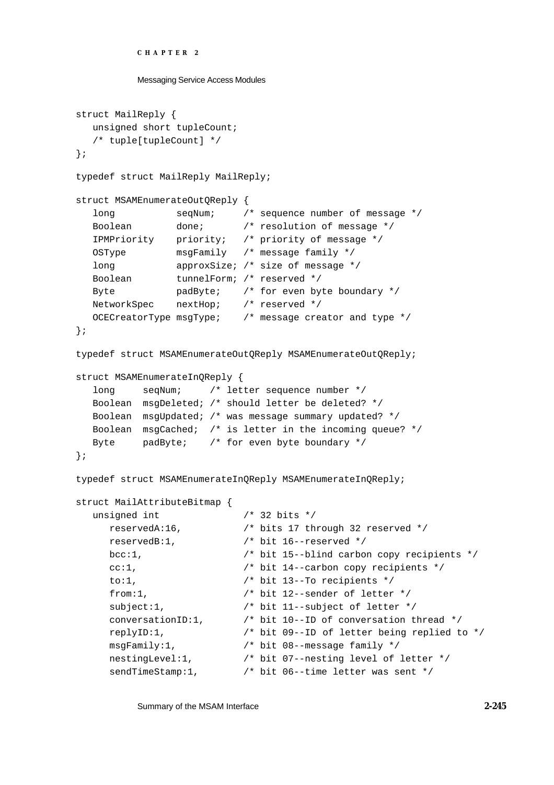```
CHAPTER 2
```

```
Messaging Service Access Modules
```

```
struct MailReply {
  unsigned short tupleCount;
  /* tuple[tupleCount] */
};
typedef struct MailReply MailReply;
struct MSAMEnumerateOutQReply {
  long seqNum; /* sequence number of message */
  Boolean done; /* resolution of message */
  IPMPriority priority; /* priority of message */
  OSType msgFamily /* message family */
  long approxSize; /* size of message */
  Boolean tunnelForm; /* reserved */
  Byte padByte; /* for even byte boundary */
  NetworkSpec nextHop; /* reserved */
  OCECreatorType msgType; /* message creator and type */
};
typedef struct MSAMEnumerateOutQReply MSAMEnumerateOutQReply;
struct MSAMEnumerateInQReply {
  long seqNum; /* letter sequence number */
  Boolean msgDeleted; /* should letter be deleted? */
  Boolean msgUpdated; /* was message summary updated? */
  Boolean msgCached; /* is letter in the incoming queue? */
  Byte padByte; /* for even byte boundary */
};
typedef struct MSAMEnumerateInQReply MSAMEnumerateInQReply;
struct MailAttributeBitmap {
  unsigned int /* 32 bits */
     reservedA:16, /* bits 17 through 32 reserved */
    reservedB:1, /* bit 16--reserved */
     bcc:1, /* bit 15--blind carbon copy recipients */
     cc:1, /* bit 14--carbon copy recipients */
     to:1, /* bit 13--To recipients */
     from:1, \frac{1}{x} bit 12--sender of letter \frac{x}{x}subject:1, \frac{1}{2} /* bit 11--subject of letter */
     conversationID:1, /* bit 10--ID of conversation thread */
     replyID:1, /* bit 09--ID of letter being replied to */
     msgFamily:1, /* bit 08--message family */
     nestingLevel:1, /* bit 07--nesting level of letter */
     sendTimeStamp:1, /* bit 06--time letter was sent */
```
Summary of the MSAM Interface **2-245**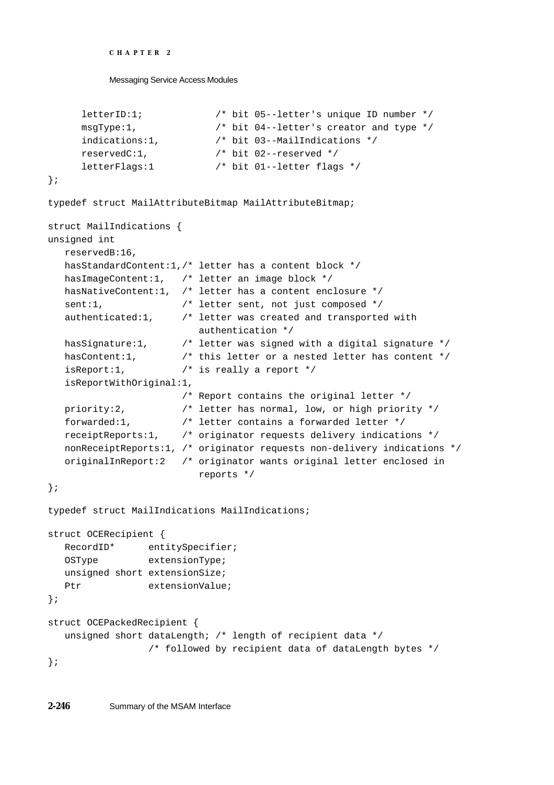```
CHAPTER 2
```

```
letterID:1; /* bit 05--letter's unique ID number */
     msgType:1, /* bit 04--letter's creator and type */
     indications:1, /* bit 03--MailIndications */
     reservedC:1, /* bit 02--reserved */
     letterFlags:1 /* bit 01--letter flags */
};
typedef struct MailAttributeBitmap MailAttributeBitmap;
struct MailIndications {
unsigned int
  reservedB:16,
  hasStandardContent:1,/* letter has a content block */
  hasImageContent:1, /* letter an image block */
  hasNativeContent:1, /* letter has a content enclosure */
  sent:1, \frac{1}{1} /* letter sent, not just composed */
  authenticated:1, /* letter was created and transported with 
                         authentication */
  hasSignature:1, /* letter was signed with a digital signature */
  hasContent:1, \frac{1}{1} /* this letter or a nested letter has content */
  isReport:1, /* is really a report */
  isReportWithOriginal:1,
                      /* Report contains the original letter */
  priority:2, /* letter has normal, low, or high priority */
  forwarded:1, /* letter contains a forwarded letter */
  receiptReports:1, /* originator requests delivery indications */
  nonReceiptReports:1, /* originator requests non-delivery indications */
  originalInReport:2 /* originator wants original letter enclosed in
                         reports */
};
typedef struct MailIndications MailIndications;
struct OCERecipient {
  RecordID* entitySpecifier;
  OSType extensionType;
  unsigned short extensionSize;
  Ptr extensionValue;
};
struct OCEPackedRecipient {
  unsigned short dataLength; /* length of recipient data */
                /* followed by recipient data of dataLength bytes */
};
```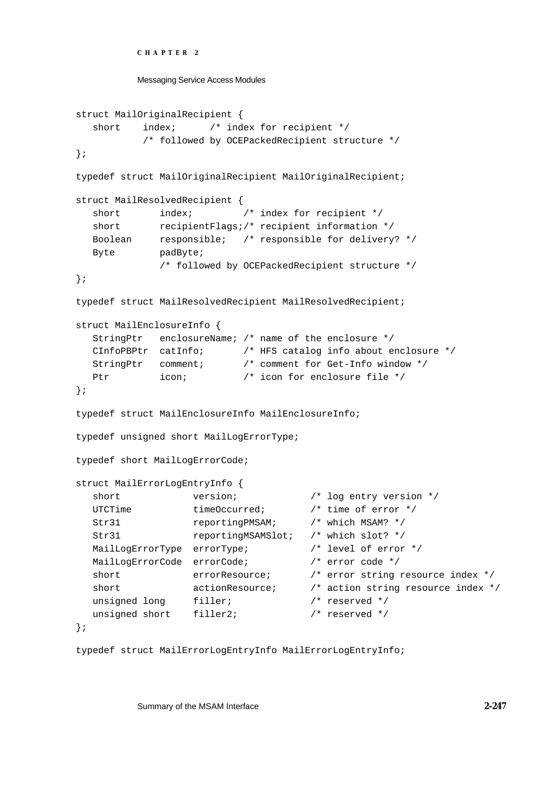```
CHAPTER 2
```

```
Messaging Service Access Modules
```

```
struct MailOriginalRecipient {
  short index; /* index for recipient */
           /* followed by OCEPackedRecipient structure */
};
typedef struct MailOriginalRecipient MailOriginalRecipient;
struct MailResolvedRecipient {
  short index; \frac{1}{2} /* index for recipient */
  short recipientFlags;/* recipient information */
  Boolean responsible; /* responsible for delivery? */
  Byte padByte;
             /* followed by OCEPackedRecipient structure */
};
typedef struct MailResolvedRecipient MailResolvedRecipient;
struct MailEnclosureInfo {
  StringPtr enclosureName; /* name of the enclosure */
  CInfoPBPtr catInfo; /* HFS catalog info about enclosure */
  StringPtr comment; /* comment for Get-Info window */
  Ptr icon; \frac{1}{2} /* icon for enclosure file */
};
typedef struct MailEnclosureInfo MailEnclosureInfo;
typedef unsigned short MailLogErrorType;
typedef short MailLogErrorCode;
struct MailErrorLogEntryInfo {
  short version; \sqrt{*} log entry version */UTCTime timeOccurred; \frac{1}{2} /* time of error */
  Str31 reportingPMSAM; /* which MSAM? */
  Str31 reportingMSAMSlot; /* which slot? */
  MailLogErrorType errorType; \overline{\hspace{1cm}} /* level of error */
  MailLogErrorCode errorCode; \frac{1}{2} /* error code */
  short errorResource; \frac{1}{x} error string resource index \frac{x}{x}short actionResource; \frac{1}{x} action string resource index \frac{x}{x}unsigned long filler; \frac{1}{2} /* reserved */
  unsigned short filler2; \frac{1}{2} /* reserved */
};
```

```
typedef struct MailErrorLogEntryInfo MailErrorLogEntryInfo;
```
Summary of the MSAM Interface **2-247**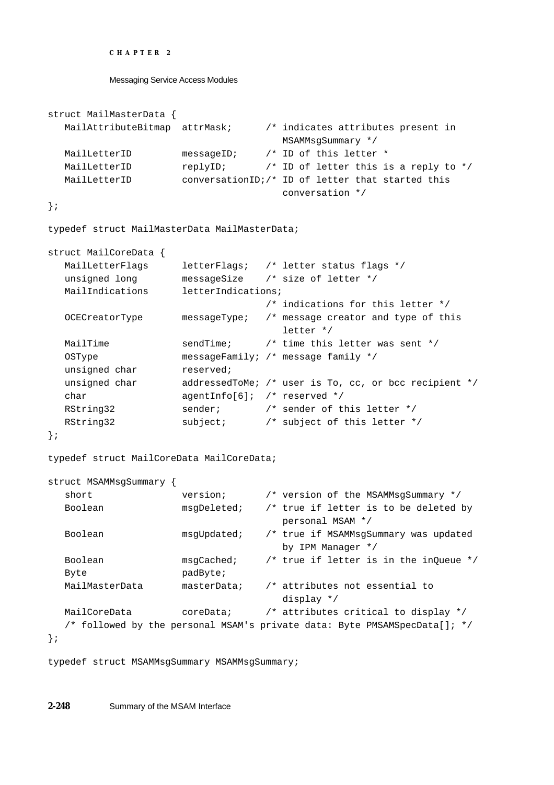```
CHAPTER 2
```

```
struct MailMasterData {
  MailAttributeBitmap attrMask; /* indicates attributes present in
                                    MSAMMsgSummary */
  MailLetterID messageID; /* ID of this letter *
  MailLetterID replyID; \gamma iD of letter this is a reply to */
  MailLetterID conversationID;/* ID of letter that started this
                                    conversation */
};
typedef struct MailMasterData MailMasterData;
struct MailCoreData {
  MailLetterFlags letterFlags; /* letter status flags */
  unsigned long messageSize /* size of letter */
  MailIndications letterIndications;
                                  /* indications for this letter */
  OCECreatorType messageType; /* message creator and type of this
                                    letter */
  MailTime sendTime; /* time this letter was sent */
  OSType messageFamily; /* message family */
  unsigned char reserved;
  unsigned char addressedToMe; /* user is To, cc, or bcc recipient */
  char agentInfo[6]; /* reserved */
  RString32 sender; \frac{1}{2} /* sender of this letter */
  RString32 subject; \frac{1}{2} subject of this letter */
};
typedef struct MailCoreData MailCoreData;
struct MSAMMsgSummary {
  short version; \frac{1}{2} version of the MSAMMsgSummary */
  Boolean msgDeleted; /* true if letter is to be deleted by
                                    personal MSAM */
  Boolean msgUpdated; /* true if MSAMMsgSummary was updated
                                    by IPM Manager */
  Boolean msgCached; /* true if letter is in the inQueue */
  Byte padByte;
  MailMasterData masterData; /* attributes not essential to 
                                    display */
  MailCoreData coreData; /* attributes critical to display */
  /* followed by the personal MSAM's private data: Byte PMSAMSpecData[]; */
};
```
typedef struct MSAMMsgSummary MSAMMsgSummary;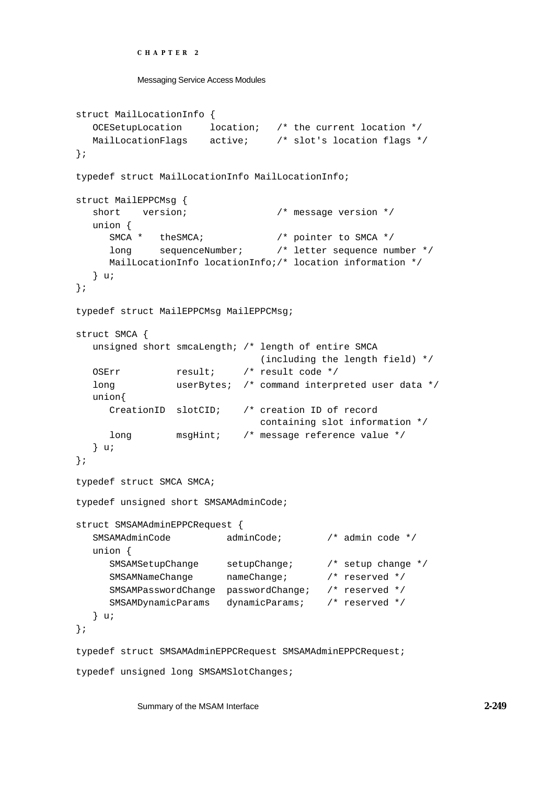```
CHAPTER 2
```

```
struct MailLocationInfo {
  OCESetupLocation location; /* the current location */
  MailLocationFlags active; /* slot's location flags */
};
typedef struct MailLocationInfo MailLocationInfo;
struct MailEPPCMsg {
  short version; \frac{1}{2} /* message version */
  union {
     SMCA * theSMCA; /* pointer to SMCA */
     long sequenceNumber; /* letter sequence number */
     MailLocationInfo locationInfo;/* location information */
  } u;
};
typedef struct MailEPPCMsg MailEPPCMsg;
struct SMCA {
  unsigned short smcaLength; /* length of entire SMCA
                              (including the length field) */
  OSErr result; /* result code */
  long userBytes; /* command interpreted user data */
  union{
     CreationID slotCID; /* creation ID of record
                              containing slot information */
     long msgHint; /* message reference value */
  } u;
};
typedef struct SMCA SMCA;
typedef unsigned short SMSAMAdminCode;
struct SMSAMAdminEPPCRequest {
  SMSAMAdminCode adminCode; /* admin code */
  union {
     SMSAMSetupChange setupChange; /* setup change */
     SMSAMNameChange nameChange; /* reserved */
     SMSAMPasswordChange passwordChange; /* reserved */
     SMSAMDynamicParams dynamicParams; /* reserved */
  } u;
};
typedef struct SMSAMAdminEPPCRequest SMSAMAdminEPPCRequest;
typedef unsigned long SMSAMSlotChanges;
```
Summary of the MSAM Interface **2-249**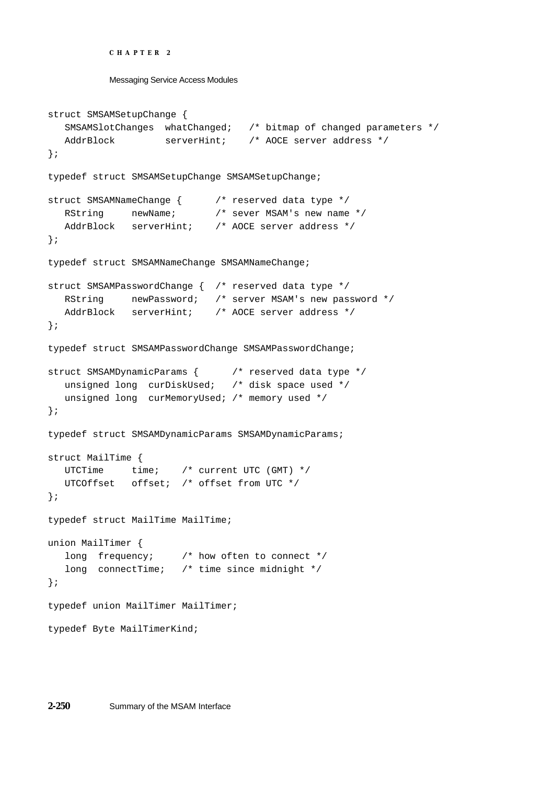```
CHAPTER 2
```

```
Messaging Service Access Modules
```

```
struct SMSAMSetupChange {
  SMSAMSlotChanges whatChanged; /* bitmap of changed parameters */
  AddrBlock serverHint; /* AOCE server address */
};
typedef struct SMSAMSetupChange SMSAMSetupChange;
struct SMSAMNameChange { /* reserved data type */
   RString mewName; \overline{\phantom{a}} /* sever MSAM's new name */
  AddrBlock serverHint; /* AOCE server address */
};
typedef struct SMSAMNameChange SMSAMNameChange;
struct SMSAMPasswordChange { /* reserved data type */
  RString newPassword; /* server MSAM's new password */
  AddrBlock serverHint; /* AOCE server address */
};
typedef struct SMSAMPasswordChange SMSAMPasswordChange;
struct SMSAMDynamicParams { /* reserved data type */
  unsigned long curDiskUsed; /* disk space used */
  unsigned long curMemoryUsed; /* memory used */
};
typedef struct SMSAMDynamicParams SMSAMDynamicParams;
struct MailTime {
  UTCTime time; /* current UTC (GMT) */
  UTCOffset offset; /* offset from UTC */
};
typedef struct MailTime MailTime;
union MailTimer {
  long frequency; /* how often to connect */
   long connectTime; /* time since midnight */
};
typedef union MailTimer MailTimer;
typedef Byte MailTimerKind;
```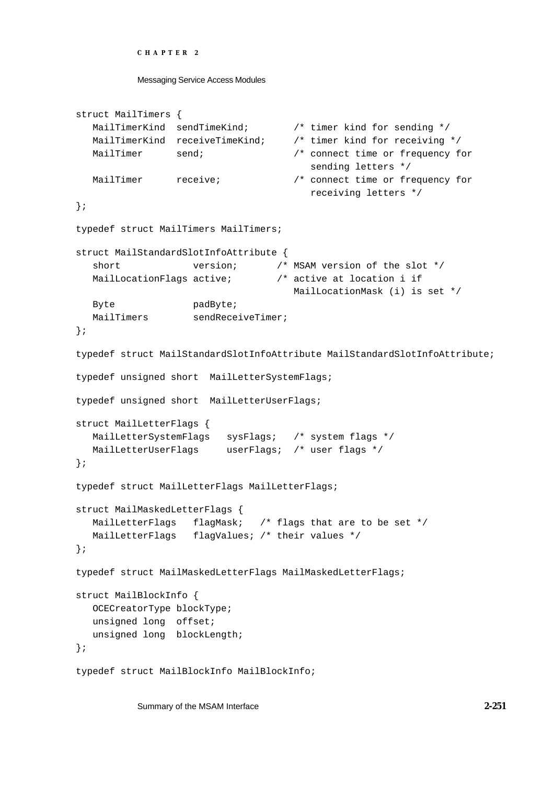Messaging Service Access Modules

```
struct MailTimers {
   MailTimerKind sendTimeKind; /* timer kind for sending */
   MailTimerKind receiveTimeKind; /* timer kind for receiving */
  MailTimer send; \frac{1}{100} send; \frac{1}{100} and \frac{1}{100} in the or frequency for
                                        sending letters */
  MailTimer receive; /* connect time or frequency for
                                        receiving letters */
};
typedef struct MailTimers MailTimers;
struct MailStandardSlotInfoAttribute {
   short version; \gamma* MSAM version of the slot */
  MailLocationFlags active; /* active at location i if 
                                     MailLocationMask (i) is set */
  Byte padByte;
  MailTimers sendReceiveTimer;
};
typedef struct MailStandardSlotInfoAttribute MailStandardSlotInfoAttribute;
typedef unsigned short MailLetterSystemFlags;
typedef unsigned short MailLetterUserFlags;
struct MailLetterFlags {
  MailLetterSystemFlags sysFlags; /* system flags */
  MailLetterUserFlags userFlags; /* user flags */
};
typedef struct MailLetterFlags MailLetterFlags;
struct MailMaskedLetterFlags {
  MailLetterFlags flagMask; /* flags that are to be set */
  MailLetterFlags flagValues; /* their values */
};
typedef struct MailMaskedLetterFlags MailMaskedLetterFlags;
struct MailBlockInfo {
  OCECreatorType blockType;
  unsigned long offset;
  unsigned long blockLength;
};
typedef struct MailBlockInfo MailBlockInfo;
```
Summary of the MSAM Interface **2-251**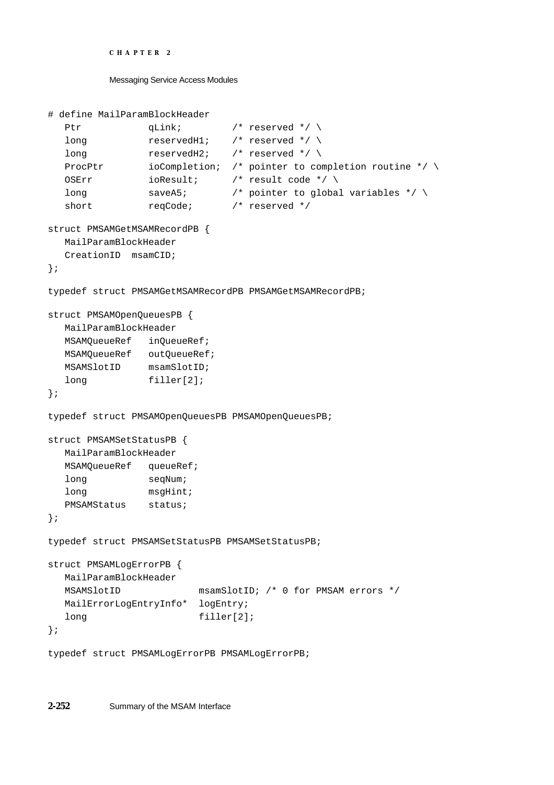```
CHAPTER 2
```

```
# define MailParamBlockHeader 
  Ptr qLink; /* reserved */ \
  long reservedH1; /* reserved */ \
  long reservedH2: /* reserved */ \
  ProcPtr i ioCompletion; /* pointer to completion routine */ \
  OSErr ioResult; /* result code */ \
  long saveA5; \rightarrow /* pointer to global variables */ \
  short reqCode; /* reserved */struct PMSAMGetMSAMRecordPB {
  MailParamBlockHeader
  CreationID msamCID;
};
typedef struct PMSAMGetMSAMRecordPB PMSAMGetMSAMRecordPB;
struct PMSAMOpenQueuesPB {
  MailParamBlockHeader
  MSAMQueueRef inQueueRef;
  MSAMOueueRef outOueueRef;
  MSAMSlotID msamSlotID;
  long filler[2];
};
typedef struct PMSAMOpenQueuesPB PMSAMOpenQueuesPB;
struct PMSAMSetStatusPB {
  MailParamBlockHeader
  MSAMQueueRef queueRef;
  long seqNum;
  long msgHint;
  PMSAMStatus status;
};
typedef struct PMSAMSetStatusPB PMSAMSetStatusPB;
struct PMSAMLogErrorPB {
  MailParamBlockHeader
  MSAMSlotID msamSlotID; /* 0 for PMSAM errors */
  MailErrorLogEntryInfo* logEntry;
  long filler[2];
};
typedef struct PMSAMLogErrorPB PMSAMLogErrorPB;
```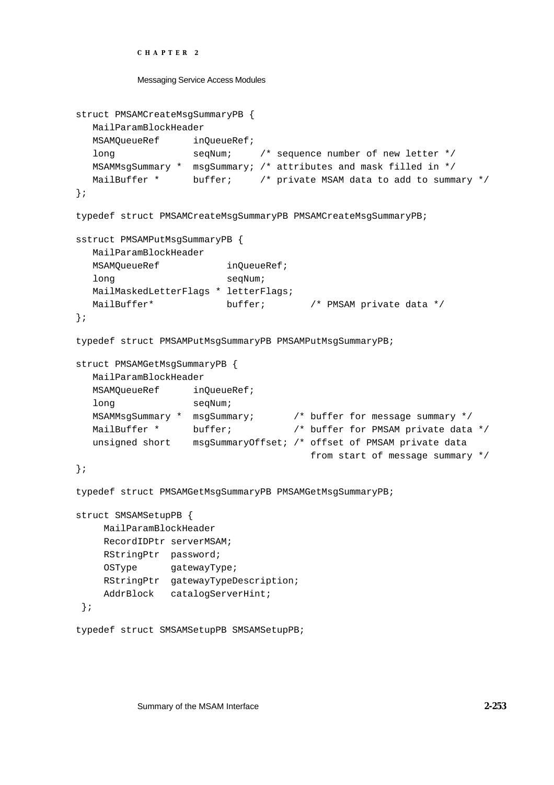```
CHAPTER 2
```

```
Messaging Service Access Modules
```

```
struct PMSAMCreateMsgSummaryPB {
  MailParamBlockHeader
  MSAMOueueRef inOueueRef;
  long seqNum; /* sequence number of new letter */
  MSAMMsgSummary * msgSummary; /* attributes and mask filled in */
  MailBuffer * buffer; /* private MSAM data to add to summary */
};
typedef struct PMSAMCreateMsgSummaryPB PMSAMCreateMsgSummaryPB;
sstruct PMSAMPutMsgSummaryPB {
  MailParamBlockHeader
  MSAMQueueRef inQueueRef;
  long seqNum;
  MailMaskedLetterFlags * letterFlags;
  MailBuffer* buffer; /* PMSAM private data */
};
typedef struct PMSAMPutMsgSummaryPB PMSAMPutMsgSummaryPB;
struct PMSAMGetMsgSummaryPB {
  MailParamBlockHeader
  MSAMQueueRef inQueueRef;
  long seqNum;
  MSAMMsgSummary * msgSummary; /* buffer for message summary */
  MailBuffer * buffer; \frac{1}{2} buffer for PMSAM private data */
  unsigned short msgSummaryOffset; /* offset of PMSAM private data
                                      from start of message summary */
};
typedef struct PMSAMGetMsgSummaryPB PMSAMGetMsgSummaryPB;
struct SMSAMSetupPB {
     MailParamBlockHeader
     RecordIDPtr serverMSAM;
     RStringPtr password;
     OSType gatewayType;
     RStringPtr gatewayTypeDescription;
     AddrBlock catalogServerHint;
 };
```

```
typedef struct SMSAMSetupPB SMSAMSetupPB;
```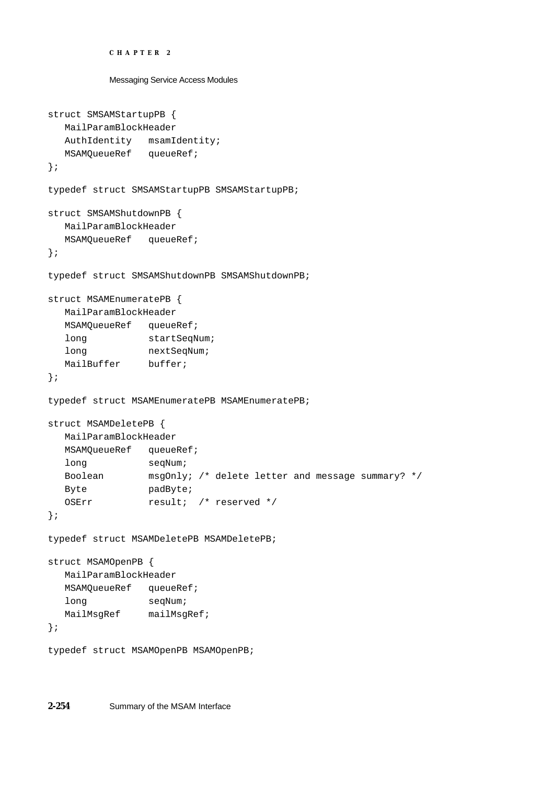```
CHAPTER 2
          Messaging Service Access Modules
struct SMSAMStartupPB {
  MailParamBlockHeader
  AuthIdentity msamIdentity;
  MSAMQueueRef queueRef;
};
typedef struct SMSAMStartupPB SMSAMStartupPB;
struct SMSAMShutdownPB {
  MailParamBlockHeader
  MSAMQueueRef queueRef;
};
typedef struct SMSAMShutdownPB SMSAMShutdownPB;
struct MSAMEnumeratePB {
  MailParamBlockHeader
  MSAMQueueRef queueRef;
  long startSeqNum;
  long nextSeqNum;
  MailBuffer buffer;
};
typedef struct MSAMEnumeratePB MSAMEnumeratePB;
struct MSAMDeletePB {
  MailParamBlockHeader
  MSAMQueueRef queueRef;
  long seqNum;
  Boolean msgOnly; /* delete letter and message summary? */
  Byte padByte;
  OSErr result; /* reserved */
};
typedef struct MSAMDeletePB MSAMDeletePB;
struct MSAMOpenPB {
  MailParamBlockHeader
  MSAMQueueRef queueRef;
  long seqNum;
  MailMsgRef mailMsgRef;
};
typedef struct MSAMOpenPB MSAMOpenPB;
```
**2-254** Summary of the MSAM Interface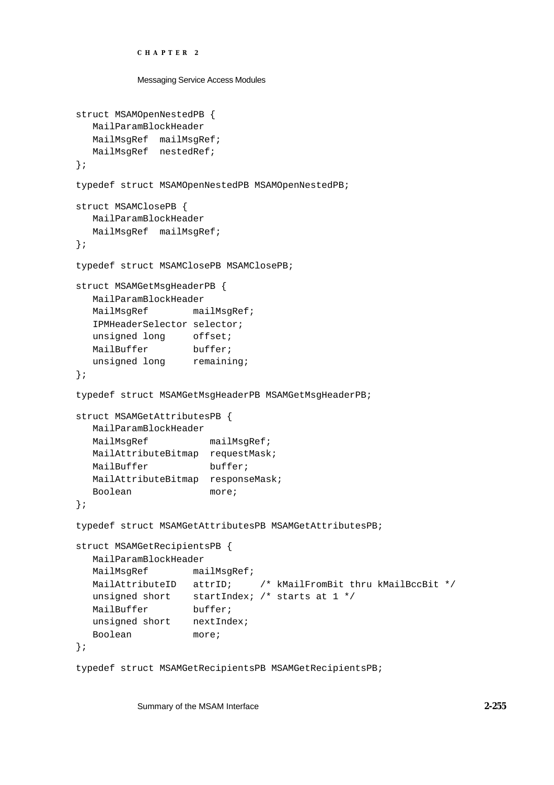```
CHAPTER 2
```

```
Messaging Service Access Modules
```

```
struct MSAMOpenNestedPB {
  MailParamBlockHeader
  MailMsgRef mailMsgRef;
  MailMsgRef nestedRef;
};
typedef struct MSAMOpenNestedPB MSAMOpenNestedPB;
struct MSAMClosePB {
  MailParamBlockHeader
  MailMsgRef mailMsgRef;
};
typedef struct MSAMClosePB MSAMClosePB;
struct MSAMGetMsgHeaderPB {
  MailParamBlockHeader
  MailMsgRef mailMsgRef;
  IPMHeaderSelector selector;
  unsigned long offset;
  MailBuffer buffer;
  unsigned long remaining;
};
typedef struct MSAMGetMsgHeaderPB MSAMGetMsgHeaderPB;
struct MSAMGetAttributesPB {
  MailParamBlockHeader
  MailMsgRef mailMsgRef;
  MailAttributeBitmap requestMask;
  MailBuffer buffer;
  MailAttributeBitmap responseMask;
  Boolean more;
};
typedef struct MSAMGetAttributesPB MSAMGetAttributesPB;
struct MSAMGetRecipientsPB {
  MailParamBlockHeader
  MailMsgRef mailMsgRef;
  MailAttributeID attrID; /* kMailFromBit thru kMailBccBit */
  unsigned short startIndex; /* starts at 1 */
  MailBuffer buffer;
  unsigned short nextIndex;
  Boolean more;
};
```
typedef struct MSAMGetRecipientsPB MSAMGetRecipientsPB;

Summary of the MSAM Interface **2-255**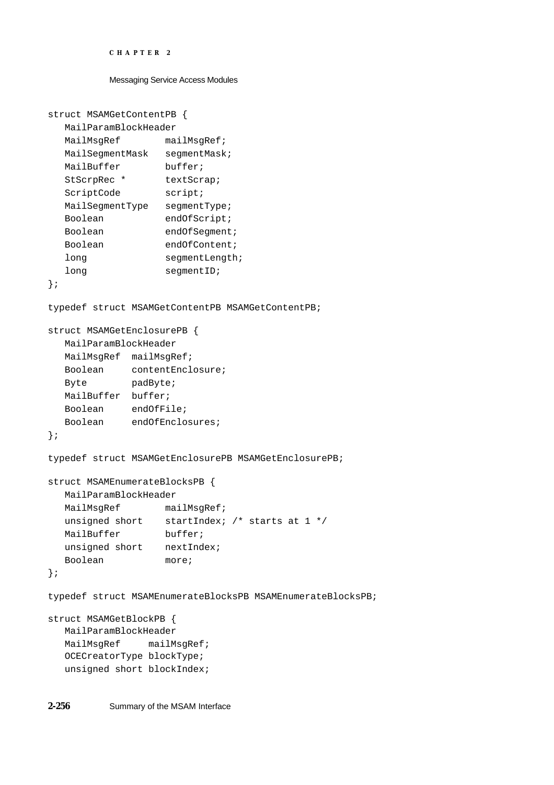```
CHAPTER 2
```

```
struct MSAMGetContentPB {
  MailParamBlockHeader
  MailMsgRef mailMsgRef;
  MailSegmentMask segmentMask;
  MailBuffer buffer;
  StScrpRec * textScrap;
  ScriptCode script;
  MailSegmentType segmentType;
  Boolean endOfScript;
  Boolean endOfSegment;
  Boolean endOfContent;
  long seqmentLength;
  long segmentID;
};
typedef struct MSAMGetContentPB MSAMGetContentPB;
struct MSAMGetEnclosurePB {
  MailParamBlockHeader
  MailMsgRef mailMsgRef;
  Boolean contentEnclosure;
  Byte padByte;
  MailBuffer buffer;
  Boolean endOfFile;
  Boolean endOfEnclosures;
};
typedef struct MSAMGetEnclosurePB MSAMGetEnclosurePB;
struct MSAMEnumerateBlocksPB {
  MailParamBlockHeader
  MailMsgRef mailMsgRef;
  unsigned short startIndex; /* starts at 1 */
  MailBuffer buffer;
  unsigned short nextIndex;
  Boolean more;
};
typedef struct MSAMEnumerateBlocksPB MSAMEnumerateBlocksPB;
struct MSAMGetBlockPB {
  MailParamBlockHeader
  MailMsgRef mailMsgRef;
  OCECreatorType blockType;
  unsigned short blockIndex;
```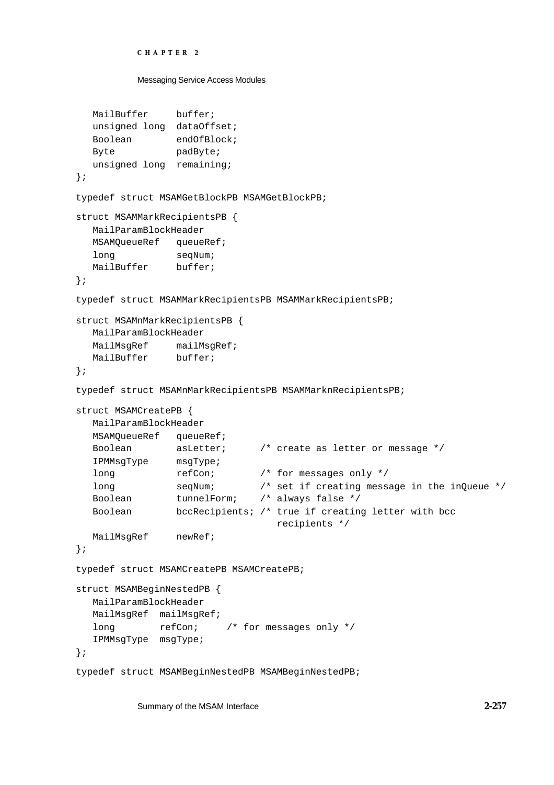```
CHAPTER 2
```

```
MailBuffer buffer;
  unsigned long dataOffset;
  Boolean endOfBlock;
  Byte padByte;
  unsigned long remaining;
};
typedef struct MSAMGetBlockPB MSAMGetBlockPB;
struct MSAMMarkRecipientsPB {
  MailParamBlockHeader
  MSAMOueueRef queueRef;
  long seqNum;
  MailBuffer buffer;
};
typedef struct MSAMMarkRecipientsPB MSAMMarkRecipientsPB;
struct MSAMnMarkRecipientsPB {
  MailParamBlockHeader
  MailMsgRef mailMsgRef;
  MailBuffer buffer;
};
typedef struct MSAMnMarkRecipientsPB MSAMMarknRecipientsPB;
struct MSAMCreatePB {
  MailParamBlockHeader
  MSAMQueueRef queueRef;
  Boolean asLetter; /* create as letter or message */
  IPMMsgType msgType;
  long refCon; /* for messages only */long seqNum; \frac{1}{2} /* set if creating message in the inQueue */
  Boolean tunnelForm; /* always false */
  Boolean bccRecipients; /* true if creating letter with bcc
                                recipients */
  MailMsqRef newRef;
};
typedef struct MSAMCreatePB MSAMCreatePB;
struct MSAMBeginNestedPB {
  MailParamBlockHeader
  MailMsgRef mailMsgRef;
  long refCon; /* for messages only */
  IPMMsgType msgType;
};
```
typedef struct MSAMBeginNestedPB MSAMBeginNestedPB;

Summary of the MSAM Interface **2-257**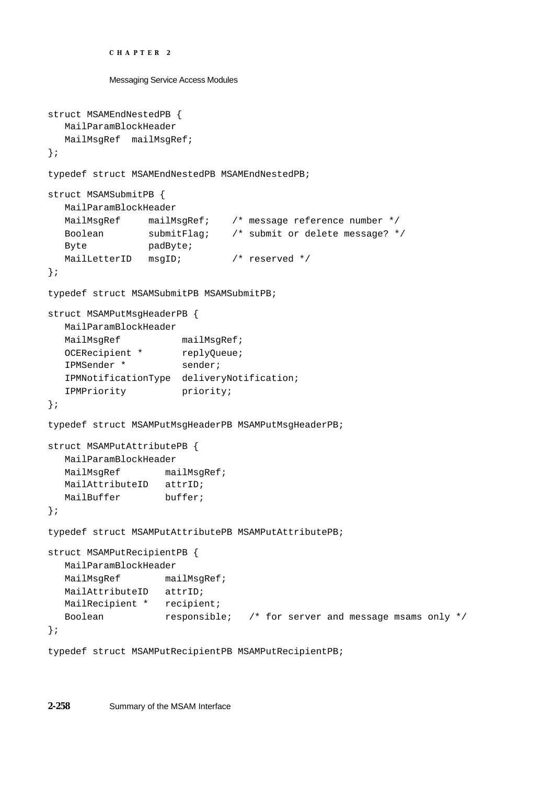```
CHAPTER 2
```

```
struct MSAMEndNestedPB {
  MailParamBlockHeader
  MailMsgRef mailMsgRef;
};
typedef struct MSAMEndNestedPB MSAMEndNestedPB;
struct MSAMSubmitPB {
  MailParamBlockHeader
  MailMsgRef mailMsgRef; /* message reference number */
  Boolean submitFlag; /* submit or delete message? */
  Byte padByte;
  MailLetterID msgID; /* reserved */
};
typedef struct MSAMSubmitPB MSAMSubmitPB;
struct MSAMPutMsgHeaderPB {
  MailParamBlockHeader
  MailMsgRef mailMsgRef;
  OCERecipient * replyQueue;
  IPMSender * sender;
  IPMNotificationType deliveryNotification;
  IPMPriority priority;
};
typedef struct MSAMPutMsgHeaderPB MSAMPutMsgHeaderPB;
struct MSAMPutAttributePB {
  MailParamBlockHeader
  MailMsgRef mailMsgRef;
  MailAttributeID attrID;
  MailBuffer buffer;
};
typedef struct MSAMPutAttributePB MSAMPutAttributePB;
struct MSAMPutRecipientPB {
  MailParamBlockHeader
  MailMsgRef mailMsgRef;
  MailAttributeID attrID;
  MailRecipient * recipient;
  Boolean responsible; /* for server and message msams only */
};
```
typedef struct MSAMPutRecipientPB MSAMPutRecipientPB;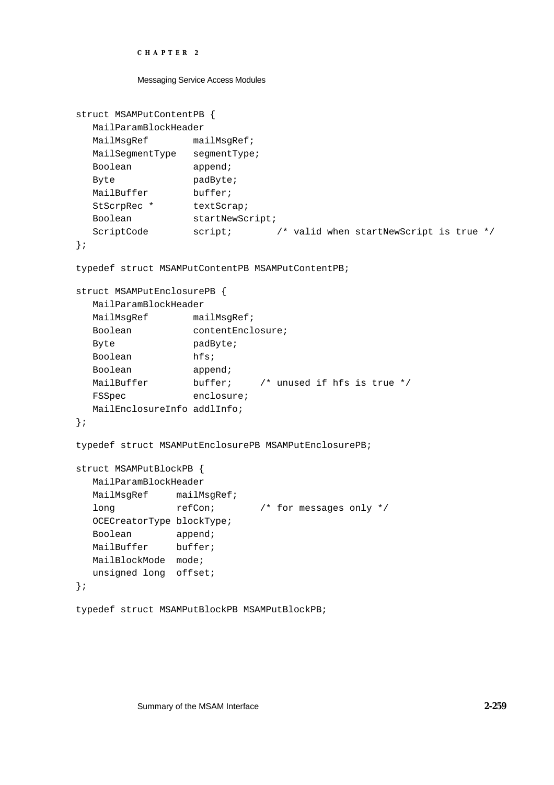```
CHAPTER 2
```

```
struct MSAMPutContentPB {
  MailParamBlockHeader
  MailMsgRef mailMsgRef;
  MailSegmentType segmentType;
  Boolean append;
  Byte padByte;
  MailBuffer buffer;
  StScrpRec * textScrap;
  Boolean startNewScript;
  ScriptCode script; \frac{1}{2} /* valid when startNewScript is true */
};
typedef struct MSAMPutContentPB MSAMPutContentPB;
struct MSAMPutEnclosurePB {
  MailParamBlockHeader
  MailMsgRef mailMsgRef;
  Boolean contentEnclosure;
  Byte padByte;
  Boolean hfs;
  Boolean append;
  MailBuffer buffer; /* unused if hfs is true */
  FSSpec enclosure;
  MailEnclosureInfo addlInfo;
};
typedef struct MSAMPutEnclosurePB MSAMPutEnclosurePB;
struct MSAMPutBlockPB {
  MailParamBlockHeader
  MailMsgRef mailMsgRef;
  long refCon; /* for messages only */OCECreatorType blockType;
  Boolean append;
  MailBuffer buffer;
  MailBlockMode mode;
  unsigned long offset;
};
typedef struct MSAMPutBlockPB MSAMPutBlockPB;
```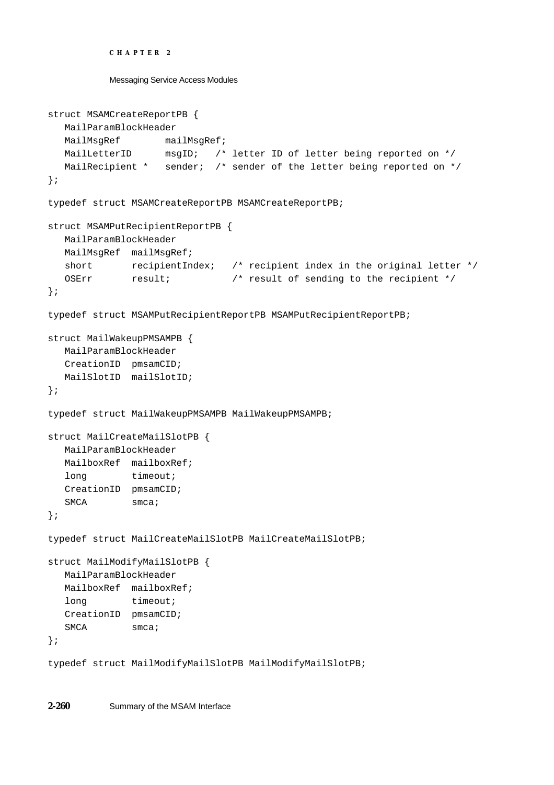```
CHAPTER 2
```

```
struct MSAMCreateReportPB {
  MailParamBlockHeader
  MailMsgRef mailMsgRef;
  MailLetterID msgID; /* letter ID of letter being reported on */
  MailRecipient * sender; /* sender of the letter being reported on */
};
typedef struct MSAMCreateReportPB MSAMCreateReportPB;
struct MSAMPutRecipientReportPB {
  MailParamBlockHeader
  MailMsgRef mailMsgRef;
  short recipientIndex; /* recipient index in the original letter */
  OSErr result; \frac{1}{2} /* result of sending to the recipient */
};
typedef struct MSAMPutRecipientReportPB MSAMPutRecipientReportPB;
struct MailWakeupPMSAMPB {
  MailParamBlockHeader
  CreationID pmsamCID;
  MailSlotID mailSlotID;
};
typedef struct MailWakeupPMSAMPB MailWakeupPMSAMPB;
struct MailCreateMailSlotPB {
  MailParamBlockHeader
  MailboxRef mailboxRef;
  long timeout;
  CreationID pmsamCID;
  SMCA smca;
};
typedef struct MailCreateMailSlotPB MailCreateMailSlotPB;
struct MailModifyMailSlotPB {
  MailParamBlockHeader
  MailboxRef mailboxRef;
  long timeout;
  CreationID pmsamCID;
  SMCA smca;
};
typedef struct MailModifyMailSlotPB MailModifyMailSlotPB;
```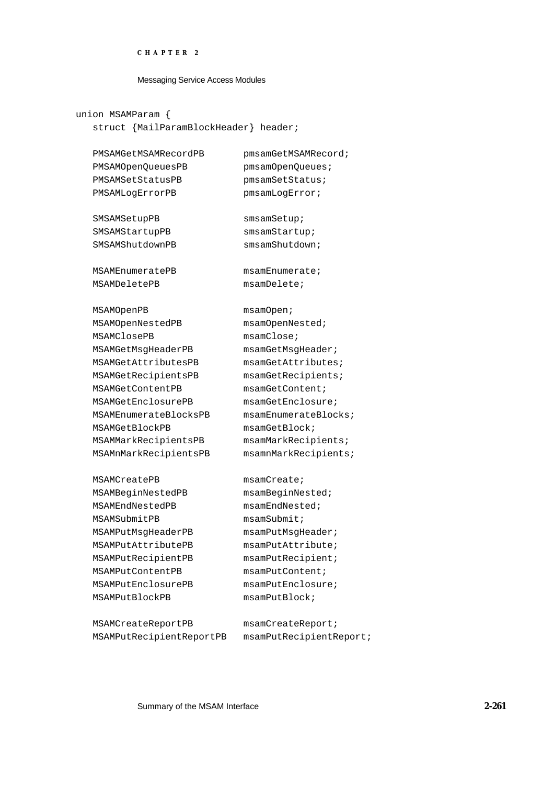#### Messaging Service Access Modules

union MSAMParam { struct {MailParamBlockHeader} header;

PMSAMOpenQueuesPB pmsamOpenQueues; PMSAMSetStatusPB pmsamSetStatus; PMSAMLogErrorPB pmsamLogError;

SMSAMSetupPB smsamSetup; SMSAMStartupPB smsamStartup; SMSAMShutdownPB smsamShutdown;

MSAMEnumeratePB msamEnumerate; MSAMDeletePB msamDelete;

MSAMOpenPB msamOpen; MSAMOpenNestedPB msamOpenNested; MSAMClosePB msamClose; MSAMGetMsgHeaderPB msamGetMsgHeader; MSAMGetAttributesPB msamGetAttributes; MSAMGetRecipientsPB msamGetRecipients; MSAMGetContentPB msamGetContent; MSAMGetEnclosurePB msamGetEnclosure; MSAMEnumerateBlocksPB msamEnumerateBlocks; MSAMGetBlockPB msamGetBlock; MSAMMarkRecipientsPB msamMarkRecipients; MSAMnMarkRecipientsPB msamnMarkRecipients;

MSAMCreatePB msamCreate; MSAMBeginNestedPB msamBeginNested; MSAMEndNestedPB msamEndNested; MSAMSubmitPB msamSubmit; MSAMPutMsgHeaderPB msamPutMsgHeader; MSAMPutAttributePB msamPutAttribute; MSAMPutRecipientPB msamPutRecipient; MSAMPutContentPB msamPutContent; MSAMPutEnclosurePB msamPutEnclosure; MSAMPutBlockPB msamPutBlock;

MSAMCreateReportPB msamCreateReport; MSAMPutRecipientReportPB msamPutRecipientReport;

PMSAMGetMSAMRecordPB pmsamGetMSAMRecord;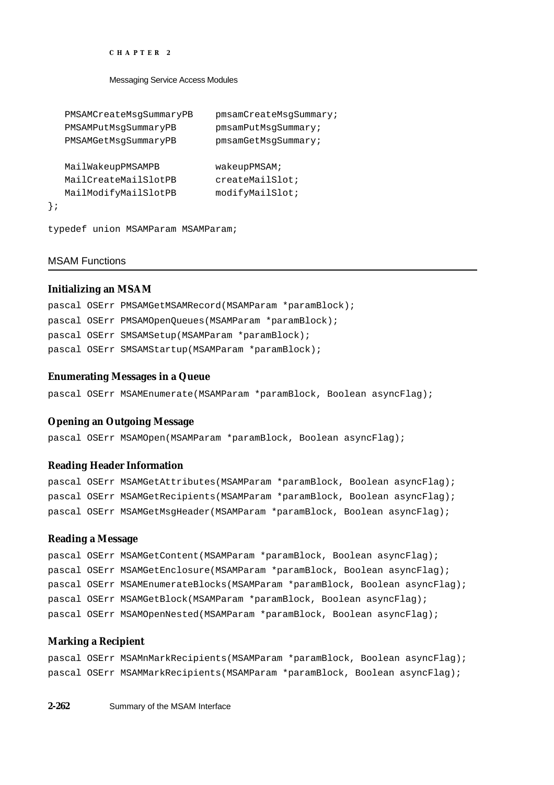Messaging Service Access Modules

```
PMSAMCreateMsgSummaryPB pmsamCreateMsgSummary;
  PMSAMPutMsgSummaryPB pmsamPutMsgSummary;
  PMSAMGetMsgSummaryPB pmsamGetMsgSummary;
  MailWakeupPMSAMPB wakeupPMSAM;
  MailCreateMailSlotPB createMailSlot;
  MailModifyMailSlotPB modifyMailSlot;
};
```
typedef union MSAMParam MSAMParam;

# MSAM Functions

# **Initializing an MSAM**

|  | pascal OSErr PMSAMGetMSAMRecord (MSAMParam *paramBlock); |
|--|----------------------------------------------------------|
|  | pascal OSErr PMSAMOpenOueues (MSAMParam *paramBlock);    |
|  | pascal OSErr SMSAMSetup (MSAMParam *paramBlock);         |
|  | pascal OSErr SMSAMStartup (MSAMParam *paramBlock);       |

# **Enumerating Messages in a Queue**

pascal OSErr MSAMEnumerate(MSAMParam \*paramBlock, Boolean asyncFlag);

# **Opening an Outgoing Message**

pascal OSErr MSAMOpen(MSAMParam \*paramBlock, Boolean asyncFlag);

# **Reading Header Information**

pascal OSErr MSAMGetAttributes(MSAMParam \*paramBlock, Boolean asyncFlag); pascal OSErr MSAMGetRecipients(MSAMParam \*paramBlock, Boolean asyncFlag); pascal OSErr MSAMGetMsgHeader(MSAMParam \*paramBlock, Boolean asyncFlag);

# **Reading a Message**

|  | pascal OSErr MSAMGetContent(MSAMParam *paramBlock, Boolean asyncFlag);      |
|--|-----------------------------------------------------------------------------|
|  | pascal OSErr MSAMGetEnclosure(MSAMParam *paramBlock, Boolean asyncFlag);    |
|  | pascal OSErr MSAMEnumerateBlocks(MSAMParam *paramBlock, Boolean asyncFlag); |
|  | pascal OSErr MSAMGetBlock(MSAMParam *paramBlock, Boolean asyncFlaq);        |
|  | pascal OSErr MSAMOpenNested(MSAMParam *paramBlock, Boolean asyncFlag);      |

# **Marking a Recipient**

pascal OSErr MSAMnMarkRecipients(MSAMParam \*paramBlock, Boolean asyncFlag); pascal OSErr MSAMMarkRecipients(MSAMParam \*paramBlock, Boolean asyncFlag);

**2-262** Summary of the MSAM Interface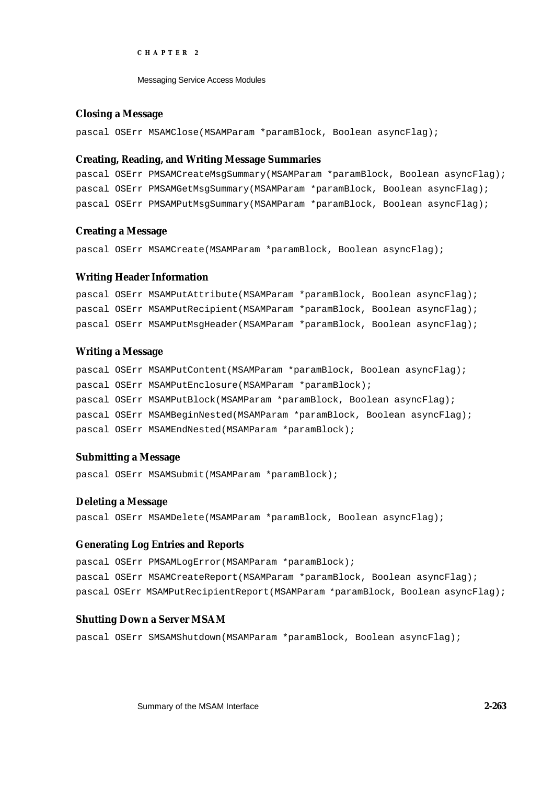Messaging Service Access Modules

# **Closing a Message**

pascal OSErr MSAMClose(MSAMParam \*paramBlock, Boolean asyncFlag);

### **Creating, Reading, and Writing Message Summaries**

pascal OSErr PMSAMCreateMsgSummary(MSAMParam \*paramBlock, Boolean asyncFlag); pascal OSErr PMSAMGetMsgSummary(MSAMParam \*paramBlock, Boolean asyncFlag); pascal OSErr PMSAMPutMsgSummary(MSAMParam \*paramBlock, Boolean asyncFlag);

### **Creating a Message**

pascal OSErr MSAMCreate(MSAMParam \*paramBlock, Boolean asyncFlag);

### **Writing Header Information**

pascal OSErr MSAMPutAttribute(MSAMParam \*paramBlock, Boolean asyncFlag); pascal OSErr MSAMPutRecipient(MSAMParam \*paramBlock, Boolean asyncFlag); pascal OSErr MSAMPutMsgHeader(MSAMParam \*paramBlock, Boolean asyncFlag);

# **Writing a Message**

pascal OSErr MSAMPutContent(MSAMParam \*paramBlock, Boolean asyncFlag); pascal OSErr MSAMPutEnclosure(MSAMParam \*paramBlock); pascal OSErr MSAMPutBlock(MSAMParam \*paramBlock, Boolean asyncFlag); pascal OSErr MSAMBeginNested(MSAMParam \*paramBlock, Boolean asyncFlag); pascal OSErr MSAMEndNested(MSAMParam \*paramBlock);

# **Submitting a Message**

pascal OSErr MSAMSubmit(MSAMParam \*paramBlock);

### **Deleting a Message**

pascal OSErr MSAMDelete(MSAMParam \*paramBlock, Boolean asyncFlag);

# **Generating Log Entries and Reports**

pascal OSErr PMSAMLogError(MSAMParam \*paramBlock); pascal OSErr MSAMCreateReport(MSAMParam \*paramBlock, Boolean asyncFlag); pascal OSErr MSAMPutRecipientReport(MSAMParam \*paramBlock, Boolean asyncFlag);

# **Shutting Down a Server MSAM**

pascal OSErr SMSAMShutdown(MSAMParam \*paramBlock, Boolean asyncFlag);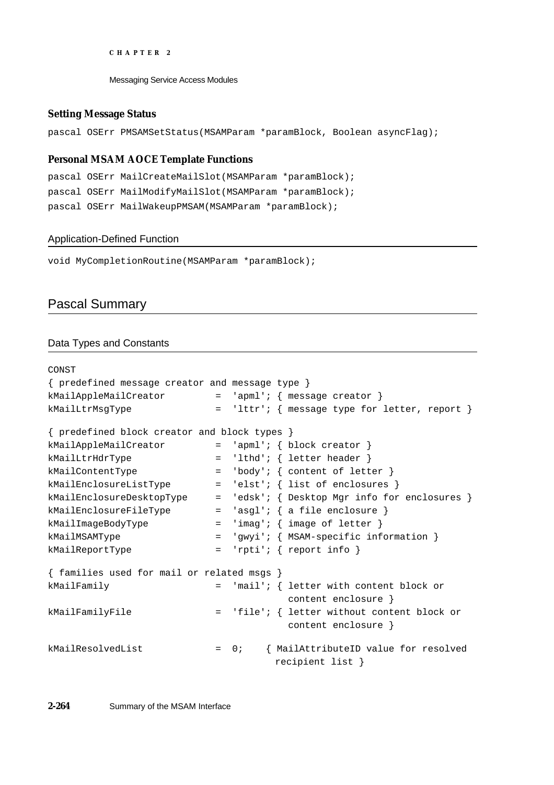Messaging Service Access Modules

# **Setting Message Status**

pascal OSErr PMSAMSetStatus(MSAMParam \*paramBlock, Boolean asyncFlag);

# **Personal MSAM AOCE Template Functions**

```
pascal OSErr MailCreateMailSlot(MSAMParam *paramBlock);
pascal OSErr MailModifyMailSlot(MSAMParam *paramBlock);
pascal OSErr MailWakeupPMSAM(MSAMParam *paramBlock);
```
# Application-Defined Function

void MyCompletionRoutine(MSAMParam \*paramBlock);

# Pascal Summary

# Data Types and Constants

```
CONST
{ predefined message creator and message type }
kMailAppleMailCreator = 'apml'; { message creator }
kMailLtrMsgType = 'lttr'; { message type for letter, report }
{ predefined block creator and block types }
kMailAppleMailCreator = 'apml'; { block creator }
kMailLtrHdrType = 'lthd'; { letter header }
kMailContentType = 'body'; { content of letter }
kMailEnclosureListType = 'elst'; { list of enclosures }
kMailEnclosureDesktopType = 'edsk'; { Desktop Mgr info for enclosures }
kMailEnclosureFileType = 'asgl'; { a file enclosure }
kMailImageBodyType = 'imag'; { image of letter }
kMailMSAMType = 'gwyi'; { MSAM-specific information }
kMailReportType = 'rpti'; { report info }
{ families used for mail or related msgs }
kMailFamily = 'mail'; { letter with content block or
                                     content enclosure }
kMailFamilyFile = 'file'; { letter without content block or
                                     content enclosure }
kMailResolvedList = 0; { MailAttributeID value for resolved
                                  recipient list }
```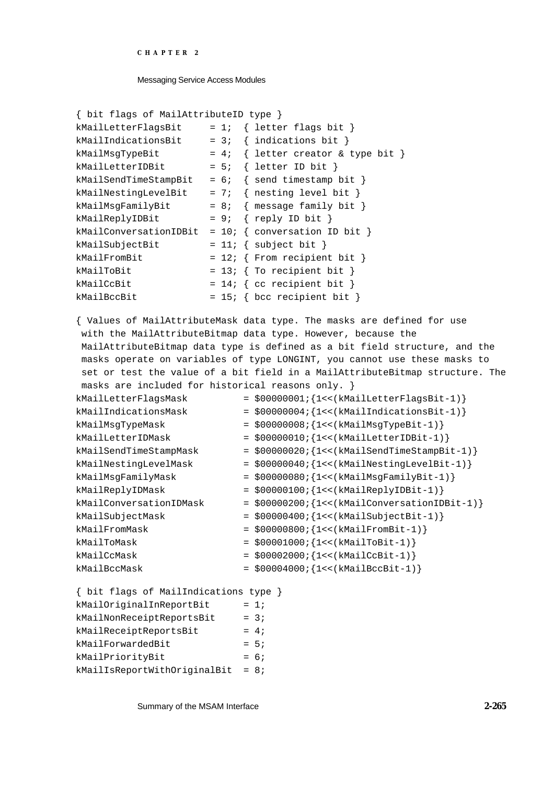```
CHAPTER 2
```

```
{ bit flags of MailAttributeID type }
kMailLetterFlagsBit = 1; { letter flags bit }kMailIndicationsBit = 3; \{ indications bit \}kMailMsgTypeBit = 4; \{ letter creator & type bit }
kMailLetterIDBit = 5; \{ letter ID bit \}kMailSendTimeStampBit = 6; \{ send timestamp bit \}kMailNestingLevelBit = 7; { nesting level bit }
kMailMsgFamilyBit = 8; \{ message family bit \}kMailReplyIDBit = 9; { reply ID bit }kMailConversationIDBit = 10; \{ conversation ID bit \}kMailSubjectBit = 11; { subject bit }
kMailFromBit = 12; \{ From recipient bit \}kMailToBit = 13; \{ To recipient bit \}kMailCcBit = 14; { cc recipient bit }
kMailBccBit = 15; \{ bcc \text{ recipient bit } \}
```
{ Values of MailAttributeMask data type. The masks are defined for use with the MailAttributeBitmap data type. However, because the MailAttributeBitmap data type is defined as a bit field structure, and the masks operate on variables of type LONGINT, you cannot use these masks to set or test the value of a bit field in a MailAttributeBitmap structure. The masks are included for historical reasons only. }

| $= $00000001; \{1<< (kMailletterFlagsBit-1)\}\$   |
|---------------------------------------------------|
| $= $000000004; \{1<< (kMailIndicationsBit-1)\}\$  |
| $= $00000008; \{1<< (kMailMsgTypeBit-1)\}\$       |
| $= $00000010; {1<< (kMailletterIDBit-1)}$         |
| $= $00000020; \{1<< (kMailSendTimeStampBit-1)\}\$ |
| $= $000000040; \{1<< (kMailNextingLevelBit-1)\}\$ |
| $= $00000080; \{1<< (kMailMsgFamilyBit-1)\}\$     |
| $= $00000100; \{1<< (kMailReplyIDBit-1)\}\$       |
| = \$00000200; {1<< (kMailConversationIDBit-1)}    |
| $= $00000400; \{1<< (kMailSubjectBit-1)\}\$       |
| $= $00000800; \{1<< (kMailFromBit-1)\}\$          |
| $= $00001000; \{1<< (kMailTOBit-1)\}\$            |
| $= $00002000; \{1<< (kMailCcBit-1)\}\$            |
| $= $00004000; \{1<< (kMailBccBit-1)\}\$           |
|                                                   |

```
{ bit flags of MailIndications type } 
kMailOriginalInReportBit = 1;
kMailNonReceitReportsBit = 3;kMailReceiptReportsBit = 4;kMailForwardedBit = 5;
kMailPriorityBit = 6;
kMailIsReportWithOriginalBit = 8;
```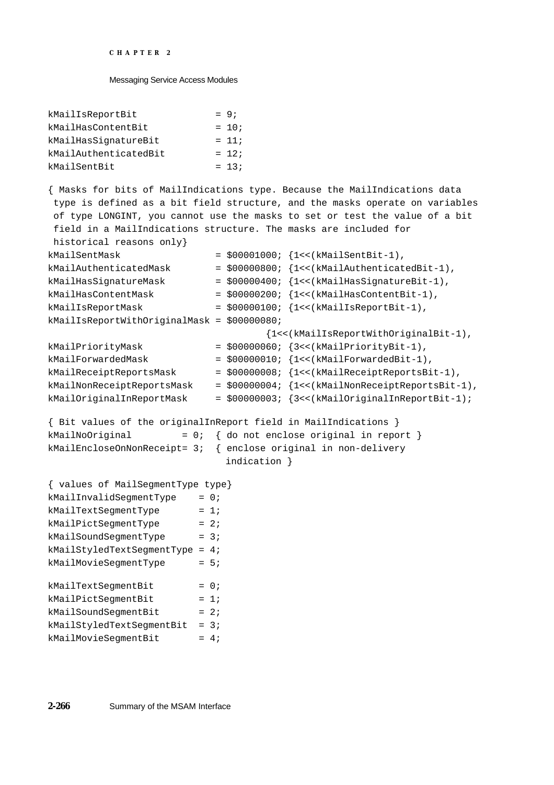#### Messaging Service Access Modules

| kMailIsReportBit      | $= 9:$  |
|-----------------------|---------|
| kMailHasContentBit    | $= 10;$ |
| kMailHasSignatureBit  | $= 11;$ |
| kMailAuthenticatedBit | $= 12i$ |
| kMailSentBit          | $= 13i$ |

{ Masks for bits of MailIndications type. Because the MailIndications data type is defined as a bit field structure, and the masks operate on variables of type LONGINT, you cannot use the masks to set or test the value of a bit field in a MailIndications structure. The masks are included for historical reasons only}

| kMailSentMask                                                                                                                                         |        |              | $= $00001000; \{1<< (kMailSentBit-1),\}$           |
|-------------------------------------------------------------------------------------------------------------------------------------------------------|--------|--------------|----------------------------------------------------|
| kMailAuthenticatedMask                                                                                                                                |        |              | = \$00000800; {1<< (kMailAuthenticatedBit-1),      |
| kMailHasSignatureMask                                                                                                                                 |        |              | $= $00000400; \{1<< (kMailHasSignatureBit-1),\}$   |
| kMailHasContentMask                                                                                                                                   |        |              | $= $00000200; \{1<< (kMailHasContentBit-1),\}$     |
| kMailIsReportMask                                                                                                                                     |        |              | $= $00000100; \{1<< (kMailIsReportBit-1),\}$       |
| kMailIsReportWithOriginalMask = \$00000080;                                                                                                           |        |              |                                                    |
|                                                                                                                                                       |        |              | {1<<(kMailIsReportWithOriginalBit-1),              |
| kMailPriorityMask                                                                                                                                     |        |              | $=$ \$00000060; {3<< (kMailPriorityBit-1),         |
| kMailForwardedMask                                                                                                                                    |        |              | $= $00000010; \{1<< (kMailForwardedBit-1),$        |
| kMailReceiptReportsMask                                                                                                                               |        |              | $= $00000008; \{1<< (kMailReceiptReportsBit-1),\}$ |
| kMailNonReceiptReportsMask                                                                                                                            |        |              | = \$00000004; {1<< (kMailNonReceiptReportsBit-1),  |
| kMailOriginalInReportMask                                                                                                                             |        |              | = \$00000003; {3<< (kMailOriginalInReportBit-1);   |
| { Bit values of the originalInReport field in MailIndications }<br>kMailNoOriginal<br>kMailEncloseOnNonReceipt= 3; { enclose original in non-delivery |        | indication } | = $0:$ { do not enclose original in report }       |
| { values of MailSegmentType type}                                                                                                                     |        |              |                                                    |
| kMailInvalidSegmentType                                                                                                                               | $= 0;$ |              |                                                    |
| kMailTextSegmentType                                                                                                                                  | $= 1i$ |              |                                                    |
| kMailPictSegmentType                                                                                                                                  | $= 2i$ |              |                                                    |
| kMailSoundSegmentType                                                                                                                                 | $= 3i$ |              |                                                    |
| $kMailStyledTextSegmentType = 4;$                                                                                                                     |        |              |                                                    |
| kMailMovieSegmentType                                                                                                                                 | $= 5i$ |              |                                                    |
| kMailTextSegmentBit                                                                                                                                   | $= 0;$ |              |                                                    |
| kMailPictSegmentBit                                                                                                                                   | $= 1i$ |              |                                                    |

 $kMailSoundSegmentBit = 2;$ kMailStyledTextSegmentBit = 3;  $k$ MailMovieSegmentBit = 4;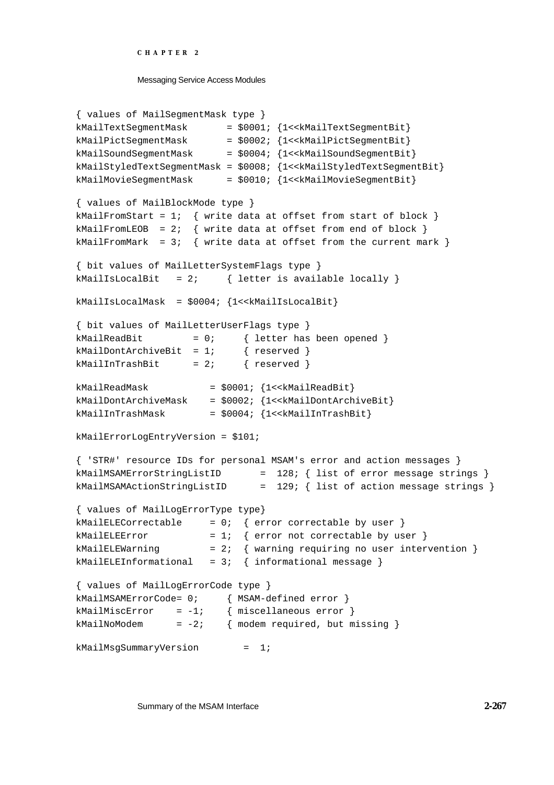Messaging Service Access Modules

```
{ values of MailSegmentMask type }
kMailTextSegmentMask = $0001; {1<<kMailTextSegmentBit}
kMailPictSeqmentMask = $0002; {1<<kMailPictSegmentBit}
kMailSoundSegmentMask = $0004; {1<<kMailSoundSegmentBit}
kMailStyledTextSegmentMask = $0008; {1<<kMailStyledTextSegmentBit}
kMailMovieSegmentMask = $0010; {1<<kMailMovieSegmentBit}
{ values of MailBlockMode type }
kMailFromStart = 1; { write data at offset from start of block }
kMailFromLEOB = 2; { write data at offset from end of block }
kMailFromMark = 3; \{ write data at offset from the current mark \}{ bit values of MailLetterSystemFlags type }
kMailIsLocalBit = 2; \{ letter is available locally \}kMailIsLocalMask = $0004; {1<<kMailIsLocalBit}
{ bit values of MailLetterUserFlags type }
kMailReadBit = 0; { letter has been opened }
kMailDontArchiveBit = 1; { reserved }
kMailInTrashBit = 2; { reserved }
kMailReadMask = $0001; {1 < kMailReadBit}kMailDontArchiveMask = $0002; {1<<kMailDontArchiveBit}
kMailInTrashMask = $0004; {1<<kMailInTrashBit}
kMailErrorLogEntryVersion = $101;
{ 'STR#' resource IDs for personal MSAM's error and action messages }
kMailMSAMErrorStringListID = 128; { list of error message strings }
kMailMSAMActionStringListID = 129; { list of action message strings }
{ values of MailLogErrorType type}
kMailELECorrectable = 0; { error correctable by user }
kMailELEError = 1; \{ error not correctable by user \}kMailELEWarning = 2; { warning requiring no user intervention }
kMailELEInformational = 3; \{ informational message \}{ values of MailLogErrorCode type }
kMailMSAMErrorCode= 0; { MSAM-defined error }
kMailMiscError = -1; { miscellaneous error }
kMailNoModem = -2; { modem required, but missing }
kMailMsgSummaryVersion = 1;
```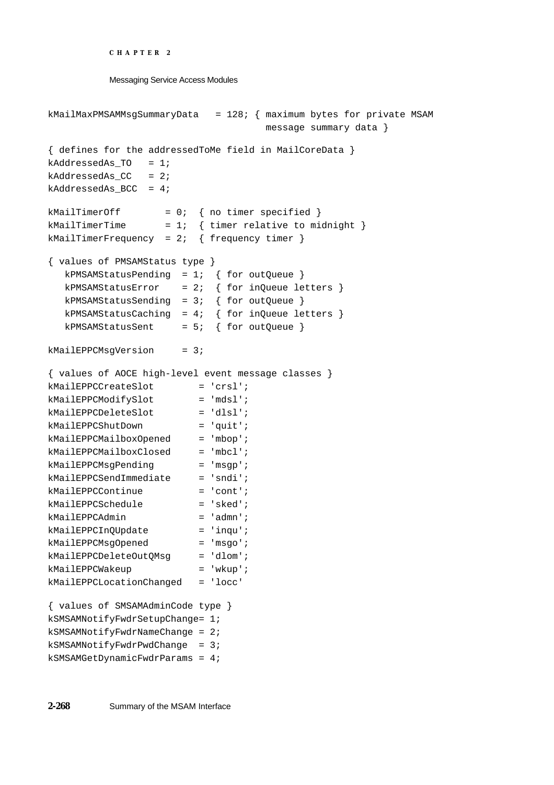```
CHAPTER 2
```

```
Messaging Service Access Modules
```

```
kMailMaxPMSAMMsgSummaryData = 128; { maximum bytes for private MSAM
                                   message summary data }
{ defines for the addressedToMe field in MailCoreData }
kAddressedAs TO = 1;kAddressedAs_CC = 2;kAddressedAs_BCC = 4;
kMailTimerOff = 0; \{ no timer specified \}kMailTimerTime = 1; \{ timerelative to midnight \}kMailTimerFrequency = 2; \{ frequency timer \}{ values of PMSAMStatus type }
  kPMSAMStatusPending = 1; \{ for outQueue \}kPMSAMStatusError = 2; \{ for inQueue letters \}kPMSAMStatusSending = 3; \{ for outQueue \}kPMSAMStatusCaching = 4; { for inQueue letters }
  kPMSAMStatusSent = 5; { for outQueue }kMailEPPCMsqVersion = 3;
{ values of AOCE high-level event message classes }
kMailEPPCCreateSlot = 'crsl';
kMailEPPCModifySlot = 'mdsl';
kMailEPPCDeleteSlot = 'dlsl';
kMailEPPCShutDown = 'quit';
kMailEPPCMailboxOpened = 'mbop';
kMailEPPCMailboxClosed = 'mbcl';
kMailEPPCMsgPending = 'msgp';
kMailEPPCSendImmediate = 'sndi';
kMailEPPCContinue = 'cont';
kMailEPPCSchedule = 'sked';
kMailEPPCAdmin = 'admn';
kMailEPPCInQUpdate = 'inqu';
kMailEPPCMsgOpened = 'msgo';
kMailEPPCDeleteOutQMsg = 'dlom';
kMailEPPCWakeup = 'wkup';
kMailEPPCLocationChanged = 'locc'
{ values of SMSAMAdminCode type }
kSMSAMNotifyFwdrSetupChange= 1;
kSMSAMNotifyFwdrNameChange = 2;
kSMSAMNotifyFwdrPwdChange = 3;
kSMSAMGetDynamicFwdrParams = 4;
```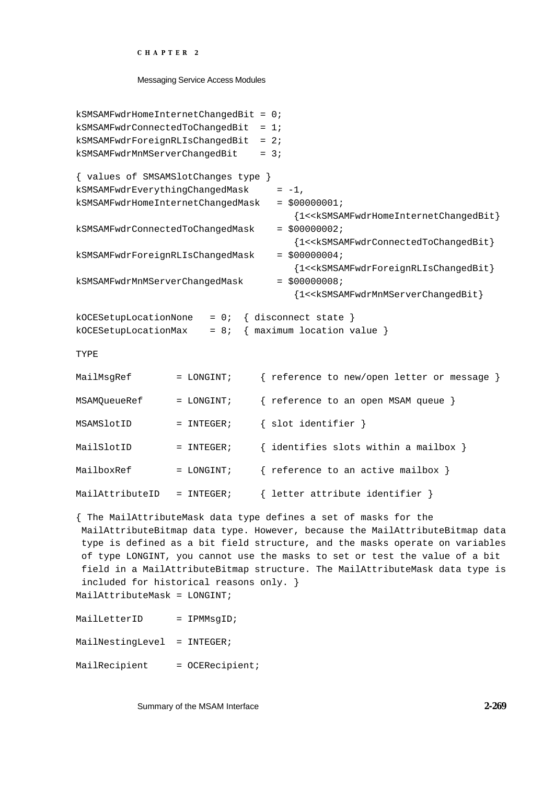```
kSMSAMFwdrHomeInternetChangedBit = 0;
kSMSAMFwdrConnectedToChangedBit = 1;
kSMSAMFwdrForeignRLIsChangedBit = 2;
kSMSAMFwdrMnMServerChangedBit = 3;
{ values of SMSAMSlotChanges type }
kSMSAMFwdrEverythingChangedMask = -1,
kSMSAMFwdrHomeInternetChangedMask = $00000001;
                                     {1<<kSMSAMFwdrHomeInternetChangedBit}
kSMSAMFwdrConnectedToChangedMask = $00000002;
                                     {1<<kSMSAMFwdrConnectedToChangedBit}
kSMSAMFwdrForeignRLIsChangedMask = $00000004;
                                     {1<<kSMSAMFwdrForeignRLIsChangedBit}
kSMSAMFwdrMnMServerChangedMask = $00000008;{1<<kSMSAMFwdrMnMServerChangedBit}
kOCESetupLocationNone = 0; { disconnect state }
kOCESetupLocationMax = 8; \{ maximum location value }
TYPE
MailMsgRef = LONGINT; { reference to new/open letter or message }
MSAMQueueRef = LONGINT; { reference to an open MSAM queue }
MSAMSlotID = INTEGER; { slot identifier }
MailSlotID = INTEGER; \{ identifies slots within a mailbox \}MailboxRef = LONGINT; { reference to an active mailbox }
MailAttributeID = INTEGER; \{ letter attribute identifier \}{ The MailAttributeMask data type defines a set of masks for the
 MailAttributeBitmap data type. However, because the MailAttributeBitmap data
  type is defined as a bit field structure, and the masks operate on variables
  of type LONGINT, you cannot use the masks to set or test the value of a bit
  field in a MailAttributeBitmap structure. The MailAttributeMask data type is
  included for historical reasons only. }
MailAttributeMask = LONGINT;
MailLetterID = IPMMsqID;
MailNestingLevel = INTEGER;
MailRecipient = OCERecipient;
```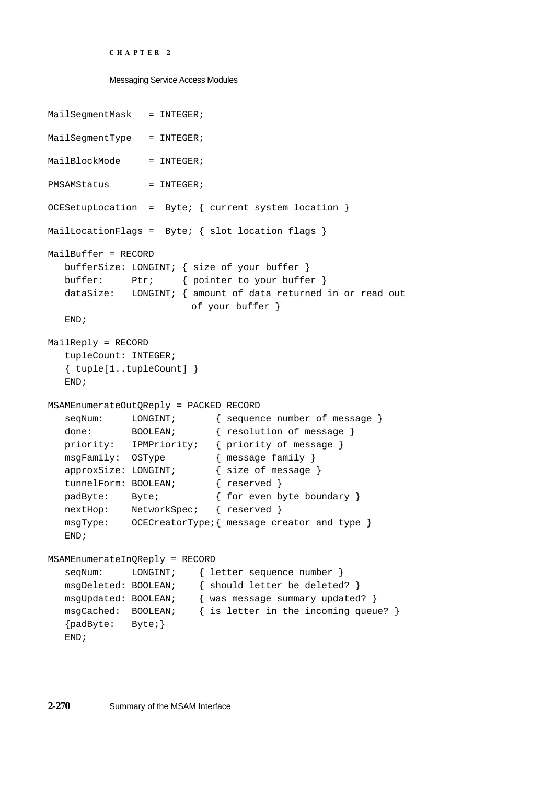```
CHAPTER 2
```

```
Messaging Service Access Modules
```

```
MailSegmentMask = INTEGER;
MailSeqmentType = INTEGER;
MailBlockMode = INTEGER;
PMSAMStatus = INTEGER;
OCESetupLocation = Byte; { current system location }
MailLocationFlags = Byte; { slot location flags }
MailBuffer = RECORD
  bufferSize: LONGINT; { size of your buffer }
  buffer: Ptr; { pointer to your buffer }
  dataSize: LONGINT; { amount of data returned in or read out
                       of your buffer }
  END;
MailReply = RECORD
  tupleCount: INTEGER;
  { tuple[1..tupleCount] }
  END;
MSAMEnumerateOutQReply = PACKED RECORD
  seqNum: LONGINT; { sequence number of message }
  done: BOOLEAN; { resolution of message }
  priority: IPMPriority; { priority of message }
  msgFamily: OSType { message family }
  approxSize: LONGINT; { size of message }
  tunnelForm: BOOLEAN; { reserved }
  padByte: Byte; \{ \text{for even byte boundary } \}nextHop: NetworkSpec; { reserved }
  msgType: OCECreatorType;{ message creator and type }
  END;
MSAMEnumerateInQReply = RECORD
  seqNum: LONGINT; { letter sequence number }
  msgDeleted: BOOLEAN; { should letter be deleted? }
  msgUpdated: BOOLEAN; { was message summary updated? }
  msgCached: BOOLEAN; { is letter in the incoming queue? }
  {padByte: Byte;}
  END;
```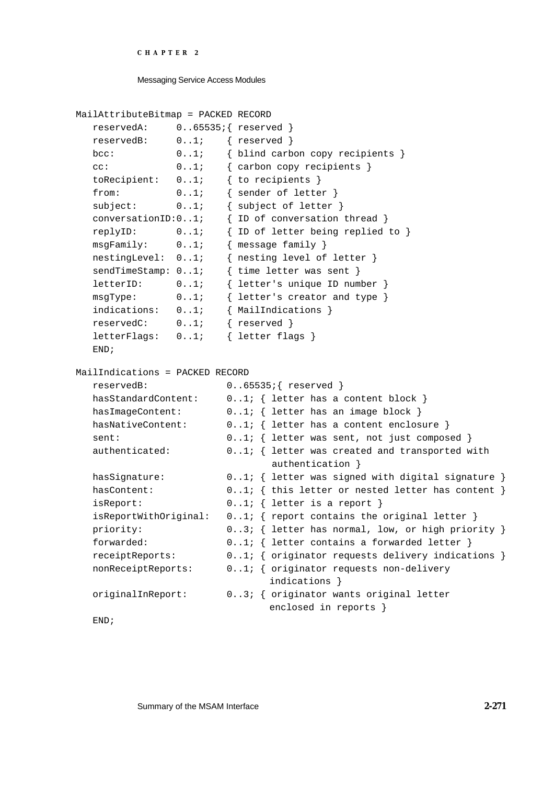```
CHAPTER 2
```

```
MailAttributeBitmap = PACKED RECORD
  reservedA: 0..65535;{ reserved }
  reservedB: 0..1; { reserved }
  bcc: 0..1; { blind carbon copy recipients }
  cc: 0..1; { carbon copy recipients }
  toRecipient: 0..1; { to recipients }
  from: 0..1; { sender of letter }
  subject: 0..1; { subject of letter }
  conversationID:0..1; { ID of conversation thread }
  replyID: 0..1; { ID of letter being replied to }
  msgFamily: 0..1; { message family }
  nestingLevel: 0..1; { nesting level of letter }
  sendTimeStamp: 0..1; { time letter was sent }
  letterID: 0..1; { letter's unique ID number }
  msgType: 0..1; { letter's creator and type }
  indications: 0..1; { MailIndications }
  reservedC: 0..1; { reserved }
  letterFlags: 0..1; { letter flags }
  END;
MailIndications = PACKED RECORD
  reservedB: 0..65535;{ reserved }
  hasStandardContent: 0..1; { letter has a content block }
  hasImageContent: 0..1; { letter has an image block }
  hasNativeContent: 0.1; { letter has a content enclosure }
  sent: 0..1; { letter was sent, not just composed }
  authenticated: 0..1; { letter was created and transported with
                              authentication }
  hasSignature: 0.1; { letter was signed with digital signature }
  hasContent: 0..1; { this letter or nested letter has content }
  isReport: 0..1; { letter is a report }
  isReportWithOriginal: 0.1; { report contains the original letter }
  priority: 0..3; { letter has normal, low, or high priority }
  forwarded: 0..1; { letter contains a forwarded letter }
  receiptReports: 0..1; { originator requests delivery indications }
  nonReceiptReports: 0..1; { originator requests non-delivery
                              indications }
  originalInReport: 0..3; { originator wants original letter
                              enclosed in reports }
```
END;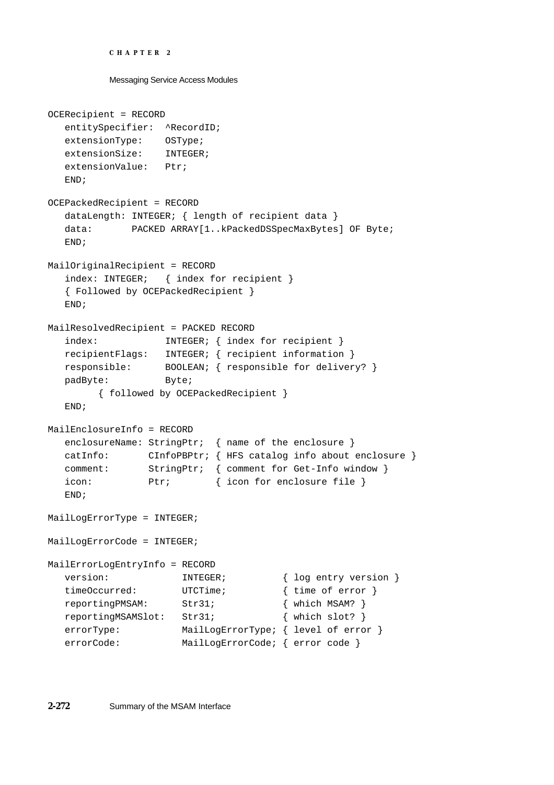```
CHAPTER 2
```

```
OCERecipient = RECORD
  entitySpecifier: ^RecordID;
  extensionType: OSType;
  extensionSize: INTEGER;
  extensionValue: Ptr;
  END;
OCEPackedRecipient = RECORD
  dataLength: INTEGER; { length of recipient data }
  data: PACKED ARRAY[1..kPackedDSSpecMaxBytes] OF Byte;
  END;
MailOriginalRecipient = RECORD
  index: INTEGER; { index for recipient }
  { Followed by OCEPackedRecipient }
  END;
MailResolvedRecipient = PACKED RECORD
  index: INTEGER; { index for recipient }
  recipientFlags: INTEGER; { recipient information }
  responsible: BOOLEAN; { responsible for delivery? }
  padByte: Byte;
        { followed by OCEPackedRecipient }
  END;
MailEnclosureInfo = RECORD
  enclosureName: StringPtr; { name of the enclosure }
  catInfo: CInfoPBPtr; { HFS catalog info about enclosure }
  comment: StringPtr; { comment for Get-Info window }
  icon: Ptr; { icon for enclosure file }
  END;
MailLogErrorType = INTEGER;
MailLogErrorCode = INTEGER;
MailErrorLogEntryInfo = RECORD
  version: INTEGER; { log entry version }
  timeOccurred: UTCTime; { time of error }<br>reportingPMSAM: Str31; { which MSAM? }
  reportingPMSAM: Str31; { which MSAM? }
  reportingMSAMSlot: Str31; { which slot? }
  errorType: MailLogErrorType; { level of error }
  errorCode: MailLogErrorCode; { error code }
```
**2-272** Summary of the MSAM Interface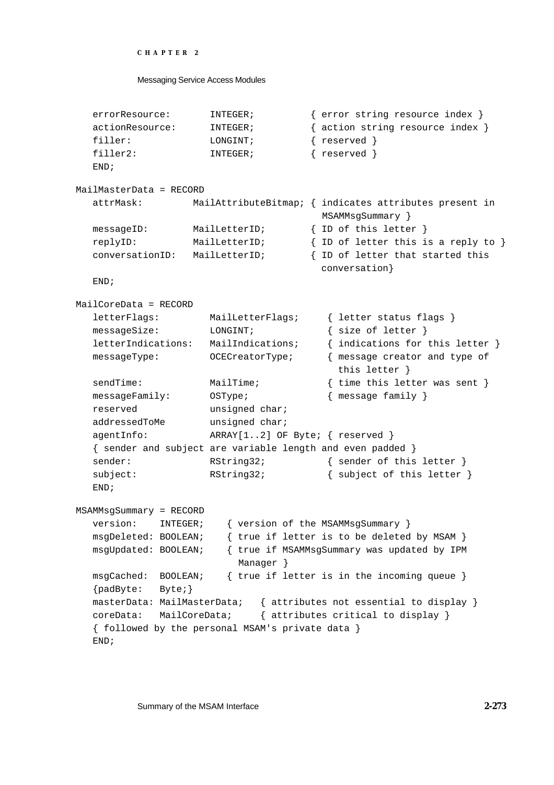```
CHAPTER 2
```

```
errorResource: INTEGER; { error string resource index }
  actionResource: INTEGER; { action string resource index }
  filler: LONGINT; { reserved }
  filler2: INTEGER; { reserved }
  END;
MailMasterData = RECORD
  attrMask: MailAttributeBitmap; { indicates attributes present in
                                     MSAMMsgSummary }
  messageID: MailLetterID; { ID of this letter }
  replyID: MailLetterID; { ID of letter this is a reply to }
  conversationID: MailLetterID; { ID of letter that started this
                                     conversation}
  END;
MailCoreData = RECORD
  letterFlags: MailLetterFlags; { letter status flags }
  messageSize: LONGINT; { size of letter }
  letterIndications: MailIndications; { indications for this letter }
  messageType: OCECreatorType; { message creator and type of
                                       this letter }
  sendTime: MailTime; \{ time \ this \ letters \ weak \}messageFamily: OSType; { message family }
  reserved unsigned char;
  addressedToMe unsigned char;
  agentInfo: ARRAY[1..2] OF Byte; { reserved }
  { sender and subject are variable length and even padded }
  sender: RString32; { sender of this letter }
  subject: RString32; { subject of this letter }
  END;
MSAMMsgSummary = RECORD
  version: INTEGER; { version of the MSAMMsgSummary }
  msgDeleted: BOOLEAN; { true if letter is to be deleted by MSAM }
  msgUpdated: BOOLEAN; { true if MSAMMsgSummary was updated by IPM
                        Manager }
  msgCached: BOOLEAN; { true if letter is in the incoming queue }
  {padByte: Byte;}
  masterData: MailMasterData; { attributes not essential to display }
  coreData: MailCoreData; { attributes critical to display }
  { followed by the personal MSAM's private data }
  END;
```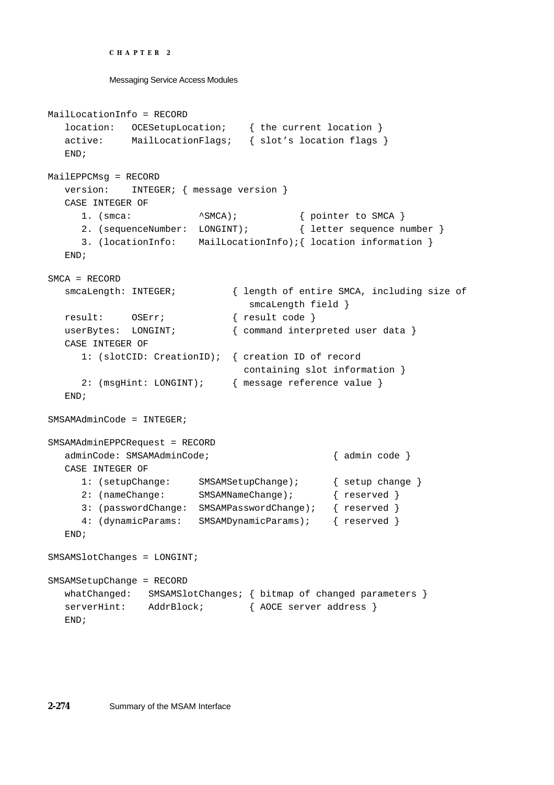```
CHAPTER 2
```

```
Messaging Service Access Modules
```

```
MailLocationInfo = RECORD
  location: OCESetupLocation; { the current location }
  active: MailLocationFlags; { slot's location flags }
  END;
MailEPPCMsg = RECORD
  version: INTEGER; { message version }
  CASE INTEGER OF
     1. (smca: \landSMCA); { pointer to SMCA }
     2. (sequenceNumber: LONGINT); { letter sequence number }
     3. (locationInfo: MailLocationInfo);{ location information }
  END;
SMCA = RECORD
  smcaLength: INTEGER; { length of entire SMCA, including size of
                                smcaLength field }
  result: OSErr; { result code }
  userBytes: LONGINT; \{ command interpreted user data }
  CASE INTEGER OF
     1: (slotCID: CreationID); { creation ID of record
                               containing slot information }
     2: (msgHint: LONGINT); { message reference value }
  END;
SMSAMAdminCode = INTEGER;
SMSAMAdminEPPCRequest = RECORD
  adminCode: SMSAMAdminCode; { admin code }
  CASE INTEGER OF
     1: (setupChange: SMSAMSetupChange); { setup change }
     2: (nameChange: SMSAMNameChange); { reserved }
     3: (passwordChange: SMSAMPasswordChange); { reserved }
     4: (dynamicParams: SMSAMDynamicParams); { reserved }
  END;
SMSAMSlotChanges = LONGINT;
SMSAMSetupChange = RECORD
  whatChanged: SMSAMSlotChanges; { bitmap of changed parameters }
  serverHint: AddrBlock; { AOCE server address }
  END;
```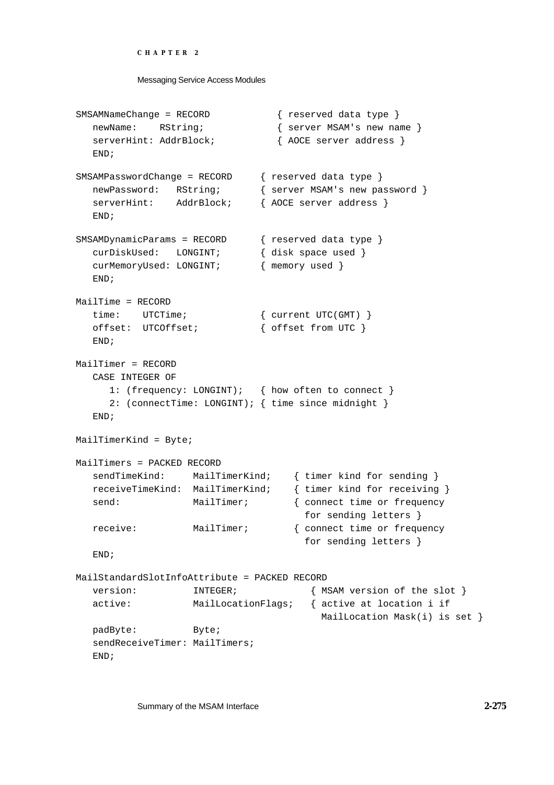#### Messaging Service Access Modules

```
SMSAMNameChange = RECORD { reserved data type }
  newName: RString; \{ server MSAM's new name \}serverHint: AddrBlock; \{ AOCE server address \}END;
SMSAMPasswordChange = RECORD { reserved data type }
  newPassword: RString; { server MSAM's new password }
  serverHint: AddrBlock; { AOCE server address }
  END;
SMSAMDynamicParams = RECORD { reserved data type }
  curDiskUsed: LONGINT; { disk space used }
  curMemoryUsed: LONGINT; { memory used }
  END;
MailTime = RECORD
  time: UTCTime; \{ current UTC(GMT) \}offset: UTCOffset; \{ offset from UTC \}END;
MailTimer = RECORD
  CASE INTEGER OF
     1: (frequency: LONGINT); { how often to connect }
     2: (connectTime: LONGINT); { time since midnight }
  END;
MailTimerKind = Byte;
MailTimers = PACKED RECORD
  sendTimeKind: MailTimerKind; { timer kind for sending }
  receiveTimeKind: MailTimerKind; { timer kind for receiving }
  send: MailTimer; \{ \text{connect time or frequency} \}for sending letters }
  receive: MailTimer; { connect time or frequency 
                                    for sending letters }
  END;
MailStandardSlotInfoAttribute = PACKED RECORD
  version: INTEGER; { MSAM version of the slot }
  active: MailLocationFlags; { active at location i if
                                       MailLocation Mask(i) is set }
  padByte: Byte;
  sendReceiveTimer: MailTimers;
  END;
```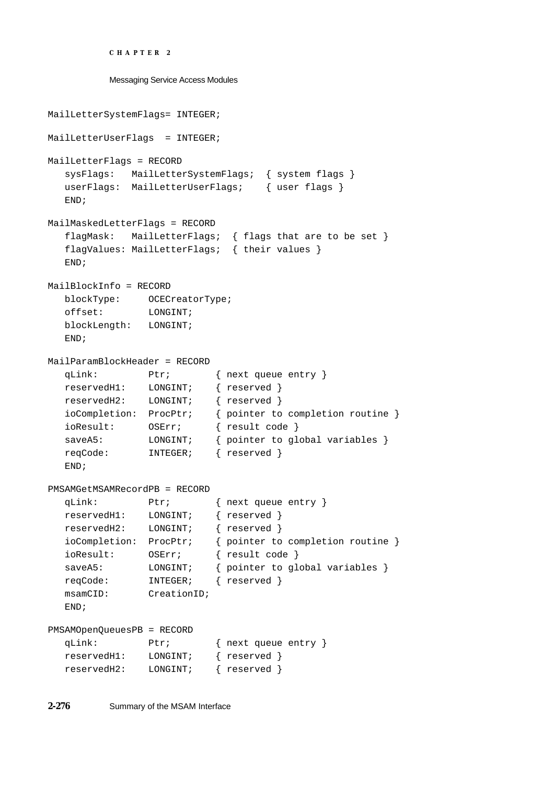```
CHAPTER 2
```

```
Messaging Service Access Modules
```

```
MailLetterSystemFlags= INTEGER;
MailLetterUserFlags = INTEGER;
MailLetterFlags = RECORD
  sysFlags: MailLetterSystemFlags; { system flags }
  userFlags: MailLetterUserFlags; { user flags }
  END;
MailMaskedLetterFlags = RECORD
  flagMask: MailLetterFlags; { flags that are to be set }
  flagValues: MailLetterFlags; { their values }
  END;
MailBlockInfo = RECORD
  blockType: OCECreatorType;
  offset: LONGINT;
  blockLength: LONGINT;
  END;
MailParamBlockHeader = RECORD
  qLink: Ptr; { next queue entry }
  reservedH1: LONGINT; { reserved }
  reservedH2: LONGINT; { reserved }
  ioCompletion: ProcPtr; { pointer to completion routine }
  ioResult: OSErr; { result code }
  saveA5: LONGINT; { pointer to global variables }
  reqCode: INTEGER; { reserved }
  END;
PMSAMGetMSAMRecordPB = RECORD
  qLink: Ptr; { next queue entry }
  reservedH1: LONGINT; { reserved }
  reservedH2: LONGINT; { reserved }
  ioCompletion: ProcPtr; { pointer to completion routine }
  ioResult: OSErr; { result code }
  saveA5: LONGINT; { pointer to global variables }
  reqCode: INTEGER; { reserved }
  msamCID: CreationID;
  END;
PMSAMOpenQueuesPB = RECORD
  qLink: Ptr; { next queue entry }
  reservedH1: LONGINT; { reserved }
  reservedH2: LONGINT; { reserved }
```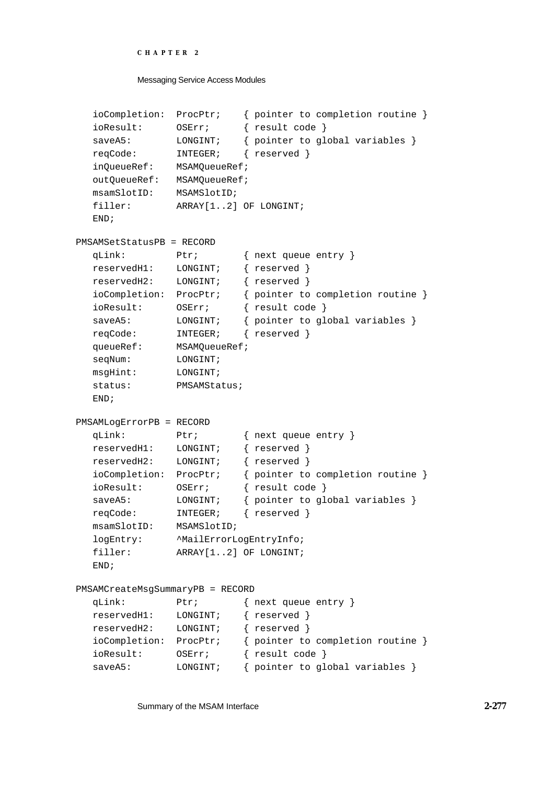```
CHAPTER 2
```

```
ioCompletion: ProcPtr; { pointer to completion routine }
  ioResult: OSErr; { result code }
  saveA5: LONGINT; { pointer to global variables }
  reqCode: INTEGER; { reserved }
  inQueueRef: MSAMQueueRef;
  outQueueRef: MSAMQueueRef;
  msamSlotID: MSAMSlotID;
  filler: ARRAY[1..2] OF LONGINT;
  END;
PMSAMSetStatusPB = RECORD
  qLink: Ptr; { next queue entry }
  reservedH1: LONGINT; { reserved }
  reservedH2: LONGINT; { reserved }
  ioCompletion: ProcPtr; { pointer to completion routine }
  ioResult: OSErr; { result code }
  saveA5: LONGINT; { pointer to global variables }
  reqCode: INTEGER; { reserved }
  queueRef: MSAMQueueRef;
  seqNum: LONGINT;
  msgHint: LONGINT;
  status: PMSAMStatus;
  END;
PMSAMLogErrorPB = RECORD
  qLink: Ptr; { next queue entry }
  reservedH1: LONGINT; { reserved }
  reservedH2: LONGINT; { reserved }
  ioCompletion: ProcPtr; { pointer to completion routine }
  ioResult: OSErr; { result code }
  saveA5: LONGINT; { pointer to global variables }
  reqCode: INTEGER; { reserved }
  msamSlotID: MSAMSlotID;
  logEntry: ^MailErrorLogEntryInfo;
  filler: ARRAY[1..2] OF LONGINT;
  END;
PMSAMCreateMsgSummaryPB = RECORD
  qLink: Ptr; { next queue entry }
  reservedH1: LONGINT; { reserved }
  reservedH2: LONGINT; { reserved }
  ioCompletion: ProcPtr; { pointer to completion routine }
  ioResult: OSErr; { result code }
  saveA5: LONGINT; { pointer to global variables }
```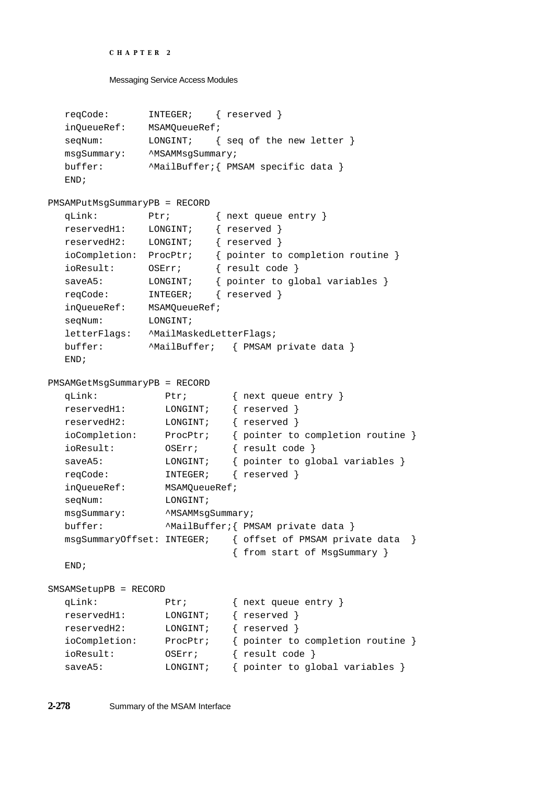```
CHAPTER 2
```

```
reqCode: INTEGER; { reserved }
  inQueueRef: MSAMQueueRef;
  seqNum: LONGINT; { seq of the new letter }
  msgSummary: ^MSAMMsgSummary;
  buffer: ^MailBuffer; { PMSAM specific data }
  END;
PMSAMPutMsgSummaryPB = RECORD
  qLink: Ptr; { next queue entry }
  reservedH1: LONGINT; { reserved }
  reservedH2: LONGINT; { reserved }
  ioCompletion: ProcPtr; { pointer to completion routine }
  ioResult: OSErr; { result code }
  saveA5: LONGINT; { pointer to global variables }
  reqCode: INTEGER; { reserved }
  inQueueRef: MSAMQueueRef;
  seqNum: LONGINT;
  letterFlags: ^MailMaskedLetterFlags;
  buffer: ^MailBuffer; { PMSAM private data }
  END;
PMSAMGetMsgSummaryPB = RECORD
  qLink: Ptr; { next queue entry }
  reservedH1: LONGINT; { reserved }
  reservedH2: LONGINT; { reserved }
  ioCompletion: ProcPtr; { pointer to completion routine }
  ioResult: OSErr; { result code }
  saveA5: LONGINT; { pointer to global variables }
  reqCode: INTEGER; { reserved }
  inQueueRef: MSAMQueueRef;
  seqNum: LONGINT;
  msgSummary: ^MSAMMsgSummary;
  buffer: ^MailBuffer; { PMSAM private data }
  msgSummaryOffset: INTEGER; { offset of PMSAM private data }
                           { from start of MsgSummary }
  END;
SMSAMSetupPB = RECORD
  qLink: Ptr; { next queue entry }
  reservedH1: LONGINT; { reserved }
  reservedH2: LONGINT; { reserved }
  ioCompletion: ProcPtr; { pointer to completion routine }
  ioResult: OSErr; { result code }
  saveA5: LONGINT; { pointer to global variables }
```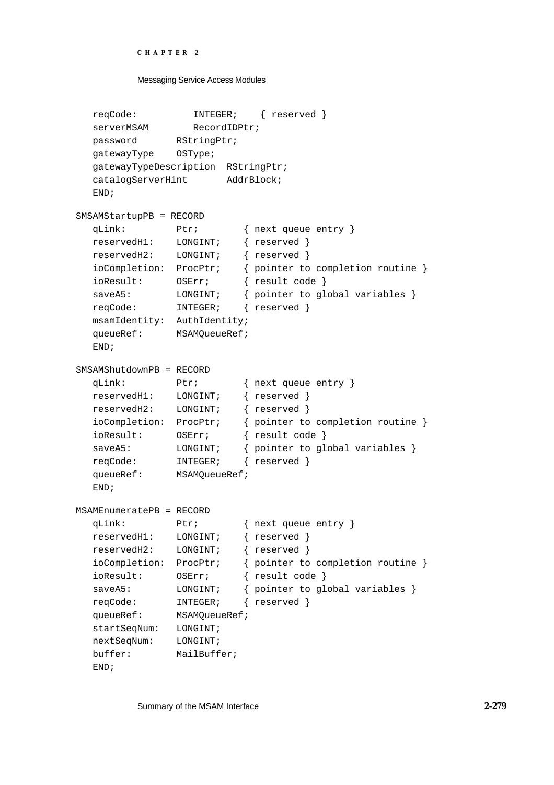```
CHAPTER 2
```

```
Messaging Service Access Modules
```

```
reqCode: INTEGER; { reserved }
  serverMSAM RecordIDPtr;
  password RStringPtr;
  gatewayType OSType;
  gatewayTypeDescription RStringPtr;
  catalogServerHint AddrBlock;
  END;
SMSAMStartupPB = RECORD
  qLink: Ptr; { next queue entry }
  reservedH1: LONGINT; { reserved }
  reservedH2: LONGINT; { reserved }
  ioCompletion: ProcPtr; { pointer to completion routine }
  ioResult: OSErr; { result code }
  saveA5: LONGINT; { pointer to global variables }
  reqCode: INTEGER; { reserved }
  msamIdentity: AuthIdentity;
  queueRef: MSAMQueueRef;
  END;
SMSAMShutdownPB = RECORD
  qLink: Ptr; { next queue entry }
  reservedH1: LONGINT; { reserved }
  reservedH2: LONGINT; { reserved }
  ioCompletion: ProcPtr; { pointer to completion routine }
  ioResult: OSErr; { result code }
  saveA5: LONGINT; { pointer to global variables }
  reqCode: INTEGER; { reserved }
  queueRef: MSAMQueueRef;
  END;
MSAMEnumeratePB = RECORD
  qLink: Ptr; { next queue entry }
  reservedH1: LONGINT; { reserved }
  reservedH2: LONGINT; { reserved }
  ioCompletion: ProcPtr; { pointer to completion routine }
  ioResult: OSErr; { result code }
  saveA5: LONGINT; { pointer to global variables }
  reqCode: INTEGER; { reserved }
  queueRef: MSAMQueueRef;
  startSeqNum: LONGINT;
  nextSeqNum: LONGINT;
  buffer: MailBuffer;
  END;
```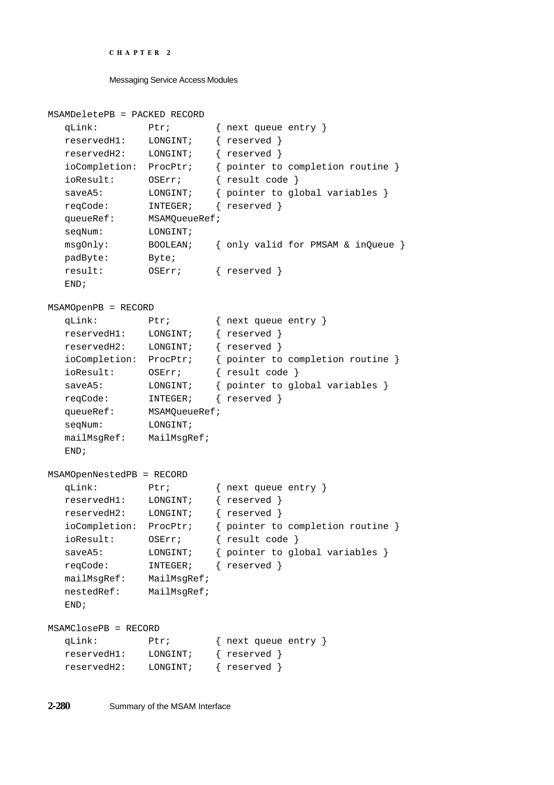```
CHAPTER 2
```

```
MSAMDeletePB = PACKED RECORD
  qLink: Ptr; { next queue entry }
  reservedH1: LONGINT; { reserved }
  reservedH2: LONGINT; { reserved }
  ioCompletion: ProcPtr; { pointer to completion routine }
  ioResult: OSErr; { result code }
  saveA5: LONGINT; { pointer to global variables }
  reqCode: INTEGER; { reserved }
  queueRef: MSAMQueueRef;
  seqNum: LONGINT;
  msgOnly: BOOLEAN; { only valid for PMSAM & inQueue }
  padByte: Byte;
  result: OSErr; { reserved }
  END;
MSAMOpenPB = RECORD
  qLink: Ptr; { next queue entry }
  reservedH1: LONGINT; { reserved }
  reservedH2: LONGINT; { reserved }
  ioCompletion: ProcPtr; { pointer to completion routine }
  ioResult: OSErr; { result code }
  saveA5: LONGINT; { pointer to global variables }
  reqCode: INTEGER; { reserved }
  queueRef: MSAMQueueRef;
  seqNum: LONGINT;
  mailMsgRef: MailMsgRef;
  END;
MSAMOpenNestedPB = RECORD
  qLink: Ptr; { next queue entry }
  reservedH1: LONGINT; { reserved }
  reservedH2: LONGINT; { reserved }
  ioCompletion: ProcPtr; { pointer to completion routine }
  ioResult: OSErr; { result code }
  saveA5: LONGINT; { pointer to global variables }
  reqCode: INTEGER; { reserved }
  mailMsgRef: MailMsgRef;
  nestedRef: MailMsgRef;
  END;
MSAMClosePB = RECORD
  qLink: Ptr; { next queue entry }
  reservedH1: LONGINT; { reserved }
  reservedH2: LONGINT; { reserved }
```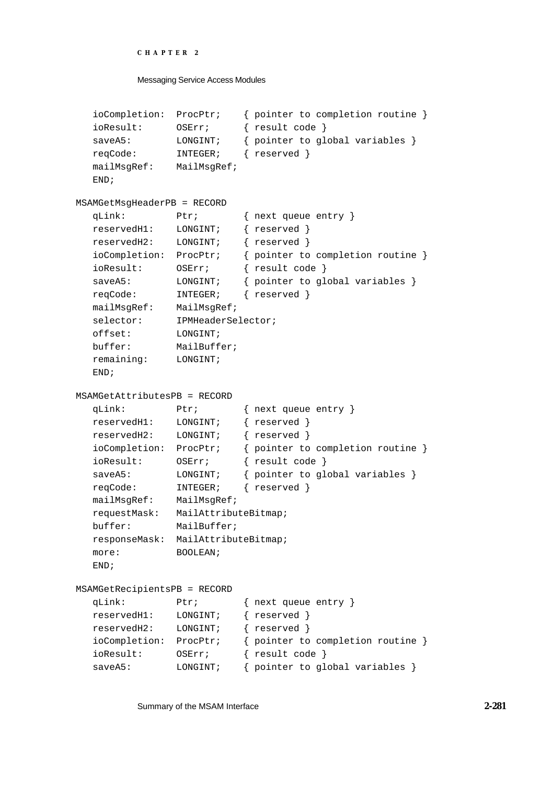```
CHAPTER 2
```

```
ioCompletion: ProcPtr; { pointer to completion routine }
  ioResult: OSErr; { result code }
  saveA5: LONGINT; { pointer to global variables }
  reqCode: INTEGER; { reserved }
  mailMsgRef: MailMsgRef;
  END;
MSAMGetMsgHeaderPB = RECORD
  qLink: Ptr; { next queue entry }
  reservedH1: LONGINT; { reserved }
  reservedH2: LONGINT; { reserved }
  ioCompletion: ProcPtr; { pointer to completion routine }
  ioResult: OSErr; { result code }
  saveA5: LONGINT; { pointer to global variables }
  reqCode: INTEGER; { reserved }
  mailMsgRef: MailMsgRef;
  selector: IPMHeaderSelector;
  offset: LONGINT;
  buffer: MailBuffer;
  remaining: LONGINT;
  END;
MSAMGetAttributesPB = RECORD
  qLink: Ptr; { next queue entry }
  reservedH1: LONGINT; { reserved }
  reservedH2: LONGINT; { reserved }
  ioCompletion: ProcPtr; { pointer to completion routine }
  ioResult: OSErr; { result code }
  saveA5: LONGINT; { pointer to global variables }
  reqCode: INTEGER; { reserved }
  mailMsgRef: MailMsgRef;
  requestMask: MailAttributeBitmap;
  buffer: MailBuffer;
  responseMask: MailAttributeBitmap;
  more: BOOLEAN;
  END;
MSAMGetRecipientsPB = RECORD
  qLink: Ptr; { next queue entry }
  reservedH1: LONGINT; { reserved }
  reservedH2: LONGINT; { reserved }
  ioCompletion: ProcPtr; { pointer to completion routine }
  ioResult: OSErr; { result code }
  saveA5: LONGINT; { pointer to global variables }
```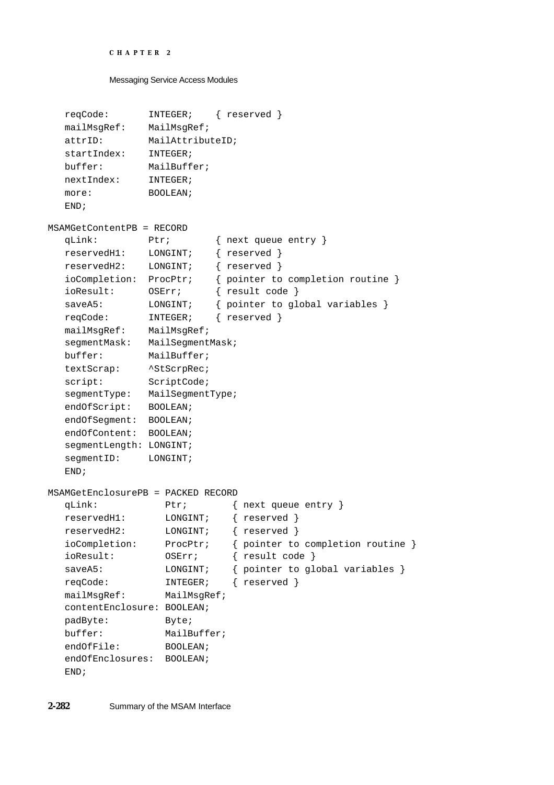```
CHAPTER 2
```

```
reqCode: INTEGER; { reserved }
  mailMsgRef: MailMsgRef;
  attrID: MailAttributeID;
  startIndex: INTEGER;
  buffer: MailBuffer;
  nextIndex: INTEGER;
  more: BOOLEAN;
  END;
MSAMGetContentPB = RECORD
  qLink: Ptr; { next queue entry }
  reservedH1: LONGINT; { reserved }
  reservedH2: LONGINT; { reserved }
  ioCompletion: ProcPtr; { pointer to completion routine }
  ioResult: OSErr; { result code }
  saveA5: LONGINT; { pointer to global variables }
  reqCode: INTEGER; { reserved }
  mailMsgRef: MailMsgRef;
  segmentMask: MailSegmentMask;
  buffer: MailBuffer;
  textScrap: ^StScrpRec;
  script: ScriptCode;
  segmentType: MailSegmentType;
  endOfScript: BOOLEAN;
  endOfSegment: BOOLEAN;
  endOfContent: BOOLEAN;
  segmentLength: LONGINT;
  segmentID: LONGINT;
  END;
MSAMGetEnclosurePB = PACKED RECORD
  qLink: Ptr; { next queue entry }
  reservedH1: LONGINT; { reserved }
  reservedH2: LONGINT; { reserved }
  ioCompletion: ProcPtr; { pointer to completion routine }
  ioResult: OSErr; { result code }
  saveA5: LONGINT; { pointer to global variables }
  reqCode: INTEGER; { reserved }
  mailMsgRef: MailMsgRef;
  contentEnclosure: BOOLEAN;
  padByte: Byte;
  buffer: MailBuffer;
  endOfFile: BOOLEAN;
  endOfEnclosures: BOOLEAN;
  END;
```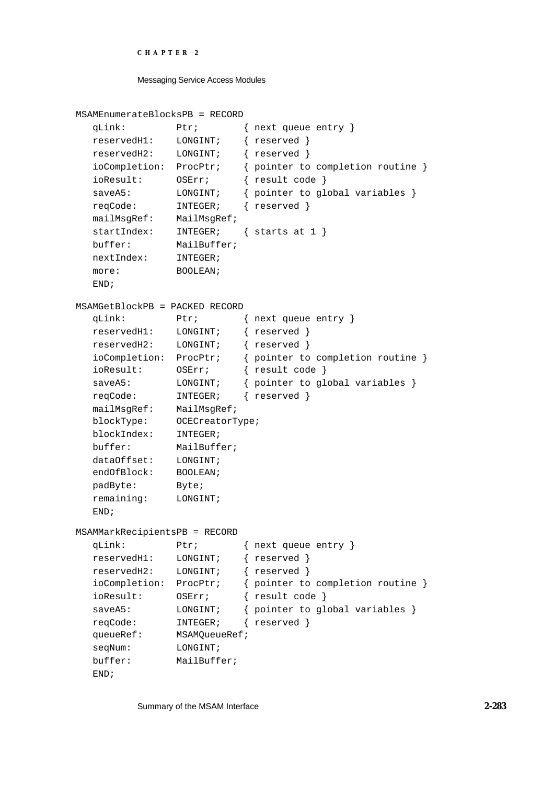```
CHAPTER 2
```

```
MSAMEnumerateBlocksPB = RECORD
  qLink: Ptr; { next queue entry }
  reservedH1: LONGINT; { reserved }
  reservedH2: LONGINT; { reserved }
  ioCompletion: ProcPtr; { pointer to completion routine }
  ioResult: OSErr; { result code }
  saveA5: LONGINT; { pointer to global variables }
  reqCode: INTEGER; { reserved }
  mailMsgRef: MailMsgRef;
  startIndex: INTEGER; { starts at 1 }
  buffer: MailBuffer;
  nextIndex: INTEGER;
  more: BOOLEAN;
  END;
MSAMGetBlockPB = PACKED RECORD
  qLink: Ptr; { next queue entry }
  reservedH1: LONGINT; { reserved }
  reservedH2: LONGINT; { reserved }
  ioCompletion: ProcPtr; { pointer to completion routine }
  ioResult: OSErr; { result code }
  saveA5: LONGINT; { pointer to global variables }
  reqCode: INTEGER; { reserved }
  mailMsgRef: MailMsgRef;
  blockType: OCECreatorType;
  blockIndex: INTEGER;
  buffer: MailBuffer;
  dataOffset: LONGINT;
  endOfBlock: BOOLEAN;
  padByte: Byte;
  remaining: LONGINT;
  END;
MSAMMarkRecipientsPB = RECORD
  qLink: Ptr; { next queue entry }
  reservedH1: LONGINT; { reserved }
  reservedH2: LONGINT; { reserved }
  ioCompletion: ProcPtr; { pointer to completion routine }
  ioResult: OSErr; { result code }
  saveA5: LONGINT; { pointer to global variables }
  reqCode: INTEGER; { reserved }
  queueRef: MSAMQueueRef;
  seqNum: LONGINT;
  buffer: MailBuffer;
  END;
```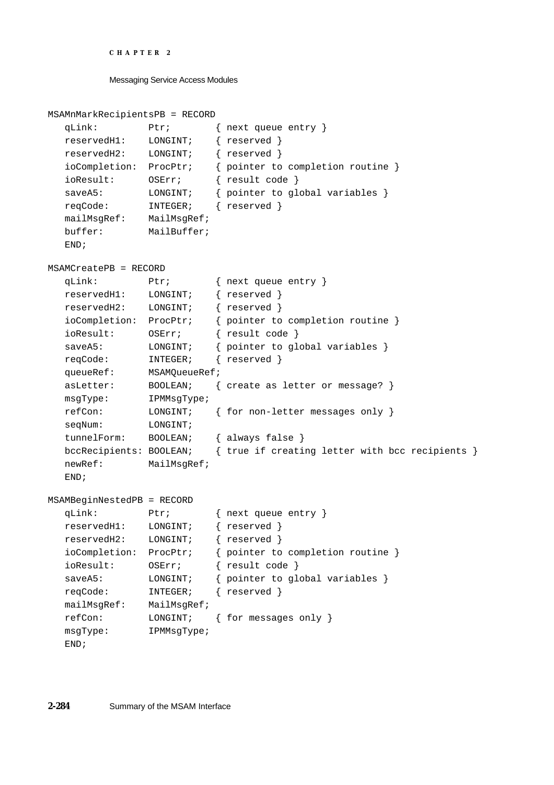```
CHAPTER 2
```

```
MSAMnMarkRecipientsPB = RECORD
  qLink: Ptr; { next queue entry }
  reservedH1: LONGINT; { reserved }
  reservedH2: LONGINT; { reserved }
  ioCompletion: ProcPtr; { pointer to completion routine }
  ioResult: OSErr; { result code }
  saveA5: LONGINT; { pointer to global variables }
  reqCode: INTEGER; { reserved }
  mailMsgRef: MailMsgRef;
  buffer: MailBuffer;
  END;
MSAMCreatePB = RECORD
  qLink: Ptr; { next queue entry }
  reservedH1: LONGINT; { reserved }
  reservedH2: LONGINT; { reserved }
  ioCompletion: ProcPtr; { pointer to completion routine }
  ioResult: OSErr; { result code }
  saveA5: LONGINT; { pointer to global variables }
  reqCode: INTEGER; { reserved }
  queueRef: MSAMQueueRef;
  asLetter: BOOLEAN; { create as letter or message? }
  msgType: IPMMsgType;
  refCon: LONGINT; { for non-letter messages only }
  seqNum: LONGINT;
  tunnelForm: BOOLEAN; { always false }
  bccRecipients: BOOLEAN; { true if creating letter with bcc recipients }
  newRef: MailMsgRef;
  END;
MSAMBeginNestedPB = RECORD
  qLink: Ptr; { next queue entry }
  reservedH1: LONGINT; { reserved }
  reservedH2: LONGINT; { reserved }
  ioCompletion: ProcPtr; { pointer to completion routine }
  ioResult: OSErr; { result code }
  saveA5: LONGINT; { pointer to global variables }
  reqCode: INTEGER; { reserved }
  mailMsgRef: MailMsgRef;
  refCon: LONGINT; { for messages only }
  msgType: IPMMsgType;
  END;
```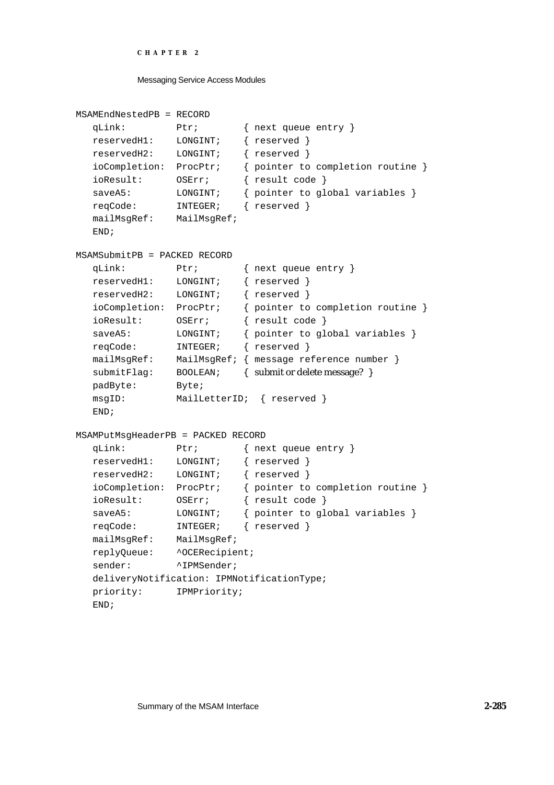```
CHAPTER 2
```

```
MSAMEndNestedPB = RECORD
  qLink: Ptr; { next queue entry }
  reservedH1: LONGINT; { reserved }
  reservedH2: LONGINT; { reserved }
  ioCompletion: ProcPtr; { pointer to completion routine }
  ioResult: OSErr; { result code }
  saveA5: LONGINT; { pointer to global variables }
  reqCode: INTEGER; { reserved }
  mailMsgRef: MailMsgRef;
  END;
MSAMSubmitPB = PACKED RECORD
  qLink: Ptr; { next queue entry }
  reservedH1: LONGINT; { reserved }
  reservedH2: LONGINT; { reserved }
  ioCompletion: ProcPtr; { pointer to completion routine }
  ioResult: OSErr; { result code }
  saveA5: LONGINT; { pointer to global variables }
  reqCode: INTEGER; { reserved }
  mailMsgRef: MailMsgRef; { message reference number }
  submitFlag: BOOLEAN; { submit or delete message? }
  padByte: Byte;
  msgID: MailLetterID; { reserved }
  END;
MSAMPutMsgHeaderPB = PACKED RECORD
  qLink: Ptr; { next queue entry }
  reservedH1: LONGINT; { reserved }
  reservedH2: LONGINT; { reserved }
  ioCompletion: ProcPtr; { pointer to completion routine }
  ioResult: OSErr; { result code }
  saveA5: LONGINT; { pointer to global variables }
  reqCode: INTEGER; { reserved }
  mailMsgRef: MailMsgRef;
  replyQueue: ^OCERecipient;
  sender: <br> <u>^IPMSender</u>;
  deliveryNotification: IPMNotificationType;
  priority: IPMPriority;
  END;
```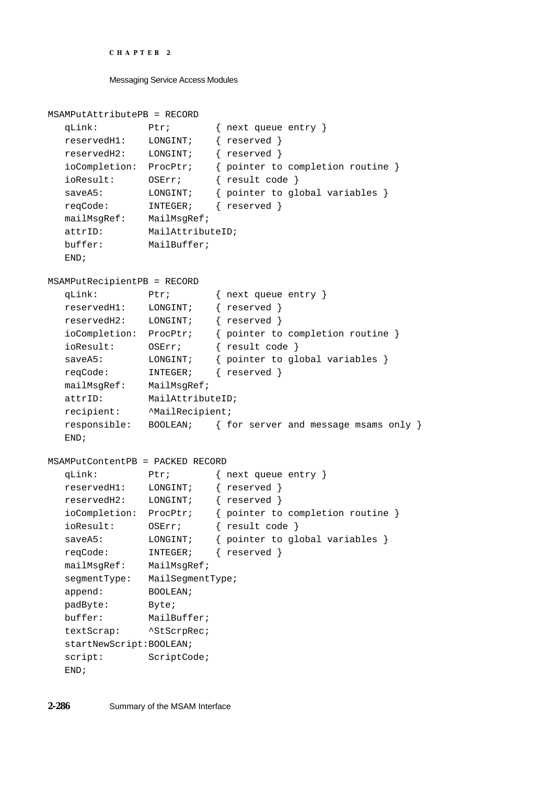```
CHAPTER 2
```

```
MSAMPutAttributePB = RECORD
  qLink: Ptr; { next queue entry }
  reservedH1: LONGINT; { reserved }
  reservedH2: LONGINT; { reserved }
  ioCompletion: ProcPtr; { pointer to completion routine }
  ioResult: OSErr; { result code }
  saveA5: LONGINT; { pointer to global variables }
  reqCode: INTEGER; { reserved }
  mailMsgRef: MailMsgRef;
  attrID: MailAttributeID;
  buffer: MailBuffer;
  END;
MSAMPutRecipientPB = RECORD
  qLink: Ptr; { next queue entry }
  reservedH1: LONGINT; { reserved }
  reservedH2: LONGINT; { reserved }
  ioCompletion: ProcPtr; { pointer to completion routine }
  ioResult: OSErr; { result code }
  saveA5: LONGINT; { pointer to global variables }
  reqCode: INTEGER; { reserved }
  mailMsgRef: MailMsgRef;
  attrID: MailAttributeID;
  recipient: ^MailRecipient;
  responsible: BOOLEAN; { for server and message msams only }
  END;
MSAMPutContentPB = PACKED RECORD
  qLink: Ptr; { next queue entry }
  reservedH1: LONGINT; { reserved }
  reservedH2: LONGINT; { reserved }
  ioCompletion: ProcPtr; { pointer to completion routine }
  ioResult: OSErr; { result code }
  saveA5: LONGINT; { pointer to global variables }
  reqCode: INTEGER; { reserved }
  mailMsgRef: MailMsgRef;
  segmentType: MailSegmentType;
  append: BOOLEAN;
  padByte: Byte;
  buffer: MailBuffer;
  textScrap: ^StScrpRec;
  startNewScript:BOOLEAN;
  script: ScriptCode;
  END;
```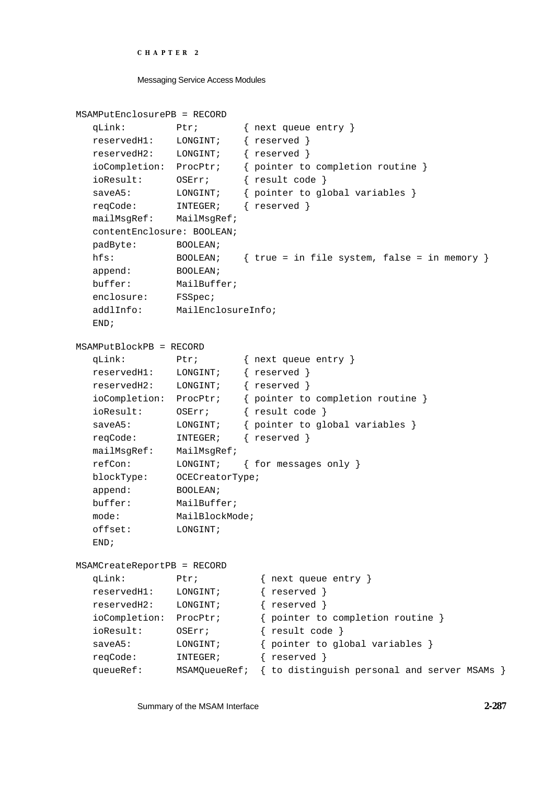```
CHAPTER 2
```

```
MSAMPutEnclosurePB = RECORD
  qLink: Ptr; { next queue entry }
  reservedH1: LONGINT; { reserved }
  reservedH2: LONGINT; { reserved }
  ioCompletion: ProcPtr; { pointer to completion routine }
  ioResult: OSErr; { result code }
  saveA5: LONGINT; { pointer to global variables }
  reqCode: INTEGER; { reserved }
  mailMsgRef: MailMsgRef;
  contentEnclosure: BOOLEAN;
  padByte: BOOLEAN;
  hfs: BOOLEAN; { true = in file system, false = in memory }
  append: BOOLEAN;
  buffer: MailBuffer;
  enclosure: FSSpec;
  addlInfo: MailEnclosureInfo;
  END;
MSAMPutBlockPB = RECORD
  qLink: Ptr; { next queue entry }
  reservedH1: LONGINT; { reserved }
  reservedH2: LONGINT; { reserved }
  ioCompletion: ProcPtr; { pointer to completion routine }
  ioResult: OSErr; { result code }
  saveA5: LONGINT; { pointer to global variables }
  reqCode: INTEGER; { reserved }
  mailMsgRef: MailMsgRef;
  refCon: LONGINT; { for messages only }
  blockType: OCECreatorType;
  append: BOOLEAN;
  buffer: MailBuffer;
  mode: MailBlockMode;
  offset: LONGINT;
  END;
MSAMCreateReportPB = RECORD
  qLink: Ptr; { next queue entry }
  reservedH1: LONGINT; { reserved }
  reservedH2: LONGINT; { reserved }
  ioCompletion: ProcPtr; { pointer to completion routine }
  ioResult: OSErr; { result code }
  saveA5: LONGINT; { pointer to global variables }
  reqCode: INTEGER; { reserved }
  queueRef: MSAMQueueRef; { to distinguish personal and server MSAMs }
```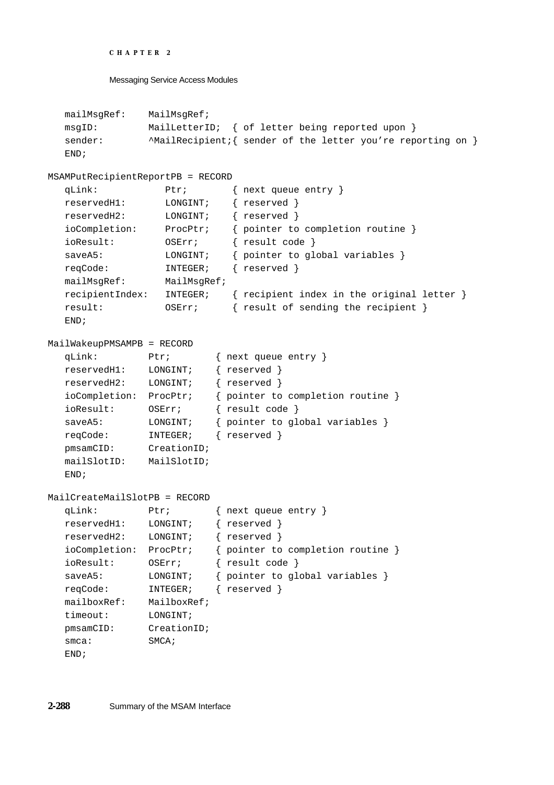```
CHAPTER 2
```

```
mailMsgRef: MailMsgRef;
  msgID: MailLetterID; { of letter being reported upon }
  sender: \wedgeMailRecipient; { sender of the letter you're reporting on }
  END;
MSAMPutRecipientReportPB = RECORD
  qLink: Ptr; { next queue entry }
  reservedH1: LONGINT; { reserved }
  reservedH2: LONGINT; { reserved }
  ioCompletion: ProcPtr; { pointer to completion routine }
  ioResult: OSErr; { result code }
  saveA5: LONGINT; { pointer to global variables }
  reqCode: INTEGER; { reserved }
  mailMsgRef: MailMsgRef;
  recipientIndex: INTEGER; { recipient index in the original letter }
  result: OSErr; { result of sending the recipient }
  END;
MailWakeupPMSAMPB = RECORD
  qLink: Ptr; { next queue entry }
  reservedH1: LONGINT; { reserved }
  reservedH2: LONGINT; { reserved }
  ioCompletion: ProcPtr; { pointer to completion routine }
  ioResult: OSErr; { result code }
  saveA5: LONGINT; { pointer to global variables }
  reqCode: INTEGER; { reserved }
  pmsamCID: CreationID;
  mailSlotID: MailSlotID;
  END;
MailCreateMailSlotPB = RECORD
  qLink: Ptr; { next queue entry }
  reservedH1: LONGINT; { reserved }
  reservedH2: LONGINT; { reserved }
  ioCompletion: ProcPtr; { pointer to completion routine }
  ioResult: OSErr; { result code }
  saveA5: LONGINT; { pointer to global variables }
  reqCode: INTEGER; { reserved }
  mailboxRef: MailboxRef;
  timeout: LONGINT;
  pmsamCID: CreationID;
  smca: SMCA;
  END;
```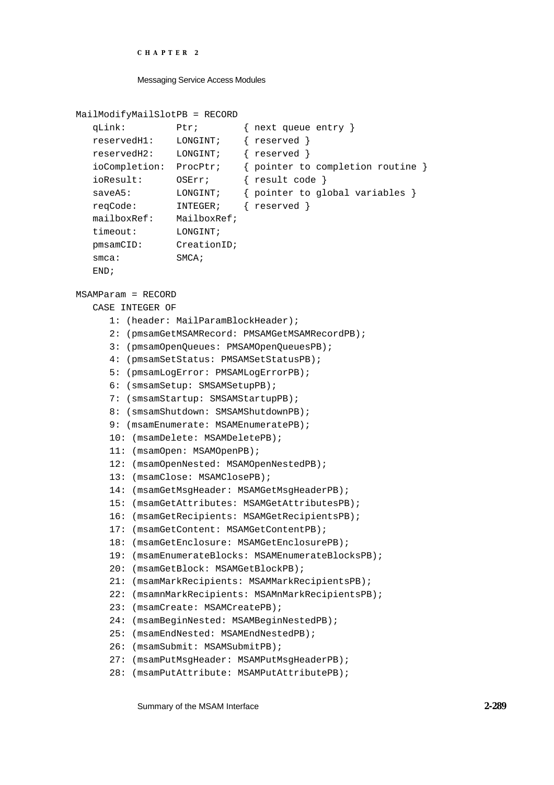#### Messaging Service Access Modules

```
MailModifyMailSlotPB = RECORD
```

```
qLink: Ptr; { next queue entry }
reservedH1: LONGINT; { reserved }
reservedH2: LONGINT; { reserved }
ioCompletion: ProcPtr; { pointer to completion routine }
ioResult: OSErr; { result code }
saveA5: LONGINT; { pointer to global variables }
reqCode: INTEGER; { reserved }
mailboxRef: MailboxRef;
timeout: LONGINT;
pmsamCID: CreationID;
smca: SMCA;
END;
```
#### MSAMParam = RECORD

CASE INTEGER OF 1: (header: MailParamBlockHeader); 2: (pmsamGetMSAMRecord: PMSAMGetMSAMRecordPB); 3: (pmsamOpenQueues: PMSAMOpenQueuesPB); 4: (pmsamSetStatus: PMSAMSetStatusPB); 5: (pmsamLogError: PMSAMLogErrorPB); 6: (smsamSetup: SMSAMSetupPB); 7: (smsamStartup: SMSAMStartupPB); 8: (smsamShutdown: SMSAMShutdownPB); 9: (msamEnumerate: MSAMEnumeratePB); 10: (msamDelete: MSAMDeletePB); 11: (msamOpen: MSAMOpenPB); 12: (msamOpenNested: MSAMOpenNestedPB); 13: (msamClose: MSAMClosePB); 14: (msamGetMsgHeader: MSAMGetMsgHeaderPB); 15: (msamGetAttributes: MSAMGetAttributesPB); 16: (msamGetRecipients: MSAMGetRecipientsPB); 17: (msamGetContent: MSAMGetContentPB); 18: (msamGetEnclosure: MSAMGetEnclosurePB); 19: (msamEnumerateBlocks: MSAMEnumerateBlocksPB); 20: (msamGetBlock: MSAMGetBlockPB); 21: (msamMarkRecipients: MSAMMarkRecipientsPB); 22: (msamnMarkRecipients: MSAMnMarkRecipientsPB); 23: (msamCreate: MSAMCreatePB); 24: (msamBeginNested: MSAMBeginNestedPB); 25: (msamEndNested: MSAMEndNestedPB); 26: (msamSubmit: MSAMSubmitPB); 27: (msamPutMsgHeader: MSAMPutMsgHeaderPB); 28: (msamPutAttribute: MSAMPutAttributePB);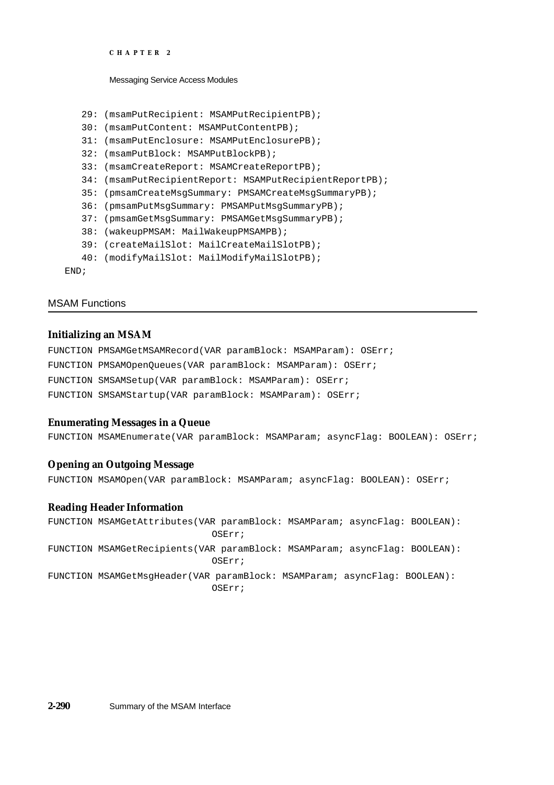```
CHAPTER 2
```

```
29: (msamPutRecipient: MSAMPutRecipientPB);
   30: (msamPutContent: MSAMPutContentPB);
   31: (msamPutEnclosure: MSAMPutEnclosurePB);
   32: (msamPutBlock: MSAMPutBlockPB);
   33: (msamCreateReport: MSAMCreateReportPB);
   34: (msamPutRecipientReport: MSAMPutRecipientReportPB);
   35: (pmsamCreateMsgSummary: PMSAMCreateMsgSummaryPB);
   36: (pmsamPutMsgSummary: PMSAMPutMsgSummaryPB);
   37: (pmsamGetMsgSummary: PMSAMGetMsgSummaryPB);
   38: (wakeupPMSAM: MailWakeupPMSAMPB);
   39: (createMailSlot: MailCreateMailSlotPB);
   40: (modifyMailSlot: MailModifyMailSlotPB);
END;
```
## MSAM Functions

## **Initializing an MSAM**

| FUNCTION PMSAMGetMSAMRecord(VAR paramBlock: MSAMParam): OSErr; |
|----------------------------------------------------------------|
| FUNCTION PMSAMOpenOueues(VAR paramBlock: MSAMParam): OSErr;    |
| FUNCTION SMSAMSetup(VAR paramBlock: MSAMParam): OSErr;         |
| FUNCTION SMSAMStartup(VAR paramBlock: MSAMParam): OSErr;       |

## **Enumerating Messages in a Queue**

FUNCTION MSAMEnumerate(VAR paramBlock: MSAMParam; asyncFlag: BOOLEAN): OSErr;

# **Opening an Outgoing Message**

FUNCTION MSAMOpen(VAR paramBlock: MSAMParam; asyncFlag: BOOLEAN): OSErr;

## **Reading Header Information**

```
FUNCTION MSAMGetAttributes(VAR paramBlock: MSAMParam; asyncFlag: BOOLEAN): 
                             OSErr;
FUNCTION MSAMGetRecipients(VAR paramBlock: MSAMParam; asyncFlag: BOOLEAN): 
                             OSErr;
FUNCTION MSAMGetMsgHeader(VAR paramBlock: MSAMParam; asyncFlag: BOOLEAN): 
                             OSErr;
```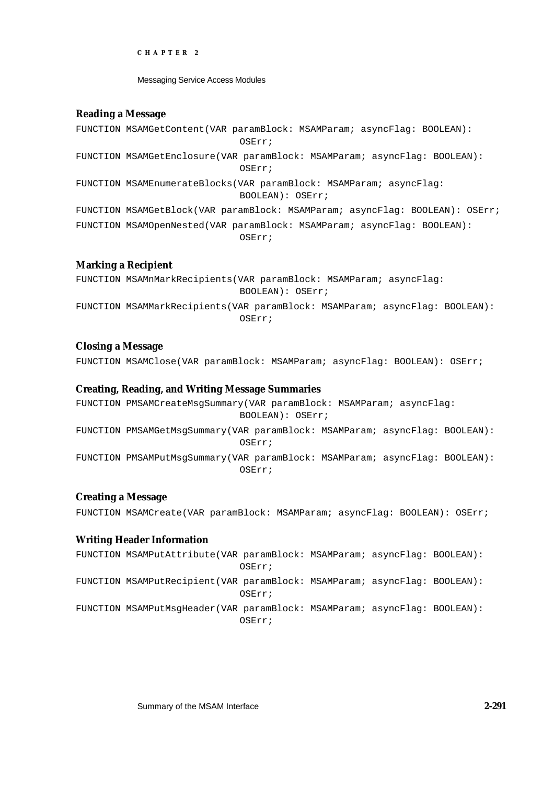Messaging Service Access Modules

# **Reading a Message**

FUNCTION MSAMGetContent(VAR paramBlock: MSAMParam; asyncFlag: BOOLEAN): OSErr; FUNCTION MSAMGetEnclosure(VAR paramBlock: MSAMParam; asyncFlag: BOOLEAN): OSErr; FUNCTION MSAMEnumerateBlocks(VAR paramBlock: MSAMParam; asyncFlag: BOOLEAN): OSErr; FUNCTION MSAMGetBlock(VAR paramBlock: MSAMParam; asyncFlag: BOOLEAN): OSErr; FUNCTION MSAMOpenNested(VAR paramBlock: MSAMParam; asyncFlag: BOOLEAN): OSErr;

# **Marking a Recipient**

FUNCTION MSAMnMarkRecipients(VAR paramBlock: MSAMParam; asyncFlag: BOOLEAN): OSErr;

FUNCTION MSAMMarkRecipients(VAR paramBlock: MSAMParam; asyncFlag: BOOLEAN): OSErr;

# **Closing a Message**

FUNCTION MSAMClose(VAR paramBlock: MSAMParam; asyncFlag: BOOLEAN): OSErr;

# **Creating, Reading, and Writing Message Summaries**

FUNCTION PMSAMCreateMsgSummary(VAR paramBlock: MSAMParam; asyncFlag: BOOLEAN): OSErr; FUNCTION PMSAMGetMsgSummary(VAR paramBlock: MSAMParam; asyncFlag: BOOLEAN): OSErr; FUNCTION PMSAMPutMsgSummary(VAR paramBlock: MSAMParam; asyncFlag: BOOLEAN): OSErr;

# **Creating a Message**

FUNCTION MSAMCreate(VAR paramBlock: MSAMParam; asyncFlag: BOOLEAN): OSErr;

# **Writing Header Information**

FUNCTION MSAMPutAttribute(VAR paramBlock: MSAMParam; asyncFlag: BOOLEAN): OSErr; FUNCTION MSAMPutRecipient(VAR paramBlock: MSAMParam; asyncFlag: BOOLEAN): OSErr; FUNCTION MSAMPutMsgHeader(VAR paramBlock: MSAMParam; asyncFlag: BOOLEAN): OSErr;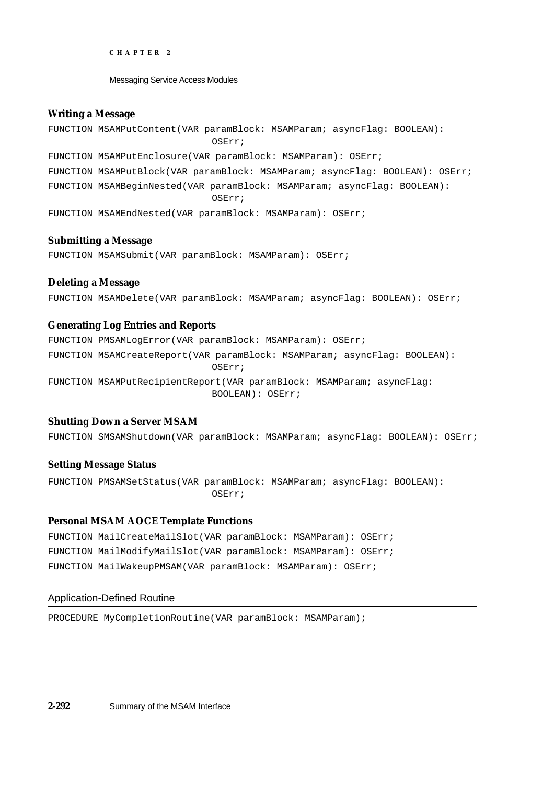Messaging Service Access Modules

# **Writing a Message**

FUNCTION MSAMPutContent(VAR paramBlock: MSAMParam; asyncFlag: BOOLEAN): OSErr; FUNCTION MSAMPutEnclosure(VAR paramBlock: MSAMParam): OSErr; FUNCTION MSAMPutBlock(VAR paramBlock: MSAMParam; asyncFlag: BOOLEAN): OSErr; FUNCTION MSAMBeginNested(VAR paramBlock: MSAMParam; asyncFlag: BOOLEAN): OSErr; FUNCTION MSAMEndNested(VAR paramBlock: MSAMParam): OSErr;

# **Submitting a Message**

FUNCTION MSAMSubmit(VAR paramBlock: MSAMParam): OSErr;

# **Deleting a Message**

FUNCTION MSAMDelete(VAR paramBlock: MSAMParam; asyncFlag: BOOLEAN): OSErr;

# **Generating Log Entries and Reports**

FUNCTION PMSAMLogError(VAR paramBlock: MSAMParam): OSErr; FUNCTION MSAMCreateReport(VAR paramBlock: MSAMParam; asyncFlag: BOOLEAN): OSErr; FUNCTION MSAMPutRecipientReport(VAR paramBlock: MSAMParam; asyncFlag: BOOLEAN): OSErr;

# **Shutting Down a Server MSAM**

FUNCTION SMSAMShutdown(VAR paramBlock: MSAMParam; asyncFlag: BOOLEAN): OSErr;

# **Setting Message Status**

FUNCTION PMSAMSetStatus(VAR paramBlock: MSAMParam; asyncFlag: BOOLEAN): OSErr;

# **Personal MSAM AOCE Template Functions**

FUNCTION MailCreateMailSlot(VAR paramBlock: MSAMParam): OSErr; FUNCTION MailModifyMailSlot(VAR paramBlock: MSAMParam): OSErr; FUNCTION MailWakeupPMSAM(VAR paramBlock: MSAMParam): OSErr;

# Application-Defined Routine

PROCEDURE MyCompletionRoutine(VAR paramBlock: MSAMParam);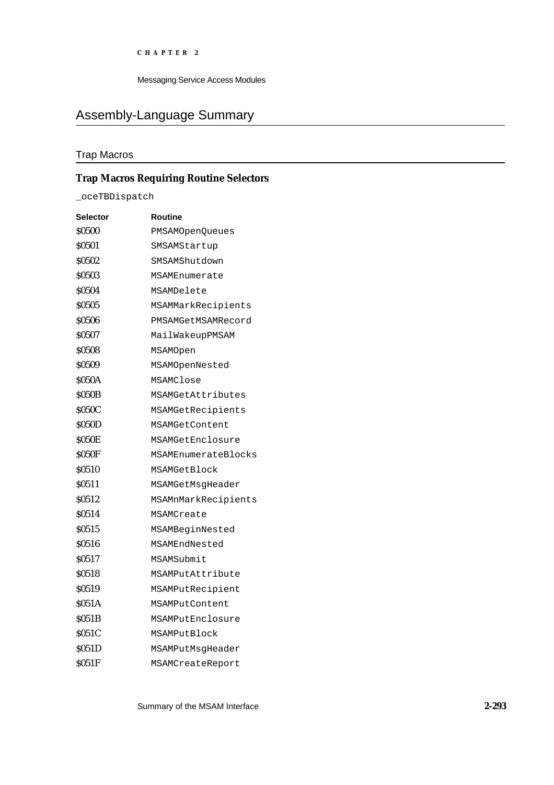Messaging Service Access Modules

# Assembly-Language Summary

# Trap Macros

# **Trap Macros Requiring Routine Selectors**

\_oceTBDispatch

| <b>Selector</b>   | Routine             |
|-------------------|---------------------|
| <b>S0500</b>      | PMSAMOpenQueues     |
| \$0501            | SMSAMStartup        |
| \$0502            | SMSAMShutdown       |
| \$0503            | MSAMEnumerate       |
| \$0504            | MSAMDelete          |
| <b>S0505</b>      | MSAMMarkRecipients  |
| \$0506            | PMSAMGetMSAMRecord  |
| \$0507            | MailWakeupPMSAM     |
| \$0508            | MSAMOpen            |
| <b>SO509</b>      | MSAMOpenNested      |
| <b>\$050A</b>     | MSAMClose           |
| <b>S050B</b>      | MSAMGetAttributes   |
| <b>S050C</b>      | MSAMGetRecipients   |
| <b>S050D</b>      | MSAMGetContent      |
| <b>S050E</b>      | MSAMGetEnclosure    |
| S050F             | MSAMEnumerateBlocks |
| <b>S0510</b>      | MSAMGetBlock        |
| \$0511            | MSAMGetMsqHeader    |
| S <sub>0512</sub> | MSAMnMarkRecipients |
| S0514             | MSAMCreate          |
| <b>S0515</b>      | MSAMBeginNested     |
| <b>S0516</b>      | MSAMEndNested       |
| \$0517            | MSAMSubmit          |
| <b>SO518</b>      | MSAMPutAttribute    |
| \$0519            | MSAMPutRecipient    |
| \$051A            | MSAMPutContent      |
| S051B             | MSAMPutEnclosure    |
| <b>S051C</b>      | MSAMPutBlock        |
| <b>S051D</b>      | MSAMPutMsgHeader    |
| <b>S051F</b>      | MSAMCreateReport    |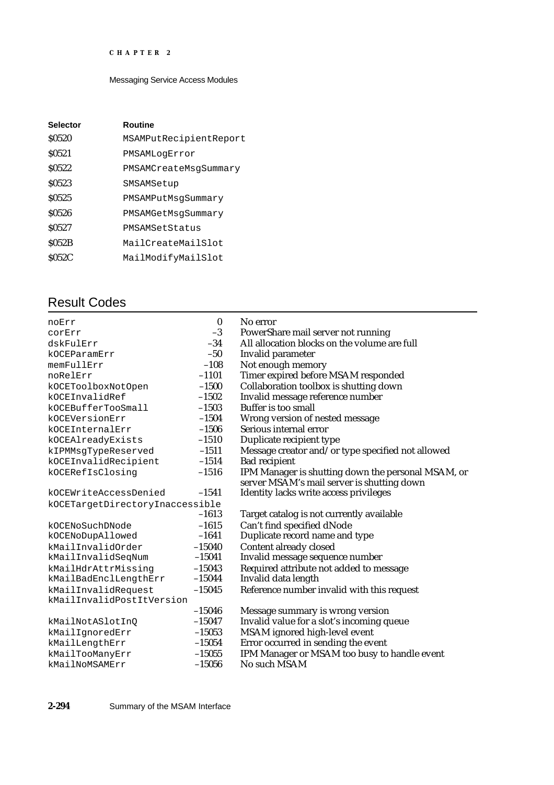# Messaging Service Access Modules

| <b>Selector</b>   | <b>Routine</b>         |
|-------------------|------------------------|
| \$0520            | MSAMPutRecipientReport |
| S <sub>0521</sub> | PMSAMLoqError          |
| S <sub>0522</sub> | PMSAMCreateMsqSummary  |
| \$0523            | SMSAMSetup             |
| \$0525            | PMSAMPutMsqSummary     |
| \$0526            | PMSAMGetMsqSummary     |
| S <sub>0527</sub> | PMSAMSetStatus         |
| <b>S052B</b>      | MailCreateMailSlot     |
| <b>S052C</b>      | MailModifyMailSlot     |

# Result Codes

| noErr                           | $\bf{0}$ | No error                                           |
|---------------------------------|----------|----------------------------------------------------|
| corErr                          | $-3$     | PowerShare mail server not running                 |
| dskFulErr                       | $-34$    | All allocation blocks on the volume are full       |
| kOCEParamErr                    | $-50$    | Invalid parameter                                  |
| memFullErr                      | $-108$   | Not enough memory                                  |
| noRelErr                        | $-1101$  | Timer expired before MSAM responded                |
| kOCEToolboxNotOpen              | $-1500$  | Collaboration toolbox is shutting down             |
| kOCEInvalidRef                  | $-1502$  | Invalid message reference number                   |
| kOCEBufferTooSmall              | $-1503$  | <b>Buffer is too small</b>                         |
| kOCEVersionErr                  | $-1504$  | Wrong version of nested message                    |
| kOCEInternalErr                 | $-1506$  | Serious internal error                             |
| kOCEAlreadyExists               | $-1510$  | Duplicate recipient type                           |
| kIPMMsgTypeReserved             | $-1511$  | Message creator and/or type specified not allowed  |
| kOCEInvalidRecipient            | $-1514$  | <b>Bad recipient</b>                               |
| kOCERefIsClosing                | $-1516$  | IPM Manager is shutting down the personal MSAM, or |
|                                 |          | server MSAM's mail server is shutting down         |
| kOCEWriteAccessDenied           | $-1541$  | Identity lacks write access privileges             |
| kOCETargetDirectoryInaccessible |          |                                                    |
|                                 | $-1613$  | Target catalog is not currently available          |
| kOCENoSuchDNode                 | $-1615$  | Can't find specified dNode                         |
| kOCENoDupAllowed                | $-1641$  | Duplicate record name and type                     |
| kMailInvalidOrder               | $-15040$ | Content already closed                             |
| kMailInvalidSeqNum              | $-15041$ | Invalid message sequence number                    |
| kMailHdrAttrMissing             | $-15043$ | Required attribute not added to message            |
| kMailBadEnclLengthErr           | $-15044$ | Invalid data length                                |
| kMailInvalidRequest             | $-15045$ | Reference number invalid with this request         |
| kMailInvalidPostItVersion       |          |                                                    |
|                                 | $-15046$ | Message summary is wrong version                   |
| kMailNotASlotInQ                | $-15047$ | Invalid value for a slot's incoming queue          |
| kMailIgnoredErr                 | $-15053$ | MSAM ignored high-level event                      |
| kMailLengthErr                  | $-15054$ | Error occurred in sending the event                |
| kMailTooManyErr                 | $-15055$ | IPM Manager or MSAM too busy to handle event       |
| kMailNoMSAMErr                  | $-15056$ | No such MSAM                                       |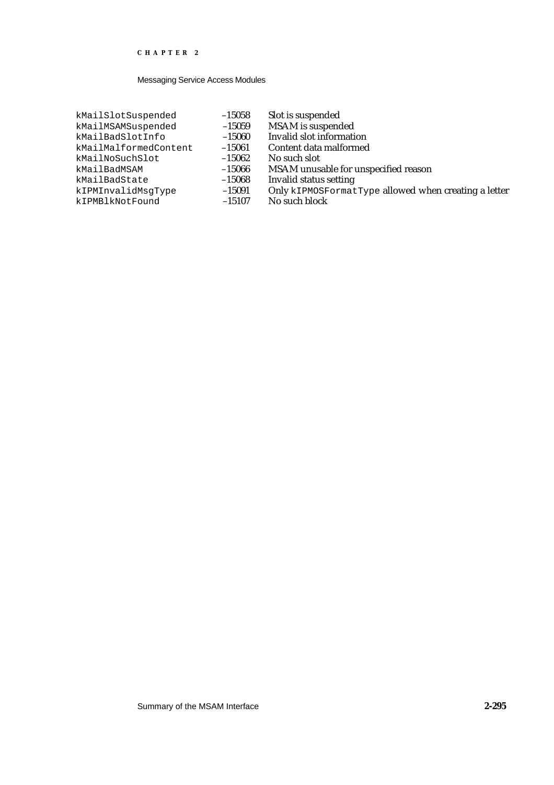| kMailSlotSuspended    | $-15058$ | Slot is suspended        |
|-----------------------|----------|--------------------------|
| kMailMSAMSuspended    | $-15059$ | MSAM is suspended        |
| kMailBadSlotInfo      | $-15060$ | Invalid slot informat    |
| kMailMalformedContent | $-15061$ | Content data malforn     |
| kMailNoSuchSlot       | $-15062$ | No such slot             |
| kMailBadMSAM          | $-15066$ | <b>MSAM</b> unusable for |
| kMailBadState         | $-15068$ | Invalid status setting   |
| kIPMInvalidMsqType    | $-15091$ | Only kIPMOSFormat        |
| kIPMBlkNotFound       | $-15107$ | No such block            |
|                       |          |                          |

- 
- 
- 
- $-15060$  Invalid slot information<br> $-15061$  Content data malformed  $-15061$  Content data malformed<br>-15062 No such slot
- $-15062$  No such slot<br> $-15066$  MSAM unus
- -15066 MSAM unusable for unspecified reason<br>-15068 Invalid status setting
- -15068 Invalid status setting<br>-15091 Only kIPMOSFormat
- 
- 
- $-15091$  Only kIPMOSFormatType allowed when creating a letter<br>-15107 No such block
	- No such block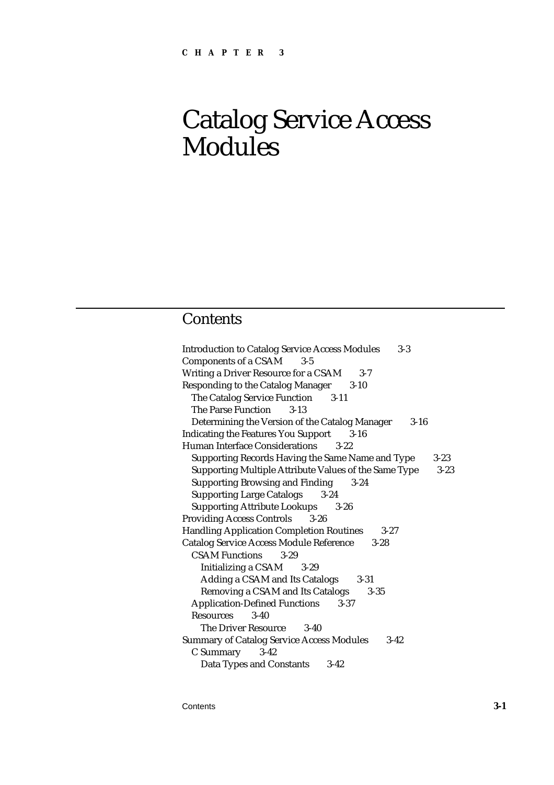# Catalog Service Access Modules

# **Contents**

| <b>Introduction to Catalog Service Access Modules</b><br>$3-3$    |
|-------------------------------------------------------------------|
| <b>Components of a CSAM</b><br>$3 - 5$                            |
| Writing a Driver Resource for a CSAM<br>$3 - 7$                   |
| <b>Responding to the Catalog Manager</b><br>$3 - 10$              |
| The Catalog Service Function 3-11                                 |
| <b>The Parse Function</b><br>$3 - 13$                             |
| Determining the Version of the Catalog Manager<br>$3 - 16$        |
| <b>Indicating the Features You Support</b><br>$3 - 16$            |
| <b>Human Interface Considerations</b><br>$3-22$                   |
| Supporting Records Having the Same Name and Type<br>$3 - 23$      |
| Supporting Multiple Attribute Values of the Same Type<br>$3 - 23$ |
| <b>Supporting Browsing and Finding</b><br>$3 - 24$                |
| <b>Supporting Large Catalogs</b><br>$3 - 24$                      |
| <b>Supporting Attribute Lookups</b><br>$3 - 26$                   |
| <b>Providing Access Controls</b><br>$3 - 26$                      |
| <b>Handling Application Completion Routines</b><br>$3 - 27$       |
| <b>Catalog Service Access Module Reference</b><br>$3 - 28$        |
| <b>CSAM Functions</b><br>$3 - 29$                                 |
| <b>Initializing a CSAM</b><br>$3-29$                              |
| Adding a CSAM and Its Catalogs<br>$3 - 31$                        |
| Removing a CSAM and Its Catalogs<br>$3 - 35$                      |
| <b>Application-Defined Functions</b><br>$3 - 37$                  |
| <b>Resources</b><br>$3-40$                                        |
| The Driver Resource<br>$3-40$                                     |
| <b>Summary of Catalog Service Access Modules</b><br>$3 - 42$      |
| C Summary 3-42                                                    |
| <b>Data Types and Constants</b><br>$3 - 42$                       |

Contents **3-1**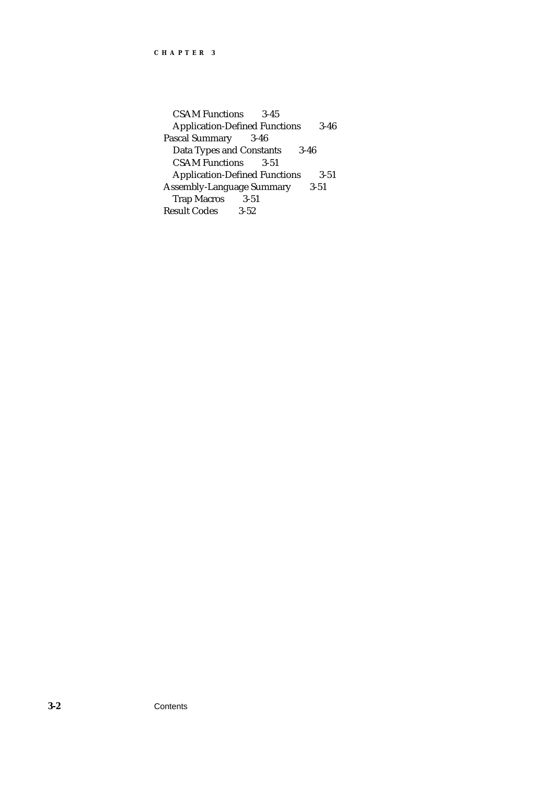CSAM Functions 3-45 Application-Defined Functions 3-46 Pascal Summary 3-46 Data Types and Constants 3-46 CSAM Functions 3-51 Application-Defined Functions 3-51 Assembly-Language Summary 3-51 Trap Macros 3-51 Result Codes 3-52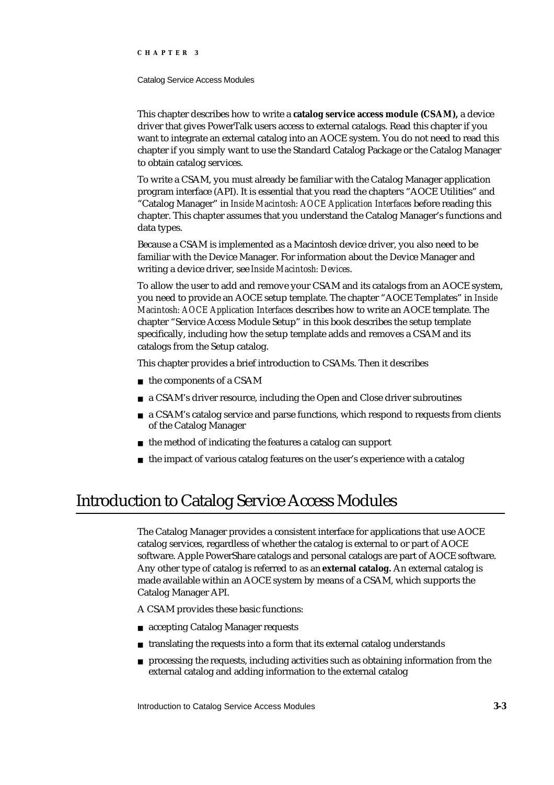#### Catalog Service Access Modules

This chapter describes how to write a **catalog service access module (CSAM),** a device driver that gives PowerTalk users access to external catalogs. Read this chapter if you want to integrate an external catalog into an AOCE system. You do not need to read this chapter if you simply want to use the Standard Catalog Package or the Catalog Manager to obtain catalog services.

To write a CSAM, you must already be familiar with the Catalog Manager application program interface (API). It is essential that you read the chapters "AOCE Utilities" and "Catalog Manager" in *Inside Macintosh: AOCE Application Interfaces* before reading this chapter. This chapter assumes that you understand the Catalog Manager's functions and data types.

Because a CSAM is implemented as a Macintosh device driver, you also need to be familiar with the Device Manager. For information about the Device Manager and writing a device driver, see *Inside Macintosh: Devices*.

To allow the user to add and remove your CSAM and its catalogs from an AOCE system, you need to provide an AOCE setup template. The chapter "AOCE Templates" in *Inside Macintosh: AOCE Application Interfaces* describes how to write an AOCE template. The chapter "Service Access Module Setup" in this book describes the setup template specifically, including how the setup template adds and removes a CSAM and its catalogs from the Setup catalog.

This chapter provides a brief introduction to CSAMs. Then it describes

- n the components of a CSAM
- a CSAM's driver resource, including the Open and Close driver subroutines
- a CSAM's catalog service and parse functions, which respond to requests from clients of the Catalog Manager
- n the method of indicating the features a catalog can support
- the impact of various catalog features on the user's experience with a catalog

# Introduction to Catalog Service Access Modules

The Catalog Manager provides a consistent interface for applications that use AOCE catalog services, regardless of whether the catalog is external to or part of AOCE software. Apple PowerShare catalogs and personal catalogs are part of AOCE software. Any other type of catalog is referred to as an **external catalog.** An external catalog is made available within an AOCE system by means of a CSAM, which supports the Catalog Manager API.

A CSAM provides these basic functions:

- accepting Catalog Manager requests
- n translating the requests into a form that its external catalog understands
- processing the requests, including activities such as obtaining information from the external catalog and adding information to the external catalog

Introduction to Catalog Service Access Modules **3-3**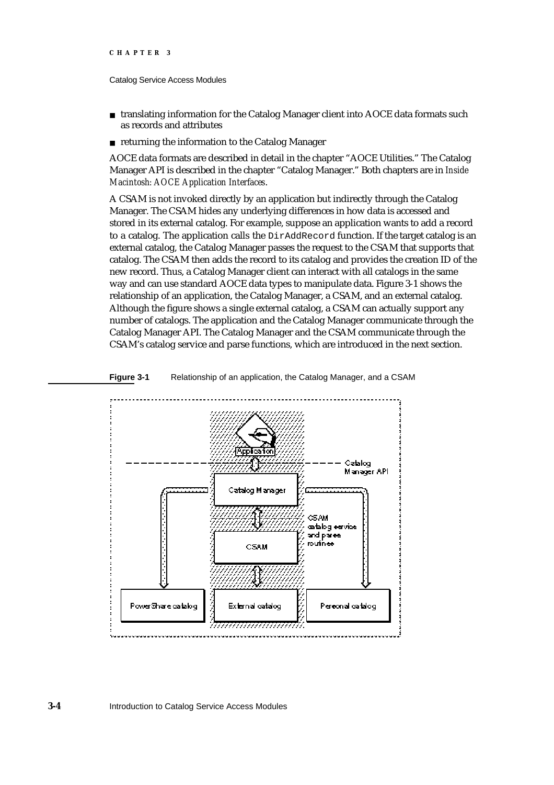#### Catalog Service Access Modules

- n translating information for the Catalog Manager client into AOCE data formats such as records and attributes
- returning the information to the Catalog Manager

AOCE data formats are described in detail in the chapter "AOCE Utilities." The Catalog Manager API is described in the chapter "Catalog Manager." Both chapters are in *Inside Macintosh: AOCE Application Interfaces*.

A CSAM is not invoked directly by an application but indirectly through the Catalog Manager. The CSAM hides any underlying differences in how data is accessed and stored in its external catalog. For example, suppose an application wants to add a record to a catalog. The application calls the DirAddRecord function. If the target catalog is an external catalog, the Catalog Manager passes the request to the CSAM that supports that catalog. The CSAM then adds the record to its catalog and provides the creation ID of the new record. Thus, a Catalog Manager client can interact with all catalogs in the same way and can use standard AOCE data types to manipulate data. Figure 3-1 shows the relationship of an application, the Catalog Manager, a CSAM, and an external catalog. Although the figure shows a single external catalog, a CSAM can actually support any number of catalogs. The application and the Catalog Manager communicate through the Catalog Manager API. The Catalog Manager and the CSAM communicate through the CSAM's catalog service and parse functions, which are introduced in the next section.



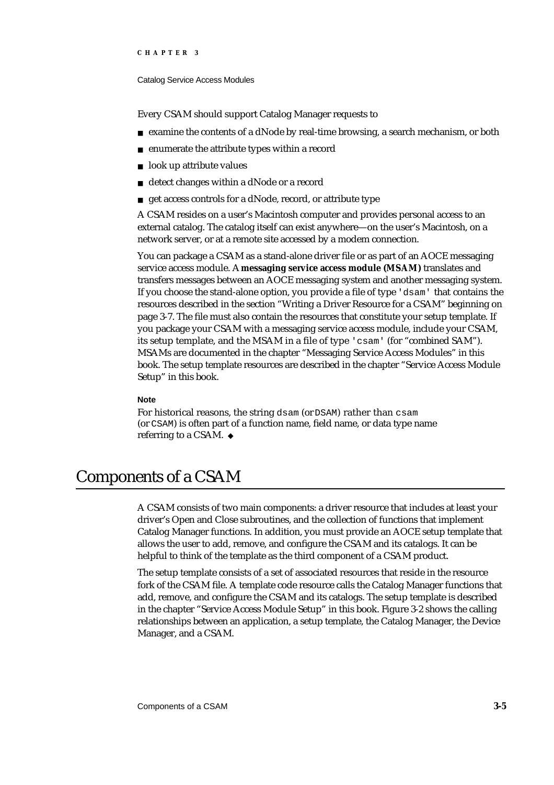#### Catalog Service Access Modules

Every CSAM should support Catalog Manager requests to

- examine the contents of a dNode by real-time browsing, a search mechanism, or both
- enumerate the attribute types within a record  $\overline{a}$
- look up attribute values  $\overline{p}$
- detect changes within a dNode or a record  $\overline{p}$
- get access controls for a dNode, record, or attribute type  $\overline{a}$

A CSAM resides on a user's Macintosh computer and provides personal access to an external catalog. The catalog itself can exist anywhere—on the user's Macintosh, on a network server, or at a remote site accessed by a modem connection.

You can package a CSAM as a stand-alone driver file or as part of an AOCE messaging service access module. A **messaging service access module (MSAM)** translates and transfers messages between an AOCE messaging system and another messaging system. If you choose the stand-alone option, you provide a file of type 'dsam' that contains the resources described in the section "Writing a Driver Resource for a CSAM" beginning on page 3-7. The file must also contain the resources that constitute your setup template. If you package your CSAM with a messaging service access module, include your CSAM, its setup template, and the MSAM in a file of type 'csam' (for "combined SAM"). MSAMs are documented in the chapter "Messaging Service Access Modules" in this book. The setup template resources are described in the chapter "Service Access Module Setup" in this book.

#### **Note**

For historical reasons, the string dsam (or DSAM) rather than csam (or CSAM) is often part of a function name, field name, or data type name referring to a CSAM.

# Components of a CSAM

A CSAM consists of two main components: a driver resource that includes at least your driver's Open and Close subroutines, and the collection of functions that implement Catalog Manager functions. In addition, you must provide an AOCE setup template that allows the user to add, remove, and configure the CSAM and its catalogs. It can be helpful to think of the template as the third component of a CSAM product.

The setup template consists of a set of associated resources that reside in the resource fork of the CSAM file. A template code resource calls the Catalog Manager functions that add, remove, and configure the CSAM and its catalogs. The setup template is described in the chapter "Service Access Module Setup" in this book. Figure 3-2 shows the calling relationships between an application, a setup template, the Catalog Manager, the Device Manager, and a CSAM.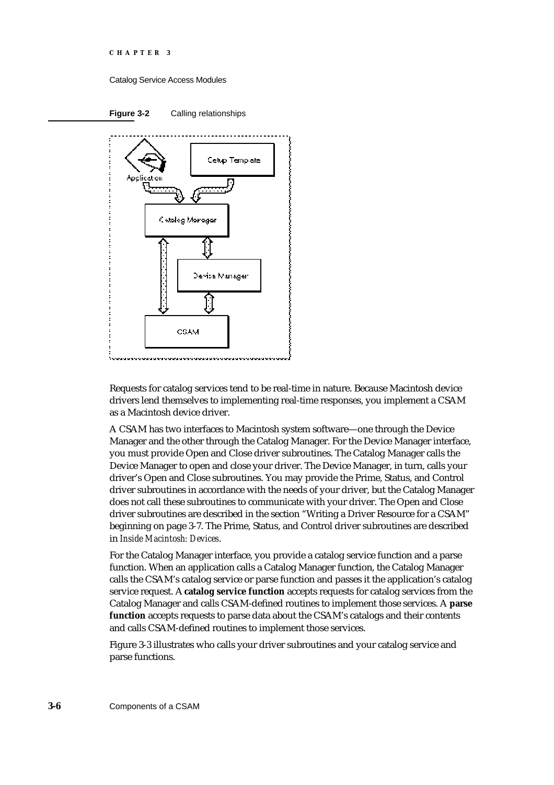Catalog Service Access Modules





Requests for catalog services tend to be real-time in nature. Because Macintosh device drivers lend themselves to implementing real-time responses, you implement a CSAM as a Macintosh device driver.

A CSAM has two interfaces to Macintosh system software—one through the Device Manager and the other through the Catalog Manager. For the Device Manager interface, you must provide Open and Close driver subroutines. The Catalog Manager calls the Device Manager to open and close your driver. The Device Manager, in turn, calls your driver's Open and Close subroutines. You may provide the Prime, Status, and Control driver subroutines in accordance with the needs of your driver, but the Catalog Manager does not call these subroutines to communicate with your driver. The Open and Close driver subroutines are described in the section "Writing a Driver Resource for a CSAM" beginning on page 3-7. The Prime, Status, and Control driver subroutines are described in *Inside Macintosh: Devices*.

For the Catalog Manager interface, you provide a catalog service function and a parse function. When an application calls a Catalog Manager function, the Catalog Manager calls the CSAM's catalog service or parse function and passes it the application's catalog service request. A **catalog service function** accepts requests for catalog services from the Catalog Manager and calls CSAM-defined routines to implement those services. A **parse function** accepts requests to parse data about the CSAM's catalogs and their contents and calls CSAM-defined routines to implement those services.

Figure 3-3 illustrates who calls your driver subroutines and your catalog service and parse functions.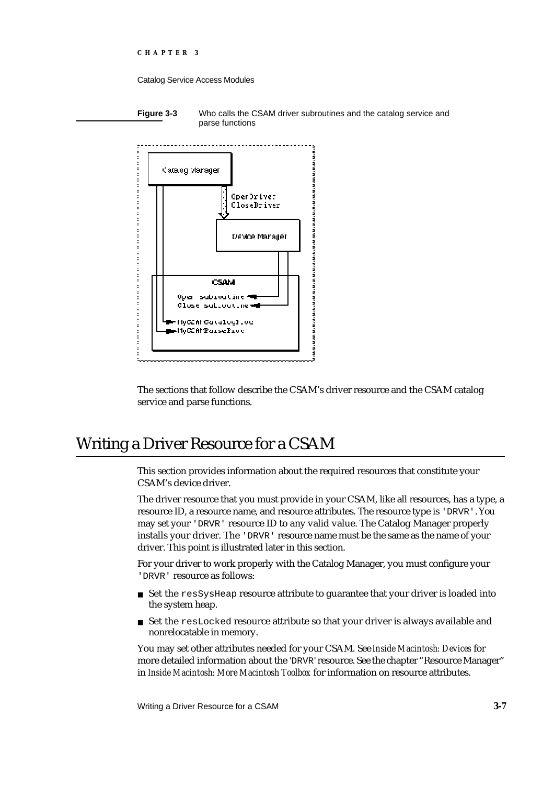Catalog Service Access Modules

**Figure 3-3** Who calls the CSAM driver subroutines and the catalog service and parse functions



The sections that follow describe the CSAM's driver resource and the CSAM catalog service and parse functions.

# Writing a Driver Resource for a CSAM

This section provides information about the required resources that constitute your CSAM's device driver.

The driver resource that you must provide in your CSAM, like all resources, has a type, a resource ID, a resource name, and resource attributes. The resource type is 'DRVR'. You may set your 'DRVR' resource ID to any valid value. The Catalog Manager properly installs your driver. The 'DRVR' resource name must be the same as the name of your driver. This point is illustrated later in this section.

For your driver to work properly with the Catalog Manager, you must configure your 'DRVR' resource as follows:

- n Set the resSysHeap resource attribute to guarantee that your driver is loaded into the system heap.
- Set the resLocked resource attribute so that your driver is always available and nonrelocatable in memory.

You may set other attributes needed for your CSAM. See *Inside Macintosh: Devices* for more detailed information about the 'DRVR' resource. See the chapter "Resource Manager" in *Inside Macintosh: More Macintosh Toolbox* for information on resource attributes.

Writing a Driver Resource for a CSAM **3-7**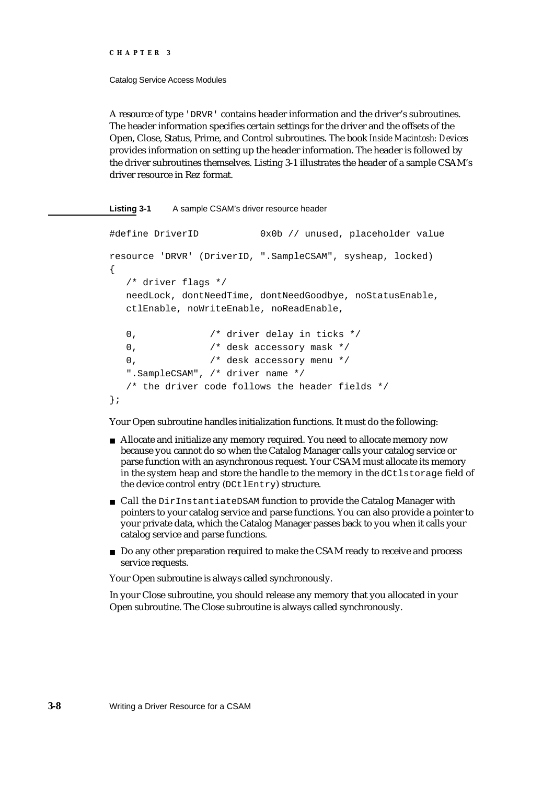#### Catalog Service Access Modules

A resource of type 'DRVR' contains header information and the driver's subroutines. The header information specifies certain settings for the driver and the offsets of the Open, Close, Status, Prime, and Control subroutines. The book *Inside Macintosh: Devices* provides information on setting up the header information. The header is followed by the driver subroutines themselves. Listing 3-1 illustrates the header of a sample CSAM's driver resource in Rez format.

#### **Listing 3-1** A sample CSAM's driver resource header

```
#define DriverID 0x0b // unused, placeholder value 
resource 'DRVR' (DriverID, ".SampleCSAM", sysheap, locked) 
{
  /* driver flags */
  needLock, dontNeedTime, dontNeedGoodbye, noStatusEnable,
  ctlEnable, noWriteEnable, noReadEnable,
  0, /* driver delay in ticks */
  0, /* desk accessory mask */
  0, /* desk accessory menu */".SampleCSAM", /* driver name */
  /* the driver code follows the header fields */
};
```
Your Open subroutine handles initialization functions. It must do the following:

- Allocate and initialize any memory required. You need to allocate memory now because you cannot do so when the Catalog Manager calls your catalog service or parse function with an asynchronous request. Your CSAM must allocate its memory in the system heap and store the handle to the memory in the dCtlstorage field of the device control entry (DCtlEntry) structure.
- n Call the DirInstantiateDSAM function to provide the Catalog Manager with pointers to your catalog service and parse functions. You can also provide a pointer to your private data, which the Catalog Manager passes back to you when it calls your catalog service and parse functions.
- Do any other preparation required to make the CSAM ready to receive and process service requests.

Your Open subroutine is always called synchronously.

In your Close subroutine, you should release any memory that you allocated in your Open subroutine. The Close subroutine is always called synchronously.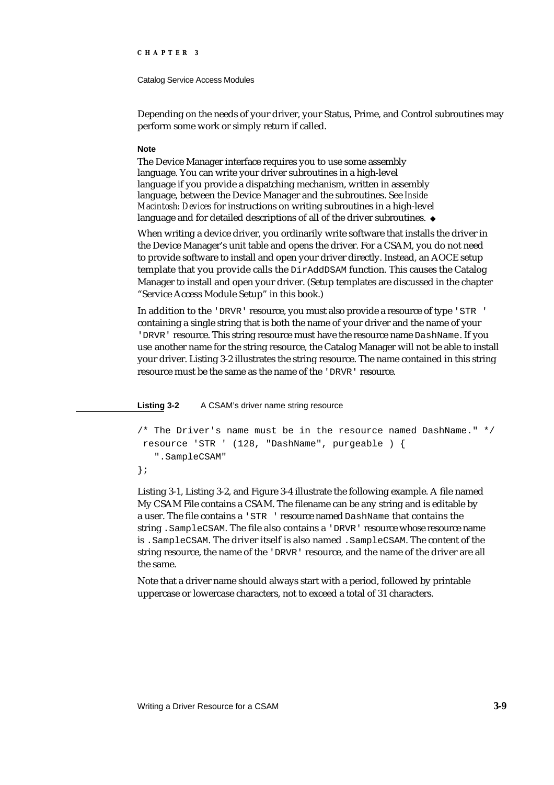#### Catalog Service Access Modules

Depending on the needs of your driver, your Status, Prime, and Control subroutines may perform some work or simply return if called.

#### **Note**

The Device Manager interface requires you to use some assembly language. You can write your driver subroutines in a high-level language if you provide a dispatching mechanism, written in assembly language, between the Device Manager and the subroutines. See *Inside Macintosh: Devices* for instructions on writing subroutines in a high-level language and for detailed descriptions of all of the driver subroutines. u

When writing a device driver, you ordinarily write software that installs the driver in the Device Manager's unit table and opens the driver. For a CSAM, you do not need to provide software to install and open your driver directly. Instead, an AOCE setup template that you provide calls the DirAddDSAM function. This causes the Catalog Manager to install and open your driver. (Setup templates are discussed in the chapter "Service Access Module Setup" in this book.)

In addition to the 'DRVR' resource, you must also provide a resource of type 'STR ' containing a single string that is both the name of your driver and the name of your 'DRVR' resource. This string resource must have the resource name DashName. If you use another name for the string resource, the Catalog Manager will not be able to install your driver. Listing 3-2 illustrates the string resource. The name contained in this string resource must be the same as the name of the 'DRVR' resource.

**Listing 3-2** A CSAM's driver name string resource

```
/* The Driver's name must be in the resource named DashName." */
 resource 'STR ' (128, "DashName", purgeable ) {
   ".SampleCSAM"
};
```
Listing 3-1, Listing 3-2, and Figure 3-4 illustrate the following example. A file named My CSAM File contains a CSAM. The filename can be any string and is editable by a user. The file contains a 'STR ' resource named DashName that contains the string .SampleCSAM. The file also contains a 'DRVR' resource whose resource name is .SampleCSAM. The driver itself is also named .SampleCSAM. The content of the string resource, the name of the 'DRVR' resource, and the name of the driver are all the same.

Note that a driver name should always start with a period, followed by printable uppercase or lowercase characters, not to exceed a total of 31 characters.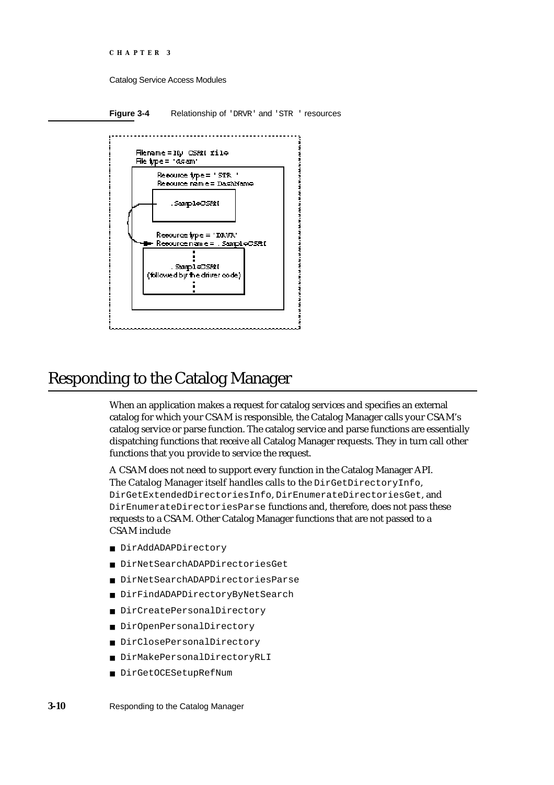```
CHAPTER 3
```
Catalog Service Access Modules

**Figure 3-4** Relationship of 'DRVR' and 'STR' resources



# Responding to the Catalog Manager

When an application makes a request for catalog services and specifies an external catalog for which your CSAM is responsible, the Catalog Manager calls your CSAM's catalog service or parse function. The catalog service and parse functions are essentially dispatching functions that receive all Catalog Manager requests. They in turn call other functions that you provide to service the request.

A CSAM does not need to support every function in the Catalog Manager API. The Catalog Manager itself handles calls to the DirGetDirectoryInfo, DirGetExtendedDirectoriesInfo, DirEnumerateDirectoriesGet, and DirEnumerateDirectoriesParse functions and, therefore, does not pass these requests to a CSAM. Other Catalog Manager functions that are not passed to a CSAM include

- DirAddADAPDirectory
- DirNetSearchADAPDirectoriesGet  $\overline{\mathsf{n}}$
- DirNetSearchADAPDirectoriesParse  $\overline{a}$
- DirFindADAPDirectoryByNetSearch  $\overline{a}$
- DirCreatePersonalDirectory n.
- DirOpenPersonalDirectory  $\mathsf{n}$
- DirClosePersonalDirectory
- DirMakePersonalDirectoryRLI n.
- DirGetOCESetupRefNum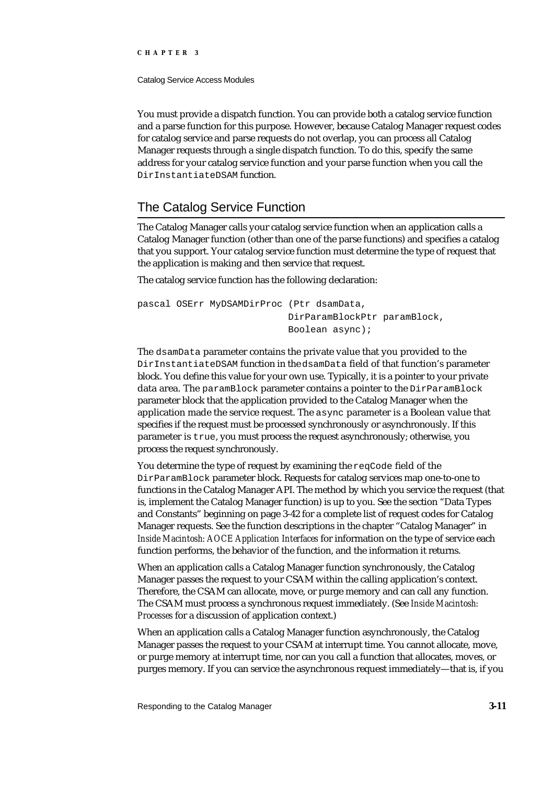Catalog Service Access Modules

You must provide a dispatch function. You can provide both a catalog service function and a parse function for this purpose. However, because Catalog Manager request codes for catalog service and parse requests do not overlap, you can process all Catalog Manager requests through a single dispatch function. To do this, specify the same address for your catalog service function and your parse function when you call the DirInstantiateDSAM function.

# The Catalog Service Function

The Catalog Manager calls your catalog service function when an application calls a Catalog Manager function (other than one of the parse functions) and specifies a catalog that you support. Your catalog service function must determine the type of request that the application is making and then service that request.

The catalog service function has the following declaration:

```
pascal OSErr MyDSAMDirProc (Ptr dsamData,
                           DirParamBlockPtr paramBlock,
                           Boolean async);
```
The dsamData parameter contains the private value that you provided to the DirInstantiateDSAM function in the dsamData field of that function's parameter block. You define this value for your own use. Typically, it is a pointer to your private data area. The paramBlock parameter contains a pointer to the DirParamBlock parameter block that the application provided to the Catalog Manager when the application made the service request. The async parameter is a Boolean value that specifies if the request must be processed synchronously or asynchronously. If this parameter is true, you must process the request asynchronously; otherwise, you process the request synchronously.

You determine the type of request by examining the reqCode field of the DirParamBlock parameter block. Requests for catalog services map one-to-one to functions in the Catalog Manager API. The method by which you service the request (that is, implement the Catalog Manager function) is up to you. See the section "Data Types and Constants" beginning on page 3-42 for a complete list of request codes for Catalog Manager requests. See the function descriptions in the chapter "Catalog Manager" in *Inside Macintosh: AOCE Application Interfaces* for information on the type of service each function performs, the behavior of the function, and the information it returns.

When an application calls a Catalog Manager function synchronously, the Catalog Manager passes the request to your CSAM within the calling application's context. Therefore, the CSAM can allocate, move, or purge memory and can call any function. The CSAM must process a synchronous request immediately. (See *Inside Macintosh: Processes* for a discussion of application context.)

When an application calls a Catalog Manager function asynchronously, the Catalog Manager passes the request to your CSAM at interrupt time. You cannot allocate, move, or purge memory at interrupt time, nor can you call a function that allocates, moves, or purges memory. If you can service the asynchronous request immediately—that is, if you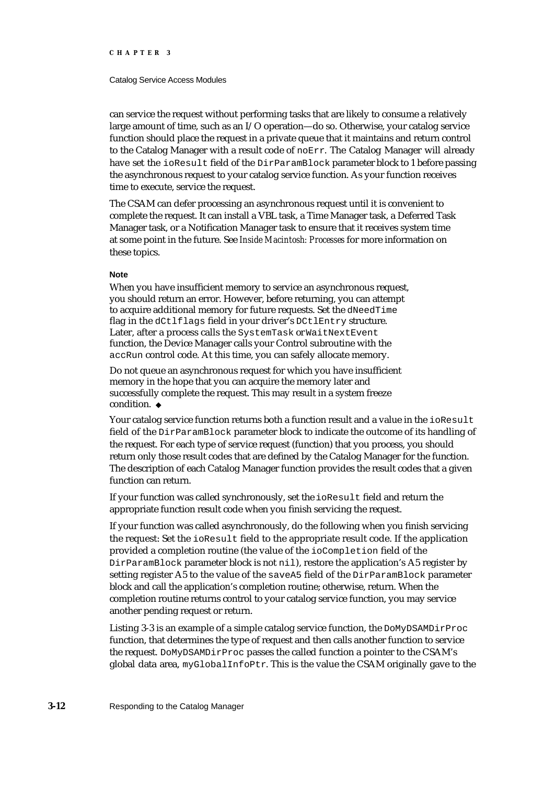#### Catalog Service Access Modules

can service the request without performing tasks that are likely to consume a relatively large amount of time, such as an I/O operation—do so. Otherwise, your catalog service function should place the request in a private queue that it maintains and return control to the Catalog Manager with a result code of noErr. The Catalog Manager will already have set the ioResult field of the DirParamBlock parameter block to 1 before passing the asynchronous request to your catalog service function. As your function receives time to execute, service the request.

The CSAM can defer processing an asynchronous request until it is convenient to complete the request. It can install a VBL task, a Time Manager task, a Deferred Task Manager task, or a Notification Manager task to ensure that it receives system time at some point in the future. See *Inside Macintosh: Processes* for more information on these topics.

#### **Note**

When you have insufficient memory to service an asynchronous request, you should return an error. However, before returning, you can attempt to acquire additional memory for future requests. Set the dNeedTime flag in the dCtlflags field in your driver's DCtlEntry structure. Later, after a process calls the SystemTask or WaitNextEvent function, the Device Manager calls your Control subroutine with the accRun control code. At this time, you can safely allocate memory.

Do not queue an asynchronous request for which you have insufficient memory in the hope that you can acquire the memory later and successfully complete the request. This may result in a system freeze condition. u

Your catalog service function returns both a function result and a value in the ioResult field of the DirParamBlock parameter block to indicate the outcome of its handling of the request. For each type of service request (function) that you process, you should return only those result codes that are defined by the Catalog Manager for the function. The description of each Catalog Manager function provides the result codes that a given function can return.

If your function was called synchronously, set the ioResult field and return the appropriate function result code when you finish servicing the request.

If your function was called asynchronously, do the following when you finish servicing the request: Set the ioResult field to the appropriate result code. If the application provided a completion routine (the value of the ioCompletion field of the DirParamBlock parameter block is not nil), restore the application's A5 register by setting register A5 to the value of the saveA5 field of the DirParamBlock parameter block and call the application's completion routine; otherwise, return. When the completion routine returns control to your catalog service function, you may service another pending request or return.

Listing 3-3 is an example of a simple catalog service function, the DoMyDSAMDirProc function, that determines the type of request and then calls another function to service the request. DoMyDSAMDirProc passes the called function a pointer to the CSAM's global data area,  $myGlobalInfoPetr$ . This is the value the CSAM originally gave to the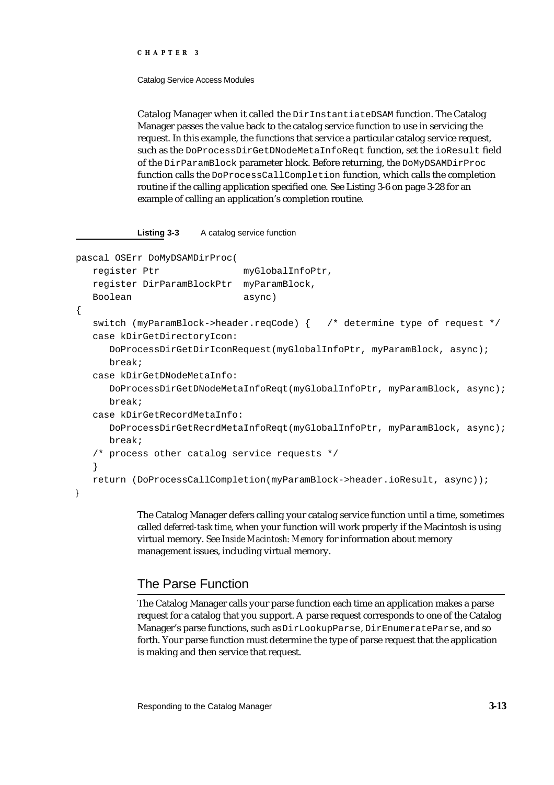#### Catalog Service Access Modules

Catalog Manager when it called the DirInstantiateDSAM function. The Catalog Manager passes the value back to the catalog service function to use in servicing the request. In this example, the functions that service a particular catalog service request, such as the DoProcessDirGetDNodeMetaInfoReqt function, set the ioResult field of the DirParamBlock parameter block. Before returning, the DoMyDSAMDirProc function calls the DoProcessCallCompletion function, which calls the completion routine if the calling application specified one. See Listing 3-6 on page 3-28 for an example of calling an application's completion routine.

### **Listing 3-3** A catalog service function

```
pascal OSErr DoMyDSAMDirProc(
   register Ptr myGlobalInfoPtr,
   register DirParamBlockPtr myParamBlock,
   Boolean async)
{
   switch (myParamBlock->header.reqCode) { /* determine type of request */
   case kDirGetDirectoryIcon:
     DoProcessDirGetDirIconRequest(myGlobalInfoPtr, myParamBlock, async);
     break;
   case kDirGetDNodeMetaInfo:
     DoProcessDirGetDNodeMetaInfoReqt(myGlobalInfoPtr, myParamBlock, async);
     break;
   case kDirGetRecordMetaInfo:
     DoProcessDirGetRecrdMetaInfoReqt(myGlobalInfoPtr, myParamBlock, async);
     break;
   /* process other catalog service requests */
   }
   return (DoProcessCallCompletion(myParamBlock->header.ioResult, async));
}
```
The Catalog Manager defers calling your catalog service function until a time, sometimes called *deferred-task time*, when your function will work properly if the Macintosh is using virtual memory. See *Inside Macintosh: Memory* for information about memory management issues, including virtual memory.

# The Parse Function

The Catalog Manager calls your parse function each time an application makes a parse request for a catalog that you support. A parse request corresponds to one of the Catalog Manager's parse functions, such as DirLookupParse, DirEnumerateParse, and so forth. Your parse function must determine the type of parse request that the application is making and then service that request.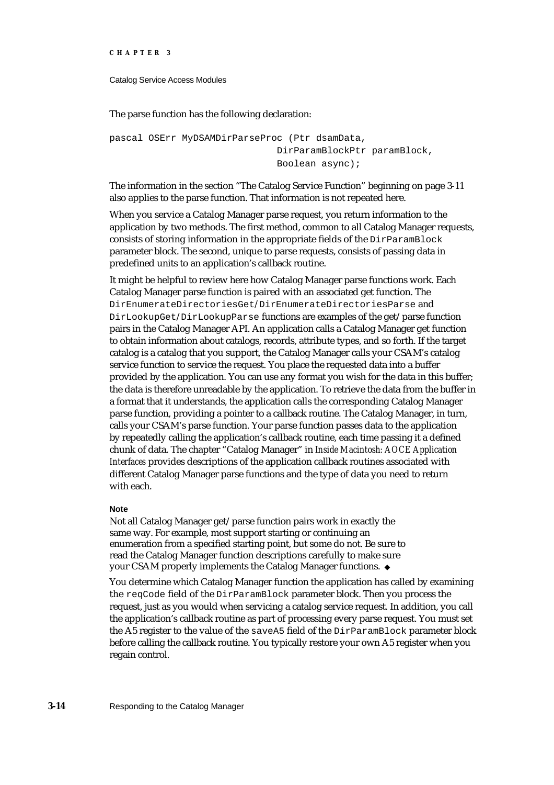```
CHAPTER 3
```
Catalog Service Access Modules

The parse function has the following declaration:

```
pascal OSErr MyDSAMDirParseProc (Ptr dsamData,
                              DirParamBlockPtr paramBlock,
                              Boolean async);
```
The information in the section "The Catalog Service Function" beginning on page 3-11 also applies to the parse function. That information is not repeated here.

When you service a Catalog Manager parse request, you return information to the application by two methods. The first method, common to all Catalog Manager requests, consists of storing information in the appropriate fields of the DirParamBlock parameter block. The second, unique to parse requests, consists of passing data in predefined units to an application's callback routine.

It might be helpful to review here how Catalog Manager parse functions work. Each Catalog Manager parse function is paired with an associated get function. The DirEnumerateDirectoriesGet/DirEnumerateDirectoriesParse and DirLookupGet/DirLookupParse functions are examples of the get/parse function pairs in the Catalog Manager API. An application calls a Catalog Manager get function to obtain information about catalogs, records, attribute types, and so forth. If the target catalog is a catalog that you support, the Catalog Manager calls your CSAM's catalog service function to service the request. You place the requested data into a buffer provided by the application. You can use any format you wish for the data in this buffer; the data is therefore unreadable by the application. To retrieve the data from the buffer in a format that it understands, the application calls the corresponding Catalog Manager parse function, providing a pointer to a callback routine. The Catalog Manager, in turn, calls your CSAM's parse function. Your parse function passes data to the application by repeatedly calling the application's callback routine, each time passing it a defined chunk of data. The chapter "Catalog Manager" in *Inside Macintosh: AOCE Application Interfaces* provides descriptions of the application callback routines associated with different Catalog Manager parse functions and the type of data you need to return with each.

### **Note**

Not all Catalog Manager get/parse function pairs work in exactly the same way. For example, most support starting or continuing an enumeration from a specified starting point, but some do not. Be sure to read the Catalog Manager function descriptions carefully to make sure your CSAM properly implements the Catalog Manager functions.

You determine which Catalog Manager function the application has called by examining the reqCode field of the DirParamBlock parameter block. Then you process the request, just as you would when servicing a catalog service request. In addition, you call the application's callback routine as part of processing every parse request. You must set the A5 register to the value of the saveA5 field of the DirParamBlock parameter block before calling the callback routine. You typically restore your own A5 register when you regain control.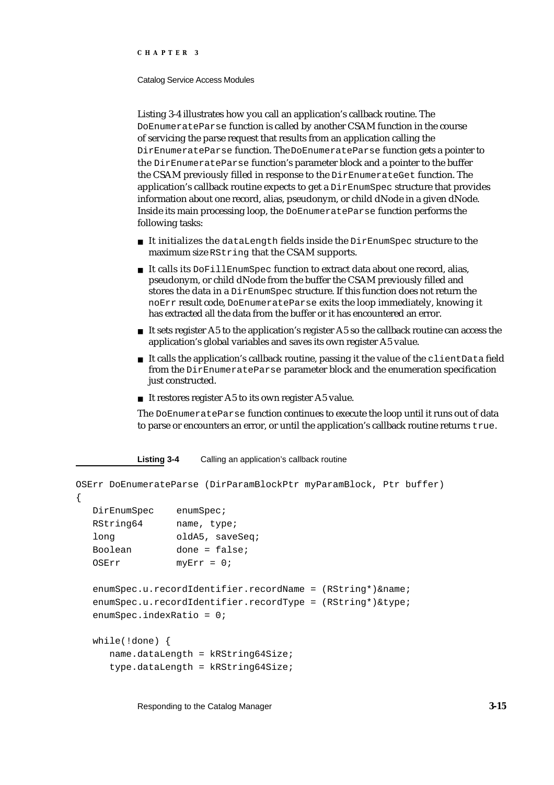#### Catalog Service Access Modules

Listing 3-4 illustrates how you call an application's callback routine. The DoEnumerateParse function is called by another CSAM function in the course of servicing the parse request that results from an application calling the DirEnumerateParse function. The DoEnumerateParse function gets a pointer to the DirEnumerateParse function's parameter block and a pointer to the buffer the CSAM previously filled in response to the DirEnumerateGet function. The application's callback routine expects to get a DirEnumSpec structure that provides information about one record, alias, pseudonym, or child dNode in a given dNode. Inside its main processing loop, the DoEnumerateParse function performs the following tasks:

- $n$  It initializes the dataLength fields inside the DirEnumSpec structure to the maximum size RString that the CSAM supports.
- It calls its DoFillEnumSpec function to extract data about one record, alias, pseudonym, or child dNode from the buffer the CSAM previously filled and stores the data in a DirEnumSpec structure. If this function does not return the noErr result code, DoEnumerateParse exits the loop immediately, knowing it has extracted all the data from the buffer or it has encountered an error.
- $n$  It sets register A5 to the application's register A5 so the callback routine can access the application's global variables and saves its own register A5 value.
- $n$  It calls the application's callback routine, passing it the value of the client Data field from the DirEnumerateParse parameter block and the enumeration specification just constructed.
- n It restores register A5 to its own register A5 value.

The DoEnumerateParse function continues to execute the loop until it runs out of data to parse or encounters an error, or until the application's callback routine returns true.

**Listing 3-4** Calling an application's callback routine

```
OSErr DoEnumerateParse (DirParamBlockPtr myParamBlock, Ptr buffer)
{
  DirEnumSpec enumSpec;
  RString64 name, type; 
  long oldA5, saveSeq;
  Boolean done = false;
  OSErr myErr = 0;
  enumSpec.u.recordIdentifier.recordName = (RString*)&name;
  enumSpec.u.recordIdentifier.recordType = (RString*)&type;
  enumSpec.indexRatio = 0;
  while(!done) {
     name.dataLength = kRString64Size;
     type.dataLength = kRString64Size;
```
Responding to the Catalog Manager **3-15**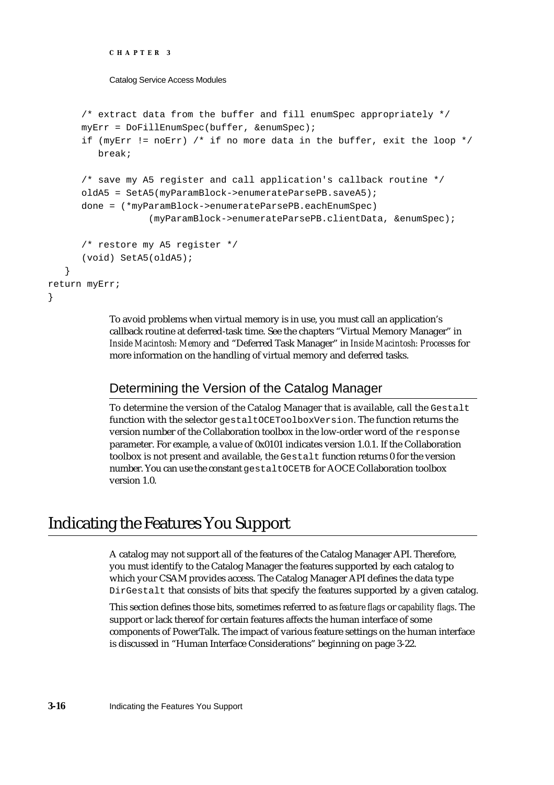```
CHAPTER 3
```
}

Catalog Service Access Modules

```
/* extract data from the buffer and fill enumSpec appropriately */myErr = DoFillEnumSpec(buffer, &enumSpec);
     if (myErr != norm) /* if no more data in the buffer, exit the loop */
        break;
     /* save my A5 register and call application's callback routine */
     oldA5 = SetA5(myParamBlock->enumerateParsePB.saveA5);
     done = (*myParamBlock->enumerateParsePB.eachEnumSpec) 
                  (myParamBlock->enumerateParsePB.clientData, &enumSpec);
      /* restore my A5 register */
      (void) SetA5(oldA5);
  }
return myErr;
```
To avoid problems when virtual memory is in use, you must call an application's callback routine at deferred-task time. See the chapters "Virtual Memory Manager" in *Inside Macintosh: Memory* and "Deferred Task Manager" in *Inside Macintosh: Processes* for more information on the handling of virtual memory and deferred tasks.

# Determining the Version of the Catalog Manager

To determine the version of the Catalog Manager that is available, call the Gestalt function with the selector gestaltOCEToolboxVersion. The function returns the version number of the Collaboration toolbox in the low-order word of the response parameter. For example, a value of 0x0101 indicates version 1.0.1. If the Collaboration toolbox is not present and available, the Gestalt function returns 0 for the version number. You can use the constant gestalt OCETB for AOCE Collaboration toolbox version 1.0.

# Indicating the Features You Support

A catalog may not support all of the features of the Catalog Manager API. Therefore, you must identify to the Catalog Manager the features supported by each catalog to which your CSAM provides access. The Catalog Manager API defines the data type DirGestalt that consists of bits that specify the features supported by a given catalog.

This section defines those bits, sometimes referred to as *feature flags* or *capability flags*. The support or lack thereof for certain features affects the human interface of some components of PowerTalk. The impact of various feature settings on the human interface is discussed in "Human Interface Considerations" beginning on page 3-22.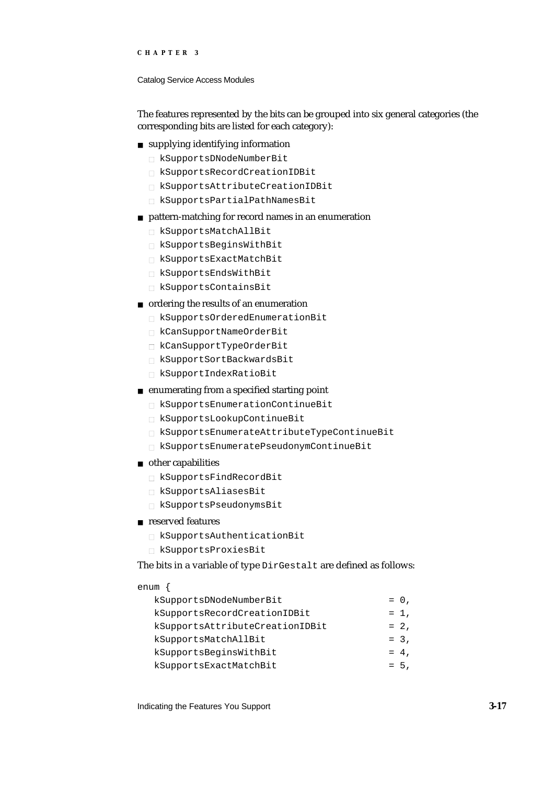#### Catalog Service Access Modules

The features represented by the bits can be grouped into six general categories (the corresponding bits are listed for each category):

### supplying identifying information

- kSupportsDNodeNumberBit
- kSupportsRecordCreationIDBit
- kSupportsAttributeCreationIDBit
- kSupportsPartialPathNamesBit

#### pattern-matching for record names in an enumeration

- kSupportsMatchAllBit
- kSupportsBeginsWithBit
- kSupportsExactMatchBit
- kSupportsEndsWithBit
- kSupportsContainsBit

### ordering the results of an enumeration

- kSupportsOrderedEnumerationBit
- kCanSupportNameOrderBit
- kCanSupportTypeOrderBit
- kSupportSortBackwardsBit
- kSupportIndexRatioBit
- enumerating from a specified starting point
	- kSupportsEnumerationContinueBit
	- kSupportsLookupContinueBit
	- kSupportsEnumerateAttributeTypeContinueBit
	- kSupportsEnumeratePseudonymContinueBit
- n other capabilities
	- kSupportsFindRecordBit
	- kSupportsAliasesBit
	- kSupportsPseudonymsBit

## reserved features

- kSupportsAuthenticationBit
- kSupportsProxiesBit

The bits in a variable of type DirGestalt are defined as follows:

## enum {

| kSupportsDNodeNumberBit         | $= 0$ , |
|---------------------------------|---------|
| kSupportsRecordCreationIDBit    | $= 1$ , |
| kSupportsAttributeCreationIDBit | $= 2,$  |
| kSupportsMatchAllBit            | $= 3.$  |
| kSupportsBeginsWithBit          | $= 4.$  |
| kSupportsExactMatchBit          | $= 5.$  |
|                                 |         |

Indicating the Features You Support **3-17**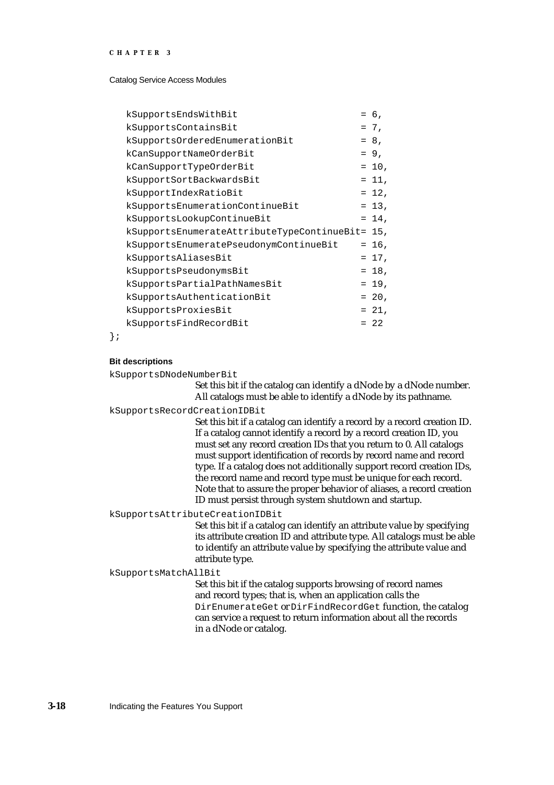Catalog Service Access Modules

| kSupportsEndsWithBit                            | $= 6.$   |
|-------------------------------------------------|----------|
| kSupportsContainsBit                            | $= 7.$   |
| kSupportsOrderedEnumerationBit                  | $= 8.$   |
| kCanSupportNameOrderBit                         | $= 9.$   |
| kCanSupportTypeOrderBit                         | $= 10$ , |
| kSupportSortBackwardsBit                        | $= 11.$  |
| kSupportIndexRatioBit                           | $= 12$ , |
| kSupportsEnumerationContinueBit                 | $= 13$ , |
| kSupportsLookupContinueBit                      | $= 14.$  |
| kSupportsEnumerateAttributeTypeContinueBit= 15, |          |
| kSupportsEnumeratePseudonymContinueBit          | $= 16$ , |
| kSupportsAliasesBit                             | $= 17$ , |
| kSupportsPseudonymsBit                          | $= 18$ , |
| kSupportsPartialPathNamesBit                    | $= 19.$  |
| kSupportsAuthenticationBit                      | $= 20$ , |
| kSupportsProxiesBit                             | $= 21$ , |
| kSupportsFindRecordBit                          | $= 22$   |
|                                                 |          |

};

#### **Bit descriptions**

kSupportsDNodeNumberBit

Set this bit if the catalog can identify a dNode by a dNode number. All catalogs must be able to identify a dNode by its pathname.

kSupportsRecordCreationIDBit

Set this bit if a catalog can identify a record by a record creation ID. If a catalog cannot identify a record by a record creation ID, you must set any record creation IDs that you return to 0. All catalogs must support identification of records by record name and record type. If a catalog does not additionally support record creation IDs, the record name and record type must be unique for each record. Note that to assure the proper behavior of aliases, a record creation ID must persist through system shutdown and startup.

kSupportsAttributeCreationIDBit

Set this bit if a catalog can identify an attribute value by specifying its attribute creation ID and attribute type. All catalogs must be able to identify an attribute value by specifying the attribute value and attribute type.

kSupportsMatchAllBit

Set this bit if the catalog supports browsing of record names and record types; that is, when an application calls the DirEnumerateGet or DirFindRecordGet function, the catalog can service a request to return information about all the records in a dNode or catalog.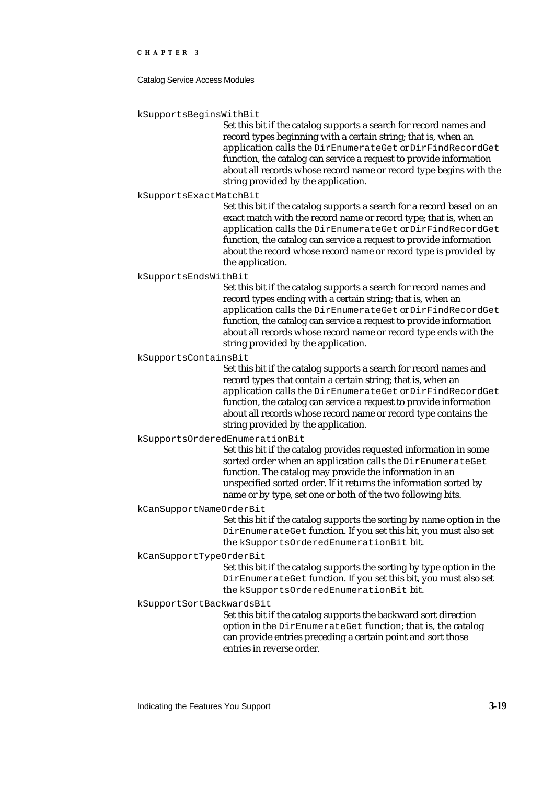Catalog Service Access Modules

kSupportsBeginsWithBit

Set this bit if the catalog supports a search for record names and record types beginning with a certain string; that is, when an application calls the DirEnumerateGet or DirFindRecordGet function, the catalog can service a request to provide information about all records whose record name or record type begins with the string provided by the application.

#### kSupportsExactMatchBit

Set this bit if the catalog supports a search for a record based on an exact match with the record name or record type; that is, when an application calls the DirEnumerateGet or DirFindRecordGet function, the catalog can service a request to provide information about the record whose record name or record type is provided by the application.

kSupportsEndsWithBit

Set this bit if the catalog supports a search for record names and record types ending with a certain string; that is, when an application calls the DirEnumerateGet or DirFindRecordGet function, the catalog can service a request to provide information about all records whose record name or record type ends with the string provided by the application.

kSupportsContainsBit

Set this bit if the catalog supports a search for record names and record types that contain a certain string; that is, when an application calls the DirEnumerateGet or DirFindRecordGet function, the catalog can service a request to provide information about all records whose record name or record type contains the string provided by the application.

#### kSupportsOrderedEnumerationBit

Set this bit if the catalog provides requested information in some sorted order when an application calls the DirEnumerateGet function. The catalog may provide the information in an unspecified sorted order. If it returns the information sorted by name or by type, set one or both of the two following bits.

#### kCanSupportNameOrderBit

Set this bit if the catalog supports the sorting by name option in the DirEnumerateGet function. If you set this bit, you must also set the kSupportsOrderedEnumerationBit bit.

#### kCanSupportTypeOrderBit

Set this bit if the catalog supports the sorting by type option in the DirEnumerateGet function. If you set this bit, you must also set the kSupportsOrderedEnumerationBit bit.

#### kSupportSortBackwardsBit

Set this bit if the catalog supports the backward sort direction option in the DirEnumerateGet function; that is, the catalog can provide entries preceding a certain point and sort those entries in reverse order.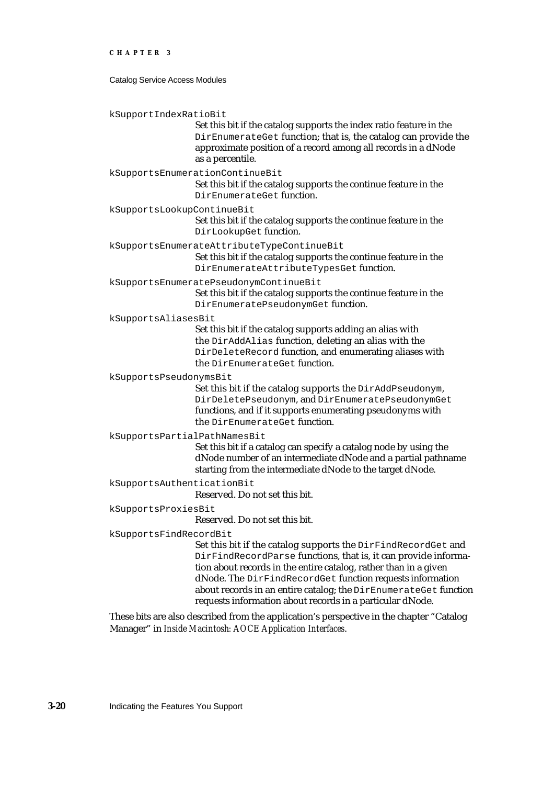Catalog Service Access Modules

kSupportIndexRatioBit

Set this bit if the catalog supports the index ratio feature in the DirEnumerateGet function; that is, the catalog can provide the approximate position of a record among all records in a dNode as a percentile.

kSupportsEnumerationContinueBit

Set this bit if the catalog supports the continue feature in the DirEnumerateGet function.

kSupportsLookupContinueBit

Set this bit if the catalog supports the continue feature in the DirLookupGet function.

kSupportsEnumerateAttributeTypeContinueBit

Set this bit if the catalog supports the continue feature in the DirEnumerateAttributeTypesGet function.

kSupportsEnumeratePseudonymContinueBit

Set this bit if the catalog supports the continue feature in the DirEnumeratePseudonymGet function.

kSupportsAliasesBit

Set this bit if the catalog supports adding an alias with the DirAddAlias function, deleting an alias with the DirDeleteRecord function, and enumerating aliases with the DirEnumerateGet function.

kSupportsPseudonymsBit

Set this bit if the catalog supports the DirAddPseudonym, DirDeletePseudonym, and DirEnumeratePseudonymGet functions, and if it supports enumerating pseudonyms with the DirEnumerateGet function.

kSupportsPartialPathNamesBit

Set this bit if a catalog can specify a catalog node by using the dNode number of an intermediate dNode and a partial pathname starting from the intermediate dNode to the target dNode.

kSupportsAuthenticationBit

Reserved. Do not set this bit.

kSupportsProxiesBit

Reserved. Do not set this bit.

kSupportsFindRecordBit

Set this bit if the catalog supports the DirFindRecordGet and DirFindRecordParse functions, that is, it can provide information about records in the entire catalog, rather than in a given dNode. The DirFindRecordGet function requests information about records in an entire catalog; the DirEnumerateGet function requests information about records in a particular dNode.

These bits are also described from the application's perspective in the chapter "Catalog Manager" in *Inside Macintosh: AOCE Application Interfaces*.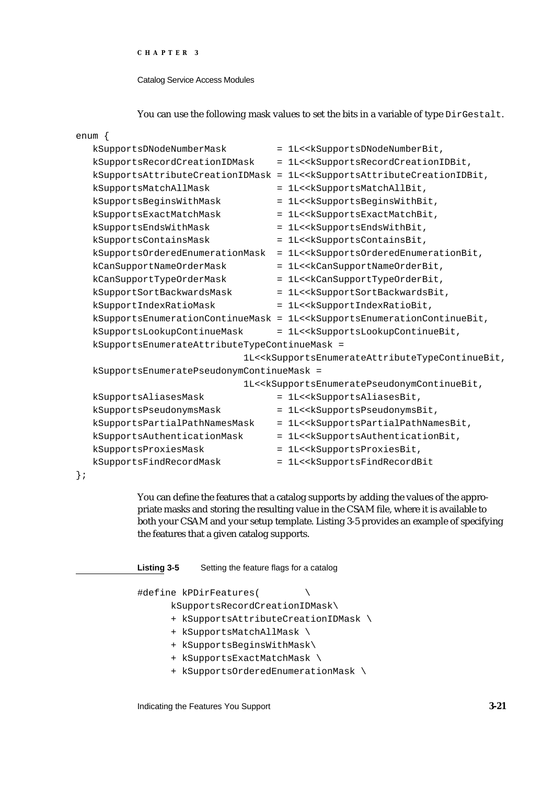#### Catalog Service Access Modules

### You can use the following mask values to set the bits in a variable of type DirGestalt.

|        | enum {                                        |                                                                                                                      |
|--------|-----------------------------------------------|----------------------------------------------------------------------------------------------------------------------|
|        | kSupportsDNodeNumberMask                      | = 1L< <ksupportsdnodenumberbit,< td=""></ksupportsdnodenumberbit,<>                                                  |
|        | kSupportsRecordCreationIDMask                 | = 1L< <ksupportsrecordcreationidbit,< td=""></ksupportsrecordcreationidbit,<>                                        |
|        | kSupportsAttributeCreationIDMask =            | 1L< <ksupportsattributecreationidbit,< td=""></ksupportsattributecreationidbit,<>                                    |
|        | kSupportsMatchAllMask                         | = 1L< <ksupportsmatchallbit,< td=""></ksupportsmatchallbit,<>                                                        |
|        | kSupportsBeginsWithMask                       | = 1L< <ksupportsbeginswithbit,< td=""></ksupportsbeginswithbit,<>                                                    |
|        | kSupportsExactMatchMask                       | = 1L< <ksupportsexactmatchbit,< td=""></ksupportsexactmatchbit,<>                                                    |
|        | kSupportsEndsWithMask                         | = 1L< <ksupportsendswithbit,< td=""></ksupportsendswithbit,<>                                                        |
|        | kSupportsContainsMask                         | = 1L< <ksupportscontainsbit,< td=""></ksupportscontainsbit,<>                                                        |
|        | kSupportsOrderedEnumerationMask               | = 1L< <ksupportsorderedenumerationbit,< td=""></ksupportsorderedenumerationbit,<>                                    |
|        | kCanSupportNameOrderMask                      | = 1L< <kcansupportnameorderbit,< td=""></kcansupportnameorderbit,<>                                                  |
|        | kCanSupportTypeOrderMask                      | = 1L< <kcansupporttypeorderbit,< td=""></kcansupporttypeorderbit,<>                                                  |
|        | kSupportSortBackwardsMask                     | = 1L< <ksupportsortbackwardsbit,< td=""></ksupportsortbackwardsbit,<>                                                |
|        | kSupportIndexRatioMask                        | = 1L< <ksupportindexratiobit,< td=""></ksupportindexratiobit,<>                                                      |
|        |                                               | kSupportsEnumerationContinueMask = 1L< <ksupportsenumerationcontinuebit,< td=""></ksupportsenumerationcontinuebit,<> |
|        | kSupportsLookupContinueMask                   | = 1L< <ksupportslookupcontinuebit,< td=""></ksupportslookupcontinuebit,<>                                            |
|        | kSupportsEnumerateAttributeTypeContinueMask = |                                                                                                                      |
|        |                                               | lL< <ksupportsenumerateattributetypecontinuebit,< td=""></ksupportsenumerateattributetypecontinuebit,<>              |
|        | kSupportsEnumeratePseudonymContinueMask =     |                                                                                                                      |
|        |                                               | 1L< <ksupportsenumeratepseudonymcontinuebit,< td=""></ksupportsenumeratepseudonymcontinuebit,<>                      |
|        | kSupportsAliasesMask                          | = 1L< <ksupportsaliasesbit,< td=""></ksupportsaliasesbit,<>                                                          |
|        | kSupportsPseudonymsMask                       | = 1L< <ksupportspseudonymsbit,< td=""></ksupportspseudonymsbit,<>                                                    |
|        | kSupportsPartialPathNamesMask                 | = 1L< <ksupportspartialpathnamesbit,< td=""></ksupportspartialpathnamesbit,<>                                        |
|        | kSupportsAuthenticationMask                   | = 1L< <ksupportsauthenticationbit,< td=""></ksupportsauthenticationbit,<>                                            |
|        | kSupportsProxiesMask                          | = 1L< <ksupportsproxiesbit,< td=""></ksupportsproxiesbit,<>                                                          |
|        | kSupportsFindRecordMask                       | = 1L< <ksupportsfindrecordbit< td=""></ksupportsfindrecordbit<>                                                      |
| $\}$ ; |                                               |                                                                                                                      |

You can define the features that a catalog supports by adding the values of the appropriate masks and storing the resulting value in the CSAM file, where it is available to both your CSAM and your setup template. Listing 3-5 provides an example of specifying the features that a given catalog supports.

**Listing 3-5** Setting the feature flags for a catalog

#define kPDirFeatures( \

kSupportsRecordCreationIDMask\

- + kSupportsAttributeCreationIDMask \
- + kSupportsMatchAllMask \
- + kSupportsBeginsWithMask\
- + kSupportsExactMatchMask \
- + kSupportsOrderedEnumerationMask \

Indicating the Features You Support **3-21**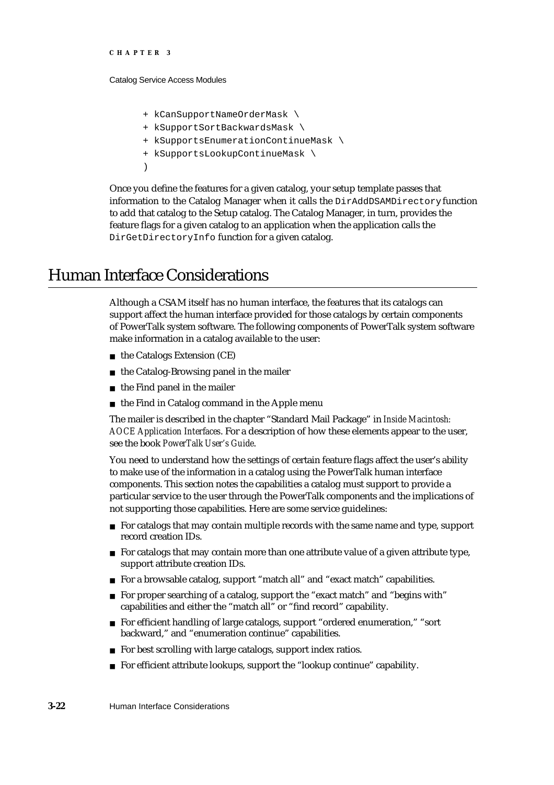```
CHAPTER 3
```
Catalog Service Access Modules

- + kCanSupportNameOrderMask \
- + kSupportSortBackwardsMask \
- + kSupportsEnumerationContinueMask \
- + kSupportsLookupContinueMask \
- )

Once you define the features for a given catalog, your setup template passes that information to the Catalog Manager when it calls the DirAddDSAMDirectory function to add that catalog to the Setup catalog. The Catalog Manager, in turn, provides the feature flags for a given catalog to an application when the application calls the DirGetDirectoryInfo function for a given catalog.

# Human Interface Considerations

Although a CSAM itself has no human interface, the features that its catalogs can support affect the human interface provided for those catalogs by certain components of PowerTalk system software. The following components of PowerTalk system software make information in a catalog available to the user:

- n the Catalogs Extension (CE)
- n the Catalog-Browsing panel in the mailer
- $n$  the Find panel in the mailer
- $n$  the Find in Catalog command in the Apple menu

The mailer is described in the chapter "Standard Mail Package" in *Inside Macintosh: AOCE Application Interfaces*. For a description of how these elements appear to the user, see the book *PowerTalk User's Guide*.

You need to understand how the settings of certain feature flags affect the user's ability to make use of the information in a catalog using the PowerTalk human interface components. This section notes the capabilities a catalog must support to provide a particular service to the user through the PowerTalk components and the implications of not supporting those capabilities. Here are some service guidelines:

- $F$  For catalogs that may contain multiple records with the same name and type, support record creation IDs.
- $n$  For catalogs that may contain more than one attribute value of a given attribute type, support attribute creation IDs.
- n For a browsable catalog, support "match all" and "exact match" capabilities.
- n For proper searching of a catalog, support the "exact match" and "begins with" capabilities and either the "match all" or "find record" capability.
- For efficient handling of large catalogs, support "ordered enumeration," "sort backward," and "enumeration continue" capabilities.
- n For best scrolling with large catalogs, support index ratios.
- n For efficient attribute lookups, support the "lookup continue" capability.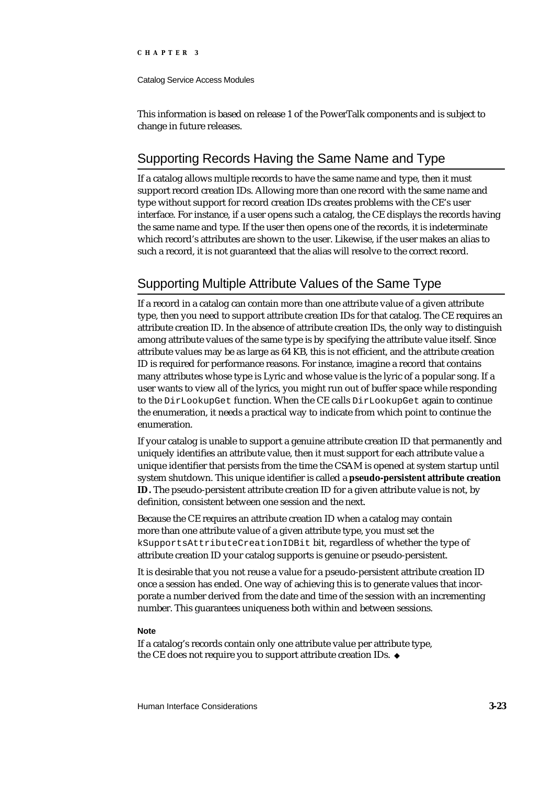#### Catalog Service Access Modules

This information is based on release 1 of the PowerTalk components and is subject to change in future releases.

# Supporting Records Having the Same Name and Type

If a catalog allows multiple records to have the same name and type, then it must support record creation IDs. Allowing more than one record with the same name and type without support for record creation IDs creates problems with the CE's user interface. For instance, if a user opens such a catalog, the CE displays the records having the same name and type. If the user then opens one of the records, it is indeterminate which record's attributes are shown to the user. Likewise, if the user makes an alias to such a record, it is not guaranteed that the alias will resolve to the correct record.

# Supporting Multiple Attribute Values of the Same Type

If a record in a catalog can contain more than one attribute value of a given attribute type, then you need to support attribute creation IDs for that catalog. The CE requires an attribute creation ID. In the absence of attribute creation IDs, the only way to distinguish among attribute values of the same type is by specifying the attribute value itself. Since attribute values may be as large as 64 KB, this is not efficient, and the attribute creation ID is required for performance reasons. For instance, imagine a record that contains many attributes whose type is Lyric and whose value is the lyric of a popular song. If a user wants to view all of the lyrics, you might run out of buffer space while responding to the DirLookupGet function. When the CE calls DirLookupGet again to continue the enumeration, it needs a practical way to indicate from which point to continue the enumeration.

If your catalog is unable to support a genuine attribute creation ID that permanently and uniquely identifies an attribute value, then it must support for each attribute value a unique identifier that persists from the time the CSAM is opened at system startup until system shutdown. This unique identifier is called a **pseudo-persistent attribute creation ID.** The pseudo-persistent attribute creation ID for a given attribute value is not, by definition, consistent between one session and the next.

Because the CE requires an attribute creation ID when a catalog may contain more than one attribute value of a given attribute type, you must set the kSupportsAttributeCreationIDBit bit, regardless of whether the type of attribute creation ID your catalog supports is genuine or pseudo-persistent.

It is desirable that you not reuse a value for a pseudo-persistent attribute creation ID once a session has ended. One way of achieving this is to generate values that incorporate a number derived from the date and time of the session with an incrementing number. This guarantees uniqueness both within and between sessions.

#### **Note**

If a catalog's records contain only one attribute value per attribute type, the CE does not require you to support attribute creation IDs.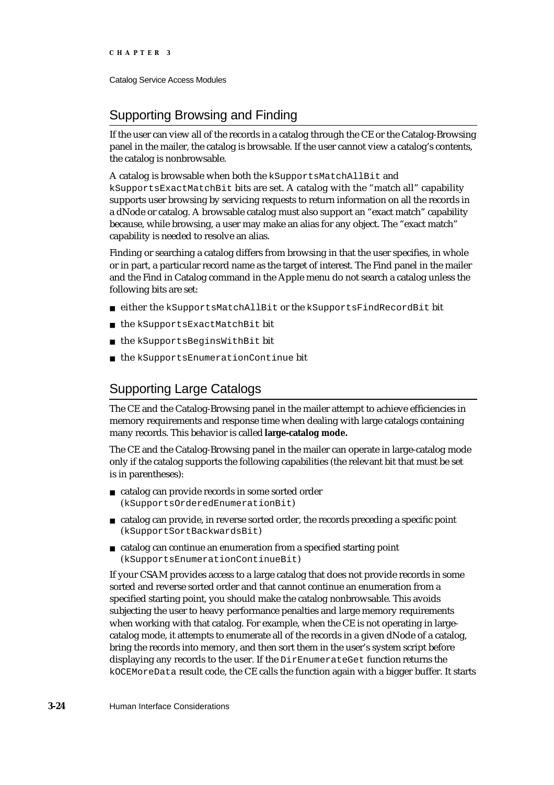Catalog Service Access Modules

# Supporting Browsing and Finding

If the user can view all of the records in a catalog through the CE or the Catalog-Browsing panel in the mailer, the catalog is browsable. If the user cannot view a catalog's contents, the catalog is nonbrowsable.

A catalog is browsable when both the kSupportsMatchAllBit and kSupportsExactMatchBit bits are set. A catalog with the "match all" capability supports user browsing by servicing requests to return information on all the records in a dNode or catalog. A browsable catalog must also support an "exact match" capability because, while browsing, a user may make an alias for any object. The "exact match" capability is needed to resolve an alias.

Finding or searching a catalog differs from browsing in that the user specifies, in whole or in part, a particular record name as the target of interest. The Find panel in the mailer and the Find in Catalog command in the Apple menu do not search a catalog unless the following bits are set:

- either the kSupportsMatchAllBit or the kSupportsFindRecordBit bit
- the kSupportsExactMatchBit bit n.
- n the kSupportsBeginsWithBit bit
- the kSupportsEnumerationContinue bit

# Supporting Large Catalogs

The CE and the Catalog-Browsing panel in the mailer attempt to achieve efficiencies in memory requirements and response time when dealing with large catalogs containing many records. This behavior is called **large-catalog mode.**

The CE and the Catalog-Browsing panel in the mailer can operate in large-catalog mode only if the catalog supports the following capabilities (the relevant bit that must be set is in parentheses):

- catalog can provide records in some sorted order (kSupportsOrderedEnumerationBit)
- catalog can provide, in reverse sorted order, the records preceding a specific point (kSupportSortBackwardsBit)
- catalog can continue an enumeration from a specified starting point (kSupportsEnumerationContinueBit)

If your CSAM provides access to a large catalog that does not provide records in some sorted and reverse sorted order and that cannot continue an enumeration from a specified starting point, you should make the catalog nonbrowsable. This avoids subjecting the user to heavy performance penalties and large memory requirements when working with that catalog. For example, when the CE is not operating in largecatalog mode, it attempts to enumerate all of the records in a given dNode of a catalog, bring the records into memory, and then sort them in the user's system script before displaying any records to the user. If the DirEnumerateGet function returns the kOCEMoreData result code, the CE calls the function again with a bigger buffer. It starts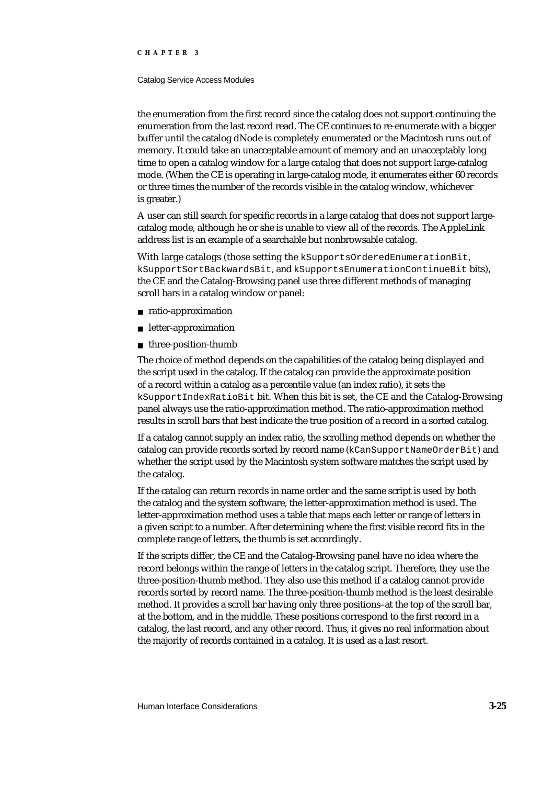#### Catalog Service Access Modules

the enumeration from the first record since the catalog does not support continuing the enumeration from the last record read. The CE continues to re-enumerate with a bigger buffer until the catalog dNode is completely enumerated or the Macintosh runs out of memory. It could take an unacceptable amount of memory and an unacceptably long time to open a catalog window for a large catalog that does not support large-catalog mode. (When the CE is operating in large-catalog mode, it enumerates either 60 records or three times the number of the records visible in the catalog window, whichever is greater.)

A user can still search for specific records in a large catalog that does not support largecatalog mode, although he or she is unable to view all of the records. The AppleLink address list is an example of a searchable but nonbrowsable catalog.

With large catalogs (those setting the kSupportsOrderedEnumerationBit, kSupportSortBackwardsBit, and kSupportsEnumerationContinueBit bits), the CE and the Catalog-Browsing panel use three different methods of managing scroll bars in a catalog window or panel:

- ratio-approximation
- letter-approximation
- n three-position-thumb

The choice of method depends on the capabilities of the catalog being displayed and the script used in the catalog. If the catalog can provide the approximate position of a record within a catalog as a percentile value (an index ratio), it sets the kSupportIndexRatioBit bit. When this bit is set, the CE and the Catalog-Browsing panel always use the ratio-approximation method. The ratio-approximation method results in scroll bars that best indicate the true position of a record in a sorted catalog.

If a catalog cannot supply an index ratio, the scrolling method depends on whether the catalog can provide records sorted by record name (kCanSupportNameOrderBit) and whether the script used by the Macintosh system software matches the script used by the catalog.

If the catalog can return records in name order and the same script is used by both the catalog and the system software, the letter-approximation method is used. The letter-approximation method uses a table that maps each letter or range of letters in a given script to a number. After determining where the first visible record fits in the complete range of letters, the thumb is set accordingly.

If the scripts differ, the CE and the Catalog-Browsing panel have no idea where the record belongs within the range of letters in the catalog script. Therefore, they use the three-position-thumb method. They also use this method if a catalog cannot provide records sorted by record name. The three-position-thumb method is the least desirable method. It provides a scroll bar having only three positions–at the top of the scroll bar, at the bottom, and in the middle. These positions correspond to the first record in a catalog, the last record, and any other record. Thus, it gives no real information about the majority of records contained in a catalog. It is used as a last resort.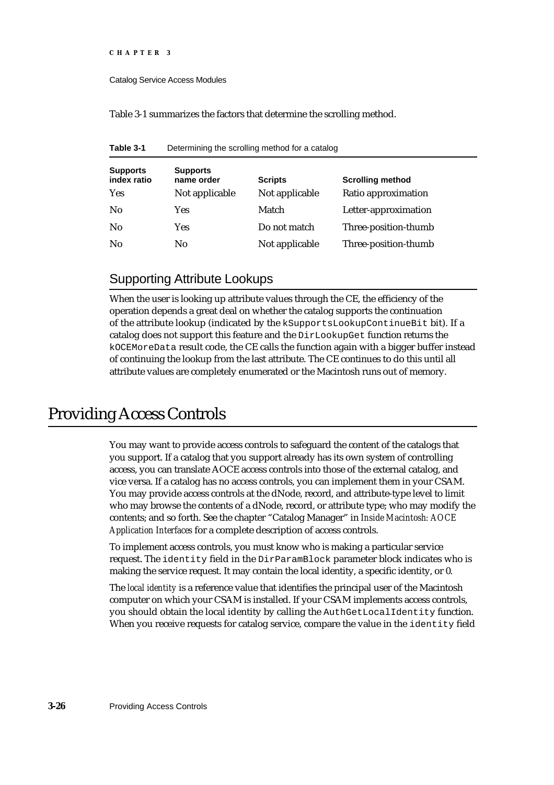```
CHAPTER 3
```
Catalog Service Access Modules

Table 3-1 summarizes the factors that determine the scrolling method.

| Table 3-1 |  | Determining the scrolling method for a catalog |  |
|-----------|--|------------------------------------------------|--|
|-----------|--|------------------------------------------------|--|

| <b>Supports</b><br>index ratio | <b>Supports</b><br>name order | <b>Scripts</b> | <b>Scrolling method</b> |
|--------------------------------|-------------------------------|----------------|-------------------------|
| <b>Yes</b>                     | Not applicable                | Not applicable | Ratio approximation     |
| N <sub>0</sub>                 | Yes                           | Match          | Letter-approximation    |
| No                             | Yes                           | Do not match   | Three-position-thumb    |
| N <sub>0</sub>                 | No                            | Not applicable | Three-position-thumb    |

# Supporting Attribute Lookups

When the user is looking up attribute values through the CE, the efficiency of the operation depends a great deal on whether the catalog supports the continuation of the attribute lookup (indicated by the kSupportsLookupContinueBit bit). If a catalog does not support this feature and the DirLookupGet function returns the kOCEMoreData result code, the CE calls the function again with a bigger buffer instead of continuing the lookup from the last attribute. The CE continues to do this until all attribute values are completely enumerated or the Macintosh runs out of memory.

# Providing Access Controls

You may want to provide access controls to safeguard the content of the catalogs that you support. If a catalog that you support already has its own system of controlling access, you can translate AOCE access controls into those of the external catalog, and vice versa. If a catalog has no access controls, you can implement them in your CSAM. You may provide access controls at the dNode, record, and attribute-type level to limit who may browse the contents of a dNode, record, or attribute type; who may modify the contents; and so forth. See the chapter "Catalog Manager" in *Inside Macintosh: AOCE Application Interfaces* for a complete description of access controls.

To implement access controls, you must know who is making a particular service request. The identity field in the DirParamBlock parameter block indicates who is making the service request. It may contain the local identity, a specific identity, or 0.

The *local identity* is a reference value that identifies the principal user of the Macintosh computer on which your CSAM is installed. If your CSAM implements access controls, you should obtain the local identity by calling the AuthGetLocalIdentity function. When you receive requests for catalog service, compare the value in the identity field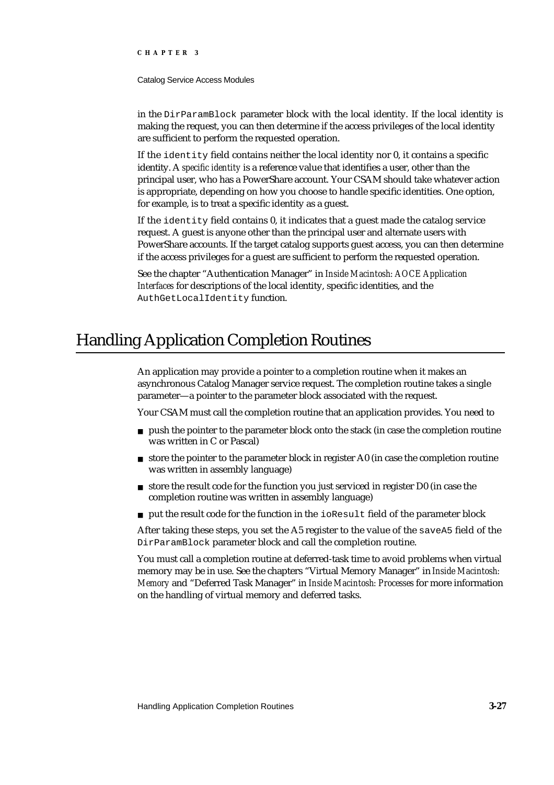Catalog Service Access Modules

in the DirParamBlock parameter block with the local identity. If the local identity is making the request, you can then determine if the access privileges of the local identity are sufficient to perform the requested operation.

If the identity field contains neither the local identity nor 0, it contains a specific identity. A *specific identity* is a reference value that identifies a user, other than the principal user, who has a PowerShare account. Your CSAM should take whatever action is appropriate, depending on how you choose to handle specific identities. One option, for example, is to treat a specific identity as a guest.

If the identity field contains 0, it indicates that a guest made the catalog service request. A guest is anyone other than the principal user and alternate users with PowerShare accounts. If the target catalog supports guest access, you can then determine if the access privileges for a guest are sufficient to perform the requested operation.

See the chapter "Authentication Manager" in *Inside Macintosh: AOCE Application Interfaces* for descriptions of the local identity, specific identities, and the AuthGetLocalIdentity function.

# Handling Application Completion Routines

An application may provide a pointer to a completion routine when it makes an asynchronous Catalog Manager service request. The completion routine takes a single parameter—a pointer to the parameter block associated with the request.

Your CSAM must call the completion routine that an application provides. You need to

- $p_1$  push the pointer to the parameter block onto the stack (in case the completion routine was written in C or Pascal)
- $n_{\text{S}}$  store the pointer to the parameter block in register A0 (in case the completion routine was written in assembly language)
- $n_{\text{S}}$  store the result code for the function you just serviced in register D0 (in case the completion routine was written in assembly language)
- n put the result code for the function in the ioResult field of the parameter block

After taking these steps, you set the A5 register to the value of the saveA5 field of the DirParamBlock parameter block and call the completion routine.

You must call a completion routine at deferred-task time to avoid problems when virtual memory may be in use. See the chapters "Virtual Memory Manager" in *Inside Macintosh: Memory* and "Deferred Task Manager" in *Inside Macintosh: Processes* for more information on the handling of virtual memory and deferred tasks.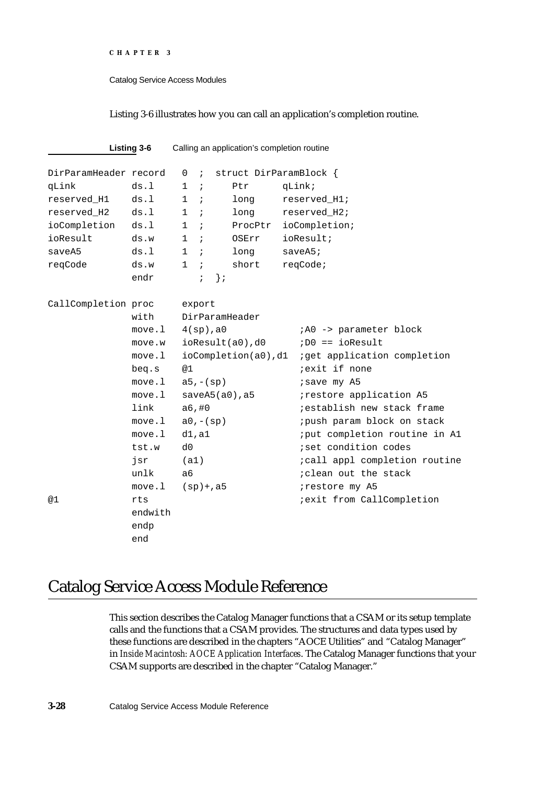Catalog Service Access Modules

Listing 3-6 illustrates how you can call an application's completion routine.

|                       | Listing 3-6 |                |              |                 | Calling an application's completion routine |                                      |
|-----------------------|-------------|----------------|--------------|-----------------|---------------------------------------------|--------------------------------------|
| DirParamHeader record |             | 0              | $\cdot$      |                 | struct DirParamBlock {                      |                                      |
| qLink                 | ds.1        | $\mathbf{1}$   | $\cdot$ ;    |                 | Ptr                                         | qLink;                               |
| reserved_H1           | ds.1        |                | $1$ ;        |                 | long                                        | reserved H1;                         |
| reserved_H2           | ds.l        | 1              | $\cdot$ ;    |                 | long                                        | reserved H2;                         |
| ioCompletion          | ds.l        | $\mathbf{1}$   | $\cdot$ :    |                 | ProcPtr                                     | ioCompletion;                        |
| ioResult              | ds.w        | $\mathbf{1}$   | $\cdot$ ;    |                 | OSErr                                       | ioResult;                            |
| saveA5                | ds.l        | $\mathbf{1}$   | $\cdot$ ;    |                 | long                                        | saveA5                               |
| reqCode               | ds.w        | $\mathbf{1}$   | $\cdot$      |                 | short                                       | reqCode;                             |
|                       | endr        |                | $\ddot{i}$   | $\}$ ;          |                                             |                                      |
| CallCompletion proc   |             |                | export       |                 |                                             |                                      |
|                       | with        |                |              |                 | DirParamHeader                              |                                      |
|                       | move.l      |                |              | $4(sp)$ , a $0$ |                                             | ;A0 -> parameter block               |
|                       | move.w      |                |              |                 | $i$ oResult $(a0)$ , d $0$                  | $i$ D $0$ == ioResult                |
|                       | move.l      |                |              |                 | ioCompletion(a0),d1                         | <i>iget</i> application completion   |
|                       | beg.s       | @1             |              |                 |                                             | <i>iexit</i> if none                 |
|                       | move.l      |                | $a5, - (sp)$ |                 |                                             | isave my A5                          |
|                       | move .1     |                |              |                 | $saveA5(a0)$ , a5                           | irestore application A5              |
|                       | link        |                | a6, H0       |                 |                                             | <i>i</i> establish new stack frame   |
|                       | move.l      |                | $a0, - (sp)$ |                 |                                             | ; push param block on stack          |
|                       | move.l      |                | d1, a1       |                 |                                             | <i>iput</i> completion routine in A1 |
|                       | tst.w       | d0             |              |                 |                                             | iset condition codes                 |
|                       | jsr         | (a1)           |              |                 |                                             | ; call appl completion routine       |
|                       | unlk        | a <sub>6</sub> |              |                 |                                             | iclean out the stack                 |
|                       | move.1      |                |              | $(sp)+,a5$      |                                             | irestore my A5                       |
| @1                    | rts         |                |              |                 |                                             | <i>iexit</i> from CallCompletion     |
|                       | endwith     |                |              |                 |                                             |                                      |
|                       | endp        |                |              |                 |                                             |                                      |
|                       | end         |                |              |                 |                                             |                                      |

# Catalog Service Access Module Reference

This section describes the Catalog Manager functions that a CSAM or its setup template calls and the functions that a CSAM provides. The structures and data types used by these functions are described in the chapters "AOCE Utilities" and "Catalog Manager" in *Inside Macintosh: AOCE Application Interfaces*. The Catalog Manager functions that your CSAM supports are described in the chapter "Catalog Manager."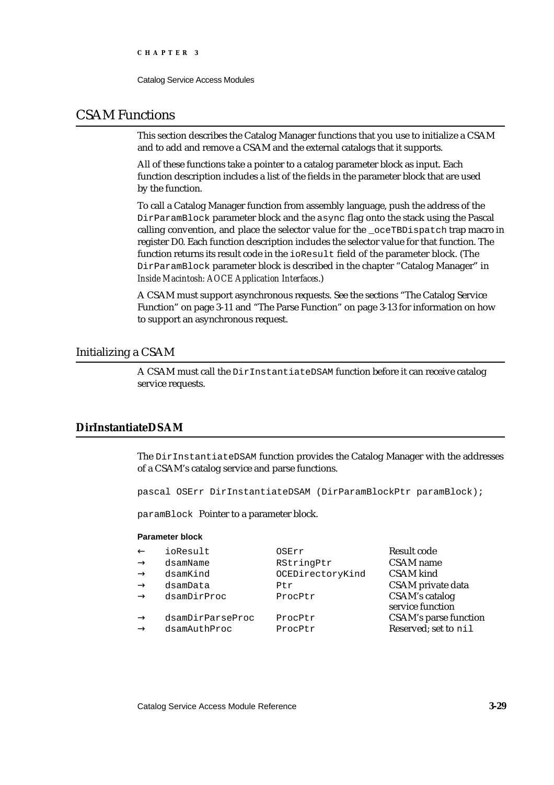Catalog Service Access Modules

# CSAM Functions

This section describes the Catalog Manager functions that you use to initialize a CSAM and to add and remove a CSAM and the external catalogs that it supports.

All of these functions take a pointer to a catalog parameter block as input. Each function description includes a list of the fields in the parameter block that are used by the function.

To call a Catalog Manager function from assembly language, push the address of the DirParamBlock parameter block and the async flag onto the stack using the Pascal calling convention, and place the selector value for the \_oceTBDispatch trap macro in register D0. Each function description includes the selector value for that function. The function returns its result code in the ioResult field of the parameter block. (The DirParamBlock parameter block is described in the chapter "Catalog Manager" in *Inside Macintosh: AOCE Application Interfaces*.)

A CSAM must support asynchronous requests. See the sections "The Catalog Service Function" on page 3-11 and "The Parse Function" on page 3-13 for information on how to support an asynchronous request.

# Initializing a CSAM

A CSAM must call the DirInstantiateDSAM function before it can receive catalog service requests.

# **DirInstantiateDSAM**

The DirInstantiateDSAM function provides the Catalog Manager with the addresses of a CSAM's catalog service and parse functions.

pascal OSErr DirInstantiateDSAM (DirParamBlockPtr paramBlock);

paramBlock Pointer to a parameter block.

### **Parameter block**

| ioResult<br>OSErr            | Result code                  |
|------------------------------|------------------------------|
| RStringPtr<br>dsamName       | <b>CSAM</b> name             |
| OCEDirectoryKind<br>dsamKind | <b>CSAM</b> kind             |
| dsamData<br>Ptr              | CSAM private data            |
| dsamDirProc<br>ProcPtr       | <b>CSAM's catalog</b>        |
|                              | service function             |
| dsamDirParseProc<br>ProcPtr  | <b>CSAM's parse function</b> |
| dsamAuthProc<br>ProcPtr      | Reserved; set to nil         |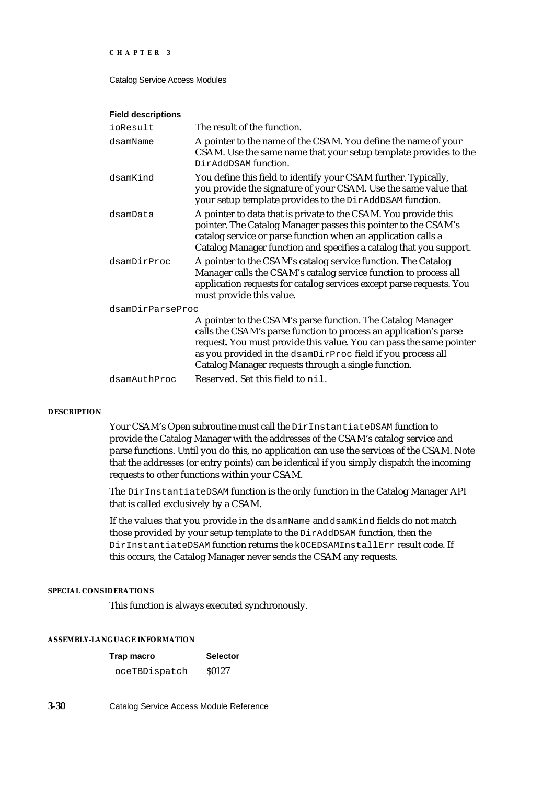Catalog Service Access Modules

#### **Field descriptions**

| ioResult         | The result of the function.                                                                                                                                                                                                                                                                                                   |
|------------------|-------------------------------------------------------------------------------------------------------------------------------------------------------------------------------------------------------------------------------------------------------------------------------------------------------------------------------|
| dsamName         | A pointer to the name of the CSAM. You define the name of your<br>CSAM. Use the same name that your setup template provides to the<br>DirAddDSAM function.                                                                                                                                                                    |
| dsamKind         | You define this field to identify your CSAM further. Typically,<br>you provide the signature of your CSAM. Use the same value that<br>your setup template provides to the DirAddDSAM function.                                                                                                                                |
| dsamData         | A pointer to data that is private to the CSAM. You provide this<br>pointer. The Catalog Manager passes this pointer to the CSAM's<br>catalog service or parse function when an application calls a<br>Catalog Manager function and specifies a catalog that you support.                                                      |
| dsamDirProc      | A pointer to the CSAM's catalog service function. The Catalog<br>Manager calls the CSAM's catalog service function to process all<br>application requests for catalog services except parse requests. You<br>must provide this value.                                                                                         |
| dsamDirParseProc |                                                                                                                                                                                                                                                                                                                               |
|                  | A pointer to the CSAM's parse function. The Catalog Manager<br>calls the CSAM's parse function to process an application's parse<br>request. You must provide this value. You can pass the same pointer<br>as you provided in the dsamDirProc field if you process all<br>Catalog Manager requests through a single function. |
| dsamAuthProc     | Reserved. Set this field to nil.                                                                                                                                                                                                                                                                                              |
|                  |                                                                                                                                                                                                                                                                                                                               |

#### **DESCRIPTION**

Your CSAM's Open subroutine must call the DirInstantiateDSAM function to provide the Catalog Manager with the addresses of the CSAM's catalog service and parse functions. Until you do this, no application can use the services of the CSAM. Note that the addresses (or entry points) can be identical if you simply dispatch the incoming requests to other functions within your CSAM.

The DirInstantiateDSAM function is the only function in the Catalog Manager API that is called exclusively by a CSAM.

If the values that you provide in the dsamName and dsamKind fields do not match those provided by your setup template to the DirAddDSAM function, then the DirInstantiateDSAM function returns the kOCEDSAMInstallErr result code. If this occurs, the Catalog Manager never sends the CSAM any requests.

### **SPECIAL CONSIDERATIONS**

This function is always executed synchronously.

## **ASSEMBLY-LANGUAGE INFORMATION**

| Trap macro     | <b>Selector</b> |
|----------------|-----------------|
| _oceTBDispatch | \$0127          |

**3-30** Catalog Service Access Module Reference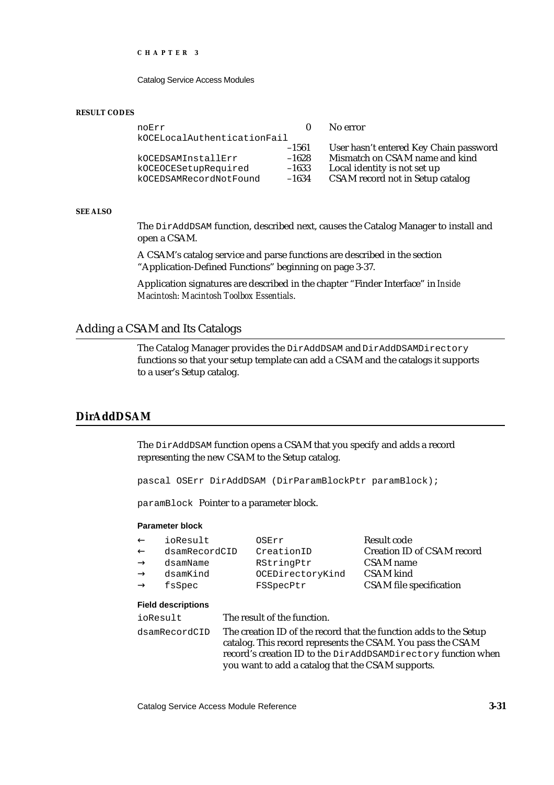Catalog Service Access Modules

#### **RESULT CODES**

| noErr                       |         | No error                               |
|-----------------------------|---------|----------------------------------------|
| kOCELocalAuthenticationFail |         |                                        |
|                             | $-1561$ | User hasn't entered Key Chain password |
| kOCEDSAMInstallErr          | $-1628$ | Mismatch on CSAM name and kind         |
| kOCEOCESetupRequired        | $-1633$ | Local identity is not set up           |
| kOCEDSAMRecordNotFound      | $-1634$ | CSAM record not in Setup catalog       |

#### **SEE ALSO**

The DirAddDSAM function, described next, causes the Catalog Manager to install and open a CSAM.

A CSAM's catalog service and parse functions are described in the section "Application-Defined Functions" beginning on page 3-37.

Application signatures are described in the chapter "Finder Interface" in *Inside Macintosh: Macintosh Toolbox Essentials*.

# Adding a CSAM and Its Catalogs

The Catalog Manager provides the DirAddDSAM and DirAddDSAMDirectory functions so that your setup template can add a CSAM and the catalogs it supports to a user's Setup catalog.

# **DirAddDSAM**

The DirAddDSAM function opens a CSAM that you specify and adds a record representing the new CSAM to the Setup catalog.

pascal OSErr DirAddDSAM (DirParamBlockPtr paramBlock);

paramBlock Pointer to a parameter block.

#### **Parameter block**

| ioResult      | OSErr            | Result code                       |
|---------------|------------------|-----------------------------------|
| dsamRecordCID | CreationID       | <b>Creation ID of CSAM record</b> |
| dsamName      | RStringPtr       | <b>CSAM</b> name                  |
| dsamKind      | OCEDirectoryKind | CSAM kind                         |
| fsSpec        | FSSpecPtr        | <b>CSAM</b> file specification    |
|               |                  |                                   |

#### **Field descriptions**

ioResult The result of the function. dsamRecordCID The creation ID of the record that the function adds to the Setup catalog. This record represents the CSAM. You pass the CSAM record's creation ID to the DirAddDSAMDirectory function when you want to add a catalog that the CSAM supports.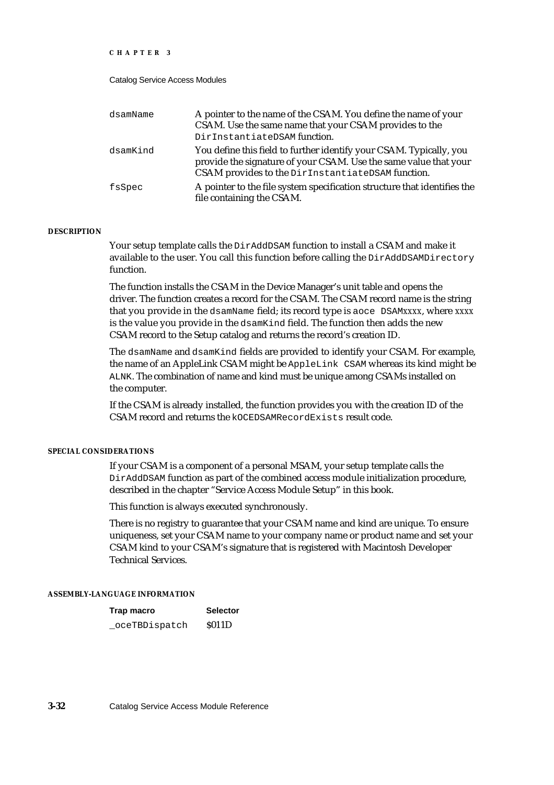#### Catalog Service Access Modules

| dsamName | A pointer to the name of the CSAM. You define the name of your<br>CSAM. Use the same name that your CSAM provides to the<br>DirInstantiateDSAM function.                                     |
|----------|----------------------------------------------------------------------------------------------------------------------------------------------------------------------------------------------|
| dsamKind | You define this field to further identify your CSAM. Typically, you<br>provide the signature of your CSAM. Use the same value that your<br>CSAM provides to the DirInstantiateDSAM function. |
| fsSpec   | A pointer to the file system specification structure that identifies the<br>file containing the CSAM.                                                                                        |

#### **DESCRIPTION**

Your setup template calls the DirAddDSAM function to install a CSAM and make it available to the user. You call this function before calling the DirAddDSAMDirectory function.

The function installs the CSAM in the Device Manager's unit table and opens the driver. The function creates a record for the CSAM. The CSAM record name is the string that you provide in the dsamName field; its record type is aoce DSAM*xxxx*, where *xxxx* is the value you provide in the dsamKind field. The function then adds the new CSAM record to the Setup catalog and returns the record's creation ID.

The dsamName and dsamKind fields are provided to identify your CSAM. For example, the name of an AppleLink CSAM might be AppleLink CSAM whereas its kind might be ALNK. The combination of name and kind must be unique among CSAMs installed on the computer.

If the CSAM is already installed, the function provides you with the creation ID of the CSAM record and returns the kOCEDSAMRecordExists result code.

#### **SPECIAL CONSIDERATIONS**

If your CSAM is a component of a personal MSAM, your setup template calls the DirAddDSAM function as part of the combined access module initialization procedure, described in the chapter "Service Access Module Setup" in this book.

This function is always executed synchronously.

There is no registry to guarantee that your CSAM name and kind are unique. To ensure uniqueness, set your CSAM name to your company name or product name and set your CSAM kind to your CSAM's signature that is registered with Macintosh Developer Technical Services.

#### **ASSEMBLY-LANGUAGE INFORMATION**

| Trap macro     | <b>Selector</b> |
|----------------|-----------------|
| _oceTBDispatch | <b>S011D</b>    |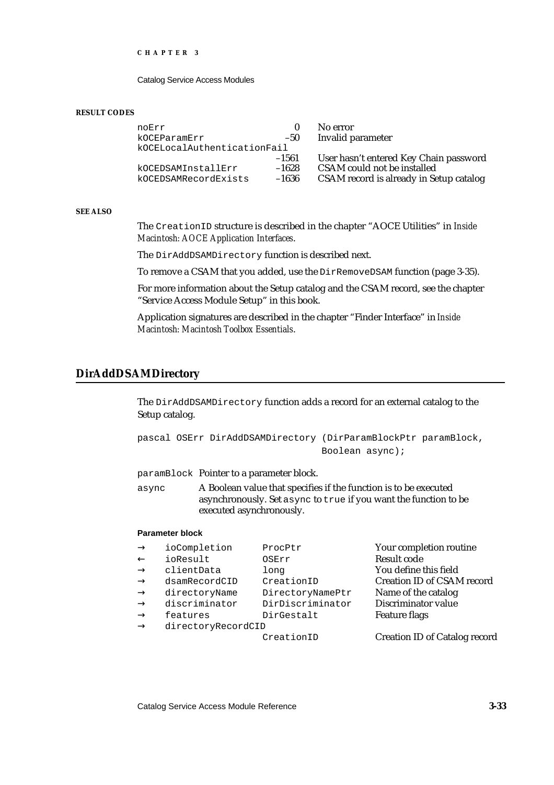Catalog Service Access Modules

#### **RESULT CODES**

| noErr                       |         | No error                                |
|-----------------------------|---------|-----------------------------------------|
| kOCEParamErr                | $-50$   | Invalid parameter                       |
| kOCELocalAuthenticationFail |         |                                         |
|                             | $-1561$ | User hasn't entered Key Chain password  |
| kOCEDSAMInstallErr          | $-1628$ | CSAM could not be installed             |
| kOCEDSAMRecordExists        | $-1636$ | CSAM record is already in Setup catalog |

#### **SEE ALSO**

The CreationID structure is described in the chapter "AOCE Utilities" in *Inside Macintosh: AOCE Application Interfaces*.

The DirAddDSAMDirectory function is described next.

To remove a CSAM that you added, use the DirRemoveDSAM function (page 3-35).

For more information about the Setup catalog and the CSAM record, see the chapter "Service Access Module Setup" in this book.

Application signatures are described in the chapter "Finder Interface" in *Inside Macintosh: Macintosh Toolbox Essentials*.

## **DirAddDSAMDirectory**

The DirAddDSAMDirectory function adds a record for an external catalog to the Setup catalog.

pascal OSErr DirAddDSAMDirectory (DirParamBlockPtr paramBlock, Boolean async);

paramBlock Pointer to a parameter block.

async A Boolean value that specifies if the function is to be executed asynchronously. Set async to true if you want the function to be executed asynchronously.

#### **Parameter block**

| ioCompletion       | ProcPtr          | Your completion routine              |
|--------------------|------------------|--------------------------------------|
| ioResult           | OSErr            | <b>Result code</b>                   |
| clientData         | long             | You define this field                |
| dsamRecordCID      | CreationID       | <b>Creation ID of CSAM record</b>    |
| directoryName      | DirectoryNamePtr | Name of the catalog                  |
| discriminator      | DirDiscriminator | Discriminator value                  |
| features           | DirGestalt       | <b>Feature flags</b>                 |
| directoryRecordCID |                  |                                      |
|                    | CreationID       | <b>Creation ID of Catalog record</b> |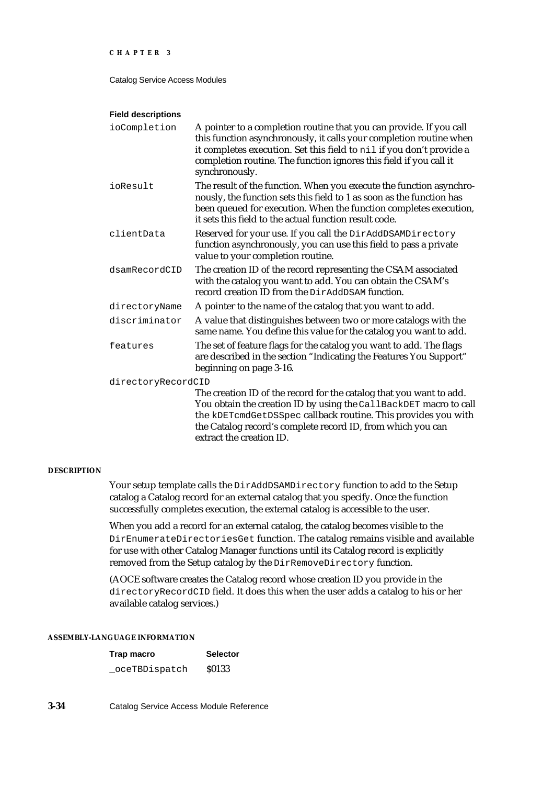Catalog Service Access Modules

#### **Field descriptions**

| ioCompletion       | A pointer to a completion routine that you can provide. If you call<br>this function asynchronously, it calls your completion routine when<br>it completes execution. Set this field to nil if you don't provide a<br>completion routine. The function ignores this field if you call it<br>synchronously. |
|--------------------|------------------------------------------------------------------------------------------------------------------------------------------------------------------------------------------------------------------------------------------------------------------------------------------------------------|
| ioResult           | The result of the function. When you execute the function asynchro-<br>nously, the function sets this field to 1 as soon as the function has<br>been queued for execution. When the function completes execution,<br>it sets this field to the actual function result code.                                |
| clientData         | Reserved for your use. If you call the DirAddDSAMDirectory<br>function asynchronously, you can use this field to pass a private<br>value to your completion routine.                                                                                                                                       |
| dsamRecordCID      | The creation ID of the record representing the CSAM associated<br>with the catalog you want to add. You can obtain the CSAM's<br>record creation ID from the DirAddDSAM function.                                                                                                                          |
| directoryName      | A pointer to the name of the catalog that you want to add.                                                                                                                                                                                                                                                 |
| discriminator      | A value that distinguishes between two or more catalogs with the<br>same name. You define this value for the catalog you want to add.                                                                                                                                                                      |
| features           | The set of feature flags for the catalog you want to add. The flags<br>are described in the section "Indicating the Features You Support"<br>beginning on page 3-16.                                                                                                                                       |
| directoryRecordCID |                                                                                                                                                                                                                                                                                                            |
|                    | The creation ID of the record for the catalog that you want to add.<br>You obtain the creation ID by using the CallBackDET macro to call<br>the kDETcmdGetDSSpec callback routine. This provides you with<br>the Catalog record's complete record ID, from which you can<br>extract the creation ID.       |

#### **DESCRIPTION**

Your setup template calls the DirAddDSAMDirectory function to add to the Setup catalog a Catalog record for an external catalog that you specify. Once the function successfully completes execution, the external catalog is accessible to the user.

When you add a record for an external catalog, the catalog becomes visible to the DirEnumerateDirectoriesGet function. The catalog remains visible and available for use with other Catalog Manager functions until its Catalog record is explicitly removed from the Setup catalog by the DirRemoveDirectory function.

(AOCE software creates the Catalog record whose creation ID you provide in the directoryRecordCID field. It does this when the user adds a catalog to his or her available catalog services.)

## **ASSEMBLY-LANGUAGE INFORMATION**

| Trap macro     | <b>Selector</b> |
|----------------|-----------------|
| _oceTBDispatch | <b>S0133</b>    |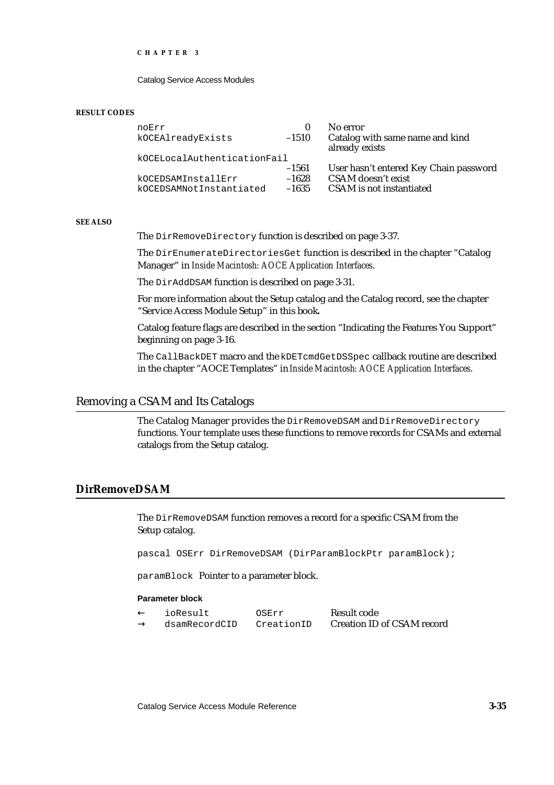Catalog Service Access Modules

#### **RESULT CODES**

| noErr<br>kOCEAlreadyExists                    | $-1510$                       | No error<br>Catalog with same name and kind<br>already exists                            |
|-----------------------------------------------|-------------------------------|------------------------------------------------------------------------------------------|
| kOCELocalAuthenticationFail                   |                               |                                                                                          |
| kOCEDSAMInstallErr<br>kOCEDSAMNotInstantiated | $-1561$<br>$-1628$<br>$-1635$ | User hasn't entered Key Chain password<br>CSAM doesn't exist<br>CSAM is not instantiated |

#### **SEE ALSO**

The DirRemoveDirectory function is described on page 3-37.

The DirEnumerateDirectoriesGet function is described in the chapter "Catalog Manager" in *Inside Macintosh: AOCE Application Interfaces*.

The DirAddDSAM function is described on page 3-31.

For more information about the Setup catalog and the Catalog record, see the chapter "Service Access Module Setup" in this book**.**

Catalog feature flags are described in the section "Indicating the Features You Support" beginning on page 3-16.

The CallBackDET macro and the kDETcmdGetDSSpec callback routine are described in the chapter "AOCE Templates" in *Inside Macintosh: AOCE Application Interfaces*.

## Removing a CSAM and Its Catalogs

The Catalog Manager provides the DirRemoveDSAM and DirRemoveDirectory functions. Your template uses these functions to remove records for CSAMs and external catalogs from the Setup catalog.

# **DirRemoveDSAM**

The DirRemoveDSAM function removes a record for a specific CSAM from the Setup catalog.

pascal OSErr DirRemoveDSAM (DirParamBlockPtr paramBlock);

paramBlock Pointer to a parameter block.

#### **Parameter block**

| ioResult      | OSErr      | Result code                |
|---------------|------------|----------------------------|
| dsamRecordCID | CreationID | Creation ID of CSAM record |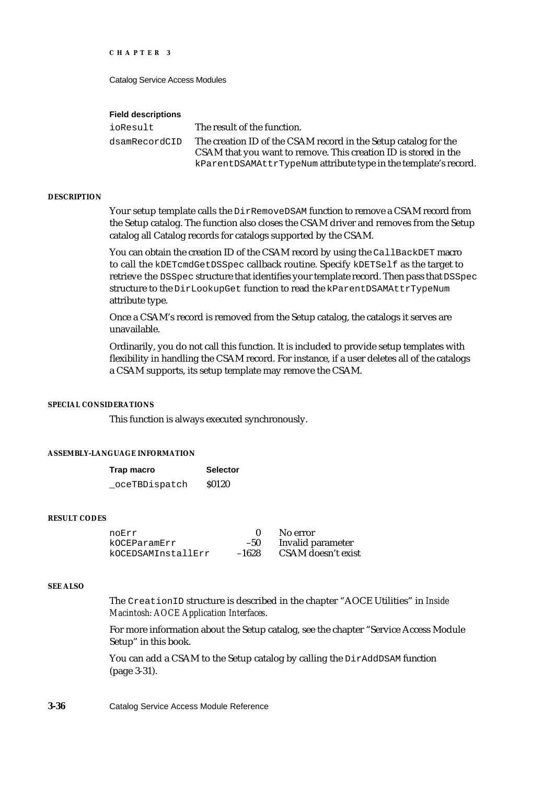Catalog Service Access Modules

#### **Field descriptions**

| ioResult      | The result of the function.                                     |
|---------------|-----------------------------------------------------------------|
| dsamRecordCID | The creation ID of the CSAM record in the Setup catalog for the |
|               | CSAM that you want to remove. This creation ID is stored in the |
|               | kParentDSAMAttrTypeNum attribute type in the template's record. |

#### **DESCRIPTION**

Your setup template calls the DirRemoveDSAM function to remove a CSAM record from the Setup catalog. The function also closes the CSAM driver and removes from the Setup catalog all Catalog records for catalogs supported by the CSAM.

You can obtain the creation ID of the CSAM record by using the CallBackDET macro to call the kDETcmdGetDSSpec callback routine. Specify kDETSelf as the target to retrieve the DSSpec structure that identifies your template record. Then pass that DSSpec structure to the DirLookupGet function to read the kParentDSAMAttrTypeNum attribute type.

Once a CSAM's record is removed from the Setup catalog, the catalogs it serves are unavailable.

Ordinarily, you do not call this function. It is included to provide setup templates with flexibility in handling the CSAM record. For instance, if a user deletes all of the catalogs a CSAM supports, its setup template may remove the CSAM.

### **SPECIAL CONSIDERATIONS**

This function is always executed synchronously.

#### **ASSEMBLY-LANGUAGE INFORMATION**

| Trap macro    | <b>Selector</b> |
|---------------|-----------------|
| oceTBDispatch | <b>S0120</b>    |

#### **RESULT CODES**

| noErr              |         | No error                 |
|--------------------|---------|--------------------------|
| kOCEParamErr       | $-50$   | <b>Invalid parameter</b> |
| kOCEDSAMInstallErr | $-1628$ | CSAM doesn't exist       |

#### **SEE ALSO**

The CreationID structure is described in the chapter "AOCE Utilities" in *Inside Macintosh: AOCE Application Interfaces*.

For more information about the Setup catalog, see the chapter "Service Access Module Setup" in this book.

You can add a CSAM to the Setup catalog by calling the DirAddDSAM function (page 3-31).

**3-36** Catalog Service Access Module Reference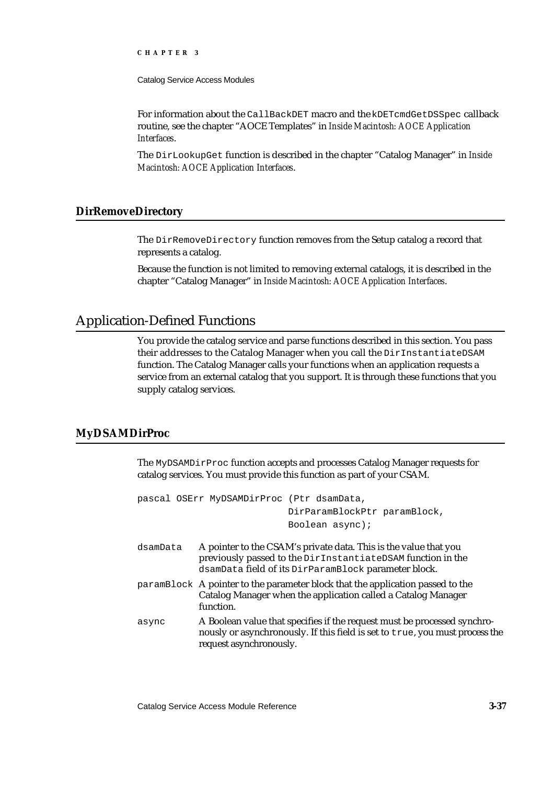Catalog Service Access Modules

For information about the CallBackDET macro and the kDETcmdGetDSSpec callback routine, see the chapter "AOCE Templates" in *Inside Macintosh: AOCE Application Interfaces*.

The DirLookupGet function is described in the chapter "Catalog Manager" in *Inside Macintosh: AOCE Application Interfaces*.

## **DirRemoveDirectory**

The DirRemoveDirectory function removes from the Setup catalog a record that represents a catalog.

Because the function is not limited to removing external catalogs, it is described in the chapter "Catalog Manager" in *Inside Macintosh: AOCE Application Interfaces*.

# Application-Defined Functions

You provide the catalog service and parse functions described in this section. You pass their addresses to the Catalog Manager when you call the DirInstantiateDSAM function. The Catalog Manager calls your functions when an application requests a service from an external catalog that you support. It is through these functions that you supply catalog services.

## **MyDSAMDirProc**

The MyDSAMDirProc function accepts and processes Catalog Manager requests for catalog services. You must provide this function as part of your CSAM.

|          | pascal OSErr MyDSAMDirProc (Ptr dsamData,                                                                                                                                               |
|----------|-----------------------------------------------------------------------------------------------------------------------------------------------------------------------------------------|
|          | DirParamBlockPtr paramBlock,                                                                                                                                                            |
|          | Boolean async);                                                                                                                                                                         |
| dsamData | A pointer to the CSAM's private data. This is the value that you<br>previously passed to the DirInstantiateDSAM function in the<br>dsamData field of its DirParamBlock parameter block. |
|          | paramBlock A pointer to the parameter block that the application passed to the<br>Catalog Manager when the application called a Catalog Manager<br>function.                            |
| async    | A Boolean value that specifies if the request must be processed synchro-<br>nously or asynchronously. If this field is set to true, you must process the<br>request asynchronously.     |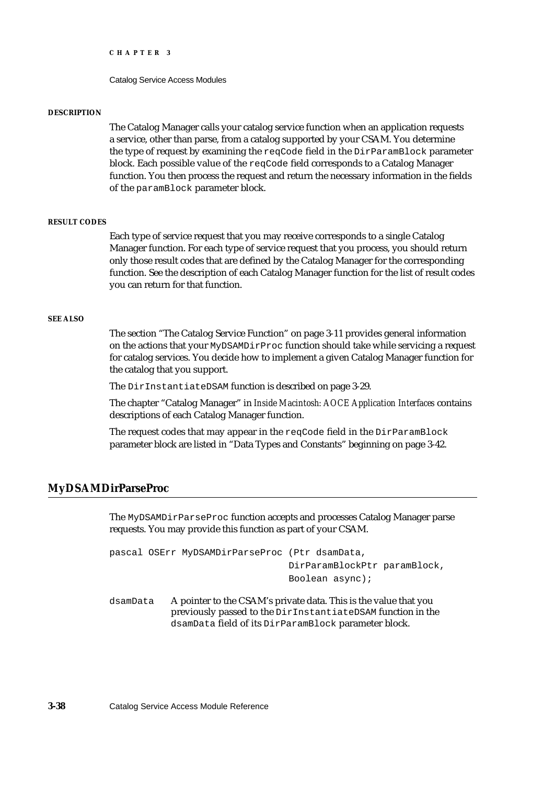Catalog Service Access Modules

#### **DESCRIPTION**

The Catalog Manager calls your catalog service function when an application requests a service, other than parse, from a catalog supported by your CSAM. You determine the type of request by examining the reqCode field in the DirParamBlock parameter block. Each possible value of the reqCode field corresponds to a Catalog Manager function. You then process the request and return the necessary information in the fields of the paramBlock parameter block.

#### **RESULT CODES**

Each type of service request that you may receive corresponds to a single Catalog Manager function. For each type of service request that you process, you should return only those result codes that are defined by the Catalog Manager for the corresponding function. See the description of each Catalog Manager function for the list of result codes you can return for that function.

#### **SEE ALSO**

The section "The Catalog Service Function" on page 3-11 provides general information on the actions that your MyDSAMDirProc function should take while servicing a request for catalog services. You decide how to implement a given Catalog Manager function for the catalog that you support.

The DirInstantiateDSAM function is described on page 3-29.

The chapter "Catalog Manager" in *Inside Macintosh: AOCE Application Interfaces* contains descriptions of each Catalog Manager function.

The request codes that may appear in the reqCode field in the DirParamBlock parameter block are listed in "Data Types and Constants" beginning on page 3-42.

# **MyDSAMDirParseProc**

The MyDSAMDirParseProc function accepts and processes Catalog Manager parse requests. You may provide this function as part of your CSAM.

```
pascal OSErr MyDSAMDirParseProc (Ptr dsamData,
                                DirParamBlockPtr paramBlock,
                                Boolean async);
```
dsamData A pointer to the CSAM's private data. This is the value that you previously passed to the DirInstantiateDSAM function in the dsamData field of its DirParamBlock parameter block.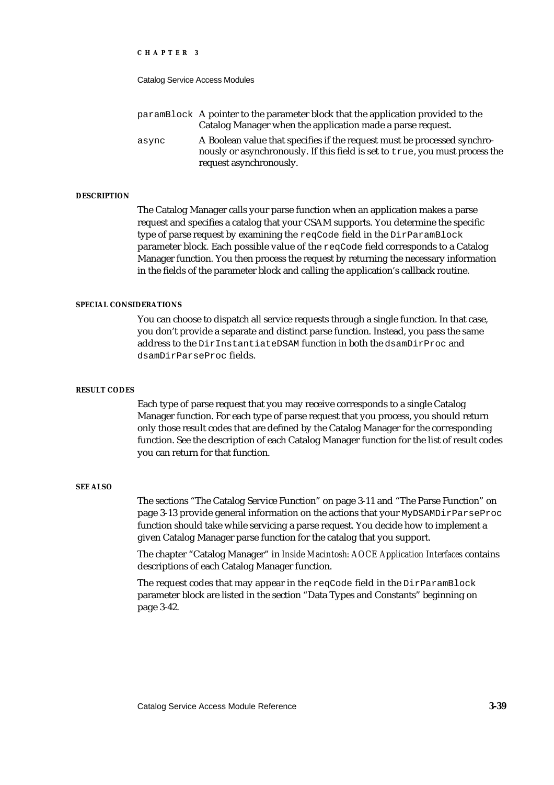Catalog Service Access Modules

paramBlock A pointer to the parameter block that the application provided to the Catalog Manager when the application made a parse request. async A Boolean value that specifies if the request must be processed synchronously or asynchronously. If this field is set to true, you must process the request asynchronously.

#### **DESCRIPTION**

The Catalog Manager calls your parse function when an application makes a parse request and specifies a catalog that your CSAM supports. You determine the specific type of parse request by examining the reqCode field in the DirParamBlock parameter block. Each possible value of the reqCode field corresponds to a Catalog Manager function. You then process the request by returning the necessary information in the fields of the parameter block and calling the application's callback routine.

#### **SPECIAL CONSIDERATIONS**

You can choose to dispatch all service requests through a single function. In that case, you don't provide a separate and distinct parse function. Instead, you pass the same address to the DirInstantiateDSAM function in both the dsamDirProc and dsamDirParseProc fields.

#### **RESULT CODES**

Each type of parse request that you may receive corresponds to a single Catalog Manager function. For each type of parse request that you process, you should return only those result codes that are defined by the Catalog Manager for the corresponding function. See the description of each Catalog Manager function for the list of result codes you can return for that function.

#### **SEE ALSO**

The sections "The Catalog Service Function" on page 3-11 and "The Parse Function" on page 3-13 provide general information on the actions that your MyDSAMDirParseProc function should take while servicing a parse request. You decide how to implement a given Catalog Manager parse function for the catalog that you support.

The chapter "Catalog Manager" in *Inside Macintosh: AOCE Application Interfaces* contains descriptions of each Catalog Manager function.

The request codes that may appear in the reqCode field in the DirParamBlock parameter block are listed in the section "Data Types and Constants" beginning on page 3-42.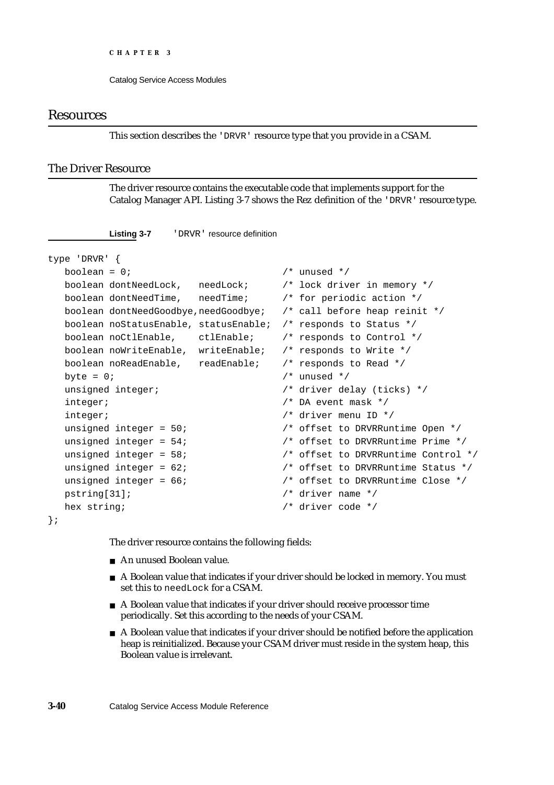Catalog Service Access Modules

## Resources

This section describes the 'DRVR' resource type that you provide in a CSAM.

### The Driver Resource

The driver resource contains the executable code that implements support for the Catalog Manager API. Listing 3-7 shows the Rez definition of the 'DRVR' resource type.

```
type 'DRVR' {
  boolean = 0; \frac{1}{2} inused \frac{1}{2} /* unused \frac{1}{2} /* unused \frac{1}{2} /* unused \frac{1}{2} /* unused \frac{1}{2} /* unused \frac{1}{2} /* unused \frac{1}{2} /* unused \frac{1}{2} /* unused \frac{1}{2} /* unused \frac{1}{2}boolean dontNeedLock, needLock; /* lock driver in memory */
  boolean dontNeedTime, needTime; /* for periodic action */
  boolean dontNeedGoodbye,needGoodbye; /* call before heap reinit */
  boolean noStatusEnable, statusEnable; /* responds to Status */
  boolean noCtlEnable, ctlEnable; /* responds to Control */
  boolean noWriteEnable, writeEnable; /* responds to Write */
  boolean noReadEnable, readEnable; /* responds to Read */
  byte = 0; \frac{1}{2} /* unused */
  unsigned integer; \overline{a} /* driver delay (ticks) */
  integer; \frac{1}{2} /* DA event mask */
  integer; /* driver menu ID */
  unsigned integer = 50; \frac{1}{2} offset to DRVRRuntime Open \frac{*}{2}unsigned integer = 54; \frac{1}{2} /* offset to DRVRRuntime Prime */
  unsigned integer = 58; \frac{1}{2} /* offset to DRVRRuntime Control */
  unsigned integer = 62; \hspace{1.5cm} /* offset to DRVRRuntime Status */
  unsigned integer = 66; \frac{1}{2} /* offset to DRVRRuntime Close */
  pstring[31]; /* driver name */
  hex string; \frac{1}{2} /* driver code */
```
};

The driver resource contains the following fields:

- An unused Boolean value.
- A Boolean value that indicates if your driver should be locked in memory. You must set this to needLock for a CSAM.
- A Boolean value that indicates if your driver should receive processor time periodically. Set this according to the needs of your CSAM.
- A Boolean value that indicates if your driver should be notified before the application heap is reinitialized. Because your CSAM driver must reside in the system heap, this Boolean value is irrelevant.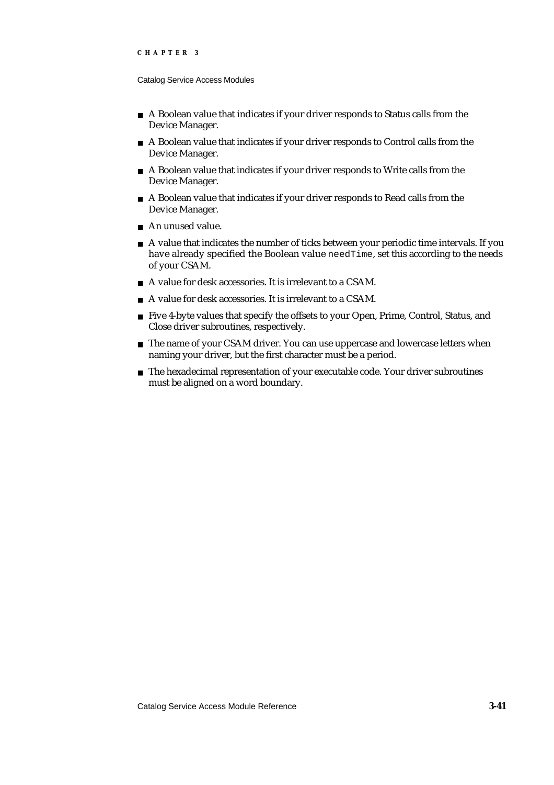#### Catalog Service Access Modules

- A Boolean value that indicates if your driver responds to Status calls from the Device Manager.
- A Boolean value that indicates if your driver responds to Control calls from the Device Manager.
- A Boolean value that indicates if your driver responds to Write calls from the Device Manager.
- A Boolean value that indicates if your driver responds to Read calls from the Device Manager.
- An unused value.
- $A$  A value that indicates the number of ticks between your periodic time intervals. If you have already specified the Boolean value needTime, set this according to the needs of your CSAM.
- A value for desk accessories. It is irrelevant to a CSAM.
- A value for desk accessories. It is irrelevant to a CSAM.
- Five 4-byte values that specify the offsets to your Open, Prime, Control, Status, and Close driver subroutines, respectively.
- n The name of your CSAM driver. You can use uppercase and lowercase letters when naming your driver, but the first character must be a period.
- $n$  The hexadecimal representation of your executable code. Your driver subroutines must be aligned on a word boundary.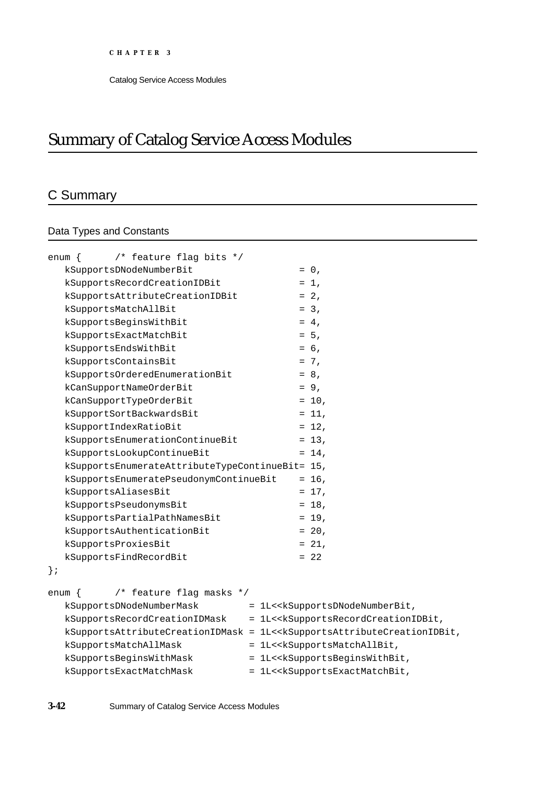# Summary of Catalog Service Access Modules

# C Summary

# Data Types and Constants

| /* feature flag bits */<br>$enum \{$            |                                                                                                                      |
|-------------------------------------------------|----------------------------------------------------------------------------------------------------------------------|
| kSupportsDNodeNumberBit                         | $= 0,$                                                                                                               |
| kSupportsRecordCreationIDBit                    | $= 1$ ,                                                                                                              |
| kSupportsAttributeCreationIDBit                 | $= 2,$                                                                                                               |
| kSupportsMatchAllBit                            | $= 3.$                                                                                                               |
| kSupportsBeginsWithBit                          | $= 4,$                                                                                                               |
| kSupportsExactMatchBit                          | $= 5.$                                                                                                               |
| kSupportsEndsWithBit                            | $= 6,$                                                                                                               |
| kSupportsContainsBit                            | $= 7,$                                                                                                               |
| kSupportsOrderedEnumerationBit                  | $= 8,$                                                                                                               |
| kCanSupportNameOrderBit                         | $= 9,$                                                                                                               |
| kCanSupportTypeOrderBit                         | $= 10$ ,                                                                                                             |
| kSupportSortBackwardsBit                        | $= 11$ ,                                                                                                             |
| kSupportIndexRatioBit                           | $= 12$ ,                                                                                                             |
| kSupportsEnumerationContinueBit                 | $= 13,$                                                                                                              |
| kSupportsLookupContinueBit                      | $= 14$ ,                                                                                                             |
| kSupportsEnumerateAttributeTypeContinueBit= 15, |                                                                                                                      |
| kSupportsEnumeratePseudonymContinueBit          | $= 16$ ,                                                                                                             |
| kSupportsAliasesBit                             | $= 17$ ,                                                                                                             |
| kSupportsPseudonymsBit                          | $= 18$ ,                                                                                                             |
| kSupportsPartialPathNamesBit                    | $= 19$ ,                                                                                                             |
| kSupportsAuthenticationBit                      | $= 20,$                                                                                                              |
| kSupportsProxiesBit                             | $= 21,$                                                                                                              |
| kSupportsFindRecordBit                          | $= 22$                                                                                                               |
| $\}$ ;                                          |                                                                                                                      |
|                                                 |                                                                                                                      |
| /* feature flag masks */<br>enum {              |                                                                                                                      |
| kSupportsDNodeNumberMask                        | = 1L< <ksupportsdnodenumberbit,< td=""></ksupportsdnodenumberbit,<>                                                  |
| kSupportsRecordCreationIDMask                   | = 1L< <ksupportsrecordcreationidbit,< td=""></ksupportsrecordcreationidbit,<>                                        |
|                                                 | kSupportsAttributeCreationIDMask = 1L< <ksupportsattributecreationidbit,< td=""></ksupportsattributecreationidbit,<> |
| kSupportsMatchAllMask                           | = 1L< <ksupportsmatchallbit,< td=""></ksupportsmatchallbit,<>                                                        |
| kSupportsBeginsWithMask                         | = 1L< <ksupportsbeginswithbit,< td=""></ksupportsbeginswithbit,<>                                                    |
| kSupportsExactMatchMask                         | = 1L< <ksupportsexactmatchbit,< td=""></ksupportsexactmatchbit,<>                                                    |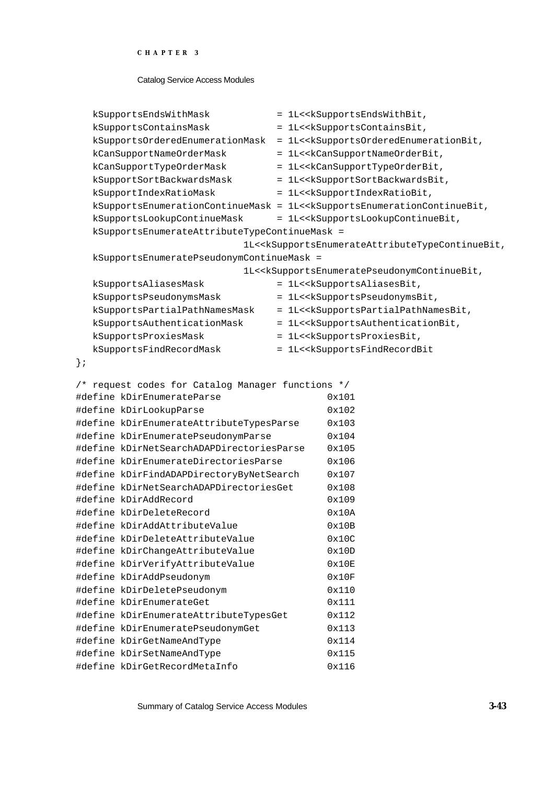#### Catalog Service Access Modules

|        | kSupportsEndsWithMask                             | = 1L< <ksupportsendswithbit,< td=""></ksupportsendswithbit,<>                                                        |
|--------|---------------------------------------------------|----------------------------------------------------------------------------------------------------------------------|
|        | kSupportsContainsMask                             | = 1L< <ksupportscontainsbit,< td=""></ksupportscontainsbit,<>                                                        |
|        | kSupportsOrderedEnumerationMask                   | = 1L< <ksupportsorderedenumerationbit,< td=""></ksupportsorderedenumerationbit,<>                                    |
|        | kCanSupportNameOrderMask                          | = 1L< <kcansupportnameorderbit,< td=""></kcansupportnameorderbit,<>                                                  |
|        | kCanSupportTypeOrderMask                          | = 1L< <kcansupporttypeorderbit,< td=""></kcansupporttypeorderbit,<>                                                  |
|        | kSupportSortBackwardsMask                         | = 1L< <ksupportsortbackwardsbit,< td=""></ksupportsortbackwardsbit,<>                                                |
|        | kSupportIndexRatioMask                            | = 1L< <ksupportindexratiobit,< td=""></ksupportindexratiobit,<>                                                      |
|        |                                                   | kSupportsEnumerationContinueMask = 1L< <ksupportsenumerationcontinuebit,< td=""></ksupportsenumerationcontinuebit,<> |
|        | kSupportsLookupContinueMask                       | = 1L< <ksupportslookupcontinuebit,< td=""></ksupportslookupcontinuebit,<>                                            |
|        | kSupportsEnumerateAttributeTypeContinueMask =     |                                                                                                                      |
|        |                                                   | 1L< <ksupportsenumerateattributetypecontinuebit,< td=""></ksupportsenumerateattributetypecontinuebit,<>              |
|        | kSupportsEnumeratePseudonymContinueMask =         |                                                                                                                      |
|        |                                                   | 1L< <ksupportsenumeratepseudonymcontinuebit,< td=""></ksupportsenumeratepseudonymcontinuebit,<>                      |
|        | kSupportsAliasesMask                              | = 1L< <ksupportsaliasesbit,< td=""></ksupportsaliasesbit,<>                                                          |
|        | kSupportsPseudonymsMask                           | = 1L< <ksupportspseudonymsbit,< td=""></ksupportspseudonymsbit,<>                                                    |
|        | kSupportsPartialPathNamesMask                     | = 1L< <ksupportspartialpathnamesbit,< td=""></ksupportspartialpathnamesbit,<>                                        |
|        | kSupportsAuthenticationMask                       | = 1L< <ksupportsauthenticationbit,< td=""></ksupportsauthenticationbit,<>                                            |
|        | kSupportsProxiesMask                              | = 1L< <ksupportsproxiesbit,< td=""></ksupportsproxiesbit,<>                                                          |
|        | kSupportsFindRecordMask                           | = 1L< <ksupportsfindrecordbit< td=""></ksupportsfindrecordbit<>                                                      |
| $\}$ ; |                                                   |                                                                                                                      |
|        |                                                   |                                                                                                                      |
|        | /* request codes for Catalog Manager functions */ |                                                                                                                      |
|        | #define kDirEnumerateParse                        | 0x101                                                                                                                |
|        | #define kDirLookupParse                           | 0x102                                                                                                                |
|        | #define kDirEnumerateAttributeTypesParse          | 0x103                                                                                                                |
|        | #define kDirEnumeratePseudonymParse               | 0x104                                                                                                                |
|        | #define kDirNetSearchADAPDirectoriesParse         | 0x105                                                                                                                |
|        | #define kDirEnumerateDirectoriesParse             | 0x106                                                                                                                |
|        | #define kDirFindADAPDirectoryByNetSearch          | 0x107                                                                                                                |
|        | #define kDirNetSearchADAPDirectoriesGet           | 0x108                                                                                                                |
|        | #define kDirAddRecord                             | 0x109                                                                                                                |
|        | #define kDirDeleteRecord                          | 0x10A                                                                                                                |
|        | #define kDirAddAttributeValue                     | 0x10B                                                                                                                |
|        | #define kDirDeleteAttributeValue                  | 0x10C                                                                                                                |
|        | #define kDirChangeAttributeValue                  | 0x10D                                                                                                                |
|        | #define kDirVerifyAttributeValue                  | 0x10E                                                                                                                |
|        | #define kDirAddPseudonym                          | 0x10F                                                                                                                |
|        | #define kDirDeletePseudonym                       | 0x110                                                                                                                |
|        | #define kDirEnumerateGet                          | 0x111                                                                                                                |
|        | #define kDirEnumerateAttributeTypesGet            | 0x112                                                                                                                |
|        | #define kDirEnumeratePseudonymGet                 | 0x113                                                                                                                |
|        | #define kDirGetNameAndType                        | 0x114                                                                                                                |
|        | #define kDirSetNameAndType                        | 0x115                                                                                                                |
|        | #define kDirGetRecordMetaInfo                     | 0x116                                                                                                                |

Summary of Catalog Service Access Modules **3-43**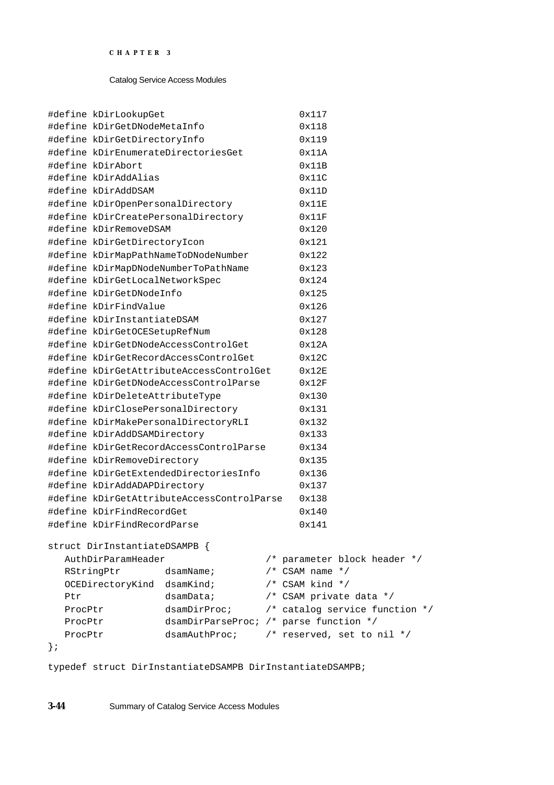| #define kDirLookupGet                           |               |                                                                                                                                                                                                                                                                                                                                                                                                                                                                                                                                                                                                                                                                                                                                                                                       | 0x117                                                                                                                                                                       |
|-------------------------------------------------|---------------|---------------------------------------------------------------------------------------------------------------------------------------------------------------------------------------------------------------------------------------------------------------------------------------------------------------------------------------------------------------------------------------------------------------------------------------------------------------------------------------------------------------------------------------------------------------------------------------------------------------------------------------------------------------------------------------------------------------------------------------------------------------------------------------|-----------------------------------------------------------------------------------------------------------------------------------------------------------------------------|
|                                                 |               |                                                                                                                                                                                                                                                                                                                                                                                                                                                                                                                                                                                                                                                                                                                                                                                       | 0x118                                                                                                                                                                       |
|                                                 |               |                                                                                                                                                                                                                                                                                                                                                                                                                                                                                                                                                                                                                                                                                                                                                                                       | 0x119                                                                                                                                                                       |
| #define kDirEnumerateDirectoriesGet             |               |                                                                                                                                                                                                                                                                                                                                                                                                                                                                                                                                                                                                                                                                                                                                                                                       | 0x11A                                                                                                                                                                       |
| #define kDirAbort                               |               |                                                                                                                                                                                                                                                                                                                                                                                                                                                                                                                                                                                                                                                                                                                                                                                       | 0x11B                                                                                                                                                                       |
| #define kDirAddAlias                            |               |                                                                                                                                                                                                                                                                                                                                                                                                                                                                                                                                                                                                                                                                                                                                                                                       | 0x11C                                                                                                                                                                       |
| #define kDirAddDSAM                             |               |                                                                                                                                                                                                                                                                                                                                                                                                                                                                                                                                                                                                                                                                                                                                                                                       | 0x11D                                                                                                                                                                       |
|                                                 |               |                                                                                                                                                                                                                                                                                                                                                                                                                                                                                                                                                                                                                                                                                                                                                                                       | 0x11E                                                                                                                                                                       |
|                                                 |               |                                                                                                                                                                                                                                                                                                                                                                                                                                                                                                                                                                                                                                                                                                                                                                                       | 0x11F                                                                                                                                                                       |
|                                                 |               |                                                                                                                                                                                                                                                                                                                                                                                                                                                                                                                                                                                                                                                                                                                                                                                       | 0x120                                                                                                                                                                       |
|                                                 |               |                                                                                                                                                                                                                                                                                                                                                                                                                                                                                                                                                                                                                                                                                                                                                                                       | 0x121                                                                                                                                                                       |
|                                                 |               |                                                                                                                                                                                                                                                                                                                                                                                                                                                                                                                                                                                                                                                                                                                                                                                       | 0x122                                                                                                                                                                       |
|                                                 |               |                                                                                                                                                                                                                                                                                                                                                                                                                                                                                                                                                                                                                                                                                                                                                                                       | 0x123                                                                                                                                                                       |
|                                                 |               |                                                                                                                                                                                                                                                                                                                                                                                                                                                                                                                                                                                                                                                                                                                                                                                       | 0x124                                                                                                                                                                       |
|                                                 |               |                                                                                                                                                                                                                                                                                                                                                                                                                                                                                                                                                                                                                                                                                                                                                                                       | 0x125                                                                                                                                                                       |
|                                                 |               |                                                                                                                                                                                                                                                                                                                                                                                                                                                                                                                                                                                                                                                                                                                                                                                       | 0x126                                                                                                                                                                       |
|                                                 |               |                                                                                                                                                                                                                                                                                                                                                                                                                                                                                                                                                                                                                                                                                                                                                                                       | 0x127                                                                                                                                                                       |
|                                                 |               |                                                                                                                                                                                                                                                                                                                                                                                                                                                                                                                                                                                                                                                                                                                                                                                       | 0x128                                                                                                                                                                       |
|                                                 |               |                                                                                                                                                                                                                                                                                                                                                                                                                                                                                                                                                                                                                                                                                                                                                                                       | 0x12A                                                                                                                                                                       |
|                                                 |               |                                                                                                                                                                                                                                                                                                                                                                                                                                                                                                                                                                                                                                                                                                                                                                                       | 0x12C                                                                                                                                                                       |
|                                                 |               |                                                                                                                                                                                                                                                                                                                                                                                                                                                                                                                                                                                                                                                                                                                                                                                       | 0x12E                                                                                                                                                                       |
| #define kDirGetDNodeAccessControlParse<br>0x12F |               |                                                                                                                                                                                                                                                                                                                                                                                                                                                                                                                                                                                                                                                                                                                                                                                       |                                                                                                                                                                             |
| #define kDirDeleteAttributeType<br>0x130        |               |                                                                                                                                                                                                                                                                                                                                                                                                                                                                                                                                                                                                                                                                                                                                                                                       |                                                                                                                                                                             |
| #define kDirClosePersonalDirectory<br>0x131     |               |                                                                                                                                                                                                                                                                                                                                                                                                                                                                                                                                                                                                                                                                                                                                                                                       |                                                                                                                                                                             |
| #define kDirMakePersonalDirectoryRLI<br>0x132   |               |                                                                                                                                                                                                                                                                                                                                                                                                                                                                                                                                                                                                                                                                                                                                                                                       |                                                                                                                                                                             |
| #define kDirAddDSAMDirectory<br>0x133           |               |                                                                                                                                                                                                                                                                                                                                                                                                                                                                                                                                                                                                                                                                                                                                                                                       |                                                                                                                                                                             |
|                                                 |               |                                                                                                                                                                                                                                                                                                                                                                                                                                                                                                                                                                                                                                                                                                                                                                                       | 0x134                                                                                                                                                                       |
|                                                 |               |                                                                                                                                                                                                                                                                                                                                                                                                                                                                                                                                                                                                                                                                                                                                                                                       | 0x135                                                                                                                                                                       |
|                                                 |               |                                                                                                                                                                                                                                                                                                                                                                                                                                                                                                                                                                                                                                                                                                                                                                                       | 0x136                                                                                                                                                                       |
|                                                 |               |                                                                                                                                                                                                                                                                                                                                                                                                                                                                                                                                                                                                                                                                                                                                                                                       | 0x137                                                                                                                                                                       |
|                                                 |               |                                                                                                                                                                                                                                                                                                                                                                                                                                                                                                                                                                                                                                                                                                                                                                                       | 0x138                                                                                                                                                                       |
|                                                 |               |                                                                                                                                                                                                                                                                                                                                                                                                                                                                                                                                                                                                                                                                                                                                                                                       | 0x140                                                                                                                                                                       |
|                                                 |               |                                                                                                                                                                                                                                                                                                                                                                                                                                                                                                                                                                                                                                                                                                                                                                                       | 0x141                                                                                                                                                                       |
|                                                 |               |                                                                                                                                                                                                                                                                                                                                                                                                                                                                                                                                                                                                                                                                                                                                                                                       |                                                                                                                                                                             |
|                                                 |               |                                                                                                                                                                                                                                                                                                                                                                                                                                                                                                                                                                                                                                                                                                                                                                                       | /* parameter block header */                                                                                                                                                |
| RStringPtr                                      | dsamName;     |                                                                                                                                                                                                                                                                                                                                                                                                                                                                                                                                                                                                                                                                                                                                                                                       | $/*$ CSAM name $*/$                                                                                                                                                         |
|                                                 |               |                                                                                                                                                                                                                                                                                                                                                                                                                                                                                                                                                                                                                                                                                                                                                                                       | $/*$ CSAM kind */                                                                                                                                                           |
|                                                 | dsamData;     |                                                                                                                                                                                                                                                                                                                                                                                                                                                                                                                                                                                                                                                                                                                                                                                       | /* CSAM private data */                                                                                                                                                     |
| dsamDirProc;<br>ProcPtr                         |               |                                                                                                                                                                                                                                                                                                                                                                                                                                                                                                                                                                                                                                                                                                                                                                                       | /* catalog service function */                                                                                                                                              |
| ProcPtr                                         |               |                                                                                                                                                                                                                                                                                                                                                                                                                                                                                                                                                                                                                                                                                                                                                                                       |                                                                                                                                                                             |
| ProcPtr                                         | dsamAuthProc; |                                                                                                                                                                                                                                                                                                                                                                                                                                                                                                                                                                                                                                                                                                                                                                                       | $/*$ reserved, set to nil */                                                                                                                                                |
|                                                 |               |                                                                                                                                                                                                                                                                                                                                                                                                                                                                                                                                                                                                                                                                                                                                                                                       |                                                                                                                                                                             |
|                                                 |               | #define kDirGetDNodeMetaInfo<br>#define kDirGetDirectoryInfo<br>#define kDirOpenPersonalDirectory<br>#define kDirCreatePersonalDirectory<br>#define kDirRemoveDSAM<br>#define kDirGetDirectoryIcon<br>#define kDirMapPathNameToDNodeNumber<br>#define kDirMapDNodeNumberToPathName<br>#define kDirGetLocalNetworkSpec<br>#define kDirGetDNodeInfo<br>#define kDirFindValue<br>#define kDirInstantiateDSAM<br>#define kDirGetOCESetupRefNum<br>#define kDirGetDNodeAccessControlGet<br>#define kDirGetRecordAccessControlGet<br>#define kDirRemoveDirectory<br>#define kDirGetExtendedDirectoriesInfo<br>#define kDirAddADAPDirectory<br>#define kDirFindRecordGet<br>#define kDirFindRecordParse<br>struct DirInstantiateDSAMPB {<br>AuthDirParamHeader<br>OCEDirectoryKind dsamKind; | #define kDirGetAttributeAccessControlGet<br>#define kDirGetRecordAccessControlParse<br>#define kDirGetAttributeAccessControlParse<br>dsamDirParseProc; /* parse function */ |

typedef struct DirInstantiateDSAMPB DirInstantiateDSAMPB;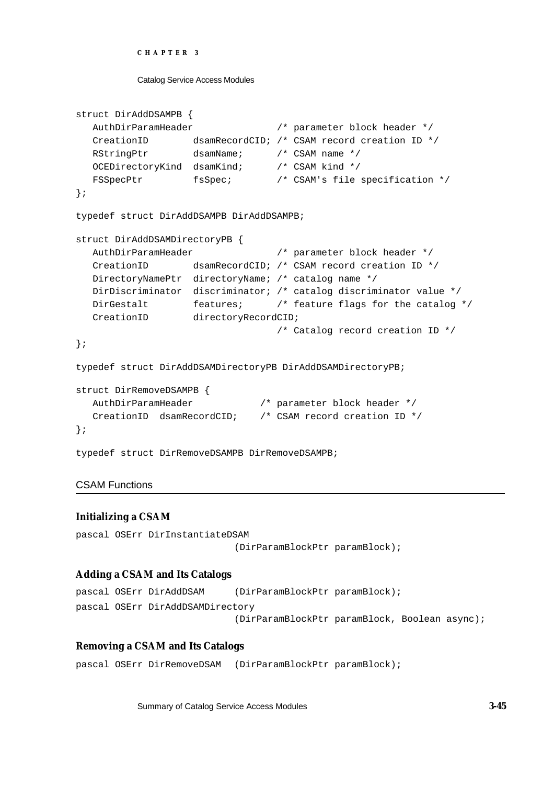```
CHAPTER 3
```

```
struct DirAddDSAMPB {
  AuthDirParamHeader /* parameter block header */
  CreationID dsamRecordCID; /* CSAM record creation ID */
  RStringPtr dsamName; /* CSAM name */
  OCEDirectoryKind dsamKind; /* CSAM kind */
  FSSpecPtr fsSpec; /* CSAM's file specification */
};
typedef struct DirAddDSAMPB DirAddDSAMPB;
struct DirAddDSAMDirectoryPB {
  AuthDirParamHeader /* parameter block header */
  CreationID dsamRecordCID; /* CSAM record creation ID */
  DirectoryNamePtr directoryName; /* catalog name */
  DirDiscriminator discriminator; /* catalog discriminator value */
  DirGestalt features; /* feature flags for the catalog */
  CreationID directoryRecordCID;
                                /* Catalog record creation ID */
};
typedef struct DirAddDSAMDirectoryPB DirAddDSAMDirectoryPB;
struct DirRemoveDSAMPB {
  AuthDirParamHeader /* parameter block header */
  CreationID dsamRecordCID; /* CSAM record creation ID */
};
typedef struct DirRemoveDSAMPB DirRemoveDSAMPB;
```
## CSAM Functions

## **Initializing a CSAM**

```
pascal OSErr DirInstantiateDSAM
                             (DirParamBlockPtr paramBlock);
```
## **Adding a CSAM and Its Catalogs**

```
pascal OSErr DirAddDSAM (DirParamBlockPtr paramBlock);
pascal OSErr DirAddDSAMDirectory 
                            (DirParamBlockPtr paramBlock, Boolean async);
```
## **Removing a CSAM and Its Catalogs**

pascal OSErr DirRemoveDSAM (DirParamBlockPtr paramBlock);

Summary of Catalog Service Access Modules **3-45**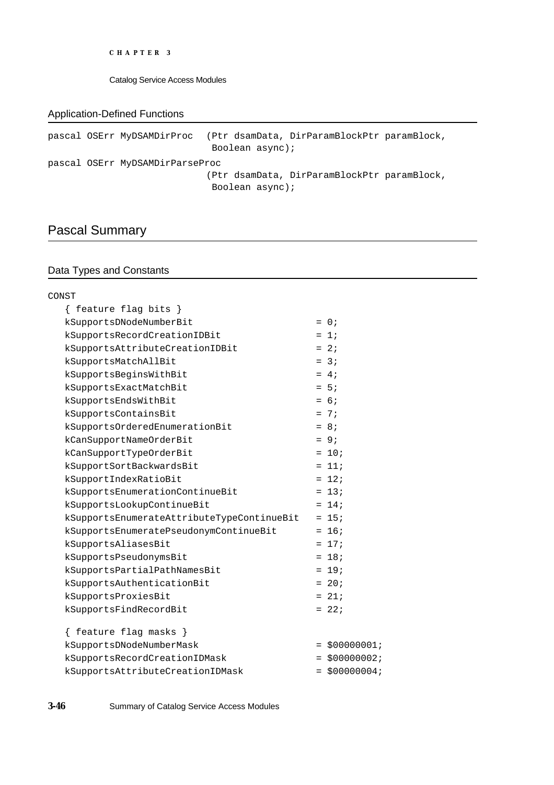Catalog Service Access Modules

## Application-Defined Functions

```
pascal OSErr MyDSAMDirProc (Ptr dsamData, DirParamBlockPtr paramBlock,
                             Boolean async);
pascal OSErr MyDSAMDirParseProc
                            (Ptr dsamData, DirParamBlockPtr paramBlock,
                             Boolean async);
```
# Pascal Summary

## Data Types and Constants

| CONST                                      |                 |
|--------------------------------------------|-----------------|
| { feature flag bits }                      |                 |
| kSupportsDNodeNumberBit                    | $= 0$ ;         |
| kSupportsRecordCreationIDBit               | $= 1$           |
| kSupportsAttributeCreationIDBit            | $= 2i$          |
| kSupportsMatchAllBit                       | $= 3i$          |
| kSupportsBeginsWithBit                     | $= 4i$          |
| kSupportsExactMatchBit                     | $= 5:$          |
| kSupportsEndsWithBit                       | $= 6i$          |
| kSupportsContainsBit                       | $= 7i$          |
| kSupportsOrderedEnumerationBit             | $= 8;$          |
| kCanSupportNameOrderBit                    | $= 9i$          |
| kCanSupportTypeOrderBit                    | $= 10;$         |
| kSupportSortBackwardsBit                   | $= 11;$         |
| kSupportIndexRatioBit                      | $= 12i$         |
| kSupportsEnumerationContinueBit            | $= 13;$         |
| kSupportsLookupContinueBit                 | $= 14;$         |
| kSupportsEnumerateAttributeTypeContinueBit | $= 15;$         |
| kSupportsEnumeratePseudonymContinueBit     | $= 16;$         |
| kSupportsAliasesBit                        | $= 17i$         |
| kSupportsPseudonymsBit                     | $= 18;$         |
| kSupportsPartialPathNamesBit               | $= 19;$         |
| kSupportsAuthenticationBit                 | $= 20;$         |
| kSupportsProxiesBit                        | $= 21;$         |
| kSupportsFindRecordBit                     | $= 22i$         |
| feature flag masks }                       |                 |
| kSupportsDNodeNumberMask                   | $= $00000001;$  |
| kSupportsRecordCreationIDMask              | $= $000000002;$ |
| kSupportsAttributeCreationIDMask           | $= $000000004;$ |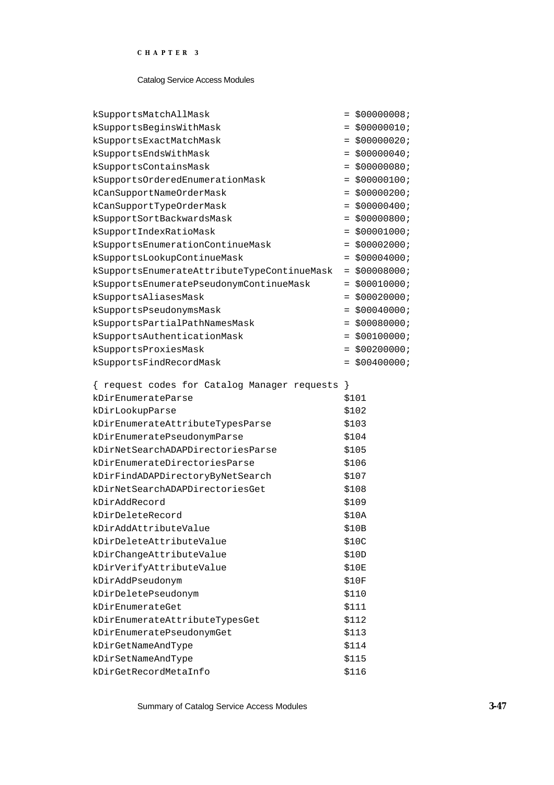#### Catalog Service Access Modules

| kSupportsMatchAllMask                          |     | $= $00000008;$  |
|------------------------------------------------|-----|-----------------|
| kSupportsBeginsWithMask                        |     | $= $000000010;$ |
| kSupportsExactMatchMask                        | $=$ | \$00000020;     |
| kSupportsEndsWithMask                          | $=$ | \$00000040;     |
| kSupportsContainsMask                          | $=$ | \$00000080;     |
| kSupportsOrderedEnumerationMask                |     | $= $00000100;$  |
| kCanSupportNameOrderMask                       |     | $=$ \$00000200; |
| kCanSupportTypeOrderMask                       |     | $= $00000400;$  |
| kSupportSortBackwardsMask                      |     | $= $00000800;$  |
| kSupportIndexRatioMask                         |     | $=$ \$00001000; |
| kSupportsEnumerationContinueMask               |     | $= $00002000;$  |
| kSupportsLookupContinueMask                    | $=$ | \$00004000;     |
| kSupportsEnumerateAttributeTypeContinueMask    |     | $= $00008000;$  |
| kSupportsEnumeratePseudonymContinueMask        | $=$ | \$00010000;     |
| kSupportsAliasesMask                           | $=$ | \$00020000;     |
| kSupportsPseudonymsMask                        | $=$ | \$00040000;     |
| kSupportsPartialPathNamesMask                  | $=$ | \$00080000;     |
| kSupportsAuthenticationMask                    | $=$ | \$00100000;     |
| kSupportsProxiesMask                           |     | $=$ \$00200000; |
| kSupportsFindRecordMask                        | $=$ | \$00400000;     |
| I request godes for Catalog Manager requests l |     |                 |

| { request codes for Catalog Manager requests | ł     |
|----------------------------------------------|-------|
| kDirEnumerateParse                           | \$101 |
| kDirLookupParse                              | \$102 |
| kDirEnumerateAttributeTypesParse             | \$103 |
| kDirEnumeratePseudonymParse                  | \$104 |
| kDirNetSearchADAPDirectoriesParse            | \$105 |
| kDirEnumerateDirectoriesParse                | \$106 |
| kDirFindADAPDirectoryByNetSearch             | \$107 |
| kDirNetSearchADAPDirectoriesGet              | \$108 |
| kDirAddRecord                                | \$109 |
| kDirDeleteRecord                             | \$10A |
| kDirAddAttributeValue                        | \$10B |
| kDirDeleteAttributeValue                     | \$10C |
| kDirChangeAttributeValue                     | \$10D |
| kDirVerifyAttributeValue                     | \$10E |
| kDirAddPseudonym                             | \$10F |
| kDirDeletePseudonym                          | \$110 |
| kDirEnumerateGet                             | \$111 |
| kDirEnumerateAttributeTypesGet               | \$112 |
| kDirEnumeratePseudonymGet                    | \$113 |
| kDirGetNameAndType                           | \$114 |
| kDirSetNameAndType                           | \$115 |
| kDirGetRecordMetaInfo                        | \$116 |

Summary of Catalog Service Access Modules **3-47**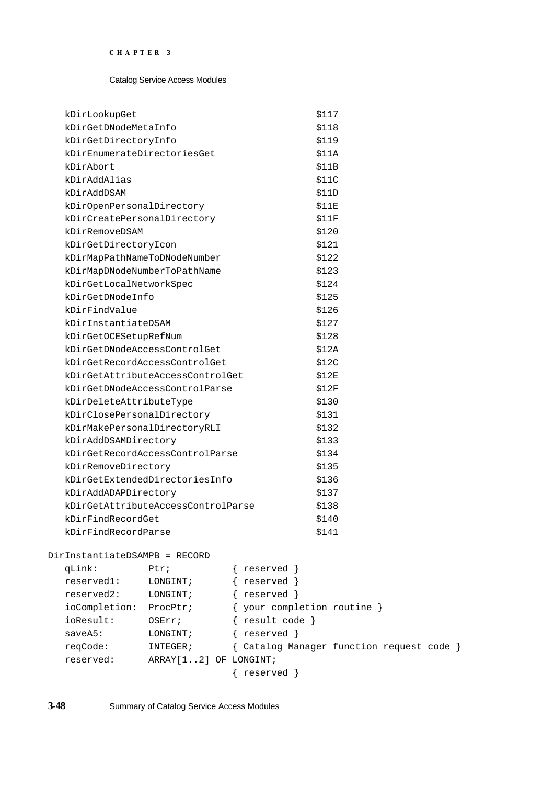| kDirLookupGet                      | \$117 |
|------------------------------------|-------|
| kDirGetDNodeMetaInfo               | \$118 |
| kDirGetDirectorvInfo               | \$119 |
| kDirEnumerateDirectoriesGet        | \$11A |
| kDirAbort                          | \$11B |
| kDirAddAlias                       | \$11C |
| kDirAddDSAM                        | \$11D |
| kDirOpenPersonalDirectory          | \$11E |
| kDirCreatePersonalDirectory        | \$11F |
| kDirRemoveDSAM                     | \$120 |
| kDirGetDirectoryIcon               | \$121 |
| kDirMapPathNameToDNodeNumber       | \$122 |
| kDirMapDNodeNumberToPathName       | \$123 |
| kDirGetLocalNetworkSpec            | \$124 |
| kDirGetDNodeInfo                   | \$125 |
| kDirFindValue                      | \$126 |
| kDirInstantiateDSAM                | \$127 |
| kDirGetOCESetupRefNum              | \$128 |
| kDirGetDNodeAccessControlGet       | \$12A |
| kDirGetRecordAccessControlGet      | \$12C |
| kDirGetAttributeAccessControlGet   | \$12E |
| kDirGetDNodeAccessControlParse     | \$12F |
| kDirDeleteAttributeType            | \$130 |
| kDirClosePersonalDirectory         | \$131 |
| kDirMakePersonalDirectoryRLI       | \$132 |
| kDirAddDSAMDirectory               | \$133 |
| kDirGetRecordAccessControlParse    | \$134 |
| kDirRemoveDirectory                | \$135 |
| kDirGetExtendedDirectoriesInfo     | \$136 |
| kDirAddADAPDirectory               | \$137 |
| kDirGetAttributeAccessControlParse | \$138 |
| kDirFindRecordGet                  | \$140 |
| kDirFindRecordParse                | \$141 |

DirInstantiateDSAMPB = RECORD

| qLink:        | Ptr:                   | reserved                                  |
|---------------|------------------------|-------------------------------------------|
| reserved1:    | LONGINT;               | reserved }                                |
| reserved2:    | LONGINT;               | reserved }                                |
| ioCompletion: | ProcPtr;               | { your completion routine }               |
| ioResult:     | OSErr;                 | result code }                             |
| saveA5:       | LONGINT;               | reserved }                                |
| reqCode:      | INTEGER;               | { Catalog Manager function request code } |
| reserved:     | ARRAY [12] OF LONGINT; |                                           |
|               |                        | reserved }                                |
|               |                        |                                           |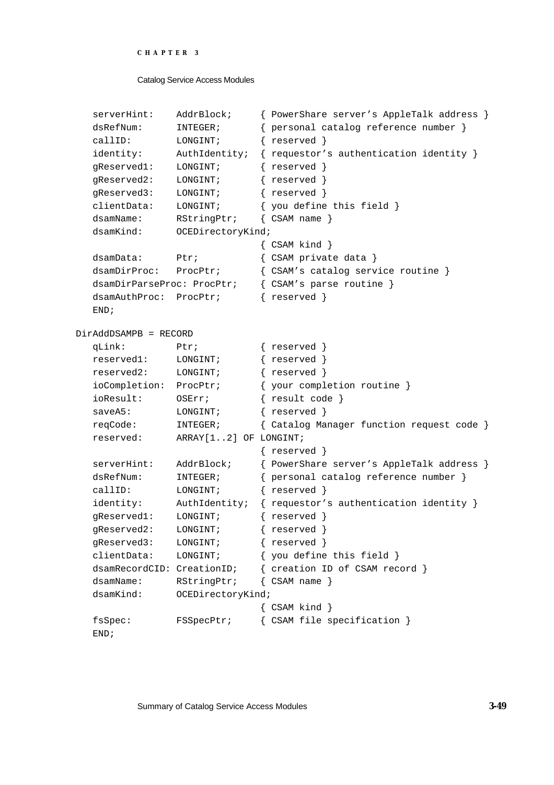```
CHAPTER 3
```

```
serverHint: AddrBlock; { PowerShare server's AppleTalk address }
  dsRefNum: INTEGER; { personal catalog reference number }
  callID: LONGINT; { reserved }
  identity: AuthIdentity; { requestor's authentication identity }
  gReserved1: LONGINT; { reserved }
  gReserved2: LONGINT; { reserved }
  gReserved3: LONGINT; { reserved }
  clientData: LONGINT; { you define this field }
  dsamName: RStringPtr; { CSAM name }
  dsamKind: OCEDirectoryKind;
                            { CSAM kind }
  dsamData: Ptr; { CSAM private data }
  dsamDirProc: ProcPtr; { CSAM's catalog service routine }
  dsamDirParseProc: ProcPtr; { CSAM's parse routine }
  dsamAuthProc: ProcPtr; { reserved }
  END;
DirAddDSAMPB = RECORD
  qLink: Ptr; { reserved }
  reserved1: LONGINT; { reserved }
  reserved2: LONGINT; { reserved }
  ioCompletion: ProcPtr; { your completion routine }
  ioResult: OSErr; { result code }
  saveA5: LONGINT; { reserved }
  reqCode: INTEGER; { Catalog Manager function request code }
  reserved: ARRAY[1..2] OF LONGINT;
                            { reserved }
  serverHint: AddrBlock; { PowerShare server's AppleTalk address }
  dsRefNum: INTEGER; { personal catalog reference number }
  callID: LONGINT; { reserved }
  identity: AuthIdentity; { requestor's authentication identity }
  gReserved1: LONGINT; { reserved }
  gReserved2: LONGINT; { reserved }
  gReserved3: LONGINT; { reserved }
  clientData: LONGINT; { you define this field }
  dsamRecordCID: CreationID; { creation ID of CSAM record }
  dsamName: RStringPtr; { CSAM name }
  dsamKind: OCEDirectoryKind;
                            { CSAM kind }
  fsSpec: FSSpecPtr; { CSAM file specification }
  END;
```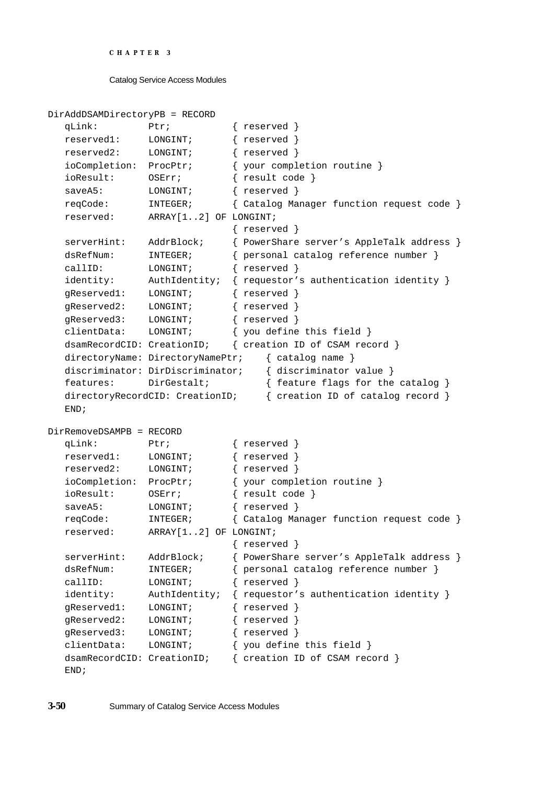```
CHAPTER 3
```

```
DirAddDSAMDirectoryPB = RECORD
  qLink: Ptr; { reserved }
  reserved1: LONGINT; { reserved }
  reserved2: LONGINT; { reserved }
  ioCompletion: ProcPtr; { your completion routine }
  ioResult: OSErr; { result code }
  saveA5: LONGINT; { reserved }
  reqCode: INTEGER; { Catalog Manager function request code }
  reserved: ARRAY[1..2] OF LONGINT;
                            { reserved }
  serverHint: AddrBlock; { PowerShare server's AppleTalk address }
  dsRefNum: INTEGER; { personal catalog reference number }
  callID: LONGINT; { reserved }
  identity: AuthIdentity; { requestor's authentication identity }
  gReserved1: LONGINT; { reserved }
  gReserved2: LONGINT; { reserved }
  gReserved3: LONGINT; { reserved }
  clientData: LONGINT; { you define this field }
  dsamRecordCID: CreationID; { creation ID of CSAM record }
  directoryName: DirectoryNamePtr; { catalog name }
  discriminator: DirDiscriminator; { discriminator value }
  features: DirGestalt; { feature flags for the catalog }
  directoryRecordCID: CreationID; { creation ID of catalog record }
  END;
DirRemoveDSAMPB = RECORD
  qLink: Ptr; { reserved }
  reserved1: LONGINT; { reserved }
  reserved2: LONGINT; { reserved }
  ioCompletion: ProcPtr; { your completion routine }
  ioResult: OSErr; { result code }
  saveA5: LONGINT; { reserved }
  reqCode: INTEGER; { Catalog Manager function request code }
  reserved: ARRAY[1..2] OF LONGINT;
                            { reserved }
  serverHint: AddrBlock; { PowerShare server's AppleTalk address }
  dsRefNum: INTEGER; { personal catalog reference number }
  callID: LONGINT; { reserved }
  identity: AuthIdentity; { requestor's authentication identity }
  gReserved1: LONGINT; { reserved }
  gReserved2: LONGINT; { reserved }
  gReserved3: LONGINT; { reserved }
  clientData: LONGINT; { you define this field }
  dsamRecordCID: CreationID; { creation ID of CSAM record }
  END;
```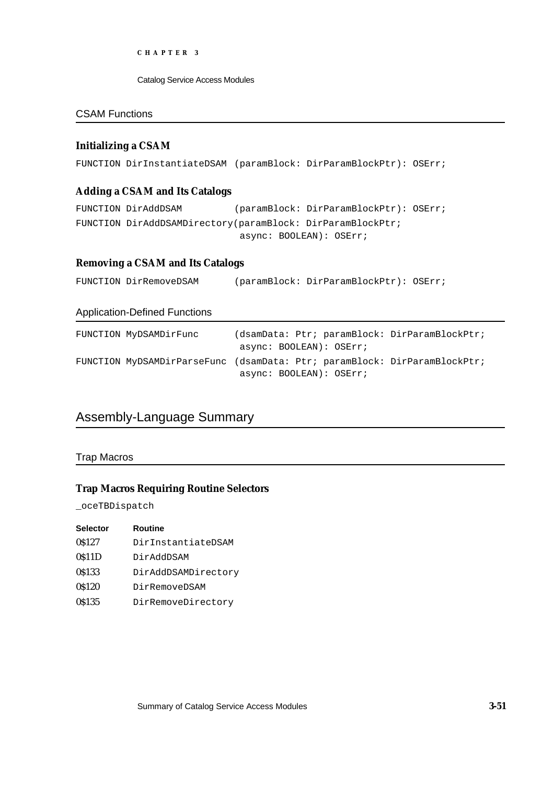Catalog Service Access Modules

## CSAM Functions

## **Initializing a CSAM**

FUNCTION DirInstantiateDSAM (paramBlock: DirParamBlockPtr): OSErr;

## **Adding a CSAM and Its Catalogs**

FUNCTION DirAddDSAM (paramBlock: DirParamBlockPtr): OSErr; FUNCTION DirAddDSAMDirectory(paramBlock: DirParamBlockPtr; async: BOOLEAN): OSErr;

# **Removing a CSAM and Its Catalogs**

FUNCTION DirRemoveDSAM (paramBlock: DirParamBlockPtr): OSErr;

#### Application-Defined Functions

| FUNCTION MyDSAMDirFunc | (dsamData: Ptr; paramBlock: DirParamBlockPtr;<br>async: BOOLEAN): OSErr;                             |
|------------------------|------------------------------------------------------------------------------------------------------|
|                        | FUNCTION MyDSAMDirParseFunc (dsamData: Ptr; paramBlock: DirParamBlockPtr;<br>async: BOOLEAN): OSErr; |

# Assembly-Language Summary

#### Trap Macros

## **Trap Macros Requiring Routine Selectors**

\_oceTBDispatch

| <b>Selector</b> | <b>Routine</b>      |
|-----------------|---------------------|
| 0\$127          | DirInstantiateDSAM  |
| 0\$11D          | DirAddDSAM          |
| 0\$133          | DirAddDSAMDirectory |
| 0\$120          | DirRemoveDSAM       |
| 0\$135          | DirRemoveDirectory  |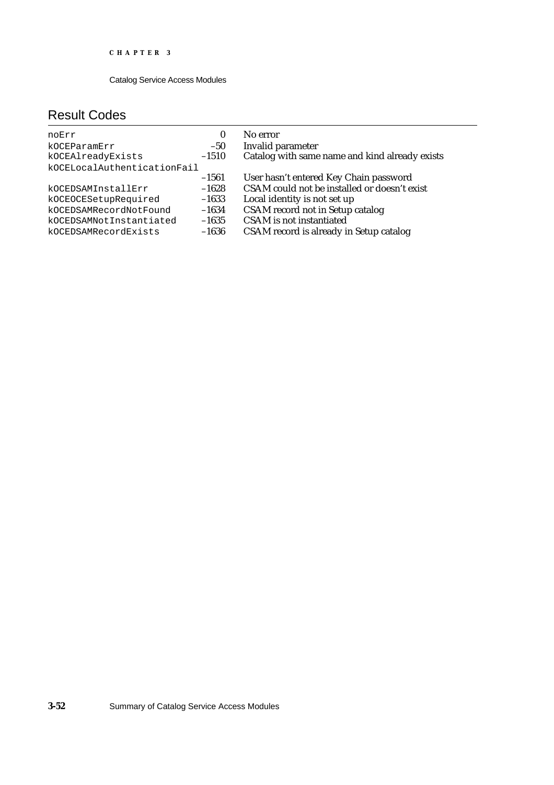# Result Codes

| noErr<br>kOCEParamErr<br>kOCEAlreadyExists<br>kOCELocalAuthenticationFail | $\bf{0}$<br>$-50$<br>$-1510$ | No error<br>Invalid parameter<br>Catalog with same name and kind already exists |
|---------------------------------------------------------------------------|------------------------------|---------------------------------------------------------------------------------|
|                                                                           | $-1561$                      | User hasn't entered Key Chain password                                          |
| kOCEDSAMInstallErr                                                        | $-1628$                      | CSAM could not be installed or doesn't exist                                    |
| kOCEOCESetupRequired                                                      | $-1633$                      | Local identity is not set up                                                    |
| kOCEDSAMRecordNotFound                                                    | $-1634$                      | <b>CSAM</b> record not in Setup catalog                                         |
| kOCEDSAMNotInstantiated                                                   | $-1635$                      | <b>CSAM</b> is not instantiated                                                 |
| kOCEDSAMRecordExists                                                      | $-1636$                      | CSAM record is already in Setup catalog                                         |

**3-52** Summary of Catalog Service Access Modules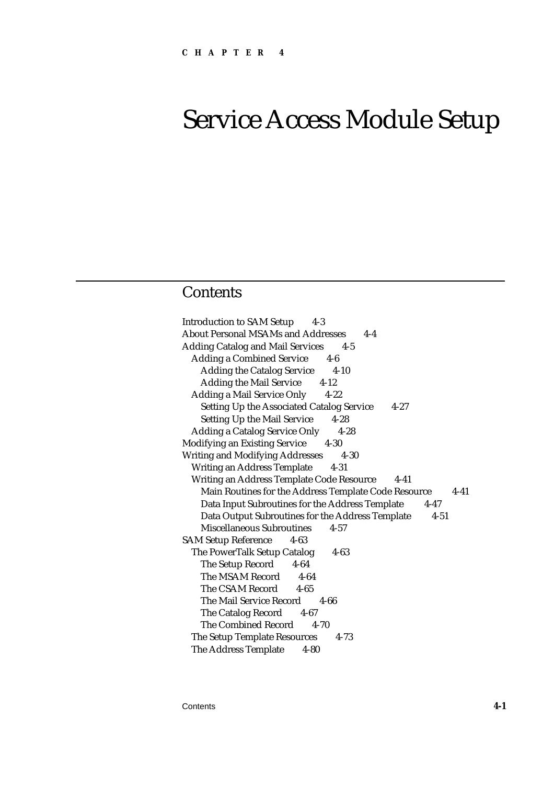# **Contents**

Introduction to SAM Setup 4-3 About Personal MSAMs and Addresses 4-4 Adding Catalog and Mail Services 4-5 Adding a Combined Service 4-6 Adding the Catalog Service 4-10 Adding the Mail Service 4-12 Adding a Mail Service Only 4-22 Setting Up the Associated Catalog Service 4-27 Setting Up the Mail Service 4-28 Adding a Catalog Service Only 4-28 Modifying an Existing Service 4-30 Writing and Modifying Addresses 4-30 Writing an Address Template 4-31 Writing an Address Template Code Resource 4-41 Main Routines for the Address Template Code Resource 4-41 Data Input Subroutines for the Address Template 4-47 Data Output Subroutines for the Address Template 4-51 Miscellaneous Subroutines 4-57 SAM Setup Reference 4-63 The PowerTalk Setup Catalog 4-63 The Setup Record 4-64 The MSAM Record 4-64 The CSAM Record 4-65 The Mail Service Record 4-66 The Catalog Record 4-67 The Combined Record 4-70 The Setup Template Resources 4-73 The Address Template 4-80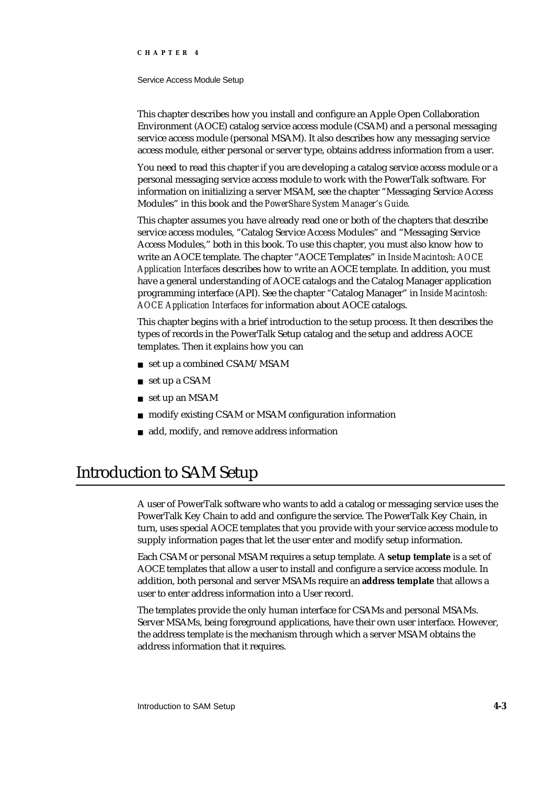#### Service Access Module Setup

This chapter describes how you install and configure an Apple Open Collaboration Environment (AOCE) catalog service access module (CSAM) and a personal messaging service access module (personal MSAM). It also describes how any messaging service access module, either personal or server type, obtains address information from a user.

You need to read this chapter if you are developing a catalog service access module or a personal messaging service access module to work with the PowerTalk software. For information on initializing a server MSAM, see the chapter "Messaging Service Access Modules" in this book and the *PowerShare System Manager's Guide*.

This chapter assumes you have already read one or both of the chapters that describe service access modules, "Catalog Service Access Modules" and "Messaging Service Access Modules," both in this book. To use this chapter, you must also know how to write an AOCE template. The chapter "AOCE Templates" in *Inside Macintosh: AOCE Application Interfaces* describes how to write an AOCE template. In addition, you must have a general understanding of AOCE catalogs and the Catalog Manager application programming interface (API). See the chapter "Catalog Manager" in *Inside Macintosh: AOCE Application Interfaces* for information about AOCE catalogs.

This chapter begins with a brief introduction to the setup process. It then describes the types of records in the PowerTalk Setup catalog and the setup and address AOCE templates. Then it explains how you can

- set up a combined CSAM/MSAM
- set up a CSAM
- set up an MSAM
- modify existing CSAM or MSAM configuration information
- add, modify, and remove address information

# Introduction to SAM Setup

A user of PowerTalk software who wants to add a catalog or messaging service uses the PowerTalk Key Chain to add and configure the service. The PowerTalk Key Chain, in turn, uses special AOCE templates that you provide with your service access module to supply information pages that let the user enter and modify setup information.

Each CSAM or personal MSAM requires a setup template. A **setup template** is a set of AOCE templates that allow a user to install and configure a service access module. In addition, both personal and server MSAMs require an **address template** that allows a user to enter address information into a User record.

The templates provide the only human interface for CSAMs and personal MSAMs. Server MSAMs, being foreground applications, have their own user interface. However, the address template is the mechanism through which a server MSAM obtains the address information that it requires.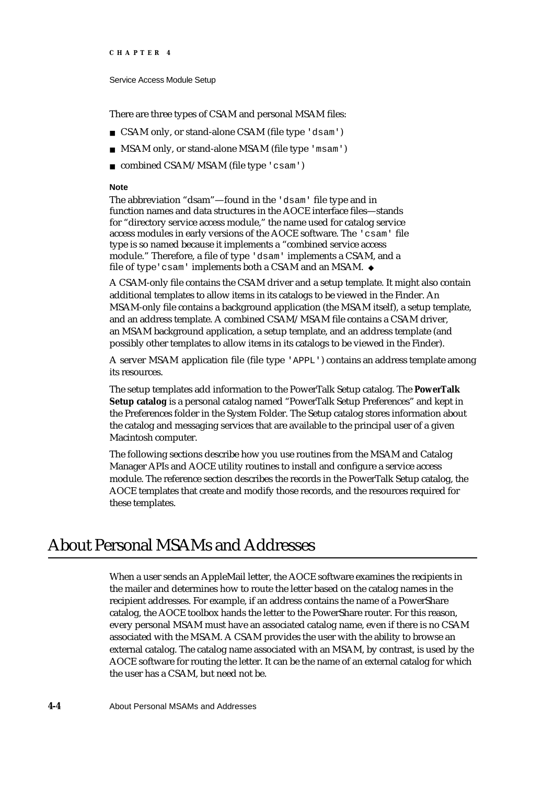Service Access Module Setup

There are three types of CSAM and personal MSAM files:

- CSAM only, or stand-alone CSAM (file type 'dsam')
- n MSAM only, or stand-alone MSAM (file type 'msam')
- combined CSAM/MSAM (file type 'csam')

#### **Note**

The abbreviation "dsam"—found in the 'dsam' file type and in function names and data structures in the AOCE interface files—stands for "directory service access module," the name used for catalog service access modules in early versions of the AOCE software. The 'csam' file type is so named because it implements a "combined service access module." Therefore, a file of type 'dsam' implements a CSAM, and a file of type'csam' implements both a CSAM and an MSAM.

A CSAM-only file contains the CSAM driver and a setup template. It might also contain additional templates to allow items in its catalogs to be viewed in the Finder. An MSAM-only file contains a background application (the MSAM itself), a setup template, and an address template. A combined CSAM/MSAM file contains a CSAM driver, an MSAM background application, a setup template, and an address template (and possibly other templates to allow items in its catalogs to be viewed in the Finder).

A server MSAM application file (file type 'APPL') contains an address template among its resources.

The setup templates add information to the PowerTalk Setup catalog. The **PowerTalk Setup catalog** is a personal catalog named "PowerTalk Setup Preferences" and kept in the Preferences folder in the System Folder. The Setup catalog stores information about the catalog and messaging services that are available to the principal user of a given Macintosh computer.

The following sections describe how you use routines from the MSAM and Catalog Manager APIs and AOCE utility routines to install and configure a service access module. The reference section describes the records in the PowerTalk Setup catalog, the AOCE templates that create and modify those records, and the resources required for these templates.

# About Personal MSAMs and Addresses

When a user sends an AppleMail letter, the AOCE software examines the recipients in the mailer and determines how to route the letter based on the catalog names in the recipient addresses. For example, if an address contains the name of a PowerShare catalog, the AOCE toolbox hands the letter to the PowerShare router. For this reason, every personal MSAM must have an associated catalog name, even if there is no CSAM associated with the MSAM. A CSAM provides the user with the ability to browse an external catalog. The catalog name associated with an MSAM, by contrast, is used by the AOCE software for routing the letter. It can be the name of an external catalog for which the user has a CSAM, but need not be.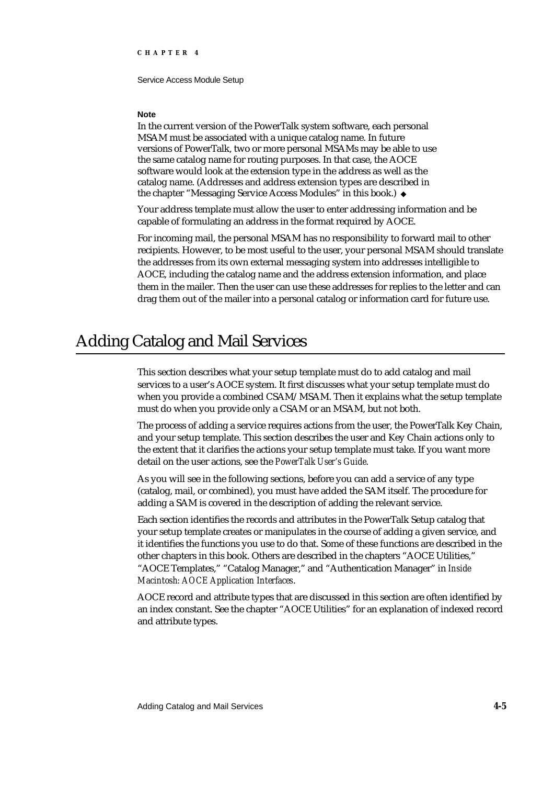#### **Note**

In the current version of the PowerTalk system software, each personal MSAM must be associated with a unique catalog name. In future versions of PowerTalk, two or more personal MSAMs may be able to use the same catalog name for routing purposes. In that case, the AOCE software would look at the extension type in the address as well as the catalog name. (Addresses and address extension types are described in the chapter "Messaging Service Access Modules" in this book.)

Your address template must allow the user to enter addressing information and be capable of formulating an address in the format required by AOCE.

For incoming mail, the personal MSAM has no responsibility to forward mail to other recipients. However, to be most useful to the user, your personal MSAM should translate the addresses from its own external messaging system into addresses intelligible to AOCE, including the catalog name and the address extension information, and place them in the mailer. Then the user can use these addresses for replies to the letter and can drag them out of the mailer into a personal catalog or information card for future use.

# Adding Catalog and Mail Services

This section describes what your setup template must do to add catalog and mail services to a user's AOCE system. It first discusses what your setup template must do when you provide a combined CSAM/MSAM. Then it explains what the setup template must do when you provide only a CSAM or an MSAM, but not both.

The process of adding a service requires actions from the user, the PowerTalk Key Chain, and your setup template. This section describes the user and Key Chain actions only to the extent that it clarifies the actions your setup template must take. If you want more detail on the user actions, see the *PowerTalk User's Guide*.

As you will see in the following sections, before you can add a service of any type (catalog, mail, or combined), you must have added the SAM itself. The procedure for adding a SAM is covered in the description of adding the relevant service.

Each section identifies the records and attributes in the PowerTalk Setup catalog that your setup template creates or manipulates in the course of adding a given service, and it identifies the functions you use to do that. Some of these functions are described in the other chapters in this book. Others are described in the chapters "AOCE Utilities," "AOCE Templates," "Catalog Manager," and "Authentication Manager" in *Inside Macintosh: AOCE Application Interfaces*.

AOCE record and attribute types that are discussed in this section are often identified by an index constant. See the chapter "AOCE Utilities" for an explanation of indexed record and attribute types.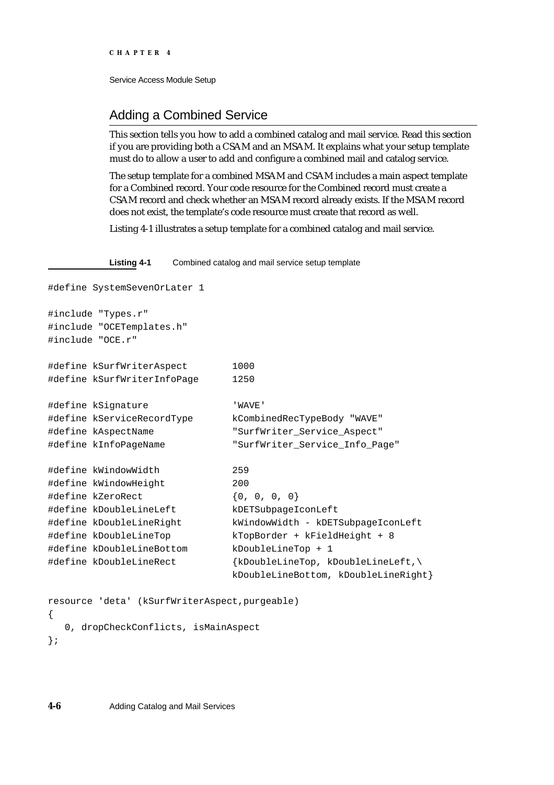# Adding a Combined Service

This section tells you how to add a combined catalog and mail service. Read this section if you are providing both a CSAM and an MSAM. It explains what your setup template must do to allow a user to add and configure a combined mail and catalog service.

The setup template for a combined MSAM and CSAM includes a main aspect template for a Combined record. Your code resource for the Combined record must create a CSAM record and check whether an MSAM record already exists. If the MSAM record does not exist, the template's code resource must create that record as well.

Listing 4-1 illustrates a setup template for a combined catalog and mail service.

**Listing 4-1** Combined catalog and mail service setup template

```
#define SystemSevenOrLater 1
#include "Types.r"
#include "OCETemplates.h"
#include "OCE.r"
#define kSurfWriterAspect 1000
#define kSurfWriterInfoPage 1250
#define kSignature 'WAVE'
#define kServiceRecordType kCombinedRecTypeBody "WAVE"
#define kAspectName "SurfWriter_Service_Aspect"
#define kInfoPageName "SurfWriter_Service_Info_Page"
#define kWindowWidth 259
#define kWindowHeight 200
#define kZeroRect {0, 0, 0, 0}#define kDoubleLineLeft kDETSubpageIconLeft
#define kDoubleLineRight kWindowWidth - kDETSubpageIconLeft
#define kDoubleLineTop kTopBorder + kFieldHeight + 8
#define kDoubleLineBottom kDoubleLineTop + 1
#define kDoubleLineRect {kDoubleLineTop, kDoubleLineLeft,\
                            kDoubleLineBottom, kDoubleLineRight}
resource 'deta' (kSurfWriterAspect,purgeable)
{
  0, dropCheckConflicts, isMainAspect
```

```
};
```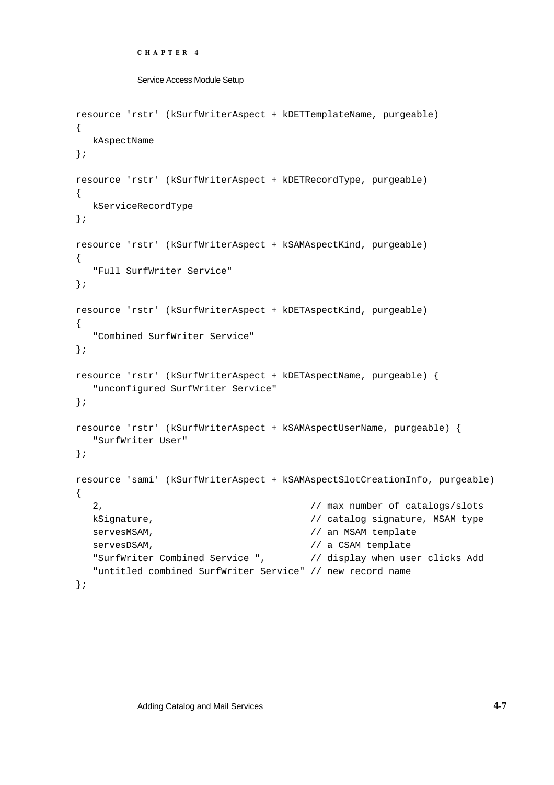```
CHAPTER 4
```

```
Service Access Module Setup
```

```
resource 'rstr' (kSurfWriterAspect + kDETTemplateName, purgeable)
{
  kAspectName
};
resource 'rstr' (kSurfWriterAspect + kDETRecordType, purgeable)
{
  kServiceRecordType
};
resource 'rstr' (kSurfWriterAspect + kSAMAspectKind, purgeable)
{
   "Full SurfWriter Service"
};
resource 'rstr' (kSurfWriterAspect + kDETAspectKind, purgeable)
{
   "Combined SurfWriter Service"
};
resource 'rstr' (kSurfWriterAspect + kDETAspectName, purgeable) {
   "unconfigured SurfWriter Service"
};
resource 'rstr' (kSurfWriterAspect + kSAMAspectUserName, purgeable) {
  "SurfWriter User"
};
resource 'sami' (kSurfWriterAspect + kSAMAspectSlotCreationInfo, purgeable)
{
   2, // max number of catalogs/slots
  kSignature, \sqrt{2} // catalog signature, MSAM type
  servesMSAM, \frac{1}{2} an MSAM template
  servesDSAM, \frac{1}{1} a CSAM template
   "SurfWriter Combined Service ", \frac{1}{2} display when user clicks Add
   "untitled combined SurfWriter Service" // new record name 
};
```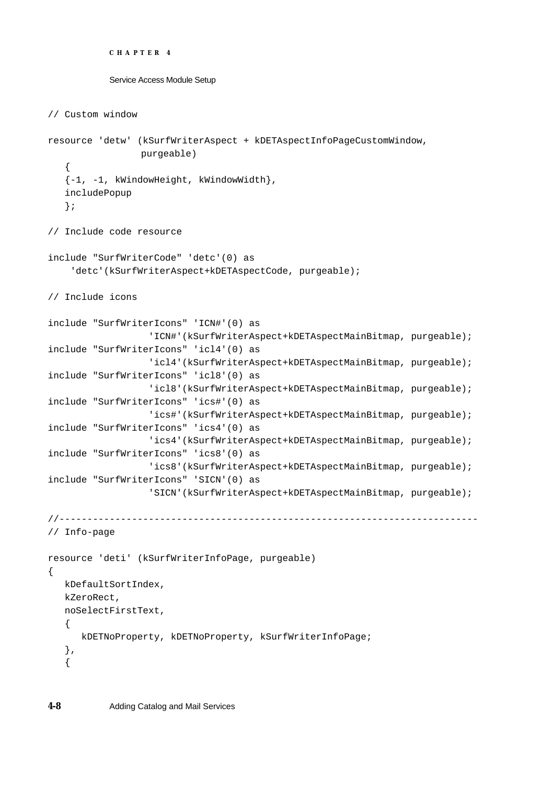```
CHAPTER 4
```

```
// Custom window 
resource 'detw' (kSurfWriterAspect + kDETAspectInfoPageCustomWindow, 
                purgeable)
   {
   {-1, -1, kWindowHeight, kWindowWidth},
   includePopup
   };
// Include code resource 
include "SurfWriterCode" 'detc'(0) as
     'detc'(kSurfWriterAspect+kDETAspectCode, purgeable);
// Include icons 
include "SurfWriterIcons" 'ICN#'(0) as
                  'ICN#'(kSurfWriterAspect+kDETAspectMainBitmap, purgeable);
include "SurfWriterIcons" 'icl4'(0) as
                  'icl4'(kSurfWriterAspect+kDETAspectMainBitmap, purgeable);
include "SurfWriterIcons" 'icl8'(0) as
                  'icl8'(kSurfWriterAspect+kDETAspectMainBitmap, purgeable);
include "SurfWriterIcons" 'ics#'(0) as
                  'ics#'(kSurfWriterAspect+kDETAspectMainBitmap, purgeable);
include "SurfWriterIcons" 'ics4'(0) as
                  'ics4'(kSurfWriterAspect+kDETAspectMainBitmap, purgeable);
include "SurfWriterIcons" 'ics8'(0) as
                  'ics8'(kSurfWriterAspect+kDETAspectMainBitmap, purgeable);
include "SurfWriterIcons" 'SICN'(0) as
                  'SICN'(kSurfWriterAspect+kDETAspectMainBitmap, purgeable);
//---------------------------------------------------------------------------
// Info-page 
resource 'deti' (kSurfWriterInfoPage, purgeable)
\{kDefaultSortIndex,
  kZeroRect,
  noSelectFirstText,
   {
      kDETNoProperty, kDETNoProperty, kSurfWriterInfoPage;
   },
   {
```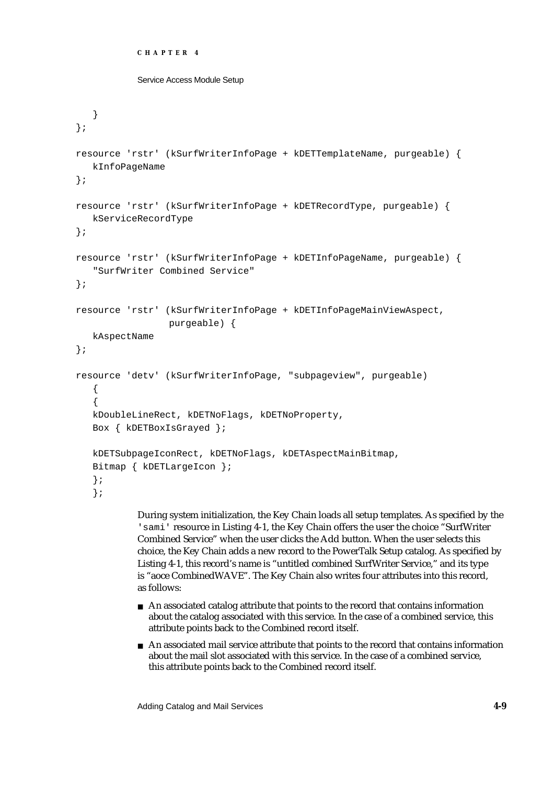```
Service Access Module Setup
```

```
}
};
resource 'rstr' (kSurfWriterInfoPage + kDETTemplateName, purgeable) {
   kInfoPageName
};
resource 'rstr' (kSurfWriterInfoPage + kDETRecordType, purgeable) {
  kServiceRecordType
};
resource 'rstr' (kSurfWriterInfoPage + kDETInfoPageName, purgeable) {
   "SurfWriter Combined Service"
};
resource 'rstr' (kSurfWriterInfoPage + kDETInfoPageMainViewAspect, 
                 purgeable) {
  kAspectName
};
resource 'detv' (kSurfWriterInfoPage, "subpageview", purgeable)
   {
   {
   kDoubleLineRect, kDETNoFlags, kDETNoProperty,
   Box { kDETBoxIsGrayed };
   kDETSubpageIconRect, kDETNoFlags, kDETAspectMainBitmap,
   Bitmap { kDETLargeIcon };
   };
   };
```
During system initialization, the Key Chain loads all setup templates. As specified by the 'sami' resource in Listing 4-1, the Key Chain offers the user the choice "SurfWriter Combined Service" when the user clicks the Add button. When the user selects this choice, the Key Chain adds a new record to the PowerTalk Setup catalog. As specified by Listing 4-1, this record's name is "untitled combined SurfWriter Service," and its type is "aoce CombinedWAVE". The Key Chain also writes four attributes into this record, as follows:

- An associated catalog attribute that points to the record that contains information about the catalog associated with this service. In the case of a combined service, this attribute points back to the Combined record itself.
- An associated mail service attribute that points to the record that contains information about the mail slot associated with this service. In the case of a combined service, this attribute points back to the Combined record itself.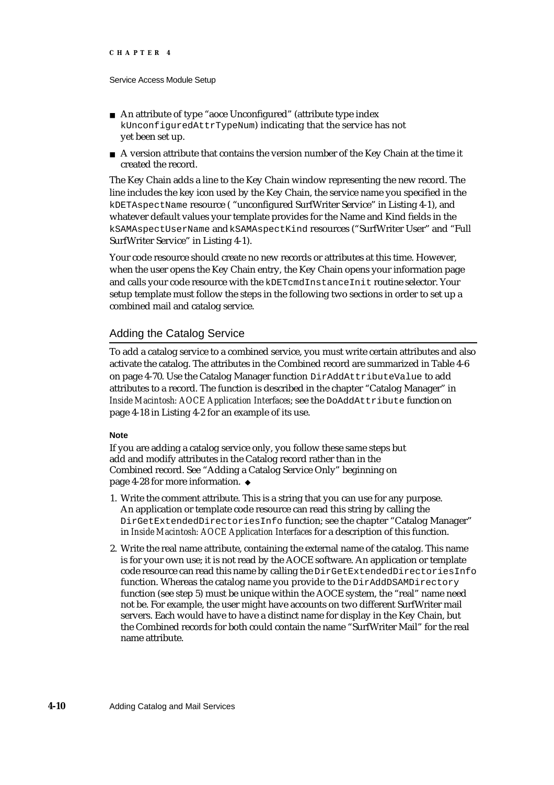- An attribute of type "aoce Unconfigured" (attribute type index kUnconfiguredAttrTypeNum) indicating that the service has not yet been set up.
- $A$  version attribute that contains the version number of the Key Chain at the time it created the record.

The Key Chain adds a line to the Key Chain window representing the new record. The line includes the key icon used by the Key Chain, the service name you specified in the kDETAspectName resource ( "unconfigured SurfWriter Service" in Listing 4-1), and whatever default values your template provides for the Name and Kind fields in the kSAMAspectUserName and kSAMAspectKind resources ("SurfWriter User" and "Full SurfWriter Service" in Listing 4-1).

Your code resource should create no new records or attributes at this time. However, when the user opens the Key Chain entry, the Key Chain opens your information page and calls your code resource with the kDETcmdInstanceInit routine selector. Your setup template must follow the steps in the following two sections in order to set up a combined mail and catalog service.

## Adding the Catalog Service

To add a catalog service to a combined service, you must write certain attributes and also activate the catalog. The attributes in the Combined record are summarized in Table 4-6 on page 4-70. Use the Catalog Manager function DirAddAttributeValue to add attributes to a record. The function is described in the chapter "Catalog Manager" in *Inside Macintosh: AOCE Application Interfaces*; see the DoAddAttribute function on page 4-18 in Listing 4-2 for an example of its use.

#### **Note**

If you are adding a catalog service only, you follow these same steps but add and modify attributes in the Catalog record rather than in the Combined record. See "Adding a Catalog Service Only" beginning on page 4-28 for more information.

- 1. Write the comment attribute. This is a string that you can use for any purpose. An application or template code resource can read this string by calling the DirGetExtendedDirectoriesInfo function; see the chapter "Catalog Manager" in *Inside Macintosh: AOCE Application Interfaces* for a description of this function.
- 2. Write the real name attribute, containing the external name of the catalog. This name is for your own use; it is not read by the AOCE software. An application or template code resource can read this name by calling the DirGetExtendedDirectoriesInfo function. Whereas the catalog name you provide to the DirAddDSAMDirectory function (see step 5) must be unique within the AOCE system, the "real" name need not be. For example, the user might have accounts on two different SurfWriter mail servers. Each would have to have a distinct name for display in the Key Chain, but the Combined records for both could contain the name "SurfWriter Mail" for the real name attribute.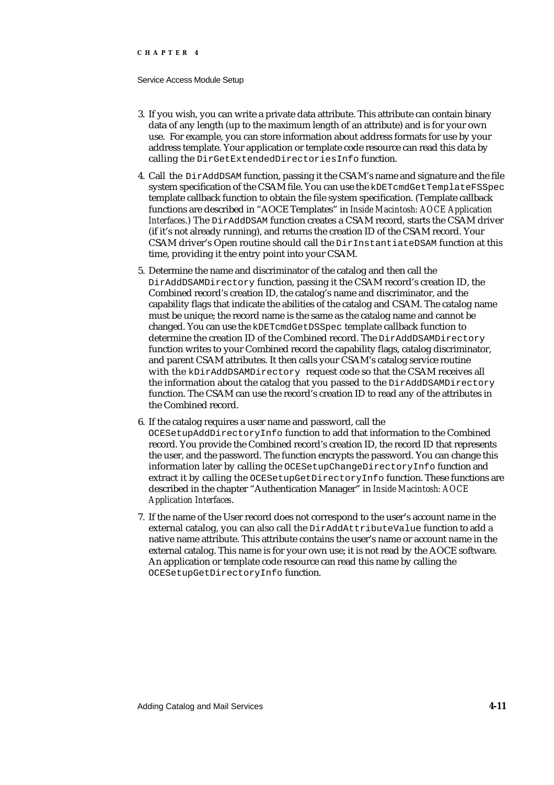#### Service Access Module Setup

- 3. If you wish, you can write a private data attribute. This attribute can contain binary data of any length (up to the maximum length of an attribute) and is for your own use. For example, you can store information about address formats for use by your address template. Your application or template code resource can read this data by calling the DirGetExtendedDirectoriesInfo function.
- 4. Call the DirAddDSAM function, passing it the CSAM's name and signature and the file system specification of the CSAM file. You can use the kDETcmdGetTemplateFSSpec template callback function to obtain the file system specification. (Template callback functions are described in "AOCE Templates" in *Inside Macintosh: AOCE Application Interfaces*.) The DirAddDSAM function creates a CSAM record, starts the CSAM driver (if it's not already running), and returns the creation ID of the CSAM record. Your CSAM driver's Open routine should call the DirInstantiateDSAM function at this time, providing it the entry point into your CSAM.
- 5. Determine the name and discriminator of the catalog and then call the DirAddDSAMDirectory function, passing it the CSAM record's creation ID, the Combined record's creation ID, the catalog's name and discriminator, and the capability flags that indicate the abilities of the catalog and CSAM. The catalog name must be unique; the record name is the same as the catalog name and cannot be changed. You can use the kDETcmdGetDSSpec template callback function to determine the creation ID of the Combined record. The DirAddDSAMDirectory function writes to your Combined record the capability flags, catalog discriminator, and parent CSAM attributes. It then calls your CSAM's catalog service routine with the kDirAddDSAMDirectory request code so that the CSAM receives all the information about the catalog that you passed to the DirAddDSAMDirectory function. The CSAM can use the record's creation ID to read any of the attributes in the Combined record.
- 6. If the catalog requires a user name and password, call the OCESetupAddDirectoryInfo function to add that information to the Combined record. You provide the Combined record's creation ID, the record ID that represents the user, and the password. The function encrypts the password. You can change this information later by calling the OCESetupChangeDirectoryInfo function and extract it by calling the OCESetupGetDirectoryInfo function. These functions are described in the chapter "Authentication Manager" in *Inside Macintosh: AOCE Application Interfaces*.
- 7. If the name of the User record does not correspond to the user's account name in the external catalog, you can also call the DirAddAttributeValue function to add a native name attribute. This attribute contains the user's name or account name in the external catalog. This name is for your own use; it is not read by the AOCE software. An application or template code resource can read this name by calling the OCESetupGetDirectoryInfo function.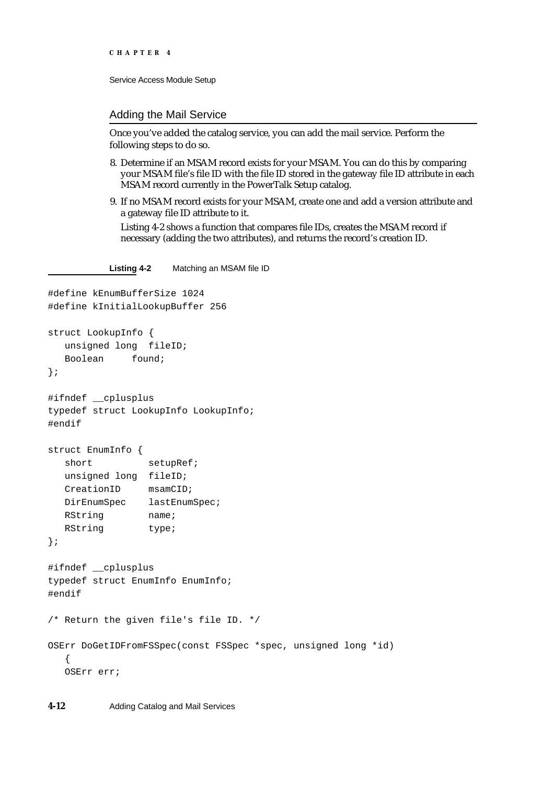```
CHAPTER 4
```
#### Adding the Mail Service

Once you've added the catalog service, you can add the mail service. Perform the following steps to do so.

- 8. Determine if an MSAM record exists for your MSAM. You can do this by comparing your MSAM file's file ID with the file ID stored in the gateway file ID attribute in each MSAM record currently in the PowerTalk Setup catalog.
- 9. If no MSAM record exists for your MSAM, create one and add a version attribute and a gateway file ID attribute to it.

Listing 4-2 shows a function that compares file IDs, creates the MSAM record if necessary (adding the two attributes), and returns the record's creation ID.

**Listing 4-2** Matching an MSAM file ID

```
#define kEnumBufferSize 1024
#define kInitialLookupBuffer 256
struct LookupInfo {
  unsigned long fileID;
  Boolean found;
};
#ifndef __cplusplus
typedef struct LookupInfo LookupInfo;
#endif
struct EnumInfo {
  short setupRef;
  unsigned long fileID;
  CreationID msamCID;
  DirEnumSpec lastEnumSpec;
  RString name;
  RString type;
};
#ifndef __cplusplus
typedef struct EnumInfo EnumInfo;
#endif
/* Return the given file's file ID. */
OSErr DoGetIDFromFSSpec(const FSSpec *spec, unsigned long *id)
  {
  OSErr err;
```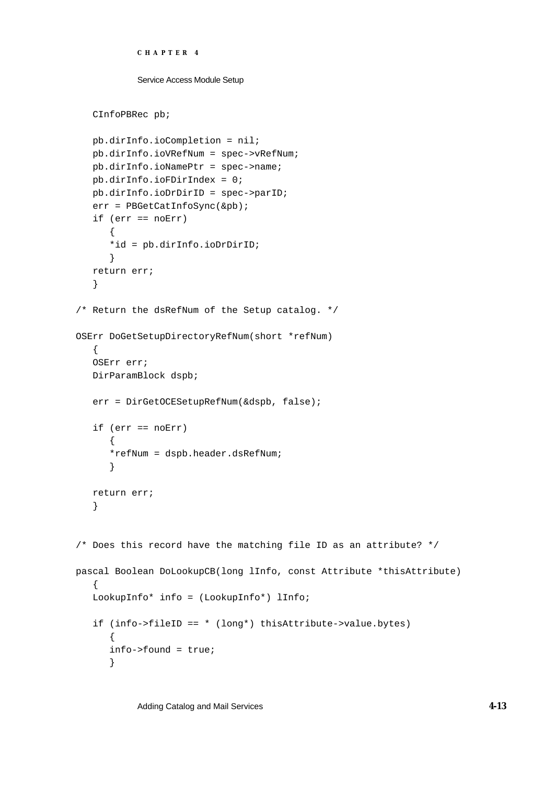```
CHAPTER 4
```

```
CInfoPBRec pb;
   pb.dirInfo.ioCompletion = nil;
   pb.dirInfo.ioVRefNum = spec->vRefNum;
   pb.dirInfo.ioNamePtr = spec->name;
  pb.dirInfo.ioFDirIndex = 0;
   pb.dirInfo.ioDrDirID = spec->parID;
   err = PBGetCatInfoSync(&pb);
   if (err == noErr)
      {
      *id = pb.dirInfo.ioDrDirID;
      }
   return err;
   }
/* Return the dsRefNum of the Setup catalog. */
OSErr DoGetSetupDirectoryRefNum(short *refNum)
   {
   OSErr err;
  DirParamBlock dspb;
   err = DirGetOCESetupRefNum(&dspb, false);
   if (err == noErr)
      {
      *refNum = dspb.header.dsRefNum;
      }
  return err;
   }
/* Does this record have the matching file ID as an attribute? */
pascal Boolean DoLookupCB(long lInfo, const Attribute *thisAttribute)
   {
   LookupInfo* info = (LookupInfo*) lInfo;
   if (info->fileID == * (long*) thisAttribute->value.bytes)
      {
      info->found = true;
      }
```
Adding Catalog and Mail Services **4-13**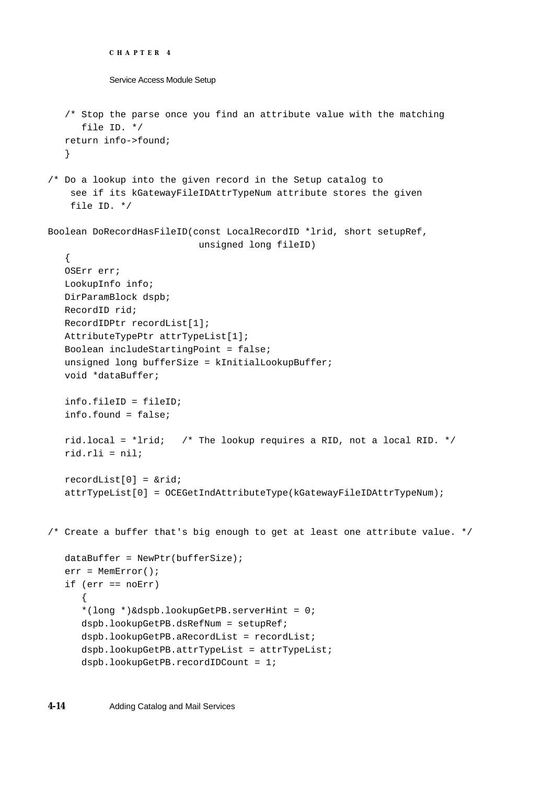```
CHAPTER 4
           Service Access Module Setup
   /* Stop the parse once you find an attribute value with the matching
      file ID. */
   return info->found;
   }
/* Do a lookup into the given record in the Setup catalog to 
     see if its kGatewayFileIDAttrTypeNum attribute stores the given 
     file ID. */
Boolean DoRecordHasFileID(const LocalRecordID *lrid, short setupRef, 
                           unsigned long fileID)
   {
   OSErr err;
   LookupInfo info;
  DirParamBlock dspb;
   RecordID rid;
   RecordIDPtr recordList[1];
  AttributeTypePtr attrTypeList[1];
   Boolean includeStartingPoint = false;
   unsigned long bufferSize = kInitialLookupBuffer;
   void *dataBuffer;
   info.fileID = fileID;
   info.found = false;
   rid.local = *lrid; /* The lookup requires a RID, not a local RID. */
   rid.rli = nil;
   recordList[0] = &rid;
   attrTypeList[0] = OCEGetIndAttributeType(kGatewayFileIDAttrTypeNum);
/* Create a buffer that's big enough to get at least one attribute value. */
   dataBuffer = NewPtr(bufferSize);
   err = MemError();
   if (err == noErr)
      {
      *(long *)&dspb.lookupGetPB.serverHint = 0;
      dspb.lookupGetPB.dsRefNum = setupRef;
      dspb.lookupGetPB.aRecordList = recordList;
      dspb.lookupGetPB.attrTypeList = attrTypeList;
      dspb.lookupGetPB.recordIDCount = 1;
```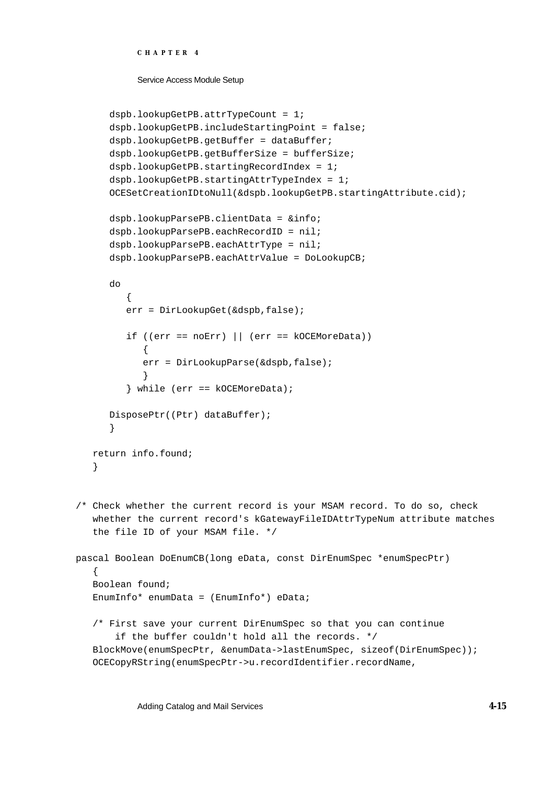```
CHAPTER 4
```

```
dspb.lookupGetPB.attrTypeCount = 1;
      dspb.lookupGetPB.includeStartingPoint = false;
      dspb.lookupGetPB.getBuffer = dataBuffer;
      dspb.lookupGetPB.getBufferSize = bufferSize;
      dspb.lookupGetPB.startingRecordIndex = 1;
      dspb.lookupGetPB.startingAttrTypeIndex = 1;
      OCESetCreationIDtoNull(&dspb.lookupGetPB.startingAttribute.cid);
      dspb.lookupParsePB.clientData = &info;
      dspb.lookupParsePB.eachRecordID = nil;
      dspb.lookupParsePB.eachAttrType = nil;
      dspb.lookupParsePB.eachAttrValue = DoLookupCB;
      do
         {
         err = DirLookupGet(&dspb,false);
         if ((err == n0Err) || (err == k0CEMoreData)){
            err = DirLookupParse(&dspb,false);
            }
         } while (err == kOCEMoreData);
      DisposePtr((Ptr) dataBuffer);
      }
   return info.found;
   }
/* Check whether the current record is your MSAM record. To do so, check
   whether the current record's kGatewayFileIDAttrTypeNum attribute matches
   the file ID of your MSAM file. */
pascal Boolean DoEnumCB(long eData, const DirEnumSpec *enumSpecPtr)
   {
   Boolean found;
   EnumInfo* enumData = (EnumInfo*) eData;
   /* First save your current DirEnumSpec so that you can continue 
        if the buffer couldn't hold all the records. */
   BlockMove(enumSpecPtr, &enumData->lastEnumSpec, sizeof(DirEnumSpec));
   OCECopyRString(enumSpecPtr->u.recordIdentifier.recordName,
```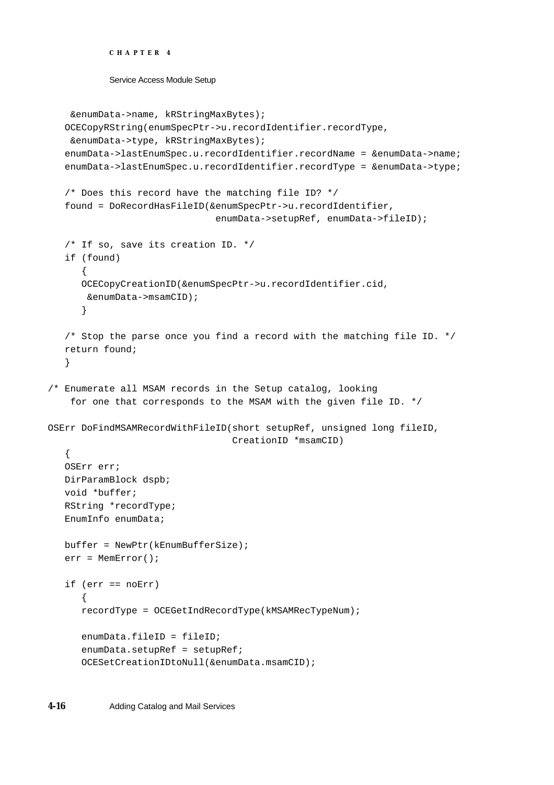```
CHAPTER 4
```

```
 &enumData->name, kRStringMaxBytes);
   OCECopyRString(enumSpecPtr->u.recordIdentifier.recordType,
     &enumData->type, kRStringMaxBytes);
   enumData->lastEnumSpec.u.recordIdentifier.recordName = &enumData->name;
   enumData->lastEnumSpec.u.recordIdentifier.recordType = &enumData->type;
   /* Does this record have the matching file ID? */
   found = DoRecordHasFileID(&enumSpecPtr->u.recordIdentifier,
                              enumData->setupRef, enumData->fileID);
   /* If so, save its creation ID. */
   if (found)
      {
      OCECopyCreationID(&enumSpecPtr->u.recordIdentifier.cid,
        &enumData->msamCID);
      }
   /* Stop the parse once you find a record with the matching file ID. */return found;
   }
/* Enumerate all MSAM records in the Setup catalog, looking 
     for one that corresponds to the MSAM with the given file ID. */
OSErr DoFindMSAMRecordWithFileID(short setupRef, unsigned long fileID,
                                 CreationID *msamCID)
   {
  OSErr err;
  DirParamBlock dspb;
  void *buffer;
  RString *recordType;
   EnumInfo enumData;
  buffer = NewPtr(kEnumBufferSize);
  err = MemError();
   if (err == noErr)
      {
      recordType = OCEGetIndRecordType(kMSAMRecTypeNum);
      enumData.fileID = fileID;
      enumData.setupRef = setupRef;
      OCESetCreationIDtoNull(&enumData.msamCID);
```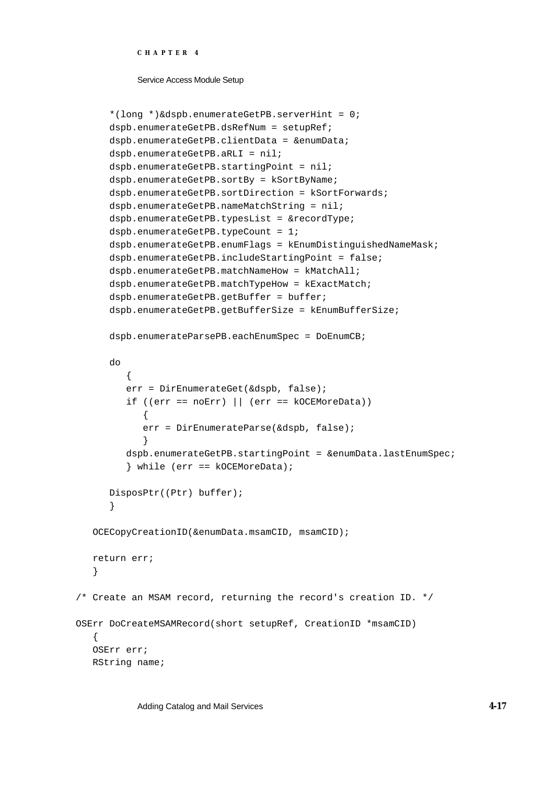```
CHAPTER 4
```

```
*(long *)&dspb.enumerateGetPB.serverHint = 0;
      dspb.enumerateGetPB.dsRefNum = setupRef;
      dspb.enumerateGetPB.clientData = &enumData;
      dspb.enumerateGetPB.aRLI = nil;
      dspb.enumerateGetPB.startingPoint = nil;
      dspb.enumerateGetPB.sortBy = kSortByName;
      dspb.enumerateGetPB.sortDirection = kSortForwards;
      dspb.enumerateGetPB.nameMatchString = nil;
      dspb.enumerateGetPB.typesList = &recordType;
      dspb.enumerateGetPB.typeCount = 1;
      dspb.enumerateGetPB.enumFlags = kEnumDistinguishedNameMask;
      dspb.enumerateGetPB.includeStartingPoint = false;
      dspb.enumerateGetPB.matchNameHow = kMatchAll;
      dspb.enumerateGetPB.matchTypeHow = kExactMatch;
      dspb.enumerateGetPB.getBuffer = buffer;
      dspb.enumerateGetPB.getBufferSize = kEnumBufferSize;
      dspb.enumerateParsePB.eachEnumSpec = DoEnumCB;
      do
         {
         err = DirEnumerateGet(&dspb, false);
         if ((err == noErr) || (err == kOCEMoreData))
            {
            err = DirEnumerateParse(&dspb, false);
            }
         dspb.enumerateGetPB.startingPoint = &enumData.lastEnumSpec;
         } while (err == kOCEMoreData);
      DisposPtr((Ptr) buffer);
      }
   OCECopyCreationID(&enumData.msamCID, msamCID);
   return err;
   }
/* Create an MSAM record, returning the record's creation ID. */
OSErr DoCreateMSAMRecord(short setupRef, CreationID *msamCID)
   {
   OSErr err;
  RString name;
```
Adding Catalog and Mail Services **4-17**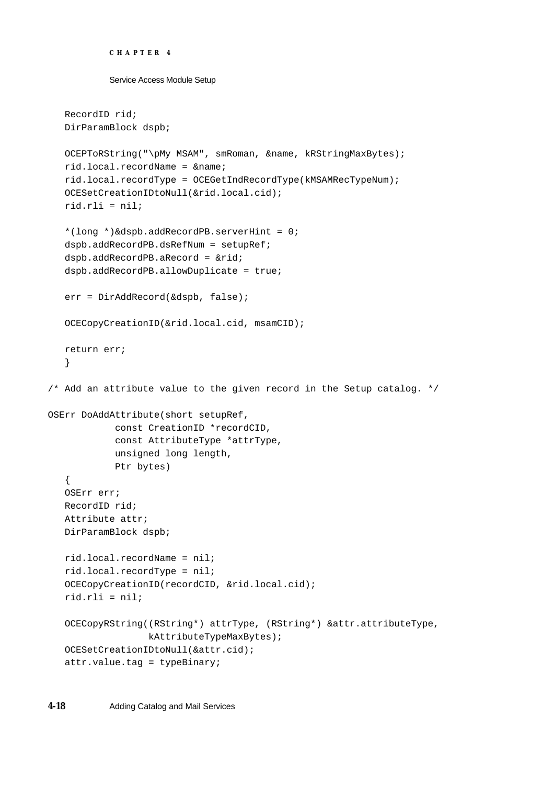```
Service Access Module Setup
   RecordID rid;
  DirParamBlock dspb;
  OCEPToRString("\pMy MSAM", smRoman, &name, kRStringMaxBytes);
   rid.local.recordName = &name;
   rid.local.recordType = OCEGetIndRecordType(kMSAMRecTypeNum);
   OCESetCreationIDtoNull(&rid.local.cid);
   rid.rli = nil;
   *(long *)&dspb.addRecordPB.serverHint = 0;
   dspb.addRecordPB.dsRefNum = setupRef;
   dspb.addRecordPB.aRecord = &rid;
   dspb.addRecordPB.allowDuplicate = true;
   err = DirAddRecord(&dspb, false);
   OCECopyCreationID(&rid.local.cid, msamCID);
  return err;
   }
/* Add an attribute value to the given record in the Setup catalog. */
OSErr DoAddAttribute(short setupRef, 
            const CreationID *recordCID, 
            const AttributeType *attrType, 
            unsigned long length, 
            Ptr bytes)
   {
   OSErr err;
  RecordID rid;
  Attribute attr;
  DirParamBlock dspb;
  rid.local.recordName = nil;
  rid.local.recordType = nil;
   OCECopyCreationID(recordCID, &rid.local.cid);
  rid.rli = niliOCECopyRString((RString*) attrType, (RString*) &attr.attributeType, 
                  kAttributeTypeMaxBytes);
   OCESetCreationIDtoNull(&attr.cid);
   attr.value.tag = typeBinary;
```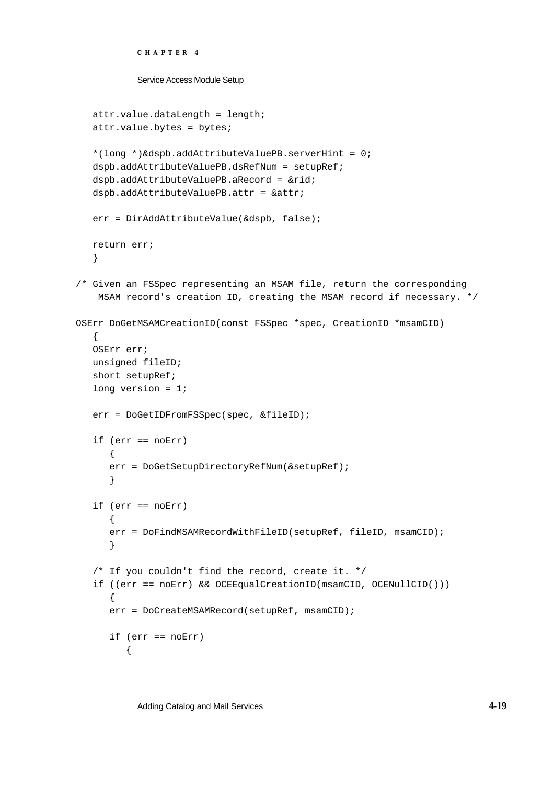```
Service Access Module Setup
   attr.value.dataLength = length;
   attr.value.bytes = bytes;
   *(long *)&dspb.addAttributeValuePB.serverHint = 0;
   dspb.addAttributeValuePB.dsRefNum = setupRef;
   dspb.addAttributeValuePB.aRecord = &rid;
   dspb.addAttributeValuePB.attr = &attr;
   err = DirAddAttributeValue(&dspb, false);
   return err;
   }
/* Given an FSSpec representing an MSAM file, return the corresponding
     MSAM record's creation ID, creating the MSAM record if necessary. */
OSErr DoGetMSAMCreationID(const FSSpec *spec, CreationID *msamCID)
   {
  OSErr err;
  unsigned fileID;
   short setupRef;
   long version = 1;
   err = DoGetIDFromFSSpec(spec, &fileID);
   if (err == noErr)
      {
      err = DoGetSetupDirectoryRefNum(&setupRef);
      }
   if (err == noErr)
      {
      err = DoFindMSAMRecordWithFileID(setupRef, fileID, msamCID);
      }
   /* If you couldn't find the record, create it. */
   if ((err == noErr) && OCEEqualCreationID(msamCID, OCENullCID()))
      {
      err = DoCreateMSAMRecord(setupRef, msamCID);
      if (err == noErr)
         {
```
Adding Catalog and Mail Services **4-19**

**CHAPTER 4**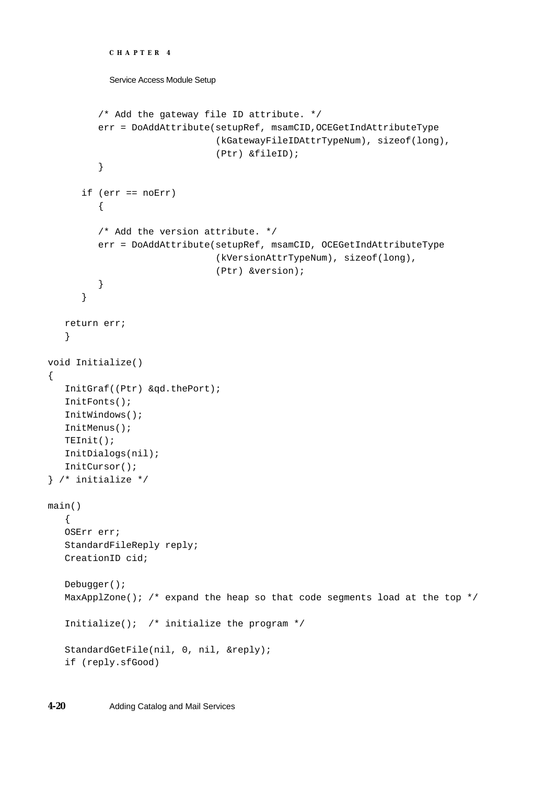```
CHAPTER 4
           Service Access Module Setup
         /* Add the gateway file ID attribute. */
         err = DoAddAttribute(setupRef, msamCID,OCEGetIndAttributeType
                               (kGatewayFileIDAttrTypeNum), sizeof(long),
                               (Ptr) &fileID);
         }
      if (err == noErr)
         {
         /* Add the version attribute. */
         err = DoAddAttribute(setupRef, msamCID, OCEGetIndAttributeType
                               (kVersionAttrTypeNum), sizeof(long), 
                               (Ptr) &version);
         }
      }
  return err;
   }
void Initialize()
{
   InitGraf((Ptr) &qd.thePort);
   InitFonts();
  InitWindows();
   InitMenus();
  TEInit();
  InitDialogs(nil);
  InitCursor();
} /* initialize */
main()
   {
  OSErr err;
   StandardFileReply reply;
  CreationID cid;
  Debugger();
  MaxApplZone(); /* expand the heap so that code segments load at the top */Initialize(); /* initialize the program */
   StandardGetFile(nil, 0, nil, &reply);
   if (reply.sfGood)
```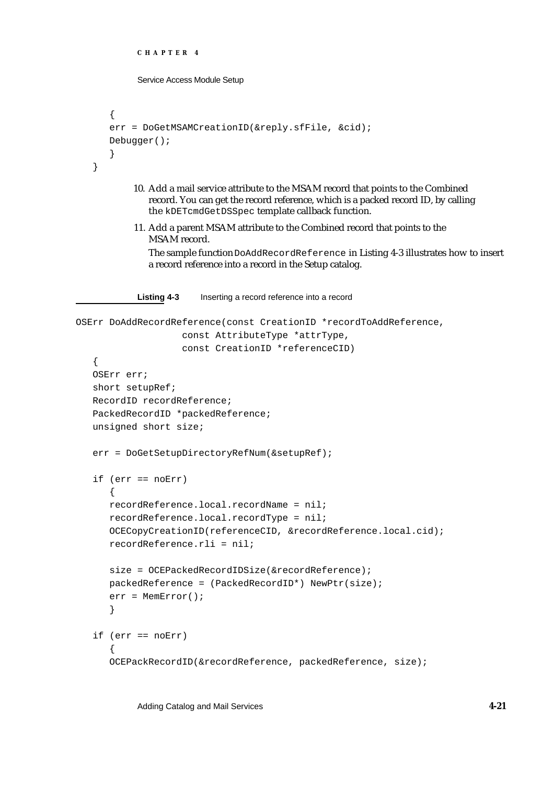```
CHAPTER 4
            Service Access Module Setup
      {
      err = DoGetMSAMCreationID(&reply.sfFile, &cid);
      Debugger();
      }
   }
           10. Add a mail service attribute to the MSAM record that points to the Combined 
              record. You can get the record reference, which is a packed record ID, by calling 
              the kDETcmdGetDSSpec template callback function. 
           11. Add a parent MSAM attribute to the Combined record that points to the 
              MSAM record.
              The sample function DoAddRecordReference in Listing 4-3 illustrates how to insert 
              a record reference into a record in the Setup catalog. 
            Listing 4-3 Inserting a record reference into a record
OSErr DoAddRecordReference(const CreationID *recordToAddReference,
                      const AttributeType *attrType,
                      const CreationID *referenceCID)
   {
   OSErr err;
   short setupRef;
   RecordID recordReference;
   PackedRecordID *packedReference;
   unsigned short size;
   err = DoGetSetupDirectoryRefNum(&setupRef);
   if (err == noErr)
      {
      recordReference.local.recordName = nil;
      recordReference.local.recordType = nil;
      OCECopyCreationID(referenceCID, &recordReference.local.cid);
      recordReference.rli = nil;
      size = OCEPackedRecordIDSize(&recordReference);
      packedReference = (PackedRecordID*) NewPtr(size);
      err = MemError();
      }
   if (err == noErr)
      {
      OCEPackRecordID(&recordReference, packedReference, size);
```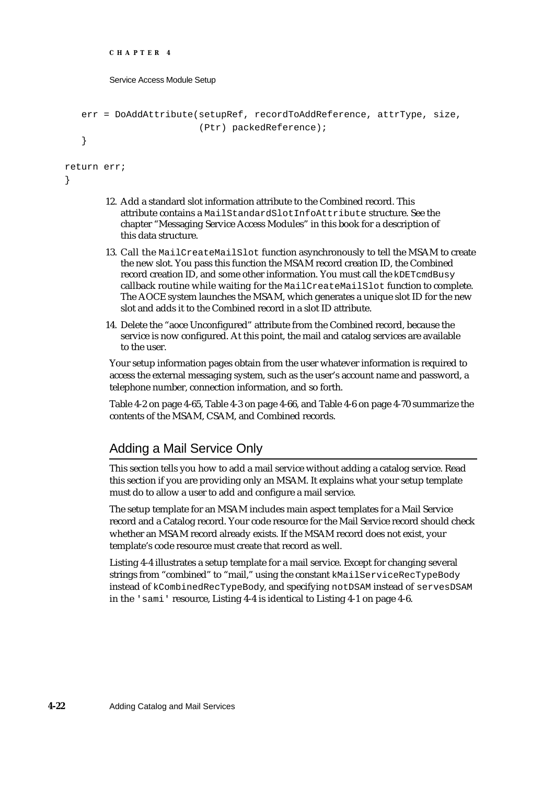```
CHAPTER 4
        Service Access Module Setup
   err = DoAddAttribute(setupRef, recordToAddReference, attrType, size,
                         (Ptr) packedReference);
   }
return err;
}
```
- 12. Add a standard slot information attribute to the Combined record. This attribute contains a MailStandardSlotInfoAttribute structure. See the chapter "Messaging Service Access Modules" in this book for a description of this data structure.
- 13. Call the MailCreateMailSlot function asynchronously to tell the MSAM to create the new slot. You pass this function the MSAM record creation ID, the Combined record creation ID, and some other information. You must call the kDETcmdBusy callback routine while waiting for the MailCreateMailSlot function to complete. The AOCE system launches the MSAM, which generates a unique slot ID for the new slot and adds it to the Combined record in a slot ID attribute.
- 14. Delete the "aoce Unconfigured" attribute from the Combined record, because the service is now configured. At this point, the mail and catalog services are available to the user.

Your setup information pages obtain from the user whatever information is required to access the external messaging system, such as the user's account name and password, a telephone number, connection information, and so forth.

Table 4-2 on page 4-65, Table 4-3 on page 4-66, and Table 4-6 on page 4-70 summarize the contents of the MSAM, CSAM, and Combined records.

# Adding a Mail Service Only

This section tells you how to add a mail service without adding a catalog service. Read this section if you are providing only an MSAM. It explains what your setup template must do to allow a user to add and configure a mail service.

The setup template for an MSAM includes main aspect templates for a Mail Service record and a Catalog record. Your code resource for the Mail Service record should check whether an MSAM record already exists. If the MSAM record does not exist, your template's code resource must create that record as well.

Listing 4-4 illustrates a setup template for a mail service. Except for changing several strings from "combined" to "mail," using the constant kMailServiceRecTypeBody instead of kCombinedRecTypeBody, and specifying notDSAM instead of servesDSAM in the 'sami' resource, Listing 4-4 is identical to Listing 4-1 on page 4-6.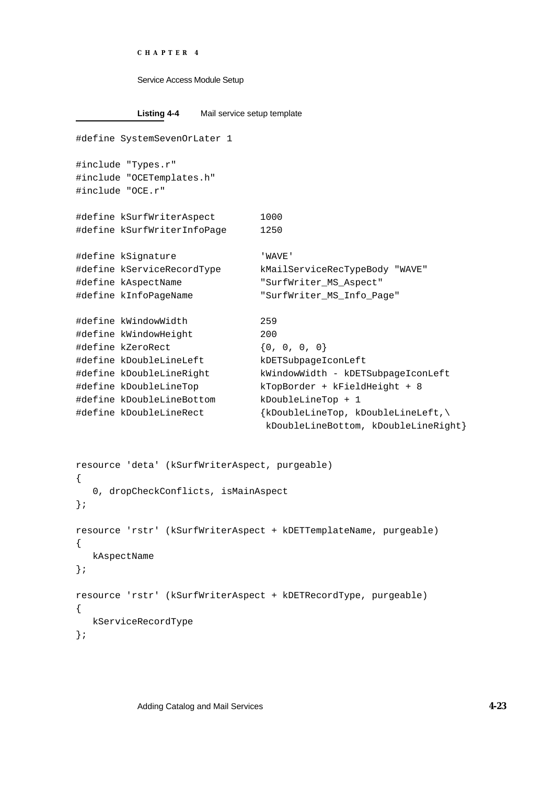```
CHAPTER 4
```

```
Listing 4-4 Mail service setup template
#define SystemSevenOrLater 1
#include "Types.r"
#include "OCETemplates.h"
#include "OCE.r"
#define kSurfWriterAspect 1000
#define kSurfWriterInfoPage 1250
#define kSignature 'WAVE'
#define kServiceRecordType kMailServiceRecTypeBody "WAVE"
#define kAspectName "SurfWriter_MS_Aspect"
#define kInfoPageName "SurfWriter_MS_Info_Page"
#define kWindowWidth 259
#define kWindowHeight 200
#define kZeroRect {0, 0, 0, 0}
#define kDoubleLineLeft kDETSubpageIconLeft
#define kDoubleLineRight kWindowWidth - kDETSubpageIconLeft
#define kDoubleLineTop kTopBorder + kFieldHeight + 8
#define kDoubleLineBottom kDoubleLineTop + 1
#define kDoubleLineRect {kDoubleLineTop, kDoubleLineLeft,\
                               kDoubleLineBottom, kDoubleLineRight}
resource 'deta' (kSurfWriterAspect, purgeable)
{
  0, dropCheckConflicts, isMainAspect
};
resource 'rstr' (kSurfWriterAspect + kDETTemplateName, purgeable)
{
  kAspectName
};
resource 'rstr' (kSurfWriterAspect + kDETRecordType, purgeable)
{
  kServiceRecordType
```
};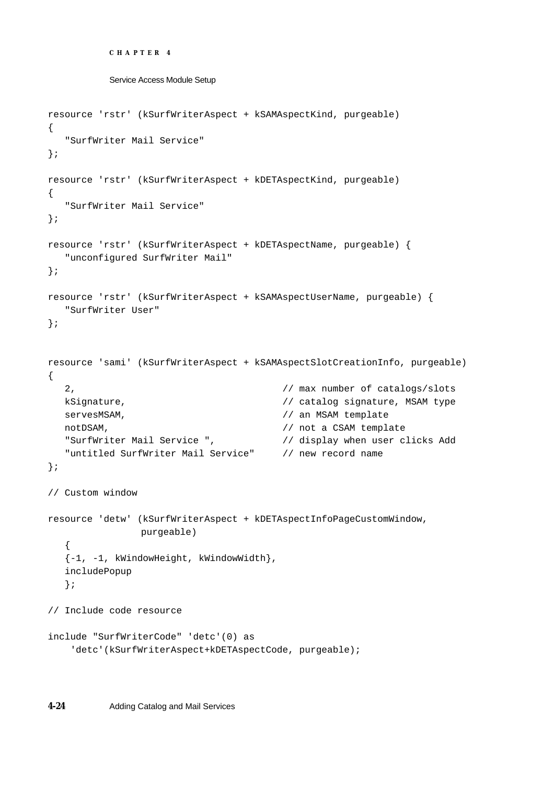```
CHAPTER 4
```

```
Service Access Module Setup
```

```
resource 'rstr' (kSurfWriterAspect + kSAMAspectKind, purgeable)
{
  "SurfWriter Mail Service"
};
resource 'rstr' (kSurfWriterAspect + kDETAspectKind, purgeable)
{
  "SurfWriter Mail Service"
};
resource 'rstr' (kSurfWriterAspect + kDETAspectName, purgeable) {
  "unconfigured SurfWriter Mail"
};
resource 'rstr' (kSurfWriterAspect + kSAMAspectUserName, purgeable) {
  "SurfWriter User"
};
resource 'sami' (kSurfWriterAspect + kSAMAspectSlotCreationInfo, purgeable)
{
  2, // max number of catalogs/slots 
  kSignature, \sqrt{2} // catalog signature, MSAM type
  servesMSAM, \frac{1}{10} an MSAM template
  notDSAM, \frac{1}{2} not a CSAM template
  "SurfWriter Mail Service ", // display when user clicks Add 
  "untitled SurfWriter Mail Service" // new record name 
};
// Custom window 
resource 'detw' (kSurfWriterAspect + kDETAspectInfoPageCustomWindow, 
               purgeable)
  {
  {-1, -1, kWindowHeight, kWindowWidth},
  includePopup
  };
// Include code resource 
include "SurfWriterCode" 'detc'(0) as
     'detc'(kSurfWriterAspect+kDETAspectCode, purgeable);
```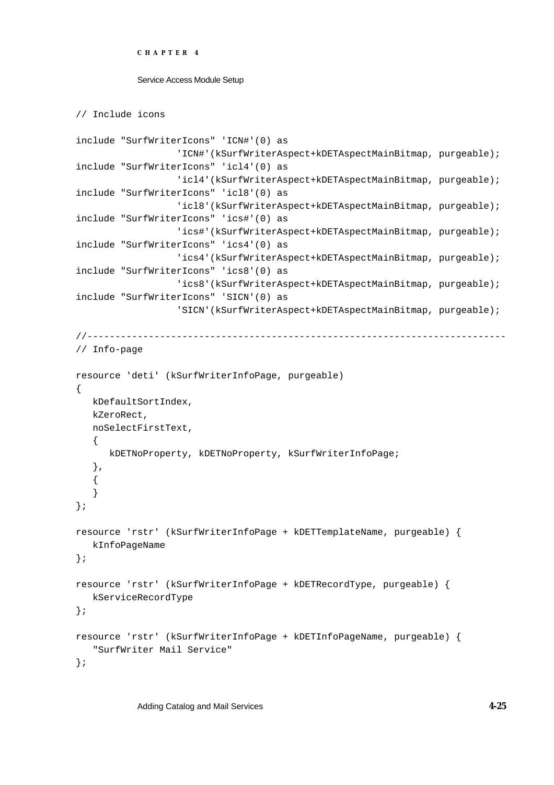```
CHAPTER 4
```
// Include icons

```
include "SurfWriterIcons" 'ICN#'(0) as
                  'ICN#'(kSurfWriterAspect+kDETAspectMainBitmap, purgeable);
include "SurfWriterIcons" 'icl4'(0) as
                  'icl4'(kSurfWriterAspect+kDETAspectMainBitmap, purgeable);
include "SurfWriterIcons" 'icl8'(0) as
                  'icl8'(kSurfWriterAspect+kDETAspectMainBitmap, purgeable);
include "SurfWriterIcons" 'ics#'(0) as
                  'ics#'(kSurfWriterAspect+kDETAspectMainBitmap, purgeable);
include "SurfWriterIcons" 'ics4'(0) as
                  'ics4'(kSurfWriterAspect+kDETAspectMainBitmap, purgeable);
include "SurfWriterIcons" 'ics8'(0) as
                  'ics8'(kSurfWriterAspect+kDETAspectMainBitmap, purgeable);
include "SurfWriterIcons" 'SICN'(0) as
                  'SICN'(kSurfWriterAspect+kDETAspectMainBitmap, purgeable);
//---------------------------------------------------------------------------
// Info-page 
resource 'deti' (kSurfWriterInfoPage, purgeable)
{
   kDefaultSortIndex,
   kZeroRect,
   noSelectFirstText,
   {
      kDETNoProperty, kDETNoProperty, kSurfWriterInfoPage;
   },
   {
   }
};
resource 'rstr' (kSurfWriterInfoPage + kDETTemplateName, purgeable) {
  kInfoPageName
};
resource 'rstr' (kSurfWriterInfoPage + kDETRecordType, purgeable) {
  kServiceRecordType
};
resource 'rstr' (kSurfWriterInfoPage + kDETInfoPageName, purgeable) {
   "SurfWriter Mail Service"
};
```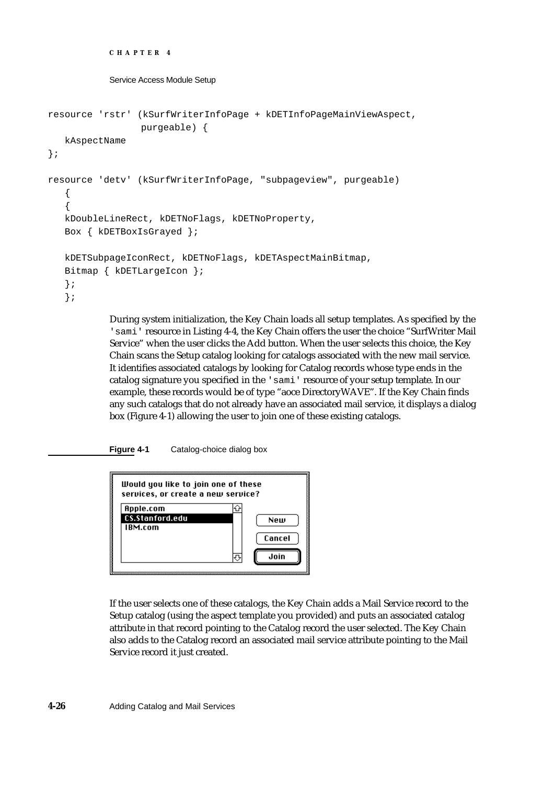```
CHAPTER 4
```

```
resource 'rstr' (kSurfWriterInfoPage + kDETInfoPageMainViewAspect, 
                 purgeable) {
  kAspectName
};
resource 'detv' (kSurfWriterInfoPage, "subpageview", purgeable)
   {
   {
  kDoubleLineRect, kDETNoFlags, kDETNoProperty,
  Box { kDETBoxIsGrayed };
  kDETSubpageIconRect, kDETNoFlags, kDETAspectMainBitmap,
  Bitmap { kDETLargeIcon };
  };
  };
```
During system initialization, the Key Chain loads all setup templates. As specified by the 'sami' resource in Listing 4-4, the Key Chain offers the user the choice "SurfWriter Mail Service" when the user clicks the Add button. When the user selects this choice, the Key Chain scans the Setup catalog looking for catalogs associated with the new mail service. It identifies associated catalogs by looking for Catalog records whose type ends in the catalog signature you specified in the 'sami' resource of your setup template. In our example, these records would be of type "aoce DirectoryWAVE". If the Key Chain finds any such catalogs that do not already have an associated mail service, it displays a dialog box (Figure 4-1) allowing the user to join one of these existing catalogs.

**Figure 4-1** Catalog-choice dialog box



If the user selects one of these catalogs, the Key Chain adds a Mail Service record to the Setup catalog (using the aspect template you provided) and puts an associated catalog attribute in that record pointing to the Catalog record the user selected. The Key Chain also adds to the Catalog record an associated mail service attribute pointing to the Mail Service record it just created.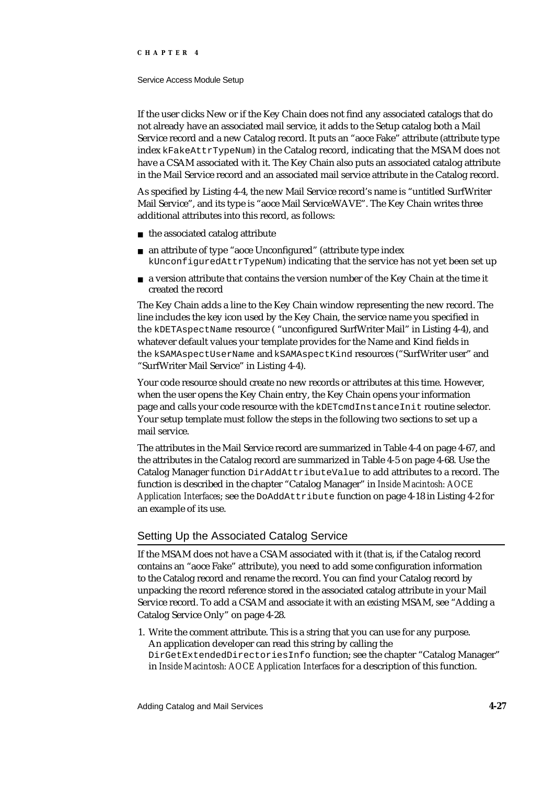### **CHAPTER 4**

#### Service Access Module Setup

If the user clicks New or if the Key Chain does not find any associated catalogs that do not already have an associated mail service, it adds to the Setup catalog both a Mail Service record and a new Catalog record. It puts an "aoce Fake" attribute (attribute type index kFakeAttrTypeNum) in the Catalog record, indicating that the MSAM does not have a CSAM associated with it. The Key Chain also puts an associated catalog attribute in the Mail Service record and an associated mail service attribute in the Catalog record.

As specified by Listing 4-4, the new Mail Service record's name is "untitled SurfWriter Mail Service", and its type is "aoce Mail ServiceWAVE". The Key Chain writes three additional attributes into this record, as follows:

- $n$  the associated catalog attribute
- an attribute of type "aoce Unconfigured" (attribute type index kUnconfiguredAttrTypeNum) indicating that the service has not yet been set up
- a version attribute that contains the version number of the Key Chain at the time it created the record

The Key Chain adds a line to the Key Chain window representing the new record. The line includes the key icon used by the Key Chain, the service name you specified in the kDETAspectName resource ( "unconfigured SurfWriter Mail" in Listing 4-4), and whatever default values your template provides for the Name and Kind fields in the kSAMAspectUserName and kSAMAspectKind resources ("SurfWriter user" and "SurfWriter Mail Service" in Listing 4-4).

Your code resource should create no new records or attributes at this time. However, when the user opens the Key Chain entry, the Key Chain opens your information page and calls your code resource with the kDETcmdInstanceInit routine selector. Your setup template must follow the steps in the following two sections to set up a mail service.

The attributes in the Mail Service record are summarized in Table 4-4 on page 4-67, and the attributes in the Catalog record are summarized in Table 4-5 on page 4-68. Use the Catalog Manager function DirAddAttributeValue to add attributes to a record. The function is described in the chapter "Catalog Manager" in *Inside Macintosh: AOCE Application Interfaces*; see the DoAddAttribute function on page 4-18 in Listing 4-2 for an example of its use.

# Setting Up the Associated Catalog Service

If the MSAM does not have a CSAM associated with it (that is, if the Catalog record contains an "aoce Fake" attribute), you need to add some configuration information to the Catalog record and rename the record. You can find your Catalog record by unpacking the record reference stored in the associated catalog attribute in your Mail Service record. To add a CSAM and associate it with an existing MSAM, see "Adding a Catalog Service Only" on page 4-28.

1. Write the comment attribute. This is a string that you can use for any purpose. An application developer can read this string by calling the DirGetExtendedDirectoriesInfo function; see the chapter "Catalog Manager" in *Inside Macintosh: AOCE Application Interfaces* for a description of this function.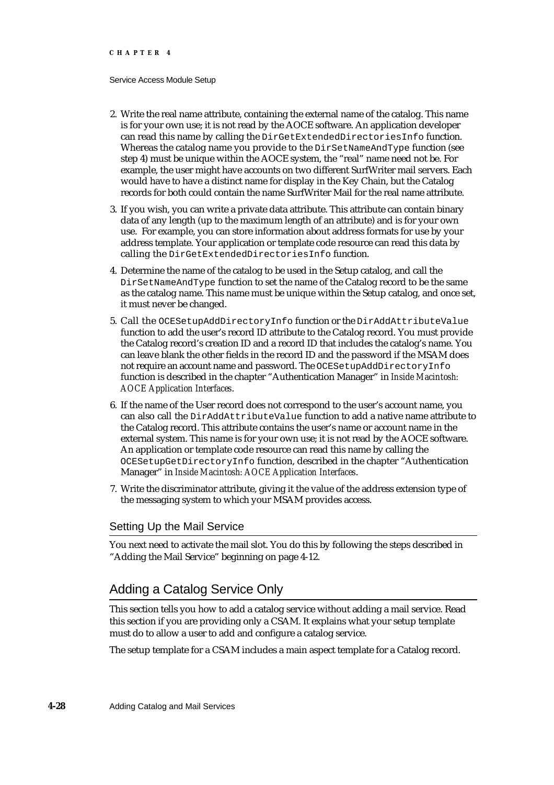- 2. Write the real name attribute, containing the external name of the catalog. This name is for your own use; it is not read by the AOCE software. An application developer can read this name by calling the DirGetExtendedDirectoriesInfo function. Whereas the catalog name you provide to the DirSetNameAndType function (see step 4) must be unique within the AOCE system, the "real" name need not be. For example, the user might have accounts on two different SurfWriter mail servers. Each would have to have a distinct name for display in the Key Chain, but the Catalog records for both could contain the name SurfWriter Mail for the real name attribute.
- 3. If you wish, you can write a private data attribute. This attribute can contain binary data of any length (up to the maximum length of an attribute) and is for your own use. For example, you can store information about address formats for use by your address template. Your application or template code resource can read this data by calling the DirGetExtendedDirectoriesInfo function.
- 4. Determine the name of the catalog to be used in the Setup catalog, and call the DirSetNameAndType function to set the name of the Catalog record to be the same as the catalog name. This name must be unique within the Setup catalog, and once set, it must never be changed.
- 5. Call the OCESetupAddDirectoryInfo function or the DirAddAttributeValue function to add the user's record ID attribute to the Catalog record. You must provide the Catalog record's creation ID and a record ID that includes the catalog's name. You can leave blank the other fields in the record ID and the password if the MSAM does not require an account name and password. The OCESetupAddDirectoryInfo function is described in the chapter "Authentication Manager" in *Inside Macintosh: AOCE Application Interfaces*.
- 6. If the name of the User record does not correspond to the user's account name, you can also call the DirAddAttributeValue function to add a native name attribute to the Catalog record. This attribute contains the user's name or account name in the external system. This name is for your own use; it is not read by the AOCE software. An application or template code resource can read this name by calling the OCESetupGetDirectoryInfo function, described in the chapter "Authentication Manager" in *Inside Macintosh: AOCE Application Interfaces*.
- 7. Write the discriminator attribute, giving it the value of the address extension type of the messaging system to which your MSAM provides access.

## Setting Up the Mail Service

You next need to activate the mail slot. You do this by following the steps described in "Adding the Mail Service" beginning on page 4-12.

# Adding a Catalog Service Only

This section tells you how to add a catalog service without adding a mail service. Read this section if you are providing only a CSAM. It explains what your setup template must do to allow a user to add and configure a catalog service.

The setup template for a CSAM includes a main aspect template for a Catalog record.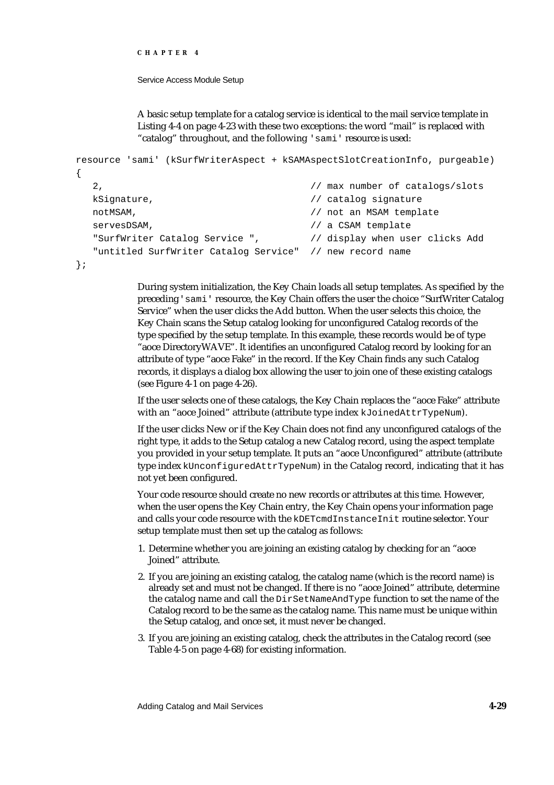```
CHAPTER 4
```
A basic setup template for a catalog service is identical to the mail service template in Listing 4-4 on page 4-23 with these two exceptions: the word "mail" is replaced with "catalog" throughout, and the following 'sami' resource is used:

```
resource 'sami' (kSurfWriterAspect + kSAMAspectSlotCreationInfo, purgeable)
{
  2, // max number of catalogs/slots 
  kSignature, \frac{1}{2} // catalog signature
  notMSAM, \frac{1}{100} not an MSAM template
  servesDSAM, \frac{1}{2} a CSAM template
  "SurfWriter Catalog Service ", // display when user clicks Add 
  "untitled SurfWriter Catalog Service" // new record name
```

```
};
```
During system initialization, the Key Chain loads all setup templates. As specified by the preceding 'sami' resource, the Key Chain offers the user the choice "SurfWriter Catalog Service" when the user clicks the Add button. When the user selects this choice, the Key Chain scans the Setup catalog looking for unconfigured Catalog records of the type specified by the setup template. In this example, these records would be of type "aoce DirectoryWAVE". It identifies an unconfigured Catalog record by looking for an attribute of type "aoce Fake" in the record. If the Key Chain finds any such Catalog records, it displays a dialog box allowing the user to join one of these existing catalogs (see Figure 4-1 on page 4-26).

If the user selects one of these catalogs, the Key Chain replaces the "aoce Fake" attribute with an "aoce Joined" attribute (attribute type index kJoinedAttrTypeNum).

If the user clicks New or if the Key Chain does not find any unconfigured catalogs of the right type, it adds to the Setup catalog a new Catalog record, using the aspect template you provided in your setup template. It puts an "aoce Unconfigured" attribute (attribute type index kUnconfiguredAttrTypeNum) in the Catalog record, indicating that it has not yet been configured.

Your code resource should create no new records or attributes at this time. However, when the user opens the Key Chain entry, the Key Chain opens your information page and calls your code resource with the kDETcmdInstanceInit routine selector. Your setup template must then set up the catalog as follows:

- 1. Determine whether you are joining an existing catalog by checking for an "aoce Joined" attribute.
- 2. If you are joining an existing catalog, the catalog name (which is the record name) is already set and must not be changed. If there is no "aoce Joined" attribute, determine the catalog name and call the DirSetNameAndType function to set the name of the Catalog record to be the same as the catalog name. This name must be unique within the Setup catalog, and once set, it must never be changed.
- 3. If you are joining an existing catalog, check the attributes in the Catalog record (see Table 4-5 on page 4-68) for existing information.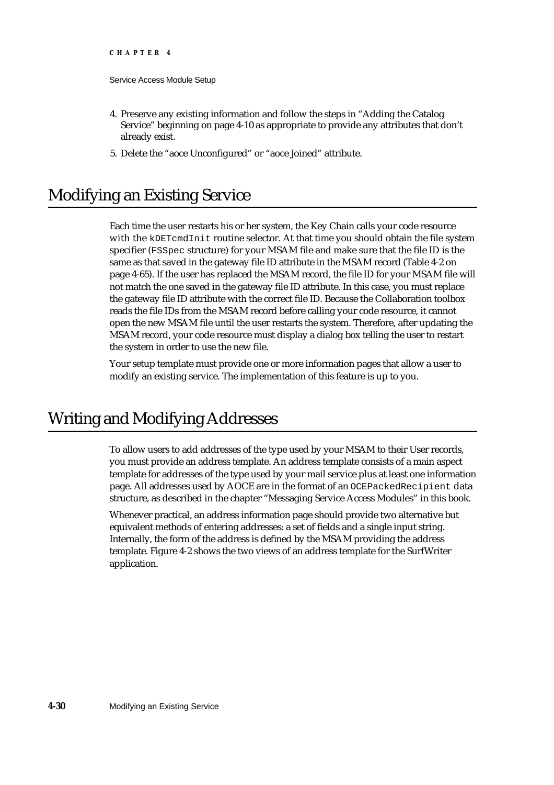- 4. Preserve any existing information and follow the steps in "Adding the Catalog Service" beginning on page 4-10 as appropriate to provide any attributes that don't already exist.
- 5. Delete the "aoce Unconfigured" or "aoce Joined" attribute.

# Modifying an Existing Service

Each time the user restarts his or her system, the Key Chain calls your code resource with the kDETcmdInit routine selector. At that time you should obtain the file system specifier (FSSpec structure) for your MSAM file and make sure that the file ID is the same as that saved in the gateway file ID attribute in the MSAM record (Table 4-2 on page 4-65). If the user has replaced the MSAM record, the file ID for your MSAM file will not match the one saved in the gateway file ID attribute. In this case, you must replace the gateway file ID attribute with the correct file ID. Because the Collaboration toolbox reads the file IDs from the MSAM record before calling your code resource, it cannot open the new MSAM file until the user restarts the system. Therefore, after updating the MSAM record, your code resource must display a dialog box telling the user to restart the system in order to use the new file.

Your setup template must provide one or more information pages that allow a user to modify an existing service. The implementation of this feature is up to you.

# Writing and Modifying Addresses

To allow users to add addresses of the type used by your MSAM to their User records, you must provide an address template. An address template consists of a main aspect template for addresses of the type used by your mail service plus at least one information page. All addresses used by AOCE are in the format of an OCEPackedRecipient data structure, as described in the chapter "Messaging Service Access Modules" in this book.

Whenever practical, an address information page should provide two alternative but equivalent methods of entering addresses: a set of fields and a single input string. Internally, the form of the address is defined by the MSAM providing the address template. Figure 4-2 shows the two views of an address template for the SurfWriter application.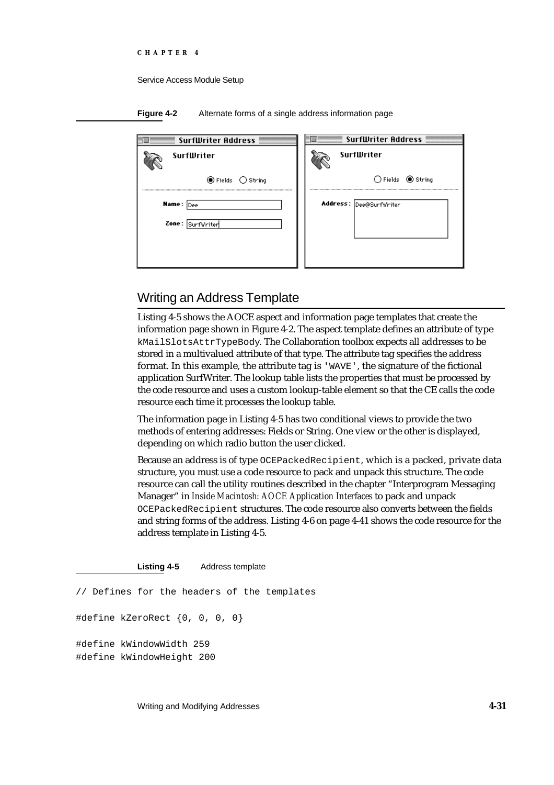**Figure 4-2** Alternate forms of a single address information page

| <b>SurfWriter Address</b> | <b>SurfWriter Address</b> |
|---------------------------|---------------------------|
| <b>SurfWriter</b>         | SurfWriter                |
| ◉ Fields ○ String         | $O$ Fields $O$ String     |
| <b>Name:</b> Dee          | Address: Dee@SurfWriter   |
| Zone: Surfwriter          |                           |

# Writing an Address Template

Listing 4-5 shows the AOCE aspect and information page templates that create the information page shown in Figure 4-2. The aspect template defines an attribute of type kMailSlotsAttrTypeBody. The Collaboration toolbox expects all addresses to be stored in a multivalued attribute of that type. The attribute tag specifies the address format. In this example, the attribute tag is 'WAVE', the signature of the fictional application SurfWriter. The lookup table lists the properties that must be processed by the code resource and uses a custom lookup-table element so that the CE calls the code resource each time it processes the lookup table.

The information page in Listing 4-5 has two conditional views to provide the two methods of entering addresses: Fields or String. One view or the other is displayed, depending on which radio button the user clicked.

Because an address is of type OCEPackedRecipient, which is a packed, private data structure, you must use a code resource to pack and unpack this structure. The code resource can call the utility routines described in the chapter "Interprogram Messaging Manager" in *Inside Macintosh: AOCE Application Interfaces* to pack and unpack OCEPackedRecipient structures. The code resource also converts between the fields and string forms of the address. Listing 4-6 on page 4-41 shows the code resource for the address template in Listing 4-5.

**Listing 4-5** Address template

// Defines for the headers of the templates

#define kZeroRect {0, 0, 0, 0}

#define kWindowWidth 259 #define kWindowHeight 200

Writing and Modifying Addresses **4-31**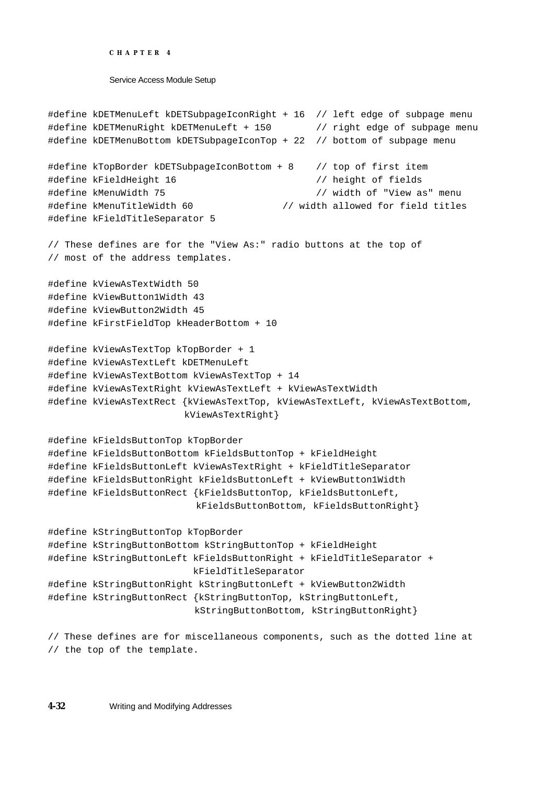```
CHAPTER 4
```

```
#define kDETMenuLeft kDETSubpageIconRight + 16 // left edge of subpage menu 
#define kDETMenuRight kDETMenuLeft + 150 // right edge of subpage menu
#define kDETMenuBottom kDETSubpageIconTop + 22 // bottom of subpage menu
#define kTopBorder kDETSubpageIconBottom + 8 // top of first item
#define kFieldHeight 16 // height of fields
#define kMenuWidth 75 // width of "View as" menu
#define kMenuTitleWidth 60 // width allowed for field titles
#define kFieldTitleSeparator 5
// These defines are for the "View As:" radio buttons at the top of 
// most of the address templates. 
#define kViewAsTextWidth 50
#define kViewButton1Width 43
#define kViewButton2Width 45
#define kFirstFieldTop kHeaderBottom + 10
#define kViewAsTextTop kTopBorder + 1
#define kViewAsTextLeft kDETMenuLeft
#define kViewAsTextBottom kViewAsTextTop + 14
#define kViewAsTextRight kViewAsTextLeft + kViewAsTextWidth
#define kViewAsTextRect {kViewAsTextTop, kViewAsTextLeft, kViewAsTextBottom,
                       kViewAsTextRight}
#define kFieldsButtonTop kTopBorder
#define kFieldsButtonBottom kFieldsButtonTop + kFieldHeight
#define kFieldsButtonLeft kViewAsTextRight + kFieldTitleSeparator
#define kFieldsButtonRight kFieldsButtonLeft + kViewButton1Width
#define kFieldsButtonRect {kFieldsButtonTop, kFieldsButtonLeft,
                         kFieldsButtonBottom, kFieldsButtonRight}
#define kStringButtonTop kTopBorder
#define kStringButtonBottom kStringButtonTop + kFieldHeight
#define kStringButtonLeft kFieldsButtonRight + kFieldTitleSeparator +
                         kFieldTitleSeparator
#define kStringButtonRight kStringButtonLeft + kViewButton2Width
#define kStringButtonRect {kStringButtonTop, kStringButtonLeft,
                         kStringButtonBottom, kStringButtonRight}
// These defines are for miscellaneous components, such as the dotted line at
```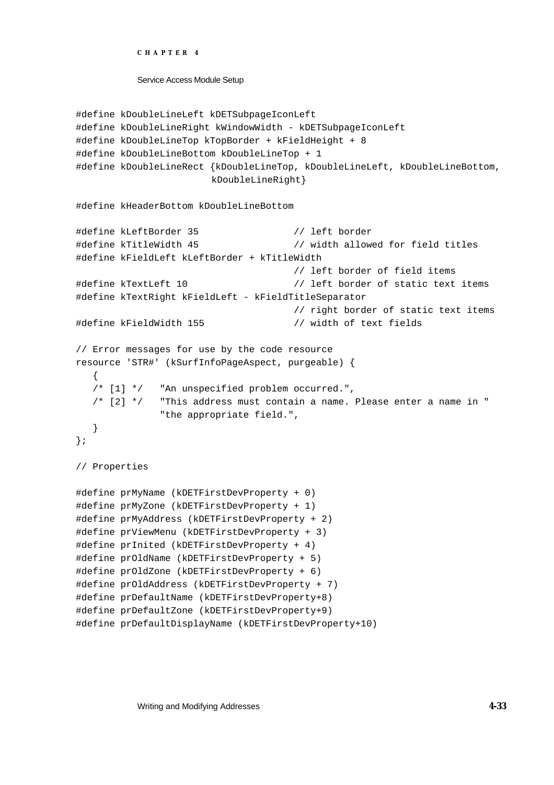```
CHAPTER 4
```

```
#define kDoubleLineLeft kDETSubpageIconLeft
#define kDoubleLineRight kWindowWidth - kDETSubpageIconLeft
#define kDoubleLineTop kTopBorder + kFieldHeight + 8
#define kDoubleLineBottom kDoubleLineTop + 1
#define kDoubleLineRect {kDoubleLineTop, kDoubleLineLeft, kDoubleLineBottom,
                       kDoubleLineRight}
#define kHeaderBottom kDoubleLineBottom
#define kLeftBorder 35 // left border
#define kTitleWidth 45 // width allowed for field titles
#define kFieldLeft kLeftBorder + kTitleWidth
                                      // left border of field items
#define kTextLeft 10 \frac{1}{2} // left border of static text items
#define kTextRight kFieldLeft - kFieldTitleSeparator
                                      // right border of static text items
#define kFieldWidth 155 // width of text fields
// Error messages for use by the code resource
resource 'STR#' (kSurfInfoPageAspect, purgeable) {
  {
  /* [1] */ "An unspecified problem occurred.",
  /* [2] */ "This address must contain a name. Please enter a name in "
              "the appropriate field.",
  }
};
// Properties 
#define prMyName (kDETFirstDevProperty + 0)
#define prMyZone (kDETFirstDevProperty + 1)
#define prMyAddress (kDETFirstDevProperty + 2)
#define prViewMenu (kDETFirstDevProperty + 3)
#define prInited (kDETFirstDevProperty + 4)
#define prOldName (kDETFirstDevProperty + 5)
#define prOldZone (kDETFirstDevProperty + 6)
#define prOldAddress (kDETFirstDevProperty + 7)
#define prDefaultName (kDETFirstDevProperty+8)
#define prDefaultZone (kDETFirstDevProperty+9)
#define prDefaultDisplayName (kDETFirstDevProperty+10)
```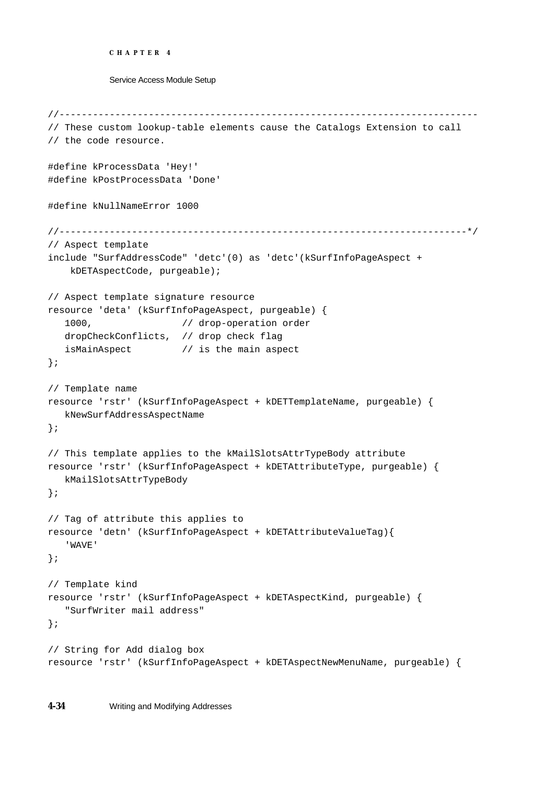```
CHAPTER 4
```

```
//---------------------------------------------------------------------------
// These custom lookup-table elements cause the Catalogs Extension to call 
// the code resource.
#define kProcessData 'Hey!'
#define kPostProcessData 'Done'
#define kNullNameError 1000
//-------------------------------------------------------------------------*/
// Aspect template 
include "SurfAddressCode" 'detc'(0) as 'detc'(kSurfInfoPageAspect +
     kDETAspectCode, purgeable);
// Aspect template signature resource 
resource 'deta' (kSurfInfoPageAspect, purgeable) {
   1000, \sqrt{2} // drop-operation order
  dropCheckConflicts, // drop check flag
   isMainAspect // is the main aspect
};
// Template name 
resource 'rstr' (kSurfInfoPageAspect + kDETTemplateName, purgeable) {
   kNewSurfAddressAspectName
};
// This template applies to the kMailSlotsAttrTypeBody attribute 
resource 'rstr' (kSurfInfoPageAspect + kDETAttributeType, purgeable) {
  kMailSlotsAttrTypeBody
};
// Tag of attribute this applies to 
resource 'detn' (kSurfInfoPageAspect + kDETAttributeValueTag){ 
   'WAVE' 
};
// Template kind 
resource 'rstr' (kSurfInfoPageAspect + kDETAspectKind, purgeable) {
   "SurfWriter mail address"
};
// String for Add dialog box 
resource 'rstr' (kSurfInfoPageAspect + kDETAspectNewMenuName, purgeable) {
```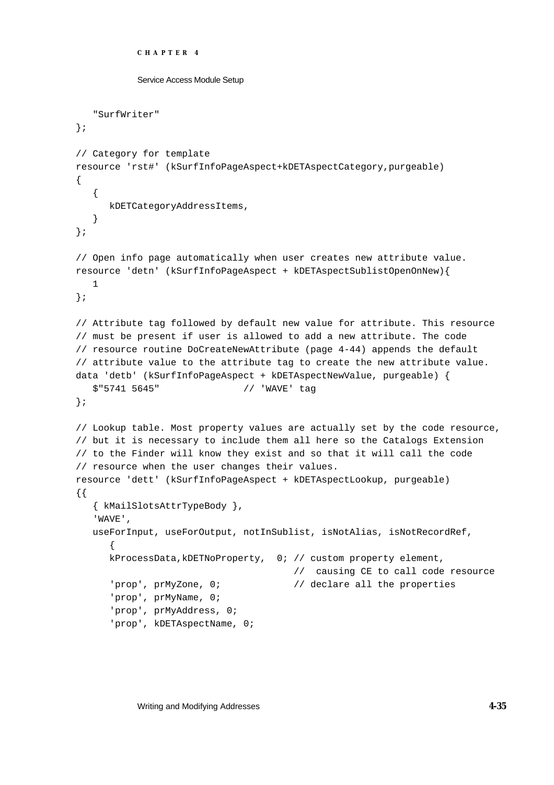```
CHAPTER 4
           Service Access Module Setup
   "SurfWriter"
};
// Category for template 
resource 'rst#' (kSurfInfoPageAspect+kDETAspectCategory,purgeable)
{
   {
     kDETCategoryAddressItems,
   }
};
// Open info page automatically when user creates new attribute value.
resource 'detn' (kSurfInfoPageAspect + kDETAspectSublistOpenOnNew){
  1 
};
// Attribute tag followed by default new value for attribute. This resource
// must be present if user is allowed to add a new attribute. The code 
// resource routine DoCreateNewAttribute (page 4-44) appends the default 
// attribute value to the attribute tag to create the new attribute value. 
data 'detb' (kSurfInfoPageAspect + kDETAspectNewValue, purgeable) {
   $"5741 5645" // 'WAVE' tag
};
// Lookup table. Most property values are actually set by the code resource,
// but it is necessary to include them all here so the Catalogs Extension
// to the Finder will know they exist and so that it will call the code
// resource when the user changes their values.
resource 'dett' (kSurfInfoPageAspect + kDETAspectLookup, purgeable)
{{
   { kMailSlotsAttrTypeBody }, 
   'WAVE',
   useForInput, useForOutput, notInSublist, isNotAlias, isNotRecordRef,
      {
     kProcessData,kDETNoProperty, 0; // custom property element,
                                       // causing CE to call code resource
      'prop', prMyZone, 0; \sqrt{2}// declare all the properties
      'prop', prMyName, 0;
      'prop', prMyAddress, 0;
      'prop', kDETAspectName, 0;
```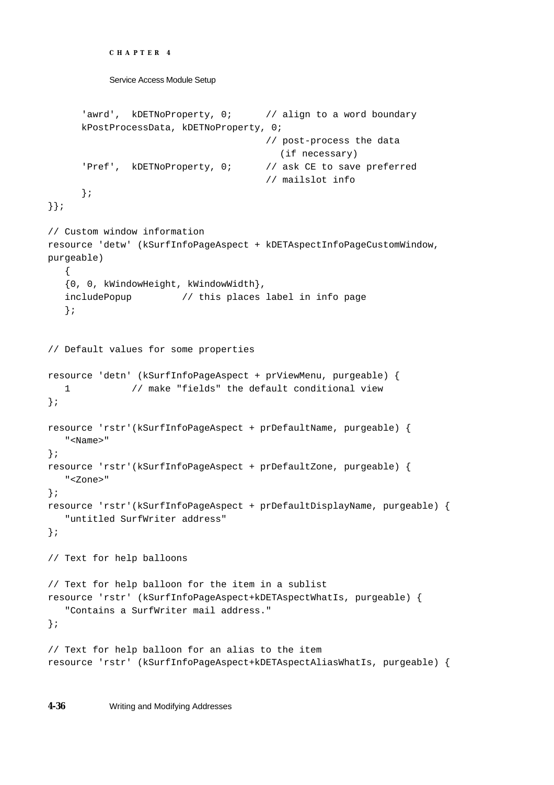```
CHAPTER 4
```

```
Service Access Module Setup
```

```
'awrd', kDETNoProperty, 0; // align to a word boundary
     kPostProcessData, kDETNoProperty, 0;
                                      // post-process the data 
                                         (if necessary)
      'Pref', kDETNoProperty, 0; // ask CE to save preferred 
                                      // mailslot info
      };
}};
// Custom window information 
resource 'detw' (kSurfInfoPageAspect + kDETAspectInfoPageCustomWindow, 
purgeable)
   {
   {0, 0, kWindowHeight, kWindowWidth},
   includePopup // this places label in info page
   };
// Default values for some properties 
resource 'detn' (kSurfInfoPageAspect + prViewMenu, purgeable) { 
  1 // make "fields" the default conditional view
};
resource 'rstr'(kSurfInfoPageAspect + prDefaultName, purgeable) {
   "<Name>" 
};
resource 'rstr'(kSurfInfoPageAspect + prDefaultZone, purgeable) { 
  "<Zone>" 
};
resource 'rstr'(kSurfInfoPageAspect + prDefaultDisplayName, purgeable) {
   "untitled SurfWriter address" 
};
// Text for help balloons
// Text for help balloon for the item in a sublist
resource 'rstr' (kSurfInfoPageAspect+kDETAspectWhatIs, purgeable) {
   "Contains a SurfWriter mail address."
};
// Text for help balloon for an alias to the item
resource 'rstr' (kSurfInfoPageAspect+kDETAspectAliasWhatIs, purgeable) {
```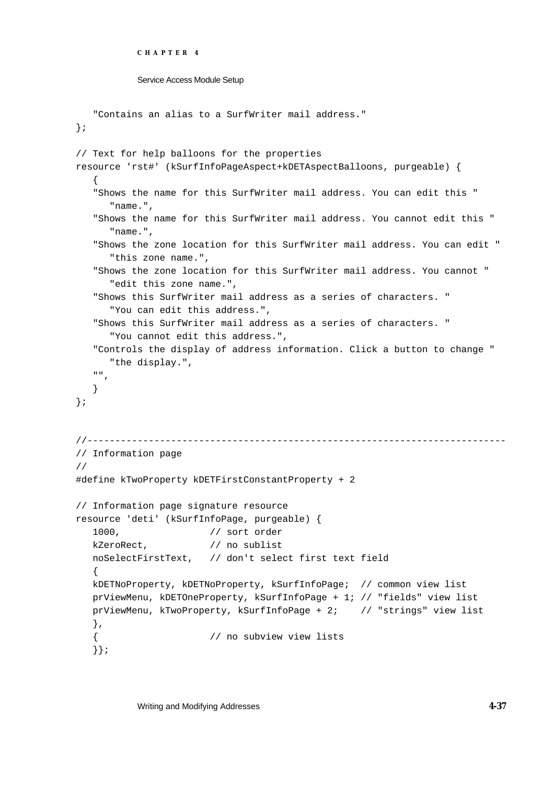```
CHAPTER 4
```

```
Service Access Module Setup
```

```
"Contains an alias to a SurfWriter mail address."
};
// Text for help balloons for the properties
resource 'rst#' (kSurfInfoPageAspect+kDETAspectBalloons, purgeable) {
   {
   "Shows the name for this SurfWriter mail address. You can edit this "
      "name.",
   "Shows the name for this SurfWriter mail address. You cannot edit this "
      "name.",
   "Shows the zone location for this SurfWriter mail address. You can edit "
      "this zone name.",
   "Shows the zone location for this SurfWriter mail address. You cannot "
      "edit this zone name.",
   "Shows this SurfWriter mail address as a series of characters. "
      "You can edit this address.",
   "Shows this SurfWriter mail address as a series of characters. "
      "You cannot edit this address.",
   "Controls the display of address information. Click a button to change "
     "the display.",
   \mathbf{u} , \mathbf{u}}
};
//---------------------------------------------------------------------------
// Information page
//
#define kTwoProperty kDETFirstConstantProperty + 2
// Information page signature resource
resource 'deti' (kSurfInfoPage, purgeable) {
   1000, // sort order
  kZeroRect, // no sublist
  noSelectFirstText, // don't select first text field
   {
  kDETNoProperty, kDETNoProperty, kSurfInfoPage; // common view list
  prViewMenu, kDETOneProperty, kSurfInfoPage + 1; // "fields" view list
  prViewMenu, kTwoProperty, kSurfInfoPage + 2; // "strings" view list
   },
   { // no subview view lists
   }};
```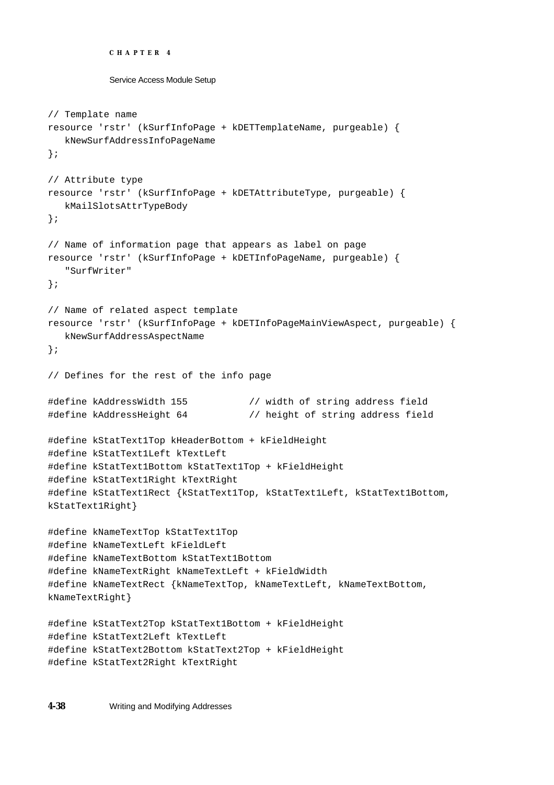```
CHAPTER 4
```

```
// Template name
resource 'rstr' (kSurfInfoPage + kDETTemplateName, purgeable) {
   kNewSurfAddressInfoPageName
};
// Attribute type
resource 'rstr' (kSurfInfoPage + kDETAttributeType, purgeable) {
   kMailSlotsAttrTypeBody
};
// Name of information page that appears as label on page
resource 'rstr' (kSurfInfoPage + kDETInfoPageName, purgeable) {
   "SurfWriter"
};
// Name of related aspect template
resource 'rstr' (kSurfInfoPage + kDETInfoPageMainViewAspect, purgeable) {
  kNewSurfAddressAspectName
};
// Defines for the rest of the info page
#define kAddressWidth 155 // width of string address field
#define kAddressHeight 64 // height of string address field
#define kStatText1Top kHeaderBottom + kFieldHeight
#define kStatText1Left kTextLeft
#define kStatText1Bottom kStatText1Top + kFieldHeight
#define kStatText1Right kTextRight
#define kStatText1Rect {kStatText1Top, kStatText1Left, kStatText1Bottom, 
kStatText1Right}
#define kNameTextTop kStatText1Top
#define kNameTextLeft kFieldLeft
#define kNameTextBottom kStatText1Bottom
#define kNameTextRight kNameTextLeft + kFieldWidth
#define kNameTextRect {kNameTextTop, kNameTextLeft, kNameTextBottom, 
kNameTextRight}
#define kStatText2Top kStatText1Bottom + kFieldHeight
#define kStatText2Left kTextLeft
#define kStatText2Bottom kStatText2Top + kFieldHeight
#define kStatText2Right kTextRight
```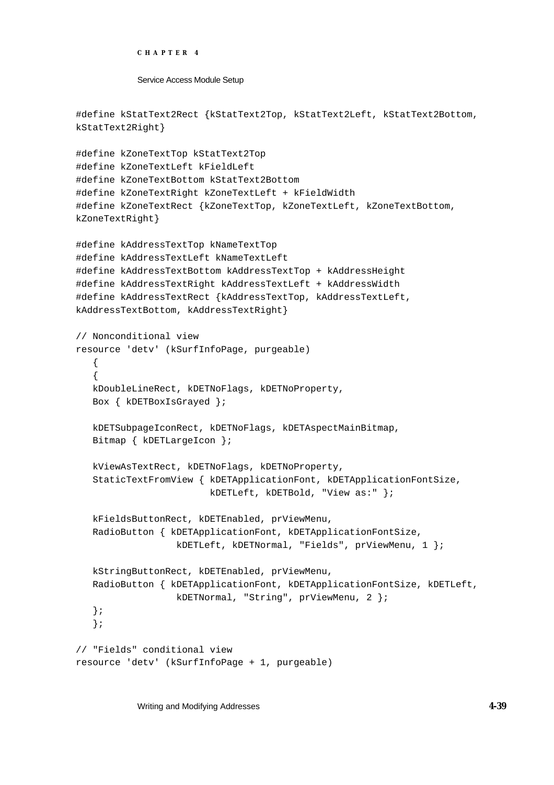```
CHAPTER 4
```

```
#define kStatText2Rect {kStatText2Top, kStatText2Left, kStatText2Bottom, 
kStatText2Right}
#define kZoneTextTop kStatText2Top
#define kZoneTextLeft kFieldLeft
#define kZoneTextBottom kStatText2Bottom
#define kZoneTextRight kZoneTextLeft + kFieldWidth
#define kZoneTextRect {kZoneTextTop, kZoneTextLeft, kZoneTextBottom, 
kZoneTextRight}
#define kAddressTextTop kNameTextTop
#define kAddressTextLeft kNameTextLeft
#define kAddressTextBottom kAddressTextTop + kAddressHeight
#define kAddressTextRight kAddressTextLeft + kAddressWidth
#define kAddressTextRect {kAddressTextTop, kAddressTextLeft, 
kAddressTextBottom, kAddressTextRight}
// Nonconditional view
resource 'detv' (kSurfInfoPage, purgeable)
   {
   {
  kDoubleLineRect, kDETNoFlags, kDETNoProperty,
   Box { kDETBoxIsGrayed };
   kDETSubpageIconRect, kDETNoFlags, kDETAspectMainBitmap,
   Bitmap { kDETLargeIcon };
   kViewAsTextRect, kDETNoFlags, kDETNoProperty,
   StaticTextFromView { kDETApplicationFont, kDETApplicationFontSize, 
                        kDETLeft, kDETBold, "View as:" };
   kFieldsButtonRect, kDETEnabled, prViewMenu,
   RadioButton { kDETApplicationFont, kDETApplicationFontSize, 
                  kDETLeft, kDETNormal, "Fields", prViewMenu, 1 };
  kStringButtonRect, kDETEnabled, prViewMenu,
   RadioButton { kDETApplicationFont, kDETApplicationFontSize, kDETLeft, 
                  kDETNormal, "String", prViewMenu, 2 };
   };
   };
// "Fields" conditional view
resource 'detv' (kSurfInfoPage + 1, purgeable)
```
Writing and Modifying Addresses **4-39**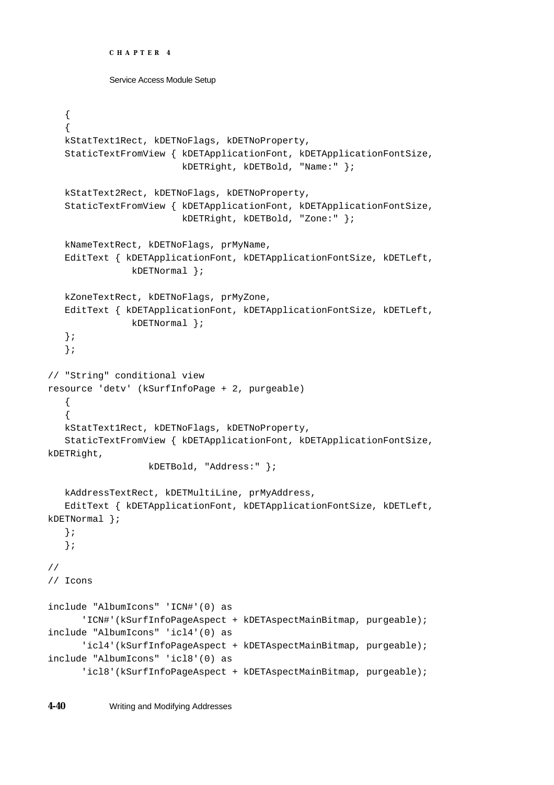```
CHAPTER 4
```

```
{
   {
   kStatText1Rect, kDETNoFlags, kDETNoProperty,
   StaticTextFromView { kDETApplicationFont, kDETApplicationFontSize,
                        kDETRight, kDETBold, "Name:" };
   kStatText2Rect, kDETNoFlags, kDETNoProperty,
   StaticTextFromView { kDETApplicationFont, kDETApplicationFontSize,
                        kDETRight, kDETBold, "Zone:" };
   kNameTextRect, kDETNoFlags, prMyName,
   EditText { kDETApplicationFont, kDETApplicationFontSize, kDETLeft,
               kDETNormal };
  kZoneTextRect, kDETNoFlags, prMyZone,
   EditText { kDETApplicationFont, kDETApplicationFontSize, kDETLeft, 
               kDETNormal };
   };
   };
// "String" conditional view
resource 'detv' (kSurfInfoPage + 2, purgeable)
   {
   {
  kStatText1Rect, kDETNoFlags, kDETNoProperty,
   StaticTextFromView { kDETApplicationFont, kDETApplicationFontSize, 
kDETRight, 
                  kDETBold, "Address:" };
  kAddressTextRect, kDETMultiLine, prMyAddress,
   EditText { kDETApplicationFont, kDETApplicationFontSize, kDETLeft, 
kDETNormal };
   };
   };
//
// Icons
include "AlbumIcons" 'ICN#'(0) as 
      'ICN#'(kSurfInfoPageAspect + kDETAspectMainBitmap, purgeable);
include "AlbumIcons" 'icl4'(0) as 
      'icl4'(kSurfInfoPageAspect + kDETAspectMainBitmap, purgeable);
include "AlbumIcons" 'icl8'(0) as 
      'icl8'(kSurfInfoPageAspect + kDETAspectMainBitmap, purgeable);
```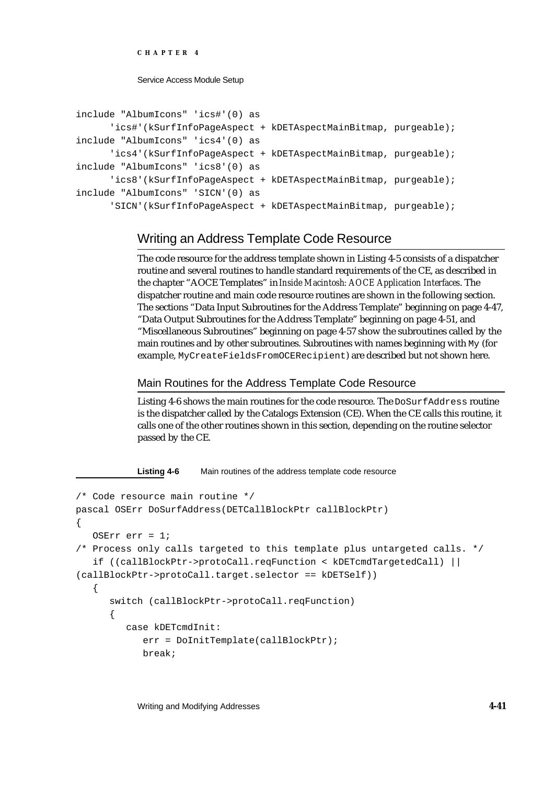**CHAPTER 4**

Service Access Module Setup

```
include "AlbumIcons" 'ics#'(0) as 
      'ics#'(kSurfInfoPageAspect + kDETAspectMainBitmap, purgeable);
include "AlbumIcons" 'ics4'(0) as 
      'ics4'(kSurfInfoPageAspect + kDETAspectMainBitmap, purgeable);
include "AlbumIcons" 'ics8'(0) as 
      'ics8'(kSurfInfoPageAspect + kDETAspectMainBitmap, purgeable);
include "AlbumIcons" 'SICN'(0) as 
      'SICN'(kSurfInfoPageAspect + kDETAspectMainBitmap, purgeable);
```
# Writing an Address Template Code Resource

The code resource for the address template shown in Listing 4-5 consists of a dispatcher routine and several routines to handle standard requirements of the CE, as described in the chapter "AOCE Templates" in *Inside Macintosh: AOCE Application Interfaces*. The dispatcher routine and main code resource routines are shown in the following section. The sections "Data Input Subroutines for the Address Template" beginning on page 4-47, "Data Output Subroutines for the Address Template" beginning on page 4-51, and "Miscellaneous Subroutines" beginning on page 4-57 show the subroutines called by the main routines and by other subroutines. Subroutines with names beginning with My (for example, MyCreateFieldsFromOCERecipient) are described but not shown here.

Main Routines for the Address Template Code Resource

Listing 4-6 shows the main routines for the code resource. The DoSurfAddress routine is the dispatcher called by the Catalogs Extension (CE). When the CE calls this routine, it calls one of the other routines shown in this section, depending on the routine selector passed by the CE.

**Listing 4-6** Main routines of the address template code resource

```
/* Code resource main routine */
pascal OSErr DoSurfAddress(DETCallBlockPtr callBlockPtr)
{
   OSErr err = 1;
/* Process only calls targeted to this template plus untargeted calls. */
   if ((callBlockPtr->protoCall.reqFunction < kDETcmdTargetedCall) || 
(callBlockPtr->protoCall.target.selector == kDETSelf))
   {
      switch (callBlockPtr->protoCall.reqFunction)
      {
         case kDETcmdInit:
            err = DoInitTemplate(callBlockPtr);
            break;
```
Writing and Modifying Addresses **4-41**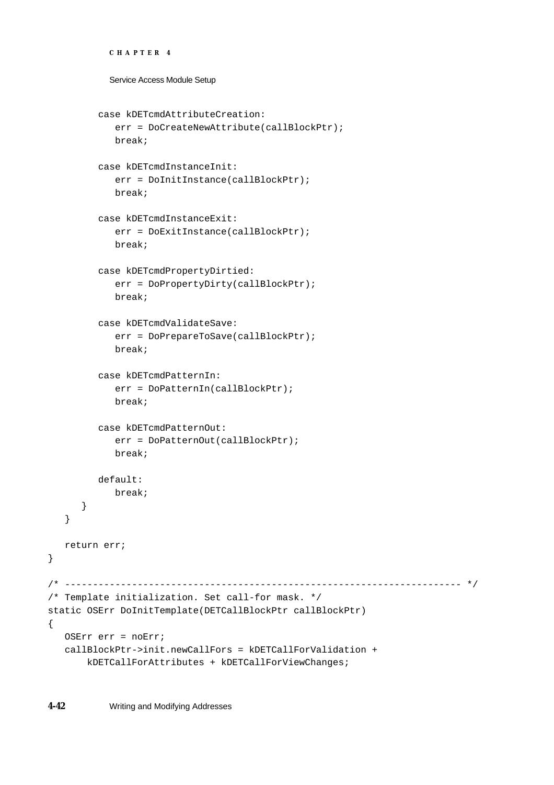```
Service Access Module Setup
         case kDETcmdAttributeCreation:
            err = DoCreateNewAttribute(callBlockPtr);
            break;
         case kDETcmdInstanceInit:
            err = DoInitInstance(callBlockPtr);
            break;
         case kDETcmdInstanceExit:
            err = DoExitInstance(callBlockPtr);
            break;
         case kDETcmdPropertyDirtied:
            err = DoPropertyDirty(callBlockPtr);
            break;
         case kDETcmdValidateSave:
            err = DoPrepareToSave(callBlockPtr);
            break;
         case kDETcmdPatternIn:
            err = DoPatternIn(callBlockPtr);
            break;
         case kDETcmdPatternOut:
            err = DoPatternOut(callBlockPtr);
            break;
         default:
            break;
      }
   }
  return err;
/* ----------------------------------------------------------------------- */
/* Template initialization. Set call-for mask. */
static OSErr DoInitTemplate(DETCallBlockPtr callBlockPtr)
  OSErr err = noErr;
  callBlockPtr->init.newCallFors = kDETCallForValidation +
        kDETCallForAttributes + kDETCallForViewChanges;
```
}

{

**CHAPTER 4**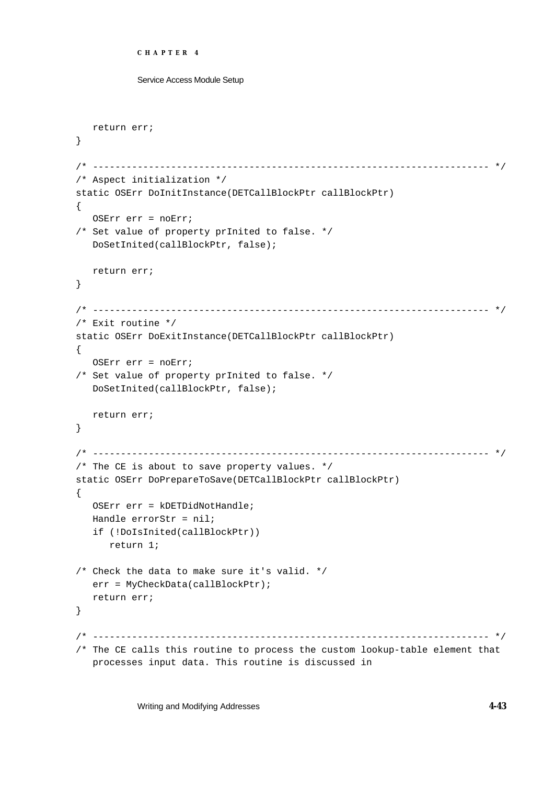```
CHAPTER 4
```

```
Service Access Module Setup
```

```
return err;
}
/* ----------------------------------------------------------------------- */
/* Aspect initialization */
static OSErr DoInitInstance(DETCallBlockPtr callBlockPtr)
{
   OSErr err = noErr;
/* Set value of property prInited to false. */
   DoSetInited(callBlockPtr, false);
  return err;
}
/* ----------------------------------------------------------------------- */
/* Exit routine */
static OSErr DoExitInstance(DETCallBlockPtr callBlockPtr)
{
  OSErr err = noErr;
/* Set value of property prInited to false. */
  DoSetInited(callBlockPtr, false);
  return err;
}
/* ----------------------------------------------------------------------- */
/* The CE is about to save property values. */
static OSErr DoPrepareToSave(DETCallBlockPtr callBlockPtr)
{
  OSErr err = kDETDidNotHandle;
  Handle errorStr = nil;
   if (!DoIsInited(callBlockPtr))
     return 1;
/* Check the data to make sure it's valid. */
  err = MyCheckData(callBlockPtr);
  return err;
}
/* ----------------------------------------------------------------------- */
/* The CE calls this routine to process the custom lookup-table element that 
  processes input data. This routine is discussed in
```
Writing and Modifying Addresses **4-43**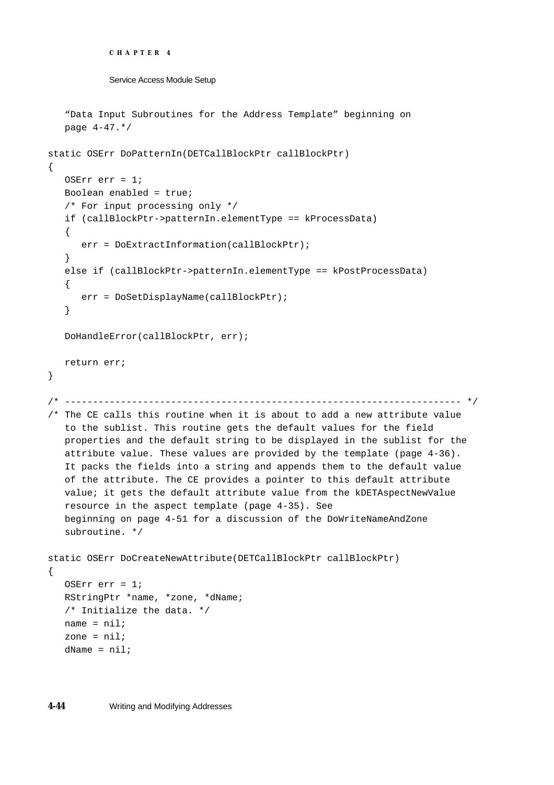```
CHAPTER 4
```

```
Service Access Module Setup
```

```
"Data Input Subroutines for the Address Template" beginning on
   page 4-47.*/
static OSErr DoPatternIn(DETCallBlockPtr callBlockPtr)
{
  OSErr err = 1;
  Boolean enabled = true;
   /* For input processing only */
   if (callBlockPtr->patternIn.elementType == kProcessData)
   {
      err = DoExtractInformation(callBlockPtr);
   }
   else if (callBlockPtr->patternIn.elementType == kPostProcessData)
   \{err = DoSetDisplayName(callBlockPtr);
   }
  DoHandleError(callBlockPtr, err);
  return err;
}
/* ----------------------------------------------------------------------- */
/* The CE calls this routine when it is about to add a new attribute value 
  to the sublist. This routine gets the default values for the field 
  properties and the default string to be displayed in the sublist for the 
  attribute value. These values are provided by the template (page 4-36). 
   It packs the fields into a string and appends them to the default value 
  of the attribute. The CE provides a pointer to this default attribute 
  value; it gets the default attribute value from the kDETAspectNewValue
  resource in the aspect template (page 4-35). See 
  beginning on page 4-51 for a discussion of the DoWriteNameAndZone 
   subroutine. */
static OSErr DoCreateNewAttribute(DETCallBlockPtr callBlockPtr)
\{OSErr err = 1;
  RStringPtr *name, *zone, *dName;
   /* Initialize the data. */
  name = nil;zone = nil;
  dName = nil;
```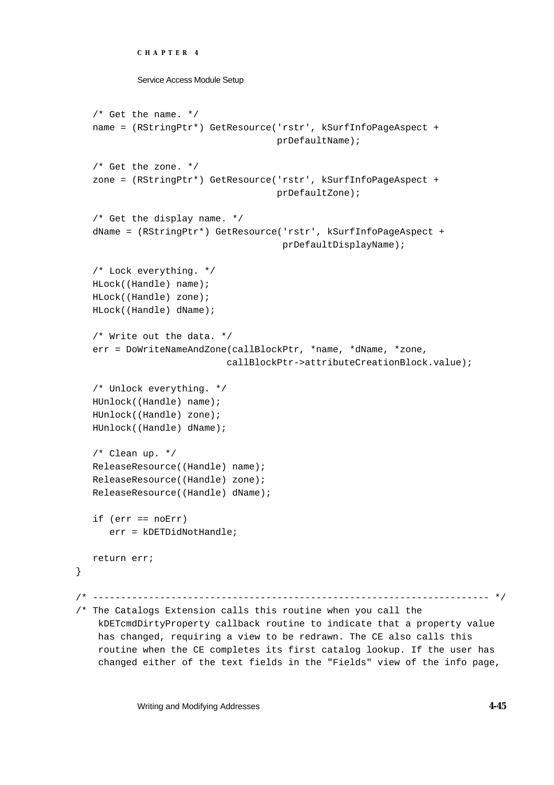```
CHAPTER 4
```

```
/* Get the name. */name = (RStringPtr*) GetResource('rstr', kSurfInfoPageAspect + 
                                    prDefaultName);
   /* Get the zone. */
   zone = (RStringPtr*) GetResource('rstr', kSurfInfoPageAspect + 
                                    prDefaultZone);
   /* Get the display name. */
   dName = (RStringPtr*) GetResource('rstr', kSurfInfoPageAspect + 
                                      prDefaultDisplayName);
   /* Lock everything. */
  HLock((Handle) name);
   HLock((Handle) zone);
  HLock((Handle) dName);
   /* Write out the data. */
   err = DoWriteNameAndZone(callBlockPtr, *name, *dName, *zone, 
                           callBlockPtr->attributeCreationBlock.value);
   /* Unlock everything. */
  HUnlock((Handle) name);
  HUnlock((Handle) zone);
  HUnlock((Handle) dName);
   /* Clean up. */
  ReleaseResource((Handle) name);
  ReleaseResource((Handle) zone);
  ReleaseResource((Handle) dName);
  if (err == noErr)
      err = kDETDidNotHandle;
  return err;
/* ----------------------------------------------------------------------- */
/* The Catalogs Extension calls this routine when you call the 
    kDETcmdDirtyProperty callback routine to indicate that a property value 
    has changed, requiring a view to be redrawn. The CE also calls this 
    routine when the CE completes its first catalog lookup. If the user has 
    changed either of the text fields in the "Fields" view of the info page,
```
Writing and Modifying Addresses **4-45**

}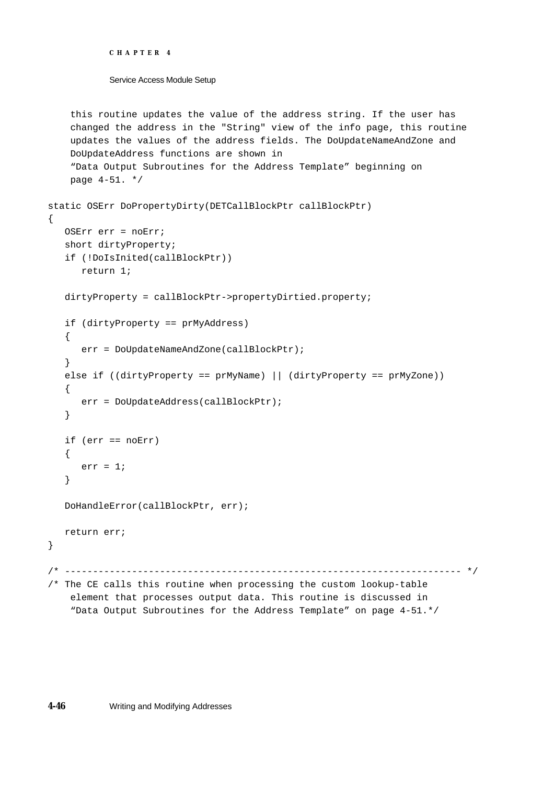```
CHAPTER 4
```

```
 this routine updates the value of the address string. If the user has 
     changed the address in the "String" view of the info page, this routine 
     updates the values of the address fields. The DoUpdateNameAndZone and 
    DoUpdateAddress functions are shown in 
     "Data Output Subroutines for the Address Template" beginning on
    page 4-51. */
static OSErr DoPropertyDirty(DETCallBlockPtr callBlockPtr)
{
  OSErr err = noErr;
   short dirtyProperty;
   if (!DoIsInited(callBlockPtr))
     return 1;
  dirtyProperty = callBlockPtr->propertyDirtied.property;
   if (dirtyProperty == prMyAddress)
   {
      err = DoUpdateNameAndZone(callBlockPtr);
   }
   else if ((dirtyProperty == prMyName) || (dirtyProperty == prMyZone))
   {
     err = DoUpdateAddress(callBlockPtr);
   }
   if (err == noErr)
   {
     err = 1;
   }
  DoHandleError(callBlockPtr, err);
  return err;
}
/* ----------------------------------------------------------------------- */
/* The CE calls this routine when processing the custom lookup-table 
    element that processes output data. This routine is discussed in
     "Data Output Subroutines for the Address Template" on page 4-51.*/
```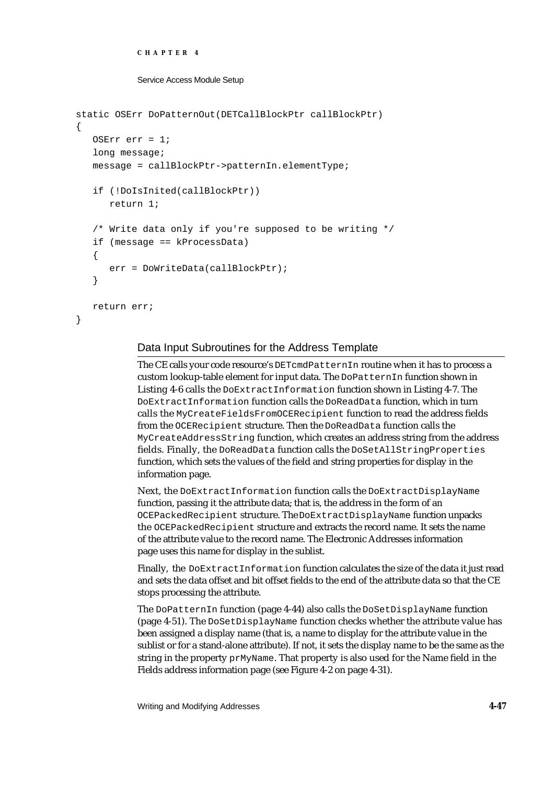```
CHAPTER 4
```

```
Service Access Module Setup
```

```
static OSErr DoPatternOut(DETCallBlockPtr callBlockPtr)
{
   OSErr err = 1;
   long message;
   message = callBlockPtr->patternIn.elementType;
   if (!DoIsInited(callBlockPtr))
      return 1;
   /* Write data only if you're supposed to be writing */
   if (message == kProcessData)
   {
      err = DoWriteData(callBlockPtr);
   }
   return err;
}
```
# Data Input Subroutines for the Address Template

The CE calls your code resource's DETcmdPatternIn routine when it has to process a custom lookup-table element for input data. The DoPatternIn function shown in Listing 4-6 calls the DoExtractInformation function shown in Listing 4-7. The DoExtractInformation function calls the DoReadData function, which in turn calls the MyCreateFieldsFromOCERecipient function to read the address fields from the OCERecipient structure. Then the DoReadData function calls the MyCreateAddressString function, which creates an address string from the address fields. Finally, the DoReadData function calls the DoSetAllStringProperties function, which sets the values of the field and string properties for display in the information page.

Next, the DoExtractInformation function calls the DoExtractDisplayName function, passing it the attribute data; that is, the address in the form of an OCEPackedRecipient structure. The DoExtractDisplayName function unpacks the OCEPackedRecipient structure and extracts the record name. It sets the name of the attribute value to the record name. The Electronic Addresses information page uses this name for display in the sublist.

Finally, the DoExtractInformation function calculates the size of the data it just read and sets the data offset and bit offset fields to the end of the attribute data so that the CE stops processing the attribute.

The DoPatternIn function (page 4-44) also calls the DoSetDisplayName function (page 4-51). The DoSetDisplayName function checks whether the attribute value has been assigned a display name (that is, a name to display for the attribute value in the sublist or for a stand-alone attribute). If not, it sets the display name to be the same as the string in the property prMyName. That property is also used for the Name field in the Fields address information page (see Figure 4-2 on page 4-31).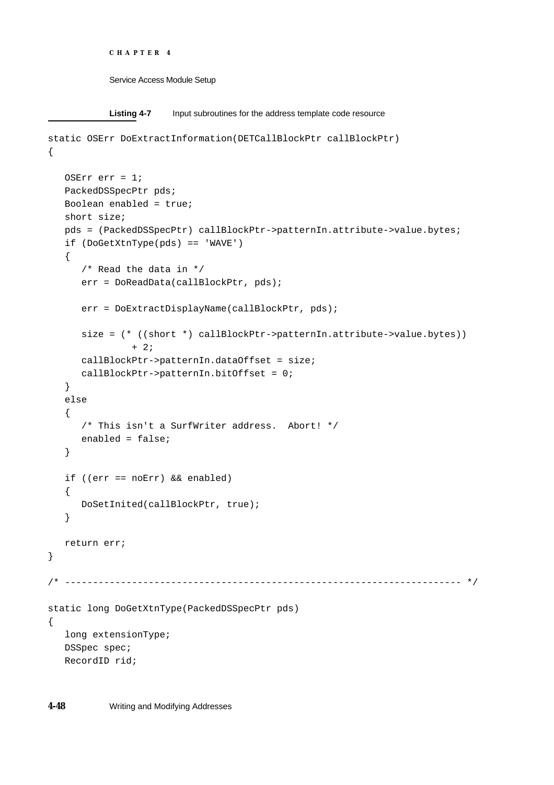```
CHAPTER 4
```

```
Listing 4-7 Input subroutines for the address template code resource
static OSErr DoExtractInformation(DETCallBlockPtr callBlockPtr)
{
   OSErr err = 1;
   PackedDSSpecPtr pds;
   Boolean enabled = true;
   short size;
   pds = (PackedDSSpecPtr) callBlockPtr->patternIn.attribute->value.bytes;
   if (DoGetXtnType(pds) == 'WAVE')
   {
      /* Read the data in */
      err = DoReadData(callBlockPtr, pds);
      err = DoExtractDisplayName(callBlockPtr, pds);
      size = (* ((short *) callBlockPtr->patternIn.attribute->value.bytes)) 
               + 2;
      callBlockPtr->patternIn.dataOffset = size;
     callBlockPtr->patternIn.bitOffset = 0;
   }
   else
   {
      /* This isn't a SurfWriter address. Abort! */
     enabled = false;
   }
   if ((err == noErr) && enabled)
   {
      DoSetInited(callBlockPtr, true);
   }
  return err;
}
/* ----------------------------------------------------------------------- */
static long DoGetXtnType(PackedDSSpecPtr pds)
{
   long extensionType;
  DSSpec spec;
  RecordID rid;
```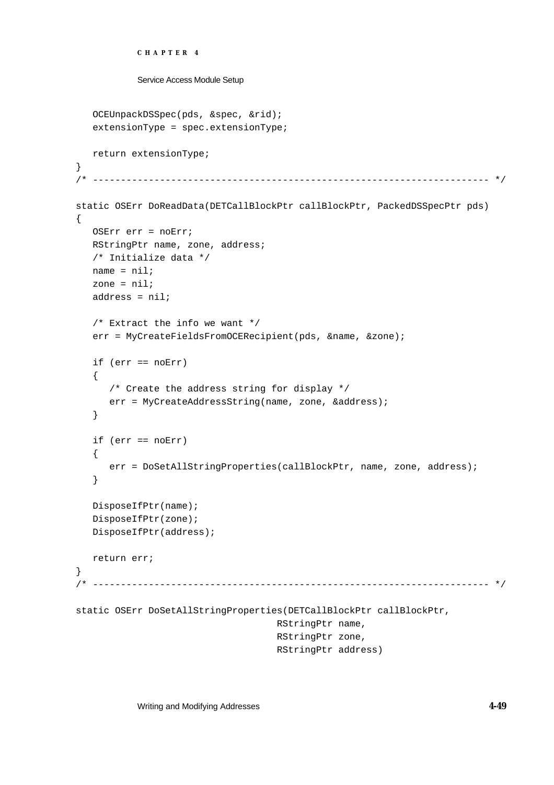```
CHAPTER 4
           Service Access Module Setup
   OCEUnpackDSSpec(pds, &spec, &rid);
   extensionType = spec.extensionType;
  return extensionType;
}
/* ----------------------------------------------------------------------- */
static OSErr DoReadData(DETCallBlockPtr callBlockPtr, PackedDSSpecPtr pds)
{
  OSErr err = noErr;
  RStringPtr name, zone, address;
  /* Initialize data */
  name = nil;
   zone = nil;
   address = nil;/* Extract the info we want */
   err = MyCreateFieldsFromOCERecipient(pds, &name, &zone);
  if (err == noErr)
   {
      /* Create the address string for display */
      err = MyCreateAddressString(name, zone, &address);
   }
   if (err == noErr)
   {
     err = DoSetAllStringProperties(callBlockPtr, name, zone, address);
   }
  DisposeIfPtr(name);
   DisposeIfPtr(zone);
  DisposeIfPtr(address);
  return err;
}
/* ----------------------------------------------------------------------- */
static OSErr DoSetAllStringProperties(DETCallBlockPtr callBlockPtr, 
                                    RStringPtr name, 
                                    RStringPtr zone, 
                                    RStringPtr address)
```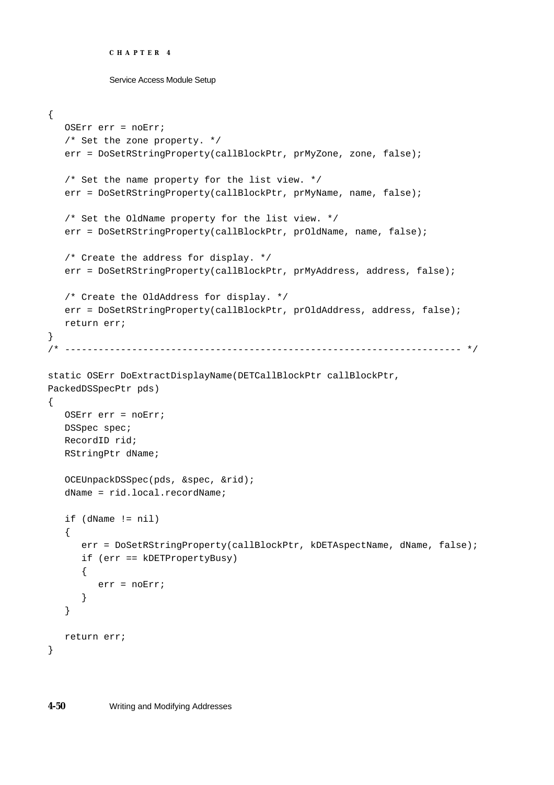```
CHAPTER 4
```

```
Service Access Module Setup
```

```
{
  OSErr err = noErr;
   /* Set the zone property. */
  err = DoSetRStringProperty(callBlockPtr, prMyZone, zone, false);
   /* Set the name property for the list view. */
   err = DoSetRStringProperty(callBlockPtr, prMyName, name, false);
   /* Set the OldName property for the list view. */
   err = DoSetRStringProperty(callBlockPtr, prOldName, name, false);
   /* Create the address for display. */
   err = DoSetRStringProperty(callBlockPtr, prMyAddress, address, false);
   /* Create the OldAddress for display. */
  err = DoSetRStringProperty(callBlockPtr, prOldAddress, address, false);
  return err;
}
/* ----------------------------------------------------------------------- */
static OSErr DoExtractDisplayName(DETCallBlockPtr callBlockPtr, 
PackedDSSpecPtr pds)
{
  OSErr err = noErr;
  DSSpec spec;
  RecordID rid;
  RStringPtr dName;
   OCEUnpackDSSpec(pds, &spec, &rid);
   dName = rid.local.recordName;
   if (dName != nil)
   {
      err = DoSetRStringProperty(callBlockPtr, kDETAspectName, dName, false);
      if (err == kDETPropertyBusy)
      {
        err = noErr;
      }
   }
  return err;
}
```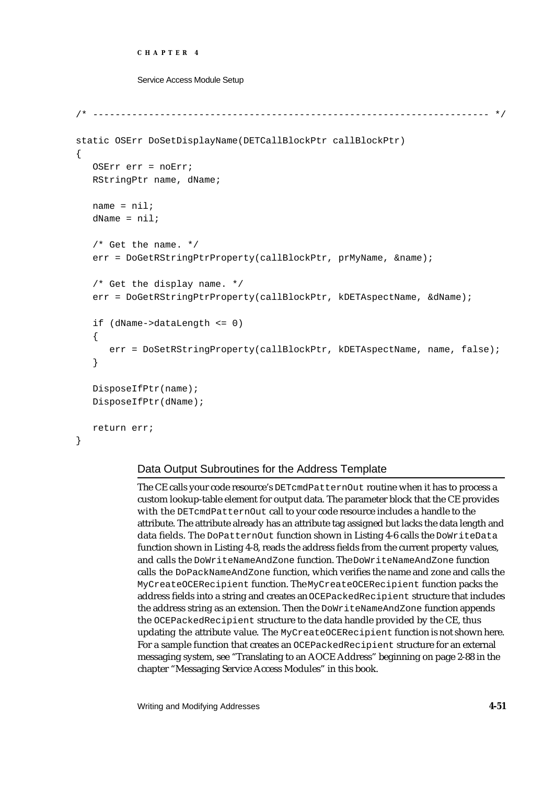### **CHAPTER 4**

### Service Access Module Setup

```
/* ----------------------------------------------------------------------- */
static OSErr DoSetDisplayName(DETCallBlockPtr callBlockPtr)
{
   OSErr err = noErr;
   RStringPtr name, dName;
   name = nil;
   dName = nil;/* Get the name. */err = DoGetRStringPtrProperty(callBlockPtr, prMyName, &name);
   /* Get the display name. */
   err = DoGetRStringPtrProperty(callBlockPtr, kDETAspectName, &dName);
   if (dName->dataLength <= 0)
   {
      err = DoSetRStringProperty(callBlockPtr, kDETAspectName, name, false);
   }
   DisposeIfPtr(name);
   DisposeIfPtr(dName);
   return err;
}
```
# Data Output Subroutines for the Address Template

The CE calls your code resource's DETcmdPatternOut routine when it has to process a custom lookup-table element for output data. The parameter block that the CE provides with the DETcmdPatternOut call to your code resource includes a handle to the attribute. The attribute already has an attribute tag assigned but lacks the data length and data fields. The DoPatternOut function shown in Listing 4-6 calls the DoWriteData function shown in Listing 4-8, reads the address fields from the current property values, and calls the DoWriteNameAndZone function. The DoWriteNameAndZone function calls the DoPackNameAndZone function, which verifies the name and zone and calls the MyCreateOCERecipient function. The MyCreateOCERecipient function packs the address fields into a string and creates an OCEPackedRecipient structure that includes the address string as an extension. Then the DoWriteNameAndZone function appends the OCEPackedRecipient structure to the data handle provided by the CE, thus updating the attribute value. The MyCreateOCERecipient function is not shown here. For a sample function that creates an OCEPackedRecipient structure for an external messaging system, see "Translating to an AOCE Address" beginning on page 2-88 in the chapter "Messaging Service Access Modules" in this book.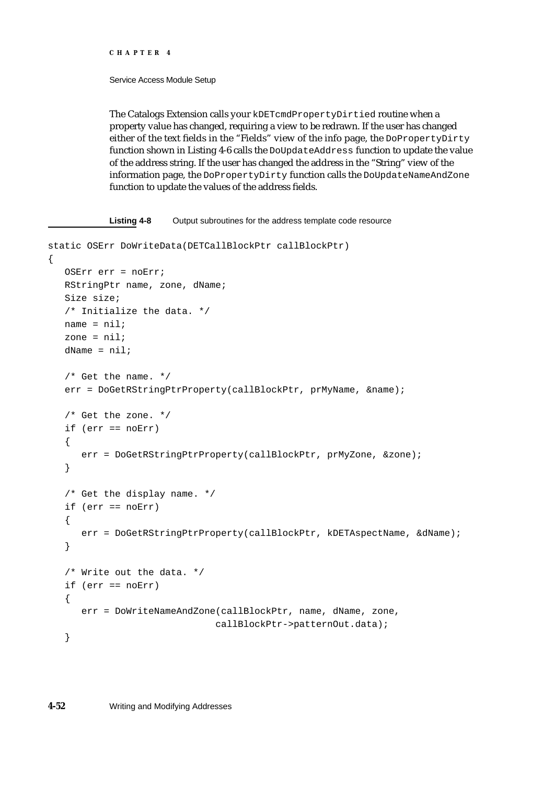#### **CHAPTER 4**

## Service Access Module Setup

The Catalogs Extension calls your kDETcmdPropertyDirtied routine when a property value has changed, requiring a view to be redrawn. If the user has changed either of the text fields in the "Fields" view of the info page, the DoPropertyDirty function shown in Listing 4-6 calls the DoUpdateAddress function to update the value of the address string. If the user has changed the address in the "String" view of the information page, the DoPropertyDirty function calls the DoUpdateNameAndZone function to update the values of the address fields.

```
Listing 4-8 Output subroutines for the address template code resource 
static OSErr DoWriteData(DETCallBlockPtr callBlockPtr)
{
   OSErr err = noErr;
  RStringPtr name, zone, dName;
   Size size;
   /* Initialize the data. */
   name = nil;zone = nil;
   dName = nil;/* Get the name. */err = DoGetRStringPtrProperty(callBlockPtr, prMyName, &name);
   /* Get the zone. */
   if (err == noErr)
   {
      err = DoGetRStringPtrProperty(callBlockPtr, prMyZone, &zone);
   }
   /* Get the display name. */
   if (err == noErr)
   {
      err = DoGetRStringPtrProperty(callBlockPtr, kDETAspectName, &dName);
   }
   /* Write out the data. */
   if (err == noErr)
   \left\{ \right.err = DoWriteNameAndZone(callBlockPtr, name, dName, zone, 
                                callBlockPtr->patternOut.data);
   }
```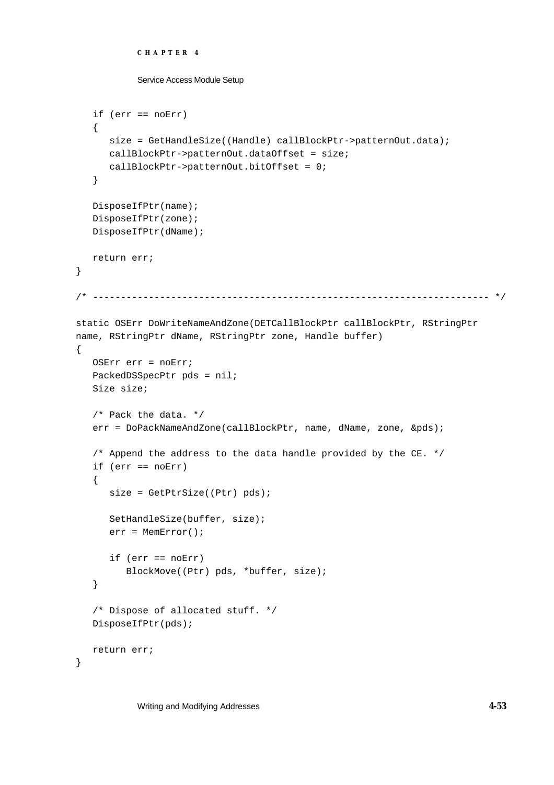```
CHAPTER 4
```

```
Service Access Module Setup
```

```
if (err == noErr)
   {
      size = GetHandleSize((Handle) callBlockPtr->patternOut.data);
      callBlockPtr->patternOut.dataOffset = size;
      callBlockPtr->patternOut.bitOffset = 0;
   }
   DisposeIfPtr(name);
   DisposeIfPtr(zone);
  DisposeIfPtr(dName);
  return err;
}
/* ----------------------------------------------------------------------- */
static OSErr DoWriteNameAndZone(DETCallBlockPtr callBlockPtr, RStringPtr 
name, RStringPtr dName, RStringPtr zone, Handle buffer)
{
   OSErr err = noErr;
   PackedDSSpecPtr pds = nil;
   Size size;
   /* Pack the data. */
   err = DoPackNameAndZone(callBlockPtr, name, dName, zone, &pds);
   /* Append the address to the data handle provided by the CE. */
   if (err == noErr)
   {
      size = GetPtrSize((Ptr) pds);
      SetHandleSize(buffer, size);
      err = MemError();
      if (err == noErr)
         BlockMove((Ptr) pds, *buffer, size);
   }
   /* Dispose of allocated stuff. */
   DisposeIfPtr(pds);
  return err;
}
```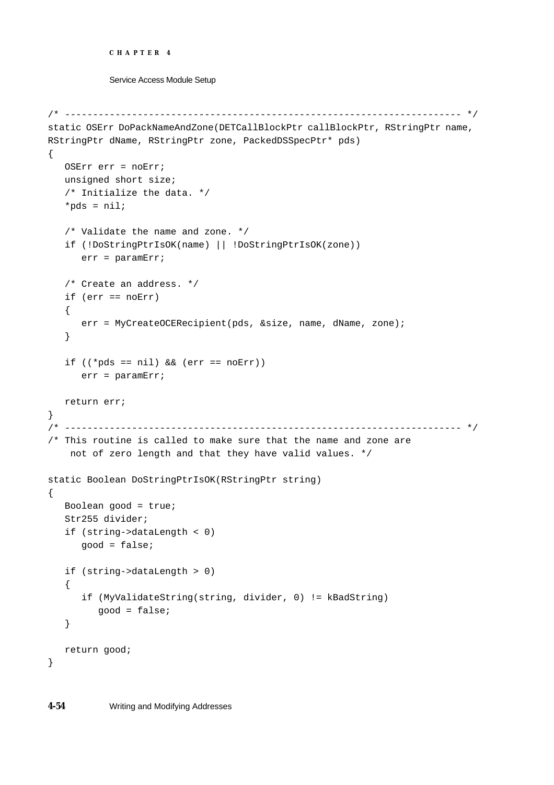```
CHAPTER 4
```

```
/* ----------------------------------------------------------------------- */
static OSErr DoPackNameAndZone(DETCallBlockPtr callBlockPtr, RStringPtr name, 
RStringPtr dName, RStringPtr zone, PackedDSSpecPtr* pds)
{
  OSErr err = noErr;
  unsigned short size;
   /* Initialize the data. */
   *pds = nil;
   /* Validate the name and zone. */
   if (!DoStringPtrIsOK(name) || !DoStringPtrIsOK(zone))
      err = paramErr;
   /* Create an address. */
   if (err == noErr)
   {
      err = MyCreateOCERecipient(pds, &size, name, dName, zone);
   }
   if ((*)ds == nil) && (err == noErr))err = paramErr;
  return err;
}
/* ----------------------------------------------------------------------- */
/* This routine is called to make sure that the name and zone are
     not of zero length and that they have valid values. */
static Boolean DoStringPtrIsOK(RStringPtr string)
\left\{ \right.Boolean good = true;
  Str255 divider;
   if (string->dataLength < 0)
     good = false;
   if (string->dataLength > 0)
   {
      if (MyValidateString(string, divider, 0) != kBadString)
         good = false;
   }
  return good;
}
```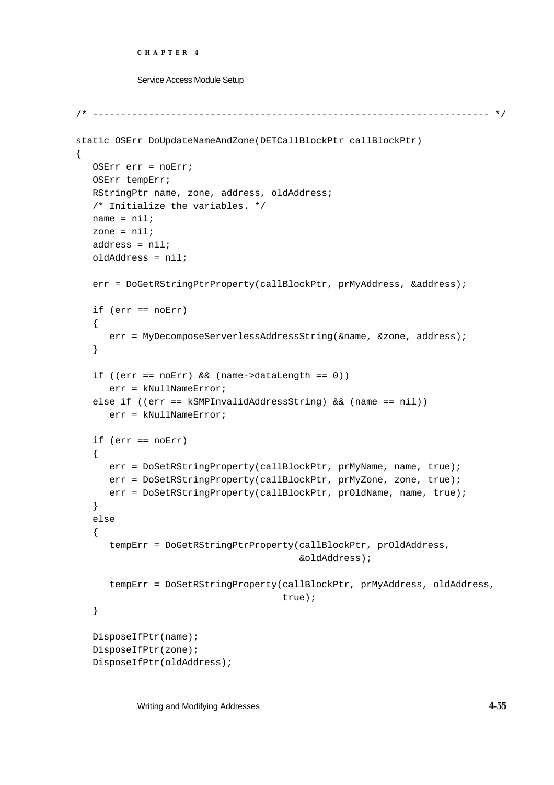```
CHAPTER 4
```

```
/* ----------------------------------------------------------------------- */
static OSErr DoUpdateNameAndZone(DETCallBlockPtr callBlockPtr)
{
   OSErr err = noErr;
  OSErr tempErr;
  RStringPtr name, zone, address, oldAddress;
   /* Initialize the variables. */
  name = nil;
   zone = nil;
   address = nil;oldAddress = nil;
   err = DoGetRStringPtrProperty(callBlockPtr, prMyAddress, &address);
   if (err == noErr)
   {
      err = MyDecomposeServerlessAddressString(&name, &zone, address);
   }
   if ((err == noErr) && (name->dataLength == 0))
      err = kNullNameError;
   else if ((err == kSMPInvalidAddressString) && (name == nil))
      err = kNullNameError;
   if (err == noErr)
   {
      err = DoSetRStringProperty(callBlockPtr, prMyName, name, true);
      err = DoSetRStringProperty(callBlockPtr, prMyZone, zone, true);
      err = DoSetRStringProperty(callBlockPtr, prOldName, name, true);
   }
   else
   {
      tempErr = DoGetRStringPtrProperty(callBlockPtr, prOldAddress,
                                         &oldAddress);
      tempErr = DoSetRStringProperty(callBlockPtr, prMyAddress, oldAddress,
                                      true);
   }
   DisposeIfPtr(name);
   DisposeIfPtr(zone);
   DisposeIfPtr(oldAddress);
```
Writing and Modifying Addresses **4-55**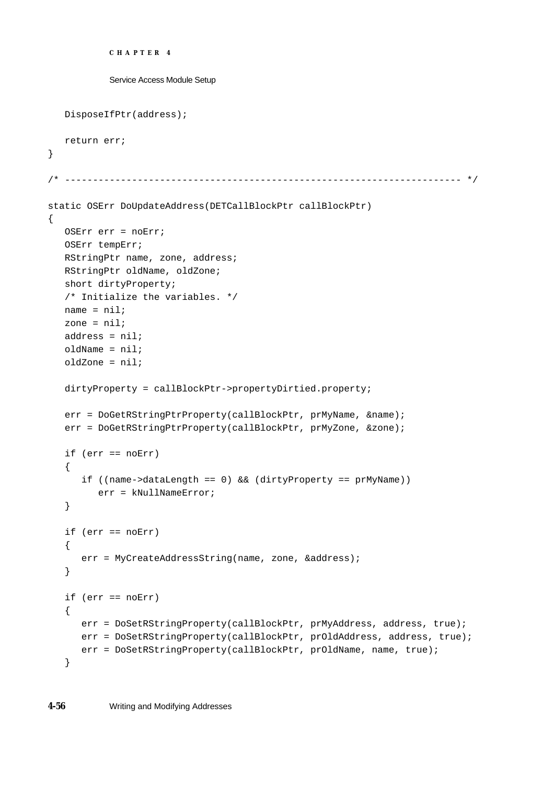```
CHAPTER 4
           Service Access Module Setup
  DisposeIfPtr(address);
  return err;
}
/* ----------------------------------------------------------------------- */
static OSErr DoUpdateAddress(DETCallBlockPtr callBlockPtr)
{
  OSErr err = noErr;
  OSErr tempErr;
  RStringPtr name, zone, address;
  RStringPtr oldName, oldZone;
   short dirtyProperty;
   /* Initialize the variables. */
  name = nil;
   zone = nil;
  address = niloldName = nil;
   oldZone = nil;
  dirtyProperty = callBlockPtr->propertyDirtied.property;
   err = DoGetRStringPtrProperty(callBlockPtr, prMyName, &name);
   err = DoGetRStringPtrProperty(callBlockPtr, prMyZone, &zone);
   if (err == noErr)
   {
      if ((name->dataLength == 0) && (dirtyProperty == prMyName))
         err = kNullNameError;
   }
   if (err == noErr)
   {
      err = MyCreateAddressString(name, zone, &address);
   }
   if (err == noErr)
   {
      err = DoSetRStringProperty(callBlockPtr, prMyAddress, address, true);
     err = DoSetRStringProperty(callBlockPtr, prOldAddress, address, true);
     err = DoSetRStringProperty(callBlockPtr, prOldName, name, true);
   }
```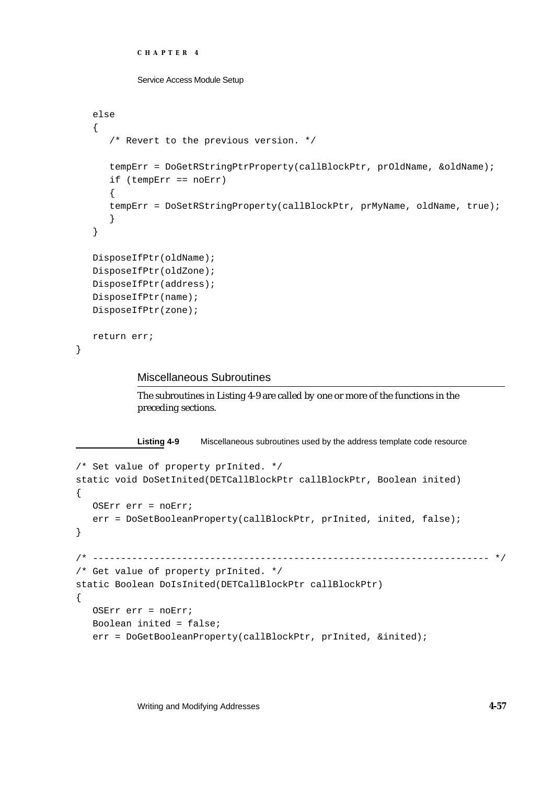```
CHAPTER 4
```

```
else
{
   /* Revert to the previous version. */
   tempErr = DoGetRStringPtrProperty(callBlockPtr, prOldName, &oldName);
   if (tempErr == noErr)
   {
   tempErr = DoSetRStringProperty(callBlockPtr, prMyName, oldName, true);
   }
}
DisposeIfPtr(oldName);
DisposeIfPtr(oldZone);
DisposeIfPtr(address);
DisposeIfPtr(name);
DisposeIfPtr(zone);
return err;
```
## Miscellaneous Subroutines

}

The subroutines in Listing 4-9 are called by one or more of the functions in the preceding sections.

**Listing 4-9** Miscellaneous subroutines used by the address template code resource

```
/* Set value of property prInited. */
static void DoSetInited(DETCallBlockPtr callBlockPtr, Boolean inited)
{
  OSErr err = noErr;
   err = DoSetBooleanProperty(callBlockPtr, prInited, inited, false);
}
/* ----------------------------------------------------------------------- */
/* Get value of property prInited. */
static Boolean DoIsInited(DETCallBlockPtr callBlockPtr)
{
  OSErr err = noErr;
  Boolean inited = false;
   err = DoGetBooleanProperty(callBlockPtr, prInited, &inited);
```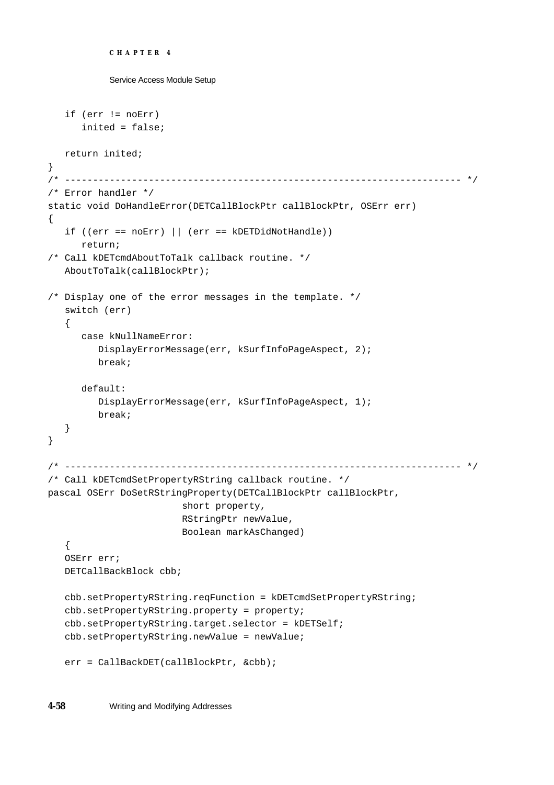```
CHAPTER 4
```

```
Service Access Module Setup
   if (err != noErr)
      inited = false;
  return inited;
}
/* ----------------------------------------------------------------------- */
/* Error handler */
static void DoHandleError(DETCallBlockPtr callBlockPtr, OSErr err)
{
   if ((err == noErr) || (err == kDETDidNotHandle))
      return;
/* Call kDETcmdAboutToTalk callback routine. */
   AboutToTalk(callBlockPtr);
/* Display one of the error messages in the template. */
   switch (err)
   {
      case kNullNameError:
         DisplayErrorMessage(err, kSurfInfoPageAspect, 2);
         break;
      default:
         DisplayErrorMessage(err, kSurfInfoPageAspect, 1);
         break;
   }
}
/* ----------------------------------------------------------------------- */
/* Call kDETcmdSetPropertyRString callback routine. */
pascal OSErr DoSetRStringProperty(DETCallBlockPtr callBlockPtr,
                         short property,
                         RStringPtr newValue,
                         Boolean markAsChanged)
   {
   OSErr err;
   DETCallBackBlock cbb;
   cbb.setPropertyRString.reqFunction = kDETcmdSetPropertyRString;
   cbb.setPropertyRString.property = property;
   cbb.setPropertyRString.target.selector = kDETSelf;
   cbb.setPropertyRString.newValue = newValue;
   err = CallBackDET(callBlockPtr, &cbb);
```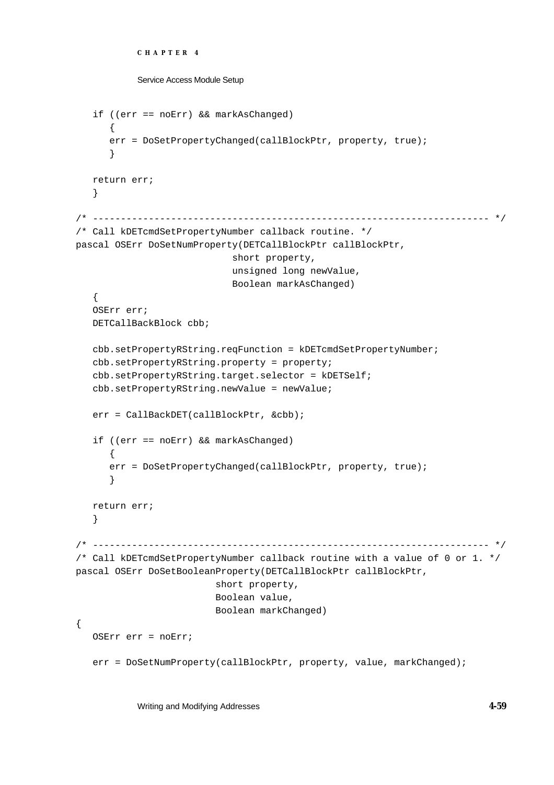```
CHAPTER 4
```

```
Service Access Module Setup
```

```
if ((err == noErr) && markAsChanged)
      {
      err = DoSetPropertyChanged(callBlockPtr, property, true);
      }
  return err;
   }
/* ----------------------------------------------------------------------- */
/* Call kDETcmdSetPropertyNumber callback routine. */
pascal OSErr DoSetNumProperty(DETCallBlockPtr callBlockPtr,
                             short property,
                             unsigned long newValue,
                             Boolean markAsChanged)
   {
   OSErr err;
   DETCallBackBlock cbb;
   cbb.setPropertyRString.reqFunction = kDETcmdSetPropertyNumber;
   cbb.setPropertyRString.property = property;
   cbb.setPropertyRString.target.selector = kDETSelf;
   cbb.setPropertyRString.newValue = newValue;
   err = CallBackDET(callBlockPtr, &cbb);
   if ((err == noErr) && markAsChanged)
      {
      err = DoSetPropertyChanged(callBlockPtr, property, true);
      }
  return err;
   }
/* ----------------------------------------------------------------------- */
/* Call kDETcmdSetPropertyNumber callback routine with a value of 0 or 1. */
pascal OSErr DoSetBooleanProperty(DETCallBlockPtr callBlockPtr, 
                          short property,
                          Boolean value, 
                          Boolean markChanged)
{
  OSErr err = noErr;
   err = DoSetNumProperty(callBlockPtr, property, value, markChanged);
```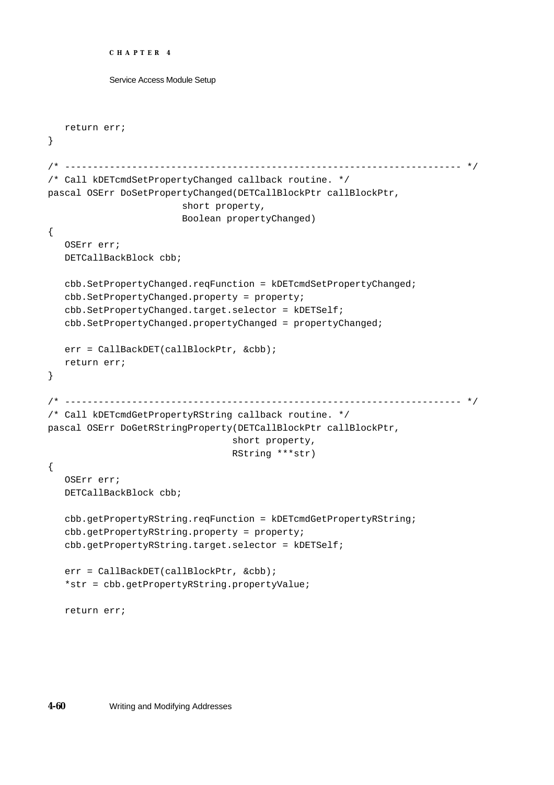```
CHAPTER 4
```

```
return err;
}
/* ----------------------------------------------------------------------- */
/* Call kDETcmdSetPropertyChanged callback routine. */
pascal OSErr DoSetPropertyChanged(DETCallBlockPtr callBlockPtr,
                        short property,
                        Boolean propertyChanged)
{
   OSErr err;
  DETCallBackBlock cbb;
   cbb.SetPropertyChanged.reqFunction = kDETcmdSetPropertyChanged;
   cbb.SetPropertyChanged.property = property;
   cbb.SetPropertyChanged.target.selector = kDETSelf;
   cbb.SetPropertyChanged.propertyChanged = propertyChanged;
  err = CallBackDET(callBlockPtr, &cbb);
  return err;
}
/* ----------------------------------------------------------------------- */
/* Call kDETcmdGetPropertyRString callback routine. */
pascal OSErr DoGetRStringProperty(DETCallBlockPtr callBlockPtr,
                                 short property,
                                 RString ***str)
{
   OSErr err;
  DETCallBackBlock cbb;
   cbb.getPropertyRString.reqFunction = kDETcmdGetPropertyRString;
   cbb.getPropertyRString.property = property;
   cbb.getPropertyRString.target.selector = kDETSelf;
   err = CallBackDET(callBlockPtr, &cbb);
   *str = cbb.getPropertyRString.propertyValue;
   return err;
```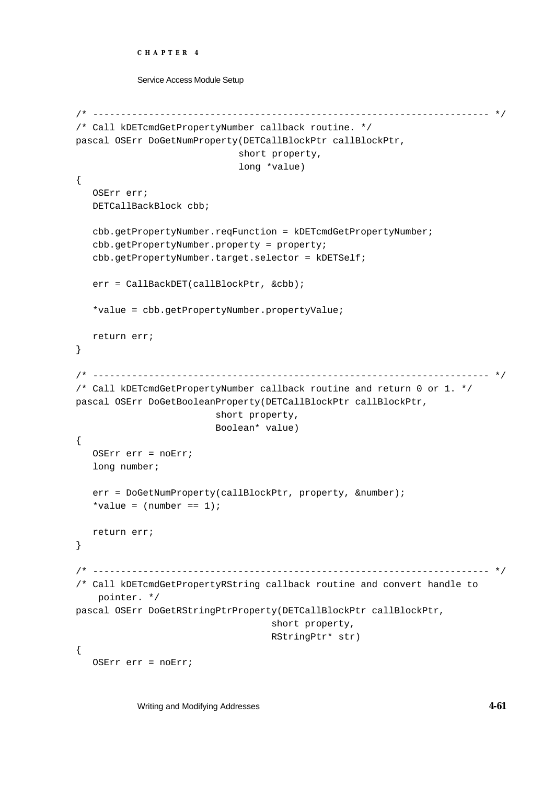```
CHAPTER 4
```

```
Service Access Module Setup
```

```
/* ----------------------------------------------------------------------- */
/* Call kDETcmdGetPropertyNumber callback routine. */
pascal OSErr DoGetNumProperty(DETCallBlockPtr callBlockPtr, 
                             short property, 
                              long *value)
{
   OSErr err;
   DETCallBackBlock cbb;
   cbb.getPropertyNumber.reqFunction = kDETcmdGetPropertyNumber;
   cbb.getPropertyNumber.property = property;
   cbb.getPropertyNumber.target.selector = kDETSelf;
   err = CallBackDET(callBlockPtr, &cbb);
   *value = cbb.getPropertyNumber.propertyValue;
  return err;
}
/* ----------------------------------------------------------------------- */
/* Call kDETcmdGetPropertyNumber callback routine and return 0 or 1. */
pascal OSErr DoGetBooleanProperty(DETCallBlockPtr callBlockPtr, 
                          short property, 
                          Boolean* value)
{
   OSErr err = noErr;
   long number;
   err = DoGetNumProperty(callBlockPtr, property, &number);
   *value = (number == 1);return err;
}
/* ----------------------------------------------------------------------- */
/* Call kDETcmdGetPropertyRString callback routine and convert handle to 
     pointer. */
pascal OSErr DoGetRStringPtrProperty(DETCallBlockPtr callBlockPtr, 
                                     short property, 
                                    RStringPtr* str)
{
   OSErr err = noErr;
```
Writing and Modifying Addresses **4-61**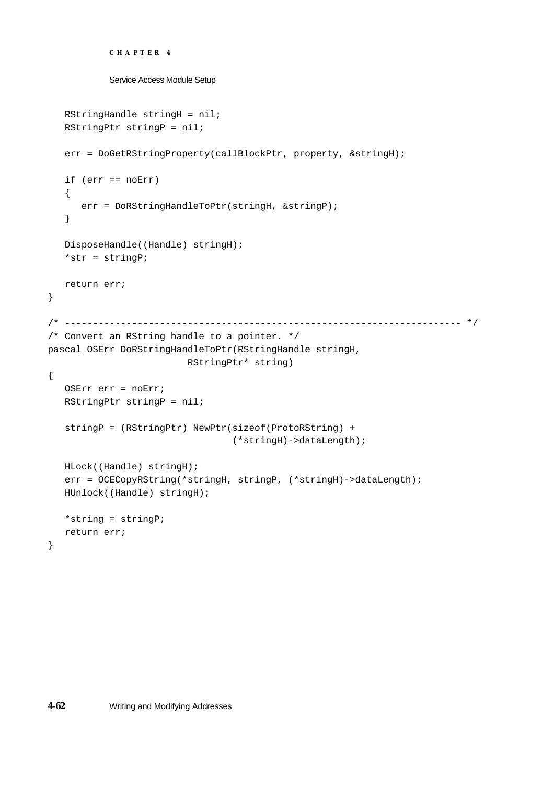```
CHAPTER 4
```

```
RStringHandle stringH = nil;
  RStringPtr stringP = nil;
   err = DoGetRStringProperty(callBlockPtr, property, &stringH);
   if (err == noErr)
   {
     err = DoRStringHandleToPtr(stringH, &stringP);
   }
  DisposeHandle((Handle) stringH);
   *str = stringP;
  return err;
}
/* ----------------------------------------------------------------------- */
/* Convert an RString handle to a pointer. */
pascal OSErr DoRStringHandleToPtr(RStringHandle stringH, 
                         RStringPtr* string)
{
  OSErr err = noErr;
  RStringPtr stringP = nil;
   stringP = (RStringPtr) NewPtr(sizeof(ProtoRString) + 
                                 (*stringH)->dataLength);
  HLock((Handle) stringH);
   err = OCECopyRString(*stringH, stringP, (*stringH)->dataLength);
  HUnlock((Handle) stringH);
   *string = stringP;
  return err;
}
```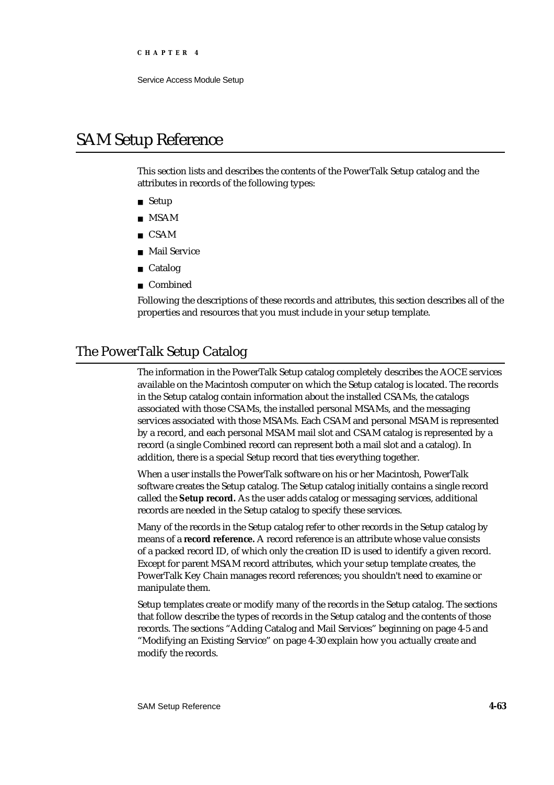## SAM Setup Reference

This section lists and describes the contents of the PowerTalk Setup catalog and the attributes in records of the following types:

- Setup
- MSAM
- CSAM
- Mail Service n.
- Catalog
- Combined

Following the descriptions of these records and attributes, this section describes all of the properties and resources that you must include in your setup template.

## The PowerTalk Setup Catalog

The information in the PowerTalk Setup catalog completely describes the AOCE services available on the Macintosh computer on which the Setup catalog is located. The records in the Setup catalog contain information about the installed CSAMs, the catalogs associated with those CSAMs, the installed personal MSAMs, and the messaging services associated with those MSAMs. Each CSAM and personal MSAM is represented by a record, and each personal MSAM mail slot and CSAM catalog is represented by a record (a single Combined record can represent both a mail slot and a catalog). In addition, there is a special Setup record that ties everything together.

When a user installs the PowerTalk software on his or her Macintosh, PowerTalk software creates the Setup catalog. The Setup catalog initially contains a single record called the **Setup record.** As the user adds catalog or messaging services, additional records are needed in the Setup catalog to specify these services.

Many of the records in the Setup catalog refer to other records in the Setup catalog by means of a **record reference.** A record reference is an attribute whose value consists of a packed record ID, of which only the creation ID is used to identify a given record. Except for parent MSAM record attributes, which your setup template creates, the PowerTalk Key Chain manages record references; you shouldn't need to examine or manipulate them.

Setup templates create or modify many of the records in the Setup catalog. The sections that follow describe the types of records in the Setup catalog and the contents of those records. The sections "Adding Catalog and Mail Services" beginning on page 4-5 and "Modifying an Existing Service" on page 4-30 explain how you actually create and modify the records.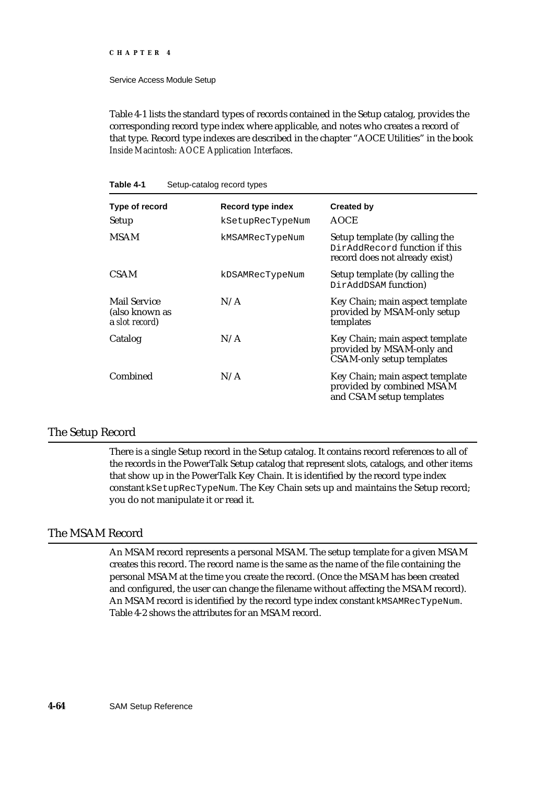#### **CHAPTER 4**

Service Access Module Setup

Table 4-1 lists the standard types of records contained in the Setup catalog, provides the corresponding record type index where applicable, and notes who creates a record of that type. Record type indexes are described in the chapter "AOCE Utilities" in the book *Inside Macintosh: AOCE Application Interfaces*.

| $5.5$ $\mu$ $5.5$ $\mu$ $5.5$ $\sigma$ $1.7$ $\mu$ $5.5$       |                   |                                                                                                   |  |
|----------------------------------------------------------------|-------------------|---------------------------------------------------------------------------------------------------|--|
| Type of record                                                 | Record type index | <b>Created by</b>                                                                                 |  |
| Setup                                                          | kSetupRecTypeNum  | <b>AOCE</b>                                                                                       |  |
| <b>MSAM</b>                                                    | kMSAMRecTypeNum   | Setup template (by calling the<br>DirAddRecord function if this<br>record does not already exist) |  |
| <b>CSAM</b>                                                    | kDSAMRecTypeNum   | Setup template (by calling the<br>DirAddDSAM function)                                            |  |
| <b>Mail Service</b><br>(also known as<br><b>a</b> slot record) | N/A               | Key Chain; main aspect template<br>provided by MSAM-only setup<br>templates                       |  |
| Catalog                                                        | N/A               | Key Chain; main aspect template<br>provided by MSAM-only and<br><b>CSAM-only setup templates</b>  |  |
| Combined                                                       | N/A               | Key Chain; main aspect template<br>provided by combined MSAM<br>and CSAM setup templates          |  |

#### **Table 4-1** Setup-catalog record types

### The Setup Record

There is a single Setup record in the Setup catalog. It contains record references to all of the records in the PowerTalk Setup catalog that represent slots, catalogs, and other items that show up in the PowerTalk Key Chain. It is identified by the record type index constant kSetupRecTypeNum. The Key Chain sets up and maintains the Setup record; you do not manipulate it or read it.

### The MSAM Record

An MSAM record represents a personal MSAM. The setup template for a given MSAM creates this record. The record name is the same as the name of the file containing the personal MSAM at the time you create the record. (Once the MSAM has been created and configured, the user can change the filename without affecting the MSAM record). An MSAM record is identified by the record type index constant kMSAMRecTypeNum. Table 4-2 shows the attributes for an MSAM record.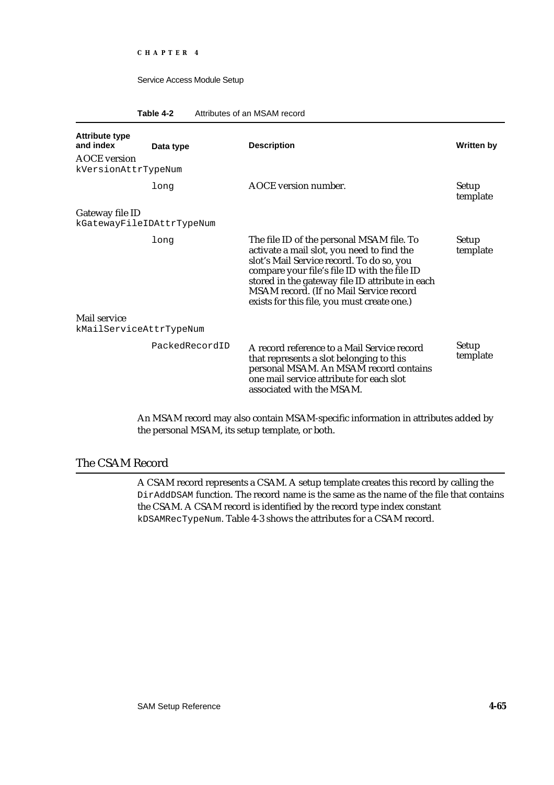#### **Table 4-2** Attributes of an MSAM record

| <b>Attribute type</b><br>and index<br><b>AOCE</b> version | Data type      | <b>Description</b>                                                                                                                                                                                                                                                                                                                | <b>Written by</b>        |
|-----------------------------------------------------------|----------------|-----------------------------------------------------------------------------------------------------------------------------------------------------------------------------------------------------------------------------------------------------------------------------------------------------------------------------------|--------------------------|
| kVersionAttrTypeNum                                       |                |                                                                                                                                                                                                                                                                                                                                   |                          |
|                                                           | long           | AOCE version number.                                                                                                                                                                                                                                                                                                              | <b>Setup</b><br>template |
| Gateway file ID                                           |                |                                                                                                                                                                                                                                                                                                                                   |                          |
| kGatewayFileIDAttrTypeNum                                 |                |                                                                                                                                                                                                                                                                                                                                   |                          |
|                                                           | long           | The file ID of the personal MSAM file. To<br>activate a mail slot, you need to find the<br>slot's Mail Service record. To do so, you<br>compare your file's file ID with the file ID<br>stored in the gateway file ID attribute in each<br>MSAM record. (If no Mail Service record<br>exists for this file, you must create one.) | Setup<br>template        |
| Mail service                                              |                |                                                                                                                                                                                                                                                                                                                                   |                          |
| kMailServiceAttrTypeNum                                   |                |                                                                                                                                                                                                                                                                                                                                   |                          |
|                                                           | PackedRecordID | A record reference to a Mail Service record<br>that represents a slot belonging to this<br>personal MSAM. An MSAM record contains<br>one mail service attribute for each slot<br>associated with the MSAM.                                                                                                                        | Setup<br>template        |

An MSAM record may also contain MSAM-specific information in attributes added by the personal MSAM, its setup template, or both.

## The CSAM Record

A CSAM record represents a CSAM. A setup template creates this record by calling the DirAddDSAM function. The record name is the same as the name of the file that contains the CSAM. A CSAM record is identified by the record type index constant kDSAMRecTypeNum. Table 4-3 shows the attributes for a CSAM record.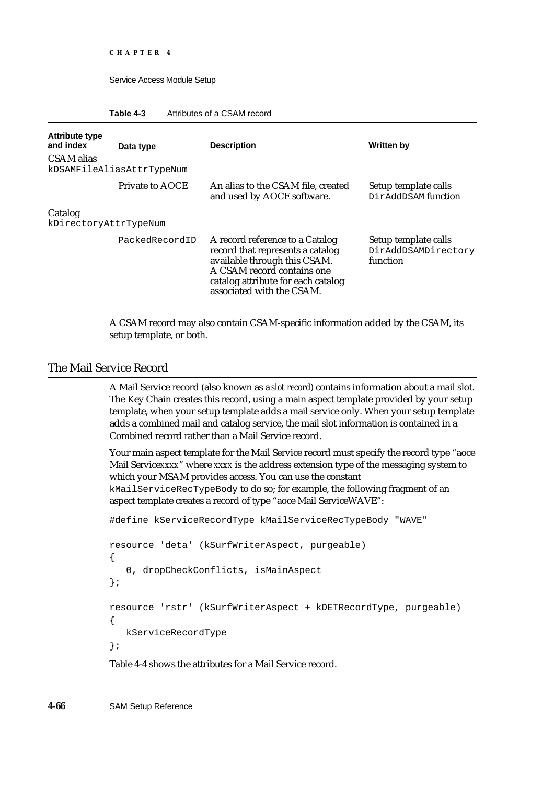```
CHAPTER 4
```

| Attributes of a CSAM record<br>Table 4-3 |  |
|------------------------------------------|--|
|------------------------------------------|--|

| <b>Attribute type</b>            |                           |                                                                                                                                                                                                      |                                                         |
|----------------------------------|---------------------------|------------------------------------------------------------------------------------------------------------------------------------------------------------------------------------------------------|---------------------------------------------------------|
| and index                        | Data type                 | <b>Description</b>                                                                                                                                                                                   | <b>Written by</b>                                       |
| CSAM alias                       | kDSAMFileAliasAttrTypeNum |                                                                                                                                                                                                      |                                                         |
|                                  | Private to AOCE           | An alias to the CSAM file, created<br>and used by AOCE software.                                                                                                                                     | Setup template calls<br>DirAddDSAM function             |
| Catalog<br>kDirectoryAttrTypeNum |                           |                                                                                                                                                                                                      |                                                         |
|                                  | PackedRecordID            | A record reference to a Catalog<br>record that represents a catalog<br>available through this CSAM.<br>A CSAM record contains one<br>catalog attribute for each catalog<br>associated with the CSAM. | Setup template calls<br>DirAddDSAMDirectory<br>function |

A CSAM record may also contain CSAM-specific information added by the CSAM, its setup template, or both.

## The Mail Service Record

A Mail Service record (also known as a *slot record*) contains information about a mail slot. The Key Chain creates this record, using a main aspect template provided by your setup template, when your setup template adds a mail service only. When your setup template adds a combined mail and catalog service, the mail slot information is contained in a Combined record rather than a Mail Service record.

Your main aspect template for the Mail Service record must specify the record type "aoce Mail Service*xxxx*" where *xxxx* is the address extension type of the messaging system to which your MSAM provides access. You can use the constant kMailServiceRecTypeBody to do so; for example, the following fragment of an aspect template creates a record of type "aoce Mail ServiceWAVE":

#define kServiceRecordType kMailServiceRecTypeBody "WAVE"

```
resource 'deta' (kSurfWriterAspect, purgeable)
{
   0, dropCheckConflicts, isMainAspect
};
resource 'rstr' (kSurfWriterAspect + kDETRecordType, purgeable)
{
  kServiceRecordType
};
```
Table 4-4 shows the attributes for a Mail Service record.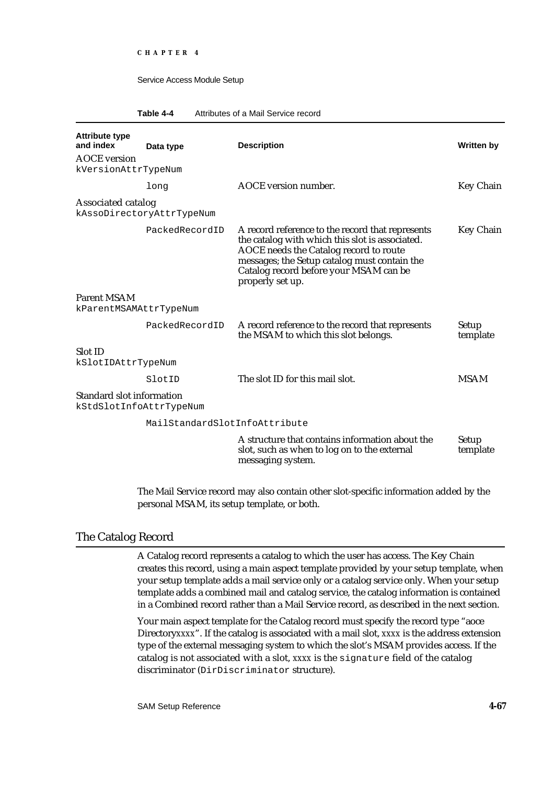#### **Table 4-4** Attributes of a Mail Service record

| <b>Attribute type</b><br>and index<br><b>AOCE</b> version | Data type                     | <b>Description</b>                                                                                                                                                                                                                                          | Written by               |
|-----------------------------------------------------------|-------------------------------|-------------------------------------------------------------------------------------------------------------------------------------------------------------------------------------------------------------------------------------------------------------|--------------------------|
| kVersionAttrTypeNum                                       |                               |                                                                                                                                                                                                                                                             |                          |
|                                                           | long                          | <b>AOCE</b> version number.                                                                                                                                                                                                                                 | <b>Key Chain</b>         |
| <b>Associated catalog</b>                                 | kAssoDirectoryAttrTypeNum     |                                                                                                                                                                                                                                                             |                          |
|                                                           | PackedRecordID                | A record reference to the record that represents<br>the catalog with which this slot is associated.<br>AOCE needs the Catalog record to route<br>messages; the Setup catalog must contain the<br>Catalog record before your MSAM can be<br>properly set up. | <b>Key Chain</b>         |
| <b>Parent MSAM</b><br>kParentMSAMAttrTypeNum              |                               |                                                                                                                                                                                                                                                             |                          |
|                                                           | PackedRecordID                | A record reference to the record that represents<br>the MSAM to which this slot belongs.                                                                                                                                                                    | <b>Setup</b><br>template |
| Slot ID<br>kSlotIDAttrTypeNum                             |                               |                                                                                                                                                                                                                                                             |                          |
|                                                           | SlotID                        | The slot ID for this mail slot.                                                                                                                                                                                                                             | <b>MSAM</b>              |
| <b>Standard slot information</b>                          | kStdSlotInfoAttrTypeNum       |                                                                                                                                                                                                                                                             |                          |
|                                                           | MailStandardSlotInfoAttribute |                                                                                                                                                                                                                                                             |                          |
|                                                           |                               | A structure that contains information about the<br>slot, such as when to log on to the external<br>messaging system.                                                                                                                                        | <b>Setup</b><br>template |

The Mail Service record may also contain other slot-specific information added by the personal MSAM, its setup template, or both.

## The Catalog Record

A Catalog record represents a catalog to which the user has access. The Key Chain creates this record, using a main aspect template provided by your setup template, when your setup template adds a mail service only or a catalog service only. When your setup template adds a combined mail and catalog service, the catalog information is contained in a Combined record rather than a Mail Service record, as described in the next section.

Your main aspect template for the Catalog record must specify the record type "aoce Directory*xxxx*". If the catalog is associated with a mail slot, *xxxx* is the address extension type of the external messaging system to which the slot's MSAM provides access. If the catalog is not associated with a slot, *xxxx* is the signature field of the catalog discriminator (DirDiscriminator structure).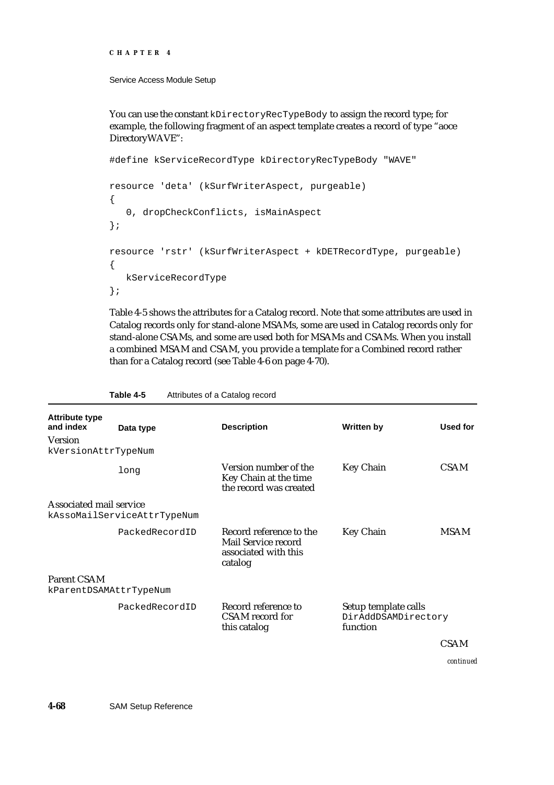```
CHAPTER 4
```
You can use the constant kDirectoryRecTypeBody to assign the record type; for example, the following fragment of an aspect template creates a record of type "aoce DirectoryWAVE":

```
#define kServiceRecordType kDirectoryRecTypeBody "WAVE"
resource 'deta' (kSurfWriterAspect, purgeable)
{
   0, dropCheckConflicts, isMainAspect
};
resource 'rstr' (kSurfWriterAspect + kDETRecordType, purgeable)
{
  kServiceRecordType
};
```
Table 4-5 shows the attributes for a Catalog record. Note that some attributes are used in Catalog records only for stand-alone MSAMs, some are used in Catalog records only for stand-alone CSAMs, and some are used both for MSAMs and CSAMs. When you install a combined MSAM and CSAM, you provide a template for a Combined record rather than for a Catalog record (see Table 4-6 on page 4-70).

| <b>Attribute type</b><br>and index | Data type                   | <b>Description</b>                                                                | <b>Written by</b>                                       | <b>Used for</b> |
|------------------------------------|-----------------------------|-----------------------------------------------------------------------------------|---------------------------------------------------------|-----------------|
| <b>Version</b>                     |                             |                                                                                   |                                                         |                 |
| kVersionAttrTypeNum                |                             |                                                                                   |                                                         |                 |
|                                    | long                        | Version number of the<br>Key Chain at the time<br>the record was created          | <b>Key Chain</b>                                        | <b>CSAM</b>     |
| <b>Associated mail service</b>     |                             |                                                                                   |                                                         |                 |
|                                    | kAssoMailServiceAttrTypeNum |                                                                                   |                                                         |                 |
|                                    | PackedRecordID              | Record reference to the<br>Mail Service record<br>associated with this<br>catalog | <b>Key Chain</b>                                        | <b>MSAM</b>     |
| <b>Parent CSAM</b>                 |                             |                                                                                   |                                                         |                 |
| kParentDSAMAttrTypeNum             |                             |                                                                                   |                                                         |                 |
|                                    | PackedRecordID              | Record reference to<br>CSAM record for<br>this catalog                            | Setup template calls<br>DirAddDSAMDirectory<br>function |                 |
|                                    |                             |                                                                                   |                                                         | <b>CSAM</b>     |

**Table 4-5** Attributes of a Catalog record

*continued*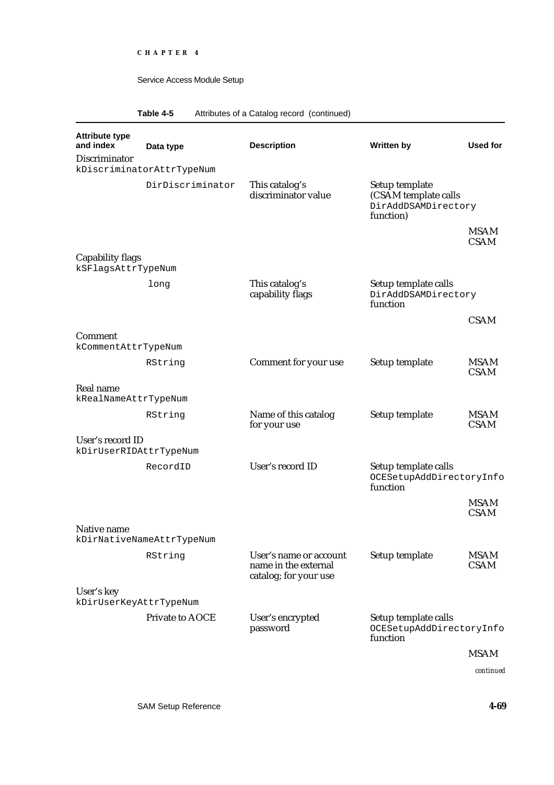## **Table 4-5** Attributes of a Catalog record (continued)

| <b>Attribute type</b><br>and index            | Data type                 | <b>Description</b>                                                      | <b>Written by</b>                                                          | Used for                   |
|-----------------------------------------------|---------------------------|-------------------------------------------------------------------------|----------------------------------------------------------------------------|----------------------------|
| <b>Discriminator</b>                          | kDiscriminatorAttrTypeNum |                                                                         |                                                                            |                            |
|                                               | DirDiscriminator          | This catalog's<br>discriminator value                                   | Setup template<br>(CSAM template calls<br>DirAddDSAMDirectory<br>function) |                            |
|                                               |                           |                                                                         |                                                                            | <b>MSAM</b><br><b>CSAM</b> |
| <b>Capability flags</b><br>kSFlagsAttrTypeNum |                           |                                                                         |                                                                            |                            |
|                                               | long                      | This catalog's<br>capability flags                                      | Setup template calls<br>DirAddDSAMDirectory<br>function                    |                            |
|                                               |                           |                                                                         |                                                                            | <b>CSAM</b>                |
| Comment<br>kCommentAttrTypeNum                |                           |                                                                         |                                                                            |                            |
|                                               | RString                   | Comment for your use                                                    | Setup template                                                             | <b>MSAM</b><br><b>CSAM</b> |
| Real name<br>kRealNameAttrTypeNum             |                           |                                                                         |                                                                            |                            |
|                                               | RString                   | Name of this catalog<br>for your use                                    | Setup template                                                             | <b>MSAM</b><br><b>CSAM</b> |
| User's record ID<br>kDirUserRIDAttrTypeNum    |                           |                                                                         |                                                                            |                            |
|                                               | RecordID                  | User's record ID                                                        | Setup template calls<br>OCESetupAddDirectoryInfo<br>function               |                            |
|                                               |                           |                                                                         |                                                                            | <b>MSAM</b><br><b>CSAM</b> |
| Native name                                   | kDirNativeNameAttrTypeNum |                                                                         |                                                                            |                            |
|                                               | RString                   | User's name or account<br>name in the external<br>catalog; for your use | Setup template                                                             | <b>MSAM</b><br><b>CSAM</b> |
| User's key<br>kDirUserKeyAttrTypeNum          |                           |                                                                         |                                                                            |                            |
|                                               | <b>Private to AOCE</b>    | User's encrypted<br>password                                            | Setup template calls<br>OCESetupAddDirectoryInfo<br>function               |                            |
|                                               |                           |                                                                         |                                                                            | <b>MSAM</b>                |
|                                               |                           |                                                                         |                                                                            | continued                  |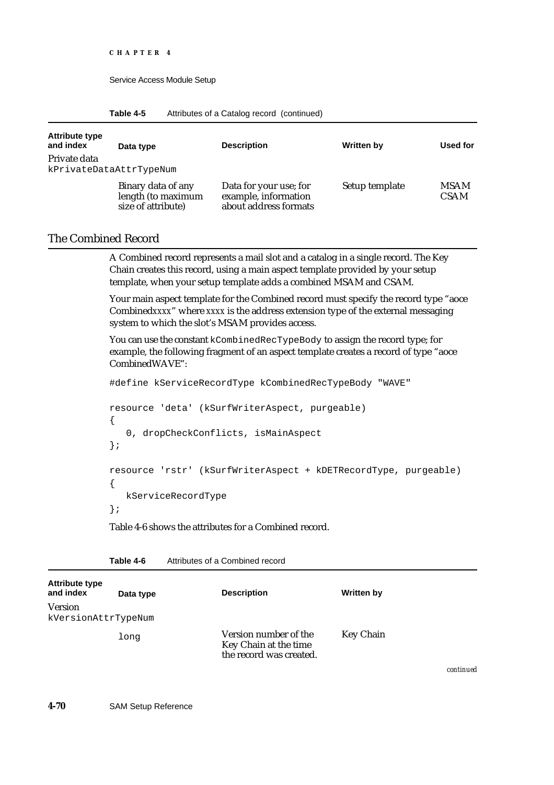| Table 4-5 | Attributes of a Catalog record (continued) |  |  |
|-----------|--------------------------------------------|--|--|
|-----------|--------------------------------------------|--|--|

| <b>Attribute type</b><br>and index      | Data type                                                      | <b>Description</b>                                                      | <b>Written by</b> | Used for                   |
|-----------------------------------------|----------------------------------------------------------------|-------------------------------------------------------------------------|-------------------|----------------------------|
| Private data<br>kPrivateDataAttrTypeNum |                                                                |                                                                         |                   |                            |
|                                         | Binary data of any<br>length (to maximum<br>size of attribute) | Data for your use; for<br>example, information<br>about address formats | Setup template    | <b>MSAM</b><br><b>CSAM</b> |

### The Combined Record

A Combined record represents a mail slot and a catalog in a single record. The Key Chain creates this record, using a main aspect template provided by your setup template, when your setup template adds a combined MSAM and CSAM.

Your main aspect template for the Combined record must specify the record type "aoce Combined*xxxx*" where *xxxx* is the address extension type of the external messaging system to which the slot's MSAM provides access.

You can use the constant kCombinedRecTypeBody to assign the record type; for example, the following fragment of an aspect template creates a record of type "aoce CombinedWAVE":

#define kServiceRecordType kCombinedRecTypeBody "WAVE"

```
resource 'deta' (kSurfWriterAspect, purgeable)
{
   0, dropCheckConflicts, isMainAspect
};
resource 'rstr' (kSurfWriterAspect + kDETRecordType, purgeable)
{
  kServiceRecordType
};
```
Table 4-6 shows the attributes for a Combined record.

| <b>Attribute type</b><br>and index    | Data type | <b>Description</b>                                                        | Written by       |                    |
|---------------------------------------|-----------|---------------------------------------------------------------------------|------------------|--------------------|
| <b>Version</b><br>kVersionAttrTypeNum |           |                                                                           |                  |                    |
|                                       | long      | Version number of the<br>Key Chain at the time<br>the record was created. | <b>Key Chain</b> |                    |
|                                       |           |                                                                           |                  | <b>Annahimeter</b> |

| Table 4-6 | Attributes of a Combined record |
|-----------|---------------------------------|
|           |                                 |

*continued*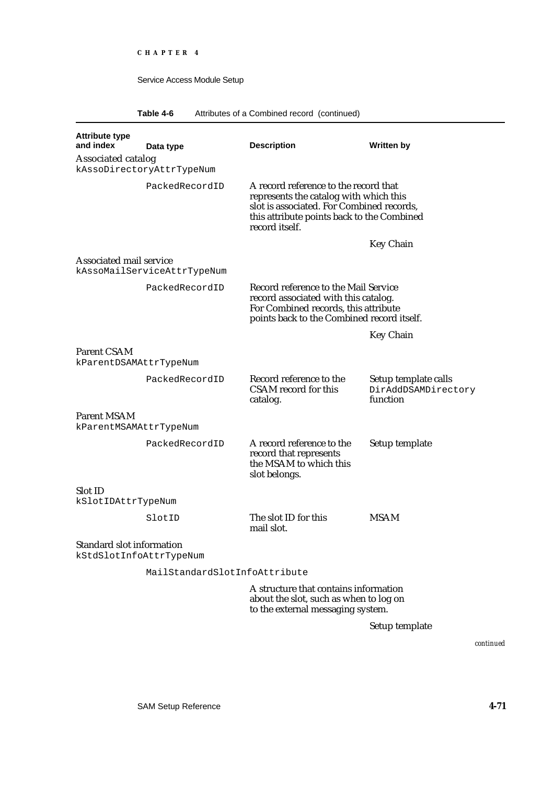**Table 4-6** Attributes of a Combined record (continued)

| <b>Attribute type</b><br>and index                          | Data type                     | <b>Description</b>                                                                                                                                                                           | Written by                                              |
|-------------------------------------------------------------|-------------------------------|----------------------------------------------------------------------------------------------------------------------------------------------------------------------------------------------|---------------------------------------------------------|
| <b>Associated catalog</b>                                   | kAssoDirectoryAttrTypeNum     |                                                                                                                                                                                              |                                                         |
|                                                             | PackedRecordID                | A record reference to the record that<br>represents the catalog with which this<br>slot is associated. For Combined records,<br>this attribute points back to the Combined<br>record itself. |                                                         |
|                                                             |                               |                                                                                                                                                                                              | <b>Key Chain</b>                                        |
| <b>Associated mail service</b>                              | kAssoMailServiceAttrTypeNum   |                                                                                                                                                                                              |                                                         |
|                                                             | PackedRecordID                | Record reference to the Mail Service<br>record associated with this catalog.<br>For Combined records, this attribute<br>points back to the Combined record itself.                           |                                                         |
|                                                             |                               |                                                                                                                                                                                              | <b>Key Chain</b>                                        |
| <b>Parent CSAM</b>                                          |                               |                                                                                                                                                                                              |                                                         |
| kParentDSAMAttrTypeNum                                      |                               |                                                                                                                                                                                              |                                                         |
|                                                             | PackedRecordID                | Record reference to the<br>CSAM record for this<br>catalog.                                                                                                                                  | Setup template calls<br>DirAddDSAMDirectory<br>function |
| <b>Parent MSAM</b><br>kParentMSAMAttrTypeNum                |                               |                                                                                                                                                                                              |                                                         |
|                                                             | PackedRecordID                | A record reference to the<br>record that represents<br>the MSAM to which this<br>slot belongs.                                                                                               | Setup template                                          |
| <b>Slot ID</b>                                              |                               |                                                                                                                                                                                              |                                                         |
| kSlotIDAttrTypeNum                                          |                               |                                                                                                                                                                                              |                                                         |
|                                                             | SlotID                        | The slot ID for this<br>mail slot.                                                                                                                                                           | <b>MSAM</b>                                             |
| <b>Standard slot information</b><br>kStdSlotInfoAttrTypeNum |                               |                                                                                                                                                                                              |                                                         |
|                                                             | MailStandardSlotInfoAttribute |                                                                                                                                                                                              |                                                         |
|                                                             |                               | A structure that contains information<br>about the slot, such as when to log on                                                                                                              |                                                         |

to the external messaging system.

Setup template

*continued*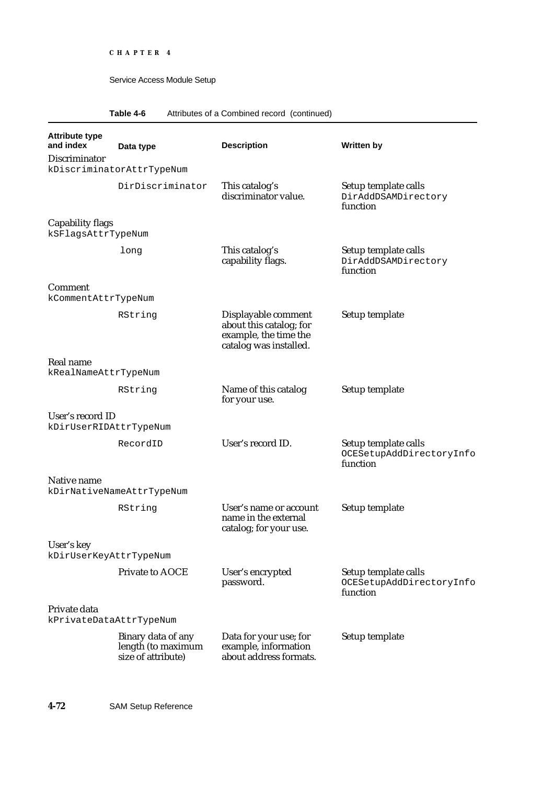## **Table 4-6** Attributes of a Combined record (continued)

| <b>Attribute type</b><br>and index            | Data type                                                      | <b>Description</b>                                                                                | <b>Written by</b>                                            |
|-----------------------------------------------|----------------------------------------------------------------|---------------------------------------------------------------------------------------------------|--------------------------------------------------------------|
| Discriminator                                 | kDiscriminatorAttrTypeNum                                      |                                                                                                   |                                                              |
|                                               | DirDiscriminator                                               | This catalog's<br>discriminator value.                                                            | Setup template calls<br>DirAddDSAMDirectory<br>function      |
| <b>Capability flags</b><br>kSFlagsAttrTypeNum |                                                                |                                                                                                   |                                                              |
|                                               | long                                                           | This catalog's<br>capability flags.                                                               | Setup template calls<br>DirAddDSAMDirectory<br>function      |
| <b>Comment</b><br>kCommentAttrTypeNum         |                                                                |                                                                                                   |                                                              |
|                                               | RString                                                        | Displayable comment<br>about this catalog; for<br>example, the time the<br>catalog was installed. | Setup template                                               |
| Real name<br>kRealNameAttrTypeNum             |                                                                |                                                                                                   |                                                              |
|                                               | RString                                                        | Name of this catalog<br>for your use.                                                             | Setup template                                               |
| User's record ID<br>kDirUserRIDAttrTypeNum    |                                                                |                                                                                                   |                                                              |
|                                               | RecordID                                                       | User's record ID.                                                                                 | Setup template calls<br>OCESetupAddDirectoryInfo<br>function |
| Native name                                   | kDirNativeNameAttrTypeNum                                      |                                                                                                   |                                                              |
|                                               | RString                                                        | User's name or account<br>name in the external<br>catalog; for your use.                          | Setup template                                               |
| User's key<br>kDirUserKeyAttrTypeNum          |                                                                |                                                                                                   |                                                              |
|                                               | Private to AOCE                                                | User's encrypted<br>password.                                                                     | Setup template calls<br>OCESetupAddDirectoryInfo<br>function |
| Private data<br>kPrivateDataAttrTypeNum       |                                                                |                                                                                                   |                                                              |
|                                               | Binary data of any<br>length (to maximum<br>size of attribute) | Data for your use; for<br>example, information<br>about address formats.                          | Setup template                                               |
|                                               |                                                                |                                                                                                   |                                                              |

**4-72** SAM Setup Reference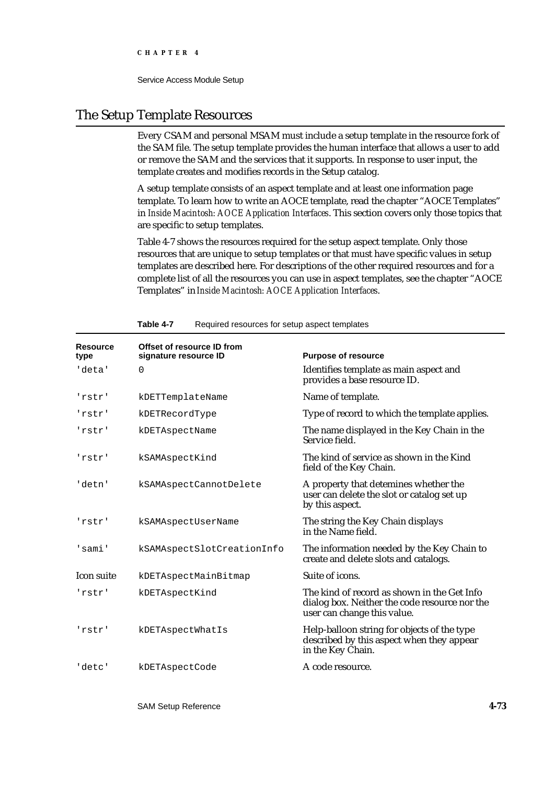**CHAPTER 4**

Service Access Module Setup

## The Setup Template Resources

Every CSAM and personal MSAM must include a setup template in the resource fork of the SAM file. The setup template provides the human interface that allows a user to add or remove the SAM and the services that it supports. In response to user input, the template creates and modifies records in the Setup catalog.

A setup template consists of an aspect template and at least one information page template. To learn how to write an AOCE template, read the chapter "AOCE Templates" in *Inside Macintosh: AOCE Application Interfaces*. This section covers only those topics that are specific to setup templates.

Table 4-7 shows the resources required for the setup aspect template. Only those resources that are unique to setup templates or that must have specific values in setup templates are described here. For descriptions of the other required resources and for a complete list of all the resources you can use in aspect templates, see the chapter "AOCE Templates" in *Inside Macintosh: AOCE Application Interfaces*.

| <b>Resource</b><br>type | Offset of resource ID from<br>signature resource ID | <b>Purpose of resource</b>                                                                                                  |
|-------------------------|-----------------------------------------------------|-----------------------------------------------------------------------------------------------------------------------------|
| 'deta'                  | 0                                                   | Identifies template as main aspect and<br>provides a base resource ID.                                                      |
| 'rstr'                  | kDETTemplateName                                    | Name of template.                                                                                                           |
| 'rstr'                  | kDETRecordType                                      | Type of record to which the template applies.                                                                               |
| 'rstr'                  | kDETAspectName                                      | The name displayed in the Key Chain in the<br>Service field.                                                                |
| 'rstr'                  | kSAMAspectKind                                      | The kind of service as shown in the Kind<br>field of the Key Chain.                                                         |
| 'detn'                  | kSAMAspectCannotDelete                              | A property that detemines whether the<br>user can delete the slot or catalog set up<br>by this aspect.                      |
| 'rstr'                  | kSAMAspectUserName                                  | The string the Key Chain displays<br>in the Name field.                                                                     |
| 'sami'                  | kSAMAspectSlotCreationInfo                          | The information needed by the Key Chain to<br>create and delete slots and catalogs.                                         |
| <b>Icon suite</b>       | kDETAspectMainBitmap                                | Suite of icons.                                                                                                             |
| 'rstr'                  | kDETAspectKind                                      | The kind of record as shown in the Get Info<br>dialog box. Neither the code resource nor the<br>user can change this value. |
| 'rstr'                  | kDETAspectWhatIs                                    | Help-balloon string for objects of the type<br>described by this aspect when they appear<br>in the Key Chain.               |
| 'detc'                  | kDETAspectCode                                      | A code resource.                                                                                                            |

#### **Table 4-7** Required resources for setup aspect templates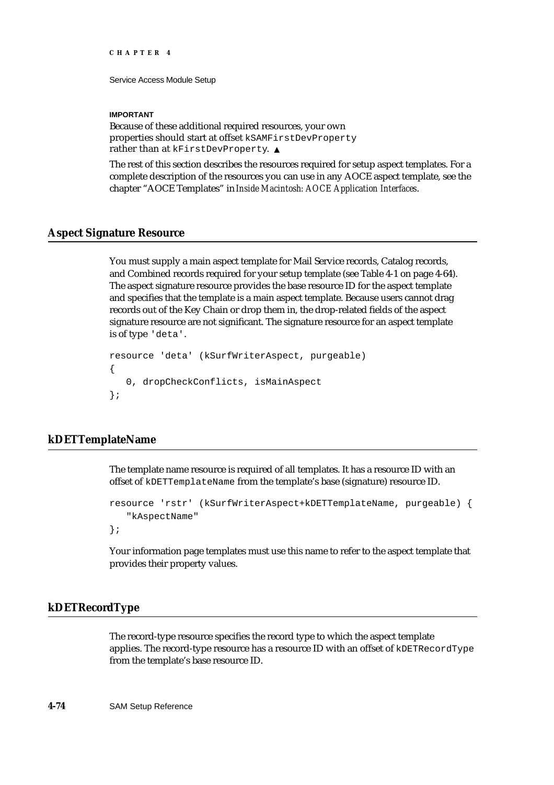```
CHAPTER 4
```
#### **IMPORTANT**

Because of these additional required resources, your own properties should start at offset kSAMFirstDevProperty rather than at kFirstDevProperty. s

The rest of this section describes the resources required for setup aspect templates. For a complete description of the resources you can use in any AOCE aspect template, see the chapter "AOCE Templates" in *Inside Macintosh: AOCE Application Interfaces*.

## **Aspect Signature Resource**

You must supply a main aspect template for Mail Service records, Catalog records, and Combined records required for your setup template (see Table 4-1 on page 4-64). The aspect signature resource provides the base resource ID for the aspect template and specifies that the template is a main aspect template. Because users cannot drag records out of the Key Chain or drop them in, the drop-related fields of the aspect signature resource are not significant. The signature resource for an aspect template is of type 'deta'.

```
resource 'deta' (kSurfWriterAspect, purgeable)
{
   0, dropCheckConflicts, isMainAspect
};
```
## **kDETTemplateName**

The template name resource is required of all templates. It has a resource ID with an offset of kDETTemplateName from the template's base (signature) resource ID.

```
resource 'rstr' (kSurfWriterAspect+kDETTemplateName, purgeable) {
   "kAspectName"
};
```
Your information page templates must use this name to refer to the aspect template that provides their property values.

### **kDETRecordType**

The record-type resource specifies the record type to which the aspect template applies. The record-type resource has a resource ID with an offset of kDETRecordType from the template's base resource ID.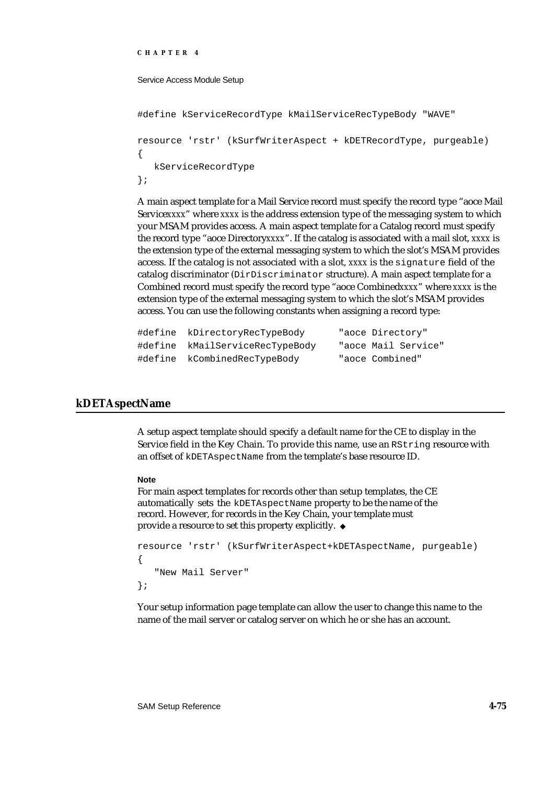#### **CHAPTER 4**

#### Service Access Module Setup

```
#define kServiceRecordType kMailServiceRecTypeBody "WAVE"
resource 'rstr' (kSurfWriterAspect + kDETRecordType, purgeable)
{
   kServiceRecordType
};
```
A main aspect template for a Mail Service record must specify the record type "aoce Mail Service*xxxx*" where *xxxx* is the address extension type of the messaging system to which your MSAM provides access. A main aspect template for a Catalog record must specify the record type "aoce Directory*xxxx*". If the catalog is associated with a mail slot, *xxxx* is the extension type of the external messaging system to which the slot's MSAM provides access. If the catalog is not associated with a slot, *xxxx* is the signature field of the catalog discriminator (DirDiscriminator structure). A main aspect template for a Combined record must specify the record type "aoce Combined*xxxx*" where *xxxx* is the extension type of the external messaging system to which the slot's MSAM provides access. You can use the following constants when assigning a record type:

```
#define kDirectoryRecTypeBody "aoce Directory"
#define kMailServiceRecTypeBody "aoce Mail Service"
#define kCombinedRecTypeBody "aoce Combined"
```
### **kDETAspectName**

A setup aspect template should specify a default name for the CE to display in the Service field in the Key Chain. To provide this name, use an RString resource with an offset of kDETAspectName from the template's base resource ID.

#### **Note**

For main aspect templates for records other than setup templates, the CE automatically sets the kDETAspectName property to be the name of the record. However, for records in the Key Chain, your template must provide a resource to set this property explicitly.

```
resource 'rstr' (kSurfWriterAspect+kDETAspectName, purgeable) 
{
   "New Mail Server"
};
```
Your setup information page template can allow the user to change this name to the name of the mail server or catalog server on which he or she has an account.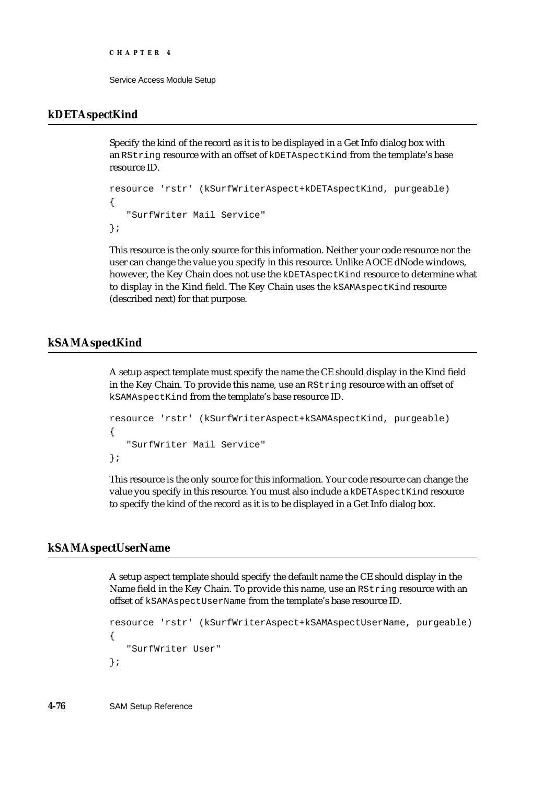```
CHAPTER 4
```
## **kDETAspectKind**

Specify the kind of the record as it is to be displayed in a Get Info dialog box with an RString resource with an offset of kDETAspectKind from the template's base resource ID.

```
resource 'rstr' (kSurfWriterAspect+kDETAspectKind, purgeable) 
{
   "SurfWriter Mail Service"
};
```
This resource is the only source for this information. Neither your code resource nor the user can change the value you specify in this resource. Unlike AOCE dNode windows, however, the Key Chain does not use the kDETAspectKind resource to determine what to display in the Kind field. The Key Chain uses the kSAMAspectKind resource (described next) for that purpose.

## **kSAMAspectKind**

A setup aspect template must specify the name the CE should display in the Kind field in the Key Chain. To provide this name, use an RString resource with an offset of kSAMAspectKind from the template's base resource ID.

```
resource 'rstr' (kSurfWriterAspect+kSAMAspectKind, purgeable) 
{
   "SurfWriter Mail Service"
};
```
This resource is the only source for this information. Your code resource can change the value you specify in this resource. You must also include a kDETAspectKind resource to specify the kind of the record as it is to be displayed in a Get Info dialog box.

## **kSAMAspectUserName**

A setup aspect template should specify the default name the CE should display in the Name field in the Key Chain. To provide this name, use an RString resource with an offset of kSAMAspectUserName from the template's base resource ID.

```
resource 'rstr' (kSurfWriterAspect+kSAMAspectUserName, purgeable) 
{
   "SurfWriter User"
};
```
**4-76** SAM Setup Reference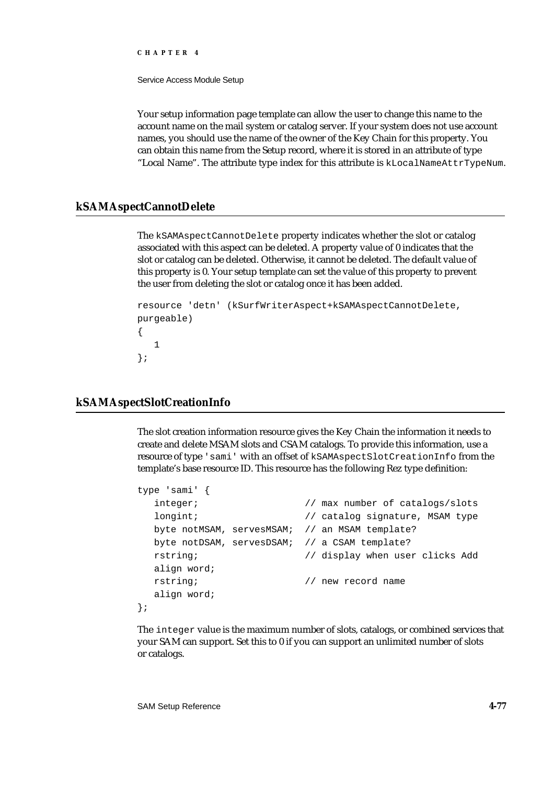**CHAPTER 4**

Service Access Module Setup

Your setup information page template can allow the user to change this name to the account name on the mail system or catalog server. If your system does not use account names, you should use the name of the owner of the Key Chain for this property. You can obtain this name from the Setup record, where it is stored in an attribute of type "Local Name". The attribute type index for this attribute is kLocalNameAttrTypeNum.

## **kSAMAspectCannotDelete**

The kSAMAspectCannotDelete property indicates whether the slot or catalog associated with this aspect can be deleted. A property value of 0 indicates that the slot or catalog can be deleted. Otherwise, it cannot be deleted. The default value of this property is 0. Your setup template can set the value of this property to prevent the user from deleting the slot or catalog once it has been added.

```
resource 'detn' (kSurfWriterAspect+kSAMAspectCannotDelete, 
purgeable) 
{
   1
};
```
## **kSAMAspectSlotCreationInfo**

The slot creation information resource gives the Key Chain the information it needs to create and delete MSAM slots and CSAM catalogs. To provide this information, use a resource of type 'sami' with an offset of kSAMAspectSlotCreationInfo from the template's base resource ID. This resource has the following Rez type definition:

```
type 'sami' {
  integer; \frac{1}{2} // max number of catalogs/slots
  longint; \frac{1}{2} // catalog signature, MSAM type
  byte notMSAM, servesMSAM; // an MSAM template? 
  byte notDSAM, servesDSAM; // a CSAM template? 
  rstring; // display when user clicks Add
  align word;
  rstring; // new record name 
  align word;
};
```
The integer value is the maximum number of slots, catalogs, or combined services that your SAM can support. Set this to 0 if you can support an unlimited number of slots or catalogs.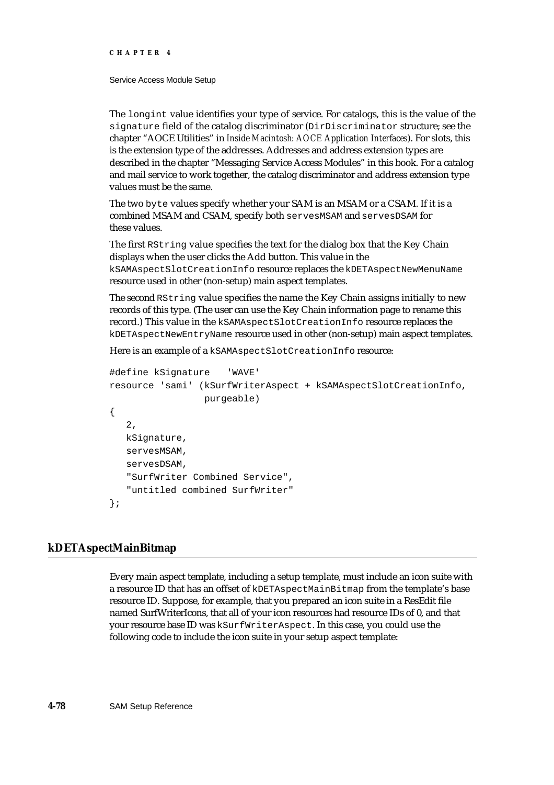```
CHAPTER 4
```
The longint value identifies your type of service. For catalogs, this is the value of the signature field of the catalog discriminator (DirDiscriminator structure; see the chapter "AOCE Utilities" in *Inside Macintosh: AOCE Application Interfaces*). For slots, this is the extension type of the addresses. Addresses and address extension types are described in the chapter "Messaging Service Access Modules" in this book. For a catalog and mail service to work together, the catalog discriminator and address extension type values must be the same.

The two byte values specify whether your SAM is an MSAM or a CSAM. If it is a combined MSAM and CSAM, specify both servesMSAM and servesDSAM for these values.

The first RString value specifies the text for the dialog box that the Key Chain displays when the user clicks the Add button. This value in the kSAMAspectSlotCreationInfo resource replaces the kDETAspectNewMenuName resource used in other (non-setup) main aspect templates.

The second RString value specifies the name the Key Chain assigns initially to new records of this type. (The user can use the Key Chain information page to rename this record.) This value in the kSAMAspectSlotCreationInfo resource replaces the kDETAspectNewEntryName resource used in other (non-setup) main aspect templates.

Here is an example of a kSAMAspectSlotCreationInfo resource:

```
#define kSignature 'WAVE'
resource 'sami' (kSurfWriterAspect + kSAMAspectSlotCreationInfo,
                  purgeable)
{
   2,
   kSignature,
   servesMSAM,
   servesDSAM,
   "SurfWriter Combined Service",
   "untitled combined SurfWriter"
};
```
## **kDETAspectMainBitmap**

Every main aspect template, including a setup template, must include an icon suite with a resource ID that has an offset of kDETAspectMainBitmap from the template's base resource ID. Suppose, for example, that you prepared an icon suite in a ResEdit file named SurfWriterIcons, that all of your icon resources had resource IDs of 0, and that your resource base ID was kSurfWriterAspect. In this case, you could use the following code to include the icon suite in your setup aspect template: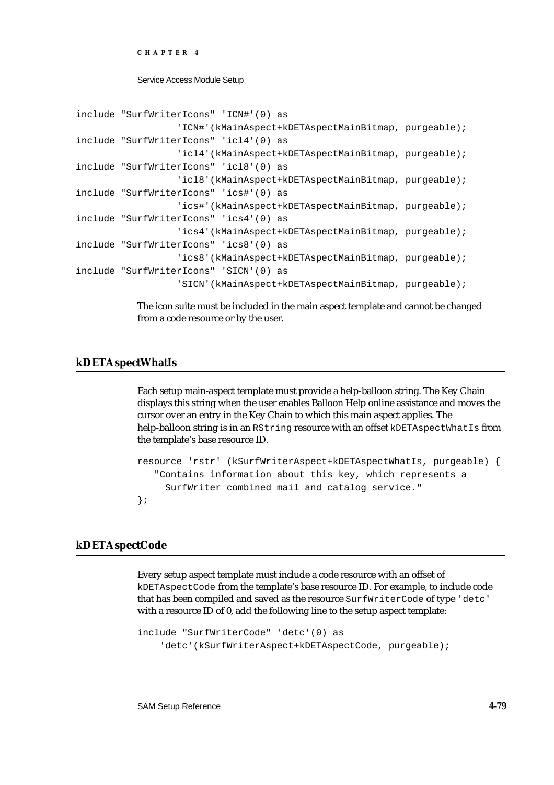**CHAPTER 4**

Service Access Module Setup

```
include "SurfWriterIcons" 'ICN#'(0) as
                  'ICN#'(kMainAspect+kDETAspectMainBitmap, purgeable);
include "SurfWriterIcons" 'icl4'(0) as
                  'icl4'(kMainAspect+kDETAspectMainBitmap, purgeable);
include "SurfWriterIcons" 'icl8'(0) as
                  'icl8'(kMainAspect+kDETAspectMainBitmap, purgeable);
include "SurfWriterIcons" 'ics#'(0) as
                  'ics#'(kMainAspect+kDETAspectMainBitmap, purgeable);
include "SurfWriterIcons" 'ics4'(0) as
                  'ics4'(kMainAspect+kDETAspectMainBitmap, purgeable);
include "SurfWriterIcons" 'ics8'(0) as
                  'ics8'(kMainAspect+kDETAspectMainBitmap, purgeable);
include "SurfWriterIcons" 'SICN'(0) as
                  'SICN'(kMainAspect+kDETAspectMainBitmap, purgeable);
```
The icon suite must be included in the main aspect template and cannot be changed from a code resource or by the user.

## **kDETAspectWhatIs**

Each setup main-aspect template must provide a help-balloon string. The Key Chain displays this string when the user enables Balloon Help online assistance and moves the cursor over an entry in the Key Chain to which this main aspect applies. The help-balloon string is in an RString resource with an offset kDETAspectWhatIs from the template's base resource ID.

```
resource 'rstr' (kSurfWriterAspect+kDETAspectWhatIs, purgeable) {
   "Contains information about this key, which represents a 
      SurfWriter combined mail and catalog service."
};
```
### **kDETAspectCode**

Every setup aspect template must include a code resource with an offset of kDETAspectCode from the template's base resource ID. For example, to include code that has been compiled and saved as the resource SurfWriterCode of type 'detc' with a resource ID of 0, add the following line to the setup aspect template:

```
include "SurfWriterCode" 'detc'(0) as
     'detc'(kSurfWriterAspect+kDETAspectCode, purgeable);
```
SAM Setup Reference **4-79**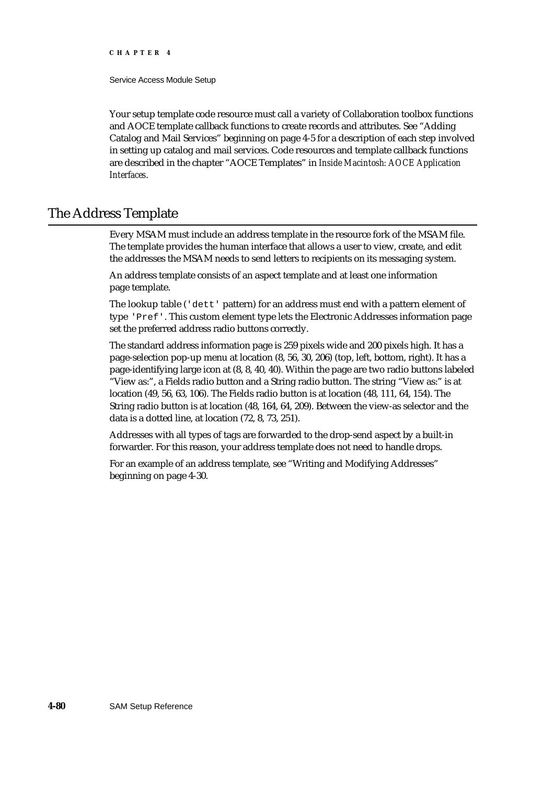#### **CHAPTER 4**

Service Access Module Setup

Your setup template code resource must call a variety of Collaboration toolbox functions and AOCE template callback functions to create records and attributes. See "Adding Catalog and Mail Services" beginning on page 4-5 for a description of each step involved in setting up catalog and mail services. Code resources and template callback functions are described in the chapter "AOCE Templates" in *Inside Macintosh: AOCE Application Interfaces*.

## The Address Template

Every MSAM must include an address template in the resource fork of the MSAM file. The template provides the human interface that allows a user to view, create, and edit the addresses the MSAM needs to send letters to recipients on its messaging system.

An address template consists of an aspect template and at least one information page template.

The lookup table ('dett' pattern) for an address must end with a pattern element of type 'Pref'. This custom element type lets the Electronic Addresses information page set the preferred address radio buttons correctly.

The standard address information page is 259 pixels wide and 200 pixels high. It has a page-selection pop-up menu at location (8, 56, 30, 206) (top, left, bottom, right). It has a page-identifying large icon at (8, 8, 40, 40). Within the page are two radio buttons labeled "View as:", a Fields radio button and a String radio button. The string "View as:" is at location (49, 56, 63, 106). The Fields radio button is at location (48, 111, 64, 154). The String radio button is at location (48, 164, 64, 209). Between the view-as selector and the data is a dotted line, at location (72, 8, 73, 251).

Addresses with all types of tags are forwarded to the drop-send aspect by a built-in forwarder. For this reason, your address template does not need to handle drops.

For an example of an address template, see "Writing and Modifying Addresses" beginning on page 4-30.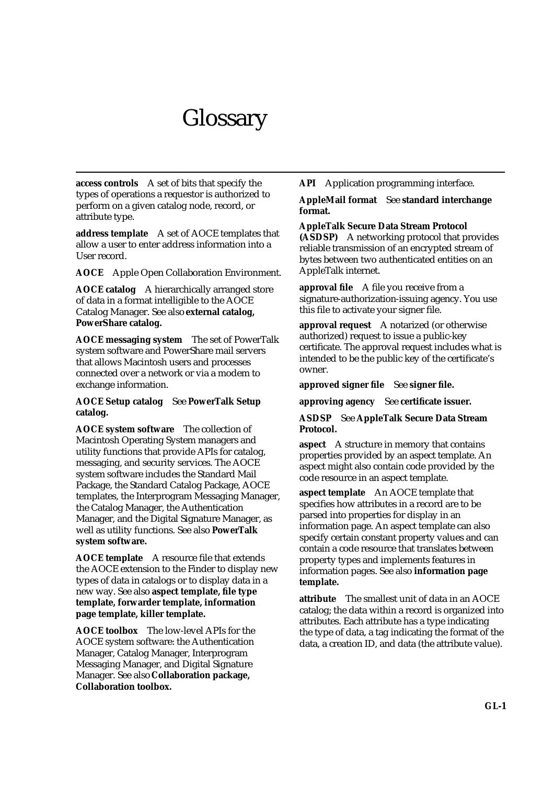# **Glossary**

**access controls** A set of bits that specify the types of operations a requestor is authorized to perform on a given catalog node, record, or attribute type.

**address template** A set of AOCE templates that allow a user to enter address information into a User record.

**AOCE** Apple Open Collaboration Environment.

**AOCE catalog** A hierarchically arranged store of data in a format intelligible to the AOCE Catalog Manager. See also **external catalog, PowerShare catalog.**

**AOCE messaging system** The set of PowerTalk system software and PowerShare mail servers that allows Macintosh users and processes connected over a network or via a modem to exchange information.

#### **AOCE Setup catalog** See **PowerTalk Setup catalog.**

**AOCE system software** The collection of Macintosh Operating System managers and utility functions that provide APIs for catalog, messaging, and security services. The AOCE system software includes the Standard Mail Package, the Standard Catalog Package, AOCE templates, the Interprogram Messaging Manager, the Catalog Manager, the Authentication Manager, and the Digital Signature Manager, as well as utility functions. See also **PowerTalk system software.**

**AOCE template** A resource file that extends the AOCE extension to the Finder to display new types of data in catalogs or to display data in a new way. See also **aspect template, file type template, forwarder template, information page template, killer template.**

**AOCE toolbox** The low-level APIs for the AOCE system software: the Authentication Manager, Catalog Manager, Interprogram Messaging Manager, and Digital Signature Manager. See also **Collaboration package, Collaboration toolbox.**

**API** Application programming interface.

#### **AppleMail format** See **standard interchange format.**

**AppleTalk Secure Data Stream Protocol (ASDSP)** A networking protocol that provides reliable transmission of an encrypted stream of bytes between two authenticated entities on an AppleTalk internet.

**approval file** A file you receive from a signature-authorization-issuing agency. You use this file to activate your signer file.

**approval request** A notarized (or otherwise authorized) request to issue a public-key certificate. The approval request includes what is intended to be the public key of the certificate's owner.

**approved signer file** See **signer file.**

**approving agency** See **certificate issuer.**

#### **ASDSP** See **AppleTalk Secure Data Stream Protocol.**

**aspect** A structure in memory that contains properties provided by an aspect template. An aspect might also contain code provided by the code resource in an aspect template.

**aspect template** An AOCE template that specifies how attributes in a record are to be parsed into properties for display in an information page. An aspect template can also specify certain constant property values and can contain a code resource that translates between property types and implements features in information pages. See also **information page template.**

**attribute** The smallest unit of data in an AOCE catalog; the data within a record is organized into attributes. Each attribute has a type indicating the type of data, a tag indicating the format of the data, a creation ID, and data (the attribute value).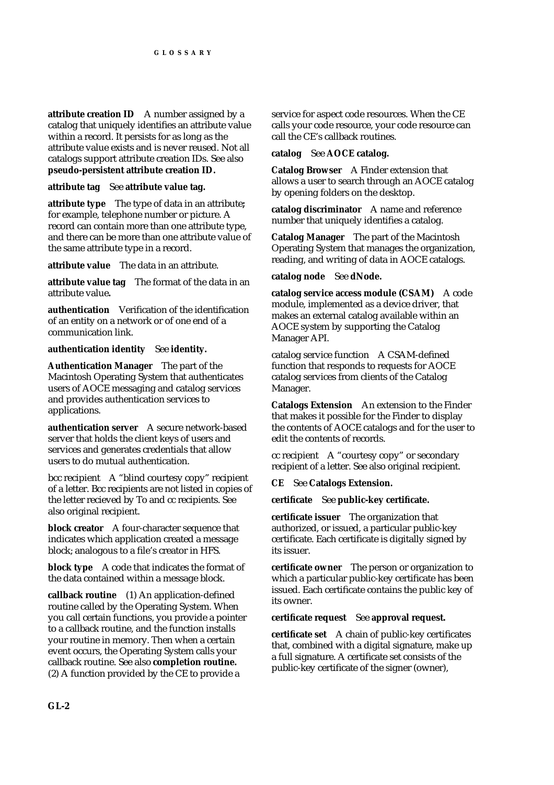**attribute creation ID** A number assigned by a catalog that uniquely identifies an attribute value within a record. It persists for as long as the attribute value exists and is never reused. Not all catalogs support attribute creation IDs. See also **pseudo-persistent attribute creation ID.**

#### **attribute tag** See **attribute value tag.**

**attribute type** The type of data in an attribute**;**  for example, telephone number or picture. A record can contain more than one attribute type, and there can be more than one attribute value of the same attribute type in a record.

**attribute value** The data in an attribute.

**attribute value tag** The format of the data in an attribute value**.**

**authentication** Verification of the identification of an entity on a network or of one end of a communication link.

**authentication identity** See **identity.**

**Authentication Manager** The part of the Macintosh Operating System that authenticates users of AOCE messaging and catalog services and provides authentication services to applications.

**authentication server** A secure network-based server that holds the client keys of users and services and generates credentials that allow users to do mutual authentication.

bcc recipient A "blind courtesy copy" recipient of a letter. Bcc recipients are not listed in copies of the letter recieved by To and cc recipients. See also original recipient.

**block creator** A four-character sequence that indicates which application created a message block; analogous to a file's creator in HFS.

**block type** A code that indicates the format of the data contained within a message block.

**callback routine** (1) An application-defined routine called by the Operating System. When you call certain functions, you provide a pointer to a callback routine, and the function installs your routine in memory. Then when a certain event occurs, the Operating System calls your callback routine. See also **completion routine.** (2) A function provided by the CE to provide a

service for aspect code resources. When the CE calls your code resource, your code resource can call the CE's callback routines.

#### **catalog** See **AOCE catalog.**

**Catalog Browser** A Finder extension that allows a user to search through an AOCE catalog by opening folders on the desktop.

**catalog discriminator** A name and reference number that uniquely identifies a catalog.

**Catalog Manager** The part of the Macintosh Operating System that manages the organization, reading, and writing of data in AOCE catalogs.

**catalog node** See **dNode.**

**catalog service access module (CSAM)** A code module, implemented as a device driver, that makes an external catalog available within an AOCE system by supporting the Catalog Manager API.

catalog service function A CSAM-defined function that responds to requests for AOCE catalog services from clients of the Catalog Manager.

**Catalogs Extension** An extension to the Finder that makes it possible for the Finder to display the contents of AOCE catalogs and for the user to edit the contents of records.

cc recipient A "courtesy copy" or secondary recipient of a letter. See also original recipient.

### **CE** See **Catalogs Extension.**

**certificate** See **public-key certificate.**

**certificate issuer** The organization that authorized, or issued, a particular public-key certificate. Each certificate is digitally signed by its issuer.

**certificate owner** The person or organization to which a particular public-key certificate has been issued. Each certificate contains the public key of its owner.

### **certificate request** See **approval request.**

**certificate set** A chain of public-key certificates that, combined with a digital signature, make up a full signature. A certificate set consists of the public-key certificate of the signer (owner),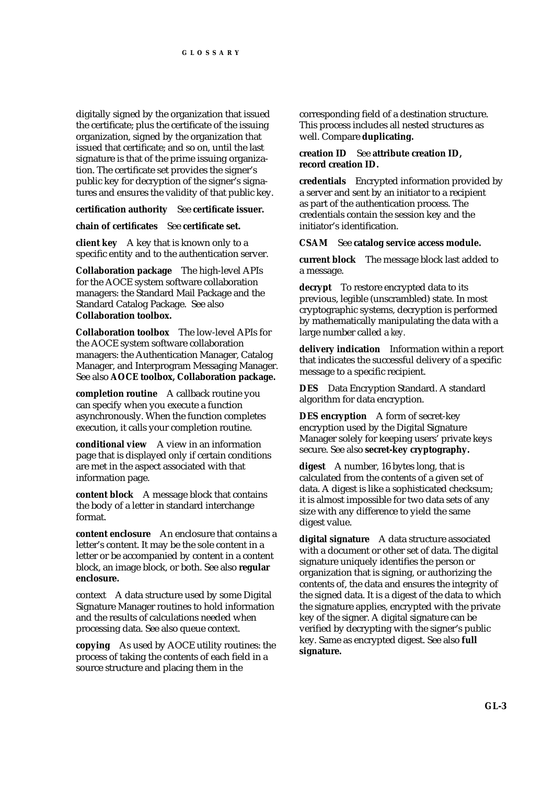digitally signed by the organization that issued the certificate; plus the certificate of the issuing organization, signed by the organization that issued that certificate; and so on, until the last signature is that of the prime issuing organization. The certificate set provides the signer's public key for decryption of the signer's signatures and ensures the validity of that public key.

#### **certification authority** See **certificate issuer.**

#### **chain of certificates** See **certificate set.**

**client key** A key that is known only to a specific entity and to the authentication server.

**Collaboration package** The high-level APIs for the AOCE system software collaboration managers: the Standard Mail Package and the Standard Catalog Package. See also **Collaboration toolbox.**

**Collaboration toolbox** The low-level APIs for the AOCE system software collaboration managers: the Authentication Manager, Catalog Manager, and Interprogram Messaging Manager. See also **AOCE toolbox, Collaboration package.**

**completion routine** A callback routine you can specify when you execute a function asynchronously. When the function completes execution, it calls your completion routine.

**conditional view** A view in an information page that is displayed only if certain conditions are met in the aspect associated with that information page.

**content block** A message block that contains the body of a letter in standard interchange format.

**content enclosure** An enclosure that contains a letter's content. It may be the sole content in a letter or be accompanied by content in a content block, an image block, or both. See also **regular enclosure.**

context A data structure used by some Digital Signature Manager routines to hold information and the results of calculations needed when processing data. See also queue context.

**copying** As used by AOCE utility routines: the process of taking the contents of each field in a source structure and placing them in the

corresponding field of a destination structure. This process includes all nested structures as well. Compare **duplicating.**

#### **creation ID** See **attribute creation ID, record creation ID.**

**credentials** Encrypted information provided by a server and sent by an initiator to a recipient as part of the authentication process. The credentials contain the session key and the initiator's identification.

#### **CSAM** See **catalog service access module.**

**current block** The message block last added to a message.

**decrypt** To restore encrypted data to its previous, legible (unscrambled) state. In most cryptographic systems, decryption is performed by mathematically manipulating the data with a large number called a *key.*

**delivery indication** Information within a report that indicates the successful delivery of a specific message to a specific recipient.

**DES** Data Encryption Standard. A standard algorithm for data encryption.

**DES encryption** A form of secret-key encryption used by the Digital Signature Manager solely for keeping users' private keys secure. See also **secret-key cryptography.**

**digest** A number, 16 bytes long, that is calculated from the contents of a given set of data. A digest is like a sophisticated checksum; it is almost impossible for two data sets of any size with any difference to yield the same digest value.

**digital signature** A data structure associated with a document or other set of data. The digital signature uniquely identifies the person or organization that is signing, or authorizing the contents of, the data and ensures the integrity of the signed data. It is a digest of the data to which the signature applies, encrypted with the private key of the signer. A digital signature can be verified by decrypting with the signer's public key. Same as encrypted digest. See also **full signature.**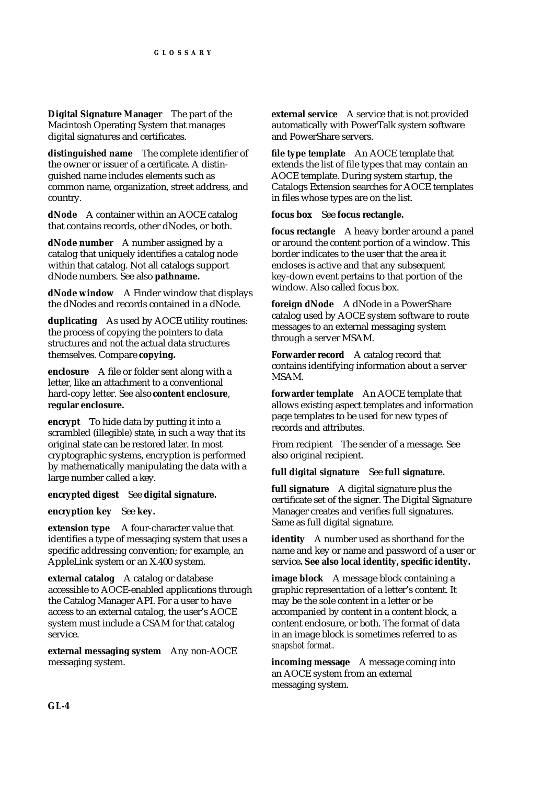**Digital Signature Manager** The part of the Macintosh Operating System that manages digital signatures and certificates.

**distinguished name** The complete identifier of the owner or issuer of a certificate. A distinguished name includes elements such as common name, organization, street address, and country.

**dNode** A container within an AOCE catalog that contains records, other dNodes, or both.

**dNode number** A number assigned by a catalog that uniquely identifies a catalog node within that catalog. Not all catalogs support dNode numbers. See also **pathname.**

**dNode window** A Finder window that displays the dNodes and records contained in a dNode.

**duplicating** As used by AOCE utility routines: the process of copying the pointers to data structures and not the actual data structures themselves. Compare **copying.**

**enclosure** A file or folder sent along with a letter, like an attachment to a conventional hard-copy letter. See also **content enclosure**, **regular enclosure.**

**encrypt** To hide data by putting it into a scrambled (illegible) state, in such a way that its original state can be restored later. In most cryptographic systems, encryption is performed by mathematically manipulating the data with a large number called a key.

**encrypted digest** See **digital signature.**

**encryption key** See **key.**

**extension type** A four-character value that identifies a type of messaging system that uses a specific addressing convention; for example, an AppleLink system or an X.400 system.

**external catalog** A catalog or database accessible to AOCE-enabled applications through the Catalog Manager API. For a user to have access to an external catalog, the user's AOCE system must include a CSAM for that catalog service.

**external messaging system** Any non-AOCE messaging system.

**external service** A service that is not provided automatically with PowerTalk system software and PowerShare servers.

**file type template** An AOCE template that extends the list of file types that may contain an AOCE template. During system startup, the Catalogs Extension searches for AOCE templates in files whose types are on the list.

**focus box** See **focus rectangle.**

**focus rectangle** A heavy border around a panel or around the content portion of a window. This border indicates to the user that the area it encloses is active and that any subsequent key-down event pertains to that portion of the window. Also called focus box.

**foreign dNode** A dNode in a PowerShare catalog used by AOCE system software to route messages to an external messaging system through a server MSAM.

**Forwarder record** A catalog record that contains identifying information about a server MSAM.

**forwarder template** An AOCE template that allows existing aspect templates and information page templates to be used for new types of records and attributes.

From recipient The sender of a message. See also original recipient.

**full digital signature** See **full signature.**

**full signature** A digital signature plus the certificate set of the signer. The Digital Signature Manager creates and verifies full signatures. Same as full digital signature.

**identity** A number used as shorthand for the name and key or name and password of a user or service**. See also local identity, specific identity.**

**image block** A message block containing a graphic representation of a letter's content. It may be the sole content in a letter or be accompanied by content in a content block, a content enclosure, or both. The format of data in an image block is sometimes referred to as *snapshot format*.

**incoming message** A message coming into an AOCE system from an external messaging system.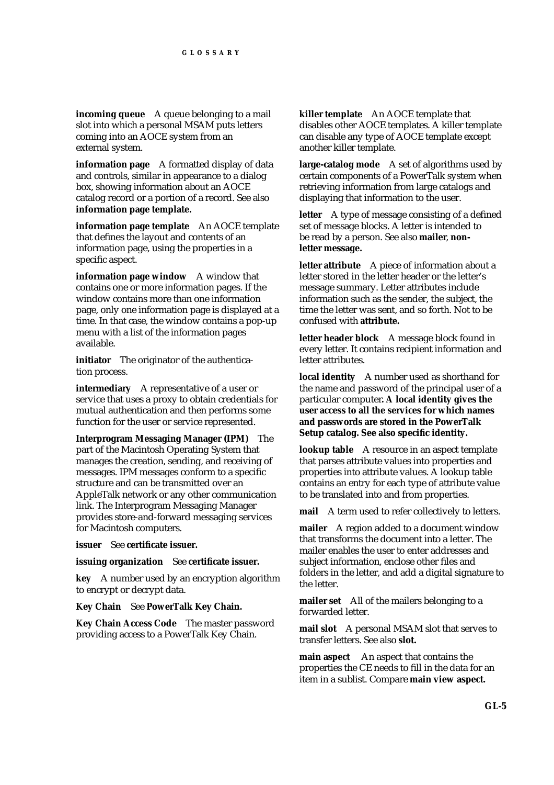**incoming queue** A queue belonging to a mail slot into which a personal MSAM puts letters coming into an AOCE system from an external system.

**information page** A formatted display of data and controls, similar in appearance to a dialog box, showing information about an AOCE catalog record or a portion of a record. See also **information page template.**

**information page template** An AOCE template that defines the layout and contents of an information page, using the properties in a specific aspect.

**information page window** A window that contains one or more information pages. If the window contains more than one information page, only one information page is displayed at a time. In that case, the window contains a pop-up menu with a list of the information pages available.

**initiator** The originator of the authentication process.

**intermediary** A representative of a user or service that uses a proxy to obtain credentials for mutual authentication and then performs some function for the user or service represented.

**Interprogram Messaging Manager (IPM)** The part of the Macintosh Operating System that manages the creation, sending, and receiving of messages. IPM messages conform to a specific structure and can be transmitted over an AppleTalk network or any other communication link. The Interprogram Messaging Manager provides store-and-forward messaging services for Macintosh computers.

**issuer** See **certificate issuer.**

**issuing organization** See **certificate issuer.**

**key** A number used by an encryption algorithm to encrypt or decrypt data.

**Key Chain** See **PowerTalk Key Chain.**

**Key Chain Access Code** The master password providing access to a PowerTalk Key Chain.

**killer template** An AOCE template that disables other AOCE templates. A killer template can disable any type of AOCE template except another killer template.

**large-catalog mode** A set of algorithms used by certain components of a PowerTalk system when retrieving information from large catalogs and displaying that information to the user.

**letter** A type of message consisting of a defined set of message blocks. A letter is intended to be read by a person. See also **mailer**, **nonletter message.**

**letter attribute** A piece of information about a letter stored in the letter header or the letter's message summary. Letter attributes include information such as the sender, the subject, the time the letter was sent, and so forth. Not to be confused with **attribute.**

**letter header block** A message block found in every letter. It contains recipient information and letter attributes.

**local identity** A number used as shorthand for the name and password of the principal user of a particular computer**. A local identity gives the user access to all the services for which names and passwords are stored in the PowerTalk Setup catalog. See also specific identity.**

**lookup table** A resource in an aspect template that parses attribute values into properties and properties into attribute values. A lookup table contains an entry for each type of attribute value to be translated into and from properties.

**mail** A term used to refer collectively to letters.

**mailer** A region added to a document window that transforms the document into a letter. The mailer enables the user to enter addresses and subject information, enclose other files and folders in the letter, and add a digital signature to the letter.

**mailer set** All of the mailers belonging to a forwarded letter.

**mail slot** A personal MSAM slot that serves to transfer letters. See also **slot.**

**main aspect** An aspect that contains the properties the CE needs to fill in the data for an item in a sublist. Compare **main view aspect.**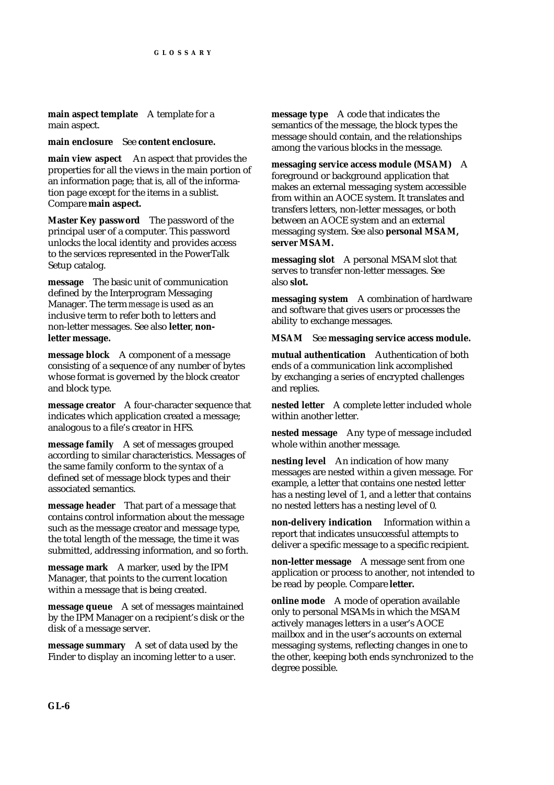**main aspect template** A template for a main aspect.

**main enclosure** See **content enclosure.**

**main view aspect** An aspect that provides the properties for all the views in the main portion of an information page; that is, all of the information page except for the items in a sublist. Compare **main aspect.**

**Master Key password** The password of the principal user of a computer. This password unlocks the local identity and provides access to the services represented in the PowerTalk Setup catalog.

**message** The basic unit of communication defined by the Interprogram Messaging Manager. The term *message* is used as an inclusive term to refer both to letters and non-letter messages. See also **letter**, **nonletter message.**

**message block** A component of a message consisting of a sequence of any number of bytes whose format is governed by the block creator and block type.

**message creator** A four-character sequence that indicates which application created a message; analogous to a file's creator in HFS.

**message family** A set of messages grouped according to similar characteristics. Messages of the same family conform to the syntax of a defined set of message block types and their associated semantics.

**message header** That part of a message that contains control information about the message such as the message creator and message type, the total length of the message, the time it was submitted, addressing information, and so forth.

**message mark** A marker, used by the IPM Manager, that points to the current location within a message that is being created.

**message queue** A set of messages maintained by the IPM Manager on a recipient's disk or the disk of a message server.

**message summary** A set of data used by the Finder to display an incoming letter to a user.

**message type** A code that indicates the semantics of the message, the block types the message should contain, and the relationships among the various blocks in the message.

**messaging service access module (MSAM)** A foreground or background application that makes an external messaging system accessible from within an AOCE system. It translates and transfers letters, non-letter messages, or both between an AOCE system and an external messaging system. See also **personal MSAM, server MSAM.**

**messaging slot** A personal MSAM slot that serves to transfer non-letter messages. See also **slot.**

**messaging system** A combination of hardware and software that gives users or processes the ability to exchange messages.

## **MSAM** See **messaging service access module.**

**mutual authentication** Authentication of both ends of a communication link accomplished by exchanging a series of encrypted challenges and replies.

**nested letter** A complete letter included whole within another letter.

**nested message** Any type of message included whole within another message.

**nesting level** An indication of how many messages are nested within a given message. For example, a letter that contains one nested letter has a nesting level of 1, and a letter that contains no nested letters has a nesting level of 0.

**non-delivery indication** Information within a report that indicates unsuccessful attempts to deliver a specific message to a specific recipient.

**non-letter message** A message sent from one application or process to another, not intended to be read by people. Compare **letter.**

**online mode** A mode of operation available only to personal MSAMs in which the MSAM actively manages letters in a user's AOCE mailbox and in the user's accounts on external messaging systems, reflecting changes in one to the other, keeping both ends synchronized to the degree possible.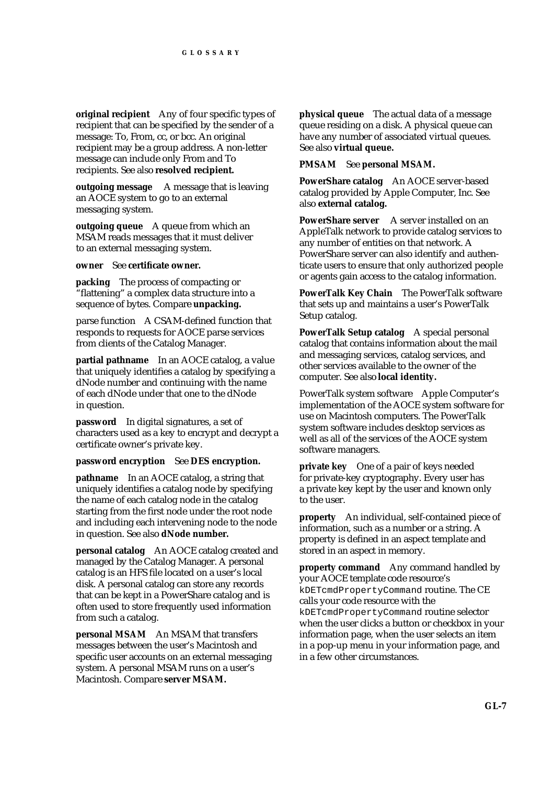**original recipient** Any of four specific types of recipient that can be specified by the sender of a message: To, From, cc, or bcc. An original recipient may be a group address. A non-letter message can include only From and To recipients. See also **resolved recipient.**

**outgoing message** A message that is leaving an AOCE system to go to an external messaging system.

**outgoing queue** A queue from which an MSAM reads messages that it must deliver to an external messaging system.

**owner** See **certificate owner.**

**packing** The process of compacting or "flattening" a complex data structure into a sequence of bytes. Compare **unpacking.**

parse function A CSAM-defined function that responds to requests for AOCE parse services from clients of the Catalog Manager.

**partial pathname** In an AOCE catalog, a value that uniquely identifies a catalog by specifying a dNode number and continuing with the name of each dNode under that one to the dNode in question.

**password** In digital signatures, a set of characters used as a key to encrypt and decrypt a certificate owner's private key.

#### **password encryption** See **DES encryption.**

**pathname** In an AOCE catalog, a string that uniquely identifies a catalog node by specifying the name of each catalog node in the catalog starting from the first node under the root node and including each intervening node to the node in question. See also **dNode number.**

**personal catalog** An AOCE catalog created and managed by the Catalog Manager. A personal catalog is an HFS file located on a user's local disk. A personal catalog can store any records that can be kept in a PowerShare catalog and is often used to store frequently used information from such a catalog.

**personal MSAM** An MSAM that transfers messages between the user's Macintosh and specific user accounts on an external messaging system. A personal MSAM runs on a user's Macintosh. Compare **server MSAM.**

**physical queue** The actual data of a message queue residing on a disk. A physical queue can have any number of associated virtual queues. See also **virtual queue.**

#### **PMSAM** See **personal MSAM.**

**PowerShare catalog** An AOCE server-based catalog provided by Apple Computer, Inc. See also **external catalog.**

**PowerShare server** A server installed on an AppleTalk network to provide catalog services to any number of entities on that network. A PowerShare server can also identify and authenticate users to ensure that only authorized people or agents gain access to the catalog information.

**PowerTalk Key Chain** The PowerTalk software that sets up and maintains a user's PowerTalk Setup catalog.

**PowerTalk Setup catalog** A special personal catalog that contains information about the mail and messaging services, catalog services, and other services available to the owner of the computer. See also **local identity.**

PowerTalk system software Apple Computer's implementation of the AOCE system software for use on Macintosh computers. The PowerTalk system software includes desktop services as well as all of the services of the AOCE system software managers.

**private key** One of a pair of keys needed for private-key cryptography. Every user has a private key kept by the user and known only to the user.

**property** An individual, self-contained piece of information, such as a number or a string. A property is defined in an aspect template and stored in an aspect in memory.

**property command** Any command handled by your AOCE template code resource's kDETcmdPropertyCommand routine. The CE calls your code resource with the kDETcmdPropertyCommand routine selector when the user clicks a button or checkbox in your information page, when the user selects an item in a pop-up menu in your information page, and in a few other circumstances.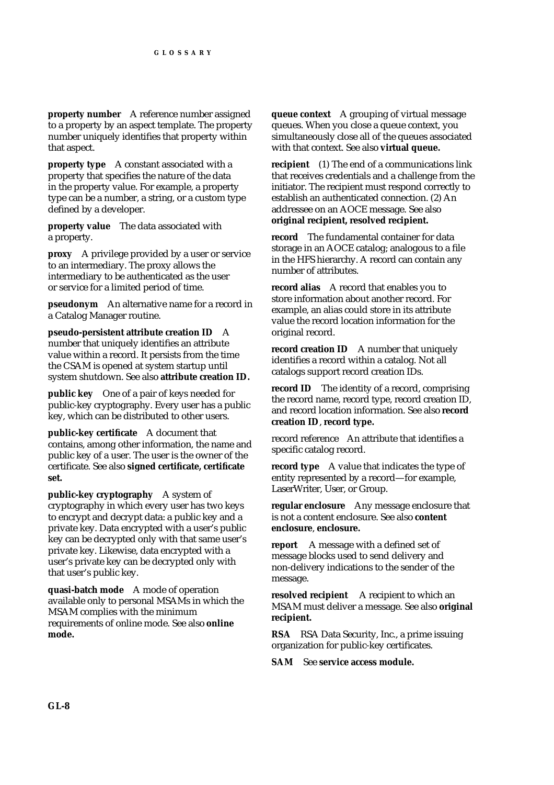**property number** A reference number assigned to a property by an aspect template. The property number uniquely identifies that property within that aspect.

**property type** A constant associated with a property that specifies the nature of the data in the property value. For example, a property type can be a number, a string, or a custom type defined by a developer.

**property value** The data associated with a property.

**proxy** A privilege provided by a user or service to an intermediary. The proxy allows the intermediary to be authenticated as the user or service for a limited period of time.

**pseudonym** An alternative name for a record in a Catalog Manager routine.

**pseudo-persistent attribute creation ID** A number that uniquely identifies an attribute value within a record. It persists from the time the CSAM is opened at system startup until system shutdown. See also **attribute creation ID.**

**public key** One of a pair of keys needed for public-key cryptography. Every user has a public key, which can be distributed to other users.

**public-key certificate** A document that contains, among other information, the name and public key of a user. The user is the owner of the certificate. See also **signed certificate, certificate set.**

**public-key cryptography** A system of cryptography in which every user has two keys to encrypt and decrypt data: a public key and a private key. Data encrypted with a user's public key can be decrypted only with that same user's private key. Likewise, data encrypted with a user's private key can be decrypted only with that user's public key.

**quasi-batch mode** A mode of operation available only to personal MSAMs in which the MSAM complies with the minimum requirements of online mode. See also **online mode.**

**queue context** A grouping of virtual message queues. When you close a queue context, you simultaneously close all of the queues associated with that context. See also **virtual queue.**

**recipient** (1) The end of a communications link that receives credentials and a challenge from the initiator. The recipient must respond correctly to establish an authenticated connection. (2) An addressee on an AOCE message. See also **original recipient, resolved recipient.**

**record** The fundamental container for data storage in an AOCE catalog; analogous to a file in the HFS hierarchy. A record can contain any number of attributes.

**record alias** A record that enables you to store information about another record. For example, an alias could store in its attribute value the record location information for the original record.

**record creation ID** A number that uniquely identifies a record within a catalog. Not all catalogs support record creation IDs.

**record ID** The identity of a record, comprising the record name, record type, record creation ID, and record location information. See also **record creation ID**, **record type.**

record reference An attribute that identifies a specific catalog record.

**record type** A value that indicates the type of entity represented by a record—for example, LaserWriter, User, or Group.

**regular enclosure** Any message enclosure that is not a content enclosure. See also **content enclosure**, **enclosure.**

**report** A message with a defined set of message blocks used to send delivery and non-delivery indications to the sender of the message.

**resolved recipient** A recipient to which an MSAM must deliver a message. See also **original recipient.**

**RSA** RSA Data Security, Inc., a prime issuing organization for public-key certificates.

**SAM** See **service access module.**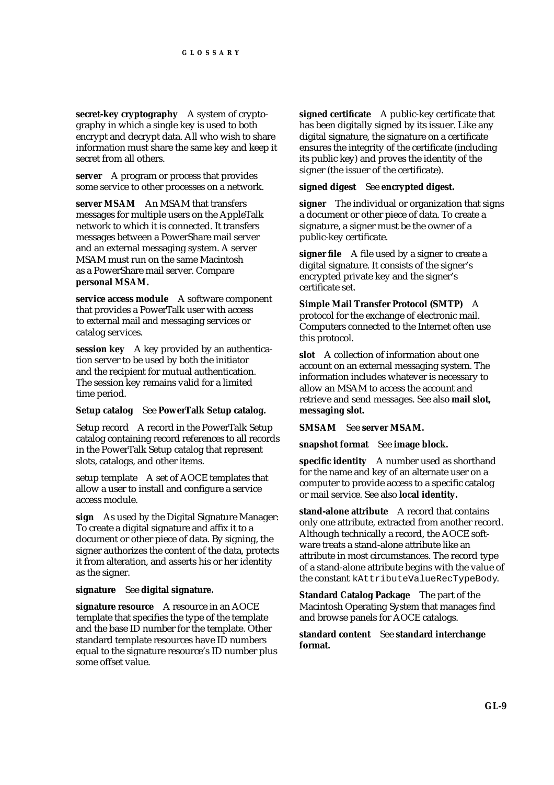**secret-key cryptography** A system of cryptography in which a single key is used to both encrypt and decrypt data. All who wish to share information must share the same key and keep it secret from all others.

**server** A program or process that provides some service to other processes on a network.

**server MSAM** An MSAM that transfers messages for multiple users on the AppleTalk network to which it is connected. It transfers messages between a PowerShare mail server and an external messaging system. A server MSAM must run on the same Macintosh as a PowerShare mail server. Compare **personal MSAM.**

**service access module** A software component that provides a PowerTalk user with access to external mail and messaging services or catalog services.

**session key** A key provided by an authentication server to be used by both the initiator and the recipient for mutual authentication. The session key remains valid for a limited time period.

#### **Setup catalog** See **PowerTalk Setup catalog.**

Setup record A record in the PowerTalk Setup catalog containing record references to all records in the PowerTalk Setup catalog that represent slots, catalogs, and other items.

setup template A set of AOCE templates that allow a user to install and configure a service access module.

**sign** As used by the Digital Signature Manager: To create a digital signature and affix it to a document or other piece of data. By signing, the signer authorizes the content of the data, protects it from alteration, and asserts his or her identity as the signer.

#### **signature** See **digital signature.**

**signature resource** A resource in an AOCE template that specifies the type of the template and the base ID number for the template. Other standard template resources have ID numbers equal to the signature resource's ID number plus some offset value.

**signed certificate** A public-key certificate that has been digitally signed by its issuer. Like any digital signature, the signature on a certificate ensures the integrity of the certificate (including its public key) and proves the identity of the signer (the issuer of the certificate).

#### **signed digest** See **encrypted digest.**

**signer** The individual or organization that signs a document or other piece of data. To create a signature, a signer must be the owner of a public-key certificate.

**signer file** A file used by a signer to create a digital signature. It consists of the signer's encrypted private key and the signer's certificate set.

**Simple Mail Transfer Protocol (SMTP)** A protocol for the exchange of electronic mail. Computers connected to the Internet often use this protocol.

**slot** A collection of information about one account on an external messaging system. The information includes whatever is necessary to allow an MSAM to access the account and retrieve and send messages. See also **mail slot, messaging slot.**

**SMSAM** See **server MSAM.**

**snapshot format** See **image block.**

**specific identity** A number used as shorthand for the name and key of an alternate user on a computer to provide access to a specific catalog or mail service. See also **local identity.**

**stand-alone attribute** A record that contains only one attribute, extracted from another record. Although technically a record, the AOCE software treats a stand-alone attribute like an attribute in most circumstances. The record type of a stand-alone attribute begins with the value of the constant kAttributeValueRecTypeBody.

**Standard Catalog Package** The part of the Macintosh Operating System that manages find and browse panels for AOCE catalogs.

#### **standard content** See **standard interchange format.**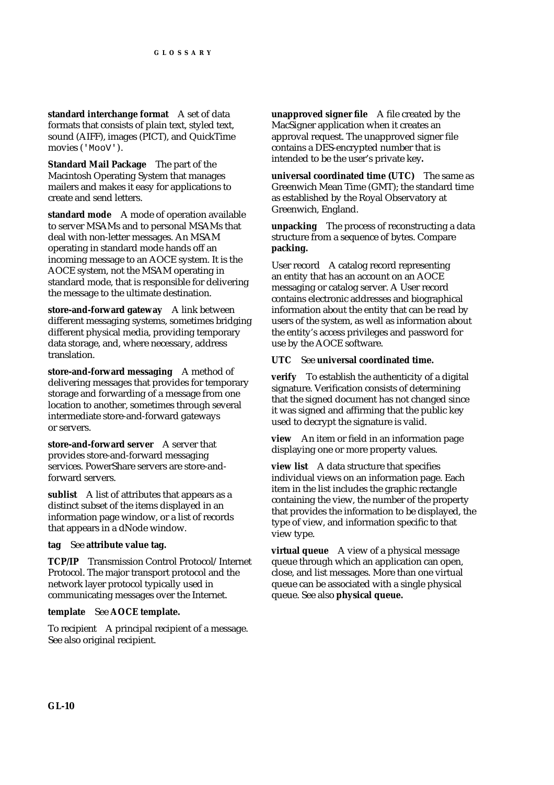**standard interchange format** A set of data formats that consists of plain text, styled text, sound (AIFF), images (PICT), and QuickTime movies ('MooV').

**Standard Mail Package** The part of the Macintosh Operating System that manages mailers and makes it easy for applications to create and send letters.

**standard mode** A mode of operation available to server MSAMs and to personal MSAMs that deal with non-letter messages. An MSAM operating in standard mode hands off an incoming message to an AOCE system. It is the AOCE system, not the MSAM operating in standard mode, that is responsible for delivering the message to the ultimate destination.

**store-and-forward gateway** A link between different messaging systems, sometimes bridging different physical media, providing temporary data storage, and, where necessary, address translation.

**store-and-forward messaging** A method of delivering messages that provides for temporary storage and forwarding of a message from one location to another, sometimes through several intermediate store-and-forward gateways or servers.

**store-and-forward server** A server that provides store-and-forward messaging services. PowerShare servers are store-andforward servers.

**sublist** A list of attributes that appears as a distinct subset of the items displayed in an information page window, or a list of records that appears in a dNode window.

#### **tag** See **attribute value tag.**

**TCP/IP** Transmission Control Protocol/Internet Protocol. The major transport protocol and the network layer protocol typically used in communicating messages over the Internet.

#### **template** See **AOCE template.**

To recipient A principal recipient of a message. See also original recipient.

**unapproved signer file** A file created by the MacSigner application when it creates an approval request. The unapproved signer file contains a DES-encrypted number that is intended to be the user's private key**.**

**universal coordinated time (UTC)** The same as Greenwich Mean Time (GMT); the standard time as established by the Royal Observatory at Greenwich, England.

**unpacking** The process of reconstructing a data structure from a sequence of bytes. Compare **packing.**

User record A catalog record representing an entity that has an account on an AOCE messaging or catalog server. A User record contains electronic addresses and biographical information about the entity that can be read by users of the system, as well as information about the entity's access privileges and password for use by the AOCE software.

#### **UTC** See **universal coordinated time.**

**verify** To establish the authenticity of a digital signature. Verification consists of determining that the signed document has not changed since it was signed and affirming that the public key used to decrypt the signature is valid.

**view** An item or field in an information page displaying one or more property values.

**view list** A data structure that specifies individual views on an information page. Each item in the list includes the graphic rectangle containing the view, the number of the property that provides the information to be displayed, the type of view, and information specific to that view type.

**virtual queue** A view of a physical message queue through which an application can open, close, and list messages. More than one virtual queue can be associated with a single physical queue. See also **physical queue.**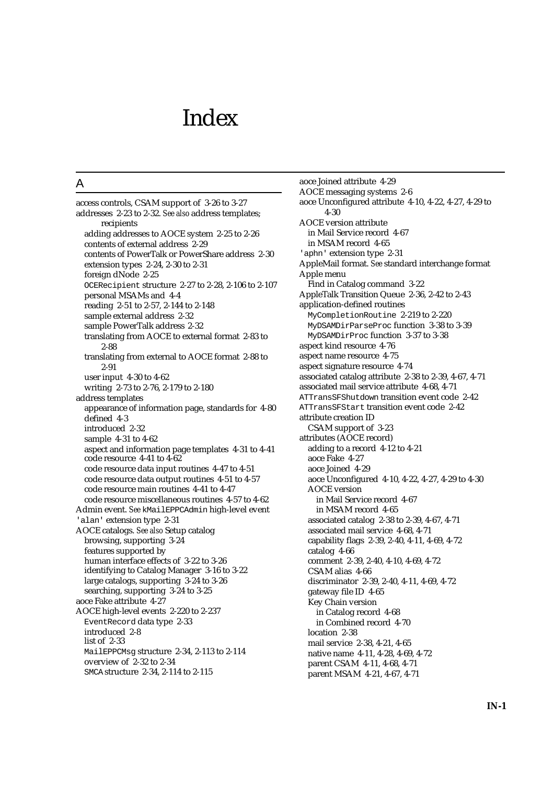## Index

### A

access controls, CSAM support of 3-26 to 3-27 addresses 2-23 to 2-32. *See also* address templates; recipients adding addresses to AOCE system 2-25 to 2-26 contents of external address 2-29 contents of PowerTalk or PowerShare address 2-30 extension types 2-24, 2-30 to 2-31 foreign dNode 2-25 OCERecipient structure 2-27 to 2-28, 2-106 to 2-107 personal MSAMs and 4-4 reading 2-51 to 2-57, 2-144 to 2-148 sample external address 2-32 sample PowerTalk address 2-32 translating from AOCE to external format 2-83 to 2-88 translating from external to AOCE format 2-88 to 2-91 user input 4-30 to 4-62 writing 2-73 to 2-76, 2-179 to 2-180 address templates appearance of information page, standards for 4-80 defined 4-3 introduced 2-32 sample 4-31 to 4-62 aspect and information page templates 4-31 to 4-41 code resource 4-41 to 4-62 code resource data input routines 4-47 to 4-51 code resource data output routines 4-51 to 4-57 code resource main routines 4-41 to 4-47 code resource miscellaneous routines 4-57 to 4-62 Admin event. *See* kMailEPPCAdmin high-level event 'alan' extension type 2-31 AOCE catalogs. *See also* Setup catalog browsing, supporting 3-24 features supported by human interface effects of 3-22 to 3-26 identifying to Catalog Manager 3-16 to 3-22 large catalogs, supporting 3-24 to 3-26 searching, supporting 3-24 to 3-25 aoce Fake attribute 4-27 AOCE high-level events 2-220 to 2-237 EventRecord data type 2-33 introduced 2-8 list of 2-33 MailEPPCMsg structure 2-34, 2-113 to 2-114 overview of 2-32 to 2-34 SMCA structure 2-34, 2-114 to 2-115

aoce Joined attribute 4-29 AOCE messaging systems 2-6 aoce Unconfigured attribute 4-10, 4-22, 4-27, 4-29 to 4-30 AOCE version attribute in Mail Service record 4-67 in MSAM record 4-65 'aphn' extension type 2-31 AppleMail format. *See* standard interchange format Apple menu Find in Catalog command 3-22 AppleTalk Transition Queue 2-36, 2-42 to 2-43 application-defined routines MyCompletionRoutine 2-219 to 2-220 MyDSAMDirParseProc function 3-38 to 3-39 MyDSAMDirProc function 3-37 to 3-38 aspect kind resource 4-76 aspect name resource 4-75 aspect signature resource 4-74 associated catalog attribute 2-38 to 2-39, 4-67, 4-71 associated mail service attribute 4-68, 4-71 ATTransSFShutdown transition event code 2-42 ATTransSFStart transition event code 2-42 attribute creation ID CSAM support of 3-23 attributes (AOCE record) adding to a record 4-12 to 4-21 aoce Fake 4-27 aoce Joined 4-29 aoce Unconfigured 4-10, 4-22, 4-27, 4-29 to 4-30 AOCE version in Mail Service record 4-67 in MSAM record 4-65 associated catalog 2-38 to 2-39, 4-67, 4-71 associated mail service 4-68, 4-71 capability flags 2-39, 2-40, 4-11, 4-69, 4-72 catalog 4-66 comment 2-39, 2-40, 4-10, 4-69, 4-72 CSAM alias 4-66 discriminator 2-39, 2-40, 4-11, 4-69, 4-72 gateway file ID 4-65 Key Chain version in Catalog record 4-68 in Combined record 4-70 location 2-38 mail service 2-38, 4-21, 4-65 native name 4-11, 4-28, 4-69, 4-72 parent CSAM 4-11, 4-68, 4-71 parent MSAM 4-21, 4-67, 4-71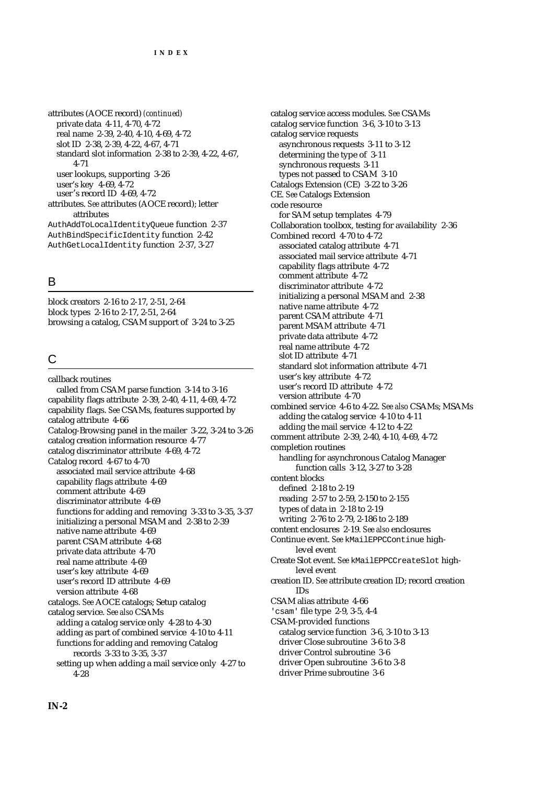attributes (AOCE record) *(continued)* private data 4-11, 4-70, 4-72 real name 2-39, 2-40, 4-10, 4-69, 4-72 slot ID 2-38, 2-39, 4-22, 4-67, 4-71 standard slot information 2-38 to 2-39, 4-22, 4-67, 4-71 user lookups, supporting 3-26 user's key 4-69, 4-72 user's record ID 4-69, 4-72 attributes. *See* attributes (AOCE record); letter attributes AuthAddToLocalIdentityQueue function 2-37 AuthBindSpecificIdentity function 2-42 AuthGetLocalIdentity function 2-37, 3-27

## B

block creators 2-16 to 2-17, 2-51, 2-64 block types 2-16 to 2-17, 2-51, 2-64 browsing a catalog, CSAM support of 3-24 to 3-25

## C

callback routines called from CSAM parse function 3-14 to 3-16 capability flags attribute 2-39, 2-40, 4-11, 4-69, 4-72 capability flags. *See* CSAMs, features supported by catalog attribute 4-66 Catalog-Browsing panel in the mailer 3-22, 3-24 to 3-26 catalog creation information resource 4-77 catalog discriminator attribute 4-69, 4-72 Catalog record 4-67 to 4-70 associated mail service attribute 4-68 capability flags attribute 4-69 comment attribute 4-69 discriminator attribute 4-69 functions for adding and removing 3-33 to 3-35, 3-37 initializing a personal MSAM and 2-38 to 2-39 native name attribute 4-69 parent CSAM attribute 4-68 private data attribute 4-70 real name attribute 4-69 user's key attribute 4-69 user's record ID attribute 4-69 version attribute 4-68 catalogs. *See* AOCE catalogs; Setup catalog catalog service. *See also* CSAMs adding a catalog service only 4-28 to 4-30 adding as part of combined service 4-10 to 4-11 functions for adding and removing Catalog records 3-33 to 3-35, 3-37 setting up when adding a mail service only 4-27 to 4-28

catalog service access modules. *See* CSAMs catalog service function 3-6, 3-10 to 3-13 catalog service requests asynchronous requests 3-11 to 3-12 determining the type of 3-11 synchronous requests 3-11 types not passed to CSAM 3-10 Catalogs Extension (CE) 3-22 to 3-26 CE. *See* Catalogs Extension code resource for SAM setup templates 4-79 Collaboration toolbox, testing for availability 2-36 Combined record 4-70 to 4-72 associated catalog attribute 4-71 associated mail service attribute 4-71 capability flags attribute 4-72 comment attribute 4-72 discriminator attribute 4-72 initializing a personal MSAM and 2-38 native name attribute 4-72 parent CSAM attribute 4-71 parent MSAM attribute 4-71 private data attribute 4-72 real name attribute 4-72 slot ID attribute 4-71 standard slot information attribute 4-71 user's key attribute 4-72 user's record ID attribute 4-72 version attribute 4-70 combined service 4-6 to 4-22. *See also* CSAMs; MSAMs adding the catalog service 4-10 to 4-11 adding the mail service 4-12 to 4-22 comment attribute 2-39, 2-40, 4-10, 4-69, 4-72 completion routines handling for asynchronous Catalog Manager function calls 3-12, 3-27 to 3-28 content blocks defined 2-18 to 2-19 reading 2-57 to 2-59, 2-150 to 2-155 types of data in 2-18 to 2-19 writing 2-76 to 2-79, 2-186 to 2-189 content enclosures 2-19. *See also* enclosures Continue event. *See* kMailEPPCContinue highlevel event Create Slot event. *See* kMailEPPCCreateSlot highlevel event creation ID. *See* attribute creation ID; record creation IDs CSAM alias attribute 4-66 'csam' file type 2-9, 3-5, 4-4 CSAM-provided functions catalog service function 3-6, 3-10 to 3-13 driver Close subroutine 3-6 to 3-8 driver Control subroutine 3-6 driver Open subroutine 3-6 to 3-8 driver Prime subroutine 3-6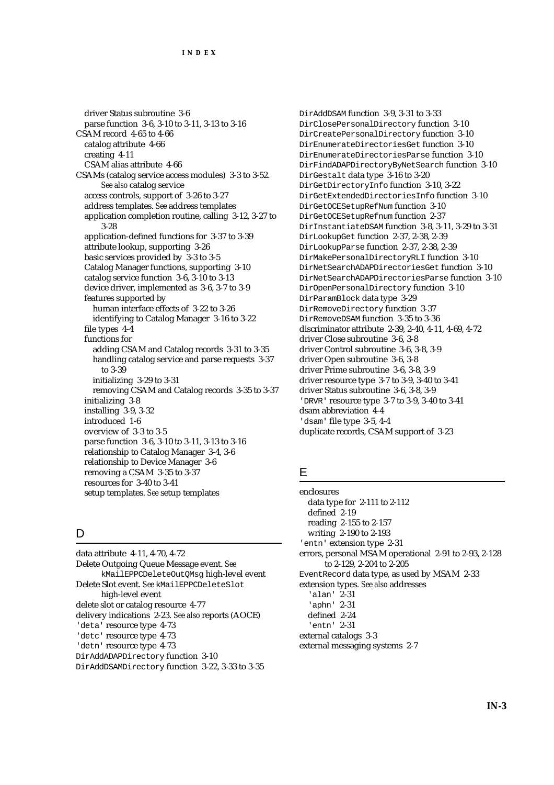driver Status subroutine 3-6 parse function 3-6, 3-10 to 3-11, 3-13 to 3-16 CSAM record 4-65 to 4-66 catalog attribute 4-66 creating 4-11 CSAM alias attribute 4-66 CSAMs (catalog service access modules) 3-3 to 3-52. *See also* catalog service access controls, support of 3-26 to 3-27 address templates. *See* address templates application completion routine, calling 3-12, 3-27 to 3-28 application-defined functions for 3-37 to 3-39 attribute lookup, supporting 3-26 basic services provided by 3-3 to 3-5 Catalog Manager functions, supporting 3-10 catalog service function 3-6, 3-10 to 3-13 device driver, implemented as 3-6, 3-7 to 3-9 features supported by human interface effects of 3-22 to 3-26 identifying to Catalog Manager 3-16 to 3-22 file types 4-4 functions for adding CSAM and Catalog records 3-31 to 3-35 handling catalog service and parse requests 3-37 to 3-39 initializing 3-29 to 3-31 removing CSAM and Catalog records 3-35 to 3-37 initializing 3-8 installing 3-9, 3-32 introduced 1-6 overview of 3-3 to 3-5 parse function 3-6, 3-10 to 3-11, 3-13 to 3-16 relationship to Catalog Manager 3-4, 3-6 relationship to Device Manager 3-6 removing a CSAM 3-35 to 3-37 resources for 3-40 to 3-41 setup templates. *See* setup templates

## D

data attribute 4-11, 4-70, 4-72 Delete Outgoing Queue Message event. *See* kMailEPPCDeleteOutQMsg high-level event Delete Slot event. *See* kMailEPPCDeleteSlot high-level event delete slot or catalog resource 4-77 delivery indications 2-23. *See also* reports (AOCE) 'deta' resource type 4-73 'detc' resource type 4-73 'detn' resource type 4-73 DirAddADAPDirectory function 3-10

DirAddDSAMDirectory function 3-22, 3-33 to 3-35

DirAddDSAM function 3-9, 3-31 to 3-33 DirClosePersonalDirectory function 3-10 DirCreatePersonalDirectory function 3-10 DirEnumerateDirectoriesGet function 3-10 DirEnumerateDirectoriesParse function 3-10 DirFindADAPDirectoryByNetSearch function 3-10 DirGestalt data type 3-16 to 3-20 DirGetDirectoryInfo function 3-10, 3-22 DirGetExtendedDirectoriesInfo function 3-10 DirGetOCESetupRefNum function 3-10 DirGetOCESetupRefnum function 2-37 DirInstantiateDSAM function 3-8, 3-11, 3-29 to 3-31 DirLookupGet function 2-37, 2-38, 2-39 DirLookupParse function 2-37, 2-38, 2-39 DirMakePersonalDirectoryRLI function 3-10 DirNetSearchADAPDirectoriesGet function 3-10 DirNetSearchADAPDirectoriesParse function 3-10 DirOpenPersonalDirectory function 3-10 DirParamBlock data type 3-29 DirRemoveDirectory function 3-37 DirRemoveDSAM function 3-35 to 3-36 discriminator attribute 2-39, 2-40, 4-11, 4-69, 4-72 driver Close subroutine 3-6, 3-8 driver Control subroutine 3-6, 3-8, 3-9 driver Open subroutine 3-6, 3-8 driver Prime subroutine 3-6, 3-8, 3-9 driver resource type 3-7 to 3-9, 3-40 to 3-41 driver Status subroutine 3-6, 3-8, 3-9 'DRVR' resource type 3-7 to 3-9, 3-40 to 3-41 dsam abbreviation 4-4 'dsam' file type 3-5, 4-4 duplicate records, CSAM support of 3-23

## E

enclosures data type for 2-111 to 2-112 defined 2-19 reading 2-155 to 2-157 writing 2-190 to 2-193 'entn' extension type 2-31 errors, personal MSAM operational 2-91 to 2-93, 2-128 to 2-129, 2-204 to 2-205 EventRecord data type, as used by MSAM 2-33 extension types. *See also* addresses 'alan' 2-31 'aphn' 2-31 defined 2-24 'entn' 2-31 external catalogs 3-3 external messaging systems 2-7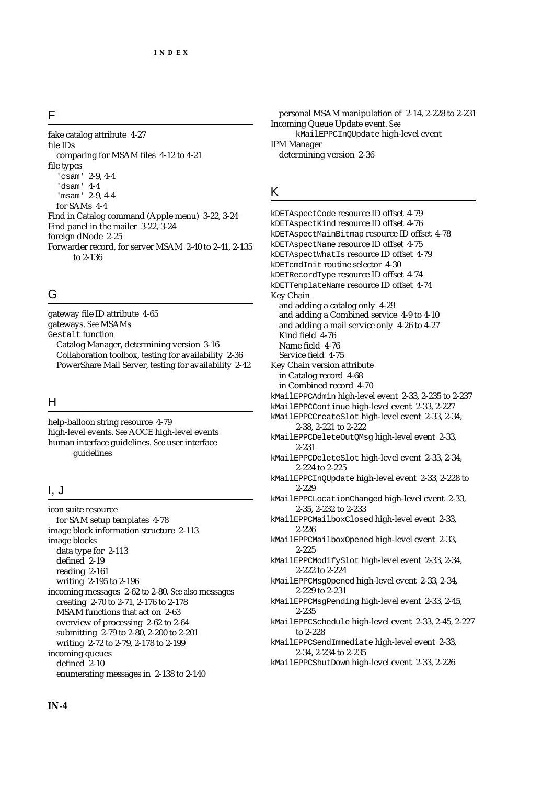#### F

fake catalog attribute 4-27 file IDs comparing for MSAM files 4-12 to 4-21 file types 'csam' 2-9, 4-4 'dsam' 4-4 'msam' 2-9, 4-4 for SAMs 4-4 Find in Catalog command (Apple menu) 3-22, 3-24 Find panel in the mailer 3-22, 3-24 foreign dNode 2-25 Forwarder record, for server MSAM 2-40 to 2-41, 2-135 to 2-136

## G

gateway file ID attribute 4-65 gateways. *See* MSAMs Gestalt function Catalog Manager, determining version 3-16 Collaboration toolbox, testing for availability 2-36 PowerShare Mail Server, testing for availability 2-42

## H

help-balloon string resource 4-79 high-level events. *See* AOCE high-level events human interface guidelines. *See* user interface guidelines

### I, J

icon suite resource for SAM setup templates 4-78 image block information structure 2-113 image blocks data type for 2-113 defined 2-19 reading 2-161 writing 2-195 to 2-196 incoming messages 2-62 to 2-80. *See also* messages creating 2-70 to 2-71, 2-176 to 2-178 MSAM functions that act on 2-63 overview of processing 2-62 to 2-64 submitting 2-79 to 2-80, 2-200 to 2-201 writing 2-72 to 2-79, 2-178 to 2-199 incoming queues defined 2-10 enumerating messages in 2-138 to 2-140

personal MSAM manipulation of 2-14, 2-228 to 2-231 Incoming Queue Update event. *See* kMailEPPCInQUpdate high-level event IPM Manager determining version 2-36

#### K

kDETAspectCode resource ID offset 4-79 kDETAspectKind resource ID offset 4-76 kDETAspectMainBitmap resource ID offset 4-78 kDETAspectName resource ID offset 4-75 kDETAspectWhatIs resource ID offset 4-79 kDETcmdInit routine selector 4-30 kDETRecordType resource ID offset 4-74 kDETTemplateName resource ID offset 4-74 Key Chain and adding a catalog only 4-29 and adding a Combined service 4-9 to 4-10 and adding a mail service only 4-26 to 4-27 Kind field 4-76 Name field 4-76 Service field 4-75 Key Chain version attribute in Catalog record 4-68 in Combined record 4-70 kMailEPPCAdmin high-level event 2-33, 2-235 to 2-237 kMailEPPCContinue high-level event 2-33, 2-227 kMailEPPCCreateSlot high-level event 2-33, 2-34, 2-38, 2-221 to 2-222 kMailEPPCDeleteOutQMsg high-level event 2-33, 2-231 kMailEPPCDeleteSlot high-level event 2-33, 2-34, 2-224 to 2-225 kMailEPPCInQUpdate high-level event 2-33, 2-228 to 2-229 kMailEPPCLocationChanged high-level event 2-33, 2-35, 2-232 to 2-233 kMailEPPCMailboxClosed high-level event 2-33, 2-226 kMailEPPCMailboxOpened high-level event 2-33, 2-225 kMailEPPCModifySlot high-level event 2-33, 2-34, 2-222 to 2-224 kMailEPPCMsgOpened high-level event 2-33, 2-34, 2-229 to 2-231 kMailEPPCMsgPending high-level event 2-33, 2-45, 2-235 kMailEPPCSchedule high-level event 2-33, 2-45, 2-227 to 2-228 kMailEPPCSendImmediate high-level event 2-33, 2-34, 2-234 to 2-235 kMailEPPCShutDown high-level event 2-33, 2-226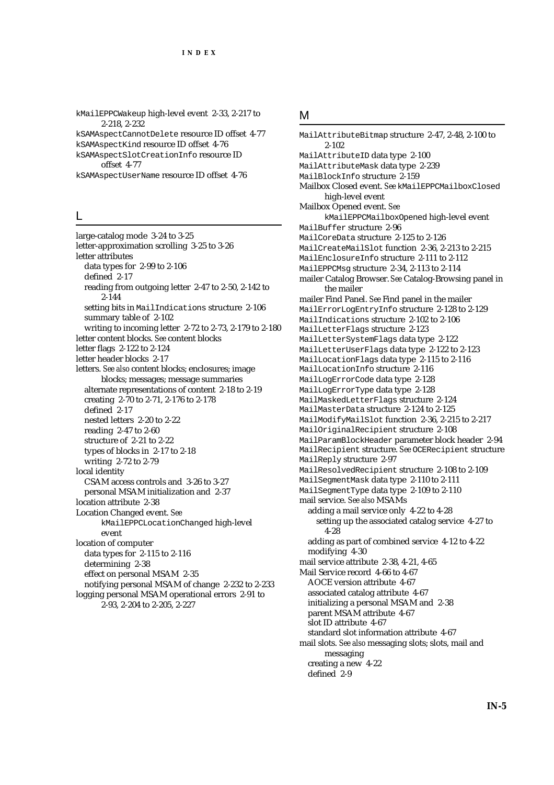kMailEPPCWakeup high-level event 2-33, 2-217 to 2-218, 2-232 kSAMAspectCannotDelete resource ID offset 4-77 kSAMAspectKind resource ID offset 4-76

kSAMAspectSlotCreationInfo resource ID offset 4-77

kSAMAspectUserName resource ID offset 4-76

#### L

large-catalog mode 3-24 to 3-25 letter-approximation scrolling 3-25 to 3-26 letter attributes data types for 2-99 to 2-106 defined 2-17 reading from outgoing letter 2-47 to 2-50, 2-142 to 2-144 setting bits in MailIndications structure 2-106 summary table of 2-102 writing to incoming letter 2-72 to 2-73, 2-179 to 2-180 letter content blocks. *See* content blocks letter flags 2-122 to 2-124 letter header blocks 2-17 letters. *See also* content blocks; enclosures; image blocks; messages; message summaries alternate representations of content 2-18 to 2-19 creating 2-70 to 2-71, 2-176 to 2-178 defined 2-17 nested letters 2-20 to 2-22 reading 2-47 to 2-60 structure of 2-21 to 2-22 types of blocks in 2-17 to 2-18 writing 2-72 to 2-79 local identity CSAM access controls and 3-26 to 3-27 personal MSAM initialization and 2-37 location attribute 2-38 Location Changed event. *See* kMailEPPCLocationChanged high-level event location of computer data types for 2-115 to 2-116 determining 2-38 effect on personal MSAM 2-35 notifying personal MSAM of change 2-232 to 2-233 logging personal MSAM operational errors 2-91 to 2-93, 2-204 to 2-205, 2-227

### M

MailAttributeBitmap structure 2-47, 2-48, 2-100 to 2-102 MailAttributeID data type 2-100 MailAttributeMask data type 2-239 MailBlockInfo structure 2-159 Mailbox Closed event. *See* kMailEPPCMailboxClosed high-level event Mailbox Opened event. *See* kMailEPPCMailboxOpened high-level event MailBuffer structure 2-96 MailCoreData structure 2-125 to 2-126 MailCreateMailSlot function 2-36, 2-213 to 2-215 MailEnclosureInfo structure 2-111 to 2-112 MailEPPCMsg structure 2-34, 2-113 to 2-114 mailer Catalog Browser. *See* Catalog-Browsing panel in the mailer mailer Find Panel. *See* Find panel in the mailer MailErrorLogEntryInfo structure 2-128 to 2-129 MailIndications structure 2-102 to 2-106 MailLetterFlags structure 2-123 MailLetterSystemFlags data type 2-122 MailLetterUserFlags data type 2-122 to 2-123 MailLocationFlags data type 2-115 to 2-116 MailLocationInfo structure 2-116 MailLogErrorCode data type 2-128 MailLogErrorType data type 2-128 MailMaskedLetterFlags structure 2-124 MailMasterData structure 2-124 to 2-125 MailModifyMailSlot function 2-36, 2-215 to 2-217 MailOriginalRecipient structure 2-108 MailParamBlockHeader parameter block header 2-94 MailRecipient structure. *See* OCERecipient structure MailReply structure 2-97 MailResolvedRecipient structure 2-108 to 2-109 MailSegmentMask data type 2-110 to 2-111 MailSegmentType data type 2-109 to 2-110 mail service. *See also* MSAMs adding a mail service only 4-22 to 4-28 setting up the associated catalog service 4-27 to 4-28 adding as part of combined service 4-12 to 4-22 modifying 4-30 mail service attribute 2-38, 4-21, 4-65 Mail Service record 4-66 to 4-67 AOCE version attribute 4-67 associated catalog attribute 4-67 initializing a personal MSAM and 2-38 parent MSAM attribute 4-67 slot ID attribute 4-67 standard slot information attribute 4-67 mail slots. *See also* messaging slots; slots, mail and messaging creating a new 4-22 defined 2-9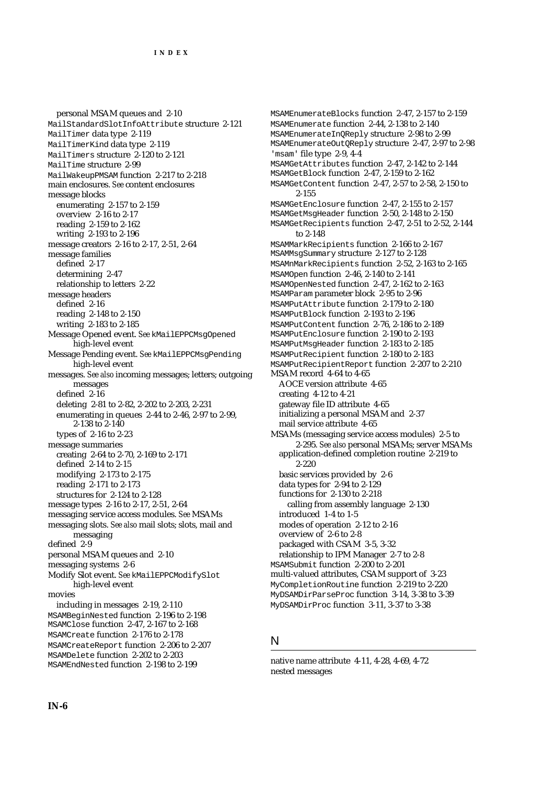personal MSAM queues and 2-10 MailStandardSlotInfoAttribute structure 2-121 MailTimer data type 2-119 MailTimerKind data type 2-119 MailTimers structure 2-120 to 2-121 MailTime structure 2-99 MailWakeupPMSAM function 2-217 to 2-218 main enclosures. *See* content enclosures message blocks enumerating 2-157 to 2-159 overview 2-16 to 2-17 reading 2-159 to 2-162 writing 2-193 to 2-196 message creators 2-16 to 2-17, 2-51, 2-64 message families defined 2-17 determining 2-47 relationship to letters 2-22 message headers defined 2-16 reading 2-148 to 2-150 writing 2-183 to 2-185 Message Opened event. *See* kMailEPPCMsgOpened high-level event Message Pending event. *See* kMailEPPCMsgPending high-level event messages. *See also* incoming messages; letters; outgoing messages defined 2-16 deleting 2-81 to 2-82, 2-202 to 2-203, 2-231 enumerating in queues 2-44 to 2-46, 2-97 to 2-99, 2-138 to 2-140 types of 2-16 to 2-23 message summaries creating 2-64 to 2-70, 2-169 to 2-171 defined 2-14 to 2-15 modifying 2-173 to 2-175 reading 2-171 to 2-173 structures for 2-124 to 2-128 message types 2-16 to 2-17, 2-51, 2-64 messaging service access modules. *See* MSAMs messaging slots. *See also* mail slots; slots, mail and messaging defined 2-9 personal MSAM queues and 2-10 messaging systems 2-6 Modify Slot event. *See* kMailEPPCModifySlot high-level event movies including in messages 2-19, 2-110 MSAMBeginNested function 2-196 to 2-198 MSAMClose function 2-47, 2-167 to 2-168 MSAMCreate function 2-176 to 2-178 MSAMCreateReport function 2-206 to 2-207 MSAMDelete function 2-202 to 2-203 MSAMEndNested function 2-198 to 2-199

MSAMEnumerateBlocks function 2-47, 2-157 to 2-159 MSAMEnumerate function 2-44, 2-138 to 2-140 MSAMEnumerateInQReply structure 2-98 to 2-99 MSAMEnumerateOutQReply structure 2-47, 2-97 to 2-98 'msam' file type 2-9, 4-4 MSAMGetAttributes function 2-47, 2-142 to 2-144 MSAMGetBlock function 2-47, 2-159 to 2-162 MSAMGetContent function 2-47, 2-57 to 2-58, 2-150 to 2-155 MSAMGetEnclosure function 2-47, 2-155 to 2-157 MSAMGetMsgHeader function 2-50, 2-148 to 2-150 MSAMGetRecipients function 2-47, 2-51 to 2-52, 2-144 to 2-148 MSAMMarkRecipients function 2-166 to 2-167 MSAMMsgSummary structure 2-127 to 2-128 MSAMnMarkRecipients function 2-52, 2-163 to 2-165 MSAMOpen function 2-46, 2-140 to 2-141 MSAMOpenNested function 2-47, 2-162 to 2-163 MSAMParam parameter block 2-95 to 2-96 MSAMPutAttribute function 2-179 to 2-180 MSAMPutBlock function 2-193 to 2-196 MSAMPutContent function 2-76, 2-186 to 2-189 MSAMPutEnclosure function 2-190 to 2-193 MSAMPutMsgHeader function 2-183 to 2-185 MSAMPutRecipient function 2-180 to 2-183 MSAMPutRecipientReport function 2-207 to 2-210 MSAM record 4-64 to 4-65 AOCE version attribute 4-65 creating 4-12 to 4-21 gateway file ID attribute 4-65 initializing a personal MSAM and 2-37 mail service attribute 4-65 MSAMs (messaging service access modules) 2-5 to 2-295. *See also* personal MSAMs; server MSAMs application-defined completion routine 2-219 to 2-220 basic services provided by 2-6 data types for 2-94 to 2-129 functions for 2-130 to 2-218 calling from assembly language 2-130 introduced 1-4 to 1-5 modes of operation 2-12 to 2-16 overview of 2-6 to 2-8 packaged with CSAM 3-5, 3-32 relationship to IPM Manager 2-7 to 2-8 MSAMSubmit function 2-200 to 2-201 multi-valued attributes, CSAM support of 3-23 MyCompletionRoutine function 2-219 to 2-220 MyDSAMDirParseProc function 3-14, 3-38 to 3-39 MyDSAMDirProc function 3-11, 3-37 to 3-38

#### N

native name attribute 4-11, 4-28, 4-69, 4-72 nested messages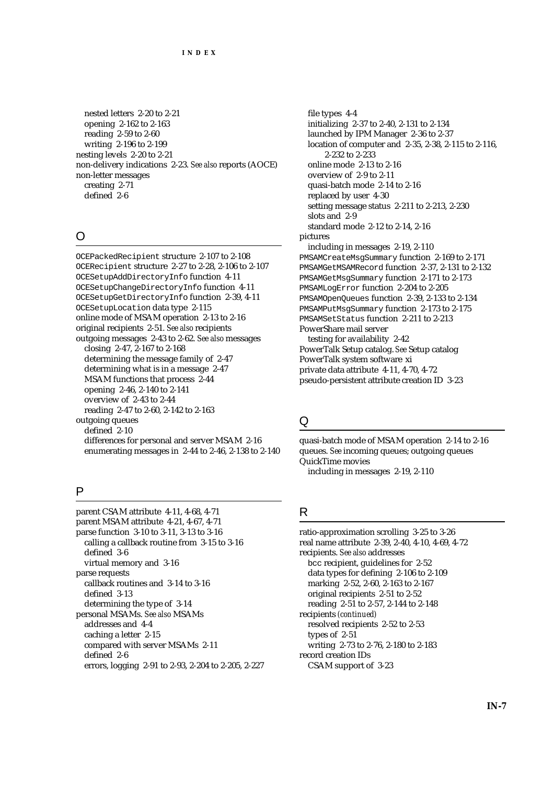nested letters 2-20 to 2-21 opening 2-162 to 2-163 reading 2-59 to 2-60 writing 2-196 to 2-199 nesting levels 2-20 to 2-21 non-delivery indications 2-23. *See also* reports (AOCE) non-letter messages creating 2-71 defined 2-6

#### O

OCEPackedRecipient structure 2-107 to 2-108 OCERecipient structure 2-27 to 2-28, 2-106 to 2-107 OCESetupAddDirectoryInfo function 4-11 OCESetupChangeDirectoryInfo function 4-11 OCESetupGetDirectoryInfo function 2-39, 4-11 OCESetupLocation data type 2-115 online mode of MSAM operation 2-13 to 2-16 original recipients 2-51. *See also* recipients outgoing messages 2-43 to 2-62. *See also* messages closing 2-47, 2-167 to 2-168 determining the message family of 2-47 determining what is in a message 2-47 MSAM functions that process 2-44 opening 2-46, 2-140 to 2-141 overview of 2-43 to 2-44 reading 2-47 to 2-60, 2-142 to 2-163 outgoing queues defined 2-10 differences for personal and server MSAM 2-16 enumerating messages in 2-44 to 2-46, 2-138 to 2-140

#### P

parent CSAM attribute 4-11, 4-68, 4-71 parent MSAM attribute 4-21, 4-67, 4-71 parse function 3-10 to 3-11, 3-13 to 3-16 calling a callback routine from 3-15 to 3-16 defined 3-6 virtual memory and 3-16 parse requests callback routines and 3-14 to 3-16 defined 3-13 determining the type of 3-14 personal MSAMs. *See also* MSAMs addresses and 4-4 caching a letter 2-15 compared with server MSAMs 2-11 defined 2-6 errors, logging 2-91 to 2-93, 2-204 to 2-205, 2-227

file types 4-4 initializing 2-37 to 2-40, 2-131 to 2-134 launched by IPM Manager 2-36 to 2-37 location of computer and 2-35, 2-38, 2-115 to 2-116, 2-232 to 2-233 online mode 2-13 to 2-16 overview of 2-9 to 2-11 quasi-batch mode 2-14 to 2-16 replaced by user 4-30 setting message status 2-211 to 2-213, 2-230 slots and 2-9 standard mode 2-12 to 2-14, 2-16 pictures including in messages 2-19, 2-110 PMSAMCreateMsgSummary function 2-169 to 2-171 PMSAMGetMSAMRecord function 2-37, 2-131 to 2-132 PMSAMGetMsgSummary function 2-171 to 2-173 PMSAMLogError function 2-204 to 2-205 PMSAMOpenQueues function 2-39, 2-133 to 2-134 PMSAMPutMsgSummary function 2-173 to 2-175 PMSAMSetStatus function 2-211 to 2-213 PowerShare mail server testing for availability 2-42 PowerTalk Setup catalog. *See* Setup catalog PowerTalk system software xi private data attribute 4-11, 4-70, 4-72 pseudo-persistent attribute creation ID 3-23

## Q

quasi-batch mode of MSAM operation 2-14 to 2-16 queues. *See* incoming queues; outgoing queues QuickTime movies including in messages 2-19, 2-110

#### R

ratio-approximation scrolling 3-25 to 3-26 real name attribute 2-39, 2-40, 4-10, 4-69, 4-72 recipients. *See also* addresses bcc recipient, guidelines for 2-52 data types for defining 2-106 to 2-109 marking 2-52, 2-60, 2-163 to 2-167 original recipients 2-51 to 2-52 reading 2-51 to 2-57, 2-144 to 2-148 recipients *(continued)* resolved recipients 2-52 to 2-53 types of 2-51 writing 2-73 to 2-76, 2-180 to 2-183 record creation IDs CSAM support of 3-23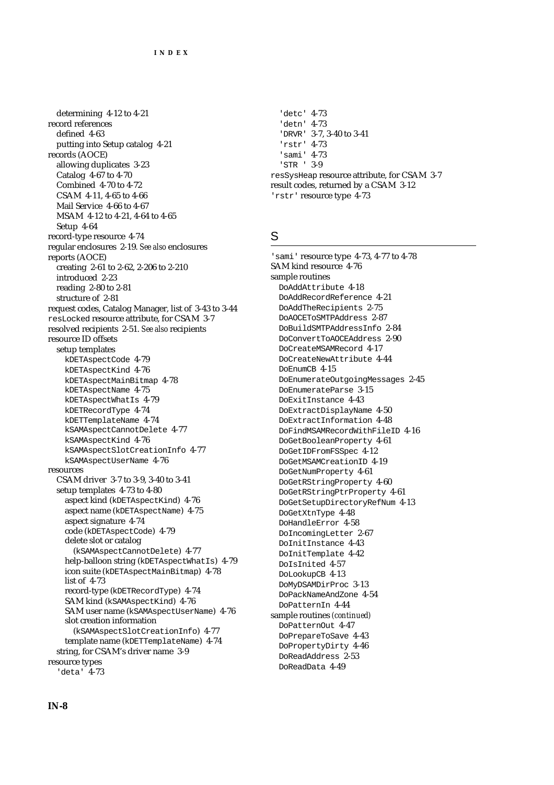determining 4-12 to 4-21 record references defined 4-63 putting into Setup catalog 4-21 records (AOCE) allowing duplicates 3-23 Catalog 4-67 to 4-70 Combined 4-70 to 4-72 CSAM 4-11, 4-65 to 4-66 Mail Service 4-66 to 4-67 MSAM 4-12 to 4-21, 4-64 to 4-65 Setup 4-64 record-type resource 4-74 regular enclosures 2-19. *See also* enclosures reports (AOCE) creating 2-61 to 2-62, 2-206 to 2-210 introduced 2-23 reading 2-80 to 2-81 structure of 2-81 request codes, Catalog Manager, list of 3-43 to 3-44 resLocked resource attribute, for CSAM 3-7 resolved recipients 2-51. *See also* recipients resource ID offsets setup templates kDETAspectCode 4-79 kDETAspectKind 4-76 kDETAspectMainBitmap 4-78 kDETAspectName 4-75 kDETAspectWhatIs 4-79 kDETRecordType 4-74 kDETTemplateName 4-74 kSAMAspectCannotDelete 4-77 kSAMAspectKind 4-76 kSAMAspectSlotCreationInfo 4-77 kSAMAspectUserName 4-76 resources CSAM driver 3-7 to 3-9, 3-40 to 3-41 setup templates 4-73 to 4-80 aspect kind (kDETAspectKind) 4-76 aspect name (kDETAspectName) 4-75 aspect signature 4-74 code (kDETAspectCode) 4-79 delete slot or catalog (kSAMAspectCannotDelete) 4-77 help-balloon string (kDETAspectWhatIs) 4-79 icon suite (kDETAspectMainBitmap) 4-78 list of 4-73 record-type (kDETRecordType) 4-74 SAM kind (kSAMAspectKind) 4-76 SAM user name (kSAMAspectUserName) 4-76 slot creation information (kSAMAspectSlotCreationInfo) 4-77 template name (kDETTemplateName) 4-74 string, for CSAM's driver name 3-9 resource types 'deta' 4-73

'detc' 4-73 'detn' 4-73 'DRVR' 3-7, 3-40 to 3-41 'rstr' 4-73 'sami' 4-73 'STR ' 3-9 resSysHeap resource attribute, for CSAM 3-7 result codes, returned by a CSAM 3-12 'rstr' resource type 4-73

#### S

'sami' resource type 4-73, 4-77 to 4-78 SAM kind resource 4-76 sample routines DoAddAttribute 4-18 DoAddRecordReference 4-21 DoAddTheRecipients 2-75 DoAOCEToSMTPAddress 2-87 DoBuildSMTPAddressInfo 2-84 DoConvertToAOCEAddress 2-90 DoCreateMSAMRecord 4-17 DoCreateNewAttribute 4-44 DoEnumCB 4-15 DoEnumerateOutgoingMessages 2-45 DoEnumerateParse 3-15 DoExitInstance 4-43 DoExtractDisplayName 4-50 DoExtractInformation 4-48 DoFindMSAMRecordWithFileID 4-16 DoGetBooleanProperty 4-61 DoGetIDFromFSSpec 4-12 DoGetMSAMCreationID 4-19 DoGetNumProperty 4-61 DoGetRStringProperty 4-60 DoGetRStringPtrProperty 4-61 DoGetSetupDirectoryRefNum 4-13 DoGetXtnType 4-48 DoHandleError 4-58 DoIncomingLetter 2-67 DoInitInstance 4-43 DoInitTemplate 4-42 DoIsInited 4-57 DoLookupCB 4-13 DoMyDSAMDirProc 3-13 DoPackNameAndZone 4-54 DoPatternIn 4-44 sample routines *(continued)* DoPatternOut 4-47 DoPrepareToSave 4-43 DoPropertyDirty 4-46 DoReadAddress 2-53 DoReadData 4-49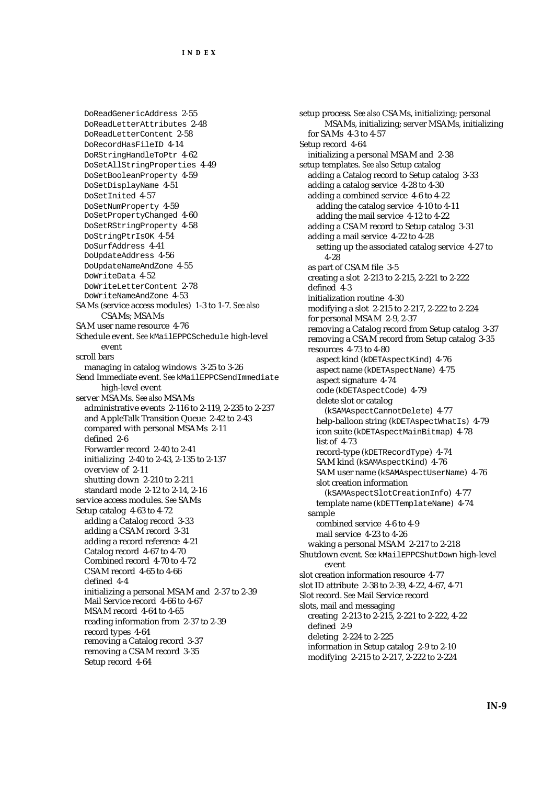DoReadGenericAddress 2-55 DoReadLetterAttributes 2-48 DoReadLetterContent 2-58 DoRecordHasFileID 4-14 DoRStringHandleToPtr 4-62 DoSetAllStringProperties 4-49 DoSetBooleanProperty 4-59 DoSetDisplayName 4-51 DoSetInited 4-57 DoSetNumProperty 4-59 DoSetPropertyChanged 4-60 DoSetRStringProperty 4-58 DoStringPtrIsOK 4-54 DoSurfAddress 4-41 DoUpdateAddress 4-56 DoUpdateNameAndZone 4-55 DoWriteData 4-52 DoWriteLetterContent 2-78 DoWriteNameAndZone 4-53 SAMs (service access modules) 1-3 to 1-7. *See also* CSAMs; MSAMs SAM user name resource 4-76 Schedule event. *See* kMailEPPCSchedule high-level event scroll bars managing in catalog windows 3-25 to 3-26 Send Immediate event. *See* kMailEPPCSendImmediate high-level event server MSAMs. *See also* MSAMs administrative events 2-116 to 2-119, 2-235 to 2-237 and AppleTalk Transition Queue 2-42 to 2-43 compared with personal MSAMs 2-11 defined 2-6 Forwarder record 2-40 to 2-41 initializing 2-40 to 2-43, 2-135 to 2-137 overview of 2-11 shutting down 2-210 to 2-211 standard mode 2-12 to 2-14, 2-16 service access modules. *See* SAMs Setup catalog 4-63 to 4-72 adding a Catalog record 3-33 adding a CSAM record 3-31 adding a record reference 4-21 Catalog record 4-67 to 4-70 Combined record 4-70 to 4-72 CSAM record 4-65 to 4-66 defined 4-4 initializing a personal MSAM and 2-37 to 2-39 Mail Service record 4-66 to 4-67 MSAM record 4-64 to 4-65 reading information from 2-37 to 2-39 record types 4-64 removing a Catalog record 3-37 removing a CSAM record 3-35 Setup record 4-64

setup process*. See also* CSAMs, initializing; personal MSAMs, initializing; server MSAMs, initializing for SAMs 4-3 to 4-57 Setup record 4-64 initializing a personal MSAM and 2-38 setup templates. *See also* Setup catalog adding a Catalog record to Setup catalog 3-33 adding a catalog service 4-28 to 4-30 adding a combined service 4-6 to 4-22 adding the catalog service 4-10 to 4-11 adding the mail service 4-12 to 4-22 adding a CSAM record to Setup catalog 3-31 adding a mail service 4-22 to 4-28 setting up the associated catalog service 4-27 to 4-28 as part of CSAM file 3-5 creating a slot 2-213 to 2-215, 2-221 to 2-222 defined 4-3 initialization routine 4-30 modifying a slot 2-215 to 2-217, 2-222 to 2-224 for personal MSAM 2-9, 2-37 removing a Catalog record from Setup catalog 3-37 removing a CSAM record from Setup catalog 3-35 resources 4-73 to 4-80 aspect kind (kDETAspectKind) 4-76 aspect name (kDETAspectName) 4-75 aspect signature 4-74 code (kDETAspectCode) 4-79 delete slot or catalog (kSAMAspectCannotDelete) 4-77 help-balloon string (kDETAspectWhatIs) 4-79 icon suite (kDETAspectMainBitmap) 4-78 list of 4-73 record-type (kDETRecordType) 4-74 SAM kind (kSAMAspectKind) 4-76 SAM user name (kSAMAspectUserName) 4-76 slot creation information (kSAMAspectSlotCreationInfo) 4-77 template name (kDETTemplateName) 4-74 sample combined service 4-6 to 4-9 mail service 4-23 to 4-26 waking a personal MSAM 2-217 to 2-218 Shutdown event. *See* kMailEPPCShutDown high-level event slot creation information resource 4-77 slot ID attribute 2-38 to 2-39, 4-22, 4-67, 4-71 Slot record. *See* Mail Service record slots, mail and messaging creating 2-213 to 2-215, 2-221 to 2-222, 4-22 defined 2-9 deleting 2-224 to 2-225 information in Setup catalog 2-9 to 2-10 modifying 2-215 to 2-217, 2-222 to 2-224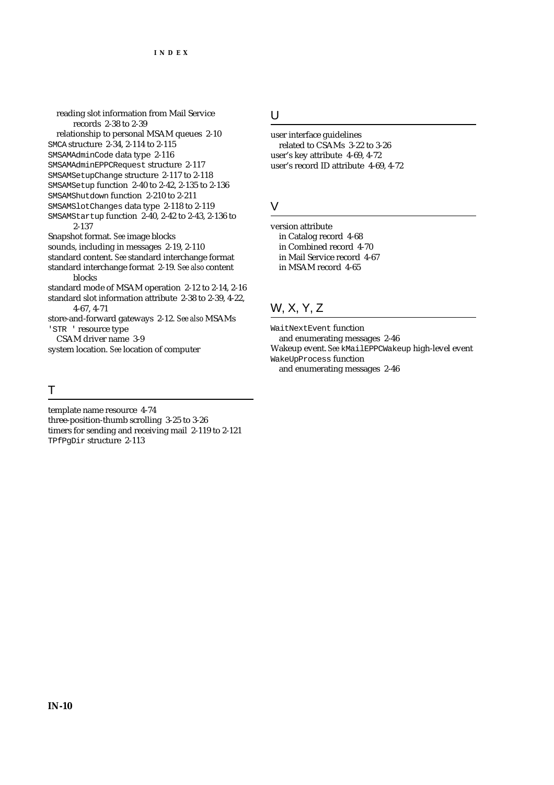reading slot information from Mail Service records 2-38 to 2-39

relationship to personal MSAM queues 2-10

SMCA structure 2-34, 2-114 to 2-115

SMSAMAdminCode data type 2-116

SMSAMAdminEPPCRequest structure 2-117

SMSAMSetupChange structure 2-117 to 2-118

- SMSAMSetup function 2-40 to 2-42, 2-135 to 2-136
- SMSAMShutdown function 2-210 to 2-211
- SMSAMSlotChanges data type 2-118 to 2-119 SMSAMStartup function 2-40, 2-42 to 2-43, 2-136 to 2-137

Snapshot format. *See* image blocks

sounds, including in messages 2-19, 2-110

standard content. *See* standard interchange format standard interchange format 2-19. *See also* content

blocks standard mode of MSAM operation 2-12 to 2-14, 2-16 standard slot information attribute 2-38 to 2-39, 4-22,

4-67, 4-71 store-and-forward gateways 2-12. *See also* MSAMs 'STR ' resource type

CSAM driver name 3-9

system location. *See* location of computer

#### T

template name resource 4-74 three-position-thumb scrolling 3-25 to 3-26 timers for sending and receiving mail 2-119 to 2-121 TPfPgDir structure 2-113

#### U

user interface guidelines related to CSAMs 3-22 to 3-26 user's key attribute 4-69, 4-72 user's record ID attribute 4-69, 4-72

### $\vee$

version attribute in Catalog record 4-68 in Combined record 4-70 in Mail Service record 4-67 in MSAM record 4-65

# W, X, Y, Z

WaitNextEvent function

and enumerating messages 2-46 Wakeup event. *See* kMailEPPCWakeup high-level event WakeUpProcess function and enumerating messages 2-46